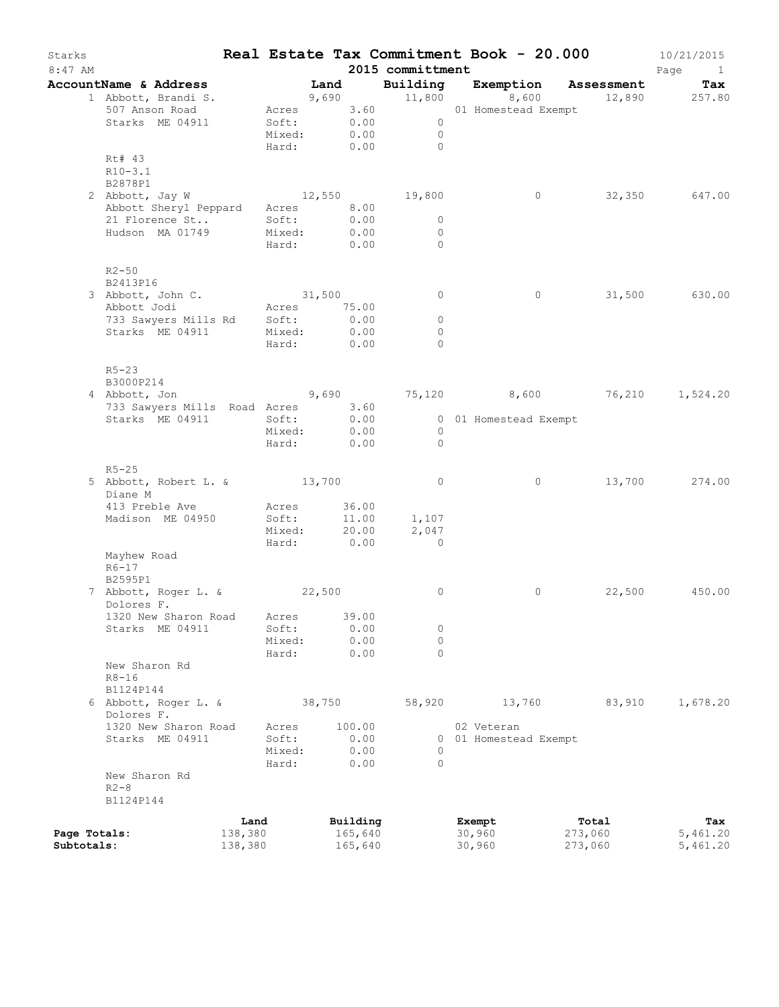| Starks<br>$8:47$ AM |                                                       |         |                                                                                                                |        |          | 2015 committment |        |                       | Real Estate Tax Commitment Book - 20.000 | 10/21/2015<br>Page<br>$\mathbf{1}$ |
|---------------------|-------------------------------------------------------|---------|----------------------------------------------------------------------------------------------------------------|--------|----------|------------------|--------|-----------------------|------------------------------------------|------------------------------------|
|                     | AccountName & Address<br>1 Abbott, Brandi S.          |         | in the Land to the Land of the Land of the Land of the Land of the Land of the Land of the Land of the Land of |        |          | Building         |        | Exemption<br>8,600    | Assessment                               | Tax<br>12,890 257.80               |
|                     | 507 Anson Road                                        |         | Acres 3.60                                                                                                     |        |          | 9,690 11,800     |        | 01 Homestead Exempt   |                                          |                                    |
|                     | Starks ME 04911                                       |         | Soft: 0.00                                                                                                     |        |          | $\overline{0}$   |        |                       |                                          |                                    |
|                     |                                                       |         | Mixed:                                                                                                         |        | 0.00     | $\overline{0}$   |        |                       |                                          |                                    |
|                     |                                                       |         | Hard:                                                                                                          |        | 0.00     | $\bigcirc$       |        |                       |                                          |                                    |
|                     | Rt# 43<br>$R10-3.1$                                   |         |                                                                                                                |        |          |                  |        |                       |                                          |                                    |
|                     | B2878P1                                               |         |                                                                                                                |        |          |                  |        |                       |                                          |                                    |
|                     | 2 Abbott, Jay W                                       |         | 12,550                                                                                                         |        |          | 19,800           |        | $\circ$               |                                          | 32,350 647.00                      |
|                     | Abbott Sheryl Peppard                                 |         | Acres 8.00                                                                                                     |        |          |                  |        |                       |                                          |                                    |
|                     | 21 Florence St                                        |         | Soft:                                                                                                          |        | 0.00     | $\circ$          |        |                       |                                          |                                    |
|                     | Hudson MA 01749                                       |         | Mixed:                                                                                                         |        | 0.00     | $\circ$          |        |                       |                                          |                                    |
|                     |                                                       |         | Hard: 0.00                                                                                                     |        |          | $\circ$          |        |                       |                                          |                                    |
|                     | $R2 - 50$                                             |         |                                                                                                                |        |          |                  |        |                       |                                          |                                    |
|                     | B2413P16                                              |         |                                                                                                                |        |          |                  |        |                       |                                          |                                    |
|                     | 3 Abbott, John C.                                     |         | 31,500                                                                                                         |        |          | $\circ$          |        | $\circ$               |                                          | 31,500 630.00                      |
|                     | Abbott Jodi                                           |         | Acres 75.00                                                                                                    |        |          |                  |        |                       |                                          |                                    |
|                     | 733 Sawyers Mills Rd Soft:                            |         |                                                                                                                |        | 0.00     | 0                |        |                       |                                          |                                    |
|                     | Starks ME 04911                                       |         | Mixed:                                                                                                         |        | 0.00     | $\circ$          |        |                       |                                          |                                    |
|                     |                                                       |         | Hard: 0.00                                                                                                     |        |          | $\Omega$         |        |                       |                                          |                                    |
|                     | $R5 - 23$                                             |         |                                                                                                                |        |          |                  |        |                       |                                          |                                    |
|                     | B3000P214                                             |         |                                                                                                                |        |          |                  |        |                       |                                          |                                    |
|                     | 4 Abbott, Jon 3,690 3,690 3,690 3,600 36,210 1,524.20 |         |                                                                                                                |        |          |                  |        |                       |                                          |                                    |
|                     | 733 Sawyers Mills Road Acres 3.60<br>Starks ME 04911  |         | Soft:                                                                                                          |        | 0.00     |                  |        | 0 01 Homestead Exempt |                                          |                                    |
|                     |                                                       |         | Mixed:                                                                                                         |        | 0.00     | $\overline{0}$   |        |                       |                                          |                                    |
|                     |                                                       |         | Hard:                                                                                                          |        | 0.00     | $\Omega$         |        |                       |                                          |                                    |
|                     | $R5 - 25$                                             |         |                                                                                                                |        |          |                  |        |                       |                                          |                                    |
|                     | 5 Abbott, Robert L. & 13,700                          |         |                                                                                                                |        |          | $\circ$          |        | $\circ$               |                                          | 13,700 274.00                      |
|                     | Diane M                                               |         |                                                                                                                |        |          |                  |        |                       |                                          |                                    |
|                     | 413 Preble Ave                                        |         | Acres                                                                                                          |        | 36.00    |                  |        |                       |                                          |                                    |
|                     | Madison ME 04950                                      |         | Soft:                                                                                                          |        | 11.00    | 1,107            |        |                       |                                          |                                    |
|                     |                                                       |         | Mixed:                                                                                                         |        | 20.00    | 2,047            |        |                       |                                          |                                    |
|                     |                                                       |         | Hard: 0.00                                                                                                     |        |          | $\overline{0}$   |        |                       |                                          |                                    |
|                     | Mayhew Road                                           |         |                                                                                                                |        |          |                  |        |                       |                                          |                                    |
|                     | $R6-17$                                               |         |                                                                                                                |        |          |                  |        |                       |                                          |                                    |
|                     | B2595P1                                               |         |                                                                                                                |        |          |                  |        |                       |                                          |                                    |
|                     | 7 Abbott, Roger L. & 22,500<br>Dolores F.             |         |                                                                                                                |        |          | 0                |        | 0                     | 22,500                                   | 450.00                             |
|                     | 1320 New Sharon Road Acres 39.00                      |         |                                                                                                                |        |          |                  |        |                       |                                          |                                    |
|                     | Starks ME 04911                                       |         | Soft:                                                                                                          |        | 0.00     | 0                |        |                       |                                          |                                    |
|                     |                                                       |         | Mixed:                                                                                                         |        | 0.00     | $\circ$          |        |                       |                                          |                                    |
|                     |                                                       |         | Hard:                                                                                                          |        | 0.00     | $\Omega$         |        |                       |                                          |                                    |
|                     | New Sharon Rd<br>$R8 - 16$                            |         |                                                                                                                |        |          |                  |        |                       |                                          |                                    |
|                     | B1124P144                                             |         |                                                                                                                |        |          |                  |        |                       |                                          |                                    |
|                     | 6 Abbott, Roger L. &                                  |         |                                                                                                                | 38,750 |          | 58,920           |        | 13,760                | 83,910                                   | 1,678.20                           |
|                     | Dolores F.                                            |         |                                                                                                                |        |          |                  |        |                       |                                          |                                    |
|                     | 1320 New Sharon Road                                  |         | Acres                                                                                                          |        | 100.00   |                  |        | 02 Veteran            |                                          |                                    |
|                     | Starks ME 04911                                       |         | Soft:                                                                                                          |        | 0.00     |                  |        | 0 01 Homestead Exempt |                                          |                                    |
|                     |                                                       |         | Mixed:                                                                                                         |        | 0.00     | 0                |        |                       |                                          |                                    |
|                     |                                                       |         | Hard:                                                                                                          |        | 0.00     | $\Omega$         |        |                       |                                          |                                    |
|                     | New Sharon Rd                                         |         |                                                                                                                |        |          |                  |        |                       |                                          |                                    |
|                     | $R2 - 8$                                              |         |                                                                                                                |        |          |                  |        |                       |                                          |                                    |
|                     | B1124P144                                             |         |                                                                                                                |        |          |                  |        |                       |                                          |                                    |
|                     |                                                       | Land    |                                                                                                                |        | Building |                  | Exempt |                       | Total                                    | Tax                                |
| Page Totals:        |                                                       | 138,380 |                                                                                                                |        | 165,640  |                  | 30,960 |                       | 273,060                                  | 5,461.20                           |
| Subtotals:          |                                                       | 138,380 |                                                                                                                |        | 165,640  |                  | 30,960 |                       | 273,060                                  | 5,461.20                           |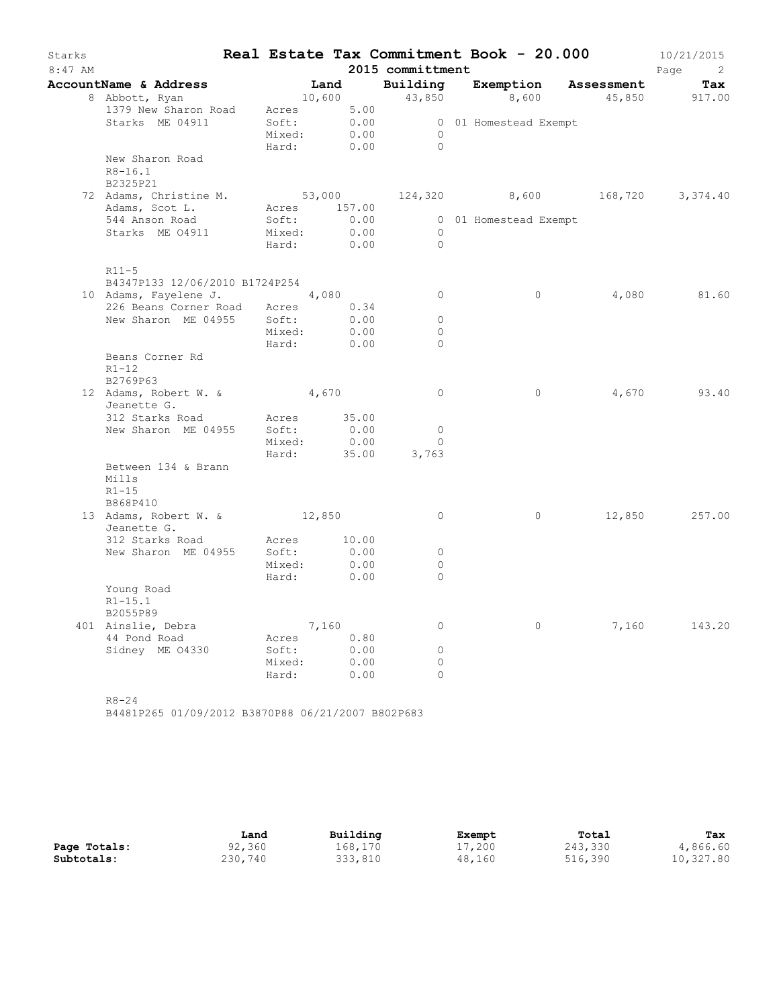| Starks<br>$8:47$ AM |                                           |        |              | 2015 committment             | Real Estate Tax Commitment Book - 20.000  |       | 10/21/2015<br>Page<br>$\overline{\phantom{a}}$ |
|---------------------|-------------------------------------------|--------|--------------|------------------------------|-------------------------------------------|-------|------------------------------------------------|
|                     | AccountName & Address                     |        |              |                              | Land Building Exemption Assessment        |       | Tax                                            |
|                     | 8 Abbott, Ryan                            |        |              |                              | $10,600$ $43,850$ $8,600$                 |       | 45,850 917.00                                  |
|                     | 1379 New Sharon Road                      |        | Acres 5.00   |                              |                                           |       |                                                |
|                     | Starks ME 04911                           | Soft:  | 0.00         |                              | 0 01 Homestead Exempt                     |       |                                                |
|                     |                                           | Mixed: | 0.00         | $\overline{0}$               |                                           |       |                                                |
|                     |                                           | Hard:  | 0.00         | $\overline{0}$               |                                           |       |                                                |
|                     | New Sharon Road                           |        |              |                              |                                           |       |                                                |
|                     | $R8 - 16.1$                               |        |              |                              |                                           |       |                                                |
|                     | B2325P21                                  |        |              |                              |                                           |       |                                                |
|                     | 72 Adams, Christine M.                    |        |              |                              | 53,000 $124,320$ 8,600 $168,720$ 3,374.40 |       |                                                |
|                     | Adams, Scot L.                            |        | Acres 157.00 |                              |                                           |       |                                                |
|                     | 544 Anson Road                            | Soft:  | 0.00         |                              | 0 01 Homestead Exempt                     |       |                                                |
|                     | Starks ME 04911                           | Mixed: | 0.00         | $\overline{0}$<br>$\bigcirc$ |                                           |       |                                                |
|                     |                                           | Hard:  | 0.00         |                              |                                           |       |                                                |
|                     | $R11-5$                                   |        |              |                              |                                           |       |                                                |
|                     | B4347P133 12/06/2010 B1724P254            |        |              |                              |                                           |       |                                                |
|                     | 10 Adams, Fayelene J. 4,080               |        |              | $\overline{0}$               | $\circ$                                   | 4,080 | 81.60                                          |
|                     | 226 Beans Corner Road Acres 0.34          |        |              |                              |                                           |       |                                                |
|                     | New Sharon ME 04955                       | Soft:  | 0.00         | $\circ$                      |                                           |       |                                                |
|                     |                                           | Mixed: | 0.00         | $\Omega$                     |                                           |       |                                                |
|                     |                                           | Hard:  | 0.00         | $\Omega$                     |                                           |       |                                                |
|                     | Beans Corner Rd<br>$R1 - 12$<br>B2769P63  |        |              |                              |                                           |       |                                                |
|                     | 12 Adams, Robert W. & 4,670               |        |              | $\overline{0}$               | $\circ$                                   | 4,670 | 93.40                                          |
|                     | Jeanette G.                               |        |              |                              |                                           |       |                                                |
|                     | 312 Starks Road                           | Acres  | 35.00        |                              |                                           |       |                                                |
|                     | New Sharon ME 04955                       | Soft:  | 0.00         | $\mathbf{0}$                 |                                           |       |                                                |
|                     |                                           | Mixed: | 0.00         | $\circ$                      |                                           |       |                                                |
|                     |                                           | Hard:  | 35.00        | 3,763                        |                                           |       |                                                |
|                     | Between 134 & Brann<br>Mills<br>$R1 - 15$ |        |              |                              |                                           |       |                                                |
|                     | B868P410                                  |        |              |                              |                                           |       |                                                |
|                     | 13 Adams, Robert W. &                     | 12,850 |              | $\circ$                      | $\circ$                                   |       | 12,850 257.00                                  |
|                     | Jeanette G.                               |        |              |                              |                                           |       |                                                |
|                     | 312 Starks Road                           | Acres  | 10.00        |                              |                                           |       |                                                |
|                     | New Sharon ME 04955                       | Soft:  | 0.00         | $\circ$                      |                                           |       |                                                |
|                     |                                           | Mixed: | 0.00         | $\circ$                      |                                           |       |                                                |
|                     |                                           | Hard:  | 0.00         | $\Omega$                     |                                           |       |                                                |
|                     | Young Road<br>$R1 - 15.1$<br>B2055P89     |        |              |                              |                                           |       |                                                |
|                     | 401 Ainslie, Debra                        |        | 7,160        | $\circ$                      | $\circ$                                   |       | 7,160 143.20                                   |
|                     | 44 Pond Road                              | Acres  | 0.80         |                              |                                           |       |                                                |
|                     | Sidney ME 04330                           | Soft:  | 0.00         | $\circ$                      |                                           |       |                                                |
|                     |                                           | Mixed: | 0.00         | $\circ$                      |                                           |       |                                                |
|                     |                                           | Hard:  | 0.00         | $\circ$                      |                                           |       |                                                |
|                     | $R8 - 24$                                 |        |              |                              |                                           |       |                                                |

B4481P265 01/09/2012 B3870P88 06/21/2007 B802P683

|              | Land    | Building | Exempt | Total   | Tax       |
|--------------|---------|----------|--------|---------|-----------|
| Page Totals: | 92,360  | 168.170  | 17,200 | 243,330 | 4,866.60  |
| Subtotals:   | 230,740 | 333,810  | 48,160 | 516,390 | 10,327.80 |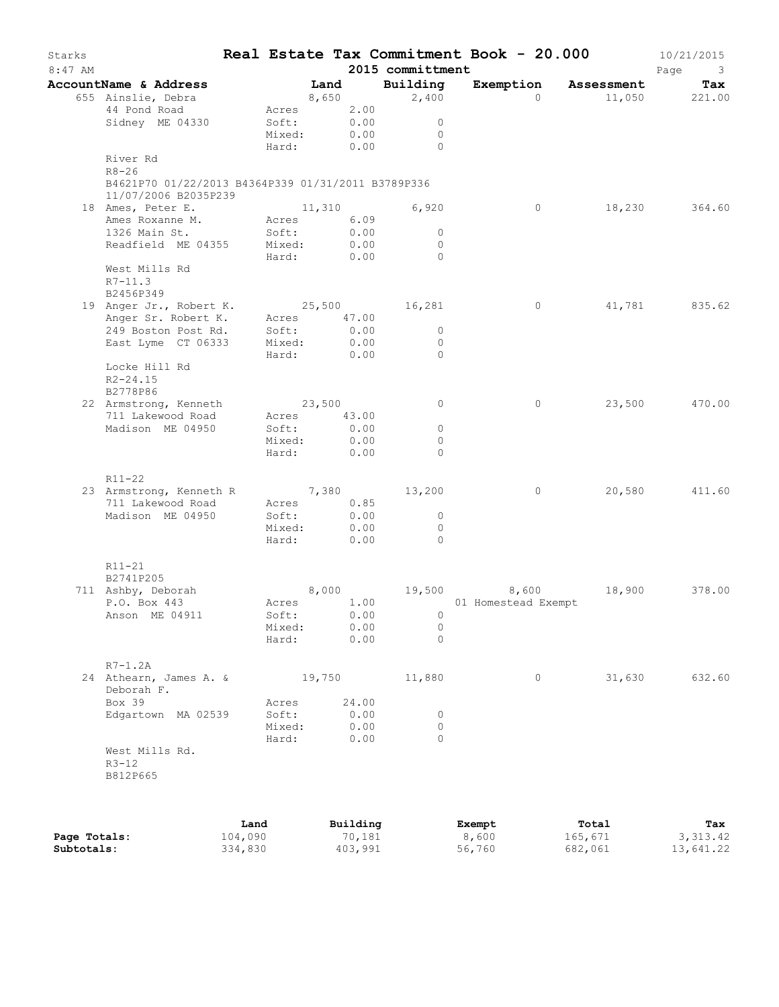| Starks<br>$8:47$ AM |                                                                            |                           |       | 2015 committment                 | Real Estate Tax Commitment Book - 20.000 |               | 10/21/2015<br>Page 3 |
|---------------------|----------------------------------------------------------------------------|---------------------------|-------|----------------------------------|------------------------------------------|---------------|----------------------|
|                     | AccountName & Address                                                      |                           |       | Land Building                    | Exemption Assessment Tax                 |               |                      |
|                     | 655 Ainslie, Debra                                                         | 8,650                     |       |                                  | 2,400<br>$\Omega$                        | 11,050 221.00 |                      |
|                     | 44 Pond Road                                                               | Acres 2.00                |       |                                  |                                          |               |                      |
|                     | Sidney ME 04330                                                            | Soft: 0.00<br>Mixed: 0.00 |       | $\overline{0}$                   |                                          |               |                      |
|                     |                                                                            |                           |       | $\overline{0}$<br>Hard: 0.00 0   |                                          |               |                      |
|                     | River Rd<br>$R8 - 26$                                                      |                           |       |                                  |                                          |               |                      |
|                     | B4621P70 01/22/2013 B4364P339 01/31/2011 B3789P336<br>11/07/2006 B2035P239 |                           |       |                                  |                                          |               |                      |
|                     | 18 Ames, Peter E.                                                          | 11,310                    |       | 6,920                            | $\overline{0}$                           | 18,230 364.60 |                      |
|                     | Ames Roxanne M. Acres 6.09                                                 |                           |       |                                  |                                          |               |                      |
|                     | 1326 Main St.                                                              | Soft:                     | 0.00  | $\overline{0}$                   |                                          |               |                      |
|                     | Readfield ME 04355 Mixed: 0.00<br>Hard: 0.00                               |                           | 0.00  | $\overline{0}$<br>$\overline{0}$ |                                          |               |                      |
|                     | West Mills Rd<br>$R7 - 11.3$<br>B2456P349                                  |                           |       |                                  |                                          |               |                      |
|                     |                                                                            |                           |       |                                  | $\overline{0}$                           |               | 41,781 835.62        |
|                     | 19 Anger Jr., Robert K. 25,500 16,281<br>Anger Sr. Robert K. Acres 47.00   |                           |       |                                  |                                          |               |                      |
|                     | 249 Boston Post Rd. Soft: 0.00                                             |                           |       | $\overline{0}$                   |                                          |               |                      |
|                     | East Lyme CT 06333                                                         | Mixed:                    | 0.00  | $\overline{0}$                   |                                          |               |                      |
|                     | Locke Hill Rd<br>$R2 - 24.15$                                              | Hard: 0.00                |       | $\bigcirc$                       |                                          |               |                      |
|                     | B2778P86                                                                   |                           |       |                                  |                                          |               |                      |
|                     | 22 Armstrong, Kenneth                                                      | 23,500                    |       | $\overline{0}$                   | $\circ$                                  |               | 23,500 470.00        |
|                     | 711 Lakewood Road                                                          | Acres 43.00               |       |                                  |                                          |               |                      |
|                     | Madison ME 04950                                                           | Soft: 0.00                |       | $\circ$                          |                                          |               |                      |
|                     |                                                                            | Mixed:                    | 0.00  | $\circ$                          |                                          |               |                      |
|                     |                                                                            | Hard: 0.00                |       | $\bigcirc$                       |                                          |               |                      |
|                     | $R11 - 22$                                                                 |                           |       |                                  |                                          |               |                      |
|                     | 23 Armstrong, Kenneth R 7,380 13,200                                       |                           |       |                                  | $\overline{0}$                           |               | 20,580 411.60        |
|                     | 711 Lakewood Road                                                          | Acres 0.85<br>Soft: 0.00  |       |                                  |                                          |               |                      |
|                     | Madison ME 04950                                                           |                           |       | $\overline{0}$                   |                                          |               |                      |
|                     |                                                                            | Mixed:                    | 0.00  | $\overline{0}$                   |                                          |               |                      |
|                     |                                                                            | Hard:                     | 0.00  | $\bigcirc$                       |                                          |               |                      |
|                     | R11-21<br>B2741P205                                                        |                           |       |                                  |                                          |               |                      |
|                     | 711 Ashby, Deborah                                                         |                           |       |                                  | $8,000$ 19,500 $8,600$                   | 18,900 378.00 |                      |
|                     | P.O. Box 443                                                               |                           |       |                                  | Acres 1.00 01 Homestead Exempt           |               |                      |
|                     | Anson ME 04911                                                             |                           |       | Soft: 0.00 0                     |                                          |               |                      |
|                     |                                                                            | Mixed: 0.00               |       | $\mathbf{0}$                     |                                          |               |                      |
|                     |                                                                            | Hard:                     | 0.00  | $\Omega$                         |                                          |               |                      |
|                     | $R7-1.2A$                                                                  |                           |       |                                  |                                          |               |                      |
|                     | 24 Athearn, James A. &<br>Deborah F.                                       |                           |       | 19,750 11,880                    | $\circ$                                  | 31,630        | 632.60               |
|                     | Box 39                                                                     | Acres                     | 24.00 |                                  |                                          |               |                      |
|                     | Edgartown MA 02539                                                         | Soft:                     | 0.00  | $\circ$                          |                                          |               |                      |
|                     |                                                                            | Mixed:                    | 0.00  | $\circ$                          |                                          |               |                      |
|                     | West Mills Rd.                                                             | Hard:                     | 0.00  | $\Omega$                         |                                          |               |                      |
|                     | $R3 - 12$<br>B812P665                                                      |                           |       |                                  |                                          |               |                      |
|                     |                                                                            |                           |       |                                  |                                          |               |                      |

|              | Land    | Building | Exempt | Total   | Tax       |
|--------------|---------|----------|--------|---------|-----------|
| Page Totals: | 104,090 | 70,181   | 8,600  | 165,671 | 3, 313.42 |
| Subtotals:   | 334,830 | 403,991  | 56,760 | 682,061 | 13,641.22 |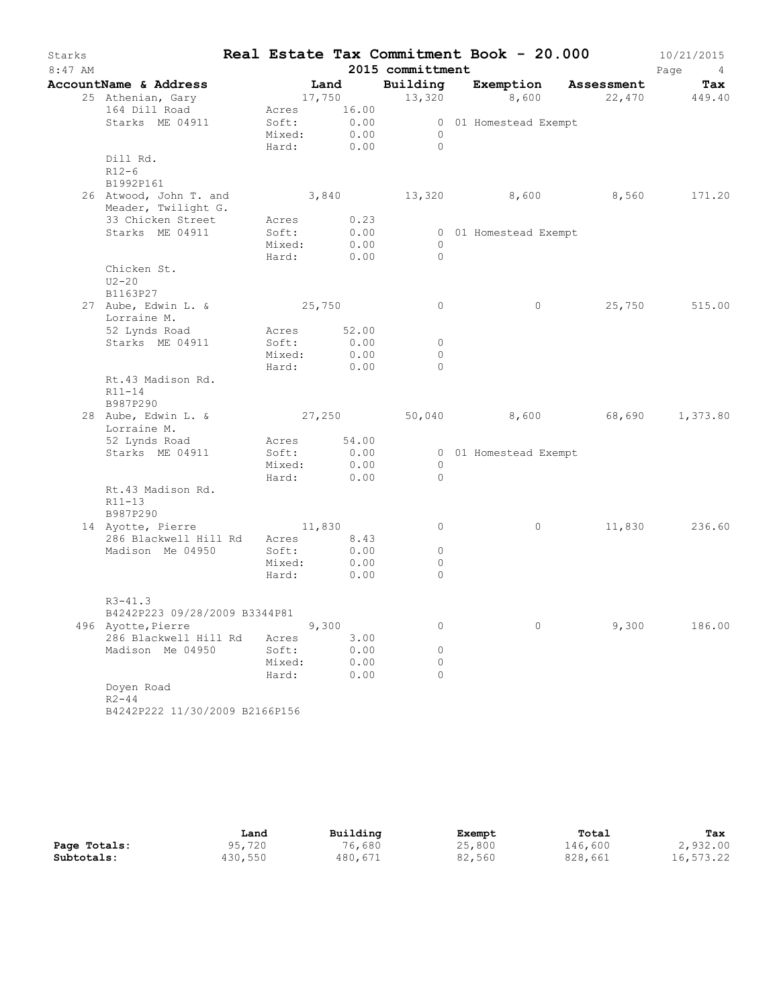| Starks<br>$8:47$ AM |                                           |                      |       |              | 2015 committment    | Real Estate Tax Commitment Book - 20.000    |        | 10/21/2015<br>Page<br>$4\overline{4}$ |
|---------------------|-------------------------------------------|----------------------|-------|--------------|---------------------|---------------------------------------------|--------|---------------------------------------|
|                     | AccountName & Address                     |                      | Land  |              | Building            | Exemption Assessment                        |        | Tax                                   |
|                     | 25 Athenian, Gary                         |                      |       |              |                     | $17,750$ $13,320$ $8,600$ $22,470$ $449.40$ |        |                                       |
|                     | 164 Dill Road                             | Acres 16.00          |       |              |                     |                                             |        |                                       |
|                     | Starks ME 04911                           | Soft: 0.00           |       |              |                     | 0 01 Homestead Exempt                       |        |                                       |
|                     |                                           | Mixed:               |       | 0.00         | $\overline{0}$      |                                             |        |                                       |
|                     |                                           | Hard:                |       | 0.00         | $\bigcirc$          |                                             |        |                                       |
|                     | Dill Rd.                                  |                      |       |              |                     |                                             |        |                                       |
|                     | $R12-6$<br>B1992P161                      |                      |       |              |                     |                                             |        |                                       |
|                     | 26 Atwood, John T. and                    |                      |       |              |                     | 3,840 13,320 8,600                          | 8,560  | 171.20                                |
|                     | Meader, Twilight G.                       |                      |       |              |                     |                                             |        |                                       |
|                     | 33 Chicken Street                         | Acres                |       | 0.23         |                     |                                             |        |                                       |
|                     | Starks ME 04911                           | Soft:                |       | 0.00         |                     | 0 01 Homestead Exempt                       |        |                                       |
|                     |                                           | Mixed:               |       | 0.00         | $\circ$             |                                             |        |                                       |
|                     |                                           | Hard:                |       | 0.00         | $\Omega$            |                                             |        |                                       |
|                     | Chicken St.                               |                      |       |              |                     |                                             |        |                                       |
|                     | $U2-20$                                   |                      |       |              |                     |                                             |        |                                       |
|                     | B1163P27                                  |                      |       |              |                     |                                             |        |                                       |
|                     | 27 Aube, Edwin L. &                       | 25,750               |       |              | 0                   | $\circ$                                     | 25,750 | 515.00                                |
|                     | Lorraine M.                               |                      |       |              |                     |                                             |        |                                       |
|                     | 52 Lynds Road<br>Starks ME 04911          | Acres 52.00<br>Soft: |       | 0.00         | $\circ$             |                                             |        |                                       |
|                     |                                           | Mixed:               |       | 0.00         | $\circ$             |                                             |        |                                       |
|                     |                                           | Hard: 0.00           |       |              | $\Omega$            |                                             |        |                                       |
|                     | Rt.43 Madison Rd.                         |                      |       |              |                     |                                             |        |                                       |
|                     | R11-14<br>B987P290                        |                      |       |              |                     |                                             |        |                                       |
|                     | 28 Aube, Edwin L. &<br>Lorraine M.        | 27,250               |       |              |                     | 50,040 8,600 68,690                         |        | 1,373.80                              |
|                     | 52 Lynds Road                             | Acres 54.00          |       |              |                     |                                             |        |                                       |
|                     | Starks ME 04911                           | Soft:                |       | 0.00         |                     | 0 01 Homestead Exempt                       |        |                                       |
|                     |                                           | Mixed:<br>Hard:      |       | 0.00<br>0.00 | $\circ$<br>$\Omega$ |                                             |        |                                       |
|                     | Rt.43 Madison Rd.<br>R11-13               |                      |       |              |                     |                                             |        |                                       |
|                     | B987P290                                  |                      |       |              |                     |                                             |        |                                       |
|                     | 14 Ayotte, Pierre                         | 11,830               |       |              | $\circ$             | $\circ$                                     |        | 11,830 236.60                         |
|                     | 286 Blackwell Hill Rd<br>Madison Me 04950 | Acres 8.43<br>Soft:  |       | 0.00         | $\circ$             |                                             |        |                                       |
|                     |                                           | Mixed:               |       | 0.00         | $\circ$             |                                             |        |                                       |
|                     |                                           | Hard:                |       | 0.00         | $\circ$             |                                             |        |                                       |
|                     |                                           |                      |       |              |                     |                                             |        |                                       |
|                     | $R3 - 41.3$                               |                      |       |              |                     |                                             |        |                                       |
|                     | B4242P223 09/28/2009 B3344P81             |                      |       |              |                     |                                             |        |                                       |
|                     | 496 Ayotte, Pierre                        |                      | 9,300 |              | 0                   | $\circ$                                     | 9,300  | 186.00                                |
|                     | 286 Blackwell Hill Rd<br>Madison Me 04950 | Acres<br>Soft:       |       | 3.00<br>0.00 | 0                   |                                             |        |                                       |
|                     |                                           | Mixed:               |       | 0.00         | 0                   |                                             |        |                                       |
|                     |                                           | Hard:                |       | 0.00         | 0                   |                                             |        |                                       |
|                     | Doyen Road                                |                      |       |              |                     |                                             |        |                                       |
|                     | $R2 - 44$                                 |                      |       |              |                     |                                             |        |                                       |
|                     | B4242P222 11/30/2009 B2166P156            |                      |       |              |                     |                                             |        |                                       |

|              | Land    | Building | Exempt | Total   | Tax       |
|--------------|---------|----------|--------|---------|-----------|
| Page Totals: | 95,720  | 76,680   | 25,800 | 146,600 | 2,932.00  |
| Subtotals:   | 430,550 | 480,671  | 82,560 | 828,661 | 16,573.22 |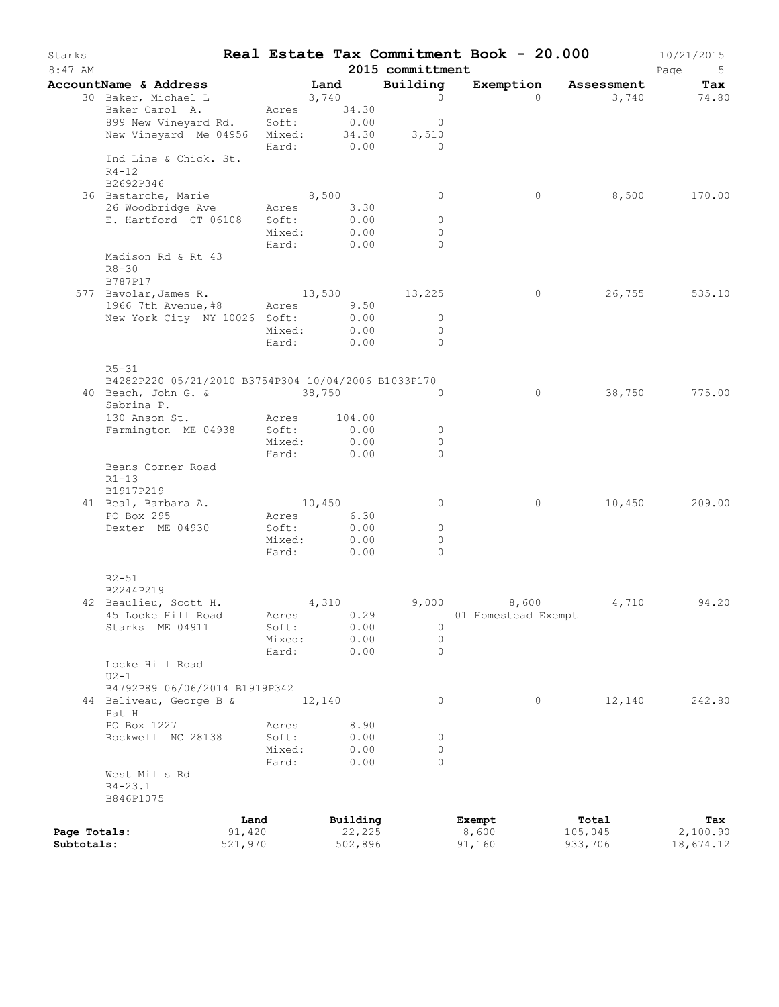| Land<br>Building<br>Exemption Assessment<br>AccountName & Address<br>30 Baker, Michael L<br>3,740<br>$\Omega$<br>3,740<br>$\Omega$<br>Baker Carol A.<br>Acres 34.30<br>899 New Vineyard Rd. Soft: 0.00<br>$\overline{0}$<br>34.30<br>New Vineyard Me 04956 Mixed:<br>3,510<br>Hard:<br>0.00<br>$\overline{a}$<br>Ind Line & Chick. St.<br>$R4 - 12$<br>B2692P346<br>8,500<br>8,500<br>36 Bastarche, Marie<br>$\circ$<br>0<br>170.00<br>26 Woodbridge Ave<br>3.30<br>Acres<br>E. Hartford CT 06108<br>0.00<br>Soft:<br>$\circ$<br>0.00<br>Mixed:<br>$\circ$<br>Hard:<br>0.00<br>$\Omega$<br>Madison Rd & Rt 43<br>$R8 - 30$<br>B787P17<br>577 Bavolar, James R. 13, 530 13, 225<br>$\circ$<br>26,755<br>1966 7th Avenue, #8 Acres 9.50<br>New York City NY 10026 Soft:<br>0.00<br>$\overline{0}$<br>0.00<br>Mixed:<br>$\Omega$<br>0.00<br>Hard:<br>$\Omega$<br>$R5 - 31$<br>B4282P220 05/21/2010 B3754P304 10/04/2006 B1033P170<br>$\circ$<br>38,750<br>775.00<br>40 Beach, John G. & 38,750<br>$\Omega$<br>Sabrina P.<br>130 Anson St.<br>104.00<br>Acres<br>Farmington ME 04938 Soft:<br>0.00<br>$\circ$<br>0.00<br>Mixed:<br>$\circ$<br>0.00<br>Hard:<br>$\Omega$<br>Beans Corner Road<br>$R1-13$<br>B1917P219<br>41 Beal, Barbara A.<br>10,450<br>10,450<br>$\circ$<br>$\circ$<br>Acres 6.30<br>PO Box 295<br>0.00<br>Dexter ME 04930<br>Soft:<br>$\circ$<br>0.00<br>Mixed:<br>0<br>Hard:<br>0.00<br>$\Omega$<br>$R2 - 51$<br>B2244P219<br>4,310<br>9,000 8,600<br>42 Beaulieu, Scott H.<br>4,710<br>94.20<br>45 Locke Hill Road Acres 0.29 01 Homestead Exempt<br>Starks ME 04911<br>Soft:<br>0.00<br>0<br>0.00<br>$\circ$<br>Mixed:<br>0.00<br>$\circ$<br>Hard:<br>Locke Hill Road<br>$U2-1$<br>B4792P89 06/06/2014 B1919P342<br>44 Beliveau, George B &<br>12,140<br>0<br>0<br>12,140<br>Pat H<br>PO Box 1227<br>8.90<br>Acres<br>Rockwell NC 28138<br>Soft:<br>0.00<br>0<br>Mixed:<br>0.00<br>0<br>0.00<br>$\Omega$<br>Hard:<br>West Mills Rd<br>$R4 - 23.1$<br>B846P1075<br>Building<br>Exempt<br>Total<br>Land<br>Tax<br>91,420<br>22,225<br>Page Totals:<br>8,600<br>105,045<br>2,100.90<br>521,970<br>Subtotals:<br>502,896<br>91,160<br>933,706<br>18,674.12 | Starks<br>$8:47$ AM |  |  | 2015 committment | Real Estate Tax Commitment Book - 20.000 |  | 10/21/2015<br>Page<br>5 |
|--------------------------------------------------------------------------------------------------------------------------------------------------------------------------------------------------------------------------------------------------------------------------------------------------------------------------------------------------------------------------------------------------------------------------------------------------------------------------------------------------------------------------------------------------------------------------------------------------------------------------------------------------------------------------------------------------------------------------------------------------------------------------------------------------------------------------------------------------------------------------------------------------------------------------------------------------------------------------------------------------------------------------------------------------------------------------------------------------------------------------------------------------------------------------------------------------------------------------------------------------------------------------------------------------------------------------------------------------------------------------------------------------------------------------------------------------------------------------------------------------------------------------------------------------------------------------------------------------------------------------------------------------------------------------------------------------------------------------------------------------------------------------------------------------------------------------------------------------------------------------------------------------------------------------------------------------------------------------------------------------------------------------------------------------------------------------------------------------------------------------------------------------------------------------|---------------------|--|--|------------------|------------------------------------------|--|-------------------------|
| 74.80                                                                                                                                                                                                                                                                                                                                                                                                                                                                                                                                                                                                                                                                                                                                                                                                                                                                                                                                                                                                                                                                                                                                                                                                                                                                                                                                                                                                                                                                                                                                                                                                                                                                                                                                                                                                                                                                                                                                                                                                                                                                                                                                                                    |                     |  |  |                  |                                          |  | Tax                     |
|                                                                                                                                                                                                                                                                                                                                                                                                                                                                                                                                                                                                                                                                                                                                                                                                                                                                                                                                                                                                                                                                                                                                                                                                                                                                                                                                                                                                                                                                                                                                                                                                                                                                                                                                                                                                                                                                                                                                                                                                                                                                                                                                                                          |                     |  |  |                  |                                          |  |                         |
| 535.10<br>209.00<br>242.80                                                                                                                                                                                                                                                                                                                                                                                                                                                                                                                                                                                                                                                                                                                                                                                                                                                                                                                                                                                                                                                                                                                                                                                                                                                                                                                                                                                                                                                                                                                                                                                                                                                                                                                                                                                                                                                                                                                                                                                                                                                                                                                                               |                     |  |  |                  |                                          |  |                         |
|                                                                                                                                                                                                                                                                                                                                                                                                                                                                                                                                                                                                                                                                                                                                                                                                                                                                                                                                                                                                                                                                                                                                                                                                                                                                                                                                                                                                                                                                                                                                                                                                                                                                                                                                                                                                                                                                                                                                                                                                                                                                                                                                                                          |                     |  |  |                  |                                          |  |                         |
|                                                                                                                                                                                                                                                                                                                                                                                                                                                                                                                                                                                                                                                                                                                                                                                                                                                                                                                                                                                                                                                                                                                                                                                                                                                                                                                                                                                                                                                                                                                                                                                                                                                                                                                                                                                                                                                                                                                                                                                                                                                                                                                                                                          |                     |  |  |                  |                                          |  |                         |
|                                                                                                                                                                                                                                                                                                                                                                                                                                                                                                                                                                                                                                                                                                                                                                                                                                                                                                                                                                                                                                                                                                                                                                                                                                                                                                                                                                                                                                                                                                                                                                                                                                                                                                                                                                                                                                                                                                                                                                                                                                                                                                                                                                          |                     |  |  |                  |                                          |  |                         |
|                                                                                                                                                                                                                                                                                                                                                                                                                                                                                                                                                                                                                                                                                                                                                                                                                                                                                                                                                                                                                                                                                                                                                                                                                                                                                                                                                                                                                                                                                                                                                                                                                                                                                                                                                                                                                                                                                                                                                                                                                                                                                                                                                                          |                     |  |  |                  |                                          |  |                         |
|                                                                                                                                                                                                                                                                                                                                                                                                                                                                                                                                                                                                                                                                                                                                                                                                                                                                                                                                                                                                                                                                                                                                                                                                                                                                                                                                                                                                                                                                                                                                                                                                                                                                                                                                                                                                                                                                                                                                                                                                                                                                                                                                                                          |                     |  |  |                  |                                          |  |                         |
|                                                                                                                                                                                                                                                                                                                                                                                                                                                                                                                                                                                                                                                                                                                                                                                                                                                                                                                                                                                                                                                                                                                                                                                                                                                                                                                                                                                                                                                                                                                                                                                                                                                                                                                                                                                                                                                                                                                                                                                                                                                                                                                                                                          |                     |  |  |                  |                                          |  |                         |
|                                                                                                                                                                                                                                                                                                                                                                                                                                                                                                                                                                                                                                                                                                                                                                                                                                                                                                                                                                                                                                                                                                                                                                                                                                                                                                                                                                                                                                                                                                                                                                                                                                                                                                                                                                                                                                                                                                                                                                                                                                                                                                                                                                          |                     |  |  |                  |                                          |  |                         |
|                                                                                                                                                                                                                                                                                                                                                                                                                                                                                                                                                                                                                                                                                                                                                                                                                                                                                                                                                                                                                                                                                                                                                                                                                                                                                                                                                                                                                                                                                                                                                                                                                                                                                                                                                                                                                                                                                                                                                                                                                                                                                                                                                                          |                     |  |  |                  |                                          |  |                         |
|                                                                                                                                                                                                                                                                                                                                                                                                                                                                                                                                                                                                                                                                                                                                                                                                                                                                                                                                                                                                                                                                                                                                                                                                                                                                                                                                                                                                                                                                                                                                                                                                                                                                                                                                                                                                                                                                                                                                                                                                                                                                                                                                                                          |                     |  |  |                  |                                          |  |                         |
|                                                                                                                                                                                                                                                                                                                                                                                                                                                                                                                                                                                                                                                                                                                                                                                                                                                                                                                                                                                                                                                                                                                                                                                                                                                                                                                                                                                                                                                                                                                                                                                                                                                                                                                                                                                                                                                                                                                                                                                                                                                                                                                                                                          |                     |  |  |                  |                                          |  |                         |
|                                                                                                                                                                                                                                                                                                                                                                                                                                                                                                                                                                                                                                                                                                                                                                                                                                                                                                                                                                                                                                                                                                                                                                                                                                                                                                                                                                                                                                                                                                                                                                                                                                                                                                                                                                                                                                                                                                                                                                                                                                                                                                                                                                          |                     |  |  |                  |                                          |  |                         |
|                                                                                                                                                                                                                                                                                                                                                                                                                                                                                                                                                                                                                                                                                                                                                                                                                                                                                                                                                                                                                                                                                                                                                                                                                                                                                                                                                                                                                                                                                                                                                                                                                                                                                                                                                                                                                                                                                                                                                                                                                                                                                                                                                                          |                     |  |  |                  |                                          |  |                         |
|                                                                                                                                                                                                                                                                                                                                                                                                                                                                                                                                                                                                                                                                                                                                                                                                                                                                                                                                                                                                                                                                                                                                                                                                                                                                                                                                                                                                                                                                                                                                                                                                                                                                                                                                                                                                                                                                                                                                                                                                                                                                                                                                                                          |                     |  |  |                  |                                          |  |                         |
|                                                                                                                                                                                                                                                                                                                                                                                                                                                                                                                                                                                                                                                                                                                                                                                                                                                                                                                                                                                                                                                                                                                                                                                                                                                                                                                                                                                                                                                                                                                                                                                                                                                                                                                                                                                                                                                                                                                                                                                                                                                                                                                                                                          |                     |  |  |                  |                                          |  |                         |
|                                                                                                                                                                                                                                                                                                                                                                                                                                                                                                                                                                                                                                                                                                                                                                                                                                                                                                                                                                                                                                                                                                                                                                                                                                                                                                                                                                                                                                                                                                                                                                                                                                                                                                                                                                                                                                                                                                                                                                                                                                                                                                                                                                          |                     |  |  |                  |                                          |  |                         |
|                                                                                                                                                                                                                                                                                                                                                                                                                                                                                                                                                                                                                                                                                                                                                                                                                                                                                                                                                                                                                                                                                                                                                                                                                                                                                                                                                                                                                                                                                                                                                                                                                                                                                                                                                                                                                                                                                                                                                                                                                                                                                                                                                                          |                     |  |  |                  |                                          |  |                         |
|                                                                                                                                                                                                                                                                                                                                                                                                                                                                                                                                                                                                                                                                                                                                                                                                                                                                                                                                                                                                                                                                                                                                                                                                                                                                                                                                                                                                                                                                                                                                                                                                                                                                                                                                                                                                                                                                                                                                                                                                                                                                                                                                                                          |                     |  |  |                  |                                          |  |                         |
|                                                                                                                                                                                                                                                                                                                                                                                                                                                                                                                                                                                                                                                                                                                                                                                                                                                                                                                                                                                                                                                                                                                                                                                                                                                                                                                                                                                                                                                                                                                                                                                                                                                                                                                                                                                                                                                                                                                                                                                                                                                                                                                                                                          |                     |  |  |                  |                                          |  |                         |
|                                                                                                                                                                                                                                                                                                                                                                                                                                                                                                                                                                                                                                                                                                                                                                                                                                                                                                                                                                                                                                                                                                                                                                                                                                                                                                                                                                                                                                                                                                                                                                                                                                                                                                                                                                                                                                                                                                                                                                                                                                                                                                                                                                          |                     |  |  |                  |                                          |  |                         |
|                                                                                                                                                                                                                                                                                                                                                                                                                                                                                                                                                                                                                                                                                                                                                                                                                                                                                                                                                                                                                                                                                                                                                                                                                                                                                                                                                                                                                                                                                                                                                                                                                                                                                                                                                                                                                                                                                                                                                                                                                                                                                                                                                                          |                     |  |  |                  |                                          |  |                         |
|                                                                                                                                                                                                                                                                                                                                                                                                                                                                                                                                                                                                                                                                                                                                                                                                                                                                                                                                                                                                                                                                                                                                                                                                                                                                                                                                                                                                                                                                                                                                                                                                                                                                                                                                                                                                                                                                                                                                                                                                                                                                                                                                                                          |                     |  |  |                  |                                          |  |                         |
|                                                                                                                                                                                                                                                                                                                                                                                                                                                                                                                                                                                                                                                                                                                                                                                                                                                                                                                                                                                                                                                                                                                                                                                                                                                                                                                                                                                                                                                                                                                                                                                                                                                                                                                                                                                                                                                                                                                                                                                                                                                                                                                                                                          |                     |  |  |                  |                                          |  |                         |
|                                                                                                                                                                                                                                                                                                                                                                                                                                                                                                                                                                                                                                                                                                                                                                                                                                                                                                                                                                                                                                                                                                                                                                                                                                                                                                                                                                                                                                                                                                                                                                                                                                                                                                                                                                                                                                                                                                                                                                                                                                                                                                                                                                          |                     |  |  |                  |                                          |  |                         |
|                                                                                                                                                                                                                                                                                                                                                                                                                                                                                                                                                                                                                                                                                                                                                                                                                                                                                                                                                                                                                                                                                                                                                                                                                                                                                                                                                                                                                                                                                                                                                                                                                                                                                                                                                                                                                                                                                                                                                                                                                                                                                                                                                                          |                     |  |  |                  |                                          |  |                         |
|                                                                                                                                                                                                                                                                                                                                                                                                                                                                                                                                                                                                                                                                                                                                                                                                                                                                                                                                                                                                                                                                                                                                                                                                                                                                                                                                                                                                                                                                                                                                                                                                                                                                                                                                                                                                                                                                                                                                                                                                                                                                                                                                                                          |                     |  |  |                  |                                          |  |                         |
|                                                                                                                                                                                                                                                                                                                                                                                                                                                                                                                                                                                                                                                                                                                                                                                                                                                                                                                                                                                                                                                                                                                                                                                                                                                                                                                                                                                                                                                                                                                                                                                                                                                                                                                                                                                                                                                                                                                                                                                                                                                                                                                                                                          |                     |  |  |                  |                                          |  |                         |
|                                                                                                                                                                                                                                                                                                                                                                                                                                                                                                                                                                                                                                                                                                                                                                                                                                                                                                                                                                                                                                                                                                                                                                                                                                                                                                                                                                                                                                                                                                                                                                                                                                                                                                                                                                                                                                                                                                                                                                                                                                                                                                                                                                          |                     |  |  |                  |                                          |  |                         |
|                                                                                                                                                                                                                                                                                                                                                                                                                                                                                                                                                                                                                                                                                                                                                                                                                                                                                                                                                                                                                                                                                                                                                                                                                                                                                                                                                                                                                                                                                                                                                                                                                                                                                                                                                                                                                                                                                                                                                                                                                                                                                                                                                                          |                     |  |  |                  |                                          |  |                         |
|                                                                                                                                                                                                                                                                                                                                                                                                                                                                                                                                                                                                                                                                                                                                                                                                                                                                                                                                                                                                                                                                                                                                                                                                                                                                                                                                                                                                                                                                                                                                                                                                                                                                                                                                                                                                                                                                                                                                                                                                                                                                                                                                                                          |                     |  |  |                  |                                          |  |                         |
|                                                                                                                                                                                                                                                                                                                                                                                                                                                                                                                                                                                                                                                                                                                                                                                                                                                                                                                                                                                                                                                                                                                                                                                                                                                                                                                                                                                                                                                                                                                                                                                                                                                                                                                                                                                                                                                                                                                                                                                                                                                                                                                                                                          |                     |  |  |                  |                                          |  |                         |
|                                                                                                                                                                                                                                                                                                                                                                                                                                                                                                                                                                                                                                                                                                                                                                                                                                                                                                                                                                                                                                                                                                                                                                                                                                                                                                                                                                                                                                                                                                                                                                                                                                                                                                                                                                                                                                                                                                                                                                                                                                                                                                                                                                          |                     |  |  |                  |                                          |  |                         |
|                                                                                                                                                                                                                                                                                                                                                                                                                                                                                                                                                                                                                                                                                                                                                                                                                                                                                                                                                                                                                                                                                                                                                                                                                                                                                                                                                                                                                                                                                                                                                                                                                                                                                                                                                                                                                                                                                                                                                                                                                                                                                                                                                                          |                     |  |  |                  |                                          |  |                         |
|                                                                                                                                                                                                                                                                                                                                                                                                                                                                                                                                                                                                                                                                                                                                                                                                                                                                                                                                                                                                                                                                                                                                                                                                                                                                                                                                                                                                                                                                                                                                                                                                                                                                                                                                                                                                                                                                                                                                                                                                                                                                                                                                                                          |                     |  |  |                  |                                          |  |                         |
|                                                                                                                                                                                                                                                                                                                                                                                                                                                                                                                                                                                                                                                                                                                                                                                                                                                                                                                                                                                                                                                                                                                                                                                                                                                                                                                                                                                                                                                                                                                                                                                                                                                                                                                                                                                                                                                                                                                                                                                                                                                                                                                                                                          |                     |  |  |                  |                                          |  |                         |
|                                                                                                                                                                                                                                                                                                                                                                                                                                                                                                                                                                                                                                                                                                                                                                                                                                                                                                                                                                                                                                                                                                                                                                                                                                                                                                                                                                                                                                                                                                                                                                                                                                                                                                                                                                                                                                                                                                                                                                                                                                                                                                                                                                          |                     |  |  |                  |                                          |  |                         |
|                                                                                                                                                                                                                                                                                                                                                                                                                                                                                                                                                                                                                                                                                                                                                                                                                                                                                                                                                                                                                                                                                                                                                                                                                                                                                                                                                                                                                                                                                                                                                                                                                                                                                                                                                                                                                                                                                                                                                                                                                                                                                                                                                                          |                     |  |  |                  |                                          |  |                         |
|                                                                                                                                                                                                                                                                                                                                                                                                                                                                                                                                                                                                                                                                                                                                                                                                                                                                                                                                                                                                                                                                                                                                                                                                                                                                                                                                                                                                                                                                                                                                                                                                                                                                                                                                                                                                                                                                                                                                                                                                                                                                                                                                                                          |                     |  |  |                  |                                          |  |                         |
|                                                                                                                                                                                                                                                                                                                                                                                                                                                                                                                                                                                                                                                                                                                                                                                                                                                                                                                                                                                                                                                                                                                                                                                                                                                                                                                                                                                                                                                                                                                                                                                                                                                                                                                                                                                                                                                                                                                                                                                                                                                                                                                                                                          |                     |  |  |                  |                                          |  |                         |
|                                                                                                                                                                                                                                                                                                                                                                                                                                                                                                                                                                                                                                                                                                                                                                                                                                                                                                                                                                                                                                                                                                                                                                                                                                                                                                                                                                                                                                                                                                                                                                                                                                                                                                                                                                                                                                                                                                                                                                                                                                                                                                                                                                          |                     |  |  |                  |                                          |  |                         |
|                                                                                                                                                                                                                                                                                                                                                                                                                                                                                                                                                                                                                                                                                                                                                                                                                                                                                                                                                                                                                                                                                                                                                                                                                                                                                                                                                                                                                                                                                                                                                                                                                                                                                                                                                                                                                                                                                                                                                                                                                                                                                                                                                                          |                     |  |  |                  |                                          |  |                         |
|                                                                                                                                                                                                                                                                                                                                                                                                                                                                                                                                                                                                                                                                                                                                                                                                                                                                                                                                                                                                                                                                                                                                                                                                                                                                                                                                                                                                                                                                                                                                                                                                                                                                                                                                                                                                                                                                                                                                                                                                                                                                                                                                                                          |                     |  |  |                  |                                          |  |                         |
|                                                                                                                                                                                                                                                                                                                                                                                                                                                                                                                                                                                                                                                                                                                                                                                                                                                                                                                                                                                                                                                                                                                                                                                                                                                                                                                                                                                                                                                                                                                                                                                                                                                                                                                                                                                                                                                                                                                                                                                                                                                                                                                                                                          |                     |  |  |                  |                                          |  |                         |
|                                                                                                                                                                                                                                                                                                                                                                                                                                                                                                                                                                                                                                                                                                                                                                                                                                                                                                                                                                                                                                                                                                                                                                                                                                                                                                                                                                                                                                                                                                                                                                                                                                                                                                                                                                                                                                                                                                                                                                                                                                                                                                                                                                          |                     |  |  |                  |                                          |  |                         |
|                                                                                                                                                                                                                                                                                                                                                                                                                                                                                                                                                                                                                                                                                                                                                                                                                                                                                                                                                                                                                                                                                                                                                                                                                                                                                                                                                                                                                                                                                                                                                                                                                                                                                                                                                                                                                                                                                                                                                                                                                                                                                                                                                                          |                     |  |  |                  |                                          |  |                         |
|                                                                                                                                                                                                                                                                                                                                                                                                                                                                                                                                                                                                                                                                                                                                                                                                                                                                                                                                                                                                                                                                                                                                                                                                                                                                                                                                                                                                                                                                                                                                                                                                                                                                                                                                                                                                                                                                                                                                                                                                                                                                                                                                                                          |                     |  |  |                  |                                          |  |                         |
|                                                                                                                                                                                                                                                                                                                                                                                                                                                                                                                                                                                                                                                                                                                                                                                                                                                                                                                                                                                                                                                                                                                                                                                                                                                                                                                                                                                                                                                                                                                                                                                                                                                                                                                                                                                                                                                                                                                                                                                                                                                                                                                                                                          |                     |  |  |                  |                                          |  |                         |
|                                                                                                                                                                                                                                                                                                                                                                                                                                                                                                                                                                                                                                                                                                                                                                                                                                                                                                                                                                                                                                                                                                                                                                                                                                                                                                                                                                                                                                                                                                                                                                                                                                                                                                                                                                                                                                                                                                                                                                                                                                                                                                                                                                          |                     |  |  |                  |                                          |  |                         |
|                                                                                                                                                                                                                                                                                                                                                                                                                                                                                                                                                                                                                                                                                                                                                                                                                                                                                                                                                                                                                                                                                                                                                                                                                                                                                                                                                                                                                                                                                                                                                                                                                                                                                                                                                                                                                                                                                                                                                                                                                                                                                                                                                                          |                     |  |  |                  |                                          |  |                         |
|                                                                                                                                                                                                                                                                                                                                                                                                                                                                                                                                                                                                                                                                                                                                                                                                                                                                                                                                                                                                                                                                                                                                                                                                                                                                                                                                                                                                                                                                                                                                                                                                                                                                                                                                                                                                                                                                                                                                                                                                                                                                                                                                                                          |                     |  |  |                  |                                          |  |                         |
|                                                                                                                                                                                                                                                                                                                                                                                                                                                                                                                                                                                                                                                                                                                                                                                                                                                                                                                                                                                                                                                                                                                                                                                                                                                                                                                                                                                                                                                                                                                                                                                                                                                                                                                                                                                                                                                                                                                                                                                                                                                                                                                                                                          |                     |  |  |                  |                                          |  |                         |
|                                                                                                                                                                                                                                                                                                                                                                                                                                                                                                                                                                                                                                                                                                                                                                                                                                                                                                                                                                                                                                                                                                                                                                                                                                                                                                                                                                                                                                                                                                                                                                                                                                                                                                                                                                                                                                                                                                                                                                                                                                                                                                                                                                          |                     |  |  |                  |                                          |  |                         |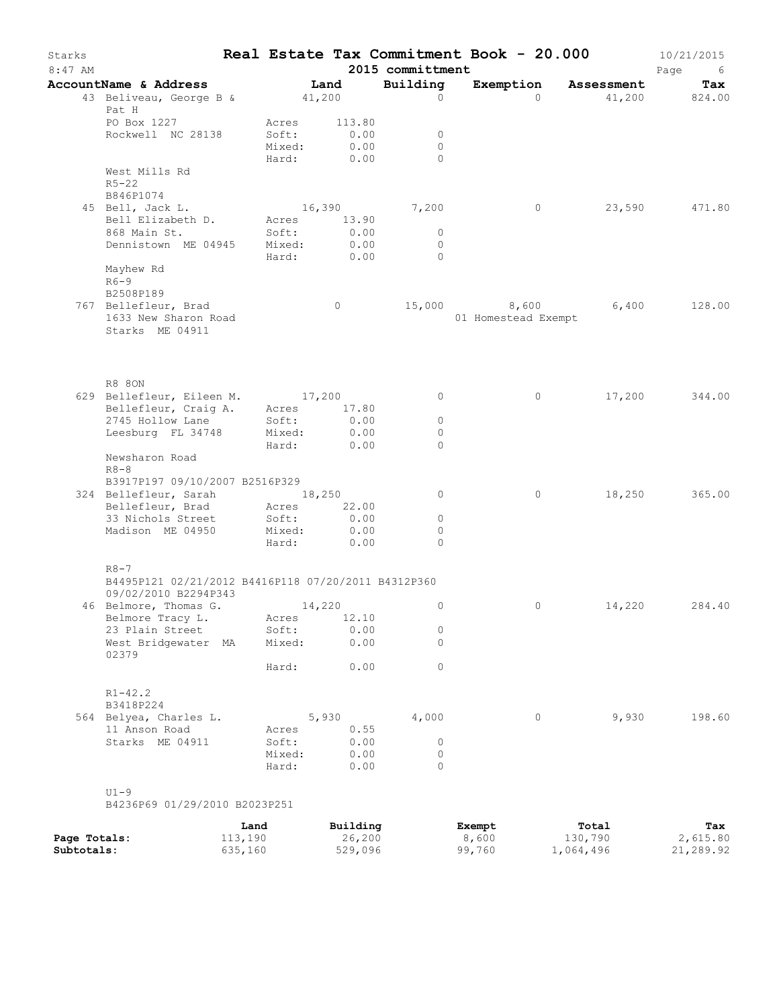| Starks<br>$8:47$ AM        |                                                                                         |                    |                                   |                                | 2015 committment                | Real Estate Tax Commitment Book - 20.000 |                      | 10/21/2015<br>Page<br>- 6 |
|----------------------------|-----------------------------------------------------------------------------------------|--------------------|-----------------------------------|--------------------------------|---------------------------------|------------------------------------------|----------------------|---------------------------|
|                            | AccountName & Address                                                                   |                    |                                   | Land                           | Building                        | Exemption                                | Assessment           | Tax                       |
|                            | 43 Beliveau, George B &<br>Pat H                                                        |                    | 41,200                            |                                | $\Omega$                        | $\Omega$                                 | 41,200               | 824.00                    |
|                            | PO Box 1227<br>Rockwell NC 28138                                                        |                    | Acres<br>Soft:<br>Mixed:<br>Hard: | 113.80<br>0.00<br>0.00<br>0.00 | $\circ$<br>$\Omega$<br>$\Omega$ |                                          |                      |                           |
|                            | West Mills Rd<br>$R5 - 22$<br>B846P1074                                                 |                    |                                   |                                |                                 |                                          |                      |                           |
|                            | 45 Bell, Jack L.<br>Bell Elizabeth D.                                                   |                    | Acres                             | 16,390<br>13.90                | 7,200                           | $\circ$                                  | 23,590               | 471.80                    |
|                            | 868 Main St.<br>Dennistown ME 04945                                                     |                    | Soft:<br>Mixed:<br>Hard:          | 0.00<br>0.00<br>0.00           | $\circ$<br>$\circ$<br>$\circ$   |                                          |                      |                           |
|                            | Mayhew Rd<br>$R6-9$<br>B2508P189                                                        |                    |                                   |                                |                                 |                                          |                      |                           |
|                            | 767 Bellefleur, Brad<br>1633 New Sharon Road<br>Starks ME 04911                         |                    |                                   | $\circ$                        |                                 | 15,000 8,600<br>01 Homestead Exempt      | 6,400                | 128.00                    |
|                            |                                                                                         |                    |                                   |                                |                                 |                                          |                      |                           |
|                            | R8 80N<br>629 Bellefleur, Eileen M. 17,200<br>Bellefleur, Craig A. Acres 17             |                    |                                   |                                | $\circ$                         | $\circ$                                  | 17,200               | 344.00                    |
|                            |                                                                                         |                    |                                   | 17.80                          |                                 |                                          |                      |                           |
|                            | 2745 Hollow Lane<br>Leesburg FL 34748                                                   |                    | Soft:<br>Mixed:                   | 0.00<br>0.00                   | $\circ$<br>$\circ$              |                                          |                      |                           |
|                            |                                                                                         |                    | Hard:                             | 0.00                           | $\Omega$                        |                                          |                      |                           |
|                            | Newsharon Road<br>$R8 - 8$                                                              |                    |                                   |                                |                                 |                                          |                      |                           |
|                            | B3917P197 09/10/2007 B2516P329                                                          |                    |                                   |                                |                                 |                                          |                      |                           |
|                            | 324 Bellefleur, Sarah                                                                   |                    | 18,250                            |                                | $\circ$                         | $\circ$                                  | 18,250               | 365.00                    |
|                            | Bellefleur, Brad<br>33 Nichols Street                                                   |                    | Acres<br>Soft:                    | 22.00<br>0.00                  | $\circ$                         |                                          |                      |                           |
|                            | Madison ME 04950                                                                        |                    | Mixed:                            | 0.00                           | $\circ$                         |                                          |                      |                           |
|                            |                                                                                         |                    | Hard:                             | 0.00                           | $\Omega$                        |                                          |                      |                           |
|                            | $R8 - 7$<br>B4495P121 02/21/2012 B4416P118 07/20/2011 B4312P360<br>09/02/2010 B2294P343 |                    |                                   |                                |                                 |                                          |                      |                           |
|                            | 46 Belmore, Thomas G.                                                                   |                    |                                   | 14,220                         | $\circ$                         | 0                                        | 14,220               | 284.40                    |
|                            | Belmore Tracy L.                                                                        |                    | Acres                             | 12.10                          |                                 |                                          |                      |                           |
|                            | 23 Plain Street                                                                         |                    | Soft:                             | 0.00                           | 0                               |                                          |                      |                           |
|                            | West Bridgewater MA<br>02379                                                            |                    | Mixed:                            | 0.00                           | $\Omega$                        |                                          |                      |                           |
|                            |                                                                                         |                    | Hard:                             | 0.00                           | $\circ$                         |                                          |                      |                           |
|                            | $R1 - 42.2$<br>B3418P224                                                                |                    |                                   |                                |                                 |                                          |                      |                           |
|                            | 564 Belyea, Charles L.                                                                  |                    |                                   | 5,930                          | 4,000                           | $\circ$                                  | 9,930                | 198.60                    |
|                            | 11 Anson Road                                                                           |                    | Acres                             | 0.55                           |                                 |                                          |                      |                           |
|                            | Starks ME 04911                                                                         |                    | Soft:<br>Mixed:                   | 0.00<br>0.00                   | $\circ$<br>$\circ$              |                                          |                      |                           |
|                            |                                                                                         |                    | Hard:                             | 0.00                           | $\Omega$                        |                                          |                      |                           |
|                            | $U1-9$<br>B4236P69 01/29/2010 B2023P251                                                 |                    |                                   |                                |                                 |                                          |                      |                           |
|                            |                                                                                         | Land               |                                   | Building                       |                                 | Exempt                                   | Total                | Tax                       |
| Page Totals:<br>Subtotals: |                                                                                         | 113,190<br>635,160 |                                   | 26,200<br>529,096              |                                 | 8,600<br>99,760                          | 130,790<br>1,064,496 | 2,615.80<br>21,289.92     |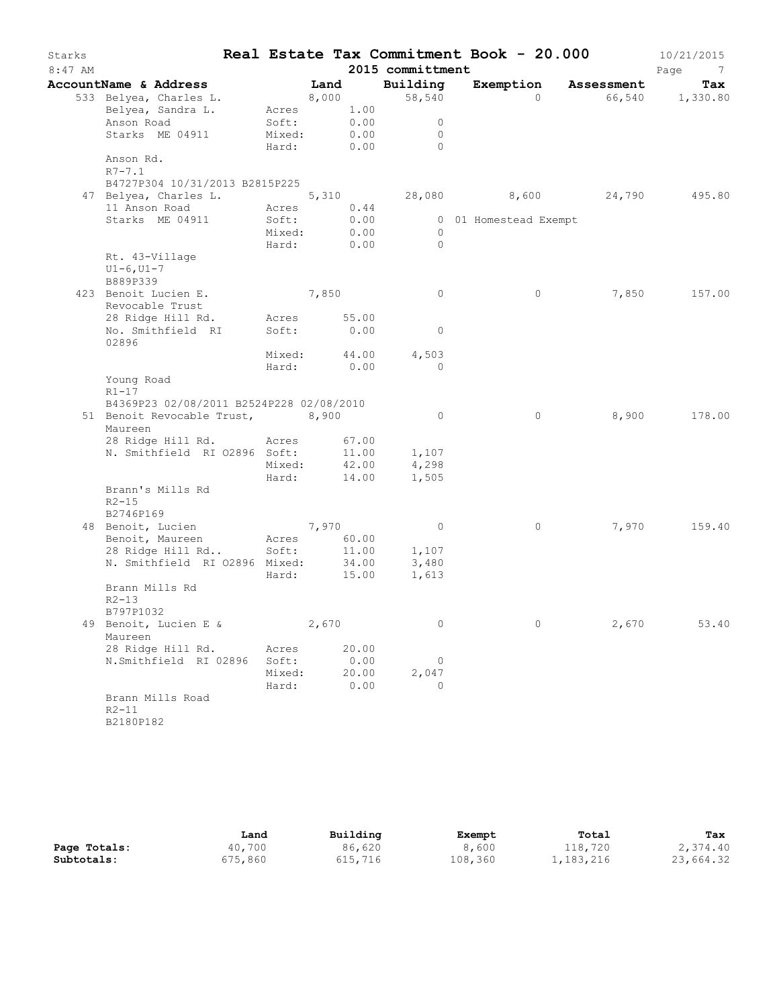| Starks    |                                          |              |       |               |                          | Real Estate Tax Commitment Book - 20.000 |       | 10/21/2015      |
|-----------|------------------------------------------|--------------|-------|---------------|--------------------------|------------------------------------------|-------|-----------------|
| $8:47$ AM |                                          |              |       |               | 2015 committment         |                                          |       | Page<br>7       |
|           | AccountName & Address                    |              | Land  |               | Building                 | Exemption Assessment                     |       | Tax             |
|           | 533 Belyea, Charles L.                   |              | 8,000 |               | 58,540                   | $\Omega$                                 |       | 66,540 1,330.80 |
|           | Belyea, Sandra L.                        | Acres 1.00   |       |               |                          |                                          |       |                 |
|           | Anson Road                               | Soft:        |       | 0.00          | $\circ$                  |                                          |       |                 |
|           | Starks ME 04911                          | Mixed:       |       | 0.00          | $\mathbf{0}$<br>$\Omega$ |                                          |       |                 |
|           | Anson Rd.                                | Hard:        |       | 0.00          |                          |                                          |       |                 |
|           | $R7 - 7.1$                               |              |       |               |                          |                                          |       |                 |
|           | B4727P304 10/31/2013 B2815P225           |              |       |               |                          |                                          |       |                 |
|           | 47 Belyea, Charles L.                    | 5,310        |       |               |                          | 28,080 8,600 24,790                      |       | 495.80          |
|           | 11 Anson Road                            | Acres        |       | 0.44          |                          |                                          |       |                 |
|           | Starks ME 04911                          | Soft:        |       | 0.00          |                          | 0 01 Homestead Exempt                    |       |                 |
|           |                                          | Mixed:       |       | 0.00          | $\circ$                  |                                          |       |                 |
|           |                                          | Hard:        |       | 0.00          | $\Omega$                 |                                          |       |                 |
|           | Rt. 43-Village                           |              |       |               |                          |                                          |       |                 |
|           | $UI-6, UI-7$                             |              |       |               |                          |                                          |       |                 |
|           | B889P339                                 |              |       |               |                          |                                          |       |                 |
|           | 423 Benoit Lucien E.                     |              | 7,850 |               | $\circ$                  | $\circ$                                  | 7,850 | 157.00          |
|           | Revocable Trust                          |              |       |               |                          |                                          |       |                 |
|           | 28 Ridge Hill Rd.                        | Acres        |       | 55.00         |                          |                                          |       |                 |
|           | No. Smithfield RI<br>02896               | Soft:        |       | 0.00          | $\mathbf{0}$             |                                          |       |                 |
|           |                                          | Mixed: 44.00 |       |               | 4,503                    |                                          |       |                 |
|           |                                          | Hard:        |       | 0.00          | $\Omega$                 |                                          |       |                 |
|           | Young Road                               |              |       |               |                          |                                          |       |                 |
|           | $R1-17$                                  |              |       |               |                          |                                          |       |                 |
|           | B4369P23 02/08/2011 B2524P228 02/08/2010 |              |       |               |                          |                                          |       |                 |
|           | 51 Benoit Revocable Trust, 8,900         |              |       |               | $\circ$                  | $\circ$                                  | 8,900 | 178.00          |
|           | Maureen                                  |              |       |               |                          |                                          |       |                 |
|           | 28 Ridge Hill Rd. Acres                  |              |       | 67.00         |                          |                                          |       |                 |
|           | N. Smithfield RI 02896 Soft:             |              |       | 11.00         | 1,107                    |                                          |       |                 |
|           |                                          | Mixed:       |       | 42.00         | 4,298                    |                                          |       |                 |
|           |                                          | Hard:        |       | 14.00         | 1,505                    |                                          |       |                 |
|           | Brann's Mills Rd                         |              |       |               |                          |                                          |       |                 |
|           | $R2 - 15$<br>B2746P169                   |              |       |               |                          |                                          |       |                 |
|           | 48 Benoit, Lucien                        |              | 7,970 |               | $\overline{0}$           | $\circ$                                  | 7,970 | 159.40          |
|           | Benoit, Maureen                          | Acres        |       | 60.00         |                          |                                          |       |                 |
|           | 28 Ridge Hill Rd                         | Soft:        |       | 11.00         | 1,107                    |                                          |       |                 |
|           | N. Smithfield RI 02896 Mixed:            |              |       | 34.00         | 3,480                    |                                          |       |                 |
|           |                                          | Hard:        |       | 15.00         | 1,613                    |                                          |       |                 |
|           | Brann Mills Rd                           |              |       |               |                          |                                          |       |                 |
|           | $R2 - 13$                                |              |       |               |                          |                                          |       |                 |
|           | B797P1032                                |              |       |               |                          |                                          |       |                 |
|           | 49 Benoit, Lucien E &                    |              | 2,670 |               | $\circ$                  | $\circ$                                  | 2,670 | 53.40           |
|           | Maureen                                  |              |       |               |                          |                                          |       |                 |
|           | 28 Ridge Hill Rd.                        | Acres        |       | 20.00         |                          |                                          |       |                 |
|           | N.Smithfield RI 02896                    | Soft:        |       | 0.00          | 0                        |                                          |       |                 |
|           |                                          | Mixed:       |       | 20.00<br>0.00 | 2,047<br>$\Omega$        |                                          |       |                 |
|           | Brann Mills Road                         | Hard:        |       |               |                          |                                          |       |                 |
|           | $R2 - 11$                                |              |       |               |                          |                                          |       |                 |
|           | B2180P182                                |              |       |               |                          |                                          |       |                 |
|           |                                          |              |       |               |                          |                                          |       |                 |

|              | Land    | Building | Exempt  | Total     | Tax       |
|--------------|---------|----------|---------|-----------|-----------|
| Page Totals: | 40,700  | 86,620   | 8,600   | 118,720   | 2,374.40  |
| Subtotals:   | 675,860 | 615,716  | 108,360 | 1,183,216 | 23,664.32 |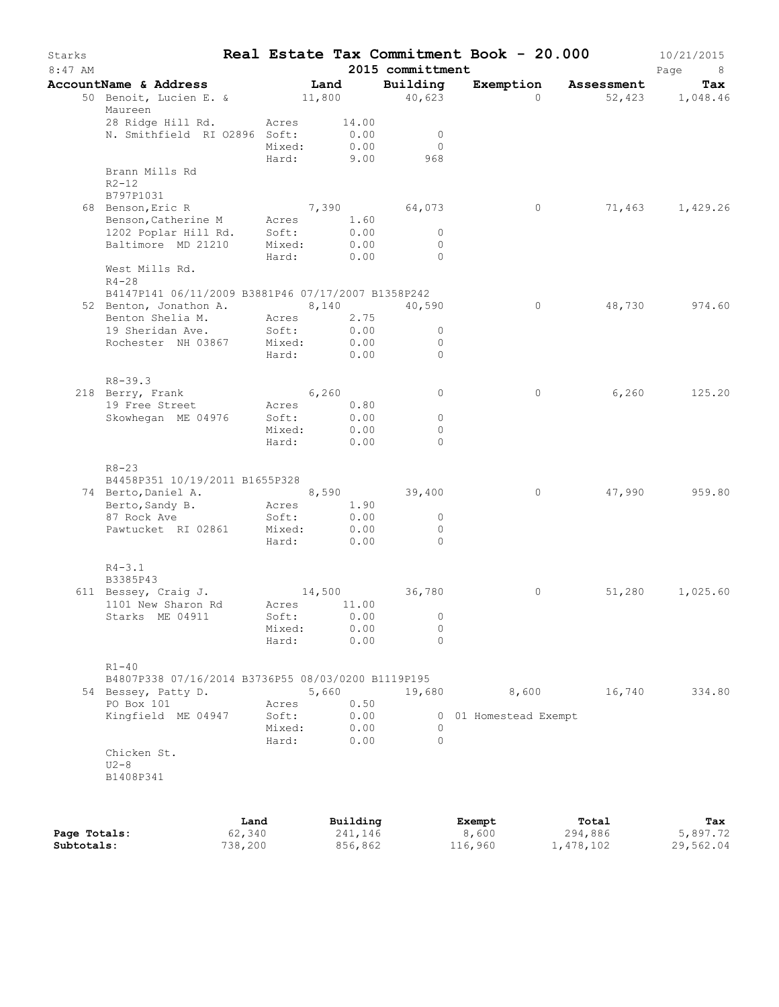| Starks<br>$8:47$ AM |                                                                 |                 |               | 2015 committment        | Real Estate Tax Commitment Book - 20.000 |            | 10/21/2015<br>Page<br>- 8 |
|---------------------|-----------------------------------------------------------------|-----------------|---------------|-------------------------|------------------------------------------|------------|---------------------------|
|                     | AccountName & Address                                           |                 | Land          | Building                | Exemption                                | Assessment | Tax                       |
|                     | 50 Benoit, Lucien E. &<br>Maureen                               |                 | 11,800        | 40,623                  | $\Omega$                                 |            | 52,423 1,048.46           |
|                     | 28 Ridge Hill Rd.                                               | Acres           | 14.00         |                         |                                          |            |                           |
|                     | N. Smithfield RI 02896 Soft:                                    | Mixed:          | 0.00<br>0.00  | $\mathbf 0$<br>$\Omega$ |                                          |            |                           |
|                     |                                                                 | Hard:           | 9.00          | 968                     |                                          |            |                           |
|                     | Brann Mills Rd                                                  |                 |               |                         |                                          |            |                           |
|                     | $R2 - 12$                                                       |                 |               |                         |                                          |            |                           |
|                     | B797P1031                                                       |                 |               |                         |                                          |            |                           |
|                     | 68 Benson, Eric R                                               |                 | 7,390 64,073  |                         | $\circ$                                  | 71,463     | 1,429.26                  |
|                     | Benson, Catherine M                                             | Acres           | 1.60<br>0.00  | $\circ$                 |                                          |            |                           |
|                     | 1202 Poplar Hill Rd.<br>Baltimore MD 21210                      | Soft:<br>Mixed: | 0.00          | $\mathbf{0}$            |                                          |            |                           |
|                     |                                                                 | Hard:           | 0.00          | $\Omega$                |                                          |            |                           |
|                     | West Mills Rd.<br>$R4 - 28$                                     |                 |               |                         |                                          |            |                           |
|                     | B4147P141 06/11/2009 B3881P46 07/17/2007 B1358P242              |                 |               |                         |                                          |            |                           |
|                     | 52 Benton, Jonathon A.                                          |                 | 8,140         | 40,590                  | $\circ$                                  | 48,730     | 974.60                    |
|                     | Benton Shelia M.                                                | Acres           | 2.75          | $\circ$                 |                                          |            |                           |
|                     | 19 Sheridan Ave.<br>Rochester NH 03867                          | Soft:<br>Mixed: | 0.00<br>0.00  | $\mathbf{0}$            |                                          |            |                           |
|                     |                                                                 | Hard:           | 0.00          | $\Omega$                |                                          |            |                           |
|                     |                                                                 |                 |               |                         |                                          |            |                           |
|                     | $R8 - 39.3$                                                     |                 |               |                         |                                          |            |                           |
|                     | 218 Berry, Frank                                                |                 | 6,260         | $\circ$                 | 0                                        | 6,260      | 125.20                    |
|                     | 19 Free Street                                                  | Acres           | 0.80          |                         |                                          |            |                           |
|                     | Skowhegan ME 04976                                              | Soft:           | 0.00          | $\circ$                 |                                          |            |                           |
|                     |                                                                 | Mixed:<br>Hard: | 0.00<br>0.00  | $\circ$<br>$\Omega$     |                                          |            |                           |
|                     |                                                                 |                 |               |                         |                                          |            |                           |
|                     | $R8 - 23$                                                       |                 |               |                         |                                          |            |                           |
|                     | B4458P351 10/19/2011 B1655P328                                  |                 |               |                         |                                          |            |                           |
|                     | 74 Berto, Daniel A.                                             |                 | 8,590         | 39,400                  | $\circ$                                  | 47,990     | 959.80                    |
|                     | Berto, Sandy B.                                                 | Acres           | 1.90<br>0.00  | $\circ$                 |                                          |            |                           |
|                     | 87 Rock Ave<br>Pawtucket RI 02861                               | Soft:<br>Mixed: | 0.00          | $\mathbf 0$             |                                          |            |                           |
|                     |                                                                 | Hard:           | 0.00          | $\Omega$                |                                          |            |                           |
|                     |                                                                 |                 |               |                         |                                          |            |                           |
|                     | $R4 - 3.1$<br>B3385P43                                          |                 |               |                         |                                          |            |                           |
|                     | 611 Bessey, Craig J.                                            |                 | 14,500        | 36,780                  | 0                                        | 51,280     | 1,025.60                  |
|                     | 1101 New Sharon Rd<br>Starks ME 04911                           | Acres<br>Soft:  | 11.00<br>0.00 | $\overline{0}$          |                                          |            |                           |
|                     |                                                                 | Mixed:          | 0.00          | 0                       |                                          |            |                           |
|                     |                                                                 | Hard:           | 0.00          | $\Omega$                |                                          |            |                           |
|                     |                                                                 |                 |               |                         |                                          |            |                           |
|                     | $R1 - 40$<br>B4807P338 07/16/2014 B3736P55 08/03/0200 B1119P195 |                 |               |                         |                                          |            |                           |
|                     | 54 Bessey, Patty D.                                             |                 | 5,660         | 19,680                  | 8,600                                    | 16,740     | 334.80                    |
|                     | PO Box 101                                                      | Acres           | 0.50          |                         |                                          |            |                           |
|                     | Kingfield ME 04947                                              | Soft:           | 0.00          |                         | 0 01 Homestead Exempt                    |            |                           |
|                     |                                                                 | Mixed:          | 0.00          | 0                       |                                          |            |                           |
|                     |                                                                 | Hard:           | 0.00          | $\Omega$                |                                          |            |                           |
|                     | Chicken St.<br>$U2 - 8$                                         |                 |               |                         |                                          |            |                           |
|                     | B1408P341                                                       |                 |               |                         |                                          |            |                           |
|                     |                                                                 |                 |               |                         |                                          |            |                           |
|                     |                                                                 |                 |               |                         |                                          |            |                           |
|                     |                                                                 | Land            | Building      |                         | Exempt                                   | Total      | Tax                       |

|              | Land    | Building | Exempt  | Total     | Tax       |
|--------------|---------|----------|---------|-----------|-----------|
| Page Totals: | 62,340  | 241,146  | 8,600   | 294,886   | 5,897.72  |
| Subtotals:   | 738,200 | 856,862  | 116,960 | 1,478,102 | 29,562.04 |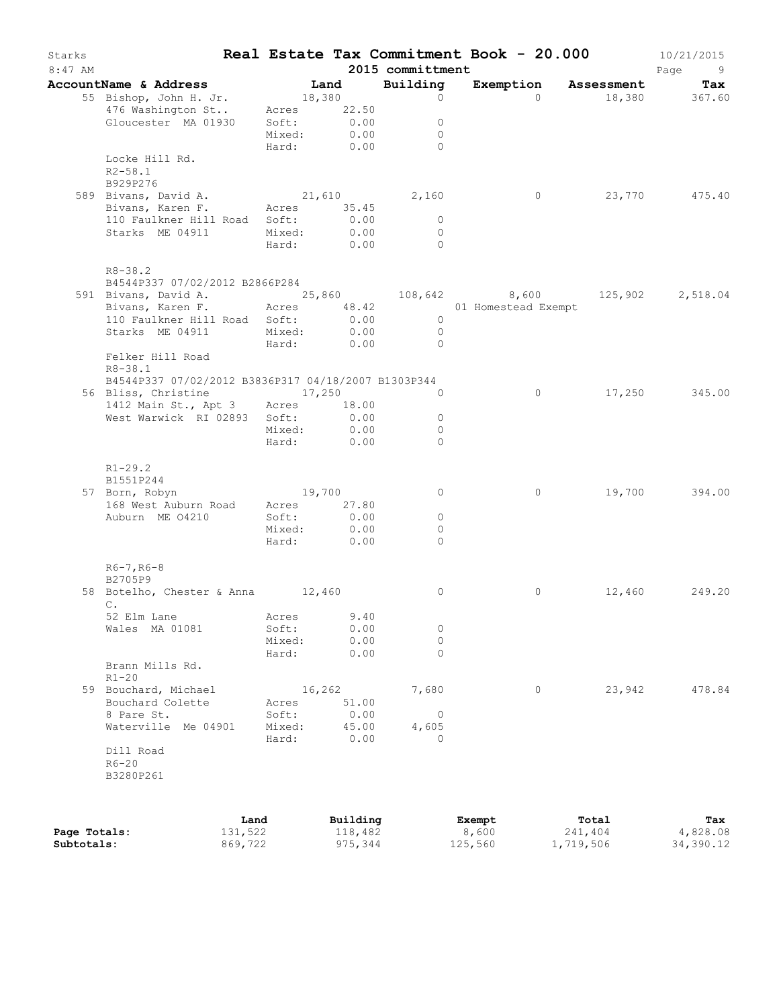| Starks<br>$8:47$ AM |                                                                                                                |                 |                           | 2015 committment    | Real Estate Tax Commitment Book - 20.000 |                |                      | 10/21/2015<br>Page<br>- 9 |
|---------------------|----------------------------------------------------------------------------------------------------------------|-----------------|---------------------------|---------------------|------------------------------------------|----------------|----------------------|---------------------------|
|                     | AccountName & Address                                                                                          |                 | Land                      | Building            |                                          |                | Exemption Assessment | Tax                       |
|                     | 55 Bishop, John H. Jr.<br>476 Washington St<br>Gloucester MA 01930                                             | 18,380<br>Soft: | Acres 22.50<br>0.00       | $\circ$<br>$\circ$  |                                          | $\bigcap$      |                      | 18,380 367.60             |
|                     | Locke Hill Rd.                                                                                                 |                 | Mixed: 0.00<br>Hard: 0.00 | $\circ$<br>$\Omega$ |                                          |                |                      |                           |
|                     | $R2 - 58.1$<br>B929P276<br>589 Bivans, David A.                                                                |                 | 21,610                    | 2,160               |                                          | $\overline{0}$ |                      | 23,770 475.40             |
|                     | Bivans, Karen F. Acres 35.45<br>110 Faulkner Hill Road Soft:                                                   | Mixed:          | 0.00<br>0.00              | $\circ$<br>$\circ$  |                                          |                |                      |                           |
|                     | Starks ME 04911                                                                                                | Hard:           | 0.00                      | $\bigcirc$          |                                          |                |                      |                           |
|                     | $R8 - 38.2$<br>B4544P337 07/02/2012 B2866P284                                                                  |                 |                           |                     |                                          |                |                      |                           |
|                     | 591 Bivans, David A. 25,860 108,642 8,600 125,902 2,518.04<br>Bivans, Karen F. Acres 48.42 01 Homestead Exempt |                 |                           |                     |                                          |                |                      |                           |
|                     | 110 Faulkner Hill Road Soft:                                                                                   |                 | 0.00                      | $\overline{0}$      |                                          |                |                      |                           |
|                     | Starks ME 04911                                                                                                |                 | Mixed: 0.00               | $\overline{0}$      |                                          |                |                      |                           |
|                     | Felker Hill Road<br>$R8 - 38.1$                                                                                |                 | Hard: 0.00                | $\bigcirc$          |                                          |                |                      |                           |
|                     | B4544P337 07/02/2012 B3836P317 04/18/2007 B1303P344                                                            |                 |                           |                     |                                          |                |                      |                           |
|                     | 56 Bliss, Christine 17,250<br>1412 Main St., Apt 3 Acres 18.00                                                 |                 |                           | $\Omega$            |                                          | $\circ$        |                      | 17,250 345.00             |
|                     | West Warwick RI 02893 Soft:                                                                                    |                 | 0.00                      | $\circ$             |                                          |                |                      |                           |
|                     |                                                                                                                |                 | Mixed: 0.00               | $\circ$             |                                          |                |                      |                           |
|                     |                                                                                                                | Hard:           | 0.00                      | $\Omega$            |                                          |                |                      |                           |
|                     | $R1 - 29.2$<br>B1551P244                                                                                       |                 | 19,700                    |                     |                                          |                |                      |                           |
|                     | 57 Born, Robyn<br>168 West Auburn Road Acres 27.80                                                             |                 |                           | 0                   |                                          | $\circ$        | 19,700               | 394.00                    |
|                     | Auburn ME 04210                                                                                                | Soft:           | 0.00                      | $\circ$             |                                          |                |                      |                           |
|                     |                                                                                                                |                 | Mixed: 0.00               | 0                   |                                          |                |                      |                           |
|                     |                                                                                                                |                 | Hard: 0.00                | $\Omega$            |                                          |                |                      |                           |
|                     | $R6 - 7, R6 - 8$<br>B2705P9                                                                                    |                 |                           |                     |                                          | $\circ$        |                      | 249.20                    |
|                     | 58 Botelho, Chester & Anna 12,460<br>С.<br>52 Elm Lane Macres 9.40                                             |                 |                           | 0                   |                                          |                | 12,460               |                           |
|                     | Wales MA 01081                                                                                                 | Soft:           | 0.00                      | 0                   |                                          |                |                      |                           |
|                     |                                                                                                                | Mixed:          | 0.00                      | 0                   |                                          |                |                      |                           |
|                     | Brann Mills Rd.                                                                                                | Hard:           | 0.00                      | 0                   |                                          |                |                      |                           |
|                     | $R1 - 20$<br>59 Bouchard, Michael                                                                              |                 | 16,262                    | 7,680               |                                          | $\circ$        | 23,942               | 478.84                    |
|                     | Bouchard Colette                                                                                               | Acres           | 51.00                     |                     |                                          |                |                      |                           |
|                     | 8 Pare St.                                                                                                     | Soft:           | 0.00                      | $\circ$             |                                          |                |                      |                           |
|                     | Waterville Me 04901                                                                                            | Mixed:<br>Hard: | 45.00<br>0.00             | 4,605<br>$\Omega$   |                                          |                |                      |                           |
|                     | Dill Road<br>$R6 - 20$                                                                                         |                 |                           |                     |                                          |                |                      |                           |
|                     | B3280P261                                                                                                      |                 |                           |                     |                                          |                |                      |                           |
|                     |                                                                                                                |                 | Land Building             |                     | <b>Exempt</b>                            |                | Total                | Tax                       |

|              | Land    | Building | Exempt  | Total     | Tax       |
|--------------|---------|----------|---------|-----------|-----------|
| Page Totals: | 131,522 | 118,482  | 8,600   | 241,404   | 4,828.08  |
| Subtotals:   | 869,722 | 975,344  | 125,560 | 1,719,506 | 34,390.12 |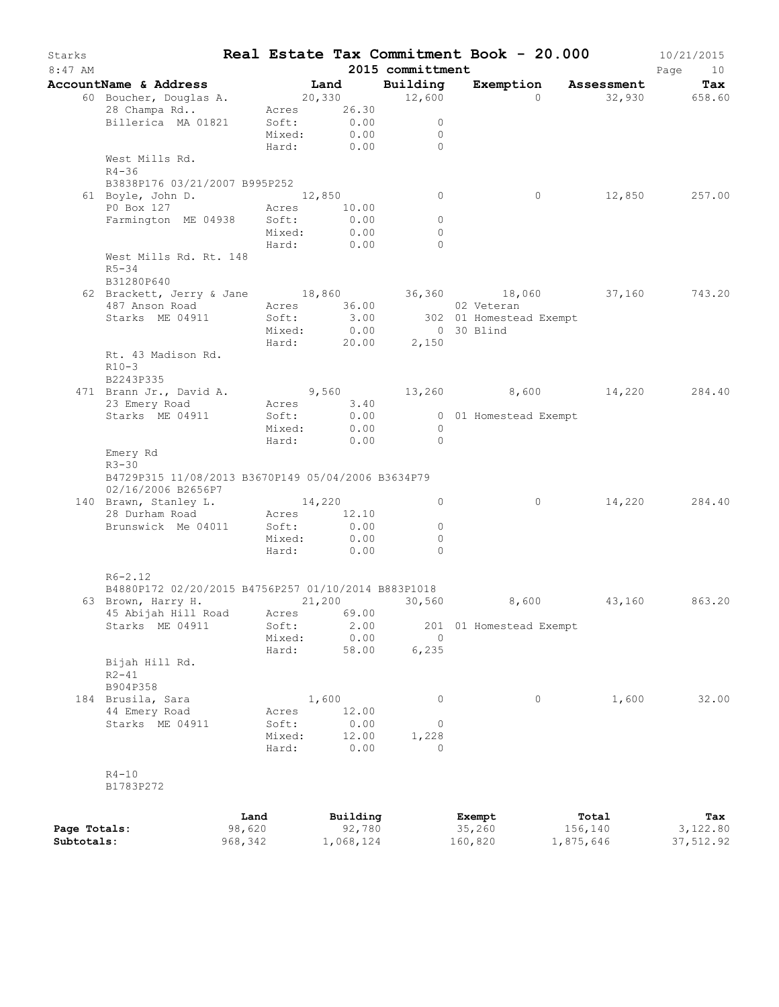| Starks<br>$8:47$ AM |                                                                           |         |        |             | 2015 committment | Real Estate Tax Commitment Book - 20.000 |           | 10/21/2015<br>Page<br>10 |
|---------------------|---------------------------------------------------------------------------|---------|--------|-------------|------------------|------------------------------------------|-----------|--------------------------|
|                     | AccountName & Address                                                     |         |        | Land        | Building         | Exemption Assessment                     |           | Tax                      |
|                     | 60 Boucher, Douglas A.                                                    |         |        |             | 20,330 12,600    | $\Omega$                                 |           | 32,930 658.60            |
|                     | 28 Champa Rd                                                              |         |        | Acres 26.30 |                  |                                          |           |                          |
|                     | Billerica MA 01821                                                        |         | Soft:  | 0.00        | $\circ$          |                                          |           |                          |
|                     |                                                                           |         | Mixed: | 0.00        | $\Omega$         |                                          |           |                          |
|                     |                                                                           |         | Hard:  | 0.00        | $\bigcap$        |                                          |           |                          |
|                     | West Mills Rd.                                                            |         |        |             |                  |                                          |           |                          |
|                     | $R4 - 36$                                                                 |         |        |             |                  |                                          |           |                          |
|                     | B3838P176 03/21/2007 B995P252                                             |         |        |             |                  |                                          |           |                          |
|                     | 61 Boyle, John D.                                                         |         | 12,850 |             | $\circ$          | $\circ$                                  | 12,850    | 257.00                   |
|                     | P0 Box 127                                                                |         | Acres  | 10.00       |                  |                                          |           |                          |
|                     | Farmington ME 04938                                                       |         | Soft:  | 0.00        | $\circ$          |                                          |           |                          |
|                     |                                                                           |         | Mixed: | 0.00        | $\circ$          |                                          |           |                          |
|                     |                                                                           |         | Hard:  | 0.00        | $\Omega$         |                                          |           |                          |
|                     | West Mills Rd. Rt. 148<br>$R5 - 34$                                       |         |        |             |                  |                                          |           |                          |
|                     | B31280P640                                                                |         |        |             |                  |                                          |           |                          |
|                     | 62 Brackett, Jerry & Jane 18,860 36,360 18,060 37,160                     |         |        |             |                  |                                          |           | 743.20                   |
|                     | 487 Anson Road                                                            |         | Acres  | 36.00       |                  | 02 Veteran                               |           |                          |
|                     | Starks ME 04911                                                           |         | Soft:  | 3.00        |                  | 302 01 Homestead Exempt                  |           |                          |
|                     |                                                                           |         | Mixed: | 0.00        | 0 30 Blind       |                                          |           |                          |
|                     |                                                                           |         | Hard:  | 20.00       | 2,150            |                                          |           |                          |
|                     | Rt. 43 Madison Rd.                                                        |         |        |             |                  |                                          |           |                          |
|                     | $R10-3$                                                                   |         |        |             |                  |                                          |           |                          |
|                     | B2243P335                                                                 |         |        |             |                  |                                          |           |                          |
|                     | 471 Brann Jr., David A.                                                   |         |        |             |                  | $9,560$ $13,260$ $8,600$ $14,220$        |           | 284.40                   |
|                     | 23 Emery Road                                                             |         | Acres  | 3.40        |                  |                                          |           |                          |
|                     | Starks ME 04911                                                           |         | Soft:  | 0.00        |                  | 0 01 Homestead Exempt                    |           |                          |
|                     |                                                                           |         | Mixed: | 0.00        | $\overline{0}$   |                                          |           |                          |
|                     |                                                                           |         | Hard:  | 0.00        | $\bigcirc$       |                                          |           |                          |
|                     | Emery Rd                                                                  |         |        |             |                  |                                          |           |                          |
|                     | $R3 - 30$                                                                 |         |        |             |                  |                                          |           |                          |
|                     | B4729P315 11/08/2013 B3670P149 05/04/2006 B3634P79                        |         |        |             |                  |                                          |           |                          |
|                     | 02/16/2006 B2656P7                                                        |         |        |             |                  |                                          |           |                          |
|                     | 140 Brawn, Stanley L.                                                     |         | 14,220 |             | $\circ$          | $\circ$                                  | 14,220    | 284.40                   |
|                     | 28 Durham Road                                                            |         |        | Acres 12.10 |                  |                                          |           |                          |
|                     | Brunswick Me 04011                                                        |         | Soft:  | 0.00        | $\circ$          |                                          |           |                          |
|                     |                                                                           |         | Mixed: | 0.00        | $\mathbf{0}$     |                                          |           |                          |
|                     |                                                                           |         | Hard:  | 0.00        | $\Omega$         |                                          |           |                          |
|                     |                                                                           |         |        |             |                  |                                          |           |                          |
|                     | $R6 - 2.12$                                                               |         |        |             |                  |                                          |           |                          |
|                     | B4880P172 02/20/2015 B4756P257 01/10/2014 B883P1018<br>63 Brown, Harry H. |         | 21,200 |             | 30,560           | 8,600                                    | 43,160    | 863.20                   |
|                     | 45 Abijah Hill Road Acres 69.00                                           |         |        |             |                  |                                          |           |                          |
|                     | Starks ME 04911                                                           |         | Soft:  | 2.00        |                  | 201 01 Homestead Exempt                  |           |                          |
|                     |                                                                           |         | Mixed: | 0.00        | $\circ$          |                                          |           |                          |
|                     |                                                                           |         | Hard:  | 58.00       | 6,235            |                                          |           |                          |
|                     | Bijah Hill Rd.                                                            |         |        |             |                  |                                          |           |                          |
|                     | $R2 - 41$                                                                 |         |        |             |                  |                                          |           |                          |
|                     | B904P358                                                                  |         |        |             |                  |                                          |           |                          |
|                     | 184 Brusila, Sara                                                         |         |        | 1,600       | 0                | 0                                        | 1,600     | 32.00                    |
|                     | 44 Emery Road                                                             |         | Acres  | 12.00       |                  |                                          |           |                          |
|                     | Starks ME 04911                                                           |         | Soft:  | 0.00        | 0                |                                          |           |                          |
|                     |                                                                           |         | Mixed: | 12.00       | 1,228            |                                          |           |                          |
|                     |                                                                           |         | Hard:  | 0.00        | $\Omega$         |                                          |           |                          |
|                     |                                                                           |         |        |             |                  |                                          |           |                          |
|                     | $R4 - 10$                                                                 |         |        |             |                  |                                          |           |                          |
|                     | B1783P272                                                                 |         |        |             |                  |                                          |           |                          |
|                     |                                                                           |         |        |             |                  |                                          |           |                          |
|                     |                                                                           | Land    |        | Building    |                  | Exempt                                   | Total     | Tax                      |
| Page Totals:        |                                                                           | 98,620  |        | 92,780      |                  | 35,260                                   | 156,140   | 3,122.80                 |
| Subtotals:          |                                                                           | 968,342 |        | 1,068,124   |                  | 160,820                                  | 1,875,646 | 37,512.92                |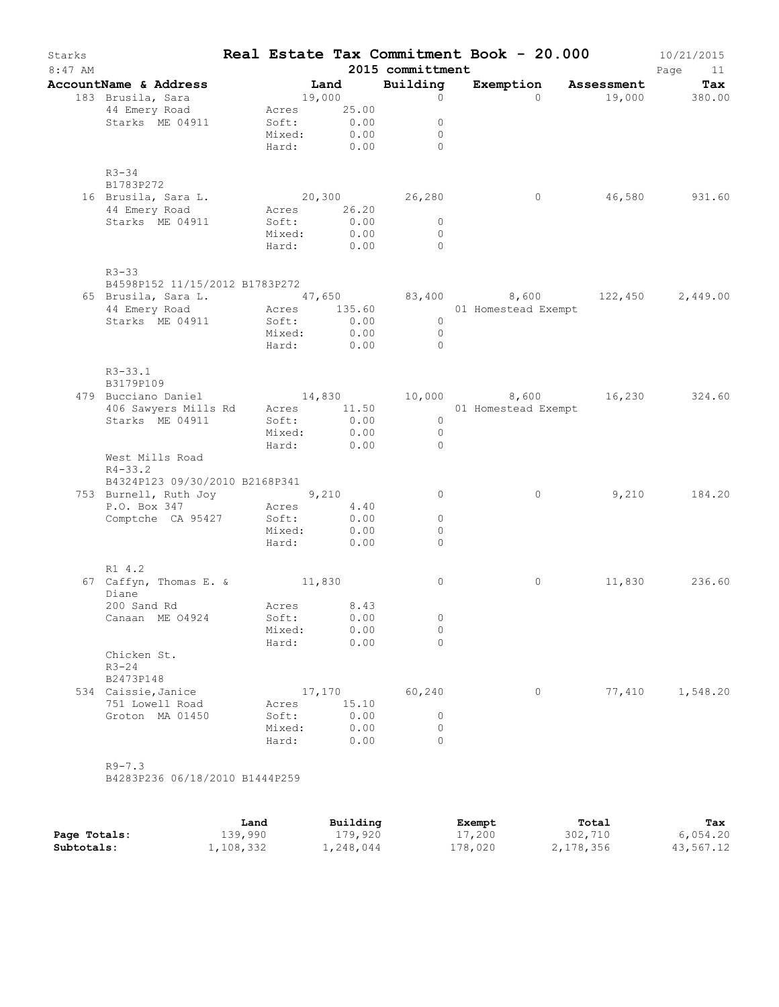| Starks<br>$8:47$ AM |                                                                                                            |      |                 |                           | 2015 committment                 | Real Estate Tax Commitment Book - $20.000$ 10/21/2015   |        | Page<br>11    |
|---------------------|------------------------------------------------------------------------------------------------------------|------|-----------------|---------------------------|----------------------------------|---------------------------------------------------------|--------|---------------|
|                     | AccountName & Address                                                                                      |      |                 | <b>Land</b><br>$19,000$   |                                  | Building Exemption Assessment Tax $0$ 0 $19,000$ 380.00 |        |               |
|                     | 183 Brusila, Sara                                                                                          |      |                 |                           | $\overline{0}$                   |                                                         |        |               |
|                     | 44 Emery Road                                                                                              |      |                 | Acres 25.00               |                                  |                                                         |        |               |
|                     | Starks ME 04911                                                                                            |      |                 | Soft: 0.00<br>Mixed: 0.00 | $\overline{0}$<br>$\overline{0}$ |                                                         |        |               |
|                     |                                                                                                            |      |                 |                           | Hard: 0.00 0                     |                                                         |        |               |
|                     | $R3 - 34$<br>B1783P272                                                                                     |      |                 |                           |                                  |                                                         |        |               |
|                     | 16 Brusila, Sara L.                                                                                        |      |                 |                           | 20,300 26,280                    | $\overline{0}$                                          |        | 46,580 931.60 |
|                     | 44 Emery Road                                                                                              |      |                 | Acres 26.20               |                                  |                                                         |        |               |
|                     | Starks ME 04911                                                                                            |      | Soft:<br>Mixed: | $0.00$<br>$0.00$          | $\overline{0}$<br>$\overline{0}$ |                                                         |        |               |
|                     |                                                                                                            |      |                 | Hard: 0.00                | $\bigcap$                        |                                                         |        |               |
|                     | $R3 - 33$                                                                                                  |      |                 |                           |                                  |                                                         |        |               |
|                     | B4598P152 11/15/2012 B1783P272                                                                             |      |                 |                           |                                  |                                                         |        |               |
|                     | 65 Brusila, Sara L. 47,650 83,400 8,600 122,450 2,449.00<br>44 Emery Road Acres 135.60 01 Homestead Exempt |      |                 |                           |                                  |                                                         |        |               |
|                     | Starks ME 04911                                                                                            |      | Soft:           |                           | $\overline{0}$                   |                                                         |        |               |
|                     |                                                                                                            |      |                 | Soft: 0.00<br>Mixed: 0.00 | $\overline{0}$                   |                                                         |        |               |
|                     |                                                                                                            |      |                 | Hard: 0.00 0              |                                  |                                                         |        |               |
|                     | $R3 - 33.1$<br>B3179P109                                                                                   |      |                 |                           |                                  |                                                         |        |               |
|                     | 479 Bucciano Daniel 14,830 10,000 8,600 16,230 324.60                                                      |      |                 |                           |                                  |                                                         |        |               |
|                     |                                                                                                            |      |                 |                           |                                  |                                                         |        |               |
|                     | Starks ME 04911                                                                                            |      | Soft:<br>Mixed: | 0.00<br>0.00              | $\overline{0}$<br>$\overline{0}$ |                                                         |        |               |
|                     |                                                                                                            |      |                 | Hard: 0.00                | $\Omega$                         |                                                         |        |               |
|                     | West Mills Road<br>$R4 - 33.2$                                                                             |      |                 |                           |                                  |                                                         |        |               |
|                     | B4324P123 09/30/2010 B2168P341                                                                             |      |                 |                           |                                  |                                                         |        |               |
|                     | 753 Burnell, Ruth Joy 9,210                                                                                |      |                 |                           | $\overline{0}$                   | 0                                                       |        | 9,210 184.20  |
|                     | P.O. Box 347                                                                                               |      |                 | Acres 4.40                |                                  |                                                         |        |               |
|                     | Comptche CA 95427                                                                                          |      | Soft:           | 0.00<br>Mixed: 0.00       | $\circ$<br>$\circ$               |                                                         |        |               |
|                     |                                                                                                            |      |                 | Hard: 0.00                | $\Omega$                         |                                                         |        |               |
|                     | R1 4.2                                                                                                     |      |                 |                           |                                  |                                                         |        |               |
|                     | 67 Caffyn, Thomas E. & 11,830<br>Diane                                                                     |      |                 |                           | $\circ$                          | 0                                                       | 11,830 | 236.60        |
|                     | 200 Sand Rd<br>Canaan ME 04924                                                                             |      | Soft:           | Acres 8.43<br>0.00        | $\circ$                          |                                                         |        |               |
|                     |                                                                                                            |      | Mixed:          | 0.00                      | $\circ$                          |                                                         |        |               |
|                     |                                                                                                            |      | Hard:           | 0.00                      | $\Omega$                         |                                                         |        |               |
|                     | Chicken St.<br>$R3 - 24$                                                                                   |      |                 |                           |                                  |                                                         |        |               |
|                     | B2473P148                                                                                                  |      |                 |                           |                                  |                                                         |        |               |
|                     | 534 Caissie, Janice<br>751 Lowell Road                                                                     |      | Acres           | 17,170<br>15.10           | 60,240                           | $\circ$                                                 | 77,410 | 1,548.20      |
|                     | Groton MA 01450                                                                                            |      | Soft:           | 0.00                      | $\circ$                          |                                                         |        |               |
|                     |                                                                                                            |      | Mixed:          | 0.00                      | $\circ$                          |                                                         |        |               |
|                     |                                                                                                            |      | Hard:           | 0.00                      | $\Omega$                         |                                                         |        |               |
|                     | $R9 - 7.3$<br>B4283P236 06/18/2010 B1444P259                                                               |      |                 |                           |                                  |                                                         |        |               |
|                     |                                                                                                            |      |                 |                           |                                  |                                                         |        |               |
|                     |                                                                                                            | Land |                 | Building                  |                                  | Exempt                                                  | Total  | Tax           |

|              | Land      | Building  | Exempt  | Total     | Tax       |
|--------------|-----------|-----------|---------|-----------|-----------|
| Page Totals: | 139,990   | 179,920   | 17,200  | 302,710   | 6,054.20  |
| Subtotals:   | 1,108,332 | 1,248,044 | 178,020 | 2,178,356 | 43,567.12 |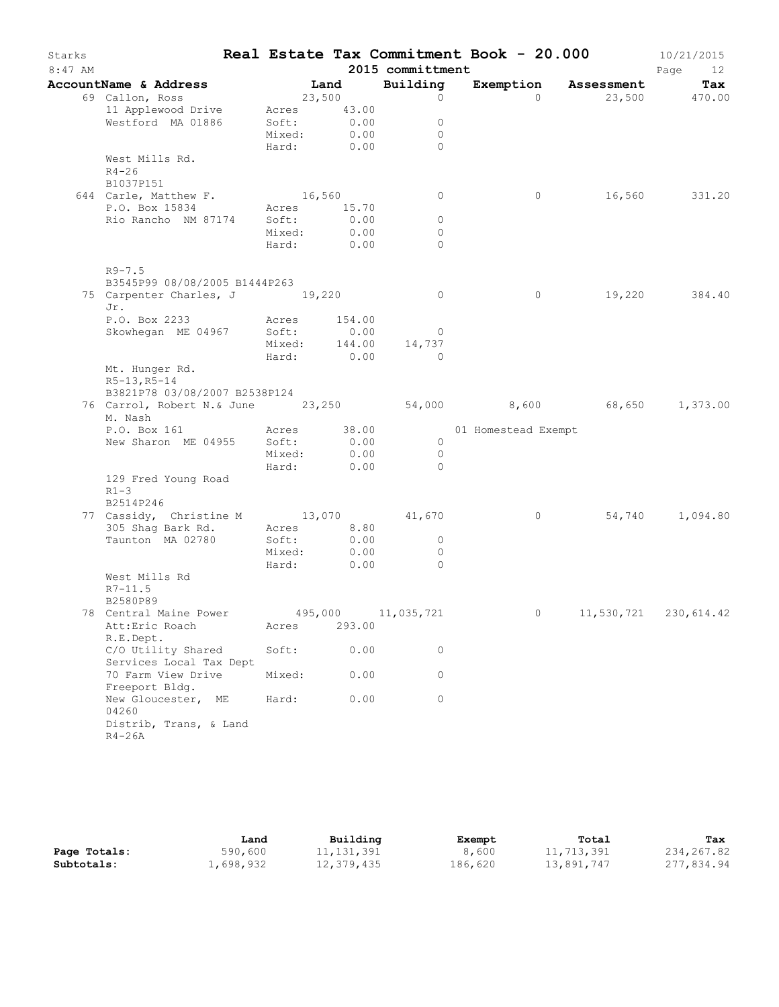| Starks<br>$8:47$ AM |                                                                           |              |        | 2015 committment     | Real Estate Tax Commitment Book - 20.000 |                      | 10/21/2015<br>Page<br>12 |
|---------------------|---------------------------------------------------------------------------|--------------|--------|----------------------|------------------------------------------|----------------------|--------------------------|
|                     | AccountName & Address                                                     | Land         |        | Building             |                                          | Exemption Assessment | Tax                      |
|                     | 69 Callon, Ross                                                           | 23,500       |        | $\circ$              | $\Omega$                                 |                      | 23,500 470.00            |
|                     | 11 Applewood Drive                                                        | Acres 43.00  |        |                      |                                          |                      |                          |
|                     | Westford MA 01886                                                         | Soft:        | 0.00   | $\circ$              |                                          |                      |                          |
|                     |                                                                           | Mixed:       | 0.00   | $\circ$              |                                          |                      |                          |
|                     |                                                                           | Hard: 0.00   |        | $\Omega$             |                                          |                      |                          |
|                     | West Mills Rd.<br>$R4 - 26$<br>B1037P151                                  |              |        |                      |                                          |                      |                          |
|                     | 644 Carle, Matthew F.                                                     | 16,560       |        | $\circ$              | $\circ$                                  |                      | 16,560 331.20            |
|                     | P.O. Box 15834                                                            | Acres 15.70  |        |                      |                                          |                      |                          |
|                     | Rio Rancho NM 87174 Soft:                                                 |              | 0.00   | 0                    |                                          |                      |                          |
|                     |                                                                           | Mixed:       | 0.00   | $\circ$              |                                          |                      |                          |
|                     |                                                                           | Hard: 0.00   |        | $\Omega$             |                                          |                      |                          |
|                     | $R9 - 7.5$<br>B3545P99 08/08/2005 B1444P263                               |              |        |                      |                                          |                      |                          |
|                     | 75 Carpenter Charles, J 19,220                                            |              |        | $\circ$              | $\circ$                                  |                      | 19,220 384.40            |
|                     | Jr.                                                                       |              |        |                      |                                          |                      |                          |
|                     | P.O. Box 2233                                                             | Acres 154.00 |        |                      |                                          |                      |                          |
|                     | Skowhegan ME 04967                                                        | Soft:        | 0.00   | $\circ$              |                                          |                      |                          |
|                     |                                                                           |              |        | Mixed: 144.00 14,737 |                                          |                      |                          |
|                     |                                                                           | Hard: 0.00   |        | $\overline{0}$       |                                          |                      |                          |
|                     | Mt. Hunger Rd.<br>$R5-13, R5-14$                                          |              |        |                      |                                          |                      |                          |
|                     | B3821P78 03/08/2007 B2538P124                                             |              |        |                      |                                          |                      |                          |
|                     | 76 Carrol, Robert N.& June 23,250 54,000 8,600 68,650 1,373.00<br>M. Nash |              |        |                      |                                          |                      |                          |
|                     | P.O. Box 161<br>New Sharon ME 04955 Soft:                                 | Acres 38.00  | 0.00   | $\overline{0}$       | 01 Homestead Exempt                      |                      |                          |
|                     |                                                                           | Mixed:       | 0.00   | $\overline{0}$       |                                          |                      |                          |
|                     |                                                                           | Hard: 0.00   |        | $\Omega$             |                                          |                      |                          |
|                     | 129 Fred Young Road<br>$R1-3$                                             |              |        |                      |                                          |                      |                          |
|                     | B2514P246<br>77 Cassidy, Christine M 13,070 41,670                        |              |        |                      | $\overline{0}$                           |                      | 54,740 1,094.80          |
|                     | 305 Shaq Bark Rd.                                                         | Acres 8.80   |        |                      |                                          |                      |                          |
|                     | Taunton MA 02780                                                          | Soft:        | 0.00   | $\overline{0}$       |                                          |                      |                          |
|                     |                                                                           | Mixed:       | 0.00   | $\overline{0}$       |                                          |                      |                          |
|                     |                                                                           | Hard:        | 0.00   | $\Omega$             |                                          |                      |                          |
|                     | West Mills Rd<br>$R7 - 11.5$<br>B2580P89                                  |              |        |                      |                                          |                      |                          |
|                     | 78 Central Maine Power                                                    |              |        | 495,000 11,035,721   |                                          | 0 $11,530,721$       | 230,614.42               |
|                     | Att:Eric Roach<br>R.E.Dept.                                               | Acres        | 293.00 |                      |                                          |                      |                          |
|                     | C/O Utility Shared<br>Services Local Tax Dept                             | Soft:        | 0.00   | 0                    |                                          |                      |                          |
|                     | 70 Farm View Drive<br>Freeport Bldg.                                      | Mixed:       | 0.00   | 0                    |                                          |                      |                          |
|                     | New Gloucester, ME<br>04260                                               | Hard:        | 0.00   | $\circ$              |                                          |                      |                          |
|                     | Distrib, Trans, & Land<br>$R4-26A$                                        |              |        |                      |                                          |                      |                          |

|              | Land      | Building   | Exempt  | Total      | Tax        |
|--------------|-----------|------------|---------|------------|------------|
| Page Totals: | 590,600   | 11,131,391 | 8,600   | 11,713,391 | 234,267.82 |
| Subtotals:   | 1,698,932 | 12,379,435 | 186,620 | 13,891,747 | 277,834.94 |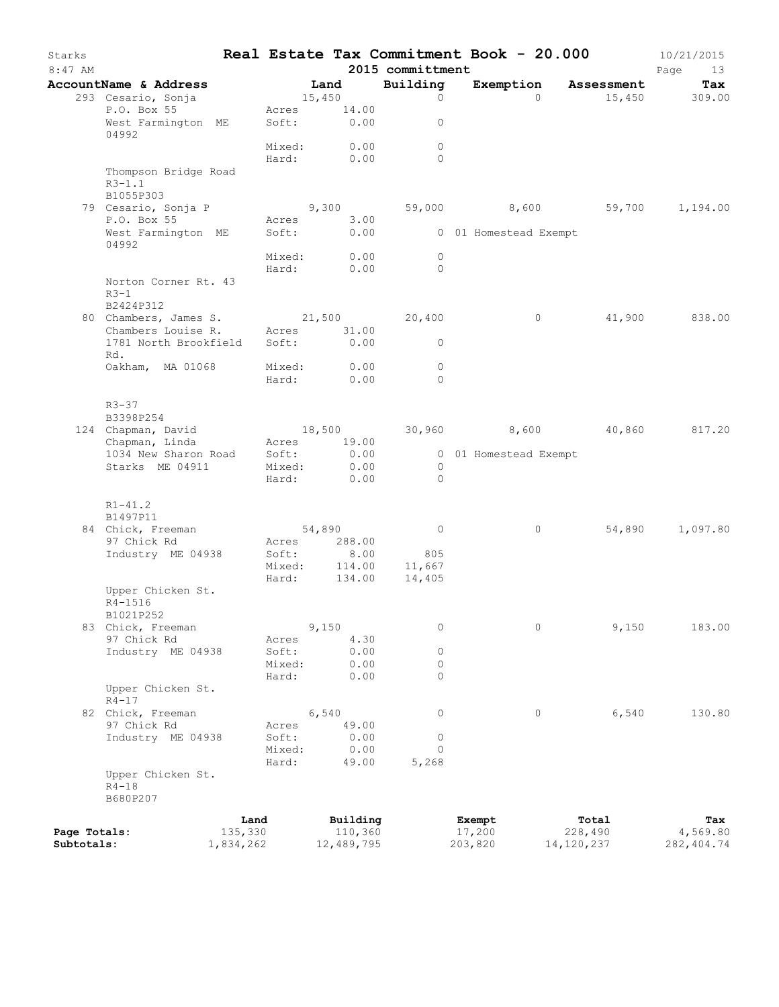| Starks<br>$8:47$ AM        |                                                 |                      |                      |        |                       | 2015 committment    | Real Estate Tax Commitment Book - 20.000 |                       | 10/21/2015<br>Page<br>13 |
|----------------------------|-------------------------------------------------|----------------------|----------------------|--------|-----------------------|---------------------|------------------------------------------|-----------------------|--------------------------|
|                            | AccountName & Address                           |                      |                      | Land   |                       | Building            | Exemption                                | Assessment            | Tax                      |
|                            | 293 Cesario, Sonja                              |                      |                      | 15,450 |                       | $\circ$             | $\Omega$                                 |                       | 15,450 309.00            |
|                            | P.O. Box 55<br>West Farmington ME<br>04992      |                      | Acres<br>Soft: 0.00  |        | 14.00                 | $\circ$             |                                          |                       |                          |
|                            |                                                 |                      | Mixed:<br>Hard:      |        | 0.00<br>0.00          | $\circ$<br>$\Omega$ |                                          |                       |                          |
|                            | Thompson Bridge Road<br>$R3 - 1.1$<br>B1055P303 |                      |                      |        |                       |                     |                                          |                       |                          |
|                            | 79 Cesario, Sonja P                             |                      |                      |        | 9,300                 | 59,000              | 8,600                                    | 59,700                | 1,194.00                 |
|                            | P.O. Box 55                                     |                      | Acres                |        | 3.00                  |                     |                                          |                       |                          |
|                            | West Farmington ME<br>04992                     |                      | Soft:                |        | 0.00                  |                     | 0 01 Homestead Exempt                    |                       |                          |
|                            |                                                 |                      | Mixed:               |        | 0.00                  | $\circ$<br>$\Omega$ |                                          |                       |                          |
|                            | Norton Corner Rt. 43<br>$R3-1$                  |                      | Hard:                |        | 0.00                  |                     |                                          |                       |                          |
|                            | B2424P312                                       |                      |                      |        |                       |                     |                                          |                       |                          |
|                            | 80 Chambers, James S.<br>Chambers Louise R.     |                      |                      |        | 21,500                | 20,400              | $\circ$                                  | 41,900                | 838.00                   |
|                            | 1781 North Brookfield                           |                      | Acres 31.00<br>Soft: |        | 0.00                  | $\circ$             |                                          |                       |                          |
|                            | Rd.                                             |                      |                      |        |                       |                     |                                          |                       |                          |
|                            | Oakham, MA 01068                                |                      | Mixed:               |        | 0.00                  | $\circ$             |                                          |                       |                          |
|                            |                                                 |                      | Hard:                |        | 0.00                  | $\Omega$            |                                          |                       |                          |
|                            | $R3 - 37$                                       |                      |                      |        |                       |                     |                                          |                       |                          |
|                            | B3398P254                                       |                      |                      |        |                       |                     |                                          |                       |                          |
|                            | 124 Chapman, David                              |                      | 18,500               |        |                       | 30,960              | 8,600                                    | 40,860                | 817.20                   |
|                            | Chapman, Linda                                  |                      | Acres                |        | 19.00                 |                     |                                          |                       |                          |
|                            | 1034 New Sharon Road<br>Starks ME 04911         |                      | Soft:<br>Mixed:      |        | 0.00<br>0.00          | $\mathbf{0}$        | 0 01 Homestead Exempt                    |                       |                          |
|                            |                                                 |                      | Hard:                |        | 0.00                  | $\Omega$            |                                          |                       |                          |
|                            | $R1 - 41.2$                                     |                      |                      |        |                       |                     |                                          |                       |                          |
|                            | B1497P11                                        |                      |                      |        |                       | $\circ$             | 0                                        | 54,890                |                          |
|                            | 84 Chick, Freeman<br>97 Chick Rd                |                      | Acres                | 54,890 | 288.00                |                     |                                          |                       | 1,097.80                 |
|                            | Industry ME 04938                               |                      | Soft:                |        | 8.00                  | 805                 |                                          |                       |                          |
|                            |                                                 |                      | Mixed:               |        | 114.00                | 11,667              |                                          |                       |                          |
|                            |                                                 |                      | Hard:                |        | 134.00                | 14,405              |                                          |                       |                          |
|                            | Upper Chicken St.<br>R4-1516<br>B1021P252       |                      |                      |        |                       |                     |                                          |                       |                          |
|                            | 83 Chick, Freeman                               |                      |                      | 9,150  |                       | $\mathbf 0$         | $\circ$                                  | 9,150                 | 183.00                   |
|                            | 97 Chick Rd                                     |                      | Acres                |        | 4.30                  |                     |                                          |                       |                          |
|                            | Industry ME 04938                               |                      | Soft:                |        | 0.00                  | 0                   |                                          |                       |                          |
|                            |                                                 |                      | Mixed:<br>Hard:      |        | 0.00<br>0.00          | $\circ$<br>0        |                                          |                       |                          |
|                            | Upper Chicken St.<br>$R4 - 17$                  |                      |                      |        |                       |                     |                                          |                       |                          |
|                            | 82 Chick, Freeman                               |                      |                      | 6,540  |                       | 0                   | $\circ$                                  | 6,540                 | 130.80                   |
|                            | 97 Chick Rd                                     |                      | Acres                |        | 49.00                 |                     |                                          |                       |                          |
|                            | Industry ME 04938                               |                      | Soft:                |        | 0.00                  | 0                   |                                          |                       |                          |
|                            |                                                 |                      | Mixed:<br>Hard:      |        | 0.00<br>49.00         | $\Omega$<br>5,268   |                                          |                       |                          |
|                            | Upper Chicken St.                               |                      |                      |        |                       |                     |                                          |                       |                          |
|                            | $R4 - 18$<br>B680P207                           |                      |                      |        |                       |                     |                                          |                       |                          |
|                            |                                                 | Land                 |                      |        | Building              |                     | Exempt                                   | Total                 | Tax                      |
| Page Totals:<br>Subtotals: |                                                 | 135,330<br>1,834,262 |                      |        | 110,360<br>12,489,795 |                     | 17,200<br>203,820                        | 228,490<br>14,120,237 | 4,569.80<br>282, 404.74  |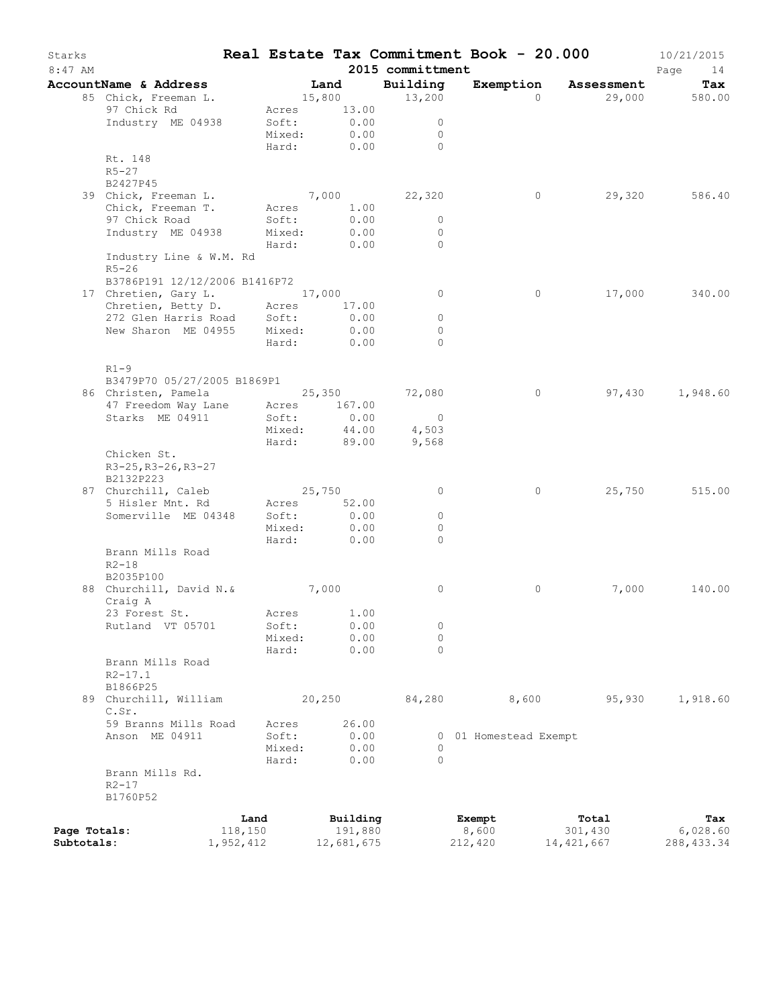| Starks<br>$8:47$ AM |                                                                                 |           |             |        |              | 2015 committment | Real Estate Tax Commitment Book - 20.000 |            | 10/21/2015<br>Page<br>14 |
|---------------------|---------------------------------------------------------------------------------|-----------|-------------|--------|--------------|------------------|------------------------------------------|------------|--------------------------|
|                     | AccountName & Address                                                           |           | <b>Land</b> |        |              | Building         | Exemption                                | Assessment | Tax                      |
|                     | 85 Chick, Freeman L.                                                            |           | 15,800      |        |              | 13,200           | $\Omega$                                 |            | 29,000 580.00            |
|                     | 97 Chick Rd                                                                     |           | Acres 13.00 |        |              |                  |                                          |            |                          |
|                     | Industry ME 04938                                                               |           | Soft:       |        | 0.00         | $\mathbf{0}$     |                                          |            |                          |
|                     |                                                                                 |           | Mixed:      |        | 0.00         | $\circ$          |                                          |            |                          |
|                     |                                                                                 |           | Hard:       |        | 0.00         | $\bigcap$        |                                          |            |                          |
|                     | Rt. 148                                                                         |           |             |        |              |                  |                                          |            |                          |
|                     | $R5 - 27$                                                                       |           |             |        |              |                  |                                          |            |                          |
|                     | B2427P45                                                                        |           |             |        |              |                  |                                          |            |                          |
|                     | 39 Chick, Freeman L.                                                            |           | 7,000       |        |              | 22,320           | $\circ$                                  | 29,320     | 586.40                   |
|                     | Chick, Freeman T.                                                               |           | Acres 1.00  |        |              |                  |                                          |            |                          |
|                     | 97 Chick Road                                                                   |           | Soft:       |        | 0.00         | $\mathbf{0}$     |                                          |            |                          |
|                     | Industry ME 04938                                                               |           | Mixed:      |        | 0.00         | $\circ$          |                                          |            |                          |
|                     |                                                                                 |           | Hard:       |        | 0.00         | $\Omega$         |                                          |            |                          |
|                     | Industry Line & W.M. Rd                                                         |           |             |        |              |                  |                                          |            |                          |
|                     | $R5 - 26$                                                                       |           |             |        |              |                  |                                          |            |                          |
|                     | B3786P191 12/12/2006 B1416P72                                                   |           |             |        |              |                  |                                          |            |                          |
|                     | 17 Chretien, Gary L. 17,000                                                     |           |             |        |              | $\overline{0}$   | 0                                        | 17,000     | 340.00                   |
|                     | Chretien, Betty D. Acres                                                        |           |             |        | 17.00        | $\circ$          |                                          |            |                          |
|                     | 272 Glen Harris Road Soft:<br>New Sharon ME 04955 Mixed:<br>New Sharon ME 04955 |           | Mixed:      |        | 0.00<br>0.00 | $\circ$          |                                          |            |                          |
|                     |                                                                                 |           | Hard:       |        | 0.00         | $\Omega$         |                                          |            |                          |
|                     |                                                                                 |           |             |        |              |                  |                                          |            |                          |
|                     | $R1-9$                                                                          |           |             |        |              |                  |                                          |            |                          |
|                     | B3479P70 05/27/2005 B1869P1                                                     |           |             |        |              |                  |                                          |            |                          |
|                     |                                                                                 |           |             |        |              | 72,080           | $\circ$                                  |            | 97,430 1,948.60          |
|                     | 86 Christen, Pamela 25,350<br>47 Freedom Way Lane Acres 167.00                  |           |             |        |              |                  |                                          |            |                          |
|                     | Starks ME 04911                                                                 |           | Soft:       |        | 0.00         | $\overline{0}$   |                                          |            |                          |
|                     |                                                                                 |           | Mixed:      |        | 44.00        | 4,503            |                                          |            |                          |
|                     |                                                                                 |           | Hard:       |        | 89.00        | 9,568            |                                          |            |                          |
|                     | Chicken St.                                                                     |           |             |        |              |                  |                                          |            |                          |
|                     | R3-25, R3-26, R3-27                                                             |           |             |        |              |                  |                                          |            |                          |
|                     | B2132P223                                                                       |           |             |        |              |                  |                                          |            |                          |
|                     | 87 Churchill, Caleb                                                             |           | 25,750      |        |              | 0                | 0                                        | 25,750     | 515.00                   |
|                     | 5 Hisler Mnt. Rd                                                                |           | Acres       |        | 52.00        |                  |                                          |            |                          |
|                     | Somerville ME 04348                                                             |           | Soft:       |        | 0.00         | $\circ$          |                                          |            |                          |
|                     |                                                                                 |           | Mixed:      |        | 0.00         | $\Omega$         |                                          |            |                          |
|                     |                                                                                 |           | Hard:       |        | 0.00         | $\circ$          |                                          |            |                          |
|                     | Brann Mills Road                                                                |           |             |        |              |                  |                                          |            |                          |
|                     | $R2 - 18$                                                                       |           |             |        |              |                  |                                          |            |                          |
|                     | B2035P100                                                                       |           |             |        |              |                  |                                          |            |                          |
|                     | 88 Churchill, David N. &                                                        |           | 7,000       |        |              | 0                | 0                                        | 7,000      | 140.00                   |
|                     | Craig A                                                                         |           |             |        |              |                  |                                          |            |                          |
|                     | 23 Forest St. Acres 1.00                                                        |           |             |        |              |                  |                                          |            |                          |
|                     | Rutland VT 05701                                                                |           | Soft:       |        | 0.00         | 0                |                                          |            |                          |
|                     |                                                                                 |           | Mixed:      |        | 0.00         | $\circ$          |                                          |            |                          |
|                     |                                                                                 |           | Hard:       |        | 0.00         | $\Omega$         |                                          |            |                          |
|                     | Brann Mills Road                                                                |           |             |        |              |                  |                                          |            |                          |
|                     | $R2 - 17.1$                                                                     |           |             |        |              |                  |                                          |            |                          |
|                     | B1866P25<br>89 Churchill, William                                               |           |             | 20,250 |              | 84,280           | 8,600                                    | 95,930     | 1,918.60                 |
|                     | C.Sr.                                                                           |           |             |        |              |                  |                                          |            |                          |
|                     | 59 Branns Mills Road                                                            |           | Acres       |        | 26.00        |                  |                                          |            |                          |
|                     | Anson ME 04911                                                                  |           | Soft:       |        | 0.00         |                  | 0 01 Homestead Exempt                    |            |                          |
|                     |                                                                                 |           | Mixed:      |        | 0.00         | $\Omega$         |                                          |            |                          |
|                     |                                                                                 |           | Hard:       |        | 0.00         | $\Omega$         |                                          |            |                          |
|                     | Brann Mills Rd.                                                                 |           |             |        |              |                  |                                          |            |                          |
|                     | $R2 - 17$                                                                       |           |             |        |              |                  |                                          |            |                          |
|                     | B1760P52                                                                        |           |             |        |              |                  |                                          |            |                          |
|                     |                                                                                 |           |             |        |              |                  |                                          |            |                          |
|                     |                                                                                 | Land      |             |        | Building     |                  | Exempt                                   | Total      | Tax                      |
| Page Totals:        |                                                                                 | 118,150   |             |        | 191,880      |                  | 8,600                                    | 301,430    | 6,028.60                 |
| Subtotals:          |                                                                                 | 1,952,412 |             |        | 12,681,675   |                  | 212,420                                  | 14,421,667 | 288, 433.34              |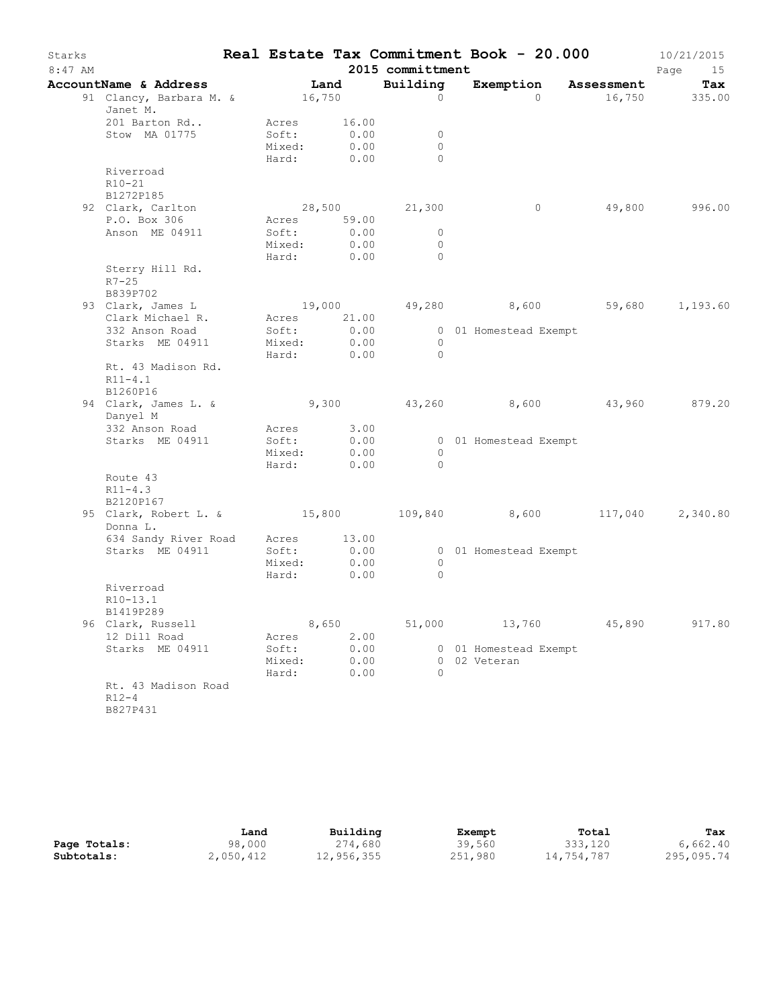| Starks    |                                                                     |                                         |                               |                                      | Real Estate Tax Commitment Book - 20.000 |         | 10/21/2015           |
|-----------|---------------------------------------------------------------------|-----------------------------------------|-------------------------------|--------------------------------------|------------------------------------------|---------|----------------------|
| $8:47$ AM |                                                                     |                                         |                               | 2015 committment                     |                                          |         | Page<br>15           |
|           | AccountName & Address<br>91 Clancy, Barbara M. & 16,750<br>Janet M. | Land                                    |                               | Building<br>$\circ$                  | Exemption Assessment<br>$\Omega$         |         | Tax<br>16,750 335.00 |
|           | 201 Barton Rd<br>Stow MA 01775                                      | Acres<br>Soft:<br>Mixed:<br>Hard:       | 16.00<br>0.00<br>0.00<br>0.00 | 0<br>$\Omega$<br>$\Omega$            |                                          |         |                      |
|           | Riverroad<br>$R10 - 21$<br>B1272P185                                |                                         |                               |                                      |                                          |         |                      |
|           | 92 Clark, Carlton<br>P.O. Box 306                                   | Acres 59.00                             |                               | 28,500 21,300                        | $\circ$                                  | 49,800  | 996.00               |
|           | Anson ME 04911                                                      | Soft:<br>Mixed:<br>Hard:                | 0.00<br>0.00<br>0.00          | $\overline{0}$<br>$\circ$<br>$\circ$ |                                          |         |                      |
|           | Sterry Hill Rd.<br>$R7 - 25$<br>B839P702                            |                                         |                               |                                      |                                          |         |                      |
|           | 93 Clark, James L<br>Clark Michael R.                               | Acres 21.00                             |                               |                                      | $19,000$ $49,280$ $8,600$ $59,680$       |         | 1,193.60             |
|           | 332 Anson Road<br>Starks ME 04911                                   | Soft:<br>Mixed:<br>Hard:                | 0.00<br>0.00<br>0.00          | $\overline{0}$<br>$\Omega$           | 0 01 Homestead Exempt                    |         |                      |
|           | Rt. 43 Madison Rd.<br>$R11 - 4.1$<br>B1260P16                       |                                         |                               |                                      |                                          |         |                      |
|           | 94 Clark, James L. &<br>Danyel M                                    |                                         |                               |                                      | $9,300$ $43,260$ $8,600$ $43,960$        |         | 879.20               |
|           | 332 Anson Road<br>Starks ME 04911                                   | Acres<br>Soft:<br>Mixed:<br>Hard:       | 3.00<br>0.00<br>0.00<br>0.00  | $\Omega$<br>$\circ$                  | 0 01 Homestead Exempt                    |         |                      |
|           | Route 43<br>$R11 - 4.3$<br>B2120P167                                |                                         |                               |                                      |                                          |         |                      |
|           | 95 Clark, Robert L. & 15,800 109,840<br>Donna L.                    |                                         |                               |                                      | 8,600                                    | 117,040 | 2,340.80             |
|           | 634 Sandy River Road<br>Starks ME 04911                             | Acres 13.00<br>Soft:<br>Mixed:<br>Hard: | 0.00<br>0.00<br>0.00          | $\circ$<br>$\circ$                   | 0 01 Homestead Exempt                    |         |                      |
|           | Riverroad<br>$R10-13.1$<br>B1419P289                                |                                         |                               |                                      |                                          |         |                      |
|           | 96 Clark, Russell<br>12 Dill Road                                   | Acres                                   | 8,650<br>2.00                 | 51,000                               | 13,760                                   | 45,890  | 917.80               |
|           | Starks ME 04911                                                     | Soft:<br>Mixed:<br>Hard:                | 0.00<br>0.00<br>0.00          | $\Omega$                             | 0 01 Homestead Exempt<br>0 02 Veteran    |         |                      |
|           | Rt. 43 Madison Road<br>$R12-4$<br>B827P431                          |                                         |                               |                                      |                                          |         |                      |

|              | Land      | Building   | Exempt  | Total      | Tax        |
|--------------|-----------|------------|---------|------------|------------|
| Page Totals: | 98,000    | 274,680    | 39,560  | 333,120    | 6,662.40   |
| Subtotals:   | 2,050,412 | 12,956,355 | 251,980 | 14,754,787 | 295,095.74 |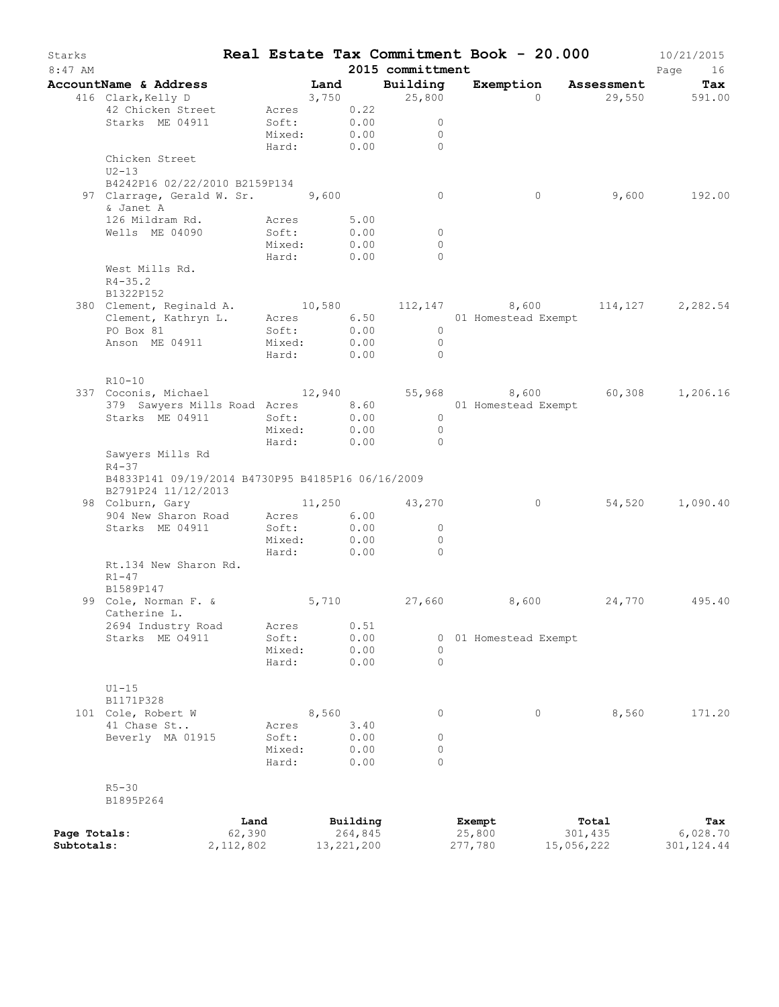| Starks<br>$8:47$ AM |                                                                                             |            |       |              | Real Estate Tax Commitment Book - 20.000<br>2015 committment |         |                       |                      | 10/21/2015<br>Page<br>16 |
|---------------------|---------------------------------------------------------------------------------------------|------------|-------|--------------|--------------------------------------------------------------|---------|-----------------------|----------------------|--------------------------|
|                     | AccountName & Address                                                                       |            | Land  |              | Building                                                     |         |                       | Exemption Assessment | Tax                      |
|                     | 416 Clark, Kelly D                                                                          |            |       | 3,750        | 25,800                                                       |         | $\Omega$              |                      | 29,550 591.00            |
|                     | 42 Chicken Street                                                                           | Acres 0.22 |       |              |                                                              |         |                       |                      |                          |
|                     | Starks ME 04911                                                                             | Soft:      |       | 0.00         | $\circ$                                                      |         |                       |                      |                          |
|                     |                                                                                             | Mixed:     |       | 0.00         | $\circ$                                                      |         |                       |                      |                          |
|                     |                                                                                             | Hard:      |       | 0.00         | $\Omega$                                                     |         |                       |                      |                          |
|                     | Chicken Street<br>$U2-13$                                                                   |            |       |              |                                                              |         |                       |                      |                          |
|                     | B4242P16 02/22/2010 B2159P134                                                               |            |       |              |                                                              |         |                       |                      |                          |
|                     | 97 Clarrage, Gerald W. Sr. 9,600<br>& Janet A                                               |            |       |              | $\circ$                                                      |         | $\circ$               | 9,600                | 192.00                   |
|                     | 126 Mildram Rd.                                                                             | Acres      |       | 5.00         |                                                              |         |                       |                      |                          |
|                     | Wells ME 04090                                                                              | Soft:      |       | 0.00         | $\circ$                                                      |         |                       |                      |                          |
|                     |                                                                                             | Mixed:     |       | 0.00         | $\circ$                                                      |         |                       |                      |                          |
|                     |                                                                                             | Hard:      |       | 0.00         | $\Omega$                                                     |         |                       |                      |                          |
|                     | West Mills Rd.                                                                              |            |       |              |                                                              |         |                       |                      |                          |
|                     | $R4 - 35.2$                                                                                 |            |       |              |                                                              |         |                       |                      |                          |
|                     | B1322P152                                                                                   |            |       |              |                                                              |         |                       |                      |                          |
|                     | 380 Clement, Reginald A.<br>$\frac{1}{2}$ , $\frac{10,580}{2}$<br>Clement, Kathryn L. Acres |            |       |              |                                                              |         | 112,147 8,600         |                      | 114, 127 2, 282.54       |
|                     |                                                                                             |            |       |              |                                                              |         | 01 Homestead Exempt   |                      |                          |
|                     | PO Box 81                                                                                   | Soft:      |       | 0.00         | $\circ$                                                      |         |                       |                      |                          |
|                     | Anson ME 04911                                                                              | Mixed:     |       | 0.00         | $\circ$                                                      |         |                       |                      |                          |
|                     |                                                                                             | Hard:      |       | 0.00         | $\Omega$                                                     |         |                       |                      |                          |
|                     |                                                                                             |            |       |              |                                                              |         |                       |                      |                          |
|                     | R10-10                                                                                      |            |       |              |                                                              |         |                       |                      |                          |
|                     | 337 Coconis, Michael 12,940                                                                 |            |       |              |                                                              |         | 55,968 8,600          |                      | 60,308 1,206.16          |
|                     | 379 Sawyers Mills Road Acres 8.60                                                           |            |       |              |                                                              |         | 01 Homestead Exempt   |                      |                          |
|                     | Starks ME 04911                                                                             | Soft:      |       | 0.00         | $\overline{0}$                                               |         |                       |                      |                          |
|                     |                                                                                             | Mixed:     |       | 0.00         | $\overline{0}$                                               |         |                       |                      |                          |
|                     |                                                                                             | Hard:      |       | 0.00         | $\Omega$                                                     |         |                       |                      |                          |
|                     | Sawyers Mills Rd<br>$R4 - 37$                                                               |            |       |              |                                                              |         |                       |                      |                          |
|                     | B4833P141 09/19/2014 B4730P95 B4185P16 06/16/2009<br>B2791P24 11/12/2013                    |            |       |              |                                                              |         |                       |                      |                          |
|                     | 98 Colburn, Gary                                                                            |            |       |              | 11,250 43,270                                                |         | $\circ$               | 54,520               | 1,090.40                 |
|                     | 904 New Sharon Road                                                                         | Acres 6.00 |       |              |                                                              |         |                       |                      |                          |
|                     | Starks ME 04911                                                                             | Soft:      |       | 0.00         | $\circ$                                                      |         |                       |                      |                          |
|                     |                                                                                             | Mixed:     |       | 0.00         | $\circ$                                                      |         |                       |                      |                          |
|                     |                                                                                             | Hard:      |       | 0.00         | $\Omega$                                                     |         |                       |                      |                          |
|                     | Rt.134 New Sharon Rd.<br>$R1 - 47$<br>B1589P147                                             |            |       |              |                                                              |         |                       |                      |                          |
|                     | 99 Cole, Norman F. &                                                                        | 5,710      |       |              | 27,660                                                       |         | 8,600                 | 24,770               | 495.40                   |
|                     | Catherine L.<br>2694 Industry Road                                                          | Acres      |       | 0.51         |                                                              |         |                       |                      |                          |
|                     | Starks ME 04911                                                                             | Soft:      |       | 0.00         |                                                              |         | 0 01 Homestead Exempt |                      |                          |
|                     |                                                                                             | Mixed:     |       | 0.00         | $\circ$                                                      |         |                       |                      |                          |
|                     |                                                                                             | Hard:      |       | 0.00         | $\circ$                                                      |         |                       |                      |                          |
|                     |                                                                                             |            |       |              |                                                              |         |                       |                      |                          |
|                     | $U1-15$                                                                                     |            |       |              |                                                              |         |                       |                      |                          |
|                     | B1171P328                                                                                   |            |       |              |                                                              |         |                       |                      |                          |
|                     | 101 Cole, Robert W                                                                          |            | 8,560 |              | 0                                                            |         | 0                     | 8,560                | 171.20                   |
|                     | 41 Chase St                                                                                 | Acres      |       | 3.40         |                                                              |         |                       |                      |                          |
|                     | Beverly MA 01915                                                                            | Soft:      |       | 0.00         | 0                                                            |         |                       |                      |                          |
|                     |                                                                                             | Mixed:     |       | 0.00         | 0                                                            |         |                       |                      |                          |
|                     |                                                                                             | Hard:      |       | 0.00         | $\Omega$                                                     |         |                       |                      |                          |
|                     |                                                                                             |            |       |              |                                                              |         |                       |                      |                          |
|                     | $R5 - 30$                                                                                   |            |       |              |                                                              |         |                       |                      |                          |
|                     | B1895P264                                                                                   |            |       |              |                                                              |         |                       |                      |                          |
|                     |                                                                                             |            |       |              |                                                              |         |                       |                      |                          |
|                     |                                                                                             | Land       |       | Building     |                                                              | Exempt  |                       | Total                | Tax                      |
| Page Totals:        | 62,390                                                                                      |            |       | 264,845      |                                                              | 25,800  |                       | 301,435              | 6,028.70                 |
| Subtotals:          | 2, 112, 802                                                                                 |            |       | 13, 221, 200 |                                                              | 277,780 |                       | 15,056,222           | 301, 124.44              |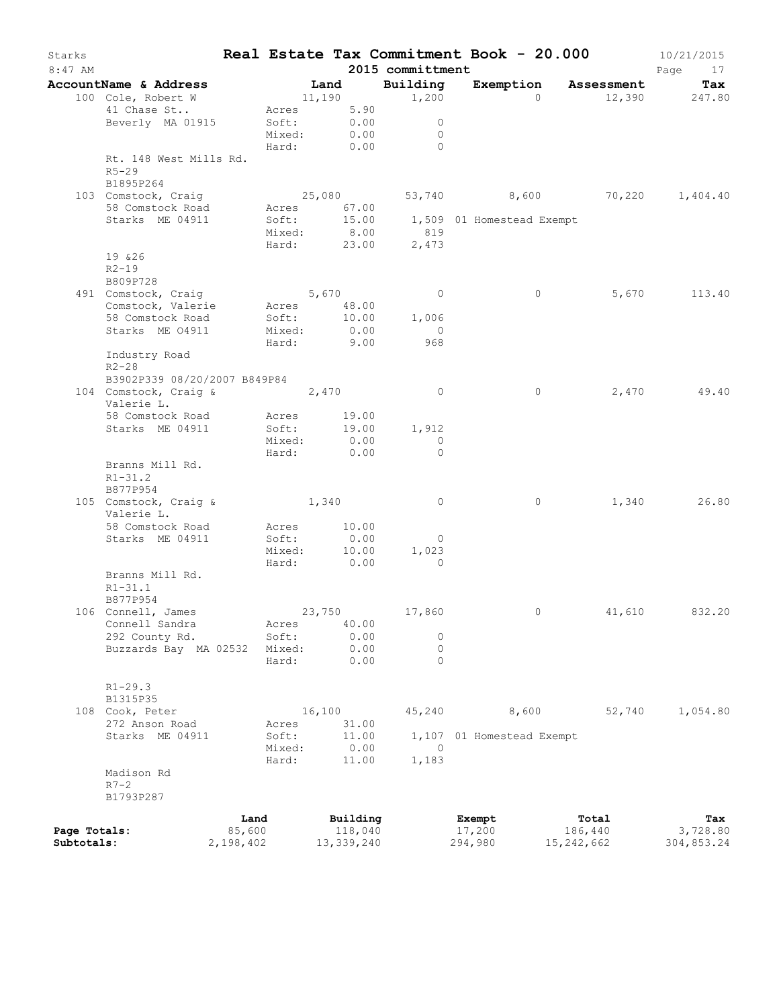| Starks<br>$8:47$ AM |                                   |           |             |        |            | 2015 committment | Real Estate Tax Commitment Book - 20.000 |            | 10/21/2015<br>Page<br>17 |
|---------------------|-----------------------------------|-----------|-------------|--------|------------|------------------|------------------------------------------|------------|--------------------------|
|                     | AccountName & Address             |           |             | Land   |            | Building         | Exemption Assessment                     |            | Tax                      |
|                     | 100 Cole, Robert W                |           |             |        | 11,190     | 1,200            | $\Omega$                                 |            | 12,390 247.80            |
|                     | 41 Chase St                       |           | Acres 5.90  |        |            |                  |                                          |            |                          |
|                     | Beverly MA 01915                  |           | Soft:       |        | 0.00       | $\circ$          |                                          |            |                          |
|                     |                                   |           | Mixed:      |        | 0.00       | $\circ$          |                                          |            |                          |
|                     |                                   |           | Hard:       |        | 0.00       | $\Omega$         |                                          |            |                          |
|                     | Rt. 148 West Mills Rd.            |           |             |        |            |                  |                                          |            |                          |
|                     | $R5 - 29$                         |           |             |        |            |                  |                                          |            |                          |
|                     | B1895P264                         |           |             |        |            |                  |                                          |            |                          |
|                     | 103 Comstock, Craig               |           | 25,080      |        |            |                  | 53,740 8,600 70,220 1,404.40             |            |                          |
|                     | 58 Comstock Road                  |           | Acres 67.00 |        |            |                  |                                          |            |                          |
|                     | Starks ME 04911                   |           | Soft:       |        | 15.00      |                  | 1,509 01 Homestead Exempt                |            |                          |
|                     |                                   |           | Mixed:      |        | 8.00       | 819              |                                          |            |                          |
|                     |                                   |           | Hard:       |        | 23.00      | 2,473            |                                          |            |                          |
|                     | 19 & 26                           |           |             |        |            |                  |                                          |            |                          |
|                     | $R2 - 19$                         |           |             |        |            |                  |                                          |            |                          |
|                     | B809P728                          |           |             |        |            |                  |                                          |            |                          |
|                     | 491 Comstock, Craig               |           | 5,670       |        |            | $\overline{0}$   | $\circ$                                  | 5,670      | 113.40                   |
|                     | Comstock, Valerie Acres 48.00     |           |             |        |            |                  |                                          |            |                          |
|                     | 58 Comstock Road                  |           | Soft:       |        | 10.00      | 1,006            |                                          |            |                          |
|                     | Starks ME 04911                   |           | Mixed:      |        | 0.00       | $\overline{0}$   |                                          |            |                          |
|                     |                                   |           | Hard:       |        | 9.00       | 968              |                                          |            |                          |
|                     | Industry Road                     |           |             |        |            |                  |                                          |            |                          |
|                     | $R2 - 28$                         |           |             |        |            |                  |                                          |            |                          |
|                     | B3902P339 08/20/2007 B849P84      |           |             |        |            |                  |                                          |            |                          |
|                     | 104 Comstock, Craig &             |           | 2,470       |        |            | $\overline{0}$   | $\circ$                                  | 2,470      | 49.40                    |
|                     | Valerie L.                        |           |             |        |            |                  |                                          |            |                          |
|                     | 58 Comstock Road                  |           | Acres       |        | 19.00      |                  |                                          |            |                          |
|                     | Starks ME 04911                   |           | Soft:       |        | 19.00      | 1,912            |                                          |            |                          |
|                     |                                   |           | Mixed:      |        | 0.00       | $\circ$          |                                          |            |                          |
|                     |                                   |           | Hard:       |        | 0.00       | $\Omega$         |                                          |            |                          |
|                     | Branns Mill Rd.                   |           |             |        |            |                  |                                          |            |                          |
|                     | $R1 - 31.2$                       |           |             |        |            |                  |                                          |            |                          |
|                     | B877P954                          |           |             |        |            |                  |                                          |            |                          |
|                     | 105 Comstock, Craig &             |           | 1,340       |        |            | $\overline{0}$   | 0                                        | 1,340      | 26.80                    |
|                     | Valerie L.                        |           |             |        |            |                  |                                          |            |                          |
|                     | 58 Comstock Road                  |           | Acres       |        | 10.00      |                  |                                          |            |                          |
|                     | Starks ME 04911                   |           | Soft:       |        | 0.00       | $\overline{0}$   |                                          |            |                          |
|                     |                                   |           | Mixed:      |        | 10.00      | 1,023            |                                          |            |                          |
|                     |                                   |           | Hard:       |        | 0.00       | $\Omega$         |                                          |            |                          |
|                     | Branns Mill Rd.                   |           |             |        |            |                  |                                          |            |                          |
|                     | $R1 - 31.1$                       |           |             |        |            |                  |                                          |            |                          |
|                     | B877P954                          |           |             |        |            |                  |                                          |            |                          |
|                     | 106 Connell, James                |           |             | 23,750 |            | 17,860           | $\mathbf{0}$                             | 41,610     | 832.20                   |
|                     | Connell Sandra                    |           | Acres       |        | 40.00      |                  |                                          |            |                          |
|                     | 292 County Rd.                    |           | Soft:       |        | 0.00       | 0                |                                          |            |                          |
|                     | Buzzards Bay MA 02532             |           | Mixed:      |        | 0.00       | $\circ$          |                                          |            |                          |
|                     |                                   |           | Hard:       |        | 0.00       | $\circ$          |                                          |            |                          |
|                     |                                   |           |             |        |            |                  |                                          |            |                          |
|                     | $R1 - 29.3$                       |           |             |        |            |                  |                                          |            |                          |
|                     | B1315P35                          |           |             |        |            |                  |                                          |            |                          |
|                     |                                   |           |             | 16,100 |            | 45,240           | 8,600                                    | 52,740     | 1,054.80                 |
|                     | 108 Cook, Peter<br>272 Anson Road |           |             |        |            |                  |                                          |            |                          |
|                     |                                   |           | Acres       |        | 31.00      |                  |                                          |            |                          |
|                     | Starks ME 04911                   |           | Soft:       |        | 11.00      | $\Omega$         | 1,107 01 Homestead Exempt                |            |                          |
|                     |                                   |           | Mixed:      |        | 0.00       |                  |                                          |            |                          |
|                     |                                   |           | Hard:       |        | 11.00      | 1,183            |                                          |            |                          |
|                     | Madison Rd                        |           |             |        |            |                  |                                          |            |                          |
|                     | $R7-2$                            |           |             |        |            |                  |                                          |            |                          |
|                     | B1793P287                         |           |             |        |            |                  |                                          |            |                          |
|                     |                                   | Land      |             |        | Building   |                  | Exempt                                   | Total      | Tax                      |
| Page Totals:        |                                   | 85,600    |             |        | 118,040    |                  | 17,200                                   | 186,440    | 3,728.80                 |
| Subtotals:          |                                   | 2,198,402 |             |        | 13,339,240 |                  | 294,980                                  | 15,242,662 | 304,853.24               |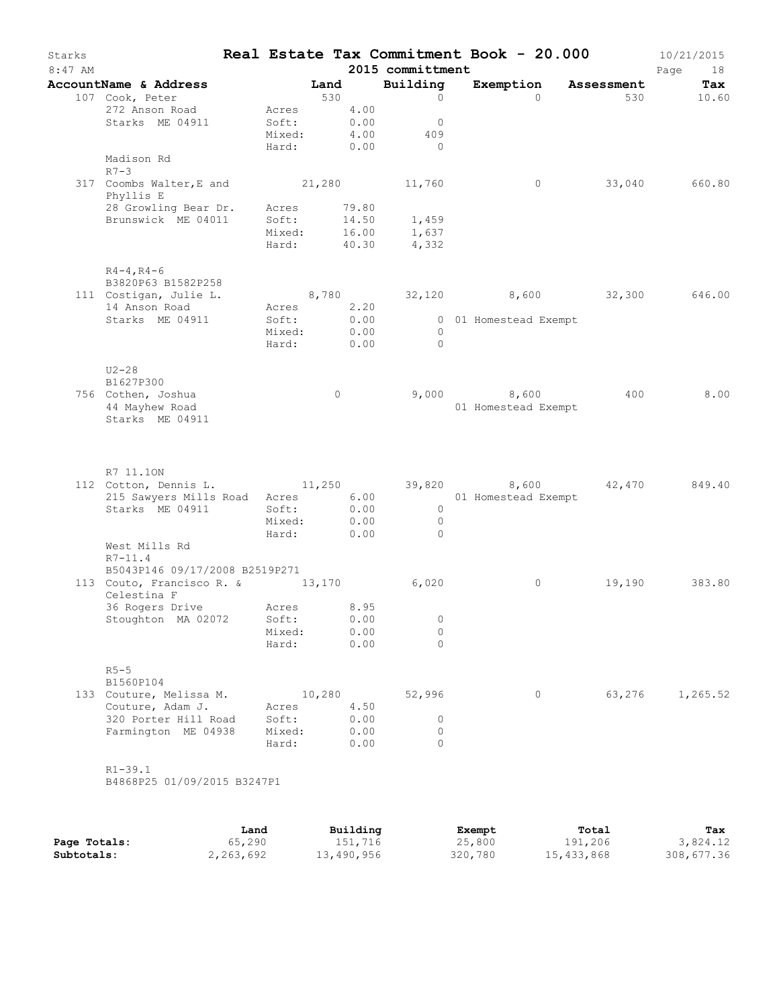| Starks<br>$8:47$ AM |                                                                                                     |                                                  |         |                      | 2015 committment                                   | Real Estate Tax Commitment Book - 20.000 |            | 10/21/2015<br>Page<br>18 |
|---------------------|-----------------------------------------------------------------------------------------------------|--------------------------------------------------|---------|----------------------|----------------------------------------------------|------------------------------------------|------------|--------------------------|
|                     | AccountName & Address Tand                                                                          |                                                  |         |                      | Building                                           | Exemption                                | Assessment | Tax                      |
|                     | 107 Cook, Peter<br>272 Anson Road<br>Starks ME 04911                                                | Acres 4.00<br>Soft: 0.00<br>Mixed:<br>Hard: 0.00 | 530     | 4.00                 | $\circ$<br>$\overline{0}$<br>409<br>$\overline{0}$ | $\Omega$                                 |            | 530 000<br>10.60         |
|                     | Madison Rd<br>$R7-3$                                                                                |                                                  |         |                      |                                                    |                                          |            |                          |
|                     | 317 Coombs Walter, E and 21, 280 11, 760<br>Phyllis E<br>28 Growling Bear Dr.<br>Brunswick ME 04011 | Acres<br>Soft:<br>Mixed:<br>Hard:                |         | 79.80<br>40.30       | 14.50   1,459<br>16.00   1,637<br>4,332            | $\circ$                                  | 33,040     | 660.80                   |
|                     | $R4 - 4, R4 - 6$                                                                                    |                                                  |         |                      |                                                    |                                          |            |                          |
|                     | B3820P63 B1582P258<br>111 Costigan, Julie L.<br>14 Anson Road                                       | Acres 2.20                                       |         |                      |                                                    | 8,780 32,120 8,600 32,300 646.00         |            |                          |
|                     | Starks ME 04911                                                                                     | Soft: 0.00<br>Mixed:<br>Hard: 0.00               |         | 0.00                 | $\overline{0}$<br>$\bigcirc$                       | 0 01 Homestead Exempt                    |            |                          |
|                     | $U2-28$<br>B1627P300                                                                                |                                                  |         |                      |                                                    |                                          |            |                          |
|                     | 756 Cothen, Joshua<br>44 Mayhew Road<br>Starks ME 04911                                             |                                                  | $\circ$ |                      |                                                    | $9,000$ 8,600<br>01 Homestead Exempt     | 400        | 8.00                     |
|                     | R7 11.10N<br>112 Cotton, Dennis L. (11,250 39,820 8,600 42,470 849.40                               |                                                  |         |                      |                                                    |                                          |            |                          |
|                     | 215 Sawyers Mills Road Acres<br>Starks ME 04911                                                     | Soft:<br>Mixed:<br>Hard:                         | 0.00    | 6.00<br>0.00<br>0.00 | $\overline{0}$<br>$\overline{0}$<br>$\bigcirc$     | 01 Homestead Exempt                      |            |                          |
|                     | West Mills Rd<br>$R7 - 11.4$                                                                        |                                                  |         |                      |                                                    |                                          |            |                          |
|                     | B5043P146 09/17/2008 B2519P271<br>113 Couto, Francisco R. & 13,170<br>Celestina F                   |                                                  |         |                      | 6,020                                              | $\circ$                                  | 19,190     | 383.80                   |
|                     | 36 Rogers Drive<br>Stoughton MA 02072                                                               | Acres 8.95<br>Soft:<br>Mixed:<br>Hard:           |         | 0.00<br>0.00<br>0.00 | 0<br>$\circ$<br>$\Omega$                           |                                          |            |                          |
|                     | $R5 - 5$<br>B1560P104                                                                               |                                                  |         |                      |                                                    |                                          |            |                          |
|                     | 133 Couture, Melissa M.<br>Couture, Adam J.<br>320 Porter Hill Road                                 | Acres<br>Soft:                                   | 10,280  | 4.50<br>0.00         | 52,996<br>$\circ$                                  | 0                                        | 63,276     | 1,265.52                 |
|                     | Farmington ME 04938                                                                                 | Mixed:<br>Hard:                                  |         | 0.00<br>0.00         | 0<br>$\Omega$                                      |                                          |            |                          |
|                     | $R1 - 39.1$<br>B4868P25 01/09/2015 B3247P1                                                          |                                                  |         |                      |                                                    |                                          |            |                          |
|                     |                                                                                                     |                                                  |         |                      |                                                    |                                          |            |                          |

|              | Land      | Building   | Exempt  | Total      | Tax        |
|--------------|-----------|------------|---------|------------|------------|
| Page Totals: | 65,290    | 151,716    | 25,800  | 191,206    | 3,824.12   |
| Subtotals:   | 2,263,692 | 13,490,956 | 320,780 | 15,433,868 | 308,677.36 |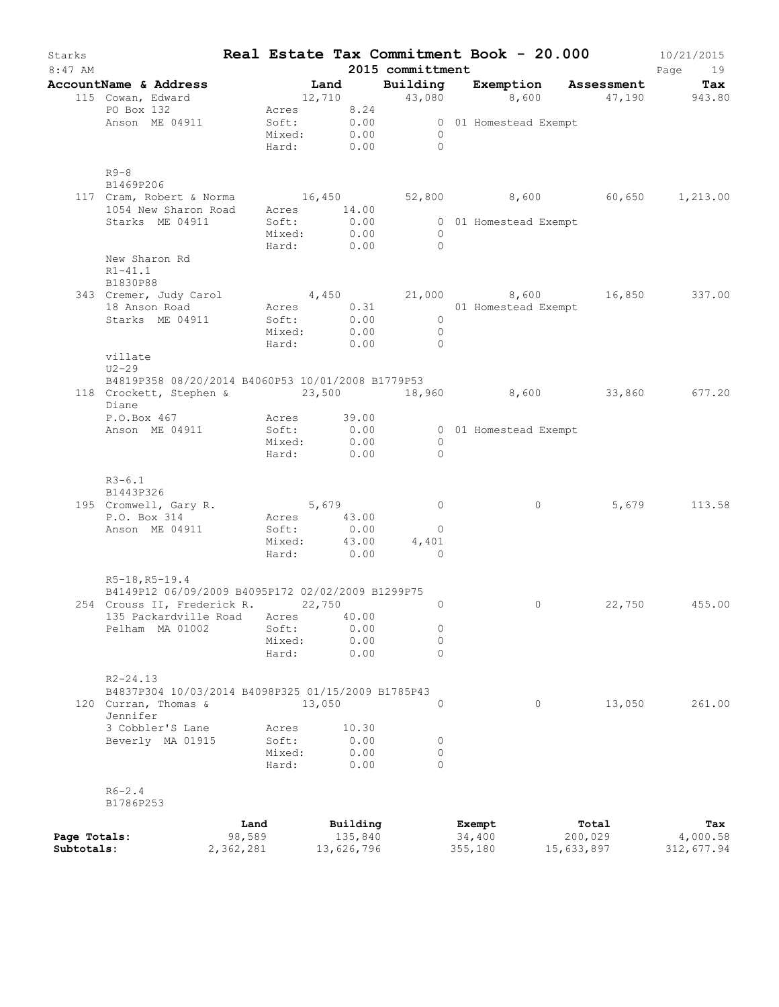| Starks<br>$8:47$ AM |                                                                                           |        |                            |          |              | 2015 committment         |                                                    | Real Estate Tax Commitment Book - $20.000$ 10/21/2015 | Page<br>19    |
|---------------------|-------------------------------------------------------------------------------------------|--------|----------------------------|----------|--------------|--------------------------|----------------------------------------------------|-------------------------------------------------------|---------------|
|                     | AccountName & Address                                                                     |        |                            |          |              |                          |                                                    | Land Building Exemption Assessment                    | Tax           |
|                     | 115 Cowan, Edward                                                                         |        |                            |          |              |                          |                                                    | $12,710$ $43,080$ $8,600$ $47,190$ $943.80$           |               |
|                     | PO Box 132<br>Anson ME 04911                                                              |        | Acres 8.24                 |          |              |                          |                                                    |                                                       |               |
|                     |                                                                                           |        |                            |          |              |                          | Soft: 0.00 000 1 Homestead Exempt<br>Mixed: 0.00 0 |                                                       |               |
|                     |                                                                                           |        |                            |          |              | Hard: 0.00 0             |                                                    |                                                       |               |
|                     | $R9-8$                                                                                    |        |                            |          |              |                          |                                                    |                                                       |               |
|                     | B1469P206                                                                                 |        |                            |          |              |                          |                                                    |                                                       |               |
|                     | 117 Cram, Robert & Norma<br>1054 New Sharon Road Acres 14.00 52,800 1,600 60,650 1,213.00 |        |                            |          |              |                          |                                                    |                                                       |               |
|                     | Starks ME 04911                                                                           |        | Soft:                      |          |              |                          | 0.00 0 01 Homestead Exempt                         |                                                       |               |
|                     |                                                                                           |        | Mixed:                     |          | 0.00         | $\overline{0}$           |                                                    |                                                       |               |
|                     |                                                                                           |        | Hard: 0.00                 |          |              | $\bigcap$                |                                                    |                                                       |               |
|                     | New Sharon Rd                                                                             |        |                            |          |              |                          |                                                    |                                                       |               |
|                     | $R1 - 41.1$                                                                               |        |                            |          |              |                          |                                                    |                                                       |               |
|                     | B1830P88<br>343 Cremer, Judy Carol                                                        |        |                            |          |              |                          |                                                    | $4,450$ $21,000$ $8,600$ $16,850$ $337.00$            |               |
|                     | 18 Anson Road                                                                             |        |                            |          |              |                          | Acres 0.31 01 Homestead Exempt                     |                                                       |               |
|                     | Starks ME 04911                                                                           |        |                            |          |              | $\overline{\phantom{a}}$ |                                                    |                                                       |               |
|                     |                                                                                           |        | Soft: 0.00<br>Mixed: 0.00  |          |              | $\overline{0}$           |                                                    |                                                       |               |
|                     |                                                                                           |        |                            |          |              | Hard: 0.00 0             |                                                    |                                                       |               |
|                     | villate                                                                                   |        |                            |          |              |                          |                                                    |                                                       |               |
|                     | $U2-29$<br>B4819P358 08/20/2014 B4060P53 10/01/2008 B1779P53                              |        |                            |          |              |                          |                                                    |                                                       |               |
|                     | 118 Crockett, Stephen & 23,500 18,960 8,600 33,860 677.20                                 |        |                            |          |              |                          |                                                    |                                                       |               |
|                     | Diane                                                                                     |        |                            |          |              |                          |                                                    |                                                       |               |
|                     | P.O.Box 467                                                                               |        | Acres 39.00                |          |              |                          |                                                    |                                                       |               |
|                     | Anson ME 04911                                                                            |        | Soft: 0.00                 |          |              |                          | 0 01 Homestead Exempt                              |                                                       |               |
|                     |                                                                                           |        | Mixed:                     | 0.00     |              | $\overline{0}$           |                                                    |                                                       |               |
|                     |                                                                                           |        | Hard:                      |          | 0.00         | $\bigcirc$               |                                                    |                                                       |               |
|                     | $R3 - 6.1$                                                                                |        |                            |          |              |                          |                                                    |                                                       |               |
|                     | B1443P326                                                                                 |        |                            |          |              |                          |                                                    |                                                       |               |
|                     | 195 Cromwell, Gary R. 5,679                                                               |        | Acres 43.00                |          |              | $\overline{0}$           | $\circ$                                            | 5,679                                                 | 113.58        |
|                     | P.O. Box 314<br>Anson ME 04911                                                            |        | Soft:                      |          | 0.00         | $\overline{0}$           |                                                    |                                                       |               |
|                     |                                                                                           |        |                            |          |              | 4,401                    |                                                    |                                                       |               |
|                     |                                                                                           |        | Mixed: 43.00<br>Hard: 0.00 |          |              | $\overline{0}$           |                                                    |                                                       |               |
|                     | R5-18, R5-19.4                                                                            |        |                            |          |              |                          |                                                    |                                                       |               |
|                     | B4149P12 06/09/2009 B4095P172 02/02/2009 B1299P75                                         |        |                            |          |              |                          |                                                    |                                                       |               |
|                     | 254 Crouss II, Frederick R.                                                               |        |                            | 22,750   |              | $\circ$                  | $\circ$                                            |                                                       | 22,750 455.00 |
|                     | 135 Packardville Road Acres 40.00                                                         |        |                            |          |              |                          |                                                    |                                                       |               |
|                     | Pelham MA 01002                                                                           |        | Soft:                      |          | 0.00<br>0.00 | $\circ$<br>$\circ$       |                                                    |                                                       |               |
|                     |                                                                                           |        | Mixed:<br>Hard:            |          | 0.00         | $\Omega$                 |                                                    |                                                       |               |
|                     |                                                                                           |        |                            |          |              |                          |                                                    |                                                       |               |
|                     | $R2 - 24.13$                                                                              |        |                            |          |              |                          |                                                    |                                                       |               |
|                     | B4837P304 10/03/2014 B4098P325 01/15/2009 B1785P43                                        |        |                            |          |              |                          |                                                    |                                                       |               |
|                     | 120 Curran, Thomas &<br>Jennifer                                                          |        | 13,050                     |          |              | $\Omega$                 | $\circ$                                            | 13,050                                                | 261.00        |
|                     | 3 Cobbler'S Lane                                                                          |        | Acres                      |          | 10.30        |                          |                                                    |                                                       |               |
|                     | Beverly MA 01915                                                                          |        | Soft:                      |          | 0.00         | 0                        |                                                    |                                                       |               |
|                     |                                                                                           |        | Mixed:                     |          | 0.00         | $\circ$                  |                                                    |                                                       |               |
|                     |                                                                                           |        | Hard:                      |          | 0.00         | $\Omega$                 |                                                    |                                                       |               |
|                     | $R6 - 2.4$                                                                                |        |                            |          |              |                          |                                                    |                                                       |               |
|                     | B1786P253                                                                                 |        |                            |          |              |                          |                                                    |                                                       |               |
|                     |                                                                                           | Land   |                            | Building |              |                          | Exempt                                             | Total                                                 | Tax           |
| Page Totals:        |                                                                                           | 98,589 |                            |          | 135,840      |                          | 34,400                                             | 200,029                                               | 4,000.58      |

**Subtotals:** 2,362,281 13,626,796 355,180 15,633,897 312,677.94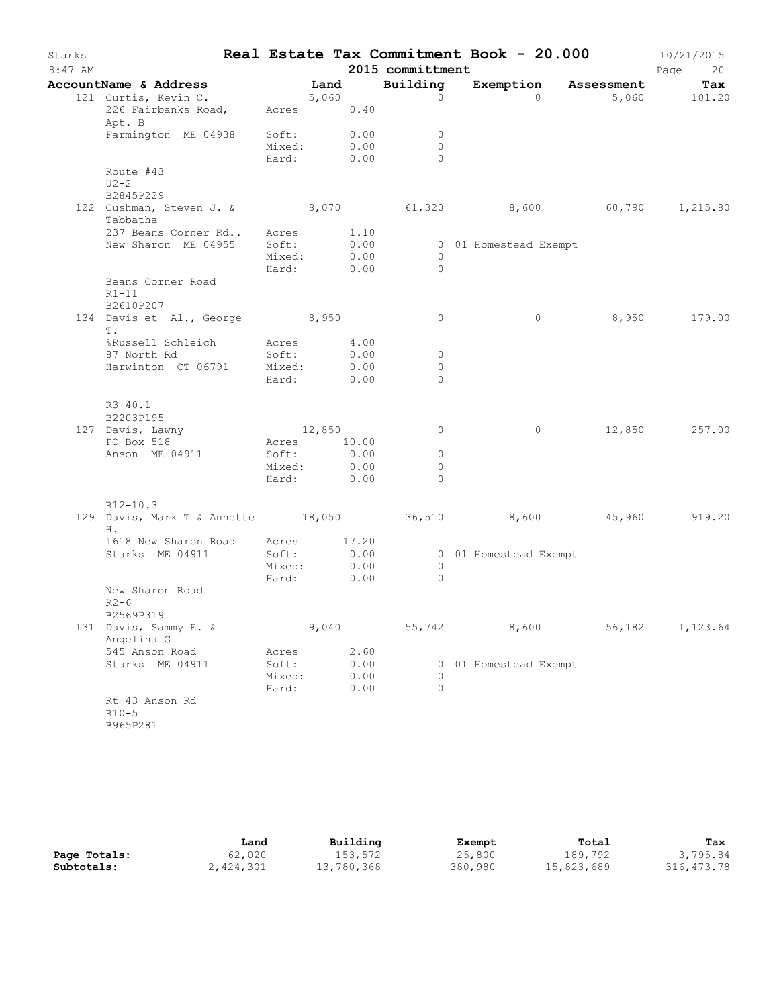| Starks<br>$8:47$ AM |                                                                         |                           |       |              | 2015 committment       | Real Estate Tax Commitment Book - 20.000 |                      | 10/21/2015<br>Page<br>20 |
|---------------------|-------------------------------------------------------------------------|---------------------------|-------|--------------|------------------------|------------------------------------------|----------------------|--------------------------|
|                     | AccountName & Address                                                   | Land                      |       |              | Building               |                                          | Exemption Assessment | Tax                      |
|                     | 121 Curtis, Kevin C.                                                    | 5,060                     |       |              | $\circ$                | $\Omega$                                 |                      | 5,060 101.20             |
|                     | 226 Fairbanks Road, Acres 0.40<br>Apt. B                                |                           |       |              |                        |                                          |                      |                          |
|                     | Farmington ME 04938 Soft: 0.00                                          |                           |       |              | $\overline{0}$         |                                          |                      |                          |
|                     |                                                                         | Mixed: 0.00<br>Hard: 0.00 |       |              | $\bigcirc$<br>$\Omega$ |                                          |                      |                          |
|                     | Route #43<br>$U2-2$                                                     |                           |       |              |                        |                                          |                      |                          |
|                     | B2845P229                                                               |                           |       |              |                        |                                          |                      |                          |
|                     | 122 Cushman, Steven J. & 8,070 61,320 8,600 60,790 1,215.80<br>Tabbatha |                           |       |              |                        |                                          |                      |                          |
|                     | 237 Beans Corner Rd Acres 1.10                                          |                           |       |              |                        |                                          |                      |                          |
|                     | New Sharon ME 04955                                                     | Soft:                     |       | 0.00         |                        | 0 01 Homestead Exempt                    |                      |                          |
|                     |                                                                         | Mixed:                    |       | 0.00         | $\overline{0}$         |                                          |                      |                          |
|                     | Beans Corner Road<br>$R1-11$                                            | Hard: 0.00                |       |              | $\bigcirc$             |                                          |                      |                          |
|                     | B2610P207<br>134 Davis et Al., George 8,950<br>Τ.                       |                           |       |              | $\circ$                | $\circ$                                  |                      | 8,950 179.00             |
|                     | %Russell Schleich Macres 4.00                                           |                           |       |              |                        |                                          |                      |                          |
|                     | 87 North Rd                                                             | Soft:                     |       | 0.00         | $\overline{0}$         |                                          |                      |                          |
|                     | Harwinton CT 06791 Mixed:                                               |                           |       | 0.00         | $\circ$                |                                          |                      |                          |
|                     |                                                                         | Hard:                     |       | 0.00         | $\Omega$               |                                          |                      |                          |
|                     | $R3-40.1$<br>B2203P195                                                  |                           |       |              |                        |                                          |                      |                          |
|                     | 127 Davis, Lawny                                                        | 12,850                    |       |              | $\circ$                | $\circ$                                  |                      | 12,850 257.00            |
|                     | PO Box 518                                                              | Acres                     |       | 10.00        |                        |                                          |                      |                          |
|                     | Anson ME 04911                                                          | Soft:                     |       | 0.00         | $\overline{0}$         |                                          |                      |                          |
|                     |                                                                         | Mixed: 0.00               |       |              | $\circ$                |                                          |                      |                          |
|                     |                                                                         | Hard:                     |       | 0.00         | $\Omega$               |                                          |                      |                          |
|                     | $R12-10.3$                                                              |                           |       |              |                        |                                          |                      |                          |
|                     | 129 Davis, Mark T & Annette 18,050 36,510 8,600 45,960 919.20<br>Н.     |                           |       |              |                        |                                          |                      |                          |
|                     | 1618 New Sharon Road Acres 17.20                                        |                           |       |              |                        |                                          |                      |                          |
|                     | Starks ME 04911                                                         | Soft:                     |       | 0.00         |                        | 0 01 Homestead Exempt                    |                      |                          |
|                     |                                                                         | Mixed: 0.00               |       |              | $\circ$                |                                          |                      |                          |
|                     | New Sharon Road<br>$R2-6$                                               | Hard:                     |       | 0.00         | $\Omega$               |                                          |                      |                          |
|                     | B2569P319                                                               |                           |       |              |                        |                                          |                      |                          |
|                     | 131 Davis, Sammy E. &<br>Angelina G                                     |                           | 9,040 |              | 55,742                 | 8,600                                    | 56,182               | 1,123.64                 |
|                     | 545 Anson Road<br>Starks ME 04911                                       | Acres                     |       | 2.60         |                        |                                          |                      |                          |
|                     |                                                                         | Soft:<br>Mixed:           |       | 0.00<br>0.00 | 0                      | 0 01 Homestead Exempt                    |                      |                          |
|                     |                                                                         | Hard:                     |       | 0.00         | 0                      |                                          |                      |                          |
|                     | Rt 43 Anson Rd<br>$R10-5$<br>B965P281                                   |                           |       |              |                        |                                          |                      |                          |

|              | Land      | Building   | Exempt  | Total      | Tax          |
|--------------|-----------|------------|---------|------------|--------------|
| Page Totals: | 62,020    | 153,572    | 25,800  | 189,792    | 3,795.84     |
| Subtotals:   | 2,424,301 | 13,780,368 | 380,980 | 15,823,689 | 316, 473. 78 |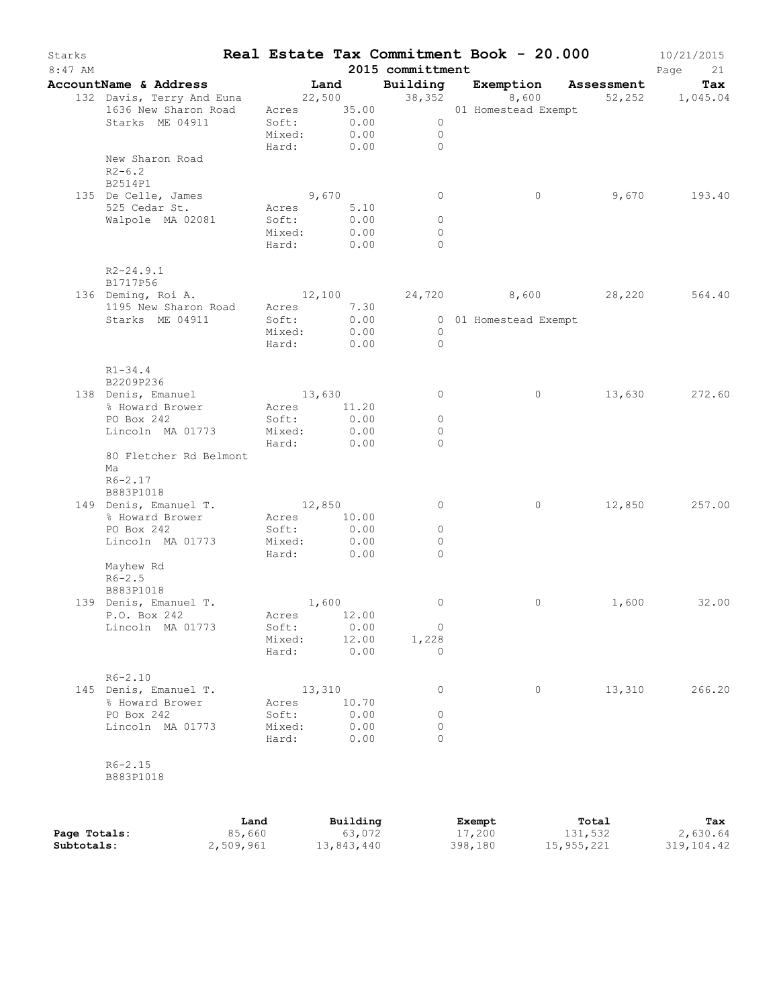| Starks<br>8:47 AM |                                                                                                                       |        |                           |                  |        | 2015 committment | Real Estate Tax Commitment Book - 20.000 |         | 10/21/2015<br>Page<br>21 |
|-------------------|-----------------------------------------------------------------------------------------------------------------------|--------|---------------------------|------------------|--------|------------------|------------------------------------------|---------|--------------------------|
|                   | AccountName & Address [187] Land [18] Building [18] Exemption Assessment                                              |        |                           |                  |        |                  |                                          |         | Tax                      |
|                   |                                                                                                                       |        |                           |                  |        |                  |                                          |         |                          |
|                   | 132 Davis, Terry And Euna 22,500 38,352 8,600 52,252 1,045.04<br>1636 New Sharon Road Acres 35.00 01 Homestead Exempt |        |                           |                  |        |                  |                                          |         |                          |
|                   | Starks ME 04911                                                                                                       |        | Soft: 0.00<br>Mixed: 0.00 |                  |        | $\overline{0}$   |                                          |         |                          |
|                   |                                                                                                                       |        |                           |                  |        | $\overline{0}$   |                                          |         |                          |
|                   |                                                                                                                       |        |                           |                  |        | Hard: 0.00 0     |                                          |         |                          |
|                   | New Sharon Road<br>$R2 - 6.2$<br>B2514P1                                                                              |        |                           |                  |        |                  |                                          |         |                          |
|                   | 135 De Celle, James                                                                                                   |        | 9,670                     |                  |        | $\overline{0}$   | $\overline{0}$                           |         | 9,670 193.40             |
|                   | 525 Cedar St.                                                                                                         |        | Acres 5.10                |                  |        |                  |                                          |         |                          |
|                   | Walpole MA 02081                                                                                                      |        | Soft:                     |                  | 0.00   | $\circ$          |                                          |         |                          |
|                   |                                                                                                                       |        | Mixed:                    | 0.00             |        | $\overline{0}$   |                                          |         |                          |
|                   |                                                                                                                       |        | Hard: 0.00                |                  |        | $\Omega$         |                                          |         |                          |
|                   | $R2 - 24.9.1$<br>B1717P56<br>136 Deming, Roi A. 12,100 24,720 8,600 28,220 564.40                                     |        |                           |                  |        |                  |                                          |         |                          |
|                   |                                                                                                                       |        |                           |                  |        |                  |                                          |         |                          |
|                   | 1195 New Sharon Road Acres 7.30                                                                                       |        |                           |                  |        |                  |                                          |         |                          |
|                   | Starks ME 04911                                                                                                       |        | Soft:<br>Mixed: 0.00      |                  | 0.00   |                  | 0 01 Homestead Exempt                    |         |                          |
|                   |                                                                                                                       |        |                           |                  |        | $\overline{0}$   |                                          |         |                          |
|                   |                                                                                                                       |        | Hard: 0.00                |                  |        | $\overline{0}$   |                                          |         |                          |
|                   | $R1 - 34.4$<br>B2209P236                                                                                              |        |                           |                  |        |                  |                                          |         |                          |
|                   | 138 Denis, Emanuel                                                                                                    |        | 13,630                    |                  |        | $\overline{0}$   | $\circ$                                  |         | 13,630 272.60            |
|                   | % Howard Brower                                                                                                       |        | Acres 11.20               |                  |        |                  |                                          |         |                          |
|                   | PO Box 242                                                                                                            |        | Soft:                     | $0.00$<br>$0.00$ |        | $\circ$          |                                          |         |                          |
|                   | Lincoln MA 01773                                                                                                      |        | Mixed:                    |                  |        | $\circ$          |                                          |         |                          |
|                   |                                                                                                                       |        | Hard: 0.00                |                  |        | $\Omega$         |                                          |         |                          |
|                   | 80 Fletcher Rd Belmont<br>Ma<br>$R6 - 2.17$                                                                           |        |                           |                  |        |                  |                                          |         |                          |
|                   | B883P1018                                                                                                             |        |                           |                  |        |                  |                                          |         |                          |
|                   | 149 Denis, Emanuel T.                                                                                                 |        | 12,850                    |                  |        | $\circ$          | $\circ$                                  | 12,850  | 257.00                   |
|                   | % Howard Brower                                                                                                       |        | Acres 10.00               |                  |        |                  |                                          |         |                          |
|                   | PO Box 242                                                                                                            |        | Soft:                     |                  | 0.00   | $\circ$          |                                          |         |                          |
|                   | Lincoln MA 01773                                                                                                      |        | Mixed:                    | 0.00             |        | $\circ$          |                                          |         |                          |
|                   |                                                                                                                       |        | Hard:                     | 0.00             |        | $\Omega$         |                                          |         |                          |
|                   | Mayhew Rd                                                                                                             |        |                           |                  |        |                  |                                          |         |                          |
|                   | $R6 - 2.5$                                                                                                            |        |                           |                  |        |                  |                                          |         |                          |
|                   | B883P1018                                                                                                             |        |                           |                  |        |                  |                                          |         |                          |
|                   | 139 Denis, Emanuel T.                                                                                                 |        | 1,600                     |                  |        | $\circ$          | $\circ$                                  |         | 1,600 32.00              |
|                   | P.O. Box 242                                                                                                          |        | Acres 12.00               |                  |        |                  |                                          |         |                          |
|                   | Lincoln MA 01773                                                                                                      |        | Soft:                     |                  | 0.00   | 0                |                                          |         |                          |
|                   |                                                                                                                       |        | Mixed:                    |                  | 12.00  | 1,228            |                                          |         |                          |
|                   |                                                                                                                       |        | Hard:                     |                  | 0.00   | $\circ$          |                                          |         |                          |
|                   | $R6 - 2.10$                                                                                                           |        |                           |                  |        |                  |                                          |         |                          |
|                   | 145 Denis, Emanuel T.                                                                                                 |        | 13,310                    |                  |        | 0                | 0                                        | 13,310  | 266.20                   |
|                   | % Howard Brower                                                                                                       |        | Acres                     |                  | 10.70  |                  |                                          |         |                          |
|                   | PO Box 242                                                                                                            |        | Soft:                     |                  | 0.00   | 0                |                                          |         |                          |
|                   | Lincoln MA 01773                                                                                                      |        | Mixed:                    |                  | 0.00   | 0                |                                          |         |                          |
|                   |                                                                                                                       |        | Hard:                     |                  | 0.00   | $\circ$          |                                          |         |                          |
|                   | $R6 - 2.15$                                                                                                           |        |                           |                  |        |                  |                                          |         |                          |
|                   | B883P1018                                                                                                             |        |                           |                  |        |                  |                                          |         |                          |
|                   |                                                                                                                       |        |                           |                  |        |                  |                                          |         |                          |
|                   |                                                                                                                       | Land   |                           | Building         |        |                  | Exempt                                   | Total   | Tax                      |
| Page Totals:      |                                                                                                                       | 85,660 |                           |                  | 63,072 |                  | 17,200                                   | 131,532 | 2,630.64                 |

**Subtotals:** 2,509,961 13,843,440 398,180 15,955,221 319,104.42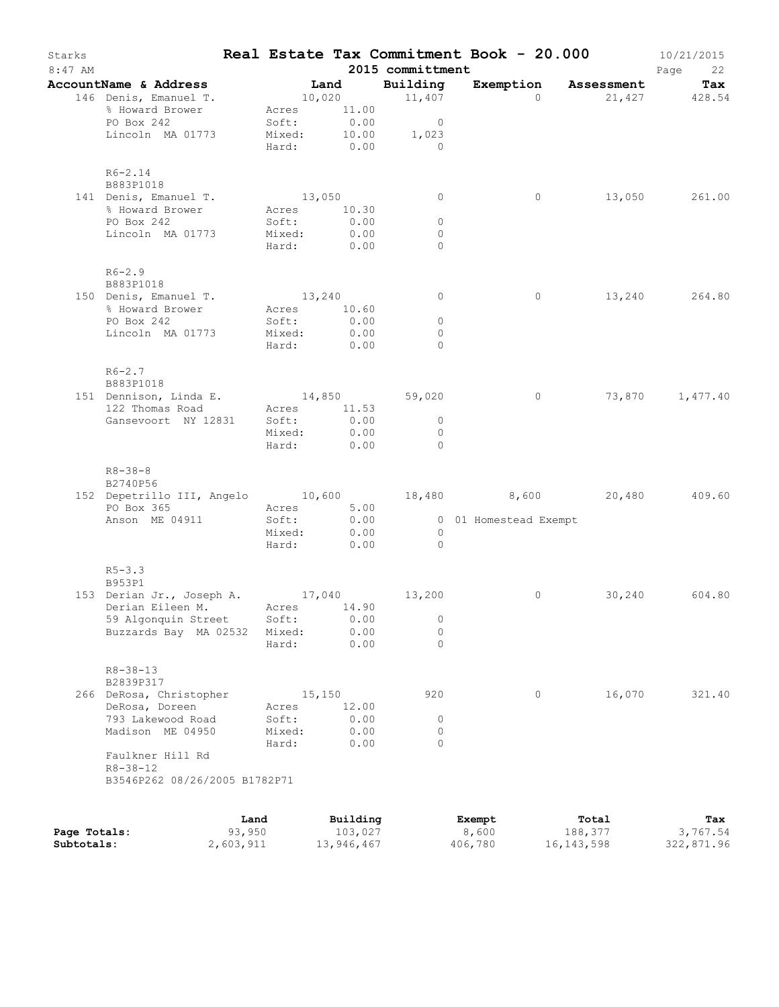| Exemption Assessment<br>Building<br>AccountName & Address<br>Land<br>Tax<br>146 Denis, Emanuel T.<br>10,020 11,407<br>$\Omega$<br>21,427 428.54<br>% Howard Brower<br>Acres 11.00<br>PO Box 242<br>Soft:<br>0.00<br>$\overline{0}$<br>10.00<br>Lincoln MA 01773<br>Mixed:<br>1,023<br>Hard: 0.00<br>$\overline{0}$<br>$R6 - 2.14$<br>B883P1018<br>141 Denis, Emanuel T.<br>13,050<br>$\circ$<br>0<br>% Howard Brower<br>Acres 10.30<br>0.00<br>PO Box 242<br>Soft:<br>$\circ$<br>Lincoln MA 01773<br>Mixed:<br>0.00<br>$\mathbf{0}$<br>Hard: 0.00<br>$\Omega$<br>$R6-2.9$<br>B883P1018<br>150 Denis, Emanuel T.<br>13,240<br>$\overline{0}$<br>$\circ$<br>% Howard Brower<br>Acres 10.60<br>PO Box 242<br>0.00<br>Soft:<br>$\circ$<br>Lincoln MA 01773<br>Mixed:<br>0.00<br>$\circ$<br>Hard: 0.00<br>$\bigcap$<br>$R6 - 2.7$<br>B883P1018<br>14,850 59,020<br>151 Dennison, Linda E.<br>$\circ$<br>122 Thomas Road<br>Acres 11.53<br>0.00<br>Gansevoort NY 12831<br>Soft:<br>$\overline{0}$<br>Mixed:<br>0.00<br>$\circ$<br>Hard: 0.00<br>$\bigcap$<br>$R8 - 38 - 8$<br>B2740P56<br>PO Box 365<br>Acres 5.00<br>Soft: 0.00<br>Anson ME 04911<br>0 01 Homestead Exempt<br>0.00<br>Mixed:<br>$\overline{0}$<br>Hard: 0.00<br>$\overline{0}$<br>$R5 - 3.3$<br>B953P1<br>153 Derian Jr., Joseph A. 17,040 13,200<br>Derian Eileen M. Acres 14.90<br>30,240<br>0<br>59 Algonquin Street<br>Soft:<br>0.00<br>0<br>$\mathbf 0$<br>Buzzards Bay MA 02532<br>Mixed:<br>0.00<br>0.00<br>$\Omega$<br>Hard:<br>$R8 - 38 - 13$<br>B2839P317<br>920<br>16,070<br>266 DeRosa, Christopher<br>15,150<br>0<br>12.00<br>DeRosa, Doreen<br>Acres<br>0.00<br>793 Lakewood Road<br>Soft:<br>0<br>Madison ME 04950<br>0.00<br>$\circ$<br>Mixed:<br>Hard:<br>0.00<br>$\Omega$<br>Faulkner Hill Rd<br>$R8 - 38 - 12$<br>B3546P262 08/26/2005 B1782P71<br>Building<br>Land<br>Exempt<br>Total<br>Tax<br>93,950<br>103,027<br>8,600<br>188,377<br>Page Totals:<br>Subtotals:<br>2,603,911<br>13,946,467<br>406,780<br>16, 143, 598 | Starks<br>$8:47$ AM |  |  | 2015 committment | Real Estate Tax Commitment Book - 20.000 | 10/21/2015<br>Page<br>22 |
|----------------------------------------------------------------------------------------------------------------------------------------------------------------------------------------------------------------------------------------------------------------------------------------------------------------------------------------------------------------------------------------------------------------------------------------------------------------------------------------------------------------------------------------------------------------------------------------------------------------------------------------------------------------------------------------------------------------------------------------------------------------------------------------------------------------------------------------------------------------------------------------------------------------------------------------------------------------------------------------------------------------------------------------------------------------------------------------------------------------------------------------------------------------------------------------------------------------------------------------------------------------------------------------------------------------------------------------------------------------------------------------------------------------------------------------------------------------------------------------------------------------------------------------------------------------------------------------------------------------------------------------------------------------------------------------------------------------------------------------------------------------------------------------------------------------------------------------------------------------------------------------------------------------------------------------------------------------------------------------------------------|---------------------|--|--|------------------|------------------------------------------|--------------------------|
|                                                                                                                                                                                                                                                                                                                                                                                                                                                                                                                                                                                                                                                                                                                                                                                                                                                                                                                                                                                                                                                                                                                                                                                                                                                                                                                                                                                                                                                                                                                                                                                                                                                                                                                                                                                                                                                                                                                                                                                                          |                     |  |  |                  |                                          |                          |
| 13,050 261.00<br>13,240 264.80<br>73,870 1,477.40<br>152 Depetrillo III, Angelo 10,600 18,480 8,600 20,480 409.60<br>604.80<br>321.40<br>3,767.54<br>322,871.96                                                                                                                                                                                                                                                                                                                                                                                                                                                                                                                                                                                                                                                                                                                                                                                                                                                                                                                                                                                                                                                                                                                                                                                                                                                                                                                                                                                                                                                                                                                                                                                                                                                                                                                                                                                                                                          |                     |  |  |                  |                                          |                          |
|                                                                                                                                                                                                                                                                                                                                                                                                                                                                                                                                                                                                                                                                                                                                                                                                                                                                                                                                                                                                                                                                                                                                                                                                                                                                                                                                                                                                                                                                                                                                                                                                                                                                                                                                                                                                                                                                                                                                                                                                          |                     |  |  |                  |                                          |                          |
|                                                                                                                                                                                                                                                                                                                                                                                                                                                                                                                                                                                                                                                                                                                                                                                                                                                                                                                                                                                                                                                                                                                                                                                                                                                                                                                                                                                                                                                                                                                                                                                                                                                                                                                                                                                                                                                                                                                                                                                                          |                     |  |  |                  |                                          |                          |
|                                                                                                                                                                                                                                                                                                                                                                                                                                                                                                                                                                                                                                                                                                                                                                                                                                                                                                                                                                                                                                                                                                                                                                                                                                                                                                                                                                                                                                                                                                                                                                                                                                                                                                                                                                                                                                                                                                                                                                                                          |                     |  |  |                  |                                          |                          |
|                                                                                                                                                                                                                                                                                                                                                                                                                                                                                                                                                                                                                                                                                                                                                                                                                                                                                                                                                                                                                                                                                                                                                                                                                                                                                                                                                                                                                                                                                                                                                                                                                                                                                                                                                                                                                                                                                                                                                                                                          |                     |  |  |                  |                                          |                          |
|                                                                                                                                                                                                                                                                                                                                                                                                                                                                                                                                                                                                                                                                                                                                                                                                                                                                                                                                                                                                                                                                                                                                                                                                                                                                                                                                                                                                                                                                                                                                                                                                                                                                                                                                                                                                                                                                                                                                                                                                          |                     |  |  |                  |                                          |                          |
|                                                                                                                                                                                                                                                                                                                                                                                                                                                                                                                                                                                                                                                                                                                                                                                                                                                                                                                                                                                                                                                                                                                                                                                                                                                                                                                                                                                                                                                                                                                                                                                                                                                                                                                                                                                                                                                                                                                                                                                                          |                     |  |  |                  |                                          |                          |
|                                                                                                                                                                                                                                                                                                                                                                                                                                                                                                                                                                                                                                                                                                                                                                                                                                                                                                                                                                                                                                                                                                                                                                                                                                                                                                                                                                                                                                                                                                                                                                                                                                                                                                                                                                                                                                                                                                                                                                                                          |                     |  |  |                  |                                          |                          |
|                                                                                                                                                                                                                                                                                                                                                                                                                                                                                                                                                                                                                                                                                                                                                                                                                                                                                                                                                                                                                                                                                                                                                                                                                                                                                                                                                                                                                                                                                                                                                                                                                                                                                                                                                                                                                                                                                                                                                                                                          |                     |  |  |                  |                                          |                          |
|                                                                                                                                                                                                                                                                                                                                                                                                                                                                                                                                                                                                                                                                                                                                                                                                                                                                                                                                                                                                                                                                                                                                                                                                                                                                                                                                                                                                                                                                                                                                                                                                                                                                                                                                                                                                                                                                                                                                                                                                          |                     |  |  |                  |                                          |                          |
|                                                                                                                                                                                                                                                                                                                                                                                                                                                                                                                                                                                                                                                                                                                                                                                                                                                                                                                                                                                                                                                                                                                                                                                                                                                                                                                                                                                                                                                                                                                                                                                                                                                                                                                                                                                                                                                                                                                                                                                                          |                     |  |  |                  |                                          |                          |
|                                                                                                                                                                                                                                                                                                                                                                                                                                                                                                                                                                                                                                                                                                                                                                                                                                                                                                                                                                                                                                                                                                                                                                                                                                                                                                                                                                                                                                                                                                                                                                                                                                                                                                                                                                                                                                                                                                                                                                                                          |                     |  |  |                  |                                          |                          |
|                                                                                                                                                                                                                                                                                                                                                                                                                                                                                                                                                                                                                                                                                                                                                                                                                                                                                                                                                                                                                                                                                                                                                                                                                                                                                                                                                                                                                                                                                                                                                                                                                                                                                                                                                                                                                                                                                                                                                                                                          |                     |  |  |                  |                                          |                          |
|                                                                                                                                                                                                                                                                                                                                                                                                                                                                                                                                                                                                                                                                                                                                                                                                                                                                                                                                                                                                                                                                                                                                                                                                                                                                                                                                                                                                                                                                                                                                                                                                                                                                                                                                                                                                                                                                                                                                                                                                          |                     |  |  |                  |                                          |                          |
|                                                                                                                                                                                                                                                                                                                                                                                                                                                                                                                                                                                                                                                                                                                                                                                                                                                                                                                                                                                                                                                                                                                                                                                                                                                                                                                                                                                                                                                                                                                                                                                                                                                                                                                                                                                                                                                                                                                                                                                                          |                     |  |  |                  |                                          |                          |
|                                                                                                                                                                                                                                                                                                                                                                                                                                                                                                                                                                                                                                                                                                                                                                                                                                                                                                                                                                                                                                                                                                                                                                                                                                                                                                                                                                                                                                                                                                                                                                                                                                                                                                                                                                                                                                                                                                                                                                                                          |                     |  |  |                  |                                          |                          |
|                                                                                                                                                                                                                                                                                                                                                                                                                                                                                                                                                                                                                                                                                                                                                                                                                                                                                                                                                                                                                                                                                                                                                                                                                                                                                                                                                                                                                                                                                                                                                                                                                                                                                                                                                                                                                                                                                                                                                                                                          |                     |  |  |                  |                                          |                          |
|                                                                                                                                                                                                                                                                                                                                                                                                                                                                                                                                                                                                                                                                                                                                                                                                                                                                                                                                                                                                                                                                                                                                                                                                                                                                                                                                                                                                                                                                                                                                                                                                                                                                                                                                                                                                                                                                                                                                                                                                          |                     |  |  |                  |                                          |                          |
|                                                                                                                                                                                                                                                                                                                                                                                                                                                                                                                                                                                                                                                                                                                                                                                                                                                                                                                                                                                                                                                                                                                                                                                                                                                                                                                                                                                                                                                                                                                                                                                                                                                                                                                                                                                                                                                                                                                                                                                                          |                     |  |  |                  |                                          |                          |
|                                                                                                                                                                                                                                                                                                                                                                                                                                                                                                                                                                                                                                                                                                                                                                                                                                                                                                                                                                                                                                                                                                                                                                                                                                                                                                                                                                                                                                                                                                                                                                                                                                                                                                                                                                                                                                                                                                                                                                                                          |                     |  |  |                  |                                          |                          |
|                                                                                                                                                                                                                                                                                                                                                                                                                                                                                                                                                                                                                                                                                                                                                                                                                                                                                                                                                                                                                                                                                                                                                                                                                                                                                                                                                                                                                                                                                                                                                                                                                                                                                                                                                                                                                                                                                                                                                                                                          |                     |  |  |                  |                                          |                          |
|                                                                                                                                                                                                                                                                                                                                                                                                                                                                                                                                                                                                                                                                                                                                                                                                                                                                                                                                                                                                                                                                                                                                                                                                                                                                                                                                                                                                                                                                                                                                                                                                                                                                                                                                                                                                                                                                                                                                                                                                          |                     |  |  |                  |                                          |                          |
|                                                                                                                                                                                                                                                                                                                                                                                                                                                                                                                                                                                                                                                                                                                                                                                                                                                                                                                                                                                                                                                                                                                                                                                                                                                                                                                                                                                                                                                                                                                                                                                                                                                                                                                                                                                                                                                                                                                                                                                                          |                     |  |  |                  |                                          |                          |
|                                                                                                                                                                                                                                                                                                                                                                                                                                                                                                                                                                                                                                                                                                                                                                                                                                                                                                                                                                                                                                                                                                                                                                                                                                                                                                                                                                                                                                                                                                                                                                                                                                                                                                                                                                                                                                                                                                                                                                                                          |                     |  |  |                  |                                          |                          |
|                                                                                                                                                                                                                                                                                                                                                                                                                                                                                                                                                                                                                                                                                                                                                                                                                                                                                                                                                                                                                                                                                                                                                                                                                                                                                                                                                                                                                                                                                                                                                                                                                                                                                                                                                                                                                                                                                                                                                                                                          |                     |  |  |                  |                                          |                          |
|                                                                                                                                                                                                                                                                                                                                                                                                                                                                                                                                                                                                                                                                                                                                                                                                                                                                                                                                                                                                                                                                                                                                                                                                                                                                                                                                                                                                                                                                                                                                                                                                                                                                                                                                                                                                                                                                                                                                                                                                          |                     |  |  |                  |                                          |                          |
|                                                                                                                                                                                                                                                                                                                                                                                                                                                                                                                                                                                                                                                                                                                                                                                                                                                                                                                                                                                                                                                                                                                                                                                                                                                                                                                                                                                                                                                                                                                                                                                                                                                                                                                                                                                                                                                                                                                                                                                                          |                     |  |  |                  |                                          |                          |
|                                                                                                                                                                                                                                                                                                                                                                                                                                                                                                                                                                                                                                                                                                                                                                                                                                                                                                                                                                                                                                                                                                                                                                                                                                                                                                                                                                                                                                                                                                                                                                                                                                                                                                                                                                                                                                                                                                                                                                                                          |                     |  |  |                  |                                          |                          |
|                                                                                                                                                                                                                                                                                                                                                                                                                                                                                                                                                                                                                                                                                                                                                                                                                                                                                                                                                                                                                                                                                                                                                                                                                                                                                                                                                                                                                                                                                                                                                                                                                                                                                                                                                                                                                                                                                                                                                                                                          |                     |  |  |                  |                                          |                          |
|                                                                                                                                                                                                                                                                                                                                                                                                                                                                                                                                                                                                                                                                                                                                                                                                                                                                                                                                                                                                                                                                                                                                                                                                                                                                                                                                                                                                                                                                                                                                                                                                                                                                                                                                                                                                                                                                                                                                                                                                          |                     |  |  |                  |                                          |                          |
|                                                                                                                                                                                                                                                                                                                                                                                                                                                                                                                                                                                                                                                                                                                                                                                                                                                                                                                                                                                                                                                                                                                                                                                                                                                                                                                                                                                                                                                                                                                                                                                                                                                                                                                                                                                                                                                                                                                                                                                                          |                     |  |  |                  |                                          |                          |
|                                                                                                                                                                                                                                                                                                                                                                                                                                                                                                                                                                                                                                                                                                                                                                                                                                                                                                                                                                                                                                                                                                                                                                                                                                                                                                                                                                                                                                                                                                                                                                                                                                                                                                                                                                                                                                                                                                                                                                                                          |                     |  |  |                  |                                          |                          |
|                                                                                                                                                                                                                                                                                                                                                                                                                                                                                                                                                                                                                                                                                                                                                                                                                                                                                                                                                                                                                                                                                                                                                                                                                                                                                                                                                                                                                                                                                                                                                                                                                                                                                                                                                                                                                                                                                                                                                                                                          |                     |  |  |                  |                                          |                          |
|                                                                                                                                                                                                                                                                                                                                                                                                                                                                                                                                                                                                                                                                                                                                                                                                                                                                                                                                                                                                                                                                                                                                                                                                                                                                                                                                                                                                                                                                                                                                                                                                                                                                                                                                                                                                                                                                                                                                                                                                          |                     |  |  |                  |                                          |                          |
|                                                                                                                                                                                                                                                                                                                                                                                                                                                                                                                                                                                                                                                                                                                                                                                                                                                                                                                                                                                                                                                                                                                                                                                                                                                                                                                                                                                                                                                                                                                                                                                                                                                                                                                                                                                                                                                                                                                                                                                                          |                     |  |  |                  |                                          |                          |
|                                                                                                                                                                                                                                                                                                                                                                                                                                                                                                                                                                                                                                                                                                                                                                                                                                                                                                                                                                                                                                                                                                                                                                                                                                                                                                                                                                                                                                                                                                                                                                                                                                                                                                                                                                                                                                                                                                                                                                                                          |                     |  |  |                  |                                          |                          |
|                                                                                                                                                                                                                                                                                                                                                                                                                                                                                                                                                                                                                                                                                                                                                                                                                                                                                                                                                                                                                                                                                                                                                                                                                                                                                                                                                                                                                                                                                                                                                                                                                                                                                                                                                                                                                                                                                                                                                                                                          |                     |  |  |                  |                                          |                          |
|                                                                                                                                                                                                                                                                                                                                                                                                                                                                                                                                                                                                                                                                                                                                                                                                                                                                                                                                                                                                                                                                                                                                                                                                                                                                                                                                                                                                                                                                                                                                                                                                                                                                                                                                                                                                                                                                                                                                                                                                          |                     |  |  |                  |                                          |                          |
|                                                                                                                                                                                                                                                                                                                                                                                                                                                                                                                                                                                                                                                                                                                                                                                                                                                                                                                                                                                                                                                                                                                                                                                                                                                                                                                                                                                                                                                                                                                                                                                                                                                                                                                                                                                                                                                                                                                                                                                                          |                     |  |  |                  |                                          |                          |
|                                                                                                                                                                                                                                                                                                                                                                                                                                                                                                                                                                                                                                                                                                                                                                                                                                                                                                                                                                                                                                                                                                                                                                                                                                                                                                                                                                                                                                                                                                                                                                                                                                                                                                                                                                                                                                                                                                                                                                                                          |                     |  |  |                  |                                          |                          |
|                                                                                                                                                                                                                                                                                                                                                                                                                                                                                                                                                                                                                                                                                                                                                                                                                                                                                                                                                                                                                                                                                                                                                                                                                                                                                                                                                                                                                                                                                                                                                                                                                                                                                                                                                                                                                                                                                                                                                                                                          |                     |  |  |                  |                                          |                          |
|                                                                                                                                                                                                                                                                                                                                                                                                                                                                                                                                                                                                                                                                                                                                                                                                                                                                                                                                                                                                                                                                                                                                                                                                                                                                                                                                                                                                                                                                                                                                                                                                                                                                                                                                                                                                                                                                                                                                                                                                          |                     |  |  |                  |                                          |                          |
|                                                                                                                                                                                                                                                                                                                                                                                                                                                                                                                                                                                                                                                                                                                                                                                                                                                                                                                                                                                                                                                                                                                                                                                                                                                                                                                                                                                                                                                                                                                                                                                                                                                                                                                                                                                                                                                                                                                                                                                                          |                     |  |  |                  |                                          |                          |
|                                                                                                                                                                                                                                                                                                                                                                                                                                                                                                                                                                                                                                                                                                                                                                                                                                                                                                                                                                                                                                                                                                                                                                                                                                                                                                                                                                                                                                                                                                                                                                                                                                                                                                                                                                                                                                                                                                                                                                                                          |                     |  |  |                  |                                          |                          |
|                                                                                                                                                                                                                                                                                                                                                                                                                                                                                                                                                                                                                                                                                                                                                                                                                                                                                                                                                                                                                                                                                                                                                                                                                                                                                                                                                                                                                                                                                                                                                                                                                                                                                                                                                                                                                                                                                                                                                                                                          |                     |  |  |                  |                                          |                          |
|                                                                                                                                                                                                                                                                                                                                                                                                                                                                                                                                                                                                                                                                                                                                                                                                                                                                                                                                                                                                                                                                                                                                                                                                                                                                                                                                                                                                                                                                                                                                                                                                                                                                                                                                                                                                                                                                                                                                                                                                          |                     |  |  |                  |                                          |                          |
|                                                                                                                                                                                                                                                                                                                                                                                                                                                                                                                                                                                                                                                                                                                                                                                                                                                                                                                                                                                                                                                                                                                                                                                                                                                                                                                                                                                                                                                                                                                                                                                                                                                                                                                                                                                                                                                                                                                                                                                                          |                     |  |  |                  |                                          |                          |
|                                                                                                                                                                                                                                                                                                                                                                                                                                                                                                                                                                                                                                                                                                                                                                                                                                                                                                                                                                                                                                                                                                                                                                                                                                                                                                                                                                                                                                                                                                                                                                                                                                                                                                                                                                                                                                                                                                                                                                                                          |                     |  |  |                  |                                          |                          |
|                                                                                                                                                                                                                                                                                                                                                                                                                                                                                                                                                                                                                                                                                                                                                                                                                                                                                                                                                                                                                                                                                                                                                                                                                                                                                                                                                                                                                                                                                                                                                                                                                                                                                                                                                                                                                                                                                                                                                                                                          |                     |  |  |                  |                                          |                          |
|                                                                                                                                                                                                                                                                                                                                                                                                                                                                                                                                                                                                                                                                                                                                                                                                                                                                                                                                                                                                                                                                                                                                                                                                                                                                                                                                                                                                                                                                                                                                                                                                                                                                                                                                                                                                                                                                                                                                                                                                          |                     |  |  |                  |                                          |                          |
|                                                                                                                                                                                                                                                                                                                                                                                                                                                                                                                                                                                                                                                                                                                                                                                                                                                                                                                                                                                                                                                                                                                                                                                                                                                                                                                                                                                                                                                                                                                                                                                                                                                                                                                                                                                                                                                                                                                                                                                                          |                     |  |  |                  |                                          |                          |
|                                                                                                                                                                                                                                                                                                                                                                                                                                                                                                                                                                                                                                                                                                                                                                                                                                                                                                                                                                                                                                                                                                                                                                                                                                                                                                                                                                                                                                                                                                                                                                                                                                                                                                                                                                                                                                                                                                                                                                                                          |                     |  |  |                  |                                          |                          |
|                                                                                                                                                                                                                                                                                                                                                                                                                                                                                                                                                                                                                                                                                                                                                                                                                                                                                                                                                                                                                                                                                                                                                                                                                                                                                                                                                                                                                                                                                                                                                                                                                                                                                                                                                                                                                                                                                                                                                                                                          |                     |  |  |                  |                                          |                          |
|                                                                                                                                                                                                                                                                                                                                                                                                                                                                                                                                                                                                                                                                                                                                                                                                                                                                                                                                                                                                                                                                                                                                                                                                                                                                                                                                                                                                                                                                                                                                                                                                                                                                                                                                                                                                                                                                                                                                                                                                          |                     |  |  |                  |                                          |                          |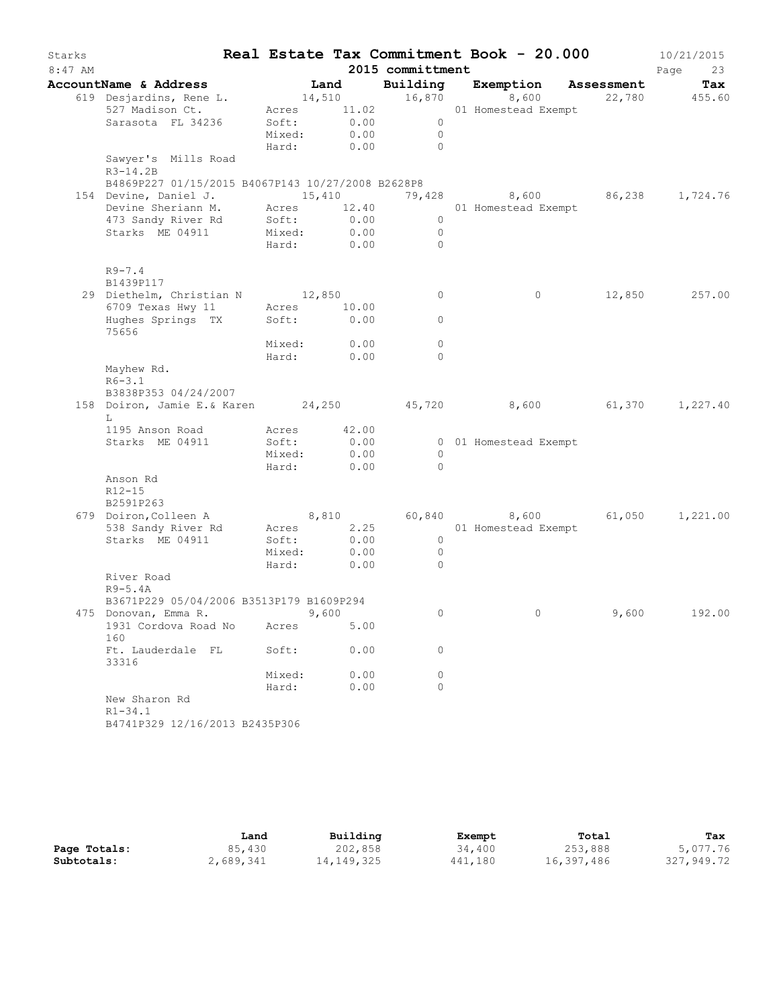| Starks    |                                                                 |                                                                                                               |                                     |                  | Real Estate Tax Commitment Book - 20.000 |       | 10/21/2015    |
|-----------|-----------------------------------------------------------------|---------------------------------------------------------------------------------------------------------------|-------------------------------------|------------------|------------------------------------------|-------|---------------|
| $8:47$ AM |                                                                 |                                                                                                               |                                     | 2015 committment |                                          |       | Page<br>23    |
|           | AccountName & Address                                           |                                                                                                               | Land                                |                  | Building Exemption Assessment            |       | Tax           |
|           | 619 Desjardins, Rene L.                                         |                                                                                                               |                                     | 14,510 16,870    | 8,600                                    |       | 22,780 455.60 |
|           | 527 Madison Ct.                                                 |                                                                                                               |                                     | Acres 11.02      | 01 Homestead Exempt                      |       |               |
|           | Sarasota FL 34236                                               | $\begin{array}{ccc}\n & \cdots \\  \text{Mixed:} & 0.00 \\  & \cdots \\  & \cdots \\  & \cdots\n \end{array}$ |                                     | $\overline{0}$   |                                          |       |               |
|           |                                                                 |                                                                                                               |                                     | $\overline{0}$   |                                          |       |               |
|           | Sawyer's Mills Road                                             |                                                                                                               |                                     | Hard: 0.00 0     |                                          |       |               |
|           | $R3-14.2B$                                                      |                                                                                                               |                                     |                  |                                          |       |               |
|           | B4869P227 01/15/2015 B4067P143 10/27/2008 B2628P8               |                                                                                                               |                                     |                  |                                          |       |               |
|           | 154 Devine, Daniel J. 15,410 19,428 8,600 86,238 1,724.76       |                                                                                                               |                                     |                  |                                          |       |               |
|           | Devine Sheriann M. Acres 12.40                                  |                                                                                                               |                                     |                  | 01 Homestead Exempt                      |       |               |
|           | 473 Sandy River Rd                                              | Soft:                                                                                                         | 0.00                                | $\overline{0}$   |                                          |       |               |
|           | Starks ME 04911 Mixed: 0.00                                     |                                                                                                               |                                     | $\overline{0}$   |                                          |       |               |
|           |                                                                 |                                                                                                               | Hard: 0.00                          | $\overline{0}$   |                                          |       |               |
|           | $R9 - 7.4$                                                      |                                                                                                               |                                     |                  |                                          |       |               |
|           | B1439P117                                                       |                                                                                                               |                                     |                  |                                          |       |               |
|           | 29 Diethelm, Christian N 12,850                                 |                                                                                                               |                                     | $\overline{0}$   | $\circ$                                  |       | 12,850 257.00 |
|           | 6709 Texas Hwy 11 Acres 10.00                                   |                                                                                                               |                                     |                  |                                          |       |               |
|           | Hughes Springs TX                                               | Soft:                                                                                                         | 0.00                                | $\circ$          |                                          |       |               |
|           | 75656                                                           |                                                                                                               |                                     |                  |                                          |       |               |
|           |                                                                 | Mixed:                                                                                                        | 0.00                                | $\circ$          |                                          |       |               |
|           |                                                                 |                                                                                                               | $\texttt{Hard:} \qquad \qquad 0.00$ | $\circ$          |                                          |       |               |
|           | Mayhew Rd.                                                      |                                                                                                               |                                     |                  |                                          |       |               |
|           | $R6 - 3.1$<br>B3838P353 04/24/2007                              |                                                                                                               |                                     |                  |                                          |       |               |
|           | 158 Doiron, Jamie E.& Karen 24,250 45,720 8,600 61,370 1,227.40 |                                                                                                               |                                     |                  |                                          |       |               |
|           | L                                                               |                                                                                                               |                                     |                  |                                          |       |               |
|           | 1195 Anson Road                                                 | Acres 42.00                                                                                                   |                                     |                  |                                          |       |               |
|           | Starks ME 04911                                                 | Soft:                                                                                                         | 0.00                                |                  | 0 01 Homestead Exempt                    |       |               |
|           |                                                                 | Mixed:                                                                                                        | 0.00                                | $\overline{0}$   |                                          |       |               |
|           |                                                                 |                                                                                                               | Hard: 0.00                          | $\overline{0}$   |                                          |       |               |
|           | Anson Rd                                                        |                                                                                                               |                                     |                  |                                          |       |               |
|           | R12-15                                                          |                                                                                                               |                                     |                  |                                          |       |               |
|           | B2591P263                                                       |                                                                                                               |                                     |                  |                                          |       |               |
|           | 679 Doiron, Colleen A                                           | 8,810                                                                                                         | 2.25                                |                  | 60,840 8,600 61,050 1,221.00             |       |               |
|           | 538 Sandy River Rd<br>Starks ME 04911                           | Acres<br>Soft:                                                                                                | 0.00                                | $\overline{0}$   | 01 Homestead Exempt                      |       |               |
|           |                                                                 | Mixed:                                                                                                        | 0.00                                | $\overline{0}$   |                                          |       |               |
|           |                                                                 | Hard:                                                                                                         | 0.00                                | $\circ$          |                                          |       |               |
|           | River Road                                                      |                                                                                                               |                                     |                  |                                          |       |               |
|           | $R9-5.4A$                                                       |                                                                                                               |                                     |                  |                                          |       |               |
|           | B3671P229 05/04/2006 B3513P179 B1609P294                        |                                                                                                               |                                     |                  |                                          |       |               |
|           | 475 Donovan, Emma R.                                            |                                                                                                               | 9,600                               | $\cup$           | $0 \sim$                                 | 9,600 | 192.00        |
|           | 1931 Cordova Road No                                            | Acres                                                                                                         | 5.00                                |                  |                                          |       |               |
|           | 160                                                             |                                                                                                               |                                     |                  |                                          |       |               |
|           | Ft. Lauderdale FL                                               | Soft:                                                                                                         | 0.00                                | 0                |                                          |       |               |
|           | 33316                                                           |                                                                                                               |                                     | 0                |                                          |       |               |
|           |                                                                 | Mixed:<br>Hard:                                                                                               | 0.00<br>0.00                        | $\circ$          |                                          |       |               |
|           | New Sharon Rd                                                   |                                                                                                               |                                     |                  |                                          |       |               |
|           | $R1 - 34.1$                                                     |                                                                                                               |                                     |                  |                                          |       |               |
|           | B4741P329 12/16/2013 B2435P306                                  |                                                                                                               |                                     |                  |                                          |       |               |
|           |                                                                 |                                                                                                               |                                     |                  |                                          |       |               |

|              | Land      | Building   | Exempt  | Total      | Tax        |
|--------------|-----------|------------|---------|------------|------------|
| Page Totals: | 85,430    | 202,858    | 34,400  | 253,888    | 5,077.76   |
| Subtotals:   | 2,689,341 | 14,149,325 | 441,180 | 16,397,486 | 327,949.72 |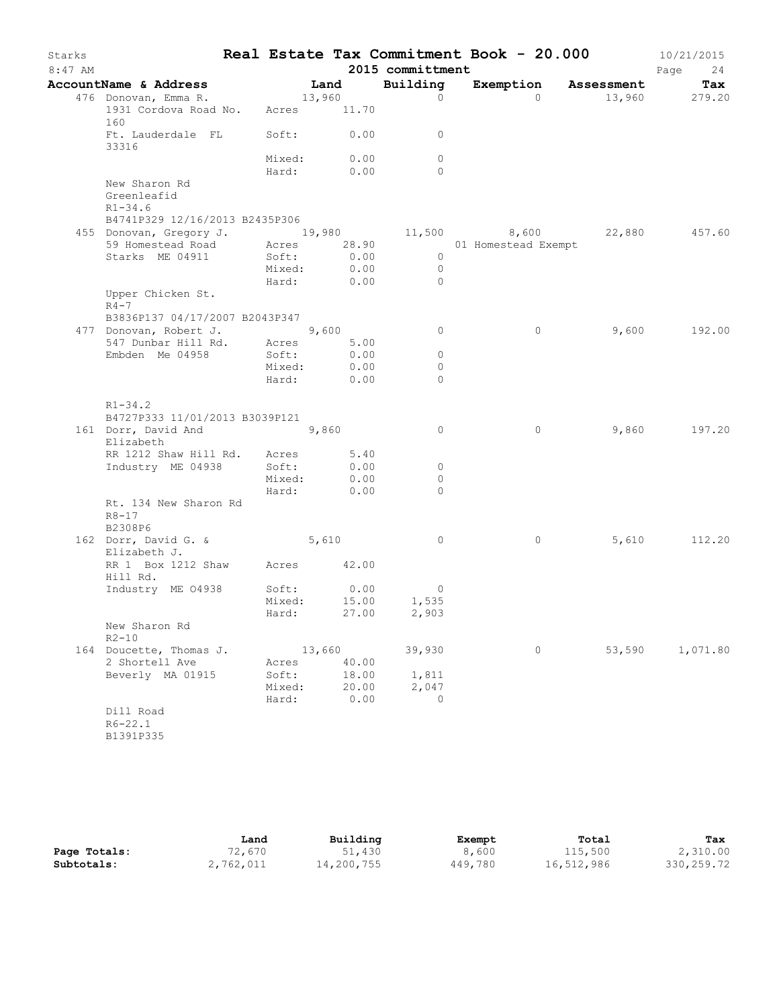| Starks<br>8:47 AM |                                                                                                         |        |            | 2015 committment             | Real Estate Tax Commitment Book - 20.000 |        | 10/21/2015<br>Page<br>24 |
|-------------------|---------------------------------------------------------------------------------------------------------|--------|------------|------------------------------|------------------------------------------|--------|--------------------------|
|                   | AccountName & Address                                                                                   |        | Land       | Building                     | Exemption Assessment                     |        | Tax                      |
|                   | 476 Donovan, Emma R.                                                                                    | 13,960 |            | $\circ$                      | $\Omega$                                 |        | 13,960 279.20            |
|                   | 1931 Cordova Road No. Acres 11.70<br>160                                                                |        |            |                              |                                          |        |                          |
|                   | Ft. Lauderdale FL Soft: 0.00<br>33316                                                                   |        |            | $\circ$                      |                                          |        |                          |
|                   |                                                                                                         | Mixed: | 0.00       | $\circ$                      |                                          |        |                          |
|                   |                                                                                                         |        | Hard: 0.00 | $\Omega$                     |                                          |        |                          |
|                   | New Sharon Rd<br>Greenleafid<br>$R1 - 34.6$                                                             |        |            |                              |                                          |        |                          |
|                   | B4741P329 12/16/2013 B2435P306                                                                          |        |            |                              |                                          |        |                          |
|                   | 455 Donovan, Gregory J. 19,980 11,500 8,600 22,880<br>59 Homestead Road Acres 28.90 01 Homestead Exempt |        |            |                              |                                          |        | 457.60                   |
|                   |                                                                                                         |        |            |                              |                                          |        |                          |
|                   | Starks ME 04911                                                                                         | Soft:  | 0.00       | $\overline{0}$               |                                          |        |                          |
|                   |                                                                                                         | Mixed: | 0.00       | $\overline{0}$<br>$\bigcirc$ |                                          |        |                          |
|                   | Upper Chicken St.                                                                                       | Hard:  | 0.00       |                              |                                          |        |                          |
|                   | $R4-7$<br>B3836P137 04/17/2007 B2043P347                                                                |        |            |                              |                                          |        |                          |
|                   | 477 Donovan, Robert J.                                                                                  | 9,600  |            | $\circ$                      | $\circ$                                  | 9,600  | 192.00                   |
|                   | 547 Dunbar Hill Rd. Acres                                                                               |        | 5.00       |                              |                                          |        |                          |
|                   | Embden Me 04958                                                                                         | Soft:  | 0.00       | $\circ$                      |                                          |        |                          |
|                   |                                                                                                         | Mixed: | 0.00       | $\circ$                      |                                          |        |                          |
|                   |                                                                                                         | Hard:  | 0.00       | $\circ$                      |                                          |        |                          |
|                   | $R1 - 34.2$                                                                                             |        |            |                              |                                          |        |                          |
|                   | B4727P333 11/01/2013 B3039P121                                                                          |        |            | $\circ$                      | $\circ$                                  | 9,860  | 197.20                   |
|                   | 161 Dorr, David And<br>Elizabeth                                                                        |        | 9,860      |                              |                                          |        |                          |
|                   | RR 1212 Shaw Hill Rd. Acres 5.40                                                                        |        |            |                              |                                          |        |                          |
|                   | Industry ME 04938                                                                                       | Soft:  | 0.00       | 0                            |                                          |        |                          |
|                   |                                                                                                         | Mixed: | 0.00       | 0                            |                                          |        |                          |
|                   |                                                                                                         | Hard:  | 0.00       | $\Omega$                     |                                          |        |                          |
|                   | Rt. 134 New Sharon Rd                                                                                   |        |            |                              |                                          |        |                          |
|                   | $R8 - 17$<br>B2308P6                                                                                    |        |            |                              |                                          |        |                          |
|                   | 162 Dorr, David G. &                                                                                    | 5,610  |            | $\overline{0}$               | $\circ$                                  | 5,610  | 112.20                   |
|                   | Elizabeth J.                                                                                            |        |            |                              |                                          |        |                          |
|                   | RR 1 Box 1212 Shaw Acres 42.00<br>Hill Rd.                                                              |        |            |                              |                                          |        |                          |
|                   | Industry ME 04938                                                                                       | Soft:  | 0.00       | $\overline{0}$               |                                          |        |                          |
|                   |                                                                                                         | Mixed: | 15.00      | 1,535                        |                                          |        |                          |
|                   |                                                                                                         | Hard:  | 27.00      | 2,903                        |                                          |        |                          |
|                   | New Sharon Rd<br>$R2 - 10$                                                                              |        |            |                              |                                          |        |                          |
|                   | 164 Doucette, Thomas J.                                                                                 |        | 13,660     | 39,930                       | $\circ$                                  | 53,590 | 1,071.80                 |
|                   | 2 Shortell Ave                                                                                          | Acres  | 40.00      |                              |                                          |        |                          |
|                   | Beverly MA 01915                                                                                        | Soft:  | 18.00      | 1,811                        |                                          |        |                          |
|                   |                                                                                                         | Mixed: | 20.00      | 2,047                        |                                          |        |                          |
|                   |                                                                                                         | Hard:  | 0.00       | $\circ$                      |                                          |        |                          |
|                   | Dill Road<br>$R6 - 22.1$                                                                                |        |            |                              |                                          |        |                          |
|                   | B1391P335                                                                                               |        |            |                              |                                          |        |                          |
|                   |                                                                                                         |        |            |                              |                                          |        |                          |

|              | Land      | Building   | Exempt  | Total      | Tax        |
|--------------|-----------|------------|---------|------------|------------|
| Page Totals: | 72,670    | 51,430     | 8,600   | 115,500    | 2,310.00   |
| Subtotals:   | 2,762,011 | 14,200,755 | 449,780 | 16,512,986 | 330,259.72 |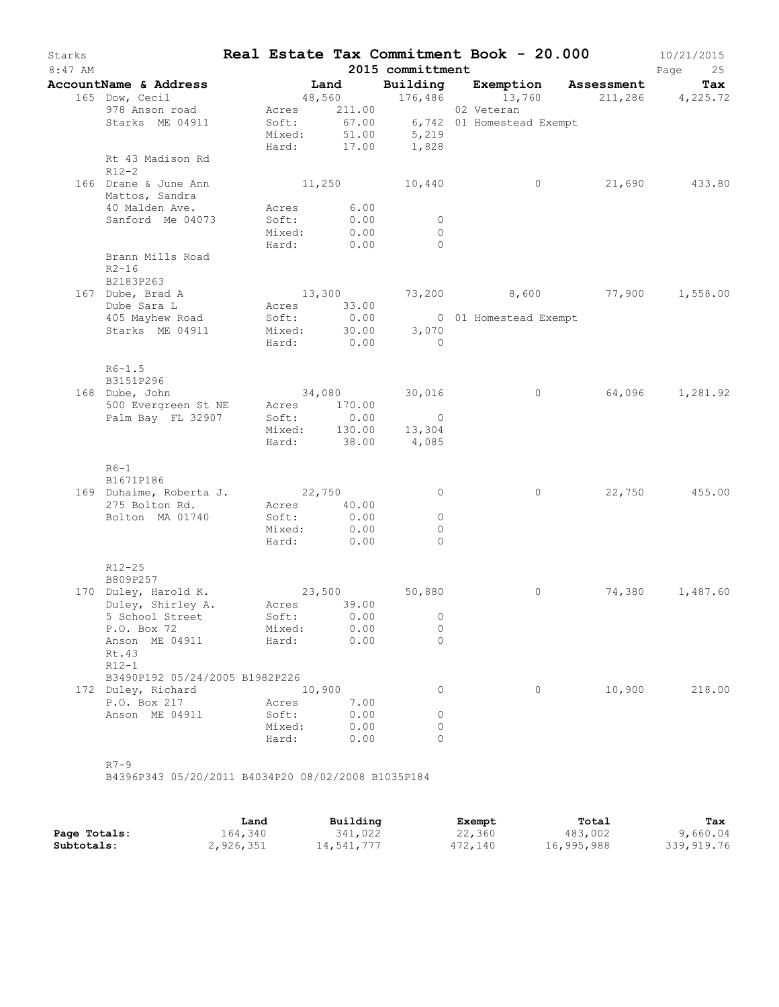| Starks<br>$8:47$ AM |                                            |       |                 |                            | 2015 committment                            | Real Estate Tax Commitment Book - 20.000                                               |        | 10/21/2015<br>Page<br>25 |
|---------------------|--------------------------------------------|-------|-----------------|----------------------------|---------------------------------------------|----------------------------------------------------------------------------------------|--------|--------------------------|
|                     | AccountName & Address                      |       |                 | Land                       |                                             |                                                                                        |        | Tax                      |
|                     | 165 Dow, Cecil                             |       |                 |                            |                                             | Building Exemption Assessment<br>48,560 176,486 13,760 211,286 4,225.72                |        |                          |
|                     | 978 Anson road<br>Starks ME 04911          |       |                 |                            |                                             | Acres 211.00 02 Veteran<br>Soft: 67.00 6,742 01 Homestead Exempt<br>Mixed: 51.00 5,219 |        |                          |
|                     | Rt 43 Madison Rd<br>$R12-2$                |       | Hard:           | 17.00                      | 1,828                                       |                                                                                        |        |                          |
|                     | 166 Drane & June Ann<br>Mattos, Sandra     |       |                 |                            | 11,250 10,440                               | $\circ$                                                                                |        | 21,690 433.80            |
|                     | 40 Malden Ave.                             |       |                 | Acres 6.00                 |                                             |                                                                                        |        |                          |
|                     | Sanford Me 04073                           |       | Soft:<br>Mixed: | 0.00<br>0.00<br>Hard: 0.00 | $\overline{0}$<br>$\circ$<br>$\overline{0}$ |                                                                                        |        |                          |
|                     | Brann Mills Road<br>$R2 - 16$<br>B2183P263 |       |                 |                            |                                             |                                                                                        |        |                          |
|                     | 167 Dube, Brad A                           |       |                 |                            |                                             | 13,300 73,200 8,600 77,900 1,558.00                                                    |        |                          |
|                     | Dube Sara L<br>405 Mayhew Road             |       | Soft:           | Acres 33.00<br>0.00        |                                             | 0 01 Homestead Exempt                                                                  |        |                          |
|                     | Starks ME 04911                            |       |                 |                            | Mixed: 30.00 3,070                          |                                                                                        |        |                          |
|                     |                                            |       |                 | Hard: 0.00                 | $\overline{0}$                              |                                                                                        |        |                          |
|                     | $R6 - 1.5$<br>B3151P296                    |       |                 |                            |                                             |                                                                                        |        |                          |
|                     | 168 Dube, John                             |       |                 |                            | 34,080 30,016                               | $\circ$                                                                                |        | 64,096 1,281.92          |
|                     | 500 Evergreen St NE                        |       |                 | Acres 170.00               |                                             |                                                                                        |        |                          |
|                     | Palm Bay FL 32907                          |       | Soft:           | 0.00                       | $\overline{0}$                              |                                                                                        |        |                          |
|                     |                                            |       |                 |                            | Mixed: 130.00 13,304                        |                                                                                        |        |                          |
|                     |                                            |       |                 |                            | Hard: 38.00 4,085                           |                                                                                        |        |                          |
|                     | $R6-1$<br>B1671P186                        |       |                 |                            |                                             |                                                                                        |        |                          |
|                     | 169 Duhaime, Roberta J. 22,750             |       |                 |                            | $\overline{0}$                              | $\circ$                                                                                |        | 22,750 455.00            |
|                     | 275 Bolton Rd.                             |       |                 | Acres 40.00                |                                             |                                                                                        |        |                          |
|                     | Bolton MA 01740                            |       | Soft:           | 0.00                       | $\circ$                                     |                                                                                        |        |                          |
|                     |                                            |       |                 | Mixed: 0.00                | $\Omega$                                    |                                                                                        |        |                          |
|                     |                                            |       |                 | Hard: 0.00                 | $\Omega$                                    |                                                                                        |        |                          |
|                     | R12-25<br>B809P257                         |       |                 |                            |                                             |                                                                                        |        |                          |
|                     | 170 Duley, Harold K.                       |       |                 | 23,500                     | 50,880                                      | 0                                                                                      |        | 74,380 1,487.60          |
|                     | Duley, Shirley A. Acres 39.00              |       |                 |                            |                                             |                                                                                        |        |                          |
|                     | 5 School Street                            |       |                 |                            | Soft: 0.00 0                                |                                                                                        |        |                          |
|                     | P.O. Box 72                                |       | Mixed:          | 0.00                       | 0                                           |                                                                                        |        |                          |
|                     | Anson ME 04911<br>Rt.43<br>$R12-1$         | Hard: |                 | 0.00                       | $\Omega$                                    |                                                                                        |        |                          |
|                     | B3490P192 05/24/2005 B1982P226             |       |                 |                            |                                             |                                                                                        |        |                          |
|                     | 172 Duley, Richard                         |       | 10,900          |                            | 0                                           | $\circ$                                                                                | 10,900 | 218.00                   |
|                     | P.O. Box 217                               | Acres |                 | 7.00                       |                                             |                                                                                        |        |                          |
|                     | Anson ME 04911                             |       | Soft:           | 0.00                       | 0                                           |                                                                                        |        |                          |
|                     |                                            |       | Mixed:          | 0.00                       | $\circ$                                     |                                                                                        |        |                          |
|                     |                                            | Hard: |                 | 0.00                       | $\circ$                                     |                                                                                        |        |                          |

B4396P343 05/20/2011 B4034P20 08/02/2008 B1035P184

|              | Land      | Building   | Exempt  | Total      | Tax        |
|--------------|-----------|------------|---------|------------|------------|
| Page Totals: | 164.340   | 341,022    | 22,360  | 483,002    | 9,660.04   |
| Subtotals:   | 2,926,351 | 14,541,777 | 472,140 | 16,995,988 | 339,919.76 |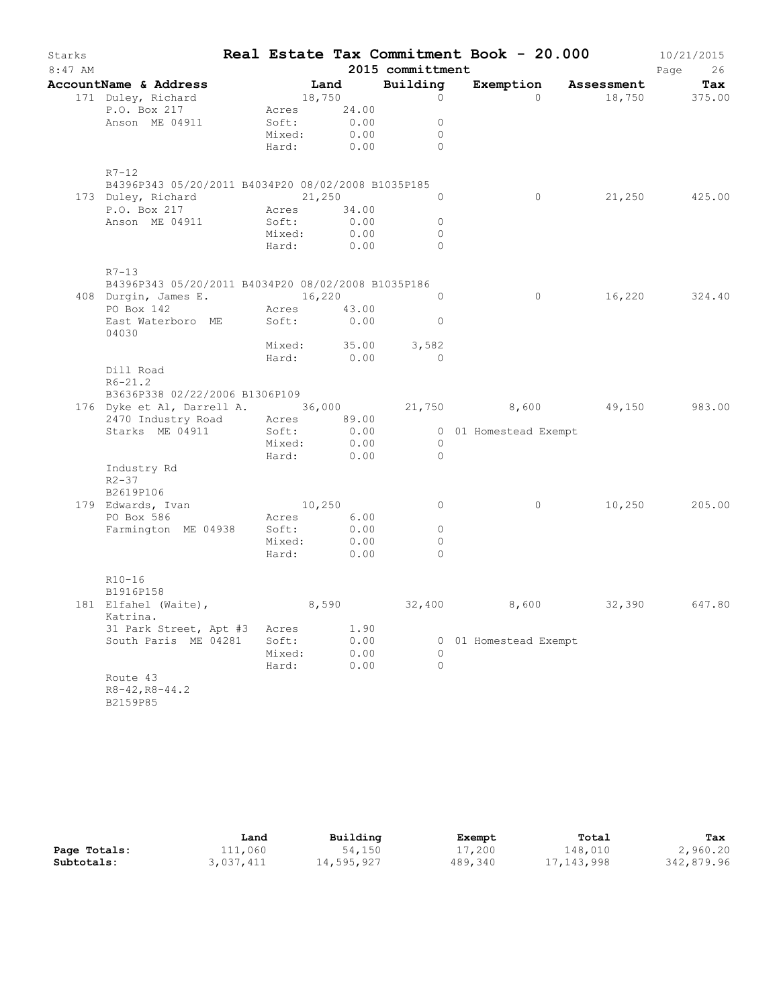| Starks<br>$8:47$ AM |                                                                                   |              |       | 2015 committment | Real Estate Tax Commitment Book - 20.000 |                      | 10/21/2015<br>Page<br>26 |
|---------------------|-----------------------------------------------------------------------------------|--------------|-------|------------------|------------------------------------------|----------------------|--------------------------|
|                     | AccountName & Address                                                             |              | Land  | Building         |                                          | Exemption Assessment | Tax                      |
|                     | 171 Duley, Richard                                                                | 18,750       |       | $\circ$          | $\circ$                                  | 18,750               | 375.00                   |
|                     | P.O. Box 217                                                                      | Acres        | 24.00 |                  |                                          |                      |                          |
|                     | Anson ME 04911                                                                    | Soft:        | 0.00  | $\Omega$         |                                          |                      |                          |
|                     |                                                                                   | Mixed:       | 0.00  | $\circ$          |                                          |                      |                          |
|                     |                                                                                   | Hard:        | 0.00  | $\Omega$         |                                          |                      |                          |
|                     | $R7 - 12$                                                                         |              |       |                  |                                          |                      |                          |
|                     | B4396P343 05/20/2011 B4034P20 08/02/2008 B1035P185                                |              |       |                  |                                          |                      |                          |
|                     | 173 Duley, Richard                                                                | 21,250       |       | $\Omega$         | $\overline{0}$                           |                      | 21,250 425.00            |
|                     | P.O. Box 217                                                                      | Acres 34.00  |       |                  |                                          |                      |                          |
|                     | Anson ME 04911                                                                    | Soft:        | 0.00  | $\circ$          |                                          |                      |                          |
|                     |                                                                                   | Mixed:       | 0.00  | $\Omega$         |                                          |                      |                          |
|                     |                                                                                   | Hard:        | 0.00  | $\Omega$         |                                          |                      |                          |
|                     | $R7 - 13$                                                                         |              |       |                  |                                          |                      |                          |
|                     | B4396P343 05/20/2011 B4034P20 08/02/2008 B1035P186<br>408 Durgin, James E. 16,220 |              |       | $\Omega$         | $\circ$                                  | 16,220               | 324.40                   |
|                     | PO Box 142                                                                        | Acres 43.00  |       |                  |                                          |                      |                          |
|                     | East Waterboro ME<br>04030                                                        | Soft:        | 0.00  | $\circ$          |                                          |                      |                          |
|                     |                                                                                   | Mixed: 35.00 |       | 3,582            |                                          |                      |                          |
|                     |                                                                                   | Hard: 0.00   |       | $\circ$          |                                          |                      |                          |
|                     | Dill Road                                                                         |              |       |                  |                                          |                      |                          |
|                     | $R6 - 21.2$                                                                       |              |       |                  |                                          |                      |                          |
|                     | B3636P338 02/22/2006 B1306P109                                                    |              |       |                  |                                          |                      |                          |
|                     | 176 Dyke et Al, Darrell A. 36,000                                                 |              |       | 21,750           | 8,600                                    | 49,150               | 983.00                   |
|                     | 2470 Industry Road Acres 89.00                                                    |              |       |                  |                                          |                      |                          |
|                     | Starks ME 04911                                                                   | Soft:        | 0.00  |                  | 0 01 Homestead Exempt                    |                      |                          |
|                     |                                                                                   | Mixed:       | 0.00  | $\circ$          |                                          |                      |                          |
|                     |                                                                                   | Hard:        | 0.00  | $\circ$          |                                          |                      |                          |
|                     | Industry Rd                                                                       |              |       |                  |                                          |                      |                          |
|                     | $R2 - 37$                                                                         |              |       |                  |                                          |                      |                          |
|                     | B2619P106                                                                         |              |       |                  |                                          |                      |                          |
|                     | 179 Edwards, Ivan                                                                 | 10,250       |       | $\circ$          | $\circ$                                  | 10,250               | 205.00                   |
|                     | PO Box 586                                                                        | Acres        | 6.00  |                  |                                          |                      |                          |
|                     | Farmington ME 04938                                                               | Soft:        | 0.00  | $\circ$          |                                          |                      |                          |
|                     |                                                                                   | Mixed:       | 0.00  | $\circ$          |                                          |                      |                          |
|                     |                                                                                   | Hard:        | 0.00  | $\Omega$         |                                          |                      |                          |
|                     | $R10 - 16$                                                                        |              |       |                  |                                          |                      |                          |
|                     | B1916P158                                                                         |              |       |                  |                                          |                      |                          |
|                     | 181 Elfahel (Waite),                                                              |              | 8,590 |                  | 32,400 8,600                             | 32,390               | 647.80                   |
|                     | Katrina.                                                                          |              |       |                  |                                          |                      |                          |
|                     | 31 Park Street, Apt #3 Acres                                                      |              | 1.90  |                  |                                          |                      |                          |
|                     | South Paris ME 04281                                                              | Soft:        | 0.00  |                  | 0 01 Homestead Exempt                    |                      |                          |
|                     |                                                                                   | Mixed:       | 0.00  | $\circ$          |                                          |                      |                          |
|                     |                                                                                   | Hard:        | 0.00  | $\circ$          |                                          |                      |                          |
|                     | Route 43<br>$R8 - 42, R8 - 44.2$                                                  |              |       |                  |                                          |                      |                          |
|                     | B2159P85                                                                          |              |       |                  |                                          |                      |                          |

|              | Land      | Building   | Exempt  | Total      | Tax        |
|--------------|-----------|------------|---------|------------|------------|
| Page Totals: | 111,060   | 54,150     | 17,200  | 148,010    | 2,960.20   |
| Subtotals:   | 3,037,411 | 14,595,927 | 489,340 | 17,143,998 | 342,879.96 |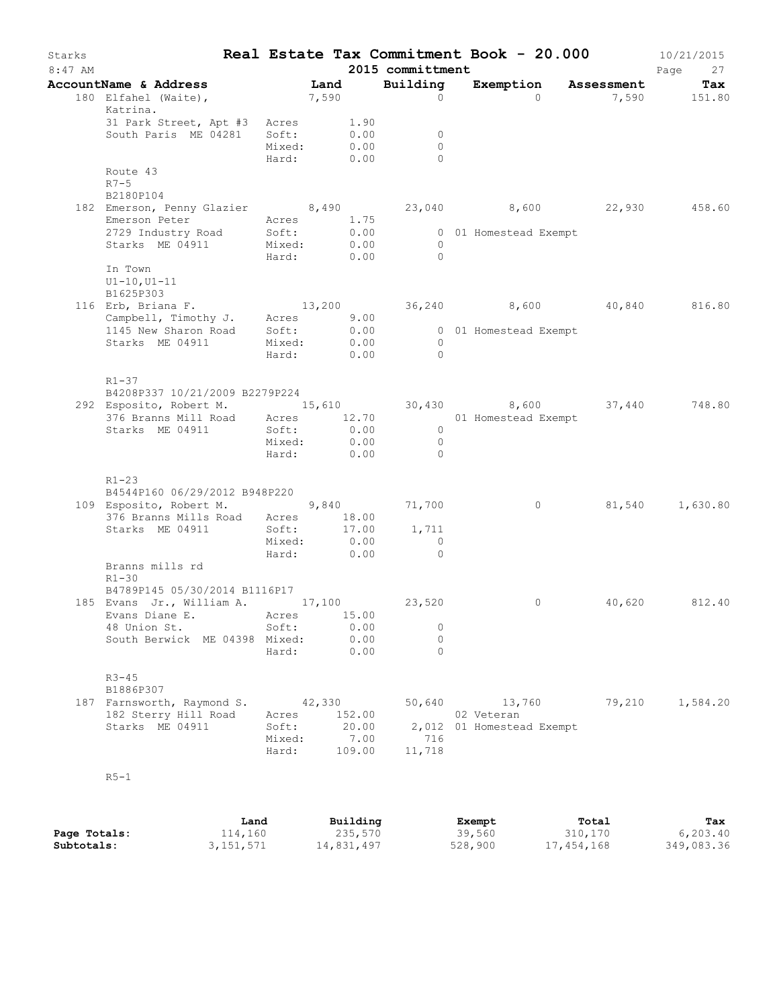| Starks<br>$8:47$ AM |                                                                                                                    |                             |                        | 2015 committment                           | Real Estate Tax Commitment Book - 20.000 |               | 10/21/2015<br>Page<br>27 |
|---------------------|--------------------------------------------------------------------------------------------------------------------|-----------------------------|------------------------|--------------------------------------------|------------------------------------------|---------------|--------------------------|
|                     | AccountName & Address                                                                                              |                             |                        | Building                                   | Exemption Assessment                     |               | Tax                      |
|                     | 180 Elfahel (Waite),<br>Katrina.                                                                                   | Land<br>7,590               |                        | $\Omega$                                   | $\Omega$                                 |               | 7,590 151.80             |
|                     | 31 Park Street, Apt #3 Acres<br>South Paris ME 04281                                                               | Soft:<br>Mixed:             | $1.90$<br>0.00<br>0.00 | $\overline{\phantom{0}}$<br>$\overline{0}$ |                                          |               |                          |
|                     |                                                                                                                    | Hard: 0.00                  |                        | $\Omega$                                   |                                          |               |                          |
|                     | Route 43<br>$R7-5$<br>B2180P104                                                                                    |                             |                        |                                            |                                          |               |                          |
|                     | 182 Emerson, Penny Glazier 8,490 23,040 8,600 22,930 458.60                                                        |                             |                        |                                            |                                          |               |                          |
|                     | Emerson Peter<br>Acres 1.75                                                                                        |                             |                        |                                            |                                          |               |                          |
|                     | 2729 Industry Road Soft: 0.00                                                                                      |                             |                        | $\overline{0}$                             | 0 01 Homestead Exempt                    |               |                          |
|                     | Starks ME 04911 Mixed: 0.00<br>Hard: 0.00 Hard: 0.00                                                               |                             |                        | $\bigcirc$                                 |                                          |               |                          |
|                     | In Town<br>$UI-10, UI-11$<br>B1625P303                                                                             |                             |                        |                                            |                                          |               |                          |
|                     | 116 Erb, Briana F. 13,200 36,240 8,600 40,840 816.80<br>Campbell, Timothy J. Acres 9.00 36,240 8,600 40,840 816.80 |                             |                        |                                            |                                          |               |                          |
|                     |                                                                                                                    |                             |                        |                                            |                                          |               |                          |
|                     | 1145 New Sharon Road Soft: 0.00 000 1 Homestead Exempt<br>Starks ME 04911                                          | Mixed:                      |                        | $\overline{0}$                             |                                          |               |                          |
|                     |                                                                                                                    | Mixed: 0.00<br>Hard: 0.00   |                        | $\bigcirc$                                 |                                          |               |                          |
|                     | R1-37<br>B4208P337 10/21/2009 B2279P224                                                                            |                             |                        |                                            |                                          |               |                          |
|                     | 292 Esposito, Robert M. 15,610 30,430 8,600 37,440 748.80<br>376 Branns Mill Road Acres 12.70 01 Homestead Exempt  |                             |                        |                                            |                                          |               |                          |
|                     | Starks ME 04911                                                                                                    | Soft: 0.00                  |                        | $\overline{0}$                             |                                          |               |                          |
|                     |                                                                                                                    | Mixed: 0.00<br>Hard: 0.00   |                        | $\overline{0}$<br>$\bigcirc$               |                                          |               |                          |
|                     | $R1 - 23$<br>B4544P160 06/29/2012 B948P220                                                                         |                             |                        |                                            |                                          |               |                          |
|                     | 109 Esposito, Robert M. 9,840 71,700                                                                               |                             |                        |                                            | $\overline{0}$                           |               | 81,540 1,630.80          |
|                     | 376 Branns Mills Road Acres 18.00                                                                                  |                             |                        |                                            |                                          |               |                          |
|                     | Starks ME 04911                                                                                                    |                             |                        | Soft: 17.00 1,711                          |                                          |               |                          |
|                     |                                                                                                                    | $\frac{1}{2}$<br>Hard: 0.00 |                        | $\overline{0}$<br>$\overline{0}$           |                                          |               |                          |
|                     | Branns mills rd                                                                                                    |                             |                        |                                            |                                          |               |                          |
|                     | $R1 - 30$                                                                                                          |                             |                        |                                            |                                          |               |                          |
|                     | B4789P145 05/30/2014 B1116P17                                                                                      |                             |                        |                                            |                                          |               |                          |
|                     | 185 Evans Jr., William A. 17,100 23,520<br>Evans Diane E. Acres 15.00                                              |                             |                        |                                            | $\circ$                                  | 40,620 812.40 |                          |
|                     | 48 Union St.                                                                                                       | Soft:                       | 0.00                   | 0                                          |                                          |               |                          |
|                     | South Berwick ME 04398 Mixed:                                                                                      |                             | 0.00                   | $\circ$                                    |                                          |               |                          |
|                     |                                                                                                                    | Hard:                       | 0.00                   | $\Omega$                                   |                                          |               |                          |
|                     | $R3 - 45$<br>B1886P307                                                                                             |                             |                        |                                            |                                          |               |                          |
|                     | 187 Farnsworth, Raymond S.                                                                                         | 42,330                      |                        |                                            | 50,640 13,760                            | 79,210        | 1,584.20                 |
|                     | 182 Sterry Hill Road                                                                                               | Acres                       | 152.00                 |                                            | 02 Veteran                               |               |                          |
|                     | Starks ME 04911                                                                                                    | Soft:<br>Mixed:             | 20.00<br>7.00          | 716                                        | 2,012 01 Homestead Exempt                |               |                          |
|                     |                                                                                                                    | Hard:                       | 109.00                 | 11,718                                     |                                          |               |                          |
|                     |                                                                                                                    |                             |                        |                                            |                                          |               |                          |
|                     | $R5-1$                                                                                                             |                             |                        |                                            |                                          |               |                          |
|                     |                                                                                                                    |                             |                        |                                            |                                          |               |                          |
|                     |                                                                                                                    |                             |                        |                                            |                                          |               |                          |

|              | Land        | Building   | Exempt  | Total      | Tax        |
|--------------|-------------|------------|---------|------------|------------|
| Page Totals: | 114,160     | 235,570    | 39,560  | 310,170    | 6,203.40   |
| Subtotals:   | 3, 151, 571 | 14,831,497 | 528,900 | 17,454,168 | 349,083.36 |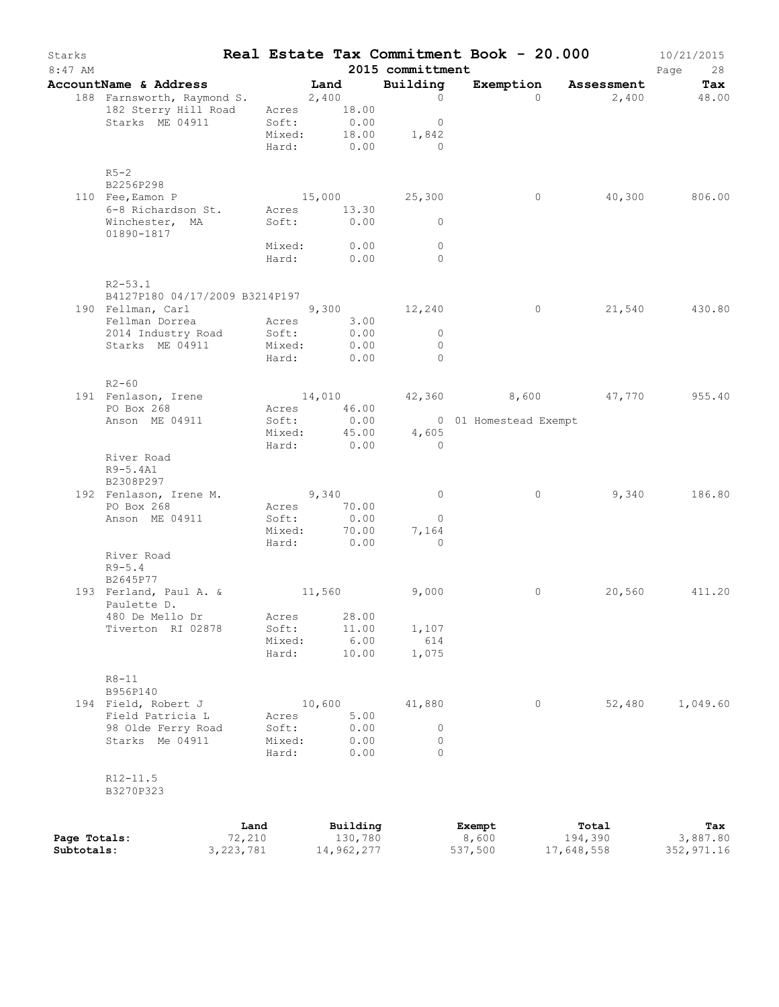| Starks<br>$8:47$ AM |                                                 |                       |        |                     | 2015 committment             | Real Estate Tax Commitment Book - 20.000 |         |                      | 10/21/2015<br>Page<br>28 |
|---------------------|-------------------------------------------------|-----------------------|--------|---------------------|------------------------------|------------------------------------------|---------|----------------------|--------------------------|
|                     | AccountName & Address                           | <b>Example 1</b> Land |        |                     | Building                     |                                          |         | Exemption Assessment | Tax                      |
|                     | 188 Farnsworth, Raymond S. 2,400                |                       |        |                     | $\overline{0}$               |                                          | $\cap$  |                      | 2,400 48.00              |
|                     | 182 Sterry Hill Road                            |                       |        | Acres 18.00         |                              |                                          |         |                      |                          |
|                     | Starks ME 04911                                 |                       | Soft:  | 0.00                | $\overline{0}$               |                                          |         |                      |                          |
|                     |                                                 |                       |        | Mixed: $18.00$      | 1,842                        |                                          |         |                      |                          |
|                     |                                                 |                       |        | Hard: 0.00          | $\overline{0}$               |                                          |         |                      |                          |
|                     |                                                 |                       |        |                     |                              |                                          |         |                      |                          |
|                     | $R5-2$<br>B2256P298                             |                       |        |                     |                              |                                          |         |                      |                          |
|                     | 110 Fee, Eamon P                                |                       |        |                     | 15,000 25,300                |                                          | $\circ$ |                      | 40,300 806.00            |
|                     | 6-8 Richardson St. Acres 13.30                  |                       |        |                     |                              |                                          |         |                      |                          |
|                     | Winchester, MA                                  |                       |        | Soft: 0.00          | $\bigcirc$                   |                                          |         |                      |                          |
|                     | 01890-1817                                      |                       |        |                     |                              |                                          |         |                      |                          |
|                     |                                                 |                       |        | Mixed: 0.00         | $\Omega$                     |                                          |         |                      |                          |
|                     |                                                 |                       | Hard:  | 0.00                | $\Omega$                     |                                          |         |                      |                          |
|                     | $R2 - 53.1$                                     |                       |        |                     |                              |                                          |         |                      |                          |
|                     | B4127P180 04/17/2009 B3214P197                  |                       |        |                     |                              |                                          |         |                      |                          |
|                     | 190 Fellman, Carl 9, 300 12, 240                |                       |        |                     |                              | $\overline{0}$                           |         |                      | 21,540 430.80            |
|                     | Fellman Dorrea Acres 3.00                       |                       |        |                     |                              |                                          |         |                      |                          |
|                     |                                                 |                       |        | 0.00<br>Mixed: 0.00 | $\overline{0}$<br>$\bigcirc$ |                                          |         |                      |                          |
|                     | Starks ME 04911 Soft:<br>Starks ME 04911 Mixed. |                       |        | Hard: 0.00          | $\overline{0}$               |                                          |         |                      |                          |
|                     |                                                 |                       |        |                     |                              |                                          |         |                      |                          |
|                     | $R2 - 60$                                       |                       |        |                     |                              |                                          |         |                      |                          |
|                     | 191 Fenlason, Irene                             |                       |        | 14,010              |                              | 42,360 8,600 47,770 955.40               |         |                      |                          |
|                     | PO Box 268                                      |                       |        | Acres 46.00         |                              |                                          |         |                      |                          |
|                     | Anson ME 04911                                  |                       | Soft:  | 0.00                |                              | 0 01 Homestead Exempt                    |         |                      |                          |
|                     |                                                 |                       | Mixed: | 0.00                | 45.00 4,605<br>$\bigcap$     |                                          |         |                      |                          |
|                     | River Road                                      | Hard:                 |        |                     |                              |                                          |         |                      |                          |
|                     | R9-5.4A1                                        |                       |        |                     |                              |                                          |         |                      |                          |
|                     | B2308P297                                       |                       |        |                     |                              |                                          |         |                      |                          |
|                     | 192 Fenlason, Irene M.                          |                       |        | 9,340               | $\overline{0}$               |                                          | $\circ$ | 9,340                | 186.80                   |
|                     | PO Box 268                                      |                       |        | Acres 70.00         |                              |                                          |         |                      |                          |
|                     | Anson ME 04911                                  | Soft:                 |        | 0.00                | $\overline{0}$               |                                          |         |                      |                          |
|                     |                                                 |                       | Mixed: | 70.00               | 7,164                        |                                          |         |                      |                          |
|                     | River Road                                      |                       |        | Hard: 0.00          | $\overline{0}$               |                                          |         |                      |                          |
|                     | $R9 - 5.4$                                      |                       |        |                     |                              |                                          |         |                      |                          |
|                     | B2645P77                                        |                       |        |                     |                              |                                          |         |                      |                          |
|                     | 193 Ferland, Paul A. &                          |                       |        | 11,560              | 9,000                        |                                          | 0       | 20,560               | 411.20                   |
|                     | Paulette D.                                     |                       |        |                     |                              |                                          |         |                      |                          |
|                     | 480 De Mello Dr                                 |                       |        | Acres 28.00         |                              |                                          |         |                      |                          |
|                     | Tiverton RI 02878                               | Soft:                 |        | 11.00               | 1,107                        |                                          |         |                      |                          |
|                     |                                                 | Mixed:                |        | 6.00                | 614                          |                                          |         |                      |                          |
|                     |                                                 | Hard:                 |        | 10.00               | 1,075                        |                                          |         |                      |                          |
|                     | $R8 - 11$                                       |                       |        |                     |                              |                                          |         |                      |                          |
|                     | B956P140                                        |                       |        |                     |                              |                                          |         |                      |                          |
|                     | 194 Field, Robert J                             |                       | 10,600 |                     | 41,880                       |                                          | $\circ$ | 52,480               | 1,049.60                 |
|                     | Field Patricia L                                | Acres                 |        | 5.00                |                              |                                          |         |                      |                          |
|                     | 98 Olde Ferry Road                              | Soft:                 |        | 0.00                | $\circ$                      |                                          |         |                      |                          |
|                     | Starks Me 04911                                 | Mixed:                |        | 0.00                | $\circ$                      |                                          |         |                      |                          |
|                     |                                                 | Hard:                 |        | 0.00                | $\Omega$                     |                                          |         |                      |                          |
|                     | $R12 - 11.5$                                    |                       |        |                     |                              |                                          |         |                      |                          |
|                     | B3270P323                                       |                       |        |                     |                              |                                          |         |                      |                          |
|                     |                                                 |                       |        |                     |                              |                                          |         |                      |                          |
|                     |                                                 | Land                  |        | Building            |                              | Exempt                                   |         | Total                | Tax                      |
| Page Totals:        |                                                 | 72,210                |        | 130,780             |                              | 8,600                                    |         | 194,390              | 3,887.80                 |
| Subtotals:          |                                                 | 3, 223, 781           |        | 14,962,277          |                              | 537,500                                  |         | 17,648,558           | 352,971.16               |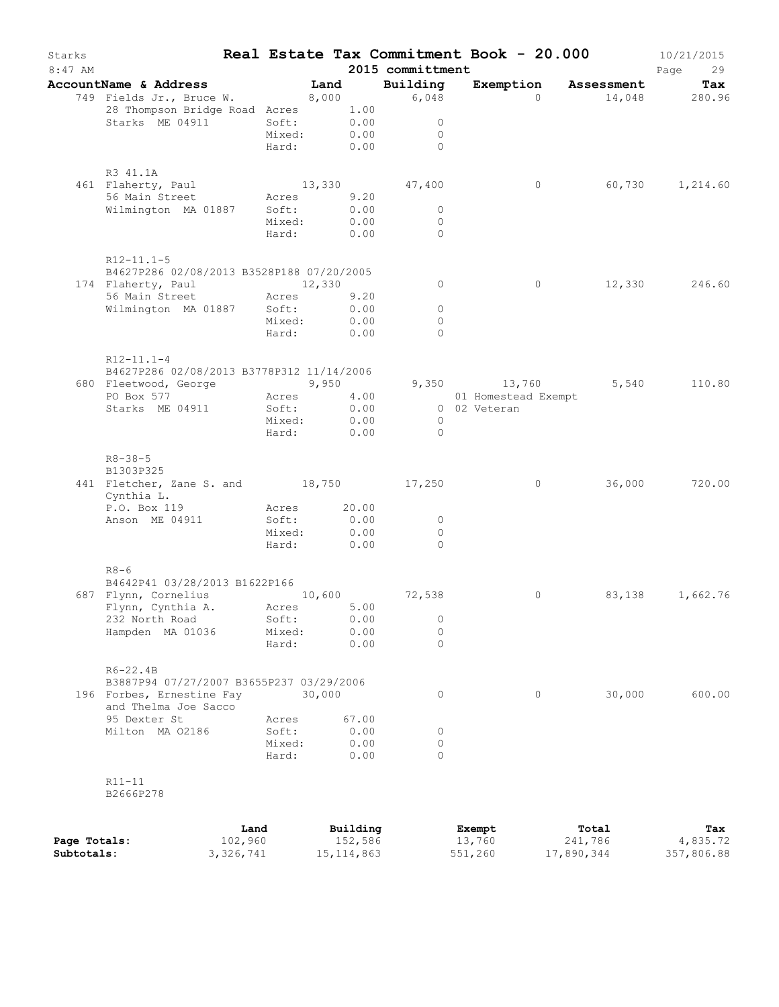| Starks<br>$8:47$ AM        |                                                       |             |        |                         | 2015 committment | Real Estate Tax Commitment Book - 20.000 |                       | 10/21/2015<br>Page<br>29 |
|----------------------------|-------------------------------------------------------|-------------|--------|-------------------------|------------------|------------------------------------------|-----------------------|--------------------------|
|                            | AccountName & Address                                 |             | Land   |                         | Building         |                                          | Exemption Assessment  | Tax                      |
|                            | 749 Fields Jr., Bruce W. 8,000                        |             |        |                         | 6,048            | $\Omega$                                 |                       | 14,048 280.96            |
|                            | 28 Thompson Bridge Road Acres                         |             |        | 1.00                    |                  |                                          |                       |                          |
|                            | Starks ME 04911                                       | Soft:       |        | 0.00                    | $\circ$          |                                          |                       |                          |
|                            |                                                       | Mixed:      |        | 0.00                    | $\circ$          |                                          |                       |                          |
|                            |                                                       | Hard:       | 0.00   |                         | $\Omega$         |                                          |                       |                          |
|                            | R3 41.1A                                              |             |        |                         |                  |                                          |                       |                          |
|                            | 461 Flaherty, Paul                                    |             |        |                         | 13,330 47,400    | $\circ$                                  | 60,730                | 1,214.60                 |
|                            | 56 Main Street                                        | Acres       |        | 9.20                    |                  |                                          |                       |                          |
|                            | Wilmington MA 01887                                   | Soft:       |        | 0.00                    | $\circ$          |                                          |                       |                          |
|                            |                                                       | Mixed:      |        | 0.00                    | $\overline{0}$   |                                          |                       |                          |
|                            |                                                       | Hard:       |        | 0.00                    | $\Omega$         |                                          |                       |                          |
|                            | $R12 - 11.1 - 5$                                      |             |        |                         |                  |                                          |                       |                          |
|                            | B4627P286 02/08/2013 B3528P188 07/20/2005             |             |        |                         |                  |                                          |                       |                          |
|                            | 174 Flaherty, Paul                                    |             | 12,330 |                         | $\circ$          | $\circ$                                  |                       | 12,330 246.60            |
|                            | 56 Main Street                                        | Acres       |        | 9.20                    |                  |                                          |                       |                          |
|                            | Wilmington MA 01887 Soft:                             |             |        | 0.00                    | $\circ$          |                                          |                       |                          |
|                            |                                                       | Mixed:      |        | 0.00                    | $\circ$          |                                          |                       |                          |
|                            |                                                       | Hard:       |        | 0.00                    | $\Omega$         |                                          |                       |                          |
|                            | $R12 - 11.1 - 4$                                      |             |        |                         |                  |                                          |                       |                          |
|                            | B4627P286 02/08/2013 B3778P312 11/14/2006             |             |        |                         |                  |                                          |                       |                          |
|                            | 680 Fleetwood, George 5,950                           |             |        |                         |                  | 9,350 13,760                             | 5,540                 | 110.80                   |
|                            | PO Box 577                                            | Acres       |        | 4.00                    |                  | 01 Homestead Exempt                      |                       |                          |
|                            | Starks ME 04911                                       | Soft:       |        | 0.00                    |                  | 0 02 Veteran                             |                       |                          |
|                            |                                                       | Mixed:      |        | 0.00                    | $\overline{0}$   |                                          |                       |                          |
|                            |                                                       | Hard:       |        | 0.00                    | $\Omega$         |                                          |                       |                          |
|                            | $R8 - 38 - 5$                                         |             |        |                         |                  |                                          |                       |                          |
|                            | B1303P325                                             |             |        |                         |                  |                                          |                       |                          |
|                            | 441 Fletcher, Zane S. and 18,750 17,250<br>Cynthia L. |             |        |                         |                  | $\circ$                                  | 36,000                | 720.00                   |
|                            | P.O. Box 119                                          | Acres 20.00 |        |                         |                  |                                          |                       |                          |
|                            | Anson ME 04911                                        | Soft:       |        | 0.00                    | $\circ$          |                                          |                       |                          |
|                            |                                                       | Mixed:      |        | 0.00                    | 0                |                                          |                       |                          |
|                            |                                                       | Hard:       |        | 0.00                    | $\Omega$         |                                          |                       |                          |
|                            | $R8-6$                                                |             |        |                         |                  |                                          |                       |                          |
|                            | B4642P41 03/28/2013 B1622P166                         |             |        |                         |                  |                                          |                       |                          |
|                            | 687 Flynn, Cornelius 10,600                           |             |        |                         | 72,538           | 0                                        | 83,138                | 1,662.76                 |
|                            | Flynn, Cynthia A.                                     | Acres       |        | 5.00                    |                  |                                          |                       |                          |
|                            | 232 North Road                                        | Soft:       |        | 0.00                    | 0                |                                          |                       |                          |
|                            | Hampden MA 01036                                      | Mixed:      |        | 0.00                    | $\circ$          |                                          |                       |                          |
|                            |                                                       | Hard:       |        | 0.00                    | 0                |                                          |                       |                          |
|                            | $R6 - 22.4B$                                          |             |        |                         |                  |                                          |                       |                          |
|                            | B3887P94 07/27/2007 B3655P237 03/29/2006              |             |        |                         |                  |                                          |                       |                          |
|                            | 196 Forbes, Ernestine Fay<br>and Thelma Joe Sacco     |             | 30,000 |                         | 0                | $\circ$                                  | 30,000                | 600.00                   |
|                            | 95 Dexter St                                          | Acres       |        | 67.00                   |                  |                                          |                       |                          |
|                            | Milton MA 02186                                       | Soft:       |        | 0.00                    | 0                |                                          |                       |                          |
|                            |                                                       | Mixed:      |        | 0.00                    | $\circ$          |                                          |                       |                          |
|                            |                                                       | Hard:       |        | 0.00                    | $\Omega$         |                                          |                       |                          |
|                            | $R11 - 11$                                            |             |        |                         |                  |                                          |                       |                          |
|                            | B2666P278                                             |             |        |                         |                  |                                          |                       |                          |
|                            |                                                       |             |        |                         |                  |                                          |                       |                          |
|                            |                                                       | Land        |        | Building                |                  | Exempt                                   | Total                 | Tax                      |
| Page Totals:<br>Subtotals: | 3, 326, 741                                           | 102,960     |        | 152,586<br>15, 114, 863 |                  | 13,760<br>551,260                        | 241,786<br>17,890,344 | 4,835.72<br>357,806.88   |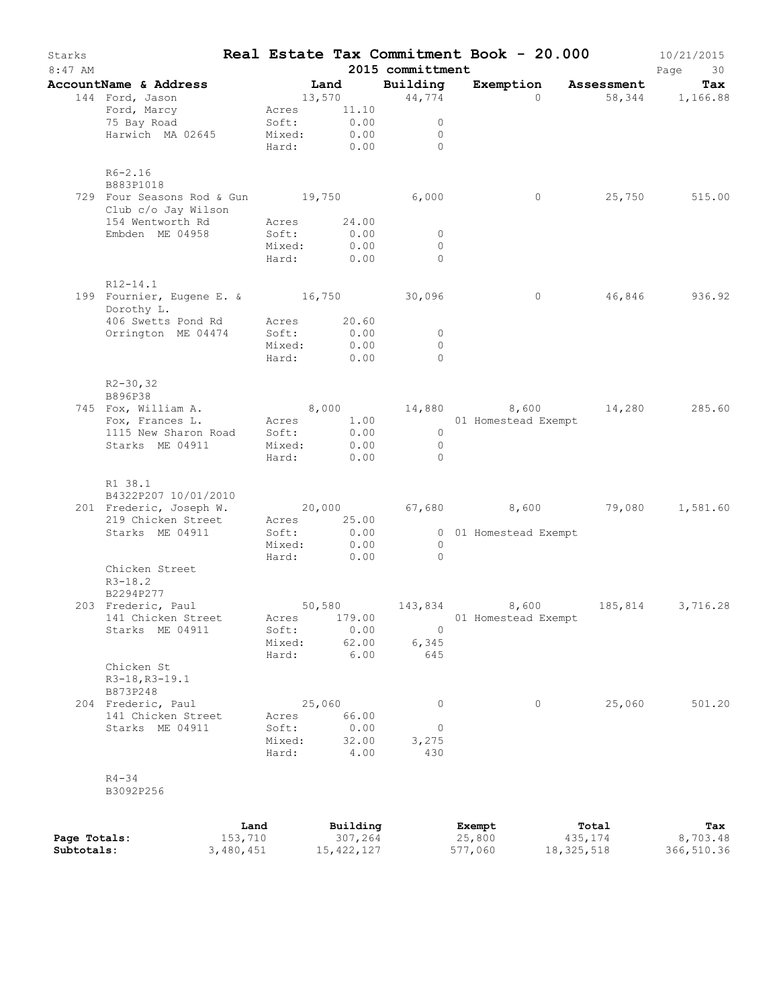| Starks<br>$8:47$ AM |                                                                |                 |                           | 2015 committment             | Real Estate Tax Commitment Book - 20.000 |                  | 10/21/2015<br>Page<br>30 |
|---------------------|----------------------------------------------------------------|-----------------|---------------------------|------------------------------|------------------------------------------|------------------|--------------------------|
|                     | AccountName & Address                                          | Land            |                           | Building                     | Exemption Assessment                     |                  | Tax                      |
|                     | 144 Ford, Jason                                                |                 | 13,570 44,774             |                              | $\Omega$                                 |                  | 58, 344 1, 166.88        |
|                     | Ford, Marcy                                                    |                 | Acres 11.10               |                              |                                          |                  |                          |
|                     | 75 Bay Road                                                    |                 | Soft: 0.00<br>Mixed: 0.00 | $\overline{0}$               |                                          |                  |                          |
|                     | Harwich MA 02645                                               |                 | Hard: 0.00 0              | $\overline{0}$               |                                          |                  |                          |
|                     |                                                                |                 |                           |                              |                                          |                  |                          |
|                     | $R6 - 2.16$                                                    |                 |                           |                              |                                          |                  |                          |
|                     | B883P1018                                                      |                 |                           |                              |                                          |                  |                          |
|                     | 729 Four Seasons Rod & Gun 19,750 6,000<br>Club c/o Jay Wilson |                 |                           |                              | $\overline{0}$                           |                  | 25,750 515.00            |
|                     | 154 Wentworth Rd                                               |                 | Acres 24.00               |                              |                                          |                  |                          |
|                     | Embden ME 04958                                                | Soft:           | 0.00                      | $\overline{0}$               |                                          |                  |                          |
|                     |                                                                |                 | Mixed: 0.00               | $\Omega$                     |                                          |                  |                          |
|                     |                                                                |                 | Hard: 0.00                | $\bigcirc$                   |                                          |                  |                          |
|                     | $R12 - 14.1$                                                   |                 |                           |                              |                                          |                  |                          |
|                     | 199 Fournier, Eugene E. & 16,750 30,096                        |                 |                           |                              | $\overline{0}$                           |                  | 46,846 936.92            |
|                     | Dorothy L.                                                     |                 |                           |                              |                                          |                  |                          |
|                     | 406 Swetts Pond Rd Acres 20.60                                 |                 |                           |                              |                                          |                  |                          |
|                     | Orrington ME 04474                                             | Soft:           | 0.00                      | $\overline{0}$               |                                          |                  |                          |
|                     |                                                                |                 | Mixed: 0.00               | $\bigcirc$<br>$\bigcirc$     |                                          |                  |                          |
|                     |                                                                |                 | Hard: 0.00                |                              |                                          |                  |                          |
|                     | $R2 - 30, 32$                                                  |                 |                           |                              |                                          |                  |                          |
|                     | B896P38                                                        |                 |                           |                              |                                          |                  |                          |
|                     | 745 Fox, William A. 6,000 14,880 8,600 14,280 285.60           |                 |                           |                              |                                          |                  |                          |
|                     | Fox, Frances L. Acres 1.00 01 Homestead Exempt                 |                 |                           |                              |                                          |                  |                          |
|                     | 1115 New Sharon Road Soft:                                     |                 | 0.00                      | $\overline{0}$               |                                          |                  |                          |
|                     | Starks ME 04911                                                |                 | Mixed: 0.00               | $\overline{0}$<br>$\bigcirc$ |                                          |                  |                          |
|                     |                                                                |                 | Hard: 0.00                |                              |                                          |                  |                          |
|                     | R1 38.1                                                        |                 |                           |                              |                                          |                  |                          |
|                     | B4322P207 10/01/2010                                           |                 |                           |                              |                                          |                  |                          |
|                     | 201 Frederic, Joseph W.                                        |                 |                           |                              | $20,000$ 67,680 8,600 79,080 1,581.60    |                  |                          |
|                     | 219 Chicken Street                                             |                 | Acres 25.00               |                              |                                          |                  |                          |
|                     | Starks ME 04911                                                | Soft:           | 0.00<br>Mixed: 0.00       | $\overline{0}$               | 0 01 Homestead Exempt                    |                  |                          |
|                     |                                                                |                 | Hard: 0.00                | $\overline{0}$               |                                          |                  |                          |
|                     | Chicken Street                                                 |                 |                           |                              |                                          |                  |                          |
|                     | $R3 - 18.2$                                                    |                 |                           |                              |                                          |                  |                          |
|                     | B2294P277                                                      |                 |                           |                              |                                          |                  |                          |
|                     | 203 Frederic, Paul                                             |                 |                           |                              | 50,580 143,834 8,600 185,814 3,716.28    |                  |                          |
|                     | 141 Chicken Street                                             | Acres           | 179.00                    |                              | 01 Homestead Exempt                      |                  |                          |
|                     | Starks ME 04911                                                | Soft:           | 0.00                      | $\mathbf 0$                  |                                          |                  |                          |
|                     |                                                                | Mixed:<br>Hard: | 62.00<br>6.00             | 6,345<br>645                 |                                          |                  |                          |
|                     | Chicken St                                                     |                 |                           |                              |                                          |                  |                          |
|                     | R3-18, R3-19.1                                                 |                 |                           |                              |                                          |                  |                          |
|                     | B873P248                                                       |                 |                           |                              |                                          |                  |                          |
|                     | 204 Frederic, Paul                                             |                 | 25,060                    | $\circ$                      | $\circ$                                  | 25,060           | 501.20                   |
|                     | 141 Chicken Street                                             | Acres           | 66.00                     |                              |                                          |                  |                          |
|                     | Starks ME 04911                                                | Soft:           | 0.00                      | $\circ$                      |                                          |                  |                          |
|                     |                                                                | Mixed:<br>Hard: | 32.00<br>4.00             | 3,275<br>430                 |                                          |                  |                          |
|                     |                                                                |                 |                           |                              |                                          |                  |                          |
|                     | $R4 - 34$                                                      |                 |                           |                              |                                          |                  |                          |
|                     | B3092P256                                                      |                 |                           |                              |                                          |                  |                          |
|                     |                                                                |                 |                           |                              |                                          |                  |                          |
| Page Totals:        | 153,710                                                        | Land            | Building<br>307,264       |                              | Exempt<br>25,800                         | Total<br>435,174 | Tax<br>8,703.48          |

|              | ⊥anɑ      | Building   | Exempt  | тотат      | <b>Tax</b> |
|--------------|-----------|------------|---------|------------|------------|
| Page Totals: | 153,710   | 307,264    | 25,800  | 435,174    | 8,703.48   |
| Subtotals:   | 3,480,451 | 15,422,127 | 577,060 | 18,325,518 | 366,510.36 |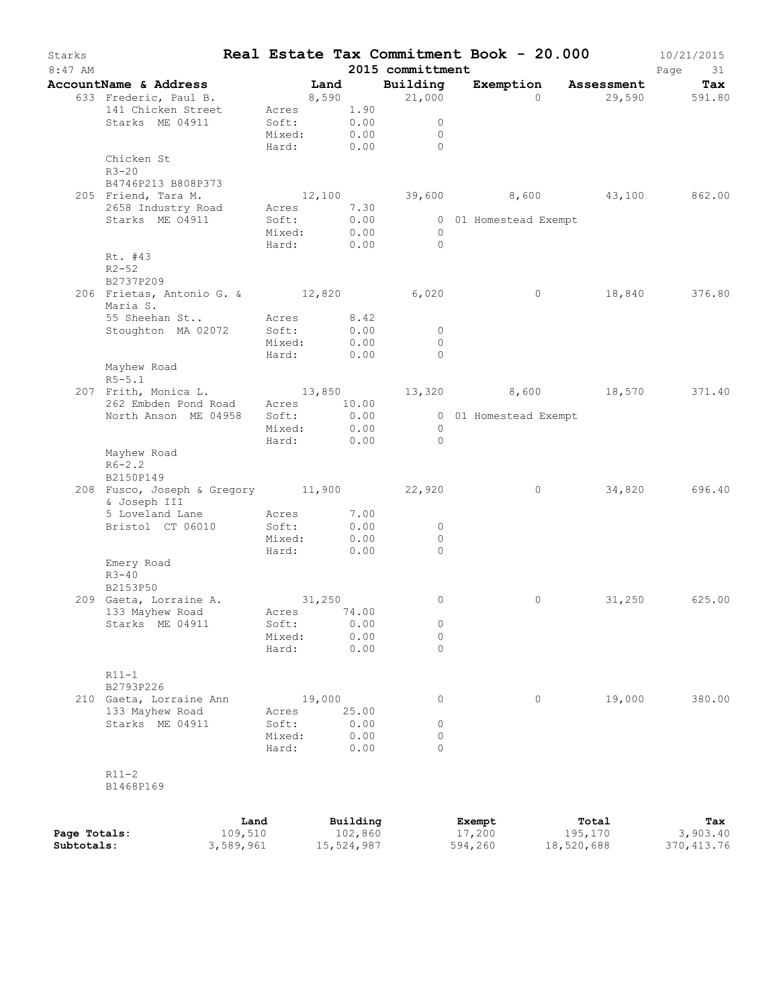| Starks<br>$8:47$ AM |                                           |           |                |             |              | 2015 committment | Real Estate Tax Commitment Book - 20.000 |                   | 10/21/2015<br>Page<br>31 |
|---------------------|-------------------------------------------|-----------|----------------|-------------|--------------|------------------|------------------------------------------|-------------------|--------------------------|
|                     | AccountName & Address                     |           |                | Land        |              | Building         | Exemption                                | <b>Assessment</b> | Tax                      |
|                     | 633 Frederic, Paul B.                     |           |                |             | 8,590        | 21,000           | $\Omega$                                 |                   | 29,590 591.80            |
|                     | 141 Chicken Street                        |           |                | Acres 1.90  |              |                  |                                          |                   |                          |
|                     | Starks ME 04911                           |           | Soft:          |             | 0.00         | $\circ$          |                                          |                   |                          |
|                     |                                           |           | Mixed:         |             | 0.00         | $\circ$          |                                          |                   |                          |
|                     |                                           |           | Hard:          |             | 0.00         | $\bigcap$        |                                          |                   |                          |
|                     | Chicken St                                |           |                |             |              |                  |                                          |                   |                          |
|                     | $R3 - 20$                                 |           |                |             |              |                  |                                          |                   |                          |
|                     | B4746P213 B808P373                        |           |                |             |              |                  |                                          |                   |                          |
|                     | 205 Friend, Tara M.                       |           |                | 12,100      |              |                  | 39,600 8,600 43,100 862.00               |                   |                          |
|                     | 2658 Industry Road<br>Starks ME 04911     |           | Acres<br>Soft: |             | 7.30<br>0.00 |                  |                                          |                   |                          |
|                     |                                           |           | Mixed:         |             | 0.00         | $\overline{0}$   | 0 01 Homestead Exempt                    |                   |                          |
|                     |                                           |           | Hard:          |             | 0.00         | $\bigcirc$       |                                          |                   |                          |
|                     | Rt. #43                                   |           |                |             |              |                  |                                          |                   |                          |
|                     | $R2 - 52$                                 |           |                |             |              |                  |                                          |                   |                          |
|                     | B2737P209                                 |           |                |             |              |                  |                                          |                   |                          |
|                     | 206 Frietas, Antonio G. & 12,820          |           |                |             |              | 6,020            | $\circ$                                  | 18,840            | 376.80                   |
|                     | Maria S.                                  |           |                |             |              |                  |                                          |                   |                          |
|                     | 55 Sheehan St                             |           |                | Acres 8.42  |              |                  |                                          |                   |                          |
|                     | Stoughton MA 02072                        |           | Soft:          |             | 0.00         | $\circ$          |                                          |                   |                          |
|                     |                                           |           | Mixed:         |             | 0.00         | $\circ$          |                                          |                   |                          |
|                     |                                           |           | Hard:          |             | 0.00         | $\Omega$         |                                          |                   |                          |
|                     | Mayhew Road                               |           |                |             |              |                  |                                          |                   |                          |
|                     | $R5 - 5.1$                                |           |                |             |              |                  |                                          |                   |                          |
|                     | 207 Frith, Monica L.                      |           |                | 13,850      |              | 13,320           | 8,600 18,570                             |                   | 371.40                   |
|                     | 262 Embden Pond Road Acres 10.00          |           |                |             |              |                  |                                          |                   |                          |
|                     | North Anson ME 04958                      |           | Soft:          |             | 0.00         |                  | 0 01 Homestead Exempt                    |                   |                          |
|                     |                                           |           | Mixed:         |             | 0.00         | $\overline{0}$   |                                          |                   |                          |
|                     |                                           |           | Hard:          |             | 0.00         | $\bigcirc$       |                                          |                   |                          |
|                     | Mayhew Road                               |           |                |             |              |                  |                                          |                   |                          |
|                     | $R6 - 2.2$                                |           |                |             |              |                  |                                          |                   |                          |
|                     | B2150P149                                 |           |                |             |              |                  |                                          |                   |                          |
|                     | 208 Fusco, Joseph & Gregory 11,900 22,920 |           |                |             |              |                  | $\circ$                                  | 34,820            | 696.40                   |
|                     | & Joseph III<br>5 Loveland Lane           |           | Acres          |             | 7.00         |                  |                                          |                   |                          |
|                     | Bristol CT 06010                          |           | Soft:          |             | 0.00         | $\circ$          |                                          |                   |                          |
|                     |                                           |           | Mixed:         |             | 0.00         | $\circ$          |                                          |                   |                          |
|                     |                                           |           | Hard:          |             | 0.00         | $\Omega$         |                                          |                   |                          |
|                     | Emery Road                                |           |                |             |              |                  |                                          |                   |                          |
|                     | $R3 - 40$                                 |           |                |             |              |                  |                                          |                   |                          |
|                     | B2153P50                                  |           |                |             |              |                  |                                          |                   |                          |
|                     | 209 Gaeta, Lorraine A.                    |           |                | 31,250      |              | 0                | 0                                        | 31,250            | 625.00                   |
|                     | 133 Mayhew Road                           |           |                | Acres 74.00 |              |                  |                                          |                   |                          |
|                     | Starks ME 04911                           |           | Soft:          |             | 0.00         | $\circ$          |                                          |                   |                          |
|                     |                                           |           | Mixed:         |             | 0.00         | 0                |                                          |                   |                          |
|                     |                                           |           | Hard:          |             | 0.00         | $\Omega$         |                                          |                   |                          |
|                     |                                           |           |                |             |              |                  |                                          |                   |                          |
|                     | $R11-1$                                   |           |                |             |              |                  |                                          |                   |                          |
|                     | B2793P226                                 |           |                |             |              |                  |                                          |                   |                          |
|                     | 210 Gaeta, Lorraine Ann                   |           |                | 19,000      |              | $\circ$          | 0                                        | 19,000            | 380.00                   |
|                     | 133 Mayhew Road                           |           | Acres          |             | 25.00        |                  |                                          |                   |                          |
|                     | Starks ME 04911                           |           | Soft:          |             | 0.00         | 0                |                                          |                   |                          |
|                     |                                           |           | Mixed:         |             | 0.00         | 0                |                                          |                   |                          |
|                     |                                           |           | Hard:          |             | 0.00         | $\Omega$         |                                          |                   |                          |
|                     |                                           |           |                |             |              |                  |                                          |                   |                          |
|                     | $R11-2$                                   |           |                |             |              |                  |                                          |                   |                          |
|                     | B1468P169                                 |           |                |             |              |                  |                                          |                   |                          |
|                     |                                           |           |                |             |              |                  |                                          |                   |                          |
|                     |                                           | Land      |                |             | Building     |                  | Exempt                                   | Total             | Tax                      |
| Page Totals:        |                                           | 109,510   |                |             | 102,860      |                  | 17,200                                   | 195,170           | 3,903.40                 |
| Subtotals:          |                                           | 3,589,961 |                |             | 15,524,987   |                  | 594,260                                  | 18,520,688        | 370, 413.76              |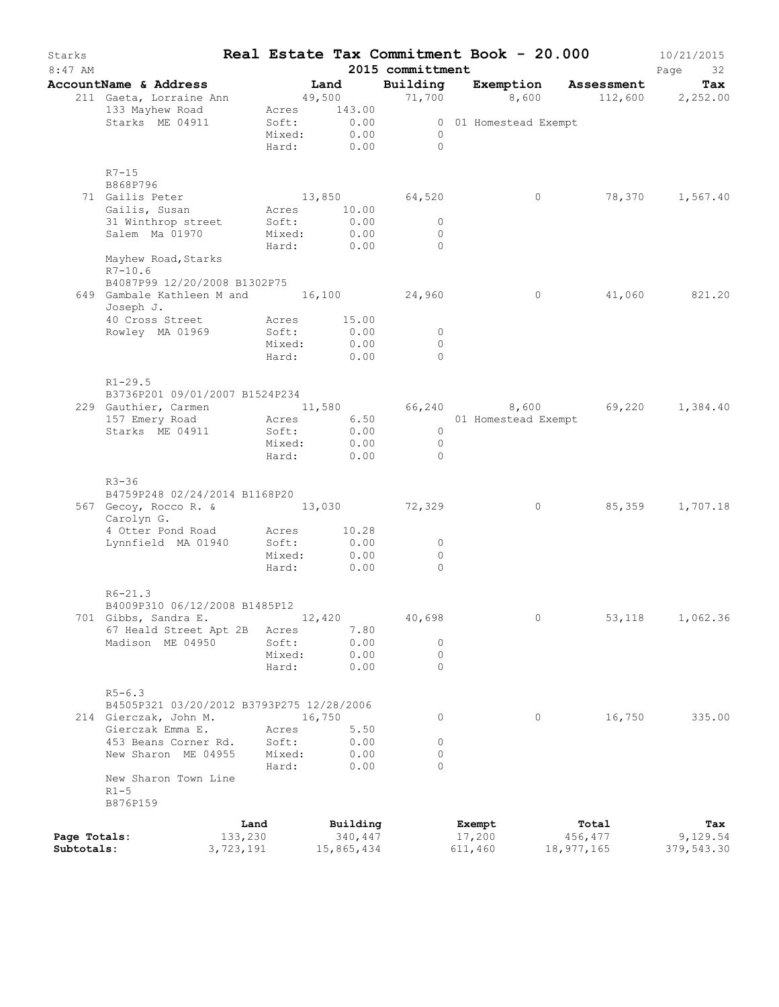| Starks<br>$8:47$ AM |                                                                          |                 |                 |        |                     | 2015 committment | Real Estate Tax Commitment Book - 20.000 |                  | 10/21/2015<br>Page<br>32 |
|---------------------|--------------------------------------------------------------------------|-----------------|-----------------|--------|---------------------|------------------|------------------------------------------|------------------|--------------------------|
|                     | AccountName & Address                                                    |                 |                 | Land   |                     | Building         | Exemption                                | Assessment       | Tax                      |
|                     | 211 Gaeta, Lorraine Ann                                                  |                 | 49,500          |        |                     | 71,700           | 8,600                                    |                  | 112,600 2,252.00         |
|                     | 133 Mayhew Road                                                          |                 | Acres 143.00    |        |                     |                  |                                          |                  |                          |
|                     | Starks ME 04911                                                          |                 | Soft:           |        | 0.00                |                  | 0 01 Homestead Exempt                    |                  |                          |
|                     |                                                                          |                 | Mixed:          |        | 0.00                | $\circ$          |                                          |                  |                          |
|                     |                                                                          |                 | Hard:           |        | 0.00                | $\bigcirc$       |                                          |                  |                          |
|                     | $R7-15$                                                                  |                 |                 |        |                     |                  |                                          |                  |                          |
|                     | B868P796                                                                 |                 |                 |        |                     |                  |                                          |                  |                          |
|                     | 71 Gailis Peter                                                          |                 | 13,850          |        |                     | 64,520           | $\circ$                                  | 78,370           | 1,567.40                 |
|                     | Gailis, Susan                                                            |                 | Acres 10.00     |        |                     |                  |                                          |                  |                          |
|                     | 31 Winthrop street                                                       |                 | Soft:           |        | 0.00                | $\circ$          |                                          |                  |                          |
|                     | Salem Ma 01970                                                           |                 | Mixed:          |        | 0.00                | $\circ$          |                                          |                  |                          |
|                     |                                                                          |                 | Hard:           |        | 0.00                | $\Omega$         |                                          |                  |                          |
|                     | Mayhew Road, Starks                                                      |                 |                 |        |                     |                  |                                          |                  |                          |
|                     | $R7 - 10.6$                                                              |                 |                 |        |                     |                  |                                          |                  |                          |
|                     | B4087P99 12/20/2008 B1302P75<br>649 Gambale Kathleen M and 16,100 24,960 |                 |                 |        |                     |                  | $\circ$                                  | 41,060           | 821.20                   |
|                     | Joseph J.                                                                |                 |                 |        |                     |                  |                                          |                  |                          |
|                     | 40 Cross Street                                                          |                 | Acres           |        | 15.00               |                  |                                          |                  |                          |
|                     | Rowley MA 01969                                                          |                 | Soft:           |        | 0.00                | $\circ$          |                                          |                  |                          |
|                     |                                                                          |                 | Mixed:          |        | 0.00                | $\circ$          |                                          |                  |                          |
|                     |                                                                          |                 | Hard:           |        | 0.00                | $\Omega$         |                                          |                  |                          |
|                     |                                                                          |                 |                 |        |                     |                  |                                          |                  |                          |
|                     | $R1 - 29.5$                                                              |                 |                 |        |                     |                  |                                          |                  |                          |
|                     | B3736P201 09/01/2007 B1524P234                                           |                 |                 |        |                     |                  |                                          |                  |                          |
|                     | 229 Gauthier, Carmen 11,580                                              |                 |                 |        | 6.50                | 66,240           | 8,600 69,220                             |                  | 1,384.40                 |
|                     | 157 Emery Road<br>Starks ME 04911                                        |                 | Acres<br>Soft:  |        | 0.00                | $\overline{0}$   | 01 Homestead Exempt                      |                  |                          |
|                     |                                                                          |                 | Mixed:          |        | 0.00                | $\overline{0}$   |                                          |                  |                          |
|                     |                                                                          |                 | Hard:           |        | 0.00                | $\Omega$         |                                          |                  |                          |
|                     |                                                                          |                 |                 |        |                     |                  |                                          |                  |                          |
|                     | $R3 - 36$                                                                |                 |                 |        |                     |                  |                                          |                  |                          |
|                     | B4759P248 02/24/2014 B1168P20                                            |                 |                 |        |                     |                  |                                          |                  |                          |
|                     | 567 Gecoy, Rocco R. & 13,030 72,329<br>Carolyn G.                        |                 |                 |        |                     |                  | $\circ$                                  | 85,359           | 1,707.18                 |
|                     | 4 Otter Pond Road                                                        |                 | Acres           |        | 10.28               |                  |                                          |                  |                          |
|                     | Lynnfield MA 01940                                                       |                 | Soft:           |        | 0.00                | 0                |                                          |                  |                          |
|                     |                                                                          |                 | Mixed:          |        | 0.00                | $\circ$          |                                          |                  |                          |
|                     |                                                                          |                 | Hard:           |        | 0.00                | $\Omega$         |                                          |                  |                          |
|                     |                                                                          |                 |                 |        |                     |                  |                                          |                  |                          |
|                     | $R6 - 21.3$                                                              |                 |                 |        |                     |                  |                                          |                  |                          |
|                     | B4009P310 06/12/2008 B1485P12                                            |                 |                 |        |                     |                  |                                          |                  |                          |
|                     | 701 Gibbs, Sandra E.                                                     |                 |                 | 12,420 |                     | 40,698           | 0                                        | 53,118           | 1,062.36                 |
|                     | 67 Heald Street Apt 2B                                                   |                 | Acres           |        | 7.80                |                  |                                          |                  |                          |
|                     | Madison ME 04950                                                         |                 | Soft:<br>Mixed: |        | 0.00<br>0.00        | 0<br>$\circ$     |                                          |                  |                          |
|                     |                                                                          |                 | Hard:           |        | 0.00                | $\circ$          |                                          |                  |                          |
|                     |                                                                          |                 |                 |        |                     |                  |                                          |                  |                          |
|                     | $R5 - 6.3$                                                               |                 |                 |        |                     |                  |                                          |                  |                          |
|                     | B4505P321 03/20/2012 B3793P275 12/28/2006                                |                 |                 |        |                     |                  |                                          |                  |                          |
|                     | 214 Gierczak, John M.                                                    |                 |                 | 16,750 |                     | 0                | $\circ$                                  | 16,750           | 335.00                   |
|                     | Gierczak Emma E.                                                         |                 | Acres           |        | 5.50                |                  |                                          |                  |                          |
|                     | 453 Beans Corner Rd.                                                     |                 | Soft:           |        | 0.00                | $\circ$          |                                          |                  |                          |
|                     | New Sharon ME 04955                                                      |                 | Mixed:          |        | 0.00                | $\circ$          |                                          |                  |                          |
|                     | New Sharon Town Line                                                     |                 | Hard:           |        | 0.00                | $\circ$          |                                          |                  |                          |
|                     | $R1-5$                                                                   |                 |                 |        |                     |                  |                                          |                  |                          |
|                     | B876P159                                                                 |                 |                 |        |                     |                  |                                          |                  |                          |
|                     |                                                                          |                 |                 |        |                     |                  |                                          |                  |                          |
| Page Totals:        |                                                                          | Land<br>133,230 |                 |        | Building<br>340,447 |                  | Exempt<br>17,200                         | Total<br>456,477 | Tax<br>9,129.54          |
| Subtotals:          |                                                                          | 3,723,191       |                 |        | 15,865,434          |                  | 611,460                                  | 18,977,165       | 379,543.30               |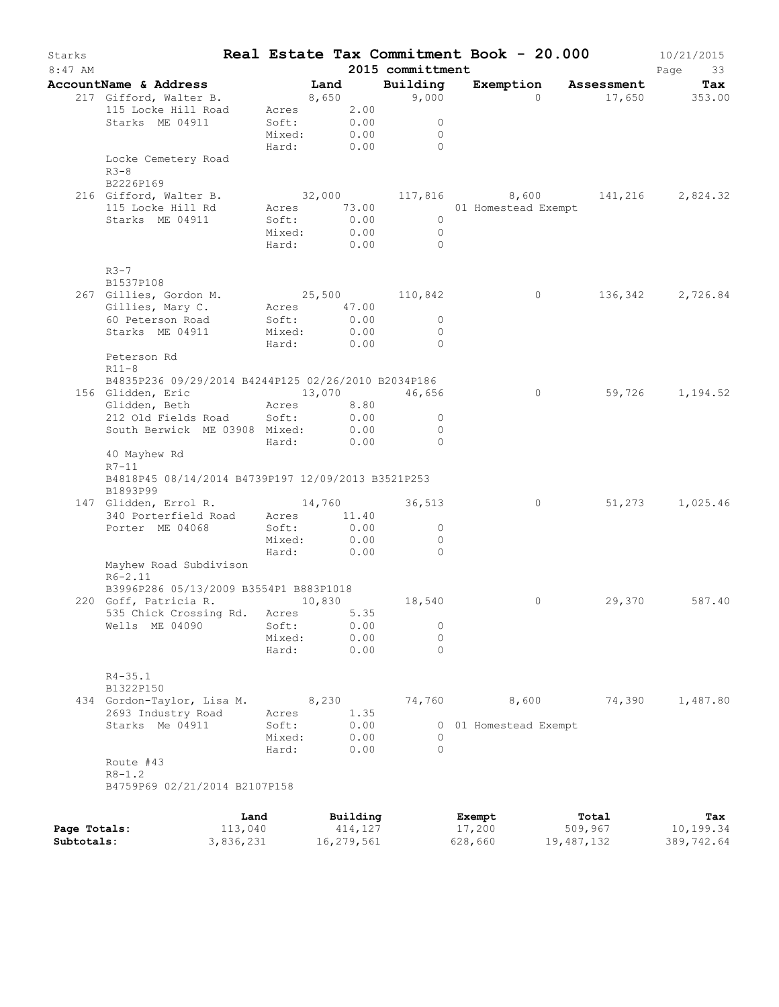| Starks<br>$8:47$ AM |                                                     |                 |                           |            | 2015 committment | Real Estate Tax Commitment Book - 20.000 |                |                      | 10/21/2015<br>Page<br>33                |
|---------------------|-----------------------------------------------------|-----------------|---------------------------|------------|------------------|------------------------------------------|----------------|----------------------|-----------------------------------------|
|                     | <b>AccountName &amp; Address</b>                    |                 | Land                      |            | Building         |                                          |                | Exemption Assessment | Tax                                     |
|                     | 217 Gifford, Walter B.                              |                 | <b>1201 مسمت</b><br>8,650 |            | 9,000            |                                          | $\Omega$       |                      | 17,650 353.00                           |
|                     | 115 Locke Hill Road                                 |                 | Acres 2.00                |            |                  |                                          |                |                      |                                         |
|                     | Starks ME 04911                                     | Soft:           |                           | 0.00       | $\circ$          |                                          |                |                      |                                         |
|                     |                                                     |                 | Mixed: 0.00               |            | $\overline{0}$   |                                          |                |                      |                                         |
|                     |                                                     |                 | Hard: 0.00                |            | $\sim$ 0         |                                          |                |                      |                                         |
|                     | Locke Cemetery Road                                 |                 |                           |            |                  |                                          |                |                      |                                         |
|                     | $R3 - 8$                                            |                 |                           |            |                  |                                          |                |                      |                                         |
|                     | B2226P169                                           |                 |                           |            |                  |                                          |                |                      |                                         |
|                     | 216 Gifford, Walter B.                              |                 |                           |            |                  |                                          |                |                      | $32,000$ 117,816 8,600 141,216 2,824.32 |
|                     | 115 Locke Hill Rd                                   |                 | Acres 73.00               |            |                  | 01 Homestead Exempt                      |                |                      |                                         |
|                     | Starks ME 04911                                     | Soft:           |                           | 0.00       | $\overline{0}$   |                                          |                |                      |                                         |
|                     |                                                     |                 | Mixed: 0.00               |            | $\bigcirc$       |                                          |                |                      |                                         |
|                     |                                                     |                 | Hard: 0.00                |            | $\bigcirc$       |                                          |                |                      |                                         |
|                     |                                                     |                 |                           |            |                  |                                          |                |                      |                                         |
|                     | $R3-7$<br>B1537P108                                 |                 |                           |            |                  |                                          |                |                      |                                         |
|                     | 267 Gillies, Gordon M. 25,500 110,842               |                 |                           |            |                  |                                          | $\overline{0}$ |                      |                                         |
|                     |                                                     |                 |                           |            |                  |                                          |                |                      | 136, 342 2, 726.84                      |
|                     | Gillies, Mary C.<br>60 Peterson Road                | Soft:           | Acres 47.00               | 0.00       | $\overline{0}$   |                                          |                |                      |                                         |
|                     | Starks ME 04911                                     |                 | Mixed: 0.00               |            | $\Omega$         |                                          |                |                      |                                         |
|                     |                                                     |                 | Hard: 0.00                |            | $\overline{0}$   |                                          |                |                      |                                         |
|                     | Peterson Rd                                         |                 |                           |            |                  |                                          |                |                      |                                         |
|                     | $R11 - 8$                                           |                 |                           |            |                  |                                          |                |                      |                                         |
|                     | B4835P236 09/29/2014 B4244P125 02/26/2010 B2034P186 |                 |                           |            |                  |                                          |                |                      |                                         |
|                     | 156 Glidden, Eric                                   |                 |                           |            | 13,070 46,656    |                                          | $\circ$        |                      | 59,726 1,194.52                         |
|                     | Glidden, Beth<br>Acres                              |                 |                           | 8.80       |                  |                                          |                |                      |                                         |
|                     | 212 Old Fields Road Soft:                           |                 |                           | 0.00       | $\circ$          |                                          |                |                      |                                         |
|                     | South Berwick ME 03908 Mixed: 0.00                  |                 |                           |            | $\Omega$         |                                          |                |                      |                                         |
|                     |                                                     | Hard:           |                           | 0.00       | $\Omega$         |                                          |                |                      |                                         |
|                     | 40 Mayhew Rd                                        |                 |                           |            |                  |                                          |                |                      |                                         |
|                     | $R7-11$                                             |                 |                           |            |                  |                                          |                |                      |                                         |
|                     | B4818P45 08/14/2014 B4739P197 12/09/2013 B3521P253  |                 |                           |            |                  |                                          |                |                      |                                         |
|                     | B1893P99                                            |                 |                           |            |                  |                                          |                |                      |                                         |
|                     | 147 Glidden, Errol R.                               |                 |                           |            | 14,760 36,513    |                                          | $\circ$        |                      | 51,273 1,025.46                         |
|                     | 340 Porterfield Road Acres 11.40                    |                 |                           |            |                  |                                          |                |                      |                                         |
|                     | Porter ME 04068                                     | Soft:           |                           | 0.00       | $\circ$          |                                          |                |                      |                                         |
|                     |                                                     | Mixed:          |                           | 0.00       | $\circ$          |                                          |                |                      |                                         |
|                     |                                                     | Hard:           |                           | 0.00       | $\Omega$         |                                          |                |                      |                                         |
|                     | Mayhew Road Subdivison                              |                 |                           |            |                  |                                          |                |                      |                                         |
|                     | $R6 - 2.11$                                         |                 |                           |            |                  |                                          |                |                      |                                         |
|                     | B3996P286 05/13/2009 B3554P1 B883P1018              |                 |                           |            |                  |                                          |                |                      |                                         |
|                     | 220 Goff, Patricia R. 10,830                        |                 |                           |            | 18,540           |                                          | $\circ$        |                      | 29,370 587.40                           |
|                     | 535 Chick Crossing Rd. Acres 5.35                   |                 |                           |            |                  |                                          |                |                      |                                         |
|                     | Wells ME 04090                                      | Soft:           |                           | 0.00       | 0                |                                          |                |                      |                                         |
|                     |                                                     | Mixed:          |                           | 0.00       | 0                |                                          |                |                      |                                         |
|                     |                                                     | Hard:           |                           | 0.00       | $\Omega$         |                                          |                |                      |                                         |
|                     |                                                     |                 |                           |            |                  |                                          |                |                      |                                         |
|                     | $R4 - 35.1$                                         |                 |                           |            |                  |                                          |                |                      |                                         |
|                     | B1322P150                                           |                 |                           |            |                  |                                          |                |                      |                                         |
|                     | 434 Gordon-Taylor, Lisa M.                          |                 | 8,230                     |            | 74,760           |                                          | 8,600          | 74,390               | 1,487.80                                |
|                     | 2693 Industry Road                                  | Acres           |                           | 1.35       |                  |                                          |                |                      |                                         |
|                     | Starks Me 04911                                     | Soft:           |                           | 0.00       |                  | 0 01 Homestead Exempt                    |                |                      |                                         |
|                     |                                                     | Mixed:<br>Hard: |                           | 0.00       | 0<br>$\Omega$    |                                          |                |                      |                                         |
|                     | Route #43                                           |                 |                           | 0.00       |                  |                                          |                |                      |                                         |
|                     | $R8 - 1.2$                                          |                 |                           |            |                  |                                          |                |                      |                                         |
|                     | B4759P69 02/21/2014 B2107P158                       |                 |                           |            |                  |                                          |                |                      |                                         |
|                     |                                                     |                 |                           |            |                  |                                          |                |                      |                                         |
|                     |                                                     | Land            |                           | Building   |                  | Exempt                                   |                | Total                | Tax                                     |
| Page Totals:        | 113,040                                             |                 |                           | 414,127    |                  | 17,200                                   |                | 509,967              | 10,199.34                               |
| Subtotals:          | 3,836,231                                           |                 |                           | 16,279,561 |                  | 628,660                                  |                | 19,487,132           | 389,742.64                              |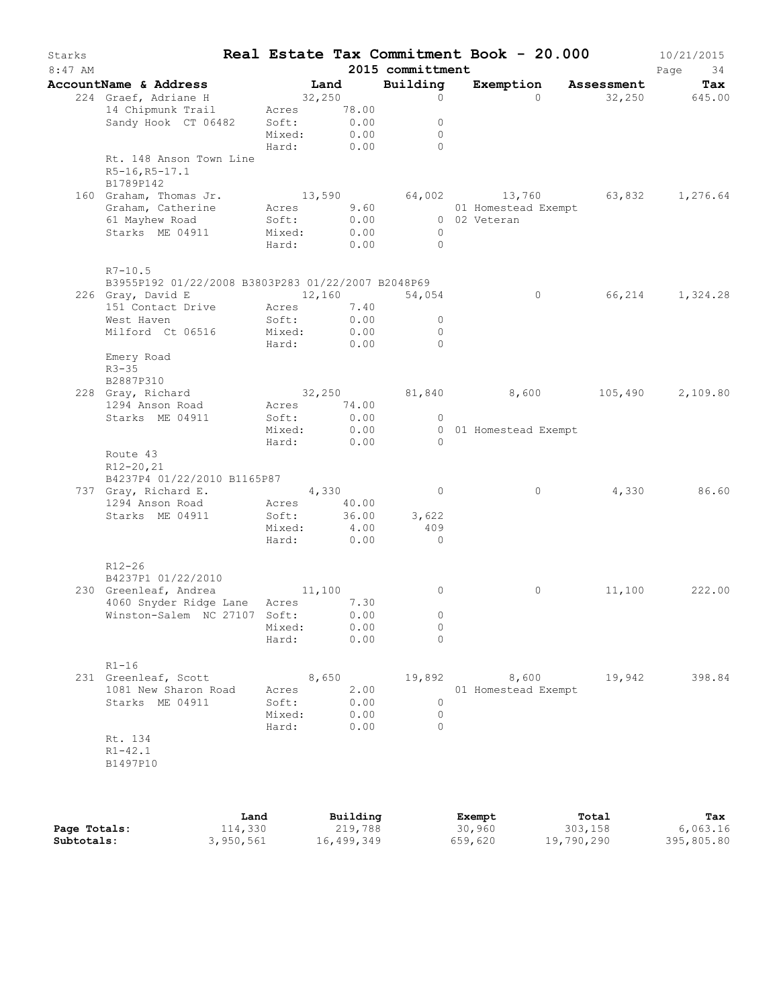| Starks<br>$8:47$ AM |                                                                                                  |                                   |                                           | 2015 committment                                   | Real Estate Tax Commitment Book - 20.000                                              |        | 10/21/2015<br>Page<br>34 |
|---------------------|--------------------------------------------------------------------------------------------------|-----------------------------------|-------------------------------------------|----------------------------------------------------|---------------------------------------------------------------------------------------|--------|--------------------------|
|                     | AccountName & Address                                                                            |                                   | Land                                      | Building                                           | Exemption Assessment                                                                  |        | Tax                      |
|                     | 224 Graef, Adriane H<br>14 Chipmunk Trail<br>Sandy Hook CT 06482                                 | 32,250<br>Soft:<br>Mixed:         | Acres 78.00<br>0.00<br>0.00<br>Hard: 0.00 | $\circ$<br>$\circ$<br>$\mathbf{0}$<br>$\Omega$     | $\Omega$                                                                              |        | 32,250 645.00            |
|                     | Rt. 148 Anson Town Line<br>R5-16, R5-17.1<br>B1789P142                                           |                                   |                                           |                                                    |                                                                                       |        |                          |
|                     | 160 Graham, Thomas Jr.<br>Graham, Catherine Acres<br>61 Mayhew Road<br>Starks ME 04911           | Soft:<br>Mixed:<br>Hard:          | 9.60<br>0.00<br>0.00<br>0.00              | $\bigcirc$<br>$\bigcirc$                           | $13,590$ $64,002$ $13,760$ $63,832$ $1,276.64$<br>01 Homestead Exempt<br>0 02 Veteran |        |                          |
|                     | $R7 - 10.5$<br>B3955P192 01/22/2008 B3803P283 01/22/2007 B2048P69<br>12,160<br>226 Gray, David E |                                   |                                           | 54,054                                             | $\circ$                                                                               |        | 66,214 1,324.28          |
|                     | 151 Contact Drive Acres 7.40<br>West Haven<br>Milford Ct 06516                                   | Soft:                             | 0.00<br>Mixed: 0.00<br>Hard: 0.00         | $\circ$<br>$\Omega$<br>$\Omega$                    |                                                                                       |        |                          |
|                     | Emery Road<br>$R3 - 35$<br>B2887P310<br>228 Gray, Richard                                        |                                   |                                           |                                                    | 32,250 81,840 8,600                                                                   |        | 105,490 2,109.80         |
|                     | 1294 Anson Road<br>Starks ME 04911                                                               | Soft:                             | Acres 74.00<br>0.00<br>Mixed: 0.00        | $\circ$                                            | 0 01 Homestead Exempt                                                                 |        |                          |
|                     | Route 43<br>$R12 - 20, 21$<br>B4237P4 01/22/2010 B1165P87<br>737 Gray, Richard E. 4,330          | Hard:                             | 0.00                                      | $\bigcirc$<br>$\circ$                              | 0                                                                                     | 4,330  | 86.60                    |
|                     | 1294 Anson Road<br>Starks ME 04911                                                               | Acres<br>Soft:<br>Mixed:<br>Hard: | 40.00<br>36.00<br>4.00<br>0.00            | 3,622<br>409<br>$\overline{0}$                     |                                                                                       |        |                          |
|                     | R12-26<br>B4237P1 01/22/2010                                                                     |                                   |                                           |                                                    |                                                                                       |        |                          |
|                     | 230 Greenleaf, Andrea<br>4060 Snyder Ridge Lane Acres 7.30<br>Winston-Salem NC 27107 Soft: 0.00  | 11,100<br>Mixed:<br>Hard:         | 0.00<br>0.00                              | $\circ$<br>$\left( \right)$<br>$\circ$<br>$\Omega$ | $\circ$                                                                               | 11,100 | 222.00                   |
|                     | $R1 - 16$<br>231 Greenleaf, Scott<br>1081 New Sharon Road<br>Starks ME 04911                     | Acres<br>Soft:<br>Mixed:<br>Hard: | 8,650<br>2.00<br>0.00<br>0.00<br>0.00     | 19,892<br>$\circ$<br>$\overline{0}$<br>$\Omega$    | 8,600<br>01 Homestead Exempt                                                          | 19,942 | 398.84                   |
|                     | Rt. 134<br>$R1 - 42.1$<br>B1497P10                                                               |                                   |                                           |                                                    |                                                                                       |        |                          |
|                     |                                                                                                  |                                   |                                           |                                                    |                                                                                       |        |                          |

|              | Land      | Building   | Exempt  | Total      | Tax        |
|--------------|-----------|------------|---------|------------|------------|
| Page Totals: | 114,330   | 219,788    | 30,960  | 303,158    | 6,063.16   |
| Subtotals:   | 3,950,561 | 16,499,349 | 659,620 | 19,790,290 | 395,805.80 |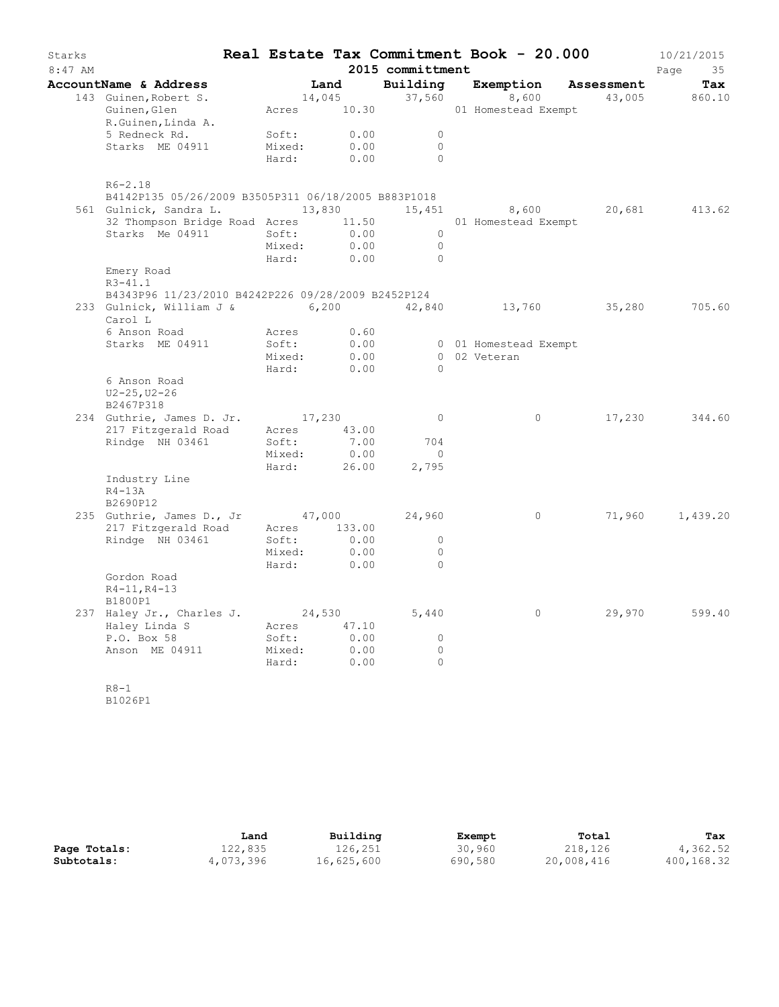| Starks<br>8:47 AM |                                                                |                 |              | 2015 committment | Real Estate Tax Commitment Book - 20.000 |        | 10/21/2015<br>Page<br>35 |
|-------------------|----------------------------------------------------------------|-----------------|--------------|------------------|------------------------------------------|--------|--------------------------|
|                   | AccountName & Address                                          |                 | Land         |                  | Building Exemption Assessment            |        | Tax                      |
|                   | 143 Guinen, Robert S.                                          |                 | 14,045       | 37,560           | 8,600                                    | 43,005 | 860.10                   |
|                   | Guinen, Glen<br>R.Guinen, Linda A.                             |                 | Acres 10.30  |                  | 01 Homestead Exempt                      |        |                          |
|                   | 5 Redneck Rd.                                                  | Soft:           | 0.00         | $\circ$          |                                          |        |                          |
|                   | Starks ME 04911                                                | Mixed:          | 0.00         | $\circ$          |                                          |        |                          |
|                   |                                                                | Hard:           | 0.00         | $\Omega$         |                                          |        |                          |
|                   | $R6 - 2.18$                                                    |                 |              |                  |                                          |        |                          |
|                   | B4142P135 05/26/2009 B3505P311 06/18/2005 B883P1018            |                 |              |                  |                                          |        |                          |
|                   | 561 Gulnick, Sandra L.                                         |                 | 13,830       | 15,451           | 8,600 20,681                             |        | 413.62                   |
|                   | 32 Thompson Bridge Road Acres 11.50                            |                 |              |                  | 01 Homestead Exempt                      |        |                          |
|                   | Starks Me 04911                                                | Soft:           | 0.00         | $\overline{0}$   |                                          |        |                          |
|                   |                                                                | Mixed:          | 0.00         | $\overline{0}$   |                                          |        |                          |
|                   |                                                                | Hard:           | 0.00         | $\bigcirc$       |                                          |        |                          |
|                   | Emery Road<br>$R3 - 41.1$                                      |                 |              |                  |                                          |        |                          |
|                   | B4343P96 11/23/2010 B4242P226 09/28/2009 B2452P124             |                 |              |                  |                                          |        |                          |
|                   | 233 Gulnick, William J & 6,200 42,840 13,760 35,280<br>Carol L |                 |              |                  |                                          |        | 705.60                   |
|                   | 6 Anson Road                                                   | Acres           | 0.60         |                  |                                          |        |                          |
|                   | Starks ME 04911                                                | Soft:           | 0.00         |                  | 0 01 Homestead Exempt                    |        |                          |
|                   |                                                                | Mixed:<br>Hard: | 0.00<br>0.00 | $\bigcirc$       | 0 02 Veteran                             |        |                          |
|                   | 6 Anson Road<br>$U2 - 25, U2 - 26$<br>B2467P318                |                 |              |                  |                                          |        |                          |
|                   | 234 Guthrie, James D. Jr. 17,230                               |                 |              | $\overline{0}$   | $\circ$                                  | 17,230 | 344.60                   |
|                   | 217 Fitzgerald Road                                            |                 | Acres 43.00  |                  |                                          |        |                          |
|                   | Rindge NH 03461                                                | Soft:           | 7.00         | 704              |                                          |        |                          |
|                   |                                                                | Mixed:          | 0.00         | $\overline{0}$   |                                          |        |                          |
|                   |                                                                | Hard:           | 26.00        | 2,795            |                                          |        |                          |
|                   | Industry Line<br>$R4-13A$                                      |                 |              |                  |                                          |        |                          |
|                   | B2690P12                                                       |                 |              |                  |                                          |        |                          |
|                   | 235 Guthrie, James D., Jr                                      |                 |              | 47,000 24,960    | $\circ$                                  | 71,960 | 1,439.20                 |
|                   | 217 Fitzgerald Road                                            |                 | Acres 133.00 |                  |                                          |        |                          |
|                   | Rindge NH 03461                                                | Soft:           | 0.00         | $\circ$          |                                          |        |                          |
|                   |                                                                | Mixed:          | 0.00         | $\overline{0}$   |                                          |        |                          |
|                   |                                                                | Hard:           | 0.00         | $\Omega$         |                                          |        |                          |
|                   | Gordon Road                                                    |                 |              |                  |                                          |        |                          |
|                   | $R4 - 11, R4 - 13$                                             |                 |              |                  |                                          |        |                          |
|                   | B1800P1                                                        |                 |              |                  |                                          |        |                          |
|                   | 237 Haley Jr., Charles J.                                      | 24,530          |              | 5,440            | $\circ$                                  | 29,970 | 599.40                   |
|                   | Haley Linda S                                                  |                 | Acres 47.10  |                  |                                          |        |                          |
|                   | P.O. Box 58                                                    | Soft:           | 0.00         | $\Omega$         |                                          |        |                          |
|                   | Anson ME 04911                                                 | Mixed:          | 0.00         | $\circ$          |                                          |        |                          |
|                   |                                                                | Hard:           | 0.00         | $\circ$          |                                          |        |                          |
|                   | $R8 - 1$                                                       |                 |              |                  |                                          |        |                          |

B1026P1

|              | Land      | Building   | Exempt  | Total      | Tax        |
|--------------|-----------|------------|---------|------------|------------|
| Page Totals: | 122,835   | 126,251    | 30,960  | 218,126    | 4,362.52   |
| Subtotals:   | 4,073,396 | 16,625,600 | 690,580 | 20,008,416 | 400,168.32 |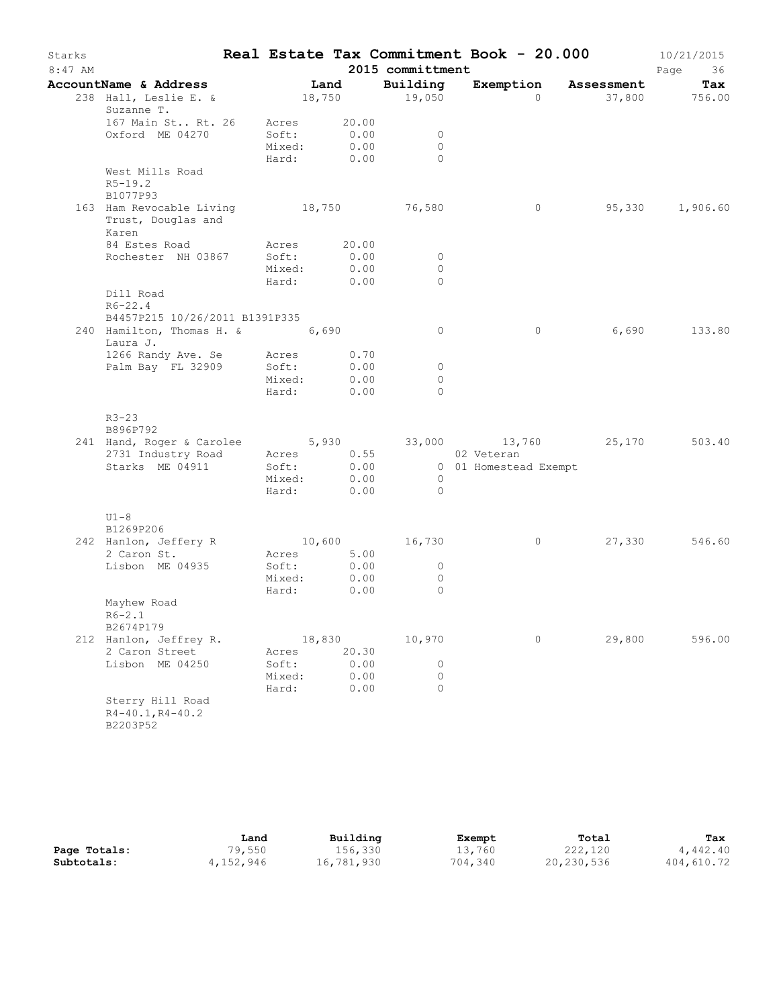| Starks    |                                                      |                 |                    |                                  | Real Estate Tax Commitment Book - 20.000 |                      | 10/21/2015      |
|-----------|------------------------------------------------------|-----------------|--------------------|----------------------------------|------------------------------------------|----------------------|-----------------|
| $8:47$ AM |                                                      |                 |                    | 2015 committment                 |                                          |                      | Page<br>36      |
|           | AccountName & Address                                |                 | Land               | Building                         |                                          | Exemption Assessment | Tax             |
|           | 238 Hall, Leslie E. &                                |                 |                    | 18,750 19,050                    | $\Omega$                                 |                      | 37,800 756.00   |
|           | Suzanne T.                                           |                 |                    |                                  |                                          |                      |                 |
|           | 167 Main St Rt. 26 Acres                             |                 | 20.00              |                                  |                                          |                      |                 |
|           | Oxford ME 04270                                      | Soft:<br>Mixed: | 0.00<br>0.00       | $\overline{0}$<br>$\overline{0}$ |                                          |                      |                 |
|           |                                                      |                 | Hard: 0.00         | $\Omega$                         |                                          |                      |                 |
|           | West Mills Road                                      |                 |                    |                                  |                                          |                      |                 |
|           | $R5 - 19.2$                                          |                 |                    |                                  |                                          |                      |                 |
|           | B1077P93                                             |                 |                    |                                  |                                          |                      |                 |
|           | 163 Ham Revocable Living 18,750 76,580               |                 |                    |                                  | $\circ$                                  |                      | 95,330 1,906.60 |
|           | Trust, Douglas and                                   |                 |                    |                                  |                                          |                      |                 |
|           | Karen                                                |                 |                    |                                  |                                          |                      |                 |
|           | 84 Estes Road                                        | Acres           | 20.00              |                                  |                                          |                      |                 |
|           | Rochester NH 03867                                   | Soft:           | 0.00               | $\overline{0}$                   |                                          |                      |                 |
|           |                                                      | Mixed:<br>Hard: | 0.00<br>0.00       | $\Omega$<br>$\Omega$             |                                          |                      |                 |
|           | Dill Road                                            |                 |                    |                                  |                                          |                      |                 |
|           | $R6 - 22.4$                                          |                 |                    |                                  |                                          |                      |                 |
|           | B4457P215 10/26/2011 B1391P335                       |                 |                    |                                  |                                          |                      |                 |
|           | 240 Hamilton, Thomas H. & 6,690                      |                 |                    | $\circ$                          | $\circ$                                  | 6,690                | 133.80          |
|           | Laura J.                                             |                 |                    |                                  |                                          |                      |                 |
|           | 1266 Randy Ave. Se                                   |                 | Acres 0.70         |                                  |                                          |                      |                 |
|           | Palm Bay FL 32909                                    | Soft:           | 0.00               | $\circ$                          |                                          |                      |                 |
|           |                                                      | Mixed:          | 0.00               | $\circ$                          |                                          |                      |                 |
|           |                                                      |                 | Hard: 0.00         | $\Omega$                         |                                          |                      |                 |
|           |                                                      |                 |                    |                                  |                                          |                      |                 |
|           | $R3 - 23$<br>B896P792                                |                 |                    |                                  |                                          |                      |                 |
|           | 241 Hand, Roger & Carolee 5,930 33,000 13,760 25,170 |                 |                    |                                  |                                          |                      | 503.40          |
|           | 2731 Industry Road                                   |                 | Acres 0.55         |                                  | 02 Veteran                               |                      |                 |
|           | Starks ME 04911                                      | Soft:           | 0.00               |                                  | 0 01 Homestead Exempt                    |                      |                 |
|           |                                                      | Mixed:          | 0.00               | $\overline{\phantom{0}}$         |                                          |                      |                 |
|           |                                                      |                 | Hard: 0.00         | $\bigcirc$                       |                                          |                      |                 |
|           |                                                      |                 |                    |                                  |                                          |                      |                 |
|           | $U1-8$                                               |                 |                    |                                  |                                          |                      |                 |
|           | B1269P206                                            |                 |                    |                                  |                                          |                      |                 |
|           | 242 Hanlon, Jeffery R                                |                 |                    | 10,600 16,730                    | $\circ$                                  | 27,330               | 546.60          |
|           | 2 Caron St.<br>Lisbon ME 04935                       | Soft:           | Acres 5.00<br>0.00 | $\circ$                          |                                          |                      |                 |
|           |                                                      | Mixed:          | 0.00               | $\circ$                          |                                          |                      |                 |
|           |                                                      | Hard:           | 0.00               | $\Omega$                         |                                          |                      |                 |
|           | Mayhew Road                                          |                 |                    |                                  |                                          |                      |                 |
|           | $R6 - 2.1$                                           |                 |                    |                                  |                                          |                      |                 |
|           | B2674P179                                            |                 |                    |                                  |                                          |                      |                 |
|           | 212 Hanlon, Jeffrey R.                               |                 | 18,830             | 10,970                           | 0                                        | 29,800               | 596.00          |
|           | 2 Caron Street                                       | Acres           | 20.30              |                                  |                                          |                      |                 |
|           | Lisbon ME 04250                                      | Soft:           | 0.00               | $\circ$                          |                                          |                      |                 |
|           |                                                      | Mixed:<br>Hard: | 0.00<br>0.00       | $\circ$<br>$\bigcap$             |                                          |                      |                 |
|           | Sterry Hill Road                                     |                 |                    |                                  |                                          |                      |                 |
|           | $R4 - 40.1, R4 - 40.2$                               |                 |                    |                                  |                                          |                      |                 |
|           | B2203P52                                             |                 |                    |                                  |                                          |                      |                 |
|           |                                                      |                 |                    |                                  |                                          |                      |                 |

|              | Land      | Building   | Exempt  | Total      | Tax        |
|--------------|-----------|------------|---------|------------|------------|
| Page Totals: | 79,550    | 156,330    | 13,760  | 222,120    | 4,442.40   |
| Subtotals:   | 4,152,946 | 16,781,930 | 704,340 | 20,230,536 | 404,610.72 |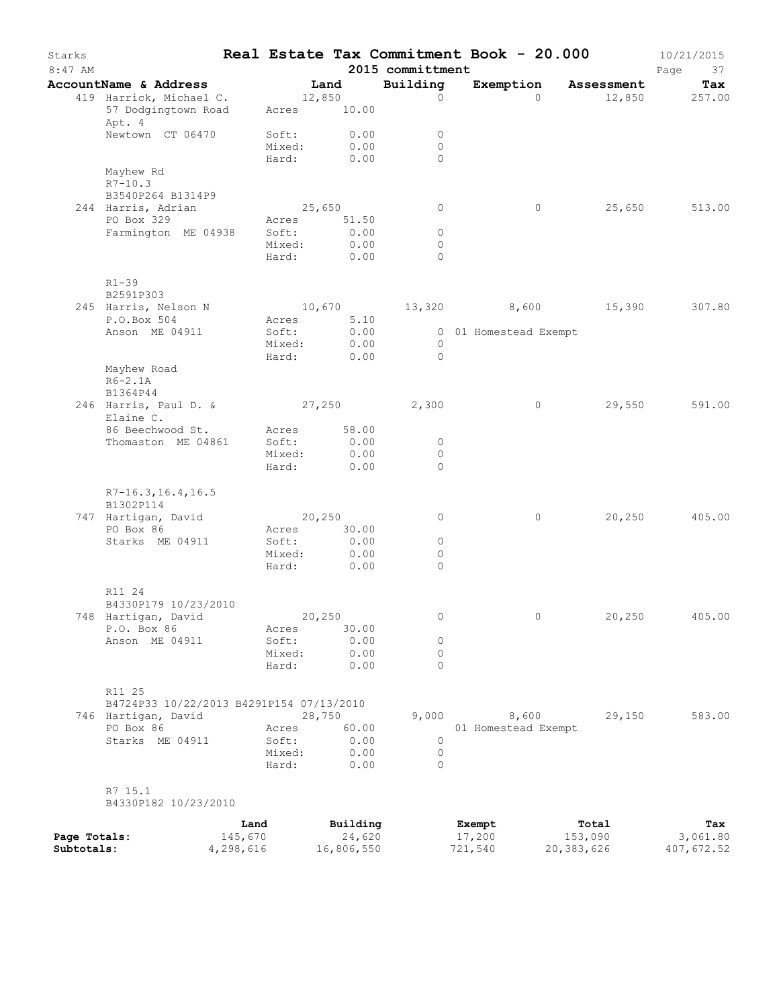| Building<br>Exemption<br>AccountName & Address<br>Land<br>Tax<br>Assessment<br>419 Harrick, Michael C.<br>12,850<br>$\Omega$<br>12,850<br>257.00<br>$\circ$<br>57 Dodgingtown Road<br>10.00<br>Acres<br>Apt. 4<br>0.00<br>Newtown CT 06470<br>Soft:<br>0<br>0.00<br>$\Omega$<br>Mixed:<br>Hard:<br>0.00<br>$\Omega$<br>Mayhew Rd<br>$R7 - 10.3$<br>B3540P264 B1314P9<br>25,650<br>244 Harris, Adrian<br>0<br>$\circ$<br>25,650<br>513.00<br>PO Box 329<br>51.50<br>Acres<br>0.00<br>Farmington ME 04938<br>Soft:<br>$\circ$<br>Mixed:<br>0.00<br>0<br>0.00<br>$\Omega$<br>Hard:<br>$R1 - 39$<br>B2591P303<br>307.80<br>245 Harris, Nelson N<br>10,670<br>13,320 8,600<br>15,390<br>P.O.Box 504<br>5.10<br>Acres<br>0.00<br>Anson ME 04911<br>Soft:<br>0 01 Homestead Exempt<br>Mixed:<br>0.00<br>$\circ$<br>0.00<br>$\Omega$<br>Hard:<br>Mayhew Road<br>$R6-2.1A$<br>B1364P44<br>246 Harris, Paul D. &<br>27,250<br>2,300<br>$\circ$<br>29,550<br>591.00<br>Elaine C.<br>86 Beechwood St.<br>58.00<br>Acres<br>Soft:<br>0.00<br>Thomaston ME 04861<br>0<br>Mixed:<br>0.00<br>0<br>$\Omega$<br>Hard:<br>0.00<br>$R7 - 16.3, 16.4, 16.5$<br>B1302P114<br>405.00<br>747 Hartigan, David<br>20,250<br>0<br>0<br>20,250<br>PO Box 86<br>30.00<br>Acres<br>0.00<br>Starks ME 04911<br>Soft:<br>0<br>0.00<br>Mixed:<br>0<br>Hard:<br>0.00<br>$\Omega$<br>R11 24<br>B4330P179 10/23/2010<br>748 Hartigan, David<br>20,250<br>20,250<br>405.00<br>0<br>0<br>P.O. Box 86<br>30.00<br>Acres<br>Anson ME 04911<br>Soft:<br>0.00<br>0<br>0.00<br>Mixed:<br>0<br>0.00<br>$\Omega$<br>Hard:<br>R11 25<br>B4724P33 10/22/2013 B4291P154 07/13/2010<br>28,750<br>9,000<br>8,600<br>746 Hartigan, David<br>29,150<br>583.00<br>60.00<br>PO Box 86<br>01 Homestead Exempt<br>Acres<br>Starks ME 04911<br>Soft:<br>0.00<br>0<br>Mixed:<br>0.00<br>$\circ$<br>0.00<br>Hard:<br>$\Omega$<br>R7 15.1<br>B4330P182 10/23/2010<br>Building<br>Land<br>Exempt<br>Total<br>Tax<br>145,670<br>24,620<br>17,200<br>153,090<br>3,061.80<br>Page Totals:<br>16,806,550<br>20,383,626<br>Subtotals:<br>4,298,616 | Starks<br>$8:47$ AM |  |  | 2015 committment | Real Estate Tax Commitment Book - 20.000 |  | 10/21/2015<br>Page<br>37 |
|----------------------------------------------------------------------------------------------------------------------------------------------------------------------------------------------------------------------------------------------------------------------------------------------------------------------------------------------------------------------------------------------------------------------------------------------------------------------------------------------------------------------------------------------------------------------------------------------------------------------------------------------------------------------------------------------------------------------------------------------------------------------------------------------------------------------------------------------------------------------------------------------------------------------------------------------------------------------------------------------------------------------------------------------------------------------------------------------------------------------------------------------------------------------------------------------------------------------------------------------------------------------------------------------------------------------------------------------------------------------------------------------------------------------------------------------------------------------------------------------------------------------------------------------------------------------------------------------------------------------------------------------------------------------------------------------------------------------------------------------------------------------------------------------------------------------------------------------------------------------------------------------------------------------------------------------------------------------------------------------------------------------------------------------------------------------------------|---------------------|--|--|------------------|------------------------------------------|--|--------------------------|
|                                                                                                                                                                                                                                                                                                                                                                                                                                                                                                                                                                                                                                                                                                                                                                                                                                                                                                                                                                                                                                                                                                                                                                                                                                                                                                                                                                                                                                                                                                                                                                                                                                                                                                                                                                                                                                                                                                                                                                                                                                                                                  |                     |  |  |                  |                                          |  |                          |
|                                                                                                                                                                                                                                                                                                                                                                                                                                                                                                                                                                                                                                                                                                                                                                                                                                                                                                                                                                                                                                                                                                                                                                                                                                                                                                                                                                                                                                                                                                                                                                                                                                                                                                                                                                                                                                                                                                                                                                                                                                                                                  |                     |  |  |                  |                                          |  |                          |
|                                                                                                                                                                                                                                                                                                                                                                                                                                                                                                                                                                                                                                                                                                                                                                                                                                                                                                                                                                                                                                                                                                                                                                                                                                                                                                                                                                                                                                                                                                                                                                                                                                                                                                                                                                                                                                                                                                                                                                                                                                                                                  |                     |  |  |                  |                                          |  |                          |
|                                                                                                                                                                                                                                                                                                                                                                                                                                                                                                                                                                                                                                                                                                                                                                                                                                                                                                                                                                                                                                                                                                                                                                                                                                                                                                                                                                                                                                                                                                                                                                                                                                                                                                                                                                                                                                                                                                                                                                                                                                                                                  |                     |  |  |                  |                                          |  |                          |
|                                                                                                                                                                                                                                                                                                                                                                                                                                                                                                                                                                                                                                                                                                                                                                                                                                                                                                                                                                                                                                                                                                                                                                                                                                                                                                                                                                                                                                                                                                                                                                                                                                                                                                                                                                                                                                                                                                                                                                                                                                                                                  |                     |  |  |                  |                                          |  |                          |
|                                                                                                                                                                                                                                                                                                                                                                                                                                                                                                                                                                                                                                                                                                                                                                                                                                                                                                                                                                                                                                                                                                                                                                                                                                                                                                                                                                                                                                                                                                                                                                                                                                                                                                                                                                                                                                                                                                                                                                                                                                                                                  |                     |  |  |                  |                                          |  |                          |
|                                                                                                                                                                                                                                                                                                                                                                                                                                                                                                                                                                                                                                                                                                                                                                                                                                                                                                                                                                                                                                                                                                                                                                                                                                                                                                                                                                                                                                                                                                                                                                                                                                                                                                                                                                                                                                                                                                                                                                                                                                                                                  |                     |  |  |                  |                                          |  |                          |
|                                                                                                                                                                                                                                                                                                                                                                                                                                                                                                                                                                                                                                                                                                                                                                                                                                                                                                                                                                                                                                                                                                                                                                                                                                                                                                                                                                                                                                                                                                                                                                                                                                                                                                                                                                                                                                                                                                                                                                                                                                                                                  |                     |  |  |                  |                                          |  |                          |
|                                                                                                                                                                                                                                                                                                                                                                                                                                                                                                                                                                                                                                                                                                                                                                                                                                                                                                                                                                                                                                                                                                                                                                                                                                                                                                                                                                                                                                                                                                                                                                                                                                                                                                                                                                                                                                                                                                                                                                                                                                                                                  |                     |  |  |                  |                                          |  |                          |
|                                                                                                                                                                                                                                                                                                                                                                                                                                                                                                                                                                                                                                                                                                                                                                                                                                                                                                                                                                                                                                                                                                                                                                                                                                                                                                                                                                                                                                                                                                                                                                                                                                                                                                                                                                                                                                                                                                                                                                                                                                                                                  |                     |  |  |                  |                                          |  |                          |
|                                                                                                                                                                                                                                                                                                                                                                                                                                                                                                                                                                                                                                                                                                                                                                                                                                                                                                                                                                                                                                                                                                                                                                                                                                                                                                                                                                                                                                                                                                                                                                                                                                                                                                                                                                                                                                                                                                                                                                                                                                                                                  |                     |  |  |                  |                                          |  |                          |
|                                                                                                                                                                                                                                                                                                                                                                                                                                                                                                                                                                                                                                                                                                                                                                                                                                                                                                                                                                                                                                                                                                                                                                                                                                                                                                                                                                                                                                                                                                                                                                                                                                                                                                                                                                                                                                                                                                                                                                                                                                                                                  |                     |  |  |                  |                                          |  |                          |
|                                                                                                                                                                                                                                                                                                                                                                                                                                                                                                                                                                                                                                                                                                                                                                                                                                                                                                                                                                                                                                                                                                                                                                                                                                                                                                                                                                                                                                                                                                                                                                                                                                                                                                                                                                                                                                                                                                                                                                                                                                                                                  |                     |  |  |                  |                                          |  |                          |
|                                                                                                                                                                                                                                                                                                                                                                                                                                                                                                                                                                                                                                                                                                                                                                                                                                                                                                                                                                                                                                                                                                                                                                                                                                                                                                                                                                                                                                                                                                                                                                                                                                                                                                                                                                                                                                                                                                                                                                                                                                                                                  |                     |  |  |                  |                                          |  |                          |
|                                                                                                                                                                                                                                                                                                                                                                                                                                                                                                                                                                                                                                                                                                                                                                                                                                                                                                                                                                                                                                                                                                                                                                                                                                                                                                                                                                                                                                                                                                                                                                                                                                                                                                                                                                                                                                                                                                                                                                                                                                                                                  |                     |  |  |                  |                                          |  |                          |
|                                                                                                                                                                                                                                                                                                                                                                                                                                                                                                                                                                                                                                                                                                                                                                                                                                                                                                                                                                                                                                                                                                                                                                                                                                                                                                                                                                                                                                                                                                                                                                                                                                                                                                                                                                                                                                                                                                                                                                                                                                                                                  |                     |  |  |                  |                                          |  |                          |
|                                                                                                                                                                                                                                                                                                                                                                                                                                                                                                                                                                                                                                                                                                                                                                                                                                                                                                                                                                                                                                                                                                                                                                                                                                                                                                                                                                                                                                                                                                                                                                                                                                                                                                                                                                                                                                                                                                                                                                                                                                                                                  |                     |  |  |                  |                                          |  |                          |
|                                                                                                                                                                                                                                                                                                                                                                                                                                                                                                                                                                                                                                                                                                                                                                                                                                                                                                                                                                                                                                                                                                                                                                                                                                                                                                                                                                                                                                                                                                                                                                                                                                                                                                                                                                                                                                                                                                                                                                                                                                                                                  |                     |  |  |                  |                                          |  |                          |
|                                                                                                                                                                                                                                                                                                                                                                                                                                                                                                                                                                                                                                                                                                                                                                                                                                                                                                                                                                                                                                                                                                                                                                                                                                                                                                                                                                                                                                                                                                                                                                                                                                                                                                                                                                                                                                                                                                                                                                                                                                                                                  |                     |  |  |                  |                                          |  |                          |
|                                                                                                                                                                                                                                                                                                                                                                                                                                                                                                                                                                                                                                                                                                                                                                                                                                                                                                                                                                                                                                                                                                                                                                                                                                                                                                                                                                                                                                                                                                                                                                                                                                                                                                                                                                                                                                                                                                                                                                                                                                                                                  |                     |  |  |                  |                                          |  |                          |
|                                                                                                                                                                                                                                                                                                                                                                                                                                                                                                                                                                                                                                                                                                                                                                                                                                                                                                                                                                                                                                                                                                                                                                                                                                                                                                                                                                                                                                                                                                                                                                                                                                                                                                                                                                                                                                                                                                                                                                                                                                                                                  |                     |  |  |                  |                                          |  |                          |
|                                                                                                                                                                                                                                                                                                                                                                                                                                                                                                                                                                                                                                                                                                                                                                                                                                                                                                                                                                                                                                                                                                                                                                                                                                                                                                                                                                                                                                                                                                                                                                                                                                                                                                                                                                                                                                                                                                                                                                                                                                                                                  |                     |  |  |                  |                                          |  |                          |
|                                                                                                                                                                                                                                                                                                                                                                                                                                                                                                                                                                                                                                                                                                                                                                                                                                                                                                                                                                                                                                                                                                                                                                                                                                                                                                                                                                                                                                                                                                                                                                                                                                                                                                                                                                                                                                                                                                                                                                                                                                                                                  |                     |  |  |                  |                                          |  |                          |
|                                                                                                                                                                                                                                                                                                                                                                                                                                                                                                                                                                                                                                                                                                                                                                                                                                                                                                                                                                                                                                                                                                                                                                                                                                                                                                                                                                                                                                                                                                                                                                                                                                                                                                                                                                                                                                                                                                                                                                                                                                                                                  |                     |  |  |                  |                                          |  |                          |
|                                                                                                                                                                                                                                                                                                                                                                                                                                                                                                                                                                                                                                                                                                                                                                                                                                                                                                                                                                                                                                                                                                                                                                                                                                                                                                                                                                                                                                                                                                                                                                                                                                                                                                                                                                                                                                                                                                                                                                                                                                                                                  |                     |  |  |                  |                                          |  |                          |
|                                                                                                                                                                                                                                                                                                                                                                                                                                                                                                                                                                                                                                                                                                                                                                                                                                                                                                                                                                                                                                                                                                                                                                                                                                                                                                                                                                                                                                                                                                                                                                                                                                                                                                                                                                                                                                                                                                                                                                                                                                                                                  |                     |  |  |                  |                                          |  |                          |
|                                                                                                                                                                                                                                                                                                                                                                                                                                                                                                                                                                                                                                                                                                                                                                                                                                                                                                                                                                                                                                                                                                                                                                                                                                                                                                                                                                                                                                                                                                                                                                                                                                                                                                                                                                                                                                                                                                                                                                                                                                                                                  |                     |  |  |                  |                                          |  |                          |
|                                                                                                                                                                                                                                                                                                                                                                                                                                                                                                                                                                                                                                                                                                                                                                                                                                                                                                                                                                                                                                                                                                                                                                                                                                                                                                                                                                                                                                                                                                                                                                                                                                                                                                                                                                                                                                                                                                                                                                                                                                                                                  |                     |  |  |                  |                                          |  |                          |
|                                                                                                                                                                                                                                                                                                                                                                                                                                                                                                                                                                                                                                                                                                                                                                                                                                                                                                                                                                                                                                                                                                                                                                                                                                                                                                                                                                                                                                                                                                                                                                                                                                                                                                                                                                                                                                                                                                                                                                                                                                                                                  |                     |  |  |                  |                                          |  |                          |
|                                                                                                                                                                                                                                                                                                                                                                                                                                                                                                                                                                                                                                                                                                                                                                                                                                                                                                                                                                                                                                                                                                                                                                                                                                                                                                                                                                                                                                                                                                                                                                                                                                                                                                                                                                                                                                                                                                                                                                                                                                                                                  |                     |  |  |                  |                                          |  |                          |
|                                                                                                                                                                                                                                                                                                                                                                                                                                                                                                                                                                                                                                                                                                                                                                                                                                                                                                                                                                                                                                                                                                                                                                                                                                                                                                                                                                                                                                                                                                                                                                                                                                                                                                                                                                                                                                                                                                                                                                                                                                                                                  |                     |  |  |                  |                                          |  |                          |
|                                                                                                                                                                                                                                                                                                                                                                                                                                                                                                                                                                                                                                                                                                                                                                                                                                                                                                                                                                                                                                                                                                                                                                                                                                                                                                                                                                                                                                                                                                                                                                                                                                                                                                                                                                                                                                                                                                                                                                                                                                                                                  |                     |  |  |                  |                                          |  |                          |
|                                                                                                                                                                                                                                                                                                                                                                                                                                                                                                                                                                                                                                                                                                                                                                                                                                                                                                                                                                                                                                                                                                                                                                                                                                                                                                                                                                                                                                                                                                                                                                                                                                                                                                                                                                                                                                                                                                                                                                                                                                                                                  |                     |  |  |                  |                                          |  |                          |
|                                                                                                                                                                                                                                                                                                                                                                                                                                                                                                                                                                                                                                                                                                                                                                                                                                                                                                                                                                                                                                                                                                                                                                                                                                                                                                                                                                                                                                                                                                                                                                                                                                                                                                                                                                                                                                                                                                                                                                                                                                                                                  |                     |  |  |                  |                                          |  |                          |
|                                                                                                                                                                                                                                                                                                                                                                                                                                                                                                                                                                                                                                                                                                                                                                                                                                                                                                                                                                                                                                                                                                                                                                                                                                                                                                                                                                                                                                                                                                                                                                                                                                                                                                                                                                                                                                                                                                                                                                                                                                                                                  |                     |  |  |                  |                                          |  |                          |
|                                                                                                                                                                                                                                                                                                                                                                                                                                                                                                                                                                                                                                                                                                                                                                                                                                                                                                                                                                                                                                                                                                                                                                                                                                                                                                                                                                                                                                                                                                                                                                                                                                                                                                                                                                                                                                                                                                                                                                                                                                                                                  |                     |  |  |                  |                                          |  |                          |
|                                                                                                                                                                                                                                                                                                                                                                                                                                                                                                                                                                                                                                                                                                                                                                                                                                                                                                                                                                                                                                                                                                                                                                                                                                                                                                                                                                                                                                                                                                                                                                                                                                                                                                                                                                                                                                                                                                                                                                                                                                                                                  |                     |  |  |                  |                                          |  |                          |
|                                                                                                                                                                                                                                                                                                                                                                                                                                                                                                                                                                                                                                                                                                                                                                                                                                                                                                                                                                                                                                                                                                                                                                                                                                                                                                                                                                                                                                                                                                                                                                                                                                                                                                                                                                                                                                                                                                                                                                                                                                                                                  |                     |  |  |                  |                                          |  |                          |
|                                                                                                                                                                                                                                                                                                                                                                                                                                                                                                                                                                                                                                                                                                                                                                                                                                                                                                                                                                                                                                                                                                                                                                                                                                                                                                                                                                                                                                                                                                                                                                                                                                                                                                                                                                                                                                                                                                                                                                                                                                                                                  |                     |  |  |                  |                                          |  |                          |
|                                                                                                                                                                                                                                                                                                                                                                                                                                                                                                                                                                                                                                                                                                                                                                                                                                                                                                                                                                                                                                                                                                                                                                                                                                                                                                                                                                                                                                                                                                                                                                                                                                                                                                                                                                                                                                                                                                                                                                                                                                                                                  |                     |  |  |                  |                                          |  |                          |
|                                                                                                                                                                                                                                                                                                                                                                                                                                                                                                                                                                                                                                                                                                                                                                                                                                                                                                                                                                                                                                                                                                                                                                                                                                                                                                                                                                                                                                                                                                                                                                                                                                                                                                                                                                                                                                                                                                                                                                                                                                                                                  |                     |  |  |                  |                                          |  |                          |
|                                                                                                                                                                                                                                                                                                                                                                                                                                                                                                                                                                                                                                                                                                                                                                                                                                                                                                                                                                                                                                                                                                                                                                                                                                                                                                                                                                                                                                                                                                                                                                                                                                                                                                                                                                                                                                                                                                                                                                                                                                                                                  |                     |  |  |                  |                                          |  |                          |
|                                                                                                                                                                                                                                                                                                                                                                                                                                                                                                                                                                                                                                                                                                                                                                                                                                                                                                                                                                                                                                                                                                                                                                                                                                                                                                                                                                                                                                                                                                                                                                                                                                                                                                                                                                                                                                                                                                                                                                                                                                                                                  |                     |  |  |                  |                                          |  |                          |
|                                                                                                                                                                                                                                                                                                                                                                                                                                                                                                                                                                                                                                                                                                                                                                                                                                                                                                                                                                                                                                                                                                                                                                                                                                                                                                                                                                                                                                                                                                                                                                                                                                                                                                                                                                                                                                                                                                                                                                                                                                                                                  |                     |  |  |                  |                                          |  |                          |
|                                                                                                                                                                                                                                                                                                                                                                                                                                                                                                                                                                                                                                                                                                                                                                                                                                                                                                                                                                                                                                                                                                                                                                                                                                                                                                                                                                                                                                                                                                                                                                                                                                                                                                                                                                                                                                                                                                                                                                                                                                                                                  |                     |  |  |                  |                                          |  |                          |
|                                                                                                                                                                                                                                                                                                                                                                                                                                                                                                                                                                                                                                                                                                                                                                                                                                                                                                                                                                                                                                                                                                                                                                                                                                                                                                                                                                                                                                                                                                                                                                                                                                                                                                                                                                                                                                                                                                                                                                                                                                                                                  |                     |  |  |                  |                                          |  |                          |
|                                                                                                                                                                                                                                                                                                                                                                                                                                                                                                                                                                                                                                                                                                                                                                                                                                                                                                                                                                                                                                                                                                                                                                                                                                                                                                                                                                                                                                                                                                                                                                                                                                                                                                                                                                                                                                                                                                                                                                                                                                                                                  |                     |  |  |                  |                                          |  |                          |
|                                                                                                                                                                                                                                                                                                                                                                                                                                                                                                                                                                                                                                                                                                                                                                                                                                                                                                                                                                                                                                                                                                                                                                                                                                                                                                                                                                                                                                                                                                                                                                                                                                                                                                                                                                                                                                                                                                                                                                                                                                                                                  |                     |  |  |                  | 721,540                                  |  | 407,672.52               |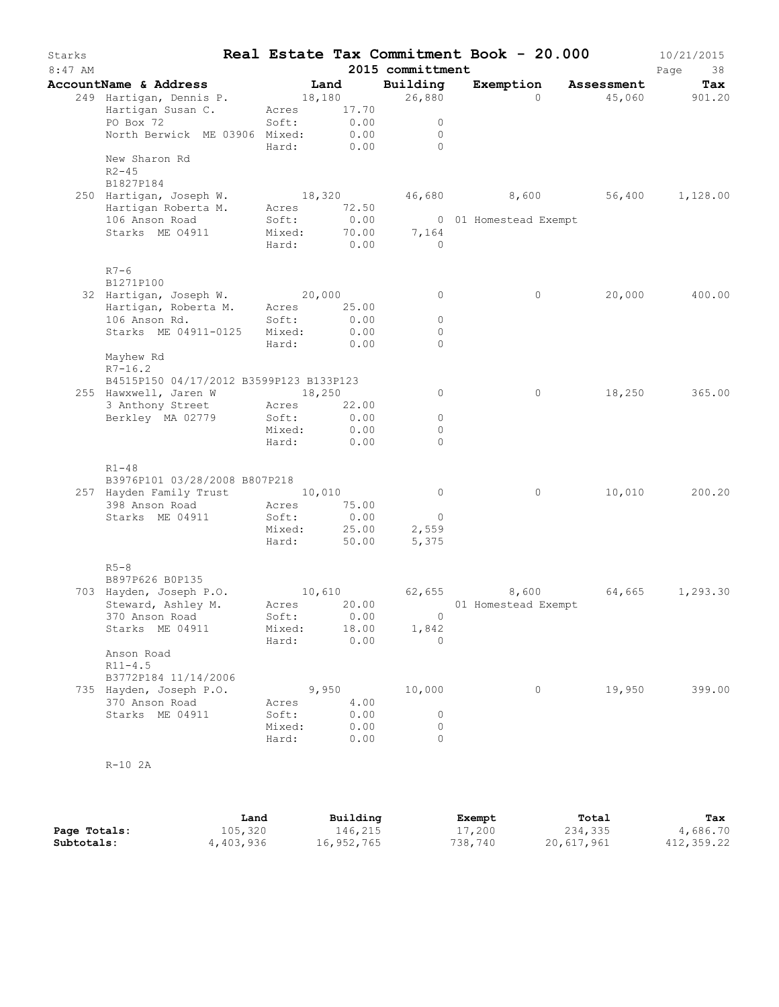| Starks<br>$8:47$ AM |                                                  |                 |               | 2015 committment        | Real Estate Tax Commitment Book - 20.000 |                              | 10/21/2015<br>Page<br>38 |
|---------------------|--------------------------------------------------|-----------------|---------------|-------------------------|------------------------------------------|------------------------------|--------------------------|
|                     | AccountName & Address                            |                 | Land          | Building                | Exemption                                | Assessment                   | Tax                      |
|                     | 249 Hartigan, Dennis P.                          | 18,180          |               | 26,880                  | $\Omega$                                 | 45,060                       | 901.20                   |
|                     | Hartigan Susan C.                                | Acres           | 17.70         |                         |                                          |                              |                          |
|                     | PO Box 72                                        | Soft:           | 0.00          | $\circ$                 |                                          |                              |                          |
|                     | North Berwick ME 03906 Mixed:                    | Hard:           | 0.00<br>0.00  | $\circ$<br>$\Omega$     |                                          |                              |                          |
|                     | New Sharon Rd<br>$R2 - 45$                       |                 |               |                         |                                          |                              |                          |
|                     | B1827P184                                        |                 |               |                         |                                          |                              |                          |
|                     | 250 Hartigan, Joseph W.                          | 18,320          |               |                         |                                          | 46,680 8,600 56,400 1,128.00 |                          |
|                     | Hartigan Roberta M.                              | Acres           | 72.50         |                         |                                          |                              |                          |
|                     | 106 Anson Road                                   | Soft:           | 0.00          |                         | 0 01 Homestead Exempt                    |                              |                          |
|                     | Starks ME 04911                                  | Mixed:<br>Hard: | 70.00<br>0.00 | 7,164<br>$\overline{0}$ |                                          |                              |                          |
|                     | $R7-6$                                           |                 |               |                         |                                          |                              |                          |
|                     | B1271P100                                        |                 |               |                         |                                          |                              |                          |
|                     | 32 Hartigan, Joseph W. 20,000                    |                 |               | 0                       | $\circ$                                  | 20,000                       | 400.00                   |
|                     | Hartigan, Roberta M. Acres<br>106 Anson Rd.      | Soft:           | 25.00<br>0.00 | $\circ$                 |                                          |                              |                          |
|                     | Starks ME 04911-0125                             | Mixed:          | 0.00          | 0                       |                                          |                              |                          |
|                     |                                                  | Hard:           | 0.00          | $\Omega$                |                                          |                              |                          |
|                     | Mayhew Rd<br>$R7 - 16.2$                         |                 |               |                         |                                          |                              |                          |
|                     | B4515P150 04/17/2012 B3599P123 B133P123          |                 |               |                         |                                          |                              |                          |
|                     | 255 Hawxwell, Jaren W                            |                 | 18,250        | $\circ$                 | $\circ$                                  | 18,250                       | 365.00                   |
|                     | 3 Anthony Street                                 | Acres           | 22.00         |                         |                                          |                              |                          |
|                     | Berkley MA 02779                                 | Soft:           | 0.00          | $\circ$                 |                                          |                              |                          |
|                     |                                                  | Mixed:<br>Hard: | 0.00<br>0.00  | $\Omega$<br>$\circ$     |                                          |                              |                          |
|                     | $R1 - 48$                                        |                 |               |                         |                                          |                              |                          |
|                     | B3976P101 03/28/2008 B807P218                    |                 |               |                         |                                          |                              |                          |
|                     | 257 Hayden Family Trust 10,010<br>398 Anson Road |                 |               | $\overline{0}$          | $\circ$                                  | 10,010                       | 200.20                   |
|                     | Starks ME 04911                                  | Acres<br>Soft:  | 75.00<br>0.00 | $\circ$                 |                                          |                              |                          |
|                     |                                                  | Mixed:          | 25.00         | 2,559                   |                                          |                              |                          |
|                     |                                                  | Hard:           | 50.00         | 5,375                   |                                          |                              |                          |
|                     | $R5-8$<br>B897P626 B0P135                        |                 |               |                         |                                          |                              |                          |
|                     | 703 Hayden, Joseph P.O.                          | 10,610          |               | 62,655                  | 8,600                                    | 64,665                       | 1,293.30                 |
|                     | Steward, Ashley M.                               |                 |               |                         | Acres 20.00 01 Homestead Exempt          |                              |                          |
|                     | 370 Anson Road                                   | Soft: 0.00      |               | $\overline{0}$          |                                          |                              |                          |
|                     | Starks ME 04911                                  | Mixed:          | 18.00         | 1,842                   |                                          |                              |                          |
|                     |                                                  | Hard:           | 0.00          | $\Omega$                |                                          |                              |                          |
|                     | Anson Road                                       |                 |               |                         |                                          |                              |                          |
|                     | $R11 - 4.5$                                      |                 |               |                         |                                          |                              |                          |
|                     | B3772P184 11/14/2006<br>735 Hayden, Joseph P.O.  |                 | 9,950         | 10,000                  | $\circ$                                  | 19,950                       | 399.00                   |
|                     | 370 Anson Road                                   | Acres           | 4.00          |                         |                                          |                              |                          |
|                     | Starks ME 04911                                  | Soft:           | 0.00          | $\circ$                 |                                          |                              |                          |
|                     |                                                  | Mixed:          | 0.00          | $\circ$                 |                                          |                              |                          |
|                     |                                                  | Hard:           | 0.00          | 0                       |                                          |                              |                          |
|                     | $R-10$ 2A                                        |                 |               |                         |                                          |                              |                          |
|                     |                                                  |                 |               |                         |                                          |                              |                          |
|                     |                                                  | Land            | Building      |                         | Exempt                                   | Total                        | Tax                      |

|              | Land      | Building   | Exempt  | Total      | Tax        |
|--------------|-----------|------------|---------|------------|------------|
| Page Totals: | 105,320   | 146,215    | 17,200  | 234,335    | 4,686.70   |
| Subtotals:   | 4,403,936 | 16,952,765 | 738,740 | 20,617,961 | 412,359.22 |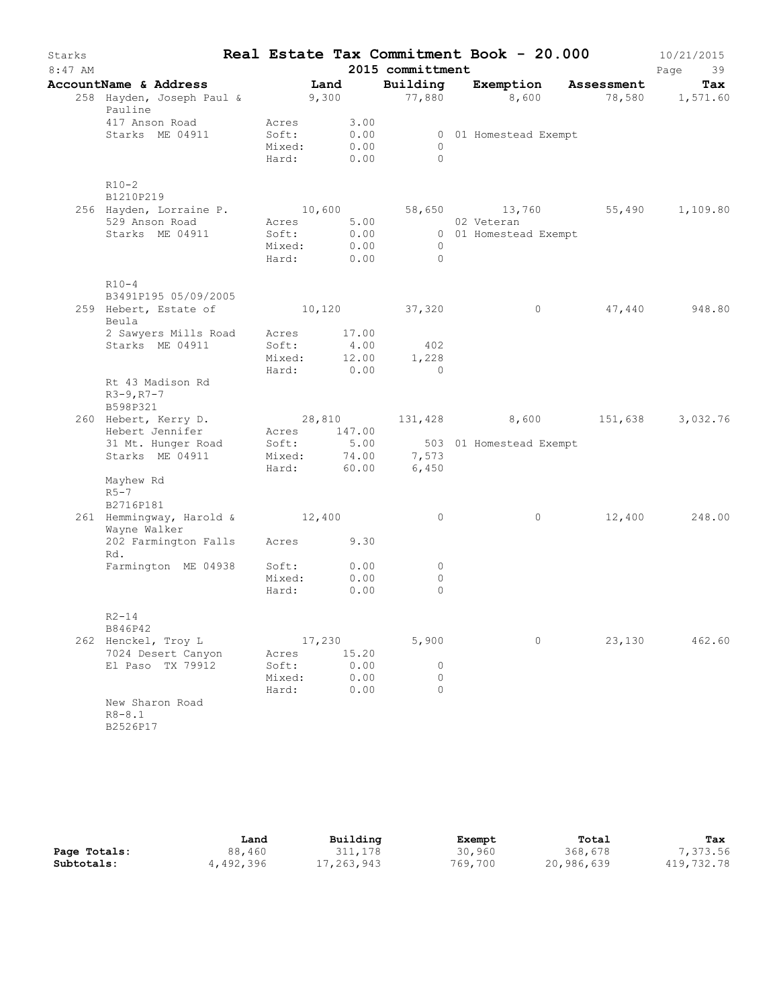| Starks    |                                                                                                                  |                                             |        |              |                                    | Real Estate Tax Commitment Book - 20.000 |        | 10/21/2015             |
|-----------|------------------------------------------------------------------------------------------------------------------|---------------------------------------------|--------|--------------|------------------------------------|------------------------------------------|--------|------------------------|
| $8:47$ AM |                                                                                                                  |                                             |        |              | 2015 committment                   |                                          |        | Page<br>39             |
|           | AccountName & Address Tand<br>258 Hayden, Joseph Paul & 9,300 77,880 8,600 78,580 1,571.60<br>Pauline            |                                             |        |              | Building                           | Exemption Assessment                     |        | Tax                    |
|           | 417 Anson Road<br>Starks ME 04911                                                                                | Acres<br>Soft:<br>Mixed: 0.00<br>Hard: 0.00 |        | 3.00<br>0.00 | $\bigcirc$<br>$\bigcirc$           | 0 01 Homestead Exempt                    |        |                        |
|           | $R10-2$<br>B1210P219                                                                                             |                                             |        |              |                                    |                                          |        |                        |
|           | 256 Hayden, Lorraine P. 10,600 58,650                                                                            |                                             |        |              |                                    |                                          |        | 13,760 55,490 1,109.80 |
|           | 529 Anson Road                                                                                                   | Acres 5.00                                  |        |              |                                    | 02 Veteran                               |        |                        |
|           | Starks ME 04911                                                                                                  | Soft:<br>Mixed: 0.00<br>Hard: 0.00          |        | 0.00         | $\overline{0}$<br>$\bigcirc$       | 0 01 Homestead Exempt                    |        |                        |
|           | $R10-4$                                                                                                          |                                             |        |              |                                    |                                          |        |                        |
|           | B3491P195 05/09/2005                                                                                             |                                             |        |              |                                    |                                          |        |                        |
|           | 259 Hebert, Estate of<br>Beula                                                                                   |                                             |        |              | 10,120 37,320                      | $\overline{0}$                           |        | 47,440 948.80          |
|           | 2 Sawyers Mills Road Acres 17.00                                                                                 |                                             |        |              |                                    |                                          |        |                        |
|           | Starks ME 04911                                                                                                  | Soft:                                       |        |              | 4.00 402                           |                                          |        |                        |
|           |                                                                                                                  |                                             |        |              | Mixed: 12.00 1,228<br>Hard: 0.00 0 |                                          |        |                        |
|           | Rt 43 Madison Rd<br>$R3 - 9, R7 - 7$<br>B598P321                                                                 |                                             |        |              |                                    |                                          |        |                        |
|           | 260 Hebert, Kerry D.                                                                                             |                                             |        |              |                                    | 28,810 131,428 8,600 151,638 3,032.76    |        |                        |
|           | Hebert Jennifer                                                                                                  | Acres 147.00                                |        |              |                                    |                                          |        |                        |
|           |                                                                                                                  |                                             |        |              |                                    |                                          |        |                        |
|           | 31 Mt. Hunger Road Soft: 5.00 503 01 Homestead Exempt<br>Starks ME 04911 Mixed: 74.00 7,573<br>Hard: 60.00 6,450 |                                             |        |              |                                    |                                          |        |                        |
|           | Mayhew Rd<br>$R5-7$                                                                                              |                                             |        |              |                                    |                                          |        |                        |
|           | B2716P181                                                                                                        |                                             |        |              |                                    |                                          |        |                        |
|           | 261 Hemmingway, Harold & 12,400<br>Wayne Walker                                                                  |                                             |        |              | $\circ$                            | $\circ$                                  |        | 12,400 248.00          |
|           | 202 Farmington Falls Acres 9.30<br>Rd.                                                                           |                                             |        |              |                                    |                                          |        |                        |
|           | Farmington ME 04938                                                                                              | Soft: 0.00                                  |        |              | $\circ$                            |                                          |        |                        |
|           |                                                                                                                  | Mixed:<br>Hard:                             |        | 0.00<br>0.00 | $\circ$<br>$\circ$                 |                                          |        |                        |
|           | $R2 - 14$<br>B846P42                                                                                             |                                             |        |              |                                    |                                          |        |                        |
|           | 262 Henckel, Troy L                                                                                              |                                             | 17,230 |              | 5,900                              | 0                                        | 23,130 | 462.60                 |
|           | 7024 Desert Canyon                                                                                               | Acres                                       |        | 15.20        |                                    |                                          |        |                        |
|           | El Paso TX 79912                                                                                                 | Soft:                                       |        | 0.00         | 0                                  |                                          |        |                        |
|           |                                                                                                                  | Mixed:                                      |        | 0.00         | $\circ$                            |                                          |        |                        |
|           |                                                                                                                  | Hard:                                       |        | 0.00         | $\Omega$                           |                                          |        |                        |
|           | New Sharon Road<br>$R8 - 8.1$                                                                                    |                                             |        |              |                                    |                                          |        |                        |
|           | B2526P17                                                                                                         |                                             |        |              |                                    |                                          |        |                        |

|              | Land      | Building   | Exempt  | Total      | Tax        |
|--------------|-----------|------------|---------|------------|------------|
| Page Totals: | 88,460    | 311,178    | 30,960  | 368,678    | 7,373.56   |
| Subtotals:   | 4,492,396 | 17,263,943 | 769,700 | 20,986,639 | 419,732.78 |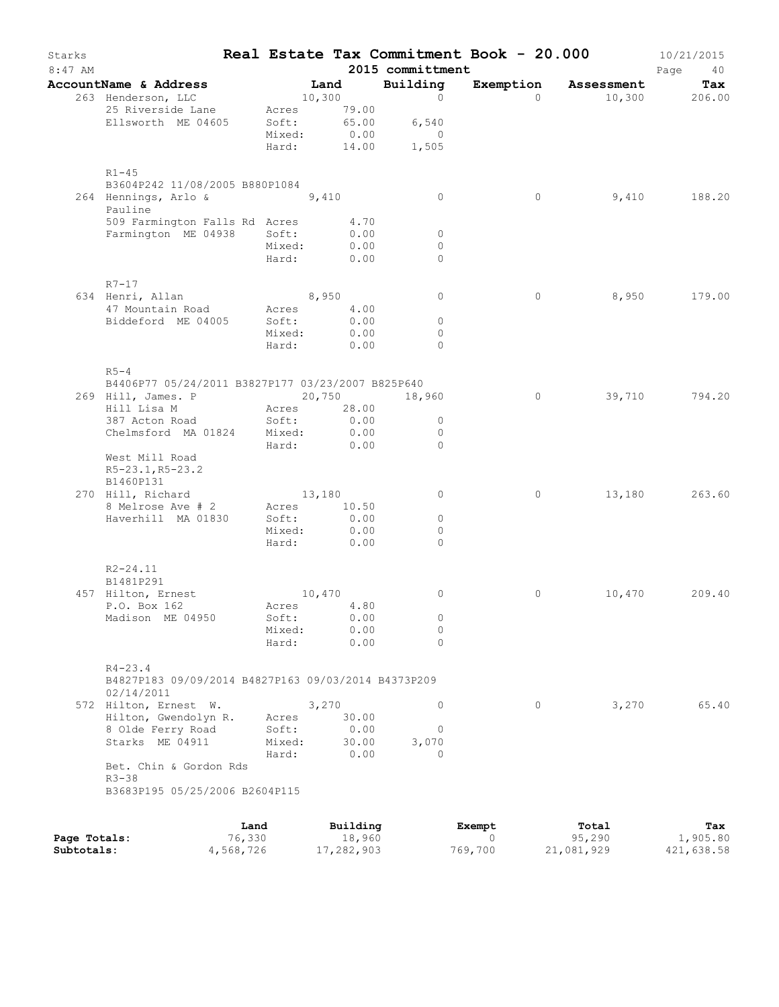| Starks<br>$8:47$ AM |                                                                   |        |               | 2015 committment | Real Estate Tax Commitment Book - 20.000 |                      | 10/21/2015<br>Page<br>40 |
|---------------------|-------------------------------------------------------------------|--------|---------------|------------------|------------------------------------------|----------------------|--------------------------|
|                     | AccountName & Address                                             |        | Land          | Building         |                                          | Exemption Assessment | Tax                      |
|                     | 263 Henderson, LLC                                                |        | $10,300$ 0    |                  | $\Omega$                                 |                      | $10,300$ 206.00          |
|                     | 25 Riverside Lane                                                 |        | Acres 79.00   |                  |                                          |                      |                          |
|                     | Ellsworth ME 04605                                                | Soft:  | 65.00         | 6,540            |                                          |                      |                          |
|                     |                                                                   | Mixed: | 0.00          | $\overline{0}$   |                                          |                      |                          |
|                     |                                                                   | Hard:  |               | 14.00 1,505      |                                          |                      |                          |
|                     | $R1 - 45$                                                         |        |               |                  |                                          |                      |                          |
|                     | B3604P242 11/08/2005 B880P1084                                    |        |               |                  |                                          |                      |                          |
|                     | 264 Hennings, Arlo & 9,410<br>Pauline                             |        |               | $\circ$          | $\circ$                                  | 9,410                | 188.20                   |
|                     | 509 Farmington Falls Rd Acres                                     |        | 4.70          |                  |                                          |                      |                          |
|                     | Farmington ME 04938 Soft:                                         |        | 0.00          | $\overline{0}$   |                                          |                      |                          |
|                     |                                                                   | Mixed: | 0.00          | $\circ$          |                                          |                      |                          |
|                     |                                                                   | Hard:  | 0.00          | $\mathbf{0}$     |                                          |                      |                          |
|                     | $R7 - 17$                                                         |        |               |                  |                                          |                      |                          |
|                     | 634 Henri, Allan                                                  |        | 8,950         | $\circ$          | $\circ$                                  | 8,950                | 179.00                   |
|                     | 47 Mountain Road                                                  |        | Acres 4.00    |                  |                                          |                      |                          |
|                     | Biddeford ME 04005                                                | Soft:  | 0.00          | $\circ$          |                                          |                      |                          |
|                     |                                                                   | Mixed: | 0.00          | $\mathbf{0}$     |                                          |                      |                          |
|                     |                                                                   |        | Hard: 0.00    | $\Omega$         |                                          |                      |                          |
|                     | $R5-4$                                                            |        |               |                  |                                          |                      |                          |
|                     | B4406P77 05/24/2011 B3827P177 03/23/2007 B825P640                 |        |               |                  |                                          |                      |                          |
|                     | 269 Hill, James. P                                                |        | 20,750 18,960 |                  | $\circ$                                  | 39,710               | 794.20                   |
|                     | Hill Lisa M                                                       | Acres  | 28.00         |                  |                                          |                      |                          |
|                     | 387 Acton Road                                                    | Soft:  | 0.00          | $\circ$          |                                          |                      |                          |
|                     | Chelmsford MA 01824 Mixed:                                        |        | 0.00          | $\circ$          |                                          |                      |                          |
|                     |                                                                   |        | Hard: 0.00    | $\Omega$         |                                          |                      |                          |
|                     | West Mill Road                                                    |        |               |                  |                                          |                      |                          |
|                     | $R5-23.1, R5-23.2$                                                |        |               |                  |                                          |                      |                          |
|                     | B1460P131                                                         |        |               |                  |                                          |                      |                          |
|                     | 270 Hill, Richard                                                 |        | 13,180        | $\circ$          | $\circ$                                  | 13,180               | 263.60                   |
|                     | 8 Melrose Ave # 2                                                 |        | Acres 10.50   |                  |                                          |                      |                          |
|                     | Haverhill MA 01830                                                | Soft:  | 0.00          | $\circ$          |                                          |                      |                          |
|                     |                                                                   |        | Mixed: 0.00   | $\Omega$         |                                          |                      |                          |
|                     |                                                                   |        | Hard: 0.00    | $\Omega$         |                                          |                      |                          |
|                     | $R2 - 24.11$                                                      |        |               |                  |                                          |                      |                          |
|                     | B1481P291                                                         |        |               |                  |                                          |                      |                          |
|                     | 457 Hilton, Ernest                                                | 10,470 |               | $\circ$          | 0                                        | 10,470               | 209.40                   |
|                     | P.O. Box 162                                                      |        | Acres 4.80    |                  |                                          |                      |                          |
|                     | Madison ME 04950                                                  | Soft:  | 0.00          | $\circ$          |                                          |                      |                          |
|                     |                                                                   | Mixed: | 0.00          | 0                |                                          |                      |                          |
|                     |                                                                   | Hard:  | 0.00          | $\Omega$         |                                          |                      |                          |
|                     | $R4 - 23.4$                                                       |        |               |                  |                                          |                      |                          |
|                     | B4827P183 09/09/2014 B4827P163 09/03/2014 B4373P209<br>02/14/2011 |        |               |                  |                                          |                      |                          |
|                     | 572 Hilton, Ernest W.                                             |        | 3,270         | $\circ$          | $\circ$                                  | 3,270                | 65.40                    |
|                     | Hilton, Gwendolyn R.                                              | Acres  | 30.00         |                  |                                          |                      |                          |
|                     | 8 Olde Ferry Road                                                 | Soft:  | 0.00          | 0                |                                          |                      |                          |
|                     | Starks ME 04911                                                   | Mixed: | 30.00         | 3,070            |                                          |                      |                          |
|                     |                                                                   | Hard:  | 0.00          | $\Omega$         |                                          |                      |                          |
|                     | Bet. Chin & Gordon Rds                                            |        |               |                  |                                          |                      |                          |
|                     | $R3 - 38$<br>B3683P195 05/25/2006 B2604P115                       |        |               |                  |                                          |                      |                          |
|                     |                                                                   |        |               |                  |                                          |                      |                          |
|                     | Land                                                              |        | Building      |                  | Exempt                                   | Total                | Tax                      |

|              | Land      | Building   | Exempt  | тотат      | тах        |
|--------------|-----------|------------|---------|------------|------------|
| Page Totals: | 76,330    | 18,960     |         | 95,290     | 1,905.80   |
| Subtotals:   | 4,568,726 | 17,282,903 | 769,700 | 21,081,929 | 421,638.58 |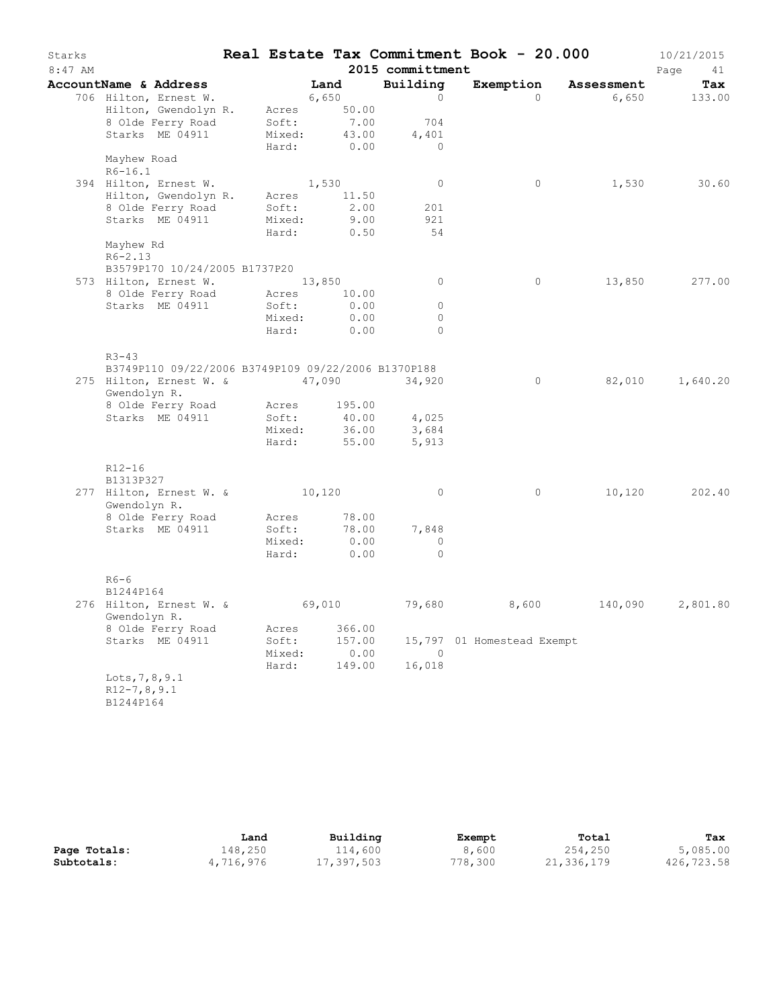| Starks<br>$8:47$ AM |                                                                                                                                                                          |                                   |                                   | 2015 committment                  | Real Estate Tax Commitment Book - 20.000 |            | 10/21/2015<br>Page<br>41 |
|---------------------|--------------------------------------------------------------------------------------------------------------------------------------------------------------------------|-----------------------------------|-----------------------------------|-----------------------------------|------------------------------------------|------------|--------------------------|
|                     | AccountName & Address                                                                                                                                                    |                                   | Land                              | Building                          | Exemption                                | Assessment | Tax                      |
|                     | 706 Hilton, Ernest W.                                                                                                                                                    |                                   | 6,650                             | $\Omega$                          | $\Omega$                                 | 6,650      | 133.00                   |
|                     | Hilton, Gwendolyn R.                                                                                                                                                     | Acres                             | 50.00                             |                                   |                                          |            |                          |
|                     | 8 Olde Ferry Road                                                                                                                                                        | Soft:                             | 7.00                              | 704                               |                                          |            |                          |
|                     | Starks ME 04911                                                                                                                                                          | Mixed:                            | 43.00                             | 4,401                             |                                          |            |                          |
|                     |                                                                                                                                                                          | Hard:                             | 0.00                              | $\bigcirc$                        |                                          |            |                          |
|                     | Mayhew Road                                                                                                                                                              |                                   |                                   |                                   |                                          |            |                          |
|                     | $R6 - 16.1$                                                                                                                                                              |                                   |                                   |                                   |                                          |            |                          |
|                     | 394 Hilton, Ernest W.                                                                                                                                                    |                                   | 1,530                             | $\overline{0}$                    | $\circ$                                  | 1,530      | 30.60                    |
|                     | Hilton, Gwendolyn R.                                                                                                                                                     | Acres                             | 11.50                             |                                   |                                          |            |                          |
|                     | 8 Olde Ferry Road                                                                                                                                                        | Soft:                             | 2.00                              | 201                               |                                          |            |                          |
|                     | Starks ME 04911                                                                                                                                                          | Mixed:                            | 9.00                              | 921                               |                                          |            |                          |
|                     | Mayhew Rd                                                                                                                                                                | Hard:                             | 0.50                              | 54                                |                                          |            |                          |
|                     | $R6 - 2.13$                                                                                                                                                              |                                   |                                   |                                   |                                          |            |                          |
|                     | B3579P170 10/24/2005 B1737P20                                                                                                                                            |                                   |                                   |                                   |                                          |            |                          |
|                     | 573 Hilton, Ernest W. 13,850                                                                                                                                             |                                   |                                   | $\overline{0}$                    | $\circ$                                  | 13,850     | 277.00                   |
|                     | 8 Olde Ferry Road                                                                                                                                                        | Acres                             | 10.00                             |                                   |                                          |            |                          |
|                     | Starks ME 04911                                                                                                                                                          | Soft:                             | 0.00                              | $\circ$                           |                                          |            |                          |
|                     |                                                                                                                                                                          | Mixed:                            | 0.00                              | $\circ$                           |                                          |            |                          |
|                     |                                                                                                                                                                          | Hard:                             | 0.00                              | $\Omega$                          |                                          |            |                          |
|                     | $R3 - 43$<br>B3749P110 09/22/2006 B3749P109 09/22/2006 B1370P188<br>275 Hilton, Ernest W. & 47,090<br>Gwendolyn R.<br>8 Olde Ferry Road<br>Starks ME 04911<br>$R12 - 16$ | Acres<br>Soft:<br>Mixed:<br>Hard: | 195.00<br>40.00<br>36.00<br>55.00 | 34,920<br>4,025<br>3,684<br>5,913 | $\mathsf{O}$                             | 82,010     | 1,640.20                 |
|                     | B1313P327                                                                                                                                                                |                                   |                                   |                                   |                                          |            |                          |
|                     | 277 Hilton, Ernest W. & 10,120<br>Gwendolyn R.                                                                                                                           |                                   |                                   | $\overline{0}$                    | $\circ$                                  | 10,120     | 202.40                   |
|                     | 8 Olde Ferry Road                                                                                                                                                        | Acres                             | 78.00                             |                                   |                                          |            |                          |
|                     | Starks ME 04911                                                                                                                                                          | Soft:                             | 78.00                             | 7,848                             |                                          |            |                          |
|                     |                                                                                                                                                                          | Mixed:                            | 0.00                              | $\circ$                           |                                          |            |                          |
|                     |                                                                                                                                                                          | Hard:                             | 0.00                              | $\Omega$                          |                                          |            |                          |
|                     | $R6-6$<br>B1244P164                                                                                                                                                      |                                   |                                   |                                   |                                          |            |                          |
|                     | 276 Hilton, Ernest W. &<br>Gwendolyn R.                                                                                                                                  |                                   | 69,010                            | 79,680                            | 8,600                                    | 140,090    | 2,801.80                 |
|                     | 8 Olde Ferry Road                                                                                                                                                        | Acres                             | 366.00                            |                                   |                                          |            |                          |
|                     | Starks ME 04911                                                                                                                                                          | Soft:                             | 157.00                            |                                   | 15,797 01 Homestead Exempt               |            |                          |
|                     |                                                                                                                                                                          | Mixed:                            | 0.00                              | $\overline{0}$                    |                                          |            |                          |
|                     |                                                                                                                                                                          | Hard:                             | 149.00                            | 16,018                            |                                          |            |                          |
|                     | Lots, 7, 8, 9.1<br>$R12-7, 8, 9.1$<br>B1244P164                                                                                                                          |                                   |                                   |                                   |                                          |            |                          |

|              | Land      | Building   | Exempt  | Total      | Tax        |
|--------------|-----------|------------|---------|------------|------------|
| Page Totals: | 148,250   | 114,600    | 8,600   | 254,250    | 5,085.00   |
| Subtotals:   | 4,716,976 | 17,397,503 | 778,300 | 21,336,179 | 426,723.58 |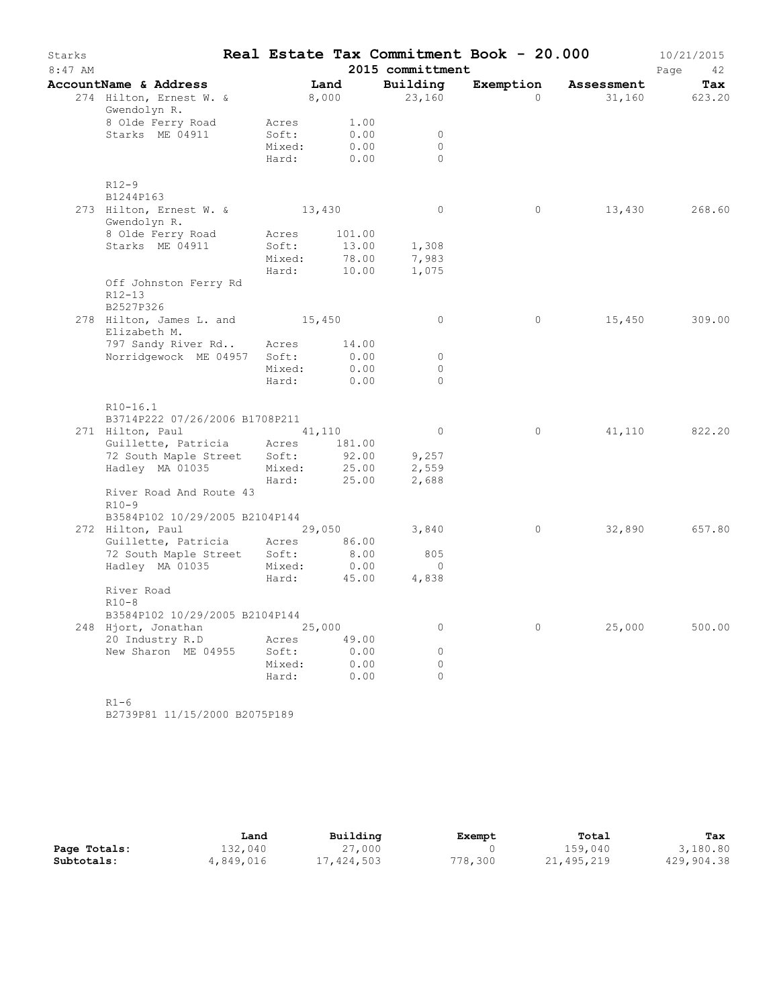| Starks<br>$8:47$ AM |                                                         |                 |              | 2015 committment     | Real Estate Tax Commitment Book - 20.000 |            | 10/21/2015<br>Page<br>42 |
|---------------------|---------------------------------------------------------|-----------------|--------------|----------------------|------------------------------------------|------------|--------------------------|
|                     | AccountName & Address                                   |                 | Land         | Building             | Exemption                                | Assessment | Tax                      |
|                     | 274 Hilton, Ernest W. &<br>Gwendolyn R.                 |                 | 8,000        | 23,160               | $\Omega$                                 | 31,160     | 623.20                   |
|                     | 8 Olde Ferry Road<br>Starks ME 04911                    | Acres<br>Soft:  | 1.00<br>0.00 | $\Omega$             |                                          |            |                          |
|                     |                                                         | Mixed:<br>Hard: | 0.00<br>0.00 | $\Omega$<br>$\Omega$ |                                          |            |                          |
|                     | $R12-9$<br>B1244P163                                    |                 |              |                      |                                          |            |                          |
|                     | 273 Hilton, Ernest W. & 13,430<br>Gwendolyn R.          |                 |              | $\overline{0}$       | $\circ$                                  | 13,430     | 268.60                   |
|                     | 8 Olde Ferry Road                                       | Acres           | 101.00       |                      |                                          |            |                          |
|                     | Starks ME 04911                                         | Soft:           | 13.00        | 1,308                |                                          |            |                          |
|                     |                                                         | Mixed:          | 78.00        | 7,983                |                                          |            |                          |
|                     |                                                         | Hard:           | 10.00        | 1,075                |                                          |            |                          |
|                     | Off Johnston Ferry Rd<br>$R12 - 13$                     |                 |              |                      |                                          |            |                          |
|                     | B2527P326<br>278 Hilton, James L. and 15,450            |                 |              | $\circ$              | $\circ$                                  | 15,450     | 309.00                   |
|                     | Elizabeth M.                                            |                 |              |                      |                                          |            |                          |
|                     | 797 Sandy River Rd                                      | Acres           | 14.00        |                      |                                          |            |                          |
|                     | Norridgewock ME 04957                                   | Soft:           | 0.00         | $\circ$              |                                          |            |                          |
|                     |                                                         | Mixed:          | 0.00         | $\circ$              |                                          |            |                          |
|                     |                                                         | Hard:           | 0.00         | $\Omega$             |                                          |            |                          |
|                     | $R10-16.1$<br>B3714P222 07/26/2006 B1708P211            |                 |              |                      |                                          |            |                          |
|                     | 271 Hilton, Paul                                        | 41,110          |              | $\circ$              | $\circ$                                  | 41,110     | 822.20                   |
|                     | Guillette, Patricia Acres 181.00                        |                 |              |                      |                                          |            |                          |
|                     | 72 South Maple Street                                   | Soft:           | 92.00        | 9,257                |                                          |            |                          |
|                     | Hadley MA 01035                                         | Mixed:          | 25.00        | 2,559                |                                          |            |                          |
|                     |                                                         | Hard:           | 25.00        | 2,688                |                                          |            |                          |
|                     | River Road And Route 43<br>$R10-9$                      |                 |              |                      |                                          |            |                          |
|                     | B3584P102 10/29/2005 B2104P144                          |                 |              |                      |                                          |            |                          |
|                     | 272 Hilton, Paul                                        | 29,050          |              | 3,840                | $\circ$                                  | 32,890     | 657.80                   |
|                     | Guillette, Patricia Acres                               |                 | 86.00        |                      |                                          |            |                          |
|                     | 72 South Maple Street Soft:                             |                 | 8.00         | 805                  |                                          |            |                          |
|                     | Hadley MA 01035                                         | Mixed:          | 0.00         | $\Omega$             |                                          |            |                          |
|                     |                                                         | Hard:           | 45.00        | 4,838                |                                          |            |                          |
|                     | River Road<br>$R10-8$<br>B3584P102 10/29/2005 B2104P144 |                 |              |                      |                                          |            |                          |
|                     | 248 Hjort, Jonathan 25,000                              |                 |              | $\circ$              | $\circ$                                  | 25,000     | 500.00                   |
|                     | 20 Industry R.D                                         | Acres           | 49.00        |                      |                                          |            |                          |
|                     | New Sharon ME 04955                                     | Soft:           | 0.00         | $\circ$              |                                          |            |                          |
|                     |                                                         | Mixed:          | 0.00         | $\circ$              |                                          |            |                          |
|                     |                                                         | Hard:           | 0.00         | $\Omega$             |                                          |            |                          |
|                     |                                                         |                 |              |                      |                                          |            |                          |
|                     | $R1-6$                                                  |                 |              |                      |                                          |            |                          |

B2739P81 11/15/2000 B2075P189

|              | Land      | Building   | Exempt  | Total      | Tax        |
|--------------|-----------|------------|---------|------------|------------|
| Page Totals: | 132,040   | 27,000     |         | 159,040    | 3,180.80   |
| Subtotals:   | 4,849,016 | 17,424,503 | 778,300 | 21,495,219 | 429,904.38 |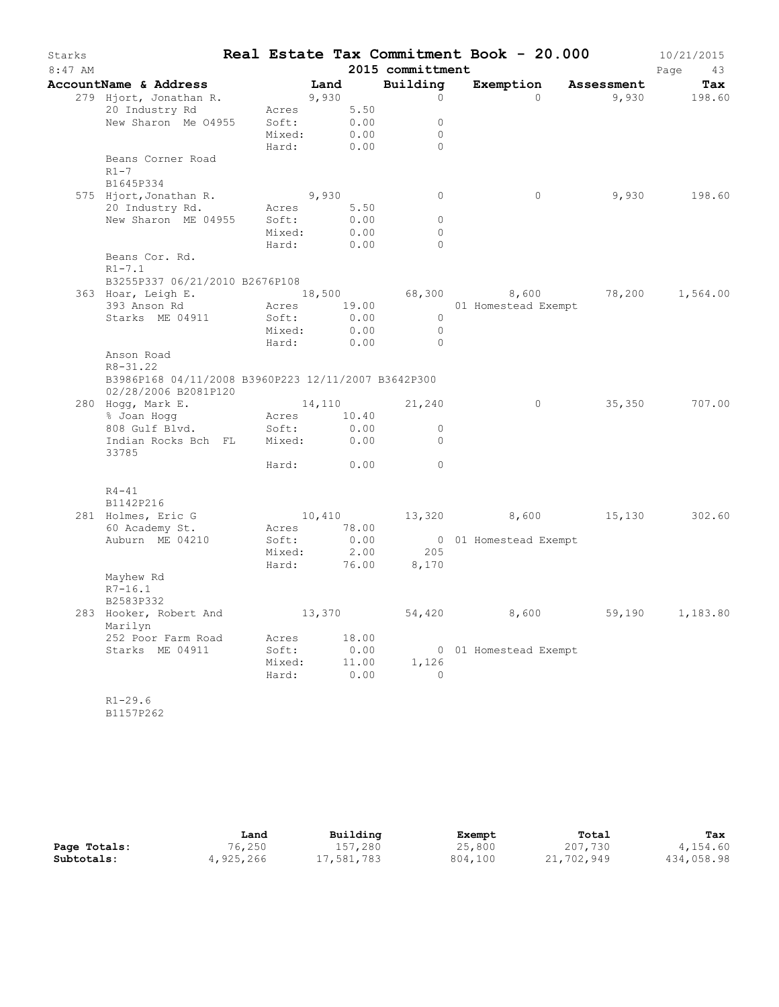| Starks<br>8:47 AM |                                                                             |                     |       |               | 2015 committment           | Real Estate Tax Commitment Book - 20.000 |        | 10/21/2015        |
|-------------------|-----------------------------------------------------------------------------|---------------------|-------|---------------|----------------------------|------------------------------------------|--------|-------------------|
|                   | AccountName & Address                                                       |                     | Land  |               | Building                   | Exemption Assessment                     |        | Page<br>43<br>Tax |
|                   | 279 Hjort, Jonathan R.                                                      |                     | 9,930 |               | $\circ$                    | $\Omega$                                 |        | 9,930 198.60      |
|                   | 20 Industry Rd Acres                                                        |                     |       | 5.50          |                            |                                          |        |                   |
|                   | New Sharon Me 04955 Soft:                                                   |                     |       | 0.00          | $\circ$                    |                                          |        |                   |
|                   |                                                                             | Mixed:              |       | 0.00          | $\circ$                    |                                          |        |                   |
|                   |                                                                             | Hard:               |       | 0.00          | $\Omega$                   |                                          |        |                   |
|                   | Beans Corner Road                                                           |                     |       |               |                            |                                          |        |                   |
|                   | $R1-7$                                                                      |                     |       |               |                            |                                          |        |                   |
|                   | B1645P334                                                                   |                     |       |               |                            |                                          |        |                   |
|                   | 575 Hjort, Jonathan R.<br>20 Industry Rd.                                   | 9,930<br>Acres 5.50 |       |               | $\circ$                    | 0                                        |        | 9,930 198.60      |
|                   | New Sharon ME 04955 Soft:                                                   |                     |       | 0.00          | $\circ$                    |                                          |        |                   |
|                   |                                                                             | Mixed:              |       | 0.00          | $\circ$                    |                                          |        |                   |
|                   |                                                                             | Hard:               |       | 0.00          | $\circ$                    |                                          |        |                   |
|                   | Beans Cor. Rd.                                                              |                     |       |               |                            |                                          |        |                   |
|                   | $R1 - 7.1$                                                                  |                     |       |               |                            |                                          |        |                   |
|                   | B3255P337 06/21/2010 B2676P108                                              |                     |       |               |                            |                                          |        |                   |
|                   | 363 Hoar, Leigh E. (18,500 68,300 8,600 78,200 1,564.00                     |                     |       |               |                            |                                          |        |                   |
|                   | 393 Anson Rd                                                                |                     |       |               |                            | Acres 19.00 01 Homestead Exempt          |        |                   |
|                   | Starks ME 04911                                                             | Soft:               |       | 0.00          | $\overline{0}$             |                                          |        |                   |
|                   |                                                                             | Mixed: 0.00         |       | 0.00          | $\overline{0}$<br>$\Omega$ |                                          |        |                   |
|                   | Anson Road                                                                  | Hard:               |       |               |                            |                                          |        |                   |
|                   | $R8 - 31.22$                                                                |                     |       |               |                            |                                          |        |                   |
|                   | B3986P168 04/11/2008 B3960P223 12/11/2007 B3642P300<br>02/28/2006 B2081P120 |                     |       |               |                            |                                          |        |                   |
|                   | 280 Hogg, Mark E.                                                           | 14,110              |       |               | 21,240                     | $\circ$                                  |        | 35,350 707.00     |
|                   | % Joan Hogg Macres 10.40                                                    |                     |       |               |                            |                                          |        |                   |
|                   | 808 Gulf Blvd. Soft:                                                        |                     |       | 0.00          | $\circ$                    |                                          |        |                   |
|                   | Indian Rocks Bch FL Mixed:                                                  |                     |       | 0.00          | $\Omega$                   |                                          |        |                   |
|                   | 33785                                                                       |                     |       |               |                            |                                          |        |                   |
|                   |                                                                             | Hard: 0.00          |       |               | $\circ$                    |                                          |        |                   |
|                   | $R4 - 41$                                                                   |                     |       |               |                            |                                          |        |                   |
|                   | B1142P216<br>281 Holmes, Eric G                                             | 10,410              |       |               |                            |                                          |        |                   |
|                   | 60 Academy St.                                                              | Acres 78.00         |       |               |                            | 13,320 8,600 15,130 302.60               |        |                   |
|                   | Auburn ME 04210                                                             | Soft:               |       | 0.00          |                            | 0 01 Homestead Exempt                    |        |                   |
|                   |                                                                             | Mixed: 2.00         |       |               | 205                        |                                          |        |                   |
|                   |                                                                             | Hard: 76.00         |       |               | 8,170                      |                                          |        |                   |
|                   | Mayhew Rd                                                                   |                     |       |               |                            |                                          |        |                   |
|                   | $R7 - 16.1$                                                                 |                     |       |               |                            |                                          |        |                   |
|                   | B2583P332                                                                   |                     |       |               |                            |                                          |        |                   |
|                   | 283 Hooker, Robert And                                                      | 13,370              |       |               | 54,420                     | 8,600                                    | 59,190 | 1,183.80          |
|                   | Marilyn                                                                     |                     |       |               |                            |                                          |        |                   |
|                   | 252 Poor Farm Road                                                          | Acres               |       | 18.00         |                            |                                          |        |                   |
|                   | Starks ME 04911                                                             | Soft:<br>Mixed:     |       | 0.00<br>11.00 |                            | 0 01 Homestead Exempt                    |        |                   |
|                   |                                                                             | Hard:               |       | 0.00          | 1,126<br>$\Omega$          |                                          |        |                   |
|                   |                                                                             |                     |       |               |                            |                                          |        |                   |
|                   | $R1 - 29.6$                                                                 |                     |       |               |                            |                                          |        |                   |
|                   | B1157P262                                                                   |                     |       |               |                            |                                          |        |                   |

|              | Land      | Building   | Exempt  | Total      | Tax        |
|--------------|-----------|------------|---------|------------|------------|
| Page Totals: | 76,250    | 157,280    | 25,800  | 207,730    | 4,154.60   |
| Subtotals:   | 4,925,266 | 17,581,783 | 804,100 | 21,702,949 | 434,058.98 |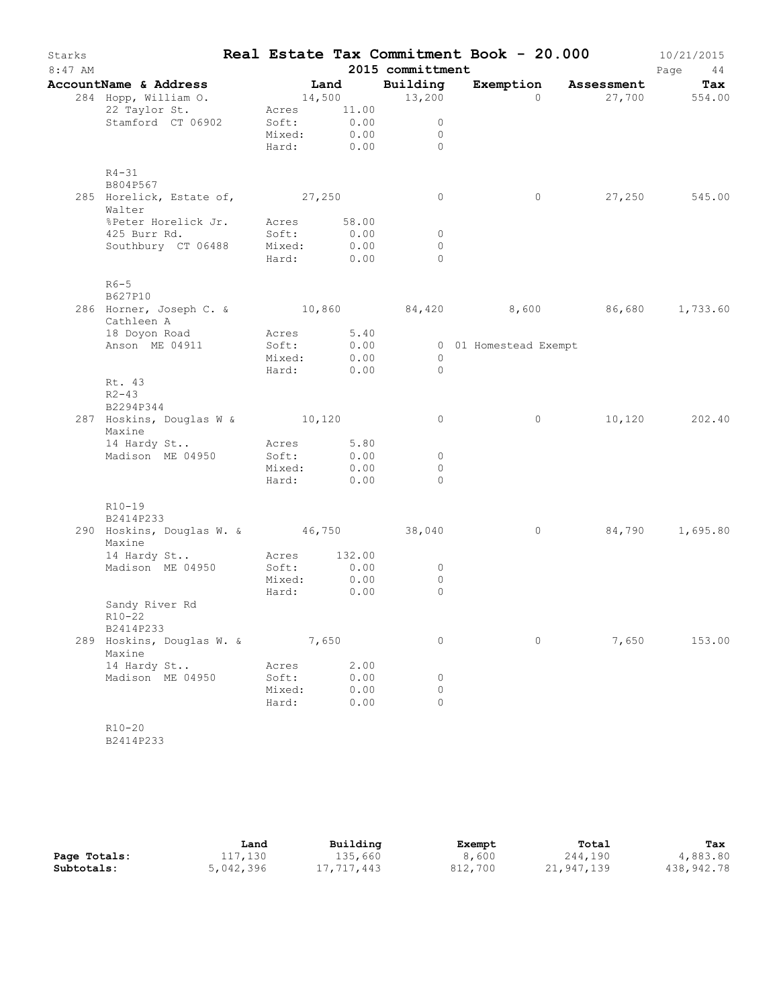| Starks<br>$8:47$ AM |                                                                           |                 |                           | 2015 committment    | Real Estate Tax Commitment Book - 20.000 |                      | 10/21/2015<br>Page<br>44 |
|---------------------|---------------------------------------------------------------------------|-----------------|---------------------------|---------------------|------------------------------------------|----------------------|--------------------------|
|                     | AccountName & Address                                                     |                 | Land                      | Building            |                                          | Exemption Assessment | Tax                      |
|                     | 284 Hopp, William O.                                                      |                 |                           | 14,500 13,200       | $\Omega$                                 |                      | 27,700 554.00            |
|                     | 22 Taylor St.                                                             |                 | Acres 11.00               |                     |                                          |                      |                          |
|                     | Stamford CT 06902                                                         |                 | Soft: 0.00<br>Mixed: 0.00 | $\overline{0}$      |                                          |                      |                          |
|                     |                                                                           |                 |                           | $\overline{0}$      |                                          |                      |                          |
|                     |                                                                           |                 |                           | Hard: 0.00 0        |                                          |                      |                          |
|                     | $R4 - 31$                                                                 |                 |                           |                     |                                          |                      |                          |
|                     | B804P567                                                                  |                 |                           |                     |                                          |                      |                          |
|                     | 285 Horelick, Estate of, 27,250<br>Walter                                 |                 |                           | $\circ$             | $\circ$                                  |                      | 27,250 545.00            |
|                     | %Peter Horelick Jr. Acres 58.00                                           |                 |                           |                     |                                          |                      |                          |
|                     | 425 Burr Rd.                                                              | Soft:           | 0.00                      | $\overline{0}$      |                                          |                      |                          |
|                     | Southbury CT 06488 Mixed: 0.00                                            |                 |                           | $\circ$<br>$\Omega$ |                                          |                      |                          |
|                     |                                                                           |                 | Hard: 0.00                |                     |                                          |                      |                          |
|                     | $R6-5$<br>B627P10                                                         |                 |                           |                     |                                          |                      |                          |
|                     | 286 Horner, Joseph C. & 10,860 84,420 8,600 86,680 1,733.60<br>Cathleen A |                 |                           |                     |                                          |                      |                          |
|                     | 18 Doyon Road                                                             | Acres 5.40      |                           |                     |                                          |                      |                          |
|                     | Anson ME 04911                                                            | Soft:           | 0.00                      |                     | 0 01 Homestead Exempt                    |                      |                          |
|                     |                                                                           | Mixed:          | Mixed: 0.00<br>Hard: 0.00 | $\circ$<br>$\Omega$ |                                          |                      |                          |
|                     | Rt. 43<br>$R2 - 43$                                                       |                 |                           |                     |                                          |                      |                          |
|                     | B2294P344                                                                 |                 |                           |                     |                                          |                      |                          |
|                     | 287 Hoskins, Douglas W & 10,120<br>Maxine                                 |                 |                           | $\circ$             | $\circ$                                  |                      | 10,120 202.40            |
|                     | 14 Hardy St                                                               | Acres 5.80      |                           |                     |                                          |                      |                          |
|                     | Madison ME 04950                                                          | Soft:           | 0.00                      | $\overline{0}$      |                                          |                      |                          |
|                     |                                                                           |                 | Mixed: 0.00               | $\Omega$            |                                          |                      |                          |
|                     |                                                                           |                 | Hard: 0.00                | $\Omega$            |                                          |                      |                          |
|                     | $R10-19$                                                                  |                 |                           |                     |                                          |                      |                          |
|                     | B2414P233<br>290 Hoskins, Douglas W. & 46,750 38,040                      |                 |                           |                     | $\overline{0}$                           |                      | 84,790 1,695.80          |
|                     | Maxine                                                                    |                 |                           |                     |                                          |                      |                          |
|                     | 14 Hardy St                                                               |                 | Acres 132.00              |                     |                                          |                      |                          |
|                     | Madison ME 04950                                                          | Soft:           | 0.00                      | $\circ$             |                                          |                      |                          |
|                     |                                                                           | Mixed:<br>Hard: | 0.00                      | $\circ$<br>$\circ$  |                                          |                      |                          |
|                     | Sandy River Rd<br>R10-22                                                  |                 | 0.00                      |                     |                                          |                      |                          |
|                     | B2414P233                                                                 |                 |                           |                     |                                          |                      |                          |
|                     | 289 Hoskins, Douglas W. &<br>Maxine                                       | 7,650           |                           | 0                   | 0                                        | 7,650                | 153.00                   |
|                     | 14 Hardy St                                                               | Acres           | 2.00                      |                     |                                          |                      |                          |
|                     | Madison ME 04950                                                          | Soft:           | 0.00                      | 0                   |                                          |                      |                          |
|                     |                                                                           | Mixed:          | 0.00                      | $\circ$             |                                          |                      |                          |
|                     |                                                                           | Hard:           | 0.00                      | $\Omega$            |                                          |                      |                          |
|                     | $R10 - 20$<br>B2414P233                                                   |                 |                           |                     |                                          |                      |                          |
|                     |                                                                           |                 |                           |                     |                                          |                      |                          |

|              | Land      | Building   | Exempt  | Total      | Tax        |
|--------------|-----------|------------|---------|------------|------------|
| Page Totals: | 117,130   | 135,660    | 8,600   | 244,190    | 4,883.80   |
| Subtotals:   | 5,042,396 | 17,717,443 | 812,700 | 21,947,139 | 438,942.78 |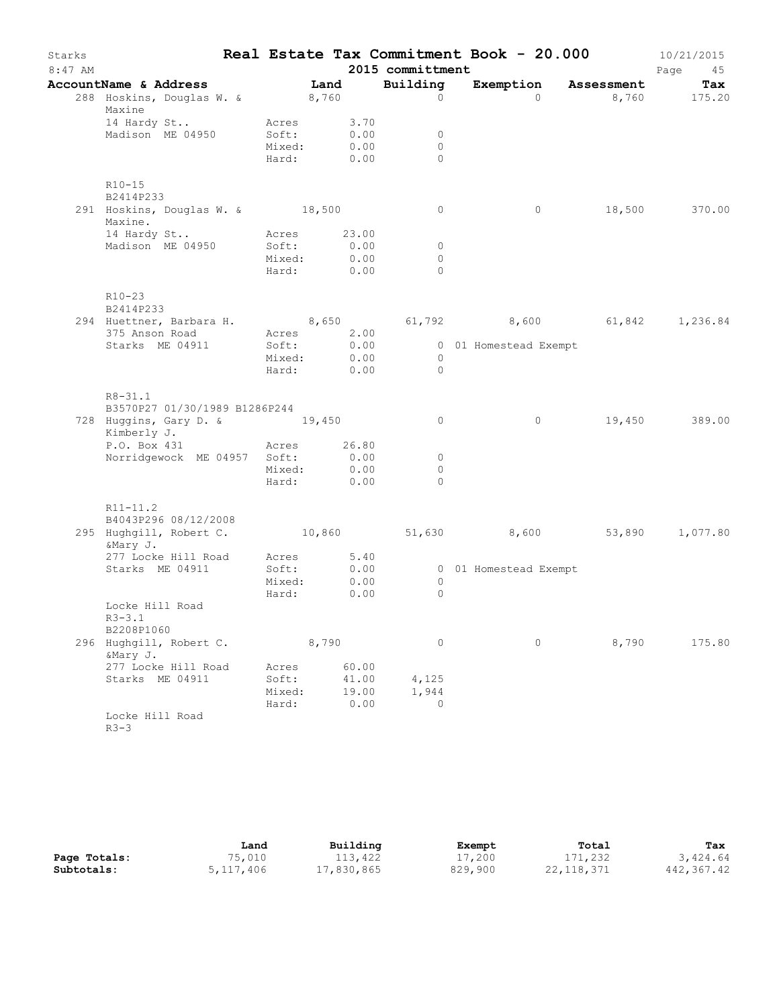| Starks<br>$8:47$ AM |                                                                                          |        |       |                                  | 2015 committment | Real Estate Tax Commitment Book - 20.000 |               | 10/21/2015<br>Page<br>45 |
|---------------------|------------------------------------------------------------------------------------------|--------|-------|----------------------------------|------------------|------------------------------------------|---------------|--------------------------|
|                     | AccountName & Address                                                                    |        | Land  |                                  | Building         | Exemption Assessment                     |               | Tax                      |
|                     | 288 Hoskins, Douglas W. & 8,760<br>Maxine                                                |        |       |                                  | $\circ$          | $\Omega$                                 |               | 8,760 175.20             |
|                     | 14 Hardy St                                                                              | Acres  |       | $3.70$<br>$0.00$                 |                  |                                          |               |                          |
|                     | Madison ME 04950                                                                         | Soft:  |       |                                  | $\overline{0}$   |                                          |               |                          |
|                     |                                                                                          |        |       | Mixed: 0.00                      | $\circ$          |                                          |               |                          |
|                     |                                                                                          |        |       | Hard: 0.00                       | $\Omega$         |                                          |               |                          |
|                     | $R10-15$                                                                                 |        |       |                                  |                  |                                          |               |                          |
|                     | B2414P233                                                                                |        |       |                                  |                  |                                          |               |                          |
|                     | 291 Hoskins, Douglas W. & 18,500<br>Maxine.                                              |        |       |                                  | $\circ$          | $\overline{0}$                           | 18,500 370.00 |                          |
|                     | 14 Hardy St Acres 23.00                                                                  |        |       |                                  |                  |                                          |               |                          |
|                     | Madison ME 04950 Soft: 0.00                                                              |        |       |                                  | $\overline{0}$   |                                          |               |                          |
|                     |                                                                                          | Mixed: |       | 0.00<br>Hard: 0.00<br>Hard: 0.00 | $\circ$          |                                          |               |                          |
|                     |                                                                                          |        |       |                                  | $\Omega$         |                                          |               |                          |
|                     | $R10-23$<br>B2414P233                                                                    |        |       |                                  |                  |                                          |               |                          |
|                     | 294 Huettner, Barbara H. 8,650 61,792 8,600 61,842 1,236.84<br>375 Anson Road Acres 2.00 |        |       |                                  |                  |                                          |               |                          |
|                     |                                                                                          |        |       |                                  |                  |                                          |               |                          |
|                     | Starks ME 04911                                                                          |        |       |                                  |                  | Soft: 0.00 001 Homestead Exempt          |               |                          |
|                     |                                                                                          |        |       | Mixed: 0.00<br>Hard: 0.00        | $\overline{0}$   |                                          |               |                          |
|                     |                                                                                          |        |       |                                  | $\bigcirc$       |                                          |               |                          |
|                     | $R8 - 31.1$<br>B3570P27 01/30/1989 B1286P244                                             |        |       |                                  |                  |                                          |               |                          |
|                     | 728 Huggins, Gary D. & 19,450<br>Kimberly J.                                             |        |       |                                  | $\circ$          | 0                                        |               | 19,450 389.00            |
|                     | P.O. Box 431 Acres 26.80                                                                 |        |       |                                  |                  |                                          |               |                          |
|                     | Norridgewock ME 04957 Soft:                                                              |        |       | 0.00                             | $\circ$          |                                          |               |                          |
|                     |                                                                                          |        |       | Mixed: 0.00                      | $\circ$          |                                          |               |                          |
|                     |                                                                                          |        |       | Hard: 0.00                       | $\Omega$         |                                          |               |                          |
|                     | $R11 - 11.2$<br>B4043P296 08/12/2008                                                     |        |       |                                  |                  |                                          |               |                          |
|                     | 295 Hughgill, Robert C. (10,860 (51,630) (8,600 (53,890 (1,077.80)<br>&Mary J.           |        |       |                                  |                  |                                          |               |                          |
|                     | 277 Locke Hill Road Acres 5.40<br>Starks ME 04911 Soft: 0.00                             |        |       |                                  |                  |                                          |               |                          |
|                     |                                                                                          |        |       |                                  |                  | 0 01 Homestead Exempt                    |               |                          |
|                     |                                                                                          | Mixed: |       | 0.00                             | $\overline{0}$   |                                          |               |                          |
|                     |                                                                                          | Hard:  |       | 0.00                             | $\circ$          |                                          |               |                          |
|                     | Locke Hill Road<br>$R3 - 3.1$                                                            |        |       |                                  |                  |                                          |               |                          |
|                     | B2208P1060                                                                               |        |       |                                  |                  |                                          |               |                          |
|                     | 296 Hughgill, Robert C.<br>&Mary J.                                                      |        | 8,790 |                                  | 0                | $\circ$                                  | 8,790         | 175.80                   |
|                     | 277 Locke Hill Road                                                                      | Acres  |       | 60.00                            |                  |                                          |               |                          |
|                     | Starks ME 04911                                                                          | Soft:  |       | 41.00                            | 4,125            |                                          |               |                          |
|                     |                                                                                          | Mixed: |       | 19.00                            | 1,944            |                                          |               |                          |
|                     |                                                                                          | Hard:  |       | 0.00                             | 0                |                                          |               |                          |
|                     | Locke Hill Road<br>$R3 - 3$                                                              |        |       |                                  |                  |                                          |               |                          |

|              | Land      | Building   | Exempt  | Total      | Tax        |
|--------------|-----------|------------|---------|------------|------------|
| Page Totals: | 75,010    | 113,422    | 17,200  | 171,232    | 3,424.64   |
| Subtotals:   | 5,117,406 | 17,830,865 | 829,900 | 22,118,371 | 442,367.42 |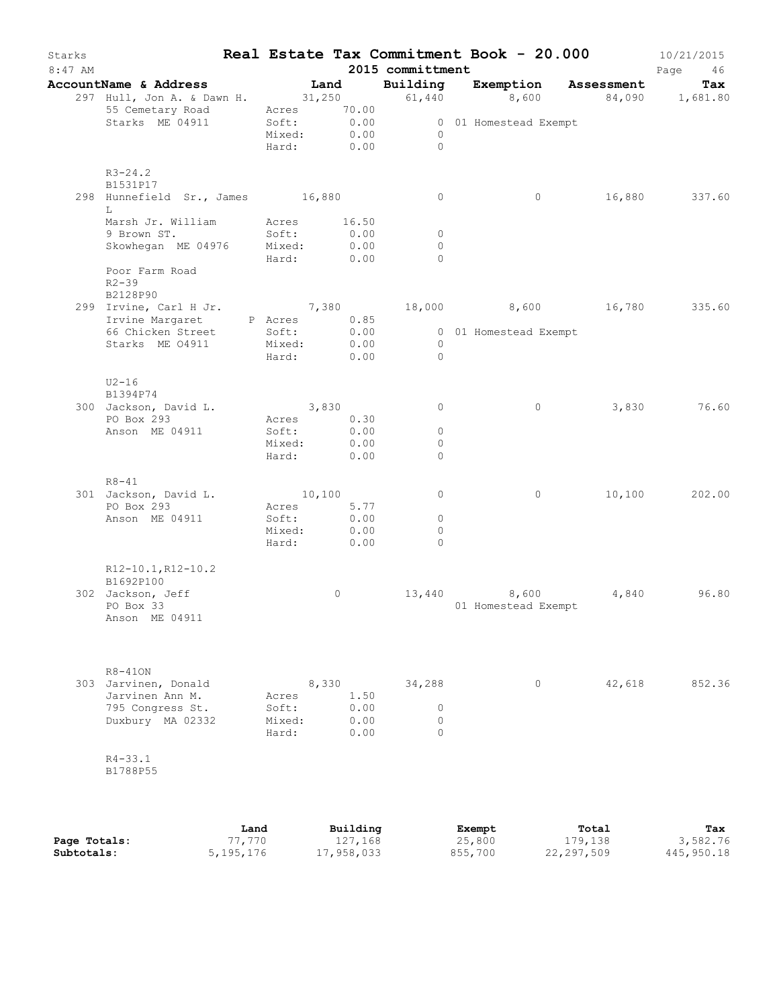| Starks<br>$8:47$ AM |                                                                                     |      |                          |         |                  | 2015 committment                 | Real Estate Tax Commitment Book - 20.000         |        | 10/21/2015<br>Page<br>46 |
|---------------------|-------------------------------------------------------------------------------------|------|--------------------------|---------|------------------|----------------------------------|--------------------------------------------------|--------|--------------------------|
|                     | AccountName & Address Tand Building Exemption Assessment                            |      |                          |         |                  |                                  |                                                  |        | Tax                      |
|                     | 297 Hull, Jon A. & Dawn H. 31, 250 61, 440 8, 600 84, 090 1, 681.80                 |      |                          |         |                  |                                  |                                                  |        |                          |
|                     | 55 Cemetary Road Acres 70.00                                                        |      |                          |         |                  |                                  |                                                  |        |                          |
|                     | Starks ME 04911                                                                     |      |                          |         |                  |                                  | Soft: 0.00 001 Homestead Exempt<br>Mixed: 0.00 0 |        |                          |
|                     |                                                                                     |      |                          |         |                  | Hard: 0.00 0                     |                                                  |        |                          |
|                     | $R3 - 24.2$                                                                         |      |                          |         |                  |                                  |                                                  |        |                          |
|                     | B1531P17                                                                            |      |                          |         |                  |                                  |                                                  |        |                          |
|                     | 298 Hunnefield Sr., James 16,880                                                    |      |                          |         |                  | $\circ$                          | $\circ$                                          |        | 16,880 337.60            |
|                     | L<br>Marsh Jr. William Acres 16.50                                                  |      |                          |         |                  |                                  |                                                  |        |                          |
|                     | 9 Brown ST.                                                                         |      | Soft:                    |         | 0.00             | $\overline{0}$                   |                                                  |        |                          |
|                     | Skowhegan ME 04976 Mixed: 0.00                                                      |      |                          |         |                  | $\Omega$                         |                                                  |        |                          |
|                     |                                                                                     |      | Hard: 0.00               |         |                  | $\Omega$                         |                                                  |        |                          |
|                     | Poor Farm Road<br>$R2 - 39$                                                         |      |                          |         |                  |                                  |                                                  |        |                          |
|                     | B2128P90                                                                            |      |                          |         |                  |                                  |                                                  |        |                          |
|                     | 299 Irvine, Carl H Jr. 7,380 18,000 8,600 16,780 335.60                             |      |                          |         |                  |                                  |                                                  |        |                          |
|                     | Irvine Margaret P Acres 0.85<br>66 Chicken Street Soft: 0.00 000 1 Homestead Exempt |      |                          |         |                  |                                  |                                                  |        |                          |
|                     |                                                                                     |      |                          |         |                  |                                  |                                                  |        |                          |
|                     | Starks ME 04911 Mixed: 0.00                                                         |      | Hard: 0.00               |         |                  | $\overline{0}$<br>$\overline{0}$ |                                                  |        |                          |
|                     |                                                                                     |      |                          |         |                  |                                  |                                                  |        |                          |
|                     | $U2-16$                                                                             |      |                          |         |                  |                                  |                                                  |        |                          |
|                     | B1394P74                                                                            |      |                          |         |                  |                                  |                                                  |        |                          |
|                     | 300 Jackson, David L.                                                               |      | 3,830                    |         |                  | $\circ$                          | $\circ$                                          |        | 3,830 76.60              |
|                     | PO Box 293<br>Anson ME 04911                                                        |      | Acres 0.30<br>Soft: 0.00 |         |                  | $\overline{0}$                   |                                                  |        |                          |
|                     |                                                                                     |      | Mixed:                   |         | 0.00             | $\circ$                          |                                                  |        |                          |
|                     |                                                                                     |      | Hard: 0.00               |         |                  | $\circ$                          |                                                  |        |                          |
|                     |                                                                                     |      |                          |         |                  |                                  |                                                  |        |                          |
|                     | $R8 - 41$                                                                           |      | 10,100                   |         |                  | $\circ$                          | $\circ$                                          |        | 10,100 202.00            |
|                     | 301 Jackson, David L.<br>PO Box 293                                                 |      | Acres 5.77               |         |                  |                                  |                                                  |        |                          |
|                     | Anson ME 04911                                                                      |      | Soft:                    |         |                  | $\circ$                          |                                                  |        |                          |
|                     |                                                                                     |      | Mixed:                   |         | $0.00$<br>$0.00$ | $\circ$                          |                                                  |        |                          |
|                     |                                                                                     |      | Hard: 0.00               |         |                  | $\Omega$                         |                                                  |        |                          |
|                     | R12-10.1, R12-10.2                                                                  |      |                          |         |                  |                                  |                                                  |        |                          |
|                     | B1692P100                                                                           |      |                          |         |                  |                                  |                                                  |        |                          |
|                     | 302 Jackson, Jeff                                                                   |      |                          | $\circ$ |                  |                                  | 13,440 8,600                                     | 4,840  | 96.80                    |
|                     | PO Box 33                                                                           |      |                          |         |                  |                                  | 01 Homestead Exempt                              |        |                          |
|                     | Anson ME 04911                                                                      |      |                          |         |                  |                                  |                                                  |        |                          |
|                     |                                                                                     |      |                          |         |                  |                                  |                                                  |        |                          |
|                     | $R8 - 410N$                                                                         |      |                          |         |                  |                                  |                                                  |        |                          |
|                     | 303 Jarvinen, Donald                                                                |      |                          | 8,330   |                  | 34,288                           | $\circ$                                          | 42,618 | 852.36                   |
|                     | Jarvinen Ann M.                                                                     |      | Acres                    |         | 1.50             |                                  |                                                  |        |                          |
|                     | 795 Congress St.                                                                    |      | Soft:                    |         | 0.00             | $\circ$                          |                                                  |        |                          |
|                     | Duxbury MA 02332                                                                    |      | Mixed:<br>Hard:          |         | 0.00<br>0.00     | $\Omega$<br>$\Omega$             |                                                  |        |                          |
|                     |                                                                                     |      |                          |         |                  |                                  |                                                  |        |                          |
|                     | $R4 - 33.1$                                                                         |      |                          |         |                  |                                  |                                                  |        |                          |
|                     | B1788P55                                                                            |      |                          |         |                  |                                  |                                                  |        |                          |
|                     |                                                                                     |      |                          |         |                  |                                  |                                                  |        |                          |
|                     |                                                                                     |      |                          |         |                  |                                  |                                                  |        |                          |
|                     |                                                                                     | Land |                          |         | Building         |                                  | Exempt                                           | Total  | Tax                      |

**Page Totals:** 77,770 127,168 25,800 179,138 3,582.76 **Subtotals:** 5,195,176 17,958,033 855,700 22,297,509 445,950.18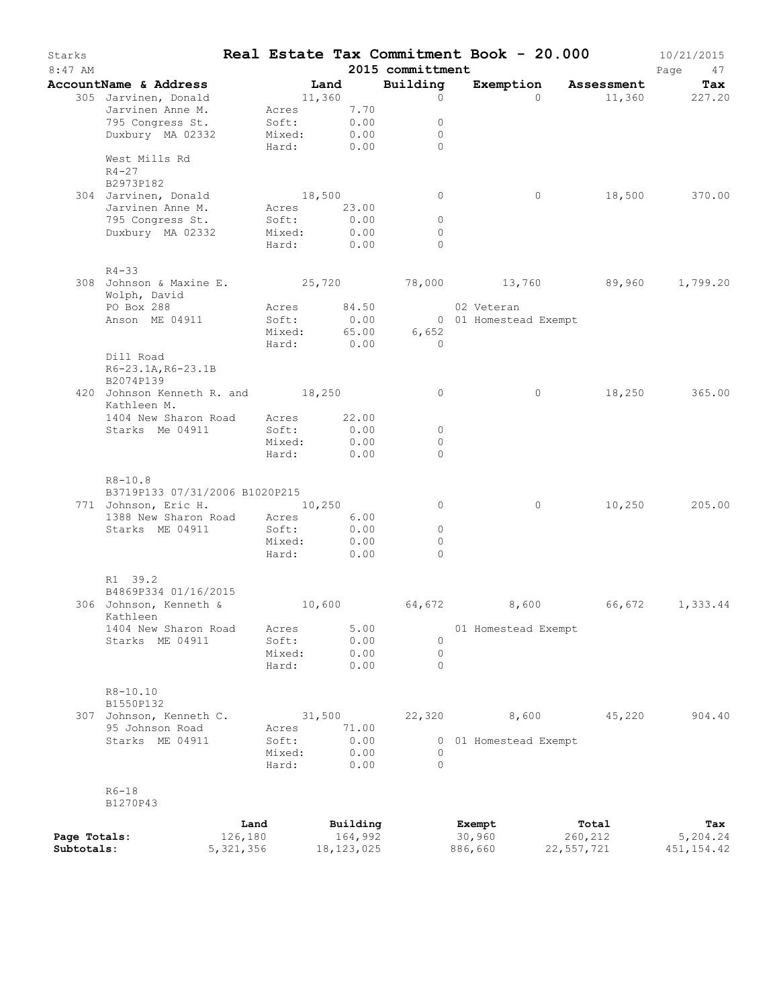| Starks<br>8:47 AM |                                                                              |                 |                  |                     | 2015 committment     | Real Estate Tax Commitment Book - 20.000 |                  | 10/21/2015<br>Page<br>47 |
|-------------------|------------------------------------------------------------------------------|-----------------|------------------|---------------------|----------------------|------------------------------------------|------------------|--------------------------|
|                   | AccountName & Address                                                        |                 | <b>Example 1</b> |                     | Building             | Exemption                                | Assessment       | Tax                      |
|                   | 305 Jarvinen, Donald                                                         | 11,360          |                  |                     | $\circ$              | $\Omega$                                 |                  | 11,360 227.20            |
|                   | Jarvinen Anne M.                                                             |                 |                  | Acres 7.70          |                      |                                          |                  |                          |
|                   | 795 Congress St.                                                             | Soft:           |                  | 0.00                | $\circ$              |                                          |                  |                          |
|                   | Duxbury MA 02332                                                             | Mixed:<br>Hard: |                  | 0.00<br>0.00        | $\circ$<br>$\bigcap$ |                                          |                  |                          |
|                   | West Mills Rd<br>$R4 - 27$<br>B2973P182                                      |                 |                  |                     |                      |                                          |                  |                          |
|                   | 304 Jarvinen, Donald                                                         | 18,500          |                  |                     | $\circ$              | $\circ$                                  |                  | 18,500 370.00            |
|                   | Jarvinen Anne M.                                                             |                 |                  | Acres 23.00         |                      |                                          |                  |                          |
|                   | 795 Congress St.                                                             | Soft:           |                  | 0.00                | $\circ$              |                                          |                  |                          |
|                   | Duxbury MA 02332                                                             | Mixed:          |                  | 0.00                | $\circ$              |                                          |                  |                          |
|                   |                                                                              | Hard:           |                  | 0.00                | $\Omega$             |                                          |                  |                          |
|                   | $R4 - 33$                                                                    |                 |                  |                     |                      |                                          |                  |                          |
|                   | 308 Johnson & Maxine E. 25,720 78,000 13,760 89,960 1,799.20<br>Wolph, David |                 |                  |                     |                      |                                          |                  |                          |
|                   | PO Box 288                                                                   |                 |                  | Acres 84.50         |                      | 02 Veteran                               |                  |                          |
|                   | Anson ME 04911                                                               | Soft:           |                  | 0.00                |                      | 0 01 Homestead Exempt                    |                  |                          |
|                   |                                                                              | Mixed:          |                  | 65.00               | 6,652                |                                          |                  |                          |
|                   |                                                                              | Hard:           |                  | 0.00                | $\bigcirc$           |                                          |                  |                          |
|                   | Dill Road<br>R6-23.1A, R6-23.1B                                              |                 |                  |                     |                      |                                          |                  |                          |
|                   | B2074P139<br>420 Johnson Kenneth R. and 18,250                               |                 |                  |                     | $\circ$              | $\circ$                                  |                  | 18,250 365.00            |
|                   | Kathleen M.                                                                  |                 |                  |                     |                      |                                          |                  |                          |
|                   | 1404 New Sharon Road                                                         |                 |                  | Acres 22.00         |                      |                                          |                  |                          |
|                   | Starks Me 04911                                                              | Soft:<br>Mixed: |                  | 0.00<br>0.00        | $\circ$<br>$\circ$   |                                          |                  |                          |
|                   |                                                                              | Hard:           |                  | 0.00                | $\Omega$             |                                          |                  |                          |
|                   | $R8 - 10.8$                                                                  |                 |                  |                     |                      |                                          |                  |                          |
|                   | B3719P133 07/31/2006 B1020P215                                               |                 |                  |                     |                      |                                          |                  |                          |
|                   | 771 Johnson, Eric H. 10,250                                                  |                 |                  |                     | $\circ$              | $\circ$                                  | 10,250           | 205.00                   |
|                   | 1388 New Sharon Road Acres                                                   | Soft:           |                  | 6.00                | $\circ$              |                                          |                  |                          |
|                   | Starks ME 04911                                                              | Mixed:          |                  | 0.00<br>0.00        | $\circ$              |                                          |                  |                          |
|                   |                                                                              | Hard:           |                  | 0.00                | $\Omega$             |                                          |                  |                          |
|                   | R1 39.2                                                                      |                 |                  |                     |                      |                                          |                  |                          |
|                   | B4869P334 01/16/2015                                                         |                 |                  |                     |                      |                                          |                  |                          |
|                   | 306 Johnson, Kenneth & 10,600<br>Kathleen                                    |                 |                  |                     | 64,672               | 8,600                                    |                  | 66,672 1,333.44          |
|                   | 1404 New Sharon Road                                                         | Acres           |                  | 5.00                |                      | 01 Homestead Exempt                      |                  |                          |
|                   | Starks ME 04911                                                              | Soft:           |                  | 0.00                | $\circ$              |                                          |                  |                          |
|                   |                                                                              | Mixed:          |                  | 0.00                | $\circ$              |                                          |                  |                          |
|                   |                                                                              | Hard:           |                  | 0.00                | $\Omega$             |                                          |                  |                          |
|                   | R8-10.10                                                                     |                 |                  |                     |                      |                                          |                  |                          |
|                   | B1550P132<br>307 Johnson, Kenneth C.                                         |                 | 31,500           |                     | 22,320               | 8,600                                    | 45,220           | 904.40                   |
|                   | 95 Johnson Road                                                              | Acres           |                  | 71.00               |                      |                                          |                  |                          |
|                   | Starks ME 04911                                                              | Soft:           |                  | 0.00                | 0                    | 01 Homestead Exempt                      |                  |                          |
|                   |                                                                              | Mixed:          |                  | 0.00                | $\circ$              |                                          |                  |                          |
|                   |                                                                              | Hard:           |                  | 0.00                | $\Omega$             |                                          |                  |                          |
|                   | $R6 - 18$                                                                    |                 |                  |                     |                      |                                          |                  |                          |
|                   | B1270P43                                                                     |                 |                  |                     |                      |                                          |                  |                          |
| Page Totals:      |                                                                              | Land<br>126,180 |                  | Building<br>164,992 |                      | Exempt<br>30,960                         | Total<br>260,212 | Tax<br>5,204.24          |
| Subtotals:        | 5, 321, 356                                                                  |                 |                  | 18, 123, 025        |                      | 886,660                                  | 22,557,721       | 451, 154. 42             |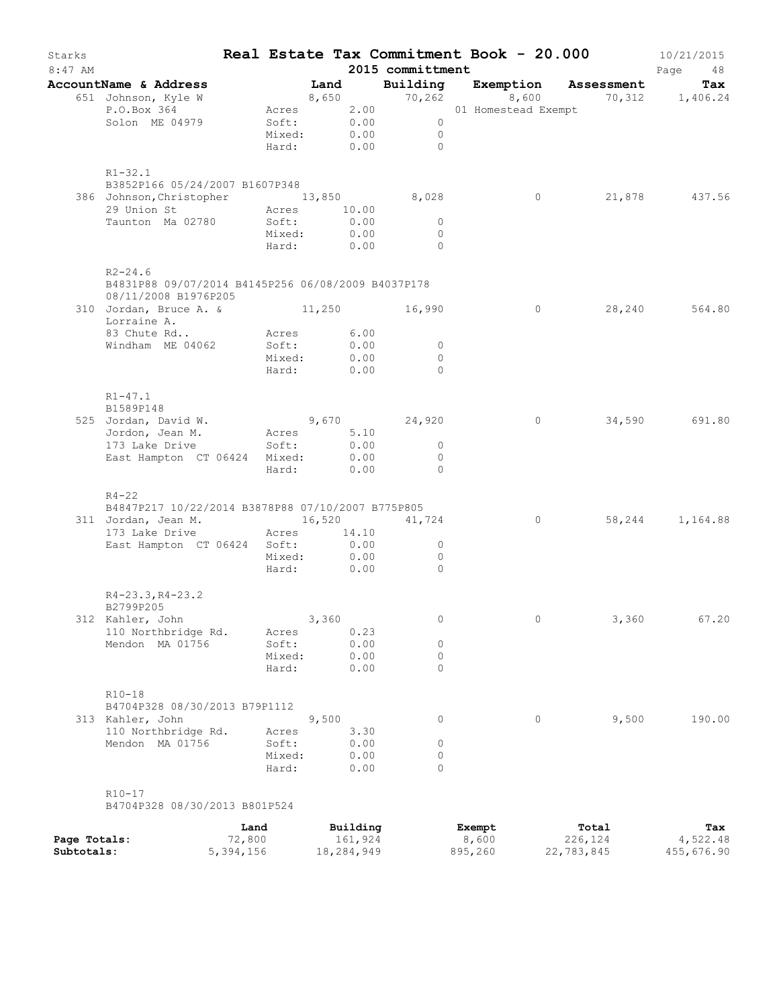| Starks<br>$8:47$ AM |                                                                                           |                                        |       |              | 2015 committment               | Real Estate Tax Commitment Book - 20.000                                                                                                   |       | 10/21/2015<br>Page<br>48 |
|---------------------|-------------------------------------------------------------------------------------------|----------------------------------------|-------|--------------|--------------------------------|--------------------------------------------------------------------------------------------------------------------------------------------|-------|--------------------------|
|                     | AccountName & Address                                                                     | Land                                   |       |              |                                | Building Exemption Assessment                                                                                                              |       | Tax                      |
|                     | 651 Johnson, Kyle W<br>P.O.Box 364<br>Solon ME 04979                                      |                                        |       |              | $\overline{0}$                 | 8,650 $\begin{array}{cccc} 8,650 & 70,262 & 8,600 & 70,312 & 1,406.24 \\ \text{Acres} & 2.00 & 01 & \text{Homestead Exempt} & \end{array}$ |       |                          |
|                     |                                                                                           | Soft: 0.00<br>Mixed: 0.00              |       |              | $\overline{0}$<br>Hard: 0.00 0 |                                                                                                                                            |       |                          |
|                     | $R1 - 32.1$                                                                               |                                        |       |              |                                |                                                                                                                                            |       |                          |
|                     | B3852P166 05/24/2007 B1607P348                                                            |                                        |       |              |                                |                                                                                                                                            |       |                          |
|                     | 386 Johnson, Christopher 13,850<br>29 Union St 29 Acres 10.00                             |                                        |       |              | 8,028                          | $\overline{0}$                                                                                                                             |       | 21,878 437.56            |
|                     | Taunton Ma 02780                                                                          | Soft:                                  |       | 0.00         | $\overline{0}$                 |                                                                                                                                            |       |                          |
|                     |                                                                                           | Mixed:                                 |       | 0.00         | $\overline{0}$                 |                                                                                                                                            |       |                          |
|                     |                                                                                           | Hard: 0.00                             |       |              | $\overline{0}$                 |                                                                                                                                            |       |                          |
|                     | $R2 - 24.6$<br>B4831P88 09/07/2014 B4145P256 06/08/2009 B4037P178<br>08/11/2008 B1976P205 |                                        |       |              |                                |                                                                                                                                            |       |                          |
|                     | 310 Jordan, Bruce A. & 11,250 16,990                                                      |                                        |       |              |                                | $\overline{0}$                                                                                                                             |       | 28,240 564.80            |
|                     | Lorraine A.                                                                               |                                        |       |              |                                |                                                                                                                                            |       |                          |
|                     | 83 Chute Rd<br>Windham ME 04062 Soft: 0.00                                                | Acres 6.00                             |       |              | $\overline{0}$                 |                                                                                                                                            |       |                          |
|                     |                                                                                           |                                        |       |              | $\overline{0}$                 |                                                                                                                                            |       |                          |
|                     |                                                                                           | Mixed: 0.00<br>Hard: 0.00              |       |              | $\bigcirc$                     |                                                                                                                                            |       |                          |
|                     | $R1 - 47.1$                                                                               |                                        |       |              |                                |                                                                                                                                            |       |                          |
|                     | B1589P148                                                                                 |                                        |       |              |                                | $\circ$                                                                                                                                    |       | 34,590 691.80            |
|                     | 525 Jordan, David W.<br>Jordon, Jean M.                                                   | Acres 5.10                             |       |              | $9,670$ 24,920                 |                                                                                                                                            |       |                          |
|                     | 173 Lake Drive                                                                            | Soft: 0.00                             |       |              | $\overline{0}$                 |                                                                                                                                            |       |                          |
|                     | East Hampton CT 06424 Mixed:                                                              |                                        |       |              | $\overline{0}$                 |                                                                                                                                            |       |                          |
|                     |                                                                                           | Mixed: 0.00<br>Hard: 0.00              |       |              | $\bigcirc$                     |                                                                                                                                            |       |                          |
|                     | $R4 - 22$                                                                                 |                                        |       |              |                                |                                                                                                                                            |       |                          |
|                     | B4847P217 10/22/2014 B3878P88 07/10/2007 B775P805<br>311 Jordan, Jean M. 16,520 41,724    |                                        |       |              |                                | $\overline{0}$                                                                                                                             |       | 58,244 1,164.88          |
|                     | 173 Lake Drive Mcres 14.10                                                                |                                        |       |              |                                |                                                                                                                                            |       |                          |
|                     | East Hampton CT 06424 Soft:                                                               |                                        |       | 0.00         | $\overline{0}$                 |                                                                                                                                            |       |                          |
|                     |                                                                                           |                                        |       |              | $\overline{0}$                 |                                                                                                                                            |       |                          |
|                     |                                                                                           | $rac{1}{2}$<br>Hard: $rac{0.00}{0.00}$ |       |              | $\Omega$                       |                                                                                                                                            |       |                          |
|                     | R4-23.3, R4-23.2<br>B2799P205                                                             |                                        |       |              |                                |                                                                                                                                            |       |                          |
|                     | 312 Kahler, John                                                                          |                                        | 3,360 |              | 0                              | 0                                                                                                                                          | 3,360 | 67.20                    |
|                     | 110 Northbridge Rd.                                                                       | Acres                                  |       | 0.23         |                                |                                                                                                                                            |       |                          |
|                     | Mendon MA 01756                                                                           | Soft:                                  |       | 0.00         | 0                              |                                                                                                                                            |       |                          |
|                     |                                                                                           | Mixed:<br>Hard:                        |       | 0.00<br>0.00 | $\circ$<br>$\Omega$            |                                                                                                                                            |       |                          |
|                     | $R10 - 18$<br>B4704P328 08/30/2013 B79P1112                                               |                                        |       |              |                                |                                                                                                                                            |       |                          |
|                     | 313 Kahler, John                                                                          |                                        | 9,500 |              | 0                              | $\circ$                                                                                                                                    | 9,500 | 190.00                   |
|                     | 110 Northbridge Rd.                                                                       | Acres                                  |       | 3.30         |                                |                                                                                                                                            |       |                          |
|                     | Mendon MA 01756                                                                           | Soft:                                  |       | 0.00         | 0                              |                                                                                                                                            |       |                          |
|                     |                                                                                           | Mixed:                                 |       | 0.00         | $\circ$                        |                                                                                                                                            |       |                          |
|                     |                                                                                           | Hard:                                  |       | 0.00         | 0                              |                                                                                                                                            |       |                          |
|                     | $R10 - 17$<br>B4704P328 08/30/2013 B801P524                                               |                                        |       |              |                                |                                                                                                                                            |       |                          |

|              | Land      | Building   | Exempt  | Total      | Tax        |
|--------------|-----------|------------|---------|------------|------------|
| Page Totals: | 72,800    | 161,924    | 8,600   | 226,124    | 4,522.48   |
| Subtotals:   | 5,394,156 | 18,284,949 | 895,260 | 22,783,845 | 455,676.90 |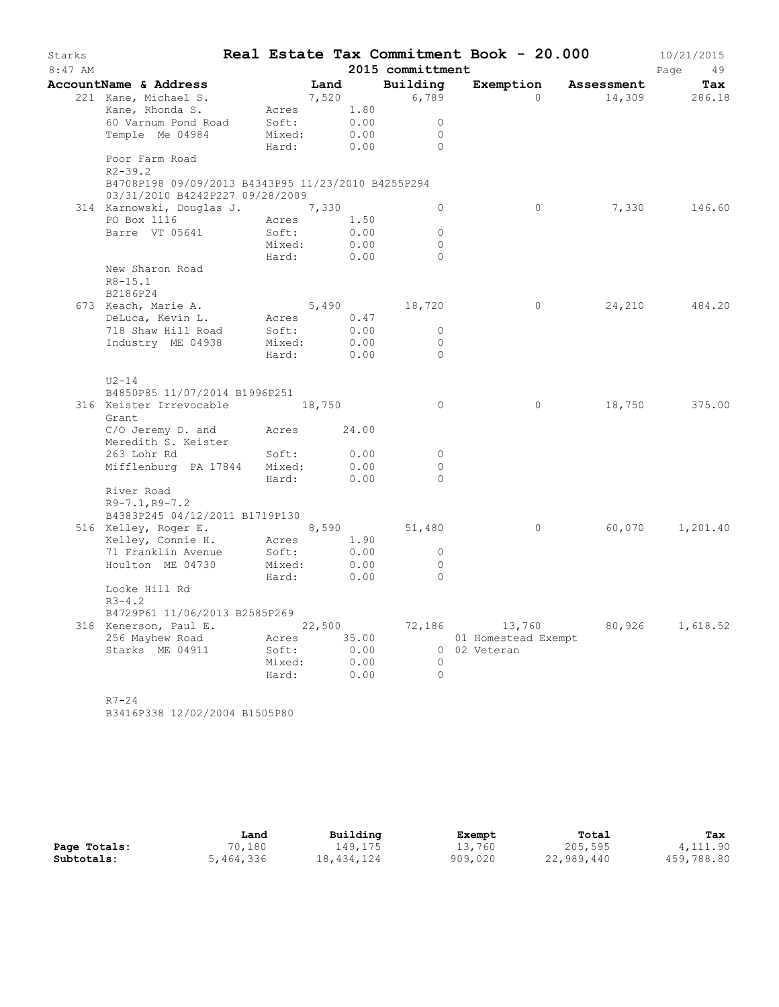| Starks  |                                                              |                |      |      | Real Estate Tax Commitment Book - 20.000 |                     |          |                      | 10/21/2015      |
|---------|--------------------------------------------------------------|----------------|------|------|------------------------------------------|---------------------|----------|----------------------|-----------------|
| 8:47 AM |                                                              |                |      |      | 2015 committment                         |                     |          |                      | Page<br>49      |
|         | <b>AccountName &amp; Address</b>                             |                | Land |      | Building                                 |                     |          | Exemption Assessment | Tax             |
|         | 221 Kane, Michael S.                                         | 7,520          |      |      | 6,789                                    |                     | $\Omega$ | 14,309               | 286.18          |
|         | Kane, Rhonda S.                                              | Acres          |      | 1.80 |                                          |                     |          |                      |                 |
|         | 60 Varnum Pond Road                                          | Soft:          |      | 0.00 | $\Omega$                                 |                     |          |                      |                 |
|         | Temple Me 04984                                              | Mixed:         |      | 0.00 | $\circ$                                  |                     |          |                      |                 |
|         |                                                              | Hard:          |      | 0.00 | $\bigcap$                                |                     |          |                      |                 |
|         | Poor Farm Road                                               |                |      |      |                                          |                     |          |                      |                 |
|         | $R2 - 39.2$                                                  |                |      |      |                                          |                     |          |                      |                 |
|         | B4708P198 09/09/2013 B4343P95 11/23/2010 B4255P294           |                |      |      |                                          |                     |          |                      |                 |
|         | 03/31/2010 B4242P227 09/28/2009                              |                |      |      |                                          |                     |          |                      | 146.60          |
|         | 314 Karnowski, Douglas J. 7,330<br>PO Box 1116               |                |      | 1.50 | $\circ$                                  |                     | $\circ$  | 7,330                |                 |
|         | Barre VT 05641                                               | Acres<br>Soft: |      | 0.00 | $\circ$                                  |                     |          |                      |                 |
|         |                                                              | Mixed:         |      | 0.00 | $\Omega$                                 |                     |          |                      |                 |
|         |                                                              | Hard:          |      | 0.00 | $\circ$                                  |                     |          |                      |                 |
|         | New Sharon Road                                              |                |      |      |                                          |                     |          |                      |                 |
|         | $R8 - 15.1$                                                  |                |      |      |                                          |                     |          |                      |                 |
|         | B2186P24                                                     |                |      |      |                                          |                     |          |                      |                 |
|         | 673 Keach, Marie A.                                          |                |      |      | 5,490 18,720                             |                     | $\circ$  | 24,210               | 484.20          |
|         | DeLuca, Kevin L.                                             | Acres 0.47     |      |      |                                          |                     |          |                      |                 |
|         | 718 Shaw Hill Road                                           | Soft:          |      | 0.00 | $\Omega$                                 |                     |          |                      |                 |
|         | Industry ME 04938                                            | Mixed:         |      | 0.00 | $\Omega$                                 |                     |          |                      |                 |
|         |                                                              | Hard:          |      | 0.00 | $\Omega$                                 |                     |          |                      |                 |
|         | $U2-14$                                                      |                |      |      |                                          |                     |          |                      |                 |
|         | B4850P85 11/07/2014 B1996P251                                |                |      |      |                                          |                     |          |                      |                 |
|         | 316 Keister Irrevocable 18,750                               |                |      |      | $\circ$                                  |                     | $\circ$  | 18,750               | 375.00          |
|         | Grant                                                        |                |      |      |                                          |                     |          |                      |                 |
|         | $C/O$ Jeremy D. and $A$ cres 24.00                           |                |      |      |                                          |                     |          |                      |                 |
|         | Meredith S. Keister                                          |                |      |      |                                          |                     |          |                      |                 |
|         | 263 Lohr Rd                                                  | Soft:          |      | 0.00 | $\overline{0}$                           |                     |          |                      |                 |
|         | Mifflenburg PA 17844 Mixed:                                  |                |      | 0.00 | $\Omega$                                 |                     |          |                      |                 |
|         |                                                              | Hard:          |      | 0.00 | $\Omega$                                 |                     |          |                      |                 |
|         | River Road                                                   |                |      |      |                                          |                     |          |                      |                 |
|         | $R9 - 7.1, R9 - 7.2$                                         |                |      |      |                                          |                     |          |                      |                 |
|         | B4383P245 04/12/2011 B1719P130<br>516 Kelley, Roger E. 8,590 |                |      |      | 51,480                                   |                     | $\circ$  | 60,070               | 1,201.40        |
|         | Kelley, Connie H.                                            | Acres          |      | 1.90 |                                          |                     |          |                      |                 |
|         | 71 Franklin Avenue                                           | Soft:          |      | 0.00 | $\circ$                                  |                     |          |                      |                 |
|         | Houlton ME 04730                                             | Mixed:         |      | 0.00 | $\circ$                                  |                     |          |                      |                 |
|         |                                                              | Hard:          |      | 0.00 | $\Omega$                                 |                     |          |                      |                 |
|         | Locke Hill Rd                                                |                |      |      |                                          |                     |          |                      |                 |
|         | $R3 - 4.2$                                                   |                |      |      |                                          |                     |          |                      |                 |
|         | B4729P61 11/06/2013 B2585P269                                |                |      |      |                                          |                     |          |                      |                 |
|         | 318 Kenerson, Paul E. 22,500                                 |                |      |      | 72,186                                   |                     | 13,760   |                      | 80,926 1,618.52 |
|         | 256 Mayhew Road                                              | Acres 35.00    |      |      |                                          | 01 Homestead Exempt |          |                      |                 |
|         | Starks ME 04911                                              | Soft:          |      | 0.00 |                                          | 0 02 Veteran        |          |                      |                 |
|         |                                                              | Mixed:         |      | 0.00 | $\overline{0}$                           |                     |          |                      |                 |
|         |                                                              | Hard:          |      | 0.00 | $\bigcirc$                               |                     |          |                      |                 |
|         |                                                              |                |      |      |                                          |                     |          |                      |                 |
|         | $R7 - 24$                                                    |                |      |      |                                          |                     |          |                      |                 |

B3416P338 12/02/2004 B1505P80

|              | Land      | Building   | Exempt  | Total      | Tax        |
|--------------|-----------|------------|---------|------------|------------|
| Page Totals: | 70,180    | 149,175    | 13,760  | 205,595    | 4,111.90   |
| Subtotals:   | 5,464,336 | 18,434,124 | 909,020 | 22,989,440 | 459,788.80 |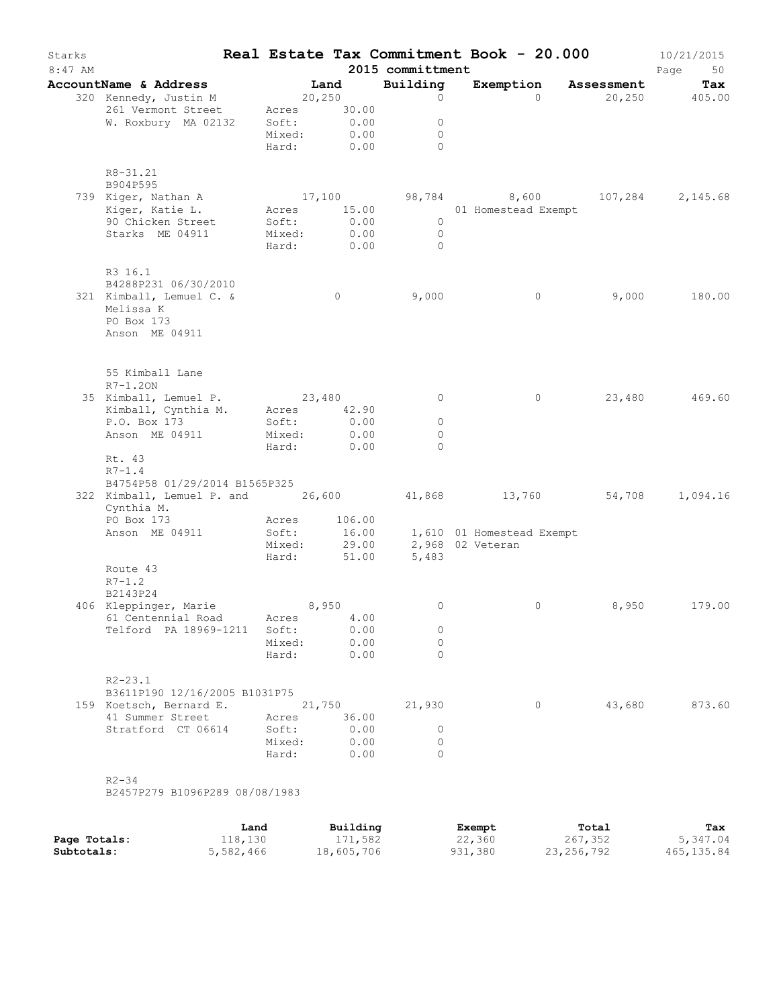| Starks<br>$8:47$ AM |                                                                                                                                    |                                                        |                |                              | 2015 committment                                | Real Estate Tax Commitment Book - 20.000      |                      | 10/21/2015<br>Page<br>50 |
|---------------------|------------------------------------------------------------------------------------------------------------------------------------|--------------------------------------------------------|----------------|------------------------------|-------------------------------------------------|-----------------------------------------------|----------------------|--------------------------|
|                     | AccountName & Address                                                                                                              |                                                        | Land           |                              | Building                                        |                                               | Exemption Assessment | Tax                      |
|                     | 320 Kennedy, Justin M<br>261 Vermont Street<br>W. Roxbury MA 02132                                                                 | 20,250<br>Acres 30.00<br>Soft:<br>Mixed:<br>Hard: 0.00 |                | 0.00<br>0.00                 | $\circ$<br>$\circ$<br>$\circ$<br>$\Omega$       |                                               | $\Omega$             | 20,250 405.00            |
|                     | R8-31.21<br>B904P595                                                                                                               |                                                        |                |                              |                                                 |                                               |                      |                          |
|                     | 739 Kiger, Nathan A<br>Kiger, Katie L.<br>90 Chicken Street<br>Starks ME 04911                                                     | Acres 15.00<br>Soft:<br>Mixed:<br>Hard: 0.00           |                | 0.00<br>0.00                 | $\overline{0}$<br>$\overline{0}$<br>$\bigcirc$  | 17,100 98,784 8,600<br>01 Homestead Exempt    |                      | 107,284 2,145.68         |
|                     | R3 16.1<br>B4288P231 06/30/2010<br>321 Kimball, Lemuel C. &<br>Melissa K<br>PO Box 173<br>Anson ME 04911                           |                                                        | $\overline{0}$ |                              | 9,000                                           |                                               | $\circ$<br>9,000     | 180.00                   |
|                     | 55 Kimball Lane<br>$R7-1.20N$<br>35 Kimball, Lemuel P. 23,480<br>Kimball, Cynthia M. Acres 42.90<br>P.O. Box 173<br>Anson ME 04911 | Soft:<br>Mixed:                                        |                | 0.00<br>0.00                 | 0<br>$\circ$<br>$\circ$                         |                                               | 23,480<br>$\circ$    | 469.60                   |
|                     | Rt. 43<br>$R7 - 1.4$<br>B4754P58 01/29/2014 B1565P325<br>322 Kimball, Lemuel P. and 26,600 41,868 13,760 54,708 1,094.16           | Hard:                                                  |                | 0.00                         | $\Omega$                                        |                                               |                      |                          |
|                     | Cynthia M.<br>PO Box 173<br>Anson ME 04911                                                                                         | Acres<br>Soft:<br>Mixed:<br>Hard:                      |                | 106.00<br>16.00<br>51.00     | 29.00<br>5,483                                  | 1,610 01 Homestead Exempt<br>2,968 02 Veteran |                      |                          |
|                     | Route 43<br>$R7 - 1.2$<br>B2143P24                                                                                                 |                                                        |                |                              |                                                 |                                               |                      |                          |
|                     | 406 Kleppinger, Marie<br>61 Centennial Road Acres<br>Telford PA 18969-1211 Soft:                                                   | Mixed:<br>Hard:                                        | 8,950          | 4.00<br>0.00<br>0.00<br>0.00 | 0<br>0<br>$\Omega$<br>$\Omega$                  |                                               | $\circ$<br>8,950     | 179.00                   |
|                     | $R2 - 23.1$<br>B3611P190 12/16/2005 B1031P75<br>159 Koetsch, Bernard E.<br>41 Summer Street Acres<br>Stratford CT 06614            | Soft:<br>Mixed: 0.00<br>Hard:                          | 21,750         | 36.00<br>0.00<br>0.00        | 21,930<br>$\overline{0}$<br>$\circ$<br>$\Omega$ |                                               | 43,680<br>$\circ$    | 873.60                   |
|                     | $R2 - 34$<br>B2457P279 B1096P289 08/08/1983                                                                                        |                                                        |                |                              |                                                 |                                               |                      |                          |

|              | Land      | Building   | Exempt  | Total      | Tax        |
|--------------|-----------|------------|---------|------------|------------|
| Page Totals: | 118,130   | 171,582    | 22,360  | 267,352    | 5,347.04   |
| Subtotals:   | 5,582,466 | 18,605,706 | 931,380 | 23,256,792 | 465,135.84 |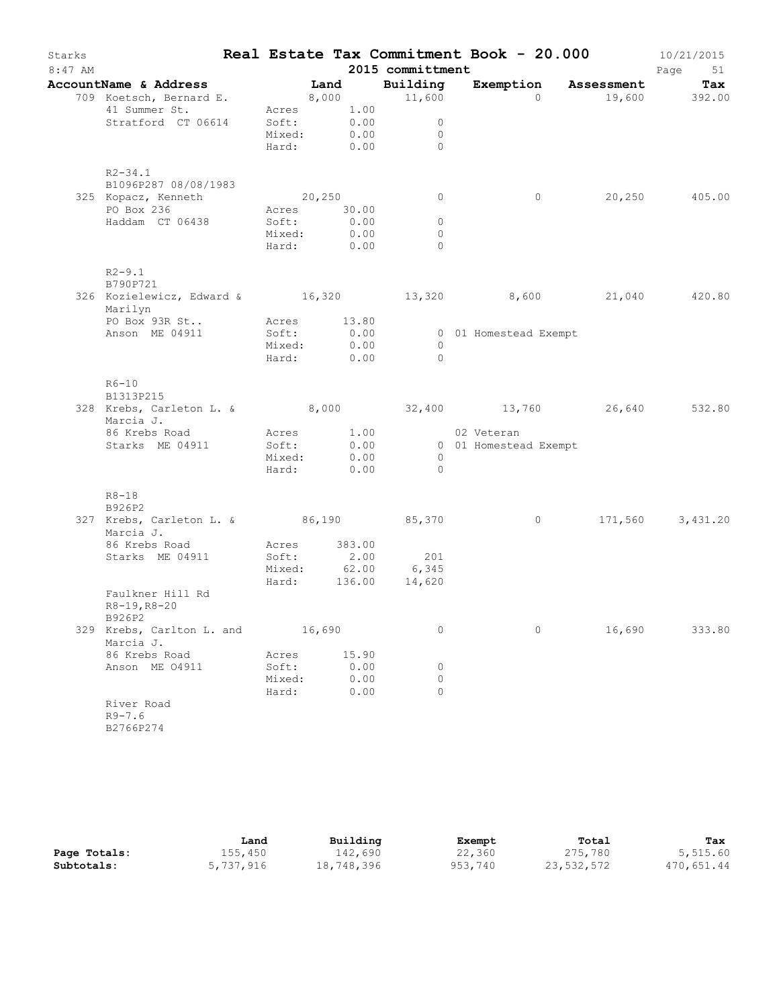| Starks    |                                                             |                 |        |                    |                            | Real Estate Tax Commitment Book - 20.000 |         | 10/21/2015    |
|-----------|-------------------------------------------------------------|-----------------|--------|--------------------|----------------------------|------------------------------------------|---------|---------------|
| $8:47$ AM |                                                             |                 |        |                    | 2015 committment           |                                          |         | Page<br>51    |
|           | AccountName & Address                                       |                 | Land   |                    | Building                   | Exemption Assessment                     |         | Tax           |
|           | 709 Koetsch, Bernard E.                                     |                 |        | 8,000              | 11,600                     | $\Omega$                                 |         | 19,600 392.00 |
|           | 41 Summer St.                                               |                 |        | Acres 1.00         |                            |                                          |         |               |
|           | Stratford CT 06614                                          | Soft:<br>Mixed: |        | 0.00<br>0.00       | $\circ$<br>$\circ$         |                                          |         |               |
|           |                                                             | Hard:           |        | 0.00               | $\Omega$                   |                                          |         |               |
|           |                                                             |                 |        |                    |                            |                                          |         |               |
|           | $R2 - 34.1$                                                 |                 |        |                    |                            |                                          |         |               |
|           | B1096P287 08/08/1983                                        |                 |        |                    |                            |                                          |         |               |
|           | 325 Kopacz, Kenneth                                         | 20,250          |        |                    | 0                          | $\circ$                                  | 20,250  | 405.00        |
|           | PO Box 236                                                  |                 |        | Acres 30.00        |                            |                                          |         |               |
|           | Haddam CT 06438                                             | Soft:           |        | 0.00               | $\circ$                    |                                          |         |               |
|           |                                                             | Mixed:          |        | 0.00<br>Hard: 0.00 | $\circ$<br>$\Omega$        |                                          |         |               |
|           |                                                             |                 |        |                    |                            |                                          |         |               |
|           | $R2 - 9.1$                                                  |                 |        |                    |                            |                                          |         |               |
|           | B790P721                                                    |                 |        |                    |                            |                                          |         |               |
|           | 326 Kozielewicz, Edward & 16,320 13,320 8,600 21,040 420.80 |                 |        |                    |                            |                                          |         |               |
|           | Marilyn                                                     |                 |        |                    |                            |                                          |         |               |
|           | PO Box 93R St                                               | Acres           |        | 13.80              |                            |                                          |         |               |
|           | Anson ME 04911                                              | Soft:           |        | 0.00               |                            | 0 01 Homestead Exempt                    |         |               |
|           |                                                             | Mixed:<br>Hard: |        | 0.00<br>0.00       | $\Omega$<br>$\circ$        |                                          |         |               |
|           |                                                             |                 |        |                    |                            |                                          |         |               |
|           | $R6 - 10$                                                   |                 |        |                    |                            |                                          |         |               |
|           | B1313P215                                                   |                 |        |                    |                            |                                          |         |               |
|           | 328 Krebs, Carleton L. & 8,000 32,400 13,760 26,640         |                 |        |                    |                            |                                          |         | 532.80        |
|           | Marcia J.                                                   |                 |        |                    |                            |                                          |         |               |
|           | 86 Krebs Road                                               |                 |        | Acres 1.00         |                            | 02 Veteran                               |         |               |
|           | Starks ME 04911                                             | Soft:           |        | 0.00               |                            | 0 01 Homestead Exempt                    |         |               |
|           |                                                             | Mixed:          |        | 0.00               | $\overline{0}$<br>$\Omega$ |                                          |         |               |
|           |                                                             | Hard:           |        | 0.00               |                            |                                          |         |               |
|           | $R8 - 18$                                                   |                 |        |                    |                            |                                          |         |               |
|           | B926P2                                                      |                 |        |                    |                            |                                          |         |               |
|           | 327 Krebs, Carleton L. & 86,190 85,370                      |                 |        |                    |                            | $\circ$                                  | 171,560 | 3,431.20      |
|           | Marcia J.                                                   |                 |        |                    |                            |                                          |         |               |
|           | 86 Krebs Road                                               | Acres           |        | 383.00             |                            |                                          |         |               |
|           | Starks ME 04911                                             | Soft:           |        | $2.00$<br>62.00    | 201                        |                                          |         |               |
|           |                                                             | Mixed:<br>Hard: |        | 136.00             | 6,345<br>14,620            |                                          |         |               |
|           | Faulkner Hill Rd                                            |                 |        |                    |                            |                                          |         |               |
|           | R8-19, R8-20                                                |                 |        |                    |                            |                                          |         |               |
|           | B926P2                                                      |                 |        |                    |                            |                                          |         |               |
|           | 329 Krebs, Carlton L. and                                   |                 | 16,690 |                    | 0                          | 0                                        | 16,690  | 333.80        |
|           | Marcia J.                                                   |                 |        |                    |                            |                                          |         |               |
|           | 86 Krebs Road                                               | Acres           |        | 15.90              |                            |                                          |         |               |
|           | Anson ME 04911                                              | Soft:           |        | 0.00               | 0                          |                                          |         |               |
|           |                                                             | Mixed:          |        | 0.00               | 0                          |                                          |         |               |
|           |                                                             | Hard:           |        | 0.00               | 0                          |                                          |         |               |
|           | River Road<br>$R9 - 7.6$                                    |                 |        |                    |                            |                                          |         |               |
|           | B2766P274                                                   |                 |        |                    |                            |                                          |         |               |
|           |                                                             |                 |        |                    |                            |                                          |         |               |

|              | Land      | Building   | Exempt  | Total      | Tax        |
|--------------|-----------|------------|---------|------------|------------|
| Page Totals: | 155,450   | 142,690    | 22,360  | 275,780    | 5,515.60   |
| Subtotals:   | 5,737,916 | 18,748,396 | 953,740 | 23,532,572 | 470,651.44 |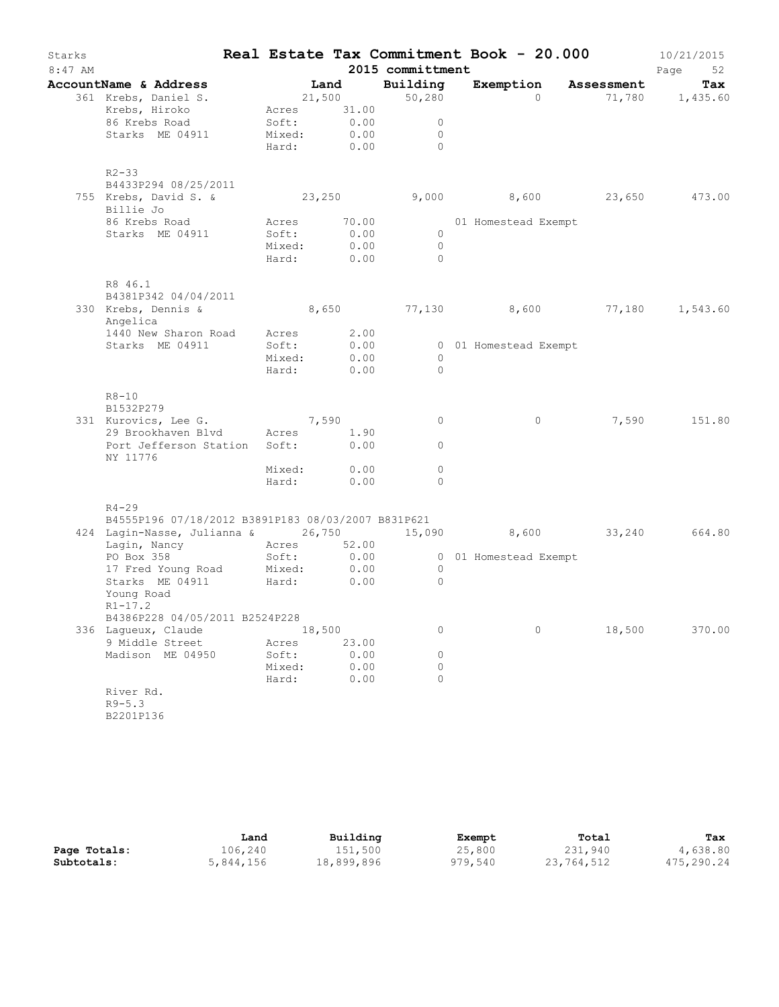| Starks<br>$8:47$ AM |                                                                           |                                                             |        |              | 2015 committment                               | Real Estate Tax Commitment Book - 20.000 |        | 10/21/2015<br>Page<br>52 |
|---------------------|---------------------------------------------------------------------------|-------------------------------------------------------------|--------|--------------|------------------------------------------------|------------------------------------------|--------|--------------------------|
|                     | AccountName & Address                                                     |                                                             | Land   |              | Building                                       | Exemption Assessment                     |        | Tax                      |
|                     | 361 Krebs, Daniel S.<br>Krebs, Hiroko<br>86 Krebs Road<br>Starks ME 04911 | 21,500<br>Acres 31.00<br>Soft: 0.00<br>Mixed:<br>Hard: 0.00 |        | 0.00         | 50,280<br>$\circ$<br>$\circ$<br>$\overline{0}$ | $\Omega$                                 |        | 71,780 1,435.60          |
|                     |                                                                           |                                                             |        |              |                                                |                                          |        |                          |
|                     | $R2 - 33$<br>B4433P294 08/25/2011                                         |                                                             |        |              |                                                |                                          |        |                          |
|                     | 755 Krebs, David S. & 23,250<br>Billie Jo                                 |                                                             |        |              |                                                | 9,000 8,600 23,650 473.00                |        |                          |
|                     | 86 Krebs Road                                                             | Acres                                                       |        | 70.00        |                                                | 01 Homestead Exempt                      |        |                          |
|                     | Starks ME 04911                                                           | Soft:                                                       |        | 0.00         | $\circ$                                        |                                          |        |                          |
|                     |                                                                           | Mixed:<br>Hard:                                             |        | 0.00<br>0.00 | $\bigcirc$<br>$\overline{0}$                   |                                          |        |                          |
|                     | R8 46.1                                                                   |                                                             |        |              |                                                |                                          |        |                          |
|                     | B4381P342 04/04/2011<br>330 Krebs, Dennis &                               |                                                             |        |              |                                                | 8,650 77,130 8,600 77,180 1,543.60       |        |                          |
|                     | Angelica                                                                  |                                                             |        |              |                                                |                                          |        |                          |
|                     | 1440 New Sharon Road Acres 2.00                                           |                                                             |        |              |                                                |                                          |        |                          |
|                     | Starks ME 04911                                                           | Soft:                                                       |        | 0.00         |                                                | 0 01 Homestead Exempt                    |        |                          |
|                     |                                                                           | Mixed:                                                      |        | 0.00         | $\overline{0}$                                 |                                          |        |                          |
|                     |                                                                           | Hard:                                                       |        | 0.00         | $\Omega$                                       |                                          |        |                          |
|                     | $R8 - 10$<br>B1532P279                                                    |                                                             |        |              |                                                |                                          |        |                          |
|                     | 331 Kurovics, Lee G. 7,590                                                |                                                             |        |              | $\circ$                                        | $\circ$                                  | 7,590  | 151.80                   |
|                     | 29 Brookhaven Blvd Acres 1.90                                             |                                                             |        |              |                                                |                                          |        |                          |
|                     | Port Jefferson Station Soft: 0.00<br>NY 11776                             |                                                             |        |              | $\circ$                                        |                                          |        |                          |
|                     |                                                                           | Mixed: 0.00                                                 |        |              | 0                                              |                                          |        |                          |
|                     |                                                                           | Hard: 0.00                                                  |        |              | $\Omega$                                       |                                          |        |                          |
|                     | $R4 - 29$<br>B4555P196 07/18/2012 B3891P183 08/03/2007 B831P621           |                                                             |        |              |                                                |                                          |        |                          |
|                     | 424 Lagin-Nasse, Julianna & 26,750 15,090 8,600 33,240 664.80             |                                                             |        |              |                                                |                                          |        |                          |
|                     | Lagin, Nancy                                                              | Acres 52.00                                                 |        |              |                                                |                                          |        |                          |
|                     | PO Box 358                                                                | Soft: 0.00                                                  |        |              |                                                | 0 01 Homestead Exempt                    |        |                          |
|                     | 17 Fred Young Road Mixed:                                                 |                                                             |        | 0.00         | $\overline{0}$                                 |                                          |        |                          |
|                     | Starks ME 04911<br>Young Road<br>$R1 - 17.2$                              | Hard:                                                       |        | 0.00         | $\Omega$                                       |                                          |        |                          |
|                     | B4386P228 04/05/2011 B2524P228                                            |                                                             |        |              |                                                |                                          |        |                          |
|                     | 336 Laqueux, Claude                                                       |                                                             | 18,500 |              | 0                                              | $\circ$                                  | 18,500 | 370.00                   |
|                     | 9 Middle Street                                                           | Acres                                                       |        | 23.00        |                                                |                                          |        |                          |
|                     | Madison ME 04950                                                          | Soft:                                                       |        | 0.00         | $\circ$                                        |                                          |        |                          |
|                     |                                                                           | Mixed:                                                      |        | 0.00         | 0                                              |                                          |        |                          |
|                     |                                                                           | Hard:                                                       |        | 0.00         | $\Omega$                                       |                                          |        |                          |
|                     | River Rd.                                                                 |                                                             |        |              |                                                |                                          |        |                          |
|                     | $R9 - 5.3$                                                                |                                                             |        |              |                                                |                                          |        |                          |
|                     | B2201P136                                                                 |                                                             |        |              |                                                |                                          |        |                          |

|              | Land      | Building   | Exempt  | Total      | Tax        |
|--------------|-----------|------------|---------|------------|------------|
| Page Totals: | 106,240   | 151,500    | 25,800  | 231,940    | 4,638.80   |
| Subtotals:   | 5,844,156 | 18,899,896 | 979,540 | 23,764,512 | 475,290.24 |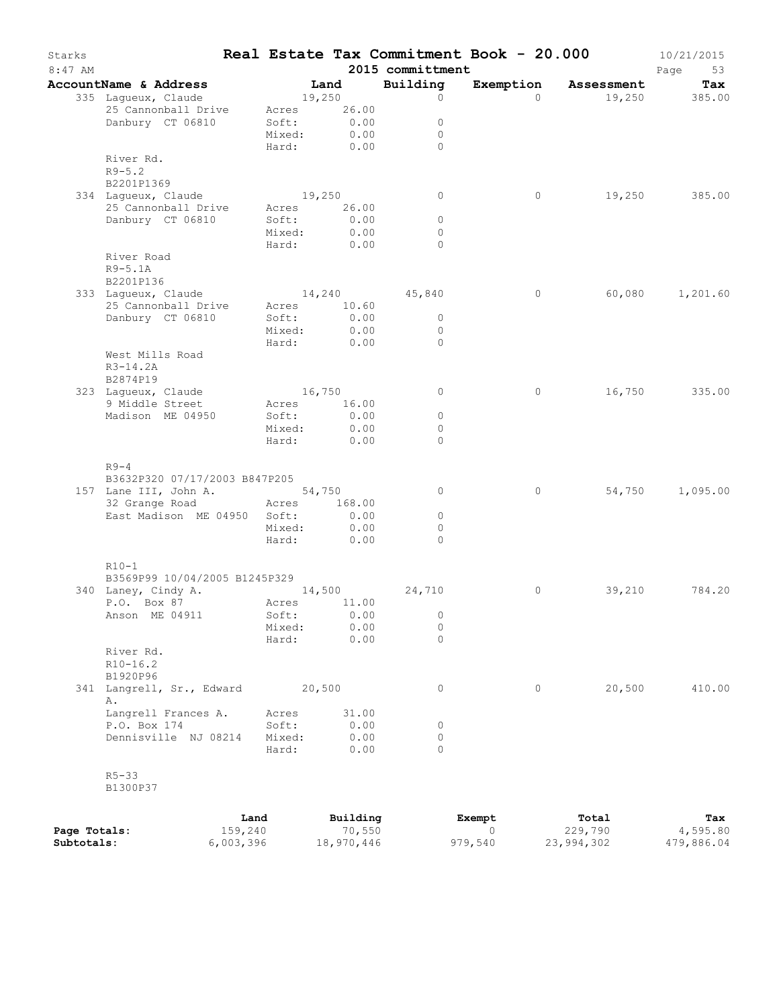| Starks<br>$8:47$ AM |                                    |      |                       |          | 2015 committment | Real Estate Tax Commitment Book - 20.000 |                      | 10/21/2015<br>Page<br>53 |
|---------------------|------------------------------------|------|-----------------------|----------|------------------|------------------------------------------|----------------------|--------------------------|
|                     | AccountName & Address              |      | Land                  |          | Building         |                                          | Exemption Assessment | Tax                      |
|                     | 335 Lagueux, Claude                |      | 19,250                |          | $\circ$          | $\Omega$                                 |                      | 19,250 385.00            |
|                     | 25 Cannonball Drive                |      | Acres                 | 26.00    |                  |                                          |                      |                          |
|                     | Danbury CT 06810                   |      | Soft:                 | 0.00     | $\circ$          |                                          |                      |                          |
|                     |                                    |      | Mixed:                | 0.00     | $\circ$          |                                          |                      |                          |
|                     | River Rd.                          |      | Hard:                 | 0.00     | $\Omega$         |                                          |                      |                          |
|                     | $R9 - 5.2$                         |      |                       |          |                  |                                          |                      |                          |
|                     | B2201P1369                         |      |                       |          |                  |                                          |                      |                          |
|                     | 334 Laqueux, Claude                |      | 19,250                |          | 0                | $\circ$                                  | 19,250               | 385.00                   |
|                     | 25 Cannonball Drive                |      | Acres                 | 26.00    |                  |                                          |                      |                          |
|                     | Danbury CT 06810                   |      | Soft:                 | 0.00     | $\circ$          |                                          |                      |                          |
|                     |                                    |      | Mixed:                | 0.00     | $\circ$          |                                          |                      |                          |
|                     |                                    |      | Hard:                 | 0.00     | $\Omega$         |                                          |                      |                          |
|                     | River Road                         |      |                       |          |                  |                                          |                      |                          |
|                     | $R9-5.1A$                          |      |                       |          |                  |                                          |                      |                          |
|                     | B2201P136                          |      |                       |          |                  |                                          |                      |                          |
|                     | 333 Laqueux, Claude                |      |                       |          | 14,240 45,840    | $\circ$                                  | 60,080               | 1,201.60                 |
|                     | 25 Cannonball Drive                |      | Acres                 | 10.60    |                  |                                          |                      |                          |
|                     | Danbury CT 06810                   |      | Soft:                 | 0.00     | $\circ$          |                                          |                      |                          |
|                     |                                    |      | Mixed:                | 0.00     | $\circ$          |                                          |                      |                          |
|                     |                                    |      | Hard:                 | 0.00     | $\Omega$         |                                          |                      |                          |
|                     | West Mills Road<br>$R3 - 14.2A$    |      |                       |          |                  |                                          |                      |                          |
|                     | B2874P19                           |      |                       |          |                  |                                          |                      |                          |
|                     | 323 Lagueux, Claude                |      | 16,750                |          | $\circ$          | $\circ$                                  | 16,750               | 335.00                   |
|                     | 9 Middle Street                    |      | Acres                 | 16.00    |                  |                                          |                      |                          |
|                     | Madison ME 04950                   |      | Soft:                 | 0.00     | $\circ$          |                                          |                      |                          |
|                     |                                    |      | Mixed:                | 0.00     | $\circ$          |                                          |                      |                          |
|                     |                                    |      | Hard:                 | 0.00     | $\circ$          |                                          |                      |                          |
|                     |                                    |      |                       |          |                  |                                          |                      |                          |
|                     | $R9-4$                             |      |                       |          |                  |                                          |                      |                          |
|                     | B3632P320 07/17/2003 B847P205      |      |                       |          |                  |                                          |                      |                          |
|                     | 157 Lane III, John A. 54,750       |      |                       |          | 0                | $\circ$                                  | 54,750               | 1,095.00                 |
|                     | 32 Grange Road Acres               |      |                       | 168.00   |                  |                                          |                      |                          |
|                     | East Madison ME 04950 Soft:        |      |                       | 0.00     | $\circ$          |                                          |                      |                          |
|                     |                                    |      | Mixed:                | 0.00     | $\circ$          |                                          |                      |                          |
|                     |                                    |      | Hard:                 | 0.00     | $\Omega$         |                                          |                      |                          |
|                     |                                    |      |                       |          |                  |                                          |                      |                          |
|                     | $R10-1$                            |      |                       |          |                  |                                          |                      |                          |
|                     | B3569P99 10/04/2005 B1245P329      |      |                       |          |                  |                                          |                      |                          |
|                     | 340 Laney, Cindy A.<br>P.O. Box 87 |      | 14,500<br>Acres 11.00 |          | 24,710           | 0                                        | 39,210               | 784.20                   |
|                     | Anson ME 04911                     |      | Soft: 0.00            |          | $\sim$ 0         |                                          |                      |                          |
|                     |                                    |      | Mixed:                | 0.00     | 0                |                                          |                      |                          |
|                     |                                    |      | Hard:                 | 0.00     | $\Omega$         |                                          |                      |                          |
|                     | River Rd.                          |      |                       |          |                  |                                          |                      |                          |
|                     | $R10-16.2$                         |      |                       |          |                  |                                          |                      |                          |
|                     | B1920P96                           |      |                       |          |                  |                                          |                      |                          |
|                     | 341 Langrell, Sr., Edward          |      | 20,500                |          | 0                | $\circ$                                  | 20,500               | 410.00                   |
|                     | Α.                                 |      |                       |          |                  |                                          |                      |                          |
|                     | Langrell Frances A.                |      | Acres                 | 31.00    |                  |                                          |                      |                          |
|                     | P.O. Box 174                       |      | Soft:                 | 0.00     | 0                |                                          |                      |                          |
|                     | Dennisville NJ 08214               |      | Mixed:                | 0.00     | 0                |                                          |                      |                          |
|                     |                                    |      | Hard:                 | 0.00     | $\Omega$         |                                          |                      |                          |
|                     | $R5 - 33$                          |      |                       |          |                  |                                          |                      |                          |
|                     | B1300P37                           |      |                       |          |                  |                                          |                      |                          |
|                     |                                    |      |                       |          |                  |                                          |                      |                          |
|                     |                                    | Land |                       | Building |                  | Exempt                                   | Total                | Tax                      |

|              | nana      | purratiid  | <b>Exemple</b> | ⊥∪∟a⊥      | rax.       |
|--------------|-----------|------------|----------------|------------|------------|
| Page Totals: | 159,240   | 70,550     |                | 229,790    | 4,595.80   |
| Subtotals:   | 6,003,396 | 18,970,446 | 979,540        | 23,994,302 | 479,886.04 |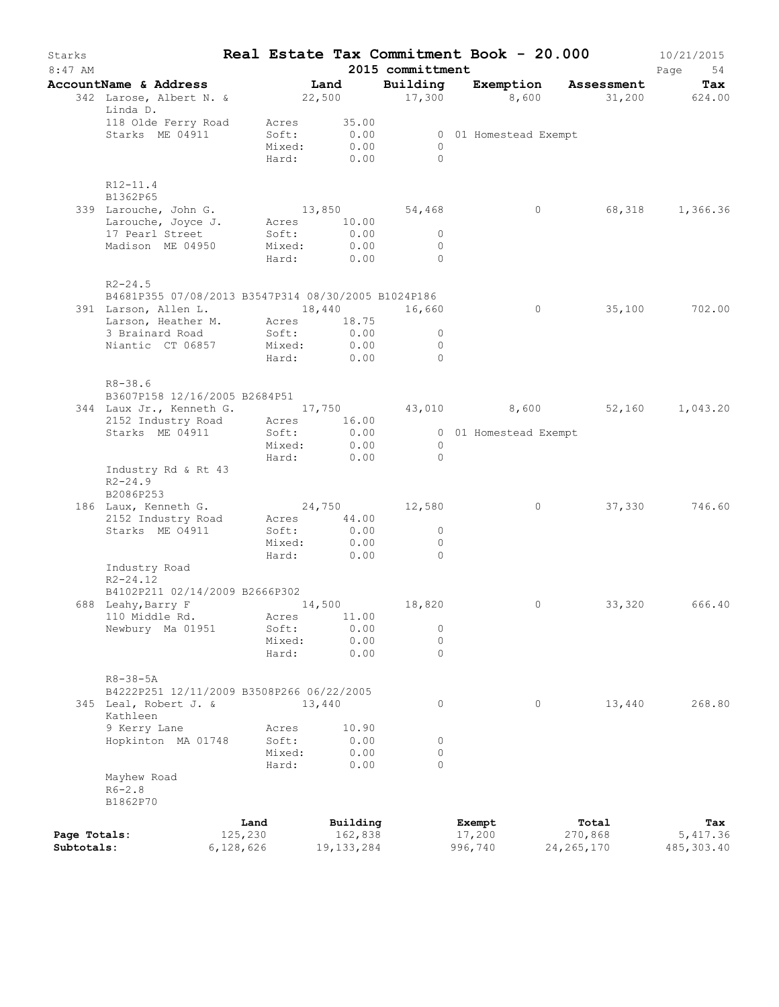| Starks<br>$8:47$ AM        |                                                                    |                      |                 |        |                           | 2015 committment       | Real Estate Tax Commitment Book - 20.000 |                         | 10/21/2015<br>Page<br>54 |
|----------------------------|--------------------------------------------------------------------|----------------------|-----------------|--------|---------------------------|------------------------|------------------------------------------|-------------------------|--------------------------|
|                            | AccountName & Address                                              |                      |                 | Land   |                           | Building               | Exemption                                | Assessment              | Tax                      |
|                            | 342 Larose, Albert N. &<br>Linda D.                                |                      |                 |        | 22,500                    | 17,300                 | 8,600                                    | 31,200 624.00           |                          |
|                            | 118 Olde Ferry Road                                                |                      | Acres           |        | 35.00                     |                        |                                          |                         |                          |
|                            | Starks ME 04911                                                    |                      | Soft:           |        | 0.00                      |                        | 0 01 Homestead Exempt                    |                         |                          |
|                            |                                                                    |                      |                 |        | Mixed: 0.00<br>Hard: 0.00 | $\Omega$<br>$\bigcirc$ |                                          |                         |                          |
|                            |                                                                    |                      |                 |        |                           |                        |                                          |                         |                          |
|                            | $R12 - 11.4$<br>B1362P65                                           |                      |                 |        |                           |                        |                                          |                         |                          |
|                            | 339 Larouche, John G.                                              |                      |                 |        |                           | 13,850 54,468          | $\circ$                                  |                         | 68,318 1,366.36          |
|                            | Larouche, Joyce J.                                                 |                      |                 |        | Acres 10.00               |                        |                                          |                         |                          |
|                            | 17 Pearl Street                                                    |                      | Soft:           |        | 0.00                      | $\circ$                |                                          |                         |                          |
|                            | Madison ME 04950                                                   |                      | Mixed:          |        | 0.00                      | $\mathbf{0}$           |                                          |                         |                          |
|                            |                                                                    |                      | Hard:           |        | 0.00                      | $\Omega$               |                                          |                         |                          |
|                            | $R2 - 24.5$<br>B4681P355 07/08/2013 B3547P314 08/30/2005 B1024P186 |                      |                 |        |                           |                        |                                          |                         |                          |
|                            | 391 Larson, Allen L. 18,440                                        |                      |                 |        |                           | 16,660                 | $\circ$                                  | 35,100                  | 702.00                   |
|                            | Larson, Heather M. Acres 18.75                                     |                      |                 |        |                           |                        |                                          |                         |                          |
|                            | 3 Brainard Road                                                    |                      | Soft:           |        | 0.00                      | $\circ$                |                                          |                         |                          |
|                            | Niantic CT 06857                                                   |                      |                 |        | Mixed: 0.00               | $\Omega$               |                                          |                         |                          |
|                            |                                                                    |                      | Hard:           |        | 0.00                      | $\bigcirc$             |                                          |                         |                          |
|                            | $R8 - 38.6$<br>B3607P158 12/16/2005 B2684P51                       |                      |                 |        |                           |                        |                                          |                         |                          |
|                            | 344 Laux Jr., Kenneth G. 17,750 43,010 8,600 52,160 1,043.20       |                      |                 |        |                           |                        |                                          |                         |                          |
|                            | 2152 Industry Road                                                 |                      |                 |        | Acres 16.00               |                        |                                          |                         |                          |
|                            | Starks ME 04911                                                    |                      | Soft:           |        | 0.00                      |                        | 0 01 Homestead Exempt                    |                         |                          |
|                            |                                                                    |                      | Mixed:          |        | 0.00                      | $\overline{0}$         |                                          |                         |                          |
|                            |                                                                    |                      | Hard:           |        | 0.00                      | $\bigcirc$             |                                          |                         |                          |
|                            | Industry Rd & Rt 43                                                |                      |                 |        |                           |                        |                                          |                         |                          |
|                            | $R2 - 24.9$                                                        |                      |                 |        |                           |                        |                                          |                         |                          |
|                            | B2086P253                                                          |                      |                 |        |                           | 24,750 12,580          | $\circ$                                  |                         | 746.60                   |
|                            | 186 Laux, Kenneth G.<br>2152 Industry Road                         |                      | Acres           |        | 44.00                     |                        |                                          | 37,330                  |                          |
|                            | Starks ME 04911                                                    |                      | Soft:           |        | 0.00                      | $\circ$                |                                          |                         |                          |
|                            |                                                                    |                      | Mixed:          |        | 0.00                      | $\Omega$               |                                          |                         |                          |
|                            |                                                                    |                      | Hard:           |        | 0.00                      | $\bigcirc$             |                                          |                         |                          |
|                            | Industry Road<br>$R2 - 24.12$                                      |                      |                 |        |                           |                        |                                          |                         |                          |
|                            | B4102P211 02/14/2009 B2666P302                                     |                      |                 |        |                           |                        |                                          |                         |                          |
|                            | 688 Leahy, Barry F                                                 |                      |                 | 14,500 |                           | 18,820                 | $\circ$                                  | 33,320                  | 666.40                   |
|                            | 110 Middle Rd.                                                     |                      | Acres           |        | 11.00                     |                        |                                          |                         |                          |
|                            | Newbury Ma 01951                                                   |                      | Soft:           |        | 0.00                      | $\circ$                |                                          |                         |                          |
|                            |                                                                    |                      | Mixed:          |        | 0.00                      | $\circ$                |                                          |                         |                          |
|                            |                                                                    |                      | Hard:           |        | 0.00                      | $\Omega$               |                                          |                         |                          |
|                            | $R8 - 38 - 5A$                                                     |                      |                 |        |                           |                        |                                          |                         |                          |
|                            | B4222P251 12/11/2009 B3508P266 06/22/2005                          |                      |                 |        |                           |                        |                                          |                         |                          |
|                            | 345 Leal, Robert J. &<br>Kathleen                                  |                      |                 | 13,440 |                           | $\circ$                | $\circ$                                  | 13,440                  | 268.80                   |
|                            | 9 Kerry Lane                                                       |                      | Acres           |        | 10.90                     |                        |                                          |                         |                          |
|                            | Hopkinton MA 01748                                                 |                      | Soft:           |        | 0.00                      | 0                      |                                          |                         |                          |
|                            |                                                                    |                      | Mixed:<br>Hard: |        | 0.00<br>0.00              | $\circ$<br>$\Omega$    |                                          |                         |                          |
|                            | Mayhew Road                                                        |                      |                 |        |                           |                        |                                          |                         |                          |
|                            | $R6 - 2.8$                                                         |                      |                 |        |                           |                        |                                          |                         |                          |
|                            | B1862P70                                                           |                      |                 |        |                           |                        |                                          |                         |                          |
|                            |                                                                    | Land                 |                 |        | Building                  |                        | Exempt                                   | Total                   | Tax                      |
| Page Totals:<br>Subtotals: |                                                                    | 125,230<br>6,128,626 |                 |        | 162,838<br>19, 133, 284   |                        | 17,200<br>996,740                        | 270,868<br>24, 265, 170 | 5,417.36<br>485, 303.40  |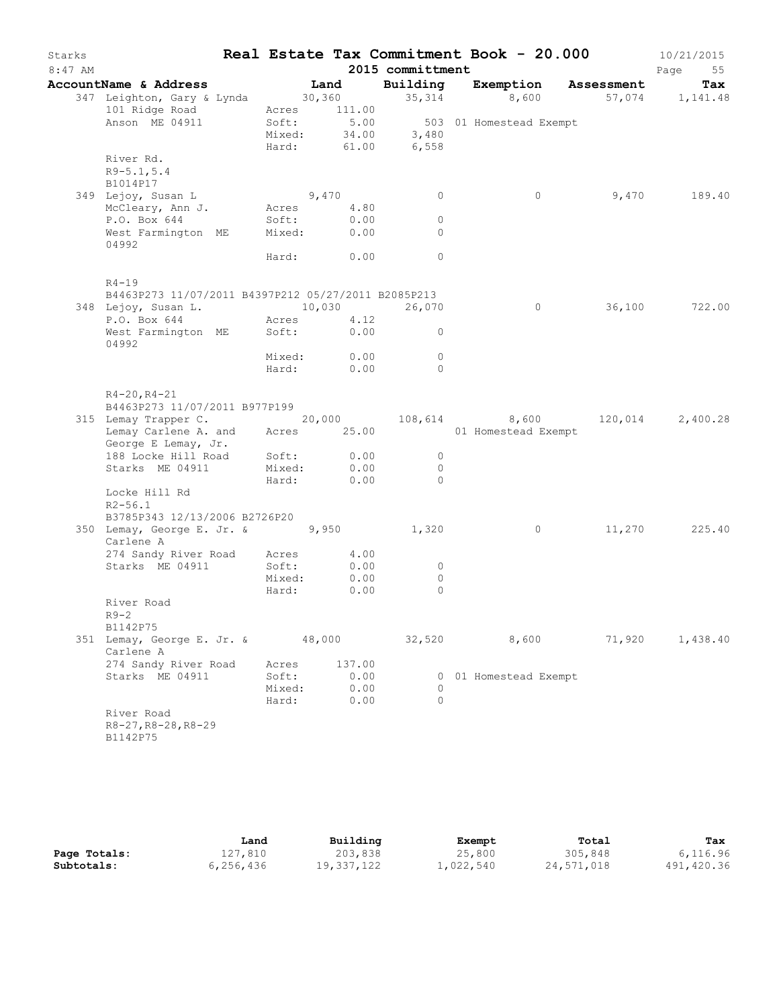| Starks<br>$8:47$ AM |                                                                                                                    |        |              | 2015 committment             |                                                          | Real Estate Tax Commitment Book - 20.000 | 10/21/2015<br>Page<br>55 |
|---------------------|--------------------------------------------------------------------------------------------------------------------|--------|--------------|------------------------------|----------------------------------------------------------|------------------------------------------|--------------------------|
|                     | AccountName & Address                                                                                              |        | Land         |                              |                                                          | Building Exemption Assessment            | Tax                      |
|                     | 347 Leighton, Gary & Lynda 30,360 35,314 8,600 57,074 1,141.48<br>101 Ridge Road                                   |        | Acres 111.00 |                              |                                                          |                                          |                          |
|                     | Anson ME 04911                                                                                                     |        |              | Hard: 61.00 6,558            | Soft: 5.00 503 01 Homestead Exempt<br>Mixed: 34.00 3,480 |                                          |                          |
|                     | River Rd.<br>$R9 - 5.1, 5.4$<br>B1014P17                                                                           |        |              |                              |                                                          |                                          |                          |
|                     | 349 Lejoy, Susan L                                                                                                 |        | 9,470        | $\overline{0}$               | $\circ$                                                  |                                          | 9,470 189.40             |
|                     | McCleary, Ann J. Acres 4.80                                                                                        |        |              |                              |                                                          |                                          |                          |
|                     | P.O. Box 644                                                                                                       | Soft:  | 0.00         | $\circ$                      |                                                          |                                          |                          |
|                     | West Farmington ME Mixed: 0.00<br>04992                                                                            |        |              | $\Omega$                     |                                                          |                                          |                          |
|                     |                                                                                                                    |        | Hard: 0.00   | $\overline{0}$               |                                                          |                                          |                          |
|                     | $R4 - 19$<br>B4463P273 11/07/2011 B4397P212 05/27/2011 B2085P213                                                   |        |              |                              |                                                          |                                          |                          |
|                     |                                                                                                                    |        |              |                              |                                                          | 0 36,100 722.00                          |                          |
|                     |                                                                                                                    |        |              |                              |                                                          |                                          |                          |
|                     | 348 Lejoy, Susan L.<br>P.O. Box 644 Acres 4.12 Acres 4.12<br>West Farmington ME Soft: 0.00 0<br>04992              |        |              |                              |                                                          |                                          |                          |
|                     |                                                                                                                    |        | Mixed: 0.00  | $\overline{0}$               |                                                          |                                          |                          |
|                     |                                                                                                                    |        | Hard: 0.00   | $\Omega$                     |                                                          |                                          |                          |
|                     | $R4 - 20, R4 - 21$<br>B4463P273 11/07/2011 B977P199                                                                |        |              |                              |                                                          |                                          |                          |
|                     | 315 Lemay Trapper C. 20,000 108,614 8,600 120,014 2,400.28<br>Lemay Carlene A. and Acres 25.00 01 Homestead Exempt |        |              |                              |                                                          |                                          |                          |
|                     | George E Lemay, Jr.<br>188 Locke Hill Road Soft: 0.00                                                              |        |              |                              |                                                          |                                          |                          |
|                     | Starks ME 04911                                                                                                    |        | Mixed: 0.00  | $\overline{0}$<br>$\bigcirc$ |                                                          |                                          |                          |
|                     |                                                                                                                    |        | Hard: 0.00   | $\overline{0}$               |                                                          |                                          |                          |
|                     | Locke Hill Rd<br>$R2 - 56.1$                                                                                       |        |              |                              |                                                          |                                          |                          |
|                     | B3785P343 12/13/2006 B2726P20                                                                                      |        |              |                              |                                                          |                                          |                          |
|                     | 350 Lemay, George E. Jr. & 9,950<br>Carlene A                                                                      |        |              | 1,320                        | $\overline{0}$                                           |                                          | 11,270 225.40            |
|                     | 274 Sandy River Road Acres 4.00                                                                                    |        |              |                              |                                                          |                                          |                          |
|                     | Starks ME 04911                                                                                                    | Soft:  | 0.00         | $\circ$                      |                                                          |                                          |                          |
|                     |                                                                                                                    | Mixed: | 0.00         | $\circ$                      |                                                          |                                          |                          |
|                     | River Road                                                                                                         | Hard:  | 0.00         | $\circ$                      |                                                          |                                          |                          |
|                     | $R9-2$                                                                                                             |        |              |                              |                                                          |                                          |                          |
|                     | B1142P75<br>351 Lemay, George E. Jr. &<br>Carlene A                                                                |        | 48,000       | 32,520                       | 8,600                                                    | 71,920                                   | 1,438.40                 |
|                     | 274 Sandy River Road                                                                                               | Acres  | 137.00       |                              |                                                          |                                          |                          |
|                     | Starks ME 04911                                                                                                    | Soft:  | 0.00         |                              | 0 01 Homestead Exempt                                    |                                          |                          |
|                     |                                                                                                                    | Mixed: | 0.00         | 0                            |                                                          |                                          |                          |
|                     |                                                                                                                    | Hard:  | 0.00         | $\Omega$                     |                                                          |                                          |                          |
|                     | River Road<br>R8-27, R8-28, R8-29<br>B1142P75                                                                      |        |              |                              |                                                          |                                          |                          |

|              | Land      | Building   | Exempt    | Total      | Tax        |
|--------------|-----------|------------|-----------|------------|------------|
| Page Totals: | 127,810   | 203,838    | 25,800    | 305,848    | 6,116.96   |
| Subtotals:   | 6,256,436 | 19,337,122 | 1,022,540 | 24,571,018 | 491,420.36 |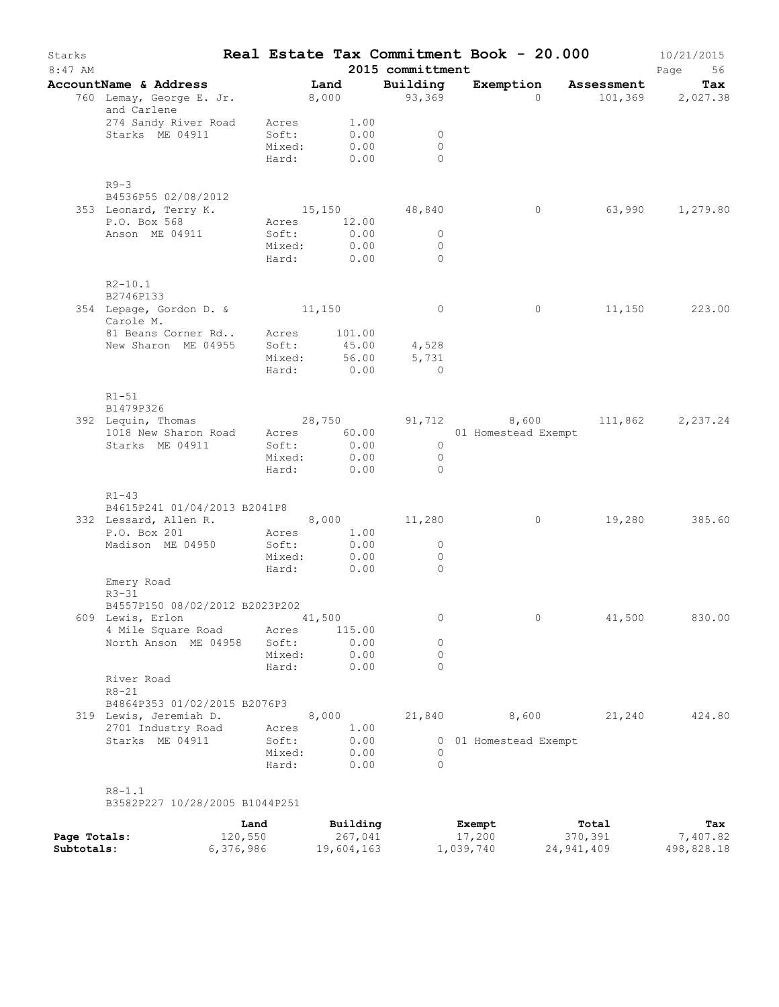| Starks<br>$8:47$ AM |                                                                                                                                   |                 |               |              | 2015 committment          | Real Estate Tax Commitment Book - 20.000 |                  | 10/21/2015<br>Page<br>56 |
|---------------------|-----------------------------------------------------------------------------------------------------------------------------------|-----------------|---------------|--------------|---------------------------|------------------------------------------|------------------|--------------------------|
|                     | AccountName & Address                                                                                                             |                 | Land          |              | Building                  | Exemption Assessment                     |                  | Tax                      |
|                     | 760 Lemay, George E. Jr. 8,000<br>and Carlene                                                                                     |                 |               |              | 93,369                    | $\Omega$                                 |                  | 101,369 2,027.38         |
|                     | 274 Sandy River Road Acres                                                                                                        |                 | 1.00          |              |                           |                                          |                  |                          |
|                     | Starks ME 04911                                                                                                                   | Soft:<br>Mixed: | 0.00          | 0.00         | $\overline{0}$<br>$\circ$ |                                          |                  |                          |
|                     |                                                                                                                                   | Hard:           | 0.00          |              | $\Omega$                  |                                          |                  |                          |
|                     | $R9-3$                                                                                                                            |                 |               |              |                           |                                          |                  |                          |
|                     | B4536P55 02/08/2012<br>353 Leonard, Terry K.                                                                                      |                 |               |              | 15,150 48,840             | $\circ$                                  |                  | 63,990 1,279.80          |
|                     | P.O. Box 568                                                                                                                      | Acres           | 12.00         |              |                           |                                          |                  |                          |
|                     | Anson ME 04911                                                                                                                    | Soft:           |               | 0.00         | $\overline{0}$            |                                          |                  |                          |
|                     |                                                                                                                                   |                 | Mixed: 0.00   |              | $\circ$                   |                                          |                  |                          |
|                     |                                                                                                                                   | Hard:           | 0.00          |              | $\Omega$                  |                                          |                  |                          |
|                     | $R2 - 10.1$<br>B2746P133                                                                                                          |                 |               |              |                           |                                          |                  |                          |
|                     | 354 Lepage, Gordon D. & 11,150                                                                                                    |                 |               |              | $\overline{0}$            | $\circ$                                  |                  | 11,150 223.00            |
|                     | Carole M.                                                                                                                         |                 |               |              |                           |                                          |                  |                          |
|                     | 81 Beans Corner Rd Acres 101.00                                                                                                   |                 |               |              |                           |                                          |                  |                          |
|                     | New Sharon ME 04955                                                                                                               | Soft:           | 45.00         |              | 4,528                     |                                          |                  |                          |
|                     |                                                                                                                                   | Mixed:<br>Hard: | 56.00<br>0.00 |              | 5,731<br>$\Omega$         |                                          |                  |                          |
|                     | $R1 - 51$                                                                                                                         |                 |               |              |                           |                                          |                  |                          |
|                     | B1479P326                                                                                                                         |                 |               |              |                           |                                          |                  |                          |
|                     | Lequin, Thomas 28,750 91,712 8,600 111,862 2,237.24<br>1018 New Sharon Road Acres 60.00 01 Homestead Exempt<br>392 Lequin, Thomas |                 |               |              |                           |                                          |                  |                          |
|                     | Starks ME 04911                                                                                                                   | Soft:           | 0.00          |              | $\overline{0}$            |                                          |                  |                          |
|                     |                                                                                                                                   | Mixed:          |               | 0.00         | $\overline{0}$            |                                          |                  |                          |
|                     |                                                                                                                                   | Hard:           |               | 0.00         | $\bigcirc$                |                                          |                  |                          |
|                     | $R1 - 43$                                                                                                                         |                 |               |              |                           |                                          |                  |                          |
|                     | B4615P241 01/04/2013 B2041P8                                                                                                      |                 |               |              |                           |                                          |                  |                          |
|                     | 332 Lessard, Allen R. 8,000 11,280<br>P.O. Box 201                                                                                | Acres           |               | 1.00         |                           | $\overline{0}$                           | 19,280           | 385.60                   |
|                     | Madison ME 04950                                                                                                                  | Soft:           |               | 0.00         | $\circ$                   |                                          |                  |                          |
|                     |                                                                                                                                   | Mixed:          |               | 0.00         | $\circ$                   |                                          |                  |                          |
|                     |                                                                                                                                   | Hard:           |               | 0.00         | $\Omega$                  |                                          |                  |                          |
|                     | Emery Road<br>$R3 - 31$                                                                                                           |                 |               |              |                           |                                          |                  |                          |
|                     | B4557P150 08/02/2012 B2023P202                                                                                                    |                 |               |              |                           |                                          |                  |                          |
|                     | 609 Lewis, Erlon                                                                                                                  |                 | 41,500        |              | 0                         | 0                                        | 41,500           | 830.00                   |
|                     | 4 Mile Square Road                                                                                                                | Acres           | 115.00        |              |                           |                                          |                  |                          |
|                     | North Anson ME 04958                                                                                                              | Soft:<br>Mixed: |               | 0.00<br>0.00 | 0<br>0                    |                                          |                  |                          |
|                     |                                                                                                                                   | Hard:           |               | 0.00         | $\Omega$                  |                                          |                  |                          |
|                     | River Road<br>$R8 - 21$                                                                                                           |                 |               |              |                           |                                          |                  |                          |
|                     | B4864P353 01/02/2015 B2076P3                                                                                                      |                 |               |              |                           |                                          |                  |                          |
|                     | 319 Lewis, Jeremiah D.                                                                                                            |                 | 8,000         |              | 21,840                    | 8,600                                    | 21,240           | 424.80                   |
|                     | 2701 Industry Road                                                                                                                | Acres           |               | 1.00         |                           |                                          |                  |                          |
|                     | Starks ME 04911                                                                                                                   | Soft:           |               | 0.00         |                           | 0 01 Homestead Exempt                    |                  |                          |
|                     |                                                                                                                                   | Mixed:<br>Hard: |               | 0.00<br>0.00 | 0<br>$\Omega$             |                                          |                  |                          |
|                     | $R8 - 1.1$                                                                                                                        |                 |               |              |                           |                                          |                  |                          |
|                     | B3582P227 10/28/2005 B1044P251                                                                                                    |                 |               |              |                           |                                          |                  |                          |
| Page Totals:        | 120,550                                                                                                                           | Land            | Building      | 267,041      |                           | Exempt<br>17,200                         | Total<br>370,391 | Tax<br>7,407.82          |

**Subtotals:** 6,376,986 19,604,163 1,039,740 24,941,409 498,828.18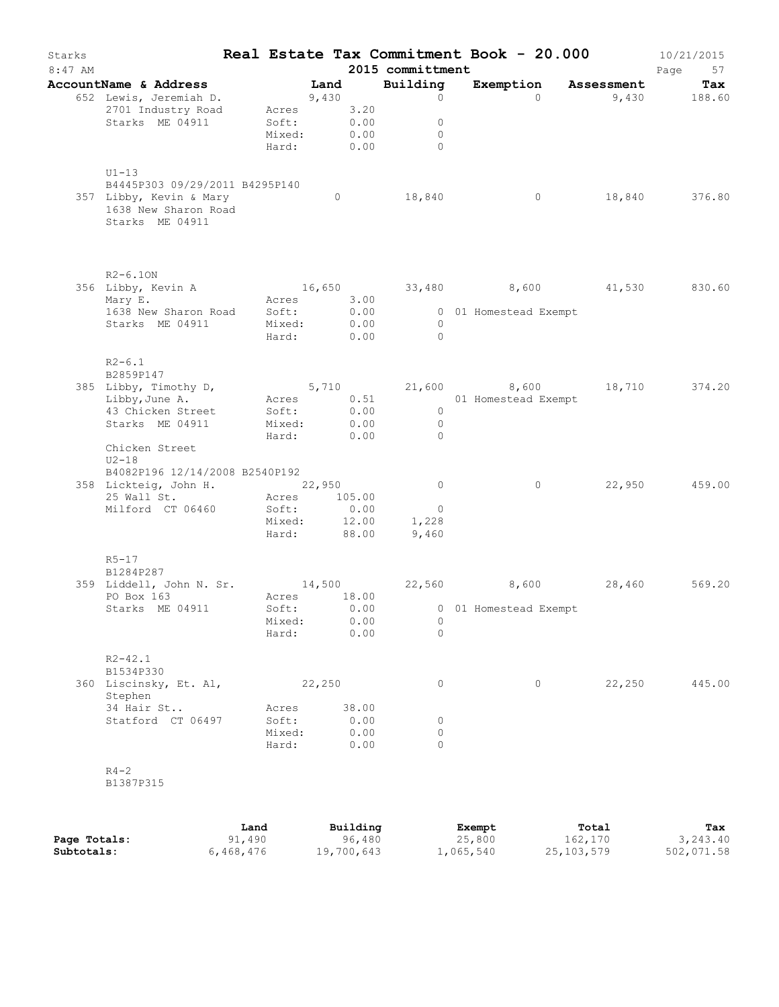| Starks<br>$8:47$ AM |                                                                                                                                |                                                 |         |                               | 2015 committment                                   | Real Estate Tax Commitment Book - 20.000                           |        | 10/21/2015<br>Page<br>57 |
|---------------------|--------------------------------------------------------------------------------------------------------------------------------|-------------------------------------------------|---------|-------------------------------|----------------------------------------------------|--------------------------------------------------------------------|--------|--------------------------|
|                     | AccountName & Address                                                                                                          |                                                 | Land    |                               | Building                                           | Exemption Assessment                                               |        | Tax                      |
|                     | 652 Lewis, Jeremiah D.<br>2701 Industry Road<br>Starks ME 04911                                                                | 9,430<br>Acres 3.20<br>Soft:<br>Mixed:<br>Hard: | 0.00    | 0.00<br>0.00                  | $\circ$<br>$\circ$<br>$\circ$<br>$\bigcirc$        | $\Omega$                                                           |        | 9,430 188.60             |
|                     | $U1-13$<br>B4445P303 09/29/2011 B4295P140<br>357 Libby, Kevin & Mary<br>1638 New Sharon Road<br>Starks ME 04911                |                                                 | $\circ$ |                               | 18,840                                             | 0                                                                  |        | 18,840 376.80            |
|                     | $R2 - 6.10N$<br>356 Libby, Kevin A<br>Exercise 3.00<br>Mary E.                                                                 |                                                 |         |                               |                                                    | 16,650 33,480 8,600 41,530 830.60                                  |        |                          |
|                     | 1638 New Sharon Road Soft:<br>Starks ME 04911 Mixed:                                                                           | Mixed:<br>Hard: 0.00                            |         | 0.00<br>0.00                  | $\overline{0}$<br>$\bigcirc$                       | 0 01 Homestead Exempt                                              |        |                          |
|                     | $R2 - 6.1$<br>B2859P147<br>385 Libby, Timothy D,<br>Libby, June A.<br>43 Chicken Street<br>Starks ME 04911                     | Soft:<br>Mixed:                                 |         | $0.00$<br>$0.00$              | $\overline{0}$<br>$\overline{0}$                   | 5,710 21,600 8,600 18,710 374.20<br>Acres 0.51 01 Homestead Exempt |        |                          |
|                     | Chicken Street<br>$U2-18$<br>B4082P196 12/14/2008 B2540P192<br>358 Lickteig, John H. 22,950<br>25 Wall St.<br>Milford CT 06460 | Hard: 0.00<br>Acres 105.00<br>Soft:             |         | 0.00                          | $\overline{0}$<br>$\overline{0}$<br>$\overline{0}$ | $\circ$                                                            |        | 22,950 459.00            |
|                     | $R5 - 17$<br>B1284P287                                                                                                         | Mixed: 12.00<br>Hard:                           |         | 88.00                         | 1,228<br>9,460                                     |                                                                    |        |                          |
|                     | 359 Liddell, John N. Sr. 14,500 22,560 8,600 28,460<br>PO Box 163                                                              | Acres 18.00                                     |         |                               |                                                    |                                                                    |        | 569.20                   |
|                     | Starks ME 04911                                                                                                                | Soft:<br>Mixed:<br>Hard:                        |         | 0.00<br>0.00<br>0.00          | 0<br>$\Omega$                                      | 0 01 Homestead Exempt                                              |        |                          |
|                     | $R2 - 42.1$<br>B1534P330<br>360 Liscinsky, Et. Al,                                                                             |                                                 | 22,250  |                               | 0                                                  | $\circ$                                                            | 22,250 | 445.00                   |
|                     | Stephen<br>34 Hair St<br>Statford CT 06497                                                                                     | Acres<br>Soft:<br>Mixed:<br>Hard:               |         | 38.00<br>0.00<br>0.00<br>0.00 | 0<br>$\circ$<br>$\Omega$                           |                                                                    |        |                          |
|                     | $R4 - 2$<br>B1387P315                                                                                                          |                                                 |         |                               |                                                    |                                                                    |        |                          |

|              | Land      | Building   | Exempt    | Total      | Tax        |
|--------------|-----------|------------|-----------|------------|------------|
| Page Totals: | 91,490    | 96,480     | 25,800    | 162,170    | 3,243.40   |
| Subtotals:   | 6,468,476 | 19,700,643 | 1,065,540 | 25,103,579 | 502,071.58 |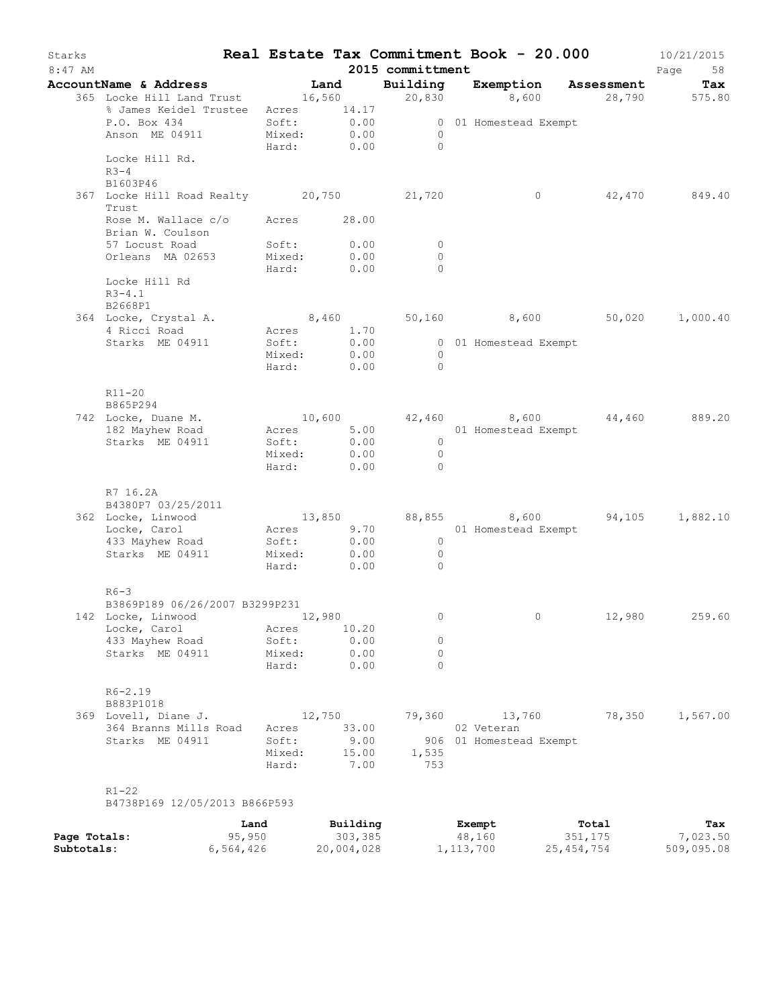| Starks<br>$8:47$ AM |                                                             |             |        |                     | 2015 committment                 | Real Estate Tax Commitment Book - 20.000      |                          | 10/21/2015<br>Page<br>58 |
|---------------------|-------------------------------------------------------------|-------------|--------|---------------------|----------------------------------|-----------------------------------------------|--------------------------|--------------------------|
|                     | AccountName & Address                                       |             |        | Land                |                                  | Building Exemption Assessment                 |                          | Tax                      |
|                     | 365 Locke Hill Land Trust 16,560                            |             |        |                     | 20,830                           |                                               | .<br>8,600 28,790 575.80 |                          |
|                     | % James Keidel Trustee Acres 14.17                          |             |        |                     |                                  |                                               |                          |                          |
|                     | P.O. Box 434                                                | Soft:       |        | 0.00                |                                  | 0 01 Homestead Exempt                         |                          |                          |
|                     | Anson ME 04911                                              |             |        | Mixed: 0.00         | $\bigcirc$                       |                                               |                          |                          |
|                     |                                                             |             |        | Hard: 0.00          | $\overline{0}$                   |                                               |                          |                          |
|                     | Locke Hill Rd.<br>$R3-4$                                    |             |        |                     |                                  |                                               |                          |                          |
|                     | B1603P46                                                    |             |        |                     |                                  |                                               |                          |                          |
|                     | 367 Locke Hill Road Realty 20,750 21,720<br>Trust           |             |        |                     |                                  | $\circ$                                       |                          | 42,470 849.40            |
|                     | Rose M. Wallace c/o Acres 28.00<br>Brian W. Coulson         |             |        |                     |                                  |                                               |                          |                          |
|                     | 57 Locust Road                                              |             | Soft:  | 0.00<br>0.00        | $\circ$                          |                                               |                          |                          |
|                     | Orleans MA 02653                                            | Mixed:      |        | Hard: 0.00          | $\circ$<br>$\Omega$              |                                               |                          |                          |
|                     | Locke Hill Rd<br>$R3-4.1$<br>B2668P1                        |             |        |                     |                                  |                                               |                          |                          |
|                     | 364 Locke, Crystal A.                                       |             |        |                     |                                  | 8,460 50,160 8,600 50,020 1,000.40            |                          |                          |
|                     | 4 Ricci Road                                                |             |        | Acres 1.70          |                                  |                                               |                          |                          |
|                     | Starks ME 04911                                             | Soft:       |        | 0.00                |                                  | 0 01 Homestead Exempt                         |                          |                          |
|                     |                                                             |             |        | Mixed: 0.00         | $\overline{0}$                   |                                               |                          |                          |
|                     |                                                             |             | Hard:  | 0.00                | $\bigcirc$                       |                                               |                          |                          |
|                     | $R11 - 20$                                                  |             |        |                     |                                  |                                               |                          |                          |
|                     | B865P294                                                    |             |        |                     |                                  |                                               |                          |                          |
|                     | 742 Locke, Duane M.                                         |             |        |                     |                                  | $10,600$ $42,460$ $8,600$ $44,460$ $889.20$   |                          |                          |
|                     | 182 Mayhew Road                                             |             |        |                     |                                  | Acres 5.00 01 Homestead Exempt                |                          |                          |
|                     | Starks ME 04911                                             | Soft:       |        | 0.00<br>Mixed: 0.00 | $\overline{0}$<br>$\overline{0}$ |                                               |                          |                          |
|                     |                                                             |             |        | Hard: 0.00          | $\overline{0}$                   |                                               |                          |                          |
|                     |                                                             |             |        |                     |                                  |                                               |                          |                          |
|                     | R7 16.2A                                                    |             |        |                     |                                  |                                               |                          |                          |
|                     | B4380P7 03/25/2011                                          |             |        |                     |                                  |                                               |                          |                          |
|                     | 362 Locke, Linwood                                          |             |        |                     |                                  | $13,850$ $88,855$ $8,600$ $94,105$ $1,882.10$ |                          |                          |
|                     | Locke, Carol                                                |             |        |                     |                                  | Acres 9.70 01 Homestead Exempt                |                          |                          |
|                     | 433 Mayhew Road                                             | Soft:       |        | 0.00                | $\overline{0}$                   |                                               |                          |                          |
|                     | Starks ME 04911                                             |             |        | Mixed: 0.00         | $\overline{0}$                   |                                               |                          |                          |
|                     |                                                             | Hard:       |        | 0.00                | $\overline{0}$                   |                                               |                          |                          |
|                     | $R6-3$                                                      |             |        |                     |                                  |                                               |                          |                          |
|                     | B3869P189 06/26/2007 B3299P231<br>142 Locke, Linwood 12,980 |             |        |                     | $\overline{0}$                   | $\Omega$ and $\Omega$                         | 12,980                   | 259.60                   |
|                     | Locke, Carol                                                | Acres       |        | 10.20               |                                  |                                               |                          |                          |
|                     | 433 Mayhew Road                                             | Soft:       |        | 0.00                | 0                                |                                               |                          |                          |
|                     | Starks ME 04911                                             | Mixed:      |        | 0.00                | 0                                |                                               |                          |                          |
|                     |                                                             | Hard:       |        | 0.00                | $\Omega$                         |                                               |                          |                          |
|                     | $R6 - 2.19$<br>B883P1018                                    |             |        |                     |                                  |                                               |                          |                          |
|                     | 369 Lovell, Diane J.                                        |             | 12,750 |                     | 79,360                           | 13,760                                        | 78,350                   | 1,567.00                 |
|                     | 364 Branns Mills Road                                       | Acres       |        | 33.00               |                                  | 02 Veteran                                    |                          |                          |
|                     | Starks ME 04911                                             | Soft:       |        | 9.00                |                                  | 906 01 Homestead Exempt                       |                          |                          |
|                     |                                                             | Mixed:      |        | 15.00               | 1,535                            |                                               |                          |                          |
|                     |                                                             | Hard:       |        | 7.00                | 753                              |                                               |                          |                          |
|                     | $R1 - 22$                                                   |             |        |                     |                                  |                                               |                          |                          |
|                     | B4738P169 12/05/2013 B866P593                               |             |        |                     |                                  |                                               |                          |                          |
|                     |                                                             | Land        |        | Building            |                                  | Exempt                                        | Total                    | Tax                      |
| Page Totals:        |                                                             | 95,950      |        | 303,385             |                                  | 48,160                                        | 351,175                  | 7,023.50                 |
| Subtotals:          |                                                             | 6, 564, 426 |        | 20,004,028          |                                  | 1, 113, 700                                   | 25, 454, 754             | 509,095.08               |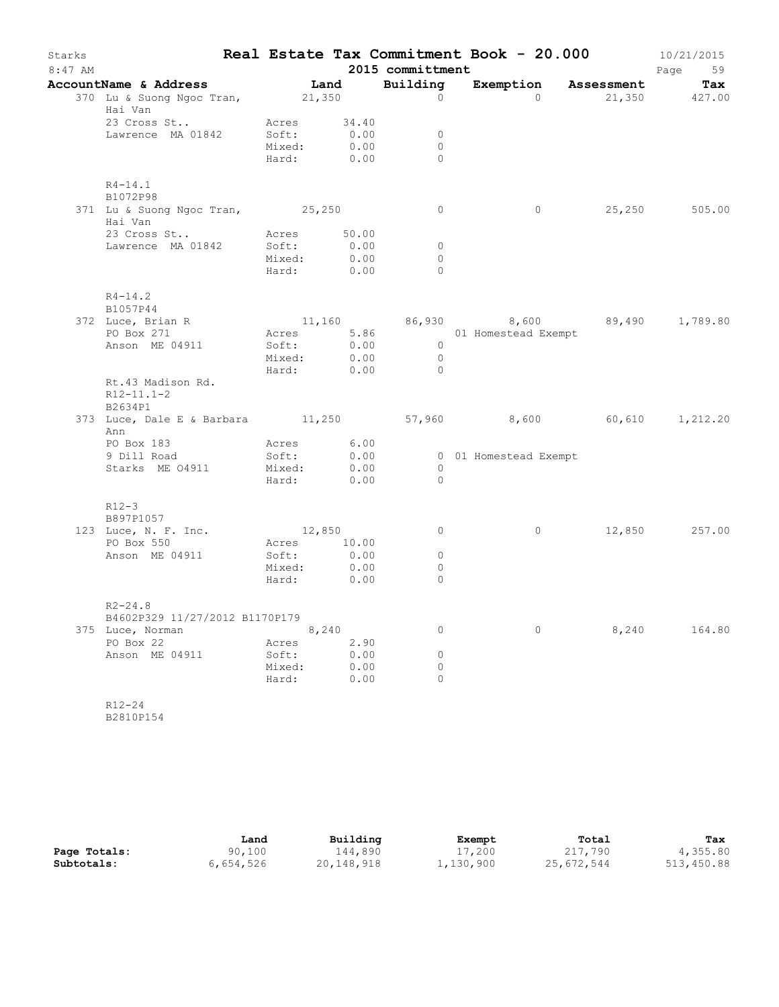| Starks<br>$8:47$ AM |                                                                |                                                        |       | 2015 committment                         | Real Estate Tax Commitment Book - 20.000 |               | 10/21/2015<br>Page<br>59 |
|---------------------|----------------------------------------------------------------|--------------------------------------------------------|-------|------------------------------------------|------------------------------------------|---------------|--------------------------|
|                     | AccountName & Address Tand                                     |                                                        |       | Building                                 | Exemption Assessment Tax                 |               |                          |
|                     | 370 Lu & Suong Ngoc Tran, 21,350<br>Hai Van                    |                                                        |       | $\circ$                                  | $\Omega$                                 | 21,350 427.00 |                          |
|                     | 23 Cross St<br>Lawrence MA 01842                               | Acres 34.40<br>Soft: 0.00<br>Mixed: 0.00<br>Hard: 0.00 | 0.00  | $\overline{0}$<br>$\bigcirc$<br>$\Omega$ |                                          |               |                          |
|                     | $R4 - 14.1$<br>B1072P98                                        |                                                        |       |                                          |                                          |               |                          |
|                     | 371 Lu & Suong Ngoc Tran, 25,250<br>Hai Van                    |                                                        |       | $\overline{0}$                           | $\circ$                                  |               | 25,250 505.00            |
|                     | 23 Cross St                                                    | Acres 50.00                                            |       |                                          |                                          |               |                          |
|                     | Lawrence MA 01842 Soft: 0.00                                   |                                                        |       | $\overline{0}$                           |                                          |               |                          |
|                     |                                                                | Mixed: 0.00<br>Hard: 0.00                              |       | $\circ$<br>$\bigcirc$                    |                                          |               |                          |
|                     |                                                                |                                                        |       |                                          |                                          |               |                          |
|                     | $R4 - 14.2$<br>B1057P44                                        |                                                        |       |                                          |                                          |               |                          |
|                     | 372 Luce, Brian R                                              |                                                        |       |                                          | $11,160$ 86,930 8,600 89,490 1,789.80    |               |                          |
|                     | PO Box 271                                                     | Acres 5.86                                             |       |                                          | 01 Homestead Exempt                      |               |                          |
|                     | Anson ME 04911                                                 | Soft: 0.00                                             |       | $\overline{0}$                           |                                          |               |                          |
|                     |                                                                | Mixed: 0.00<br>Hard: 0.00                              |       | $\overline{0}$                           |                                          |               |                          |
|                     |                                                                |                                                        |       | $\bigcirc$                               |                                          |               |                          |
|                     | Rt.43 Madison Rd.<br>$R12 - 11.1 - 2$<br>B2634P1               |                                                        |       |                                          |                                          |               |                          |
|                     | 373 Luce, Dale E & Barbara 11,250 57,960 8,600 60,610 1,212.20 |                                                        |       |                                          |                                          |               |                          |
|                     | Ann                                                            |                                                        |       |                                          |                                          |               |                          |
|                     | PO Box 183                                                     | Acres 6.00                                             |       |                                          |                                          |               |                          |
|                     | 9 Dill Road                                                    | Soft:                                                  | 0.00  |                                          | 0 01 Homestead Exempt                    |               |                          |
|                     | Starks ME 04911                                                | Mixed: 0.00                                            |       | $\bigcirc$                               |                                          |               |                          |
|                     |                                                                | Hard: 0.00                                             |       | $\overline{0}$                           |                                          |               |                          |
|                     | $R12-3$<br>B897P1057                                           |                                                        |       |                                          |                                          |               |                          |
|                     | 123 Luce, N. F. Inc.                                           | 12,850                                                 |       | $\overline{0}$                           | $\circ$                                  |               | 12,850 257.00            |
|                     | PO Box 550                                                     | Acres 10.00                                            |       |                                          |                                          |               |                          |
|                     | Anson ME 04911                                                 | Soft:                                                  | 0.00  | $\circ$                                  |                                          |               |                          |
|                     |                                                                | Mixed: 0.00                                            |       | $\circ$                                  |                                          |               |                          |
|                     |                                                                | Hard: 0.00                                             |       | $\circ$                                  |                                          |               |                          |
|                     | $R2 - 24.8$                                                    |                                                        |       |                                          |                                          |               |                          |
|                     | B4602P329 11/27/2012 B1170P179                                 |                                                        |       |                                          |                                          |               |                          |
|                     | 375 Luce, Norman                                               |                                                        | 8,240 | 0                                        | $\circ$                                  | 8,240         | 164.80                   |
|                     | PO Box 22                                                      | Acres                                                  | 2.90  |                                          |                                          |               |                          |
|                     | Anson ME 04911                                                 | Soft:                                                  | 0.00  | 0                                        |                                          |               |                          |
|                     |                                                                | Mixed:                                                 | 0.00  | 0                                        |                                          |               |                          |
|                     |                                                                | Hard:                                                  | 0.00  | $\Omega$                                 |                                          |               |                          |
|                     |                                                                |                                                        |       |                                          |                                          |               |                          |
|                     | $R12 - 24$                                                     |                                                        |       |                                          |                                          |               |                          |
|                     | B2810P154                                                      |                                                        |       |                                          |                                          |               |                          |

|              | Land      | Building   | Exempt    | Total      | Tax        |
|--------------|-----------|------------|-----------|------------|------------|
| Page Totals: | 90,100    | 144,890    | 17,200    | 217,790    | 4,355.80   |
| Subtotals:   | 6,654,526 | 20,148,918 | 1,130,900 | 25,672,544 | 513,450.88 |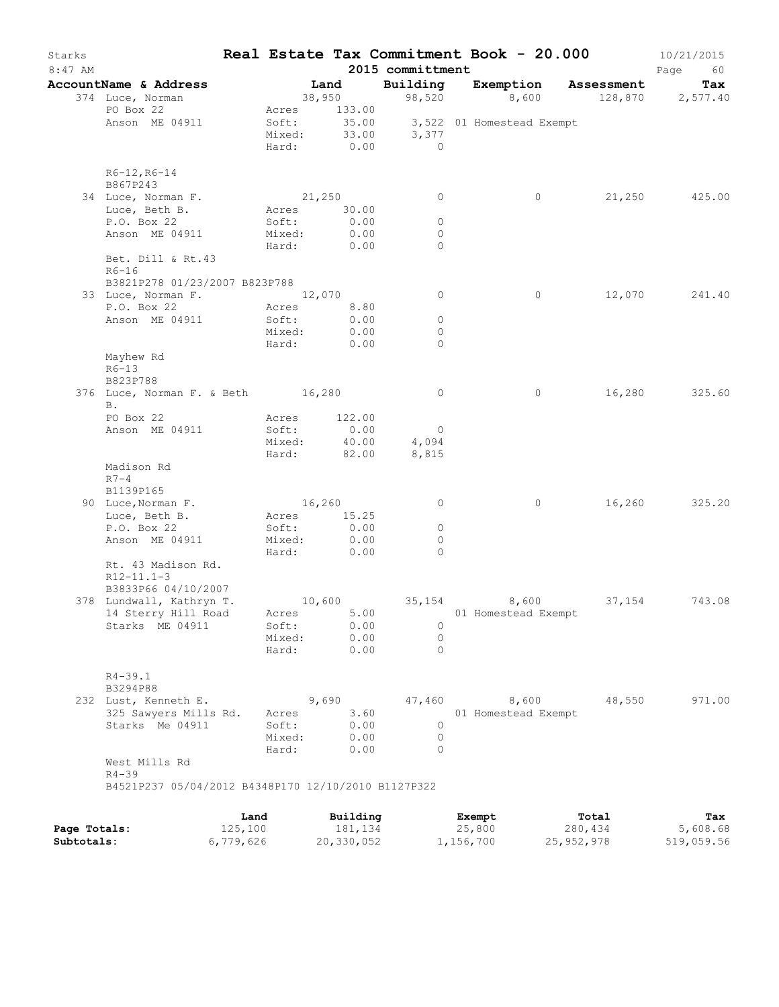| Starks       |                                                     |           |                 |                |                          | Real Estate Tax Commitment Book - 20.000 |                      | 10/21/2015 |
|--------------|-----------------------------------------------------|-----------|-----------------|----------------|--------------------------|------------------------------------------|----------------------|------------|
| 8:47 AM      |                                                     |           |                 |                | 2015 committment         |                                          |                      | Page<br>60 |
|              | AccountName & Address                               |           |                 | Land           | Building                 |                                          | Exemption Assessment | Tax        |
|              | 374 Luce, Norman                                    |           |                 | 38,950         | 98,520                   | 8,600                                    | 128,870              | 2,577.40   |
|              | PO Box 22                                           |           | Acres           | 133.00         |                          |                                          |                      |            |
|              | Anson ME 04911                                      |           | Soft:<br>Mixed: | 35.00<br>33.00 | 3,377                    | 3,522 01 Homestead Exempt                |                      |            |
|              |                                                     |           | Hard:           | 0.00           | $\overline{a}$           |                                          |                      |            |
|              |                                                     |           |                 |                |                          |                                          |                      |            |
|              | R6-12, R6-14                                        |           |                 |                |                          |                                          |                      |            |
|              | B867P243                                            |           |                 |                |                          |                                          |                      |            |
|              | 34 Luce, Norman F.                                  |           | 21,250          |                | 0                        | 0                                        | 21,250               | 425.00     |
|              | Luce, Beth B.<br>P.O. Box 22                        |           | Acres<br>Soft:  | 30.00<br>0.00  | $\circ$                  |                                          |                      |            |
|              | Anson ME 04911                                      |           | Mixed:          | 0.00           | $\circ$                  |                                          |                      |            |
|              |                                                     |           | Hard:           | 0.00           | $\Omega$                 |                                          |                      |            |
|              | Bet. Dill & Rt.43                                   |           |                 |                |                          |                                          |                      |            |
|              | $R6-16$                                             |           |                 |                |                          |                                          |                      |            |
|              | B3821P278 01/23/2007 B823P788                       |           |                 |                |                          |                                          |                      |            |
|              | 33 Luce, Norman F.<br>P.O. Box 22                   |           | Acres           | 12,070         | $\circ$                  | 0                                        | 12,070               | 241.40     |
|              | Anson ME 04911                                      |           | Soft:           | 8.80<br>0.00   | $\circ$                  |                                          |                      |            |
|              |                                                     |           | Mixed:          | 0.00           | $\Omega$                 |                                          |                      |            |
|              |                                                     |           | Hard:           | 0.00           | $\Omega$                 |                                          |                      |            |
|              | Mayhew Rd                                           |           |                 |                |                          |                                          |                      |            |
|              | $R6 - 13$                                           |           |                 |                |                          |                                          |                      |            |
|              | B823P788                                            |           |                 |                |                          |                                          |                      |            |
|              | 376 Luce, Norman F. & Beth 16,280                   |           |                 |                | $\circ$                  | 0                                        | 16,280               | 325.60     |
|              | B.<br>PO Box 22                                     |           | Acres           | 122.00         |                          |                                          |                      |            |
|              | Anson ME 04911                                      |           | Soft:           | 0.00           | $\overline{\phantom{0}}$ |                                          |                      |            |
|              |                                                     |           | Mixed:          | 40.00          | 4,094                    |                                          |                      |            |
|              |                                                     |           | Hard:           | 82.00          | 8,815                    |                                          |                      |            |
|              | Madison Rd                                          |           |                 |                |                          |                                          |                      |            |
|              | $R7-4$                                              |           |                 |                |                          |                                          |                      |            |
|              | B1139P165                                           |           |                 |                |                          |                                          |                      |            |
|              | 90 Luce, Norman F.<br>Luce, Beth B.                 |           | 16,260<br>Acres | 15.25          | $\circ$                  | 0                                        | 16,260               | 325.20     |
|              | P.O. Box 22                                         |           | Soft:           | 0.00           | 0                        |                                          |                      |            |
|              | Anson ME 04911                                      |           | Mixed:          | 0.00           | $\circ$                  |                                          |                      |            |
|              |                                                     |           | Hard:           | 0.00           | $\Omega$                 |                                          |                      |            |
|              | Rt. 43 Madison Rd.                                  |           |                 |                |                          |                                          |                      |            |
|              | $R12 - 11.1 - 3$                                    |           |                 |                |                          |                                          |                      |            |
|              | B3833P66 04/10/2007                                 |           |                 |                |                          |                                          |                      |            |
|              | 378 Lundwall, Kathryn T.<br>14 Sterry Hill Road     |           | 10,600          | 5.00           | 35,154                   | 8,600<br>01 Homestead Exempt             | 37,154               | 743.08     |
|              | Starks ME 04911                                     |           | Acres<br>Soft:  | 0.00           | $\circ$                  |                                          |                      |            |
|              |                                                     |           | Mixed:          | 0.00           | $\circ$                  |                                          |                      |            |
|              |                                                     |           | Hard:           | 0.00           | $\Omega$                 |                                          |                      |            |
|              |                                                     |           |                 |                |                          |                                          |                      |            |
|              | $R4 - 39.1$                                         |           |                 |                |                          |                                          |                      |            |
|              | B3294P88                                            |           |                 |                |                          |                                          |                      |            |
|              | 232 Lust, Kenneth E.                                |           |                 | 9,690          | 47,460                   | 8,600                                    | 48,550               | 971.00     |
|              | 325 Sawyers Mills Rd.<br>Starks Me 04911            |           | Acres<br>Soft:  | 3.60<br>0.00   | 0                        | 01 Homestead Exempt                      |                      |            |
|              |                                                     |           | Mixed:          | 0.00           | $\circ$                  |                                          |                      |            |
|              |                                                     |           | Hard:           | 0.00           | $\Omega$                 |                                          |                      |            |
|              | West Mills Rd                                       |           |                 |                |                          |                                          |                      |            |
|              | $R4 - 39$                                           |           |                 |                |                          |                                          |                      |            |
|              | B4521P237 05/04/2012 B4348P170 12/10/2010 B1127P322 |           |                 |                |                          |                                          |                      |            |
|              |                                                     |           |                 |                |                          |                                          |                      |            |
|              |                                                     | Land      |                 | Building       |                          | Exempt                                   | Total                | Tax        |
| Page Totals: |                                                     | 125,100   |                 | 181,134        |                          | 25,800                                   | 280,434              | 5,608.68   |
| Subtotals:   |                                                     | 6,779,626 |                 | 20,330,052     |                          | 1,156,700                                | 25, 952, 978         | 519,059.56 |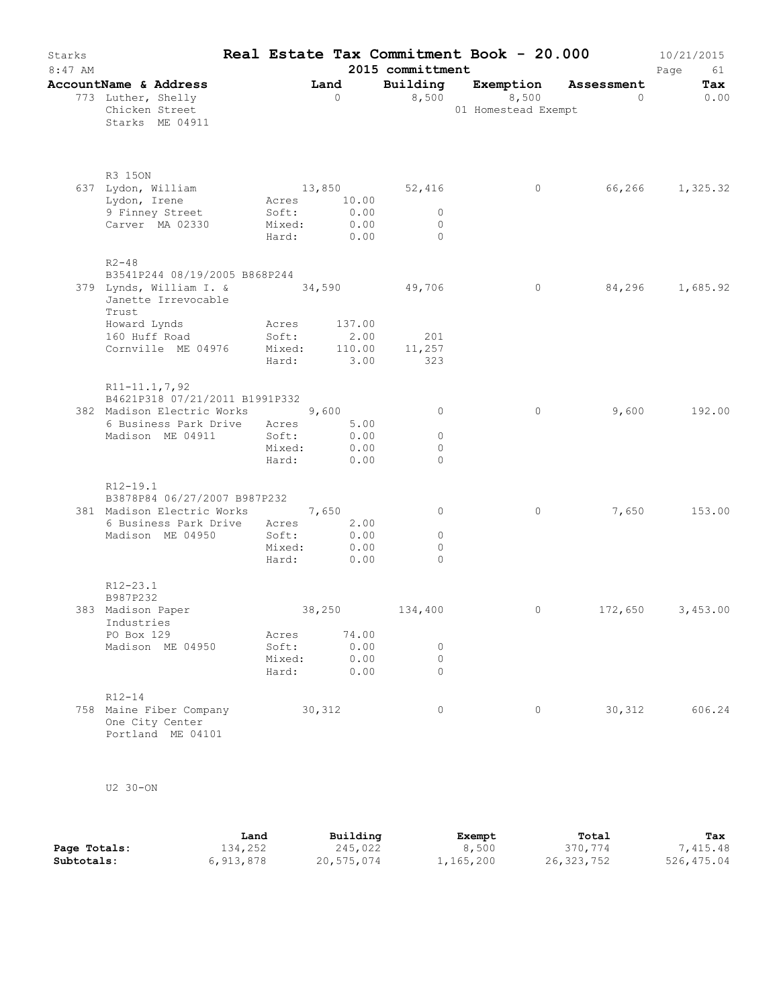| Starks<br>$8:47$ AM |                                                                                                        |        |                 |                             | Real Estate Tax Commitment Book - 20.000<br>2015 committment |                                           |                |                        | 10/21/2015<br>Page<br>61 |
|---------------------|--------------------------------------------------------------------------------------------------------|--------|-----------------|-----------------------------|--------------------------------------------------------------|-------------------------------------------|----------------|------------------------|--------------------------|
|                     | AccountName & Address<br>773 Luther, Shelly<br>Chicken Street<br>Starks ME 04911                       |        |                 | Land<br>$\bigcirc$          | Building                                                     | Exemption<br>8,500<br>01 Homestead Exempt | 8,500          | Assessment<br>$\sim$ 0 | Tax<br>0.00              |
|                     | R3 150N                                                                                                |        |                 |                             |                                                              |                                           |                |                        |                          |
|                     | 637 Lydon, William<br>Lydon, Irene                                                                     |        |                 | Acres 10.00                 | 13,850 52,416                                                |                                           | $\overline{0}$ |                        | 66,266 1,325.32          |
|                     | 9 Finney Street                                                                                        |        | Soft:           |                             | $\overline{0}$                                               |                                           |                |                        |                          |
|                     | Carver MA 02330                                                                                        | Mixed: |                 | $0.00$<br>$0.00$            | $\overline{0}$                                               |                                           |                |                        |                          |
|                     |                                                                                                        | Hard:  |                 | 0.00                        | $\sim$ 0                                                     |                                           |                |                        |                          |
|                     | $R2 - 48$                                                                                              |        |                 |                             |                                                              |                                           |                |                        |                          |
|                     | B3541P244 08/19/2005 B868P244<br>379 Lynds, William I. & 34,590 49,706<br>Janette Irrevocable<br>Trust |        |                 |                             |                                                              |                                           | $\circ$        | 84,296                 | 1,685.92                 |
|                     | Howard Lynds                                                                                           |        |                 | Acres 137.00                |                                                              |                                           |                |                        |                          |
|                     | 160 Huff Road                                                                                          |        |                 | Soft: 2.00<br>Mixed: 110.00 | 201                                                          |                                           |                |                        |                          |
|                     | Cornville ME 04976                                                                                     |        |                 | Hard: 3.00                  | 110.00 11,257<br>323                                         |                                           |                |                        |                          |
|                     | R11-11.1,7,92<br>B4621P318 07/21/2011 B1991P332<br>382 Madison Electric Works 9,600                    |        |                 |                             | $\circ$                                                      |                                           | $\circ$        | 9,600                  | 192.00                   |
|                     | 6 Business Park Drive Acres                                                                            |        |                 | 5.00                        |                                                              |                                           |                |                        |                          |
|                     | Madison ME 04911                                                                                       |        | Soft:<br>Mixed: | 0.00<br>0.00                | $\circ$<br>$\circ$                                           |                                           |                |                        |                          |
|                     |                                                                                                        | Hard:  |                 | 0.00                        | $\Omega$                                                     |                                           |                |                        |                          |
|                     | R12-19.1                                                                                               |        |                 |                             |                                                              |                                           |                |                        |                          |
|                     | B3878P84 06/27/2007 B987P232                                                                           |        |                 |                             |                                                              |                                           |                |                        |                          |
|                     | 381 Madison Electric Works 7,650                                                                       |        |                 | 2.00                        | 0                                                            |                                           | $\circ$        |                        | 7,650 153.00             |
|                     | 6 Business Park Drive Acres<br>Madison ME 04950                                                        | Soft:  |                 | 0.00                        | $\circ$                                                      |                                           |                |                        |                          |
|                     |                                                                                                        |        | Mixed:          | 0.00                        | $\circ$                                                      |                                           |                |                        |                          |
|                     |                                                                                                        | Hard:  |                 | 0.00                        | $\Omega$                                                     |                                           |                |                        |                          |
|                     | R12-23.1<br>B987P232                                                                                   |        |                 |                             |                                                              |                                           |                |                        |                          |
|                     | 383 Madison Paper<br>Industries                                                                        |        |                 | 38,250                      | 134,400                                                      |                                           | $\circ$        | 172,650                | 3,453.00                 |
|                     | PO Box 129                                                                                             | Acres  |                 | 74.00                       |                                                              |                                           |                |                        |                          |
|                     | Madison ME 04950                                                                                       | Soft:  |                 | 0.00                        | 0                                                            |                                           |                |                        |                          |
|                     |                                                                                                        | Hard:  | Mixed:          | 0.00<br>0.00                | 0<br>$\Omega$                                                |                                           |                |                        |                          |
|                     | $R12 - 14$                                                                                             |        |                 |                             |                                                              |                                           |                |                        |                          |
|                     | 758 Maine Fiber Company<br>One City Center<br>Portland ME 04101                                        |        |                 | 30,312                      | 0                                                            |                                           | $\circ$        | 30,312                 | 606.24                   |

U2 30-ON

|              | Land      | Building   | Exempt    | Total      | Tax        |
|--------------|-----------|------------|-----------|------------|------------|
| Page Totals: | 134,252   | 245,022    | 8,500     | 370,774    | 7,415.48   |
| Subtotals:   | 6,913,878 | 20,575,074 | 1,165,200 | 26,323,752 | 526,475.04 |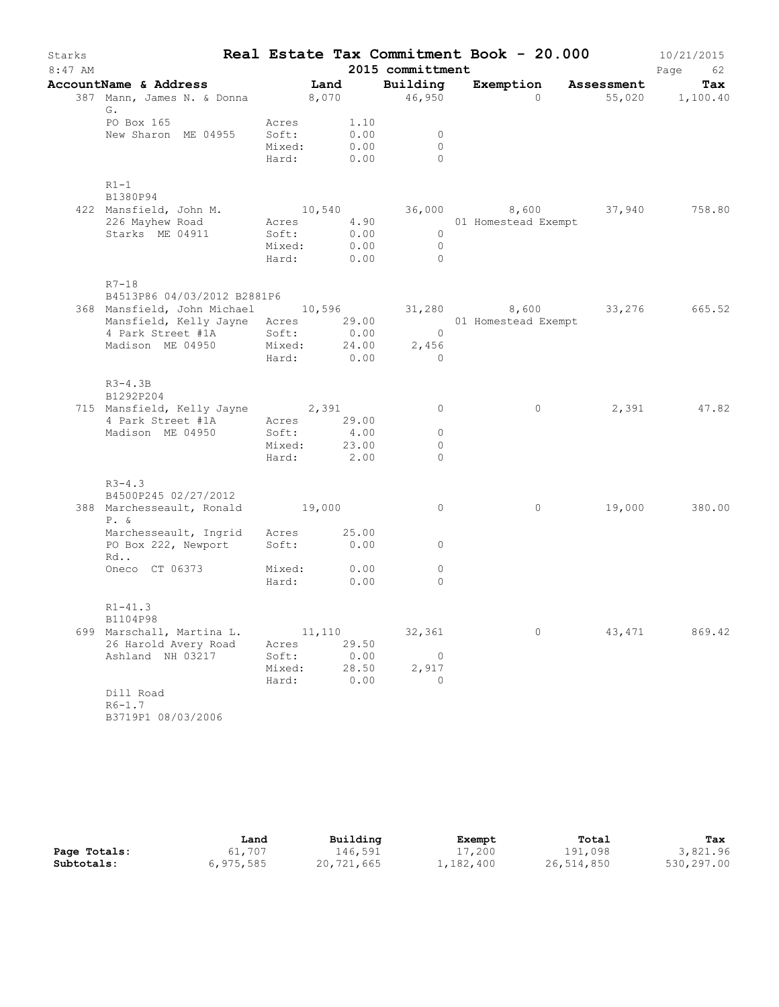| Starks<br>$8:47$ AM |                                                                                              |                                        |        |                      | 2015 committment                | Real Estate Tax Commitment Book - 20.000 |        | 10/21/2015<br>Page<br>62 |
|---------------------|----------------------------------------------------------------------------------------------|----------------------------------------|--------|----------------------|---------------------------------|------------------------------------------|--------|--------------------------|
|                     | AccountName & Address                                                                        |                                        | Land   |                      | Building                        | Exemption Assessment                     |        | Tax                      |
|                     | 387 Mann, James N. & Donna 8,070 46,950<br>G.                                                |                                        |        |                      |                                 | $\Omega$                                 |        | 55,020 1,100.40          |
|                     | PO Box 165<br>New Sharon ME 04955                                                            | Acres<br>Soft:<br>Mixed:<br>Hard: 0.00 |        | 1.10<br>0.00<br>0.00 | $\circ$<br>$\Omega$<br>$\Omega$ |                                          |        |                          |
|                     | $R1-1$                                                                                       |                                        |        |                      |                                 |                                          |        |                          |
|                     | B1380P94<br>422 Mansfield, John M.                                                           |                                        |        |                      |                                 | $10,540$ 36,000 8,600 37,940             |        | 758.80                   |
|                     | 226 Mayhew Road                                                                              | Acres                                  |        | 4.90                 |                                 | 01 Homestead Exempt                      |        |                          |
|                     | Starks ME 04911                                                                              | Soft:                                  |        | 0.00                 | $\overline{0}$                  |                                          |        |                          |
|                     |                                                                                              | Mixed:                                 |        | 0.00                 | $\bigcirc$                      |                                          |        |                          |
|                     |                                                                                              | Hard:                                  |        | 0.00                 | $\bigcirc$                      |                                          |        |                          |
|                     | $R7 - 18$                                                                                    |                                        |        |                      |                                 |                                          |        |                          |
|                     | B4513P86 04/03/2012 B2881P6<br>368 Mansfield, John Michael 10,596 31,280 8,600 33,276 665.52 |                                        |        |                      |                                 |                                          |        |                          |
|                     | Mansfield, Kelly Jayne Acres 29.00 01 Homestead Exempt                                       |                                        |        |                      |                                 |                                          |        |                          |
|                     | 4 Park Street #1A                                                                            | Soft:                                  |        | 0.00                 | $\overline{0}$                  |                                          |        |                          |
|                     | Madison ME 04950                                                                             | Mixed: 24.00                           |        |                      | 2,456                           |                                          |        |                          |
|                     |                                                                                              | Hard: 0.00                             |        |                      | $\overline{0}$                  |                                          |        |                          |
|                     | $R3-4.3B$<br>B1292P204                                                                       |                                        |        |                      |                                 |                                          |        |                          |
|                     | 715 Mansfield, Kelly Jayne 2,391                                                             |                                        |        |                      | $\circ$                         | $\circ$                                  |        | 2,391 47.82              |
|                     | 4 Park Street #1A                                                                            | Acres 29.00                            |        |                      |                                 |                                          |        |                          |
|                     | Madison ME 04950                                                                             | Soft:                                  |        | 4.00                 | $\circ$                         |                                          |        |                          |
|                     |                                                                                              | Mixed:                                 |        | 23.00                | $\circ$                         |                                          |        |                          |
|                     |                                                                                              | Hard: 2.00                             |        |                      | $\Omega$                        |                                          |        |                          |
|                     | $R3 - 4.3$<br>B4500P245 02/27/2012                                                           |                                        |        |                      |                                 |                                          |        |                          |
|                     | 388 Marchesseault, Ronald 19,000<br>$P. \&$                                                  |                                        |        |                      | $\circ$                         | $\circ$                                  | 19,000 | 380.00                   |
|                     | Marchesseault, Ingrid Acres                                                                  |                                        |        | 25.00                |                                 |                                          |        |                          |
|                     | PO Box 222, Newport<br>Rd                                                                    | Soft:                                  |        | 0.00                 | $\circ$                         |                                          |        |                          |
|                     | Oneco CT 06373                                                                               | Mixed:                                 |        | 0.00                 | $\circ$                         |                                          |        |                          |
|                     |                                                                                              | Hard:                                  |        | 0.00                 | $\Omega$                        |                                          |        |                          |
|                     | $R1 - 41.3$<br>B1104P98                                                                      |                                        |        |                      |                                 |                                          |        |                          |
|                     | 699 Marschall, Martina L.                                                                    |                                        | 11,110 |                      | 32,361                          | 0                                        | 43,471 | 869.42                   |
|                     | 26 Harold Avery Road                                                                         | Acres                                  |        | 29.50                |                                 |                                          |        |                          |
|                     | Ashland NH 03217                                                                             | Soft:                                  |        | 0.00                 | 0                               |                                          |        |                          |
|                     |                                                                                              | Mixed:                                 |        | 28.50                | 2,917                           |                                          |        |                          |
|                     |                                                                                              | Hard:                                  |        | 0.00                 | $\Omega$                        |                                          |        |                          |
|                     | Dill Road<br>$R6 - 1.7$                                                                      |                                        |        |                      |                                 |                                          |        |                          |
|                     | B3719P1 08/03/2006                                                                           |                                        |        |                      |                                 |                                          |        |                          |

|              | Land        | Building   | Exempt    | Total      | Tax        |
|--------------|-------------|------------|-----------|------------|------------|
| Page Totals: | 61,707      | 146.591    | 17,200    | 191,098    | 3,821.96   |
| Subtotals:   | 6, 975, 585 | 20,721,665 | 1,182,400 | 26,514,850 | 530,297.00 |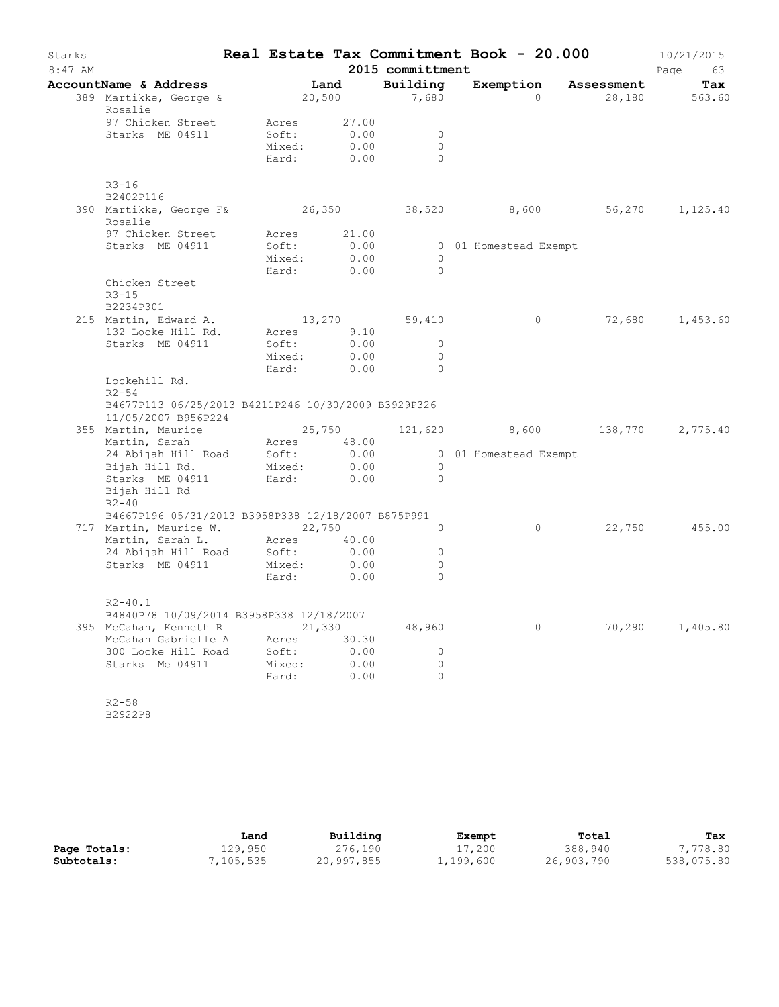| Starks<br>$8:47$ AM |                                                                                   |                                   |                                     | 2015 committment               | Real Estate Tax Commitment Book - 20.000 |                      | 10/21/2015<br>Page<br>63 |
|---------------------|-----------------------------------------------------------------------------------|-----------------------------------|-------------------------------------|--------------------------------|------------------------------------------|----------------------|--------------------------|
|                     | AccountName & Address                                                             | Land                              |                                     | Building                       |                                          | Exemption Assessment | Tax                      |
|                     | 389 Martikke, George &<br>Rosalie                                                 | 20,500                            |                                     | 7,680                          | $\bigcirc$                               |                      | 28,180 563.60            |
|                     | 97 Chicken Street<br>Starks ME 04911                                              | Acres<br>Soft:<br>Mixed:<br>Hard: | 27.00<br>0.00<br>0.00<br>0.00       | $\circ$<br>$\circ$<br>$\Omega$ |                                          |                      |                          |
|                     | $R3 - 16$<br>B2402P116                                                            |                                   |                                     |                                |                                          |                      |                          |
|                     | 390 Martikke, George F& 26,350 38,520<br>Rosalie                                  |                                   |                                     |                                | 8,600                                    |                      | 56,270 1,125.40          |
|                     | 97 Chicken Street<br>Starks ME 04911                                              | Soft:<br>Mixed:<br>Hard:          | Acres 21.00<br>0.00<br>0.00<br>0.00 | $\circ$<br>$\Omega$            | 0 01 Homestead Exempt                    |                      |                          |
|                     | Chicken Street<br>$R3 - 15$<br>B2234P301                                          |                                   |                                     |                                |                                          |                      |                          |
|                     | 215 Martin, Edward A.                                                             | 13,270                            |                                     | 59,410                         | $\overline{0}$                           |                      | 72,680 1,453.60          |
|                     | 132 Locke Hill Rd.                                                                | Acres 9.10                        |                                     |                                |                                          |                      |                          |
|                     | Starks ME 04911                                                                   | Soft:<br>Mixed:<br>Hard:          | 0.00<br>0.00<br>0.00                | $\circ$<br>$\circ$<br>$\Omega$ |                                          |                      |                          |
|                     | Lockehill Rd.<br>$R2 - 54$<br>B4677P113 06/25/2013 B4211P246 10/30/2009 B3929P326 |                                   |                                     |                                |                                          |                      |                          |
|                     | 11/05/2007 B956P224                                                               |                                   |                                     |                                |                                          |                      |                          |
|                     | 355 Martin, Maurice 25,750 121,620 8,600 138,770 2,775.40                         |                                   | 48.00                               |                                |                                          |                      |                          |
|                     | Martin, Sarah         Acres<br>24 Abijah Hill Road     Soft:<br>Bijah Hill Rd.    | Mixed:                            | 0.00<br>0.00                        | $\overline{0}$                 | 0 01 Homestead Exempt                    |                      |                          |
|                     | Starks ME 04911<br>Bijah Hill Rd<br>$R2 - 40$                                     | Hard:                             | 0.00                                | $\Omega$                       |                                          |                      |                          |
|                     | B4667P196 05/31/2013 B3958P338 12/18/2007 B875P991                                |                                   |                                     |                                |                                          |                      |                          |
|                     | 717 Martin, Maurice W. 22,750<br>Martin, Sarah L. Acres 40.00                     |                                   |                                     | $\circ$                        | $\circ$                                  | 22,750               | 455.00                   |
|                     | 24 Abijah Hill Road Soft:<br>Starks ME 04911                                      | Mixed:                            | 0.00<br>0.00                        | 0<br>$\circ$                   |                                          |                      |                          |
|                     |                                                                                   | Hard:                             | 0.00                                | $\circ$                        |                                          |                      |                          |
|                     | $R2 - 40.1$<br>B4840P78 10/09/2014 B3958P338 12/18/2007                           |                                   |                                     |                                |                                          |                      |                          |
|                     | 395 McCahan, Kenneth R                                                            |                                   | 21,330                              | 48,960                         | 0                                        | 70,290               | 1,405.80                 |
|                     | McCahan Gabrielle A                                                               | Acres                             | 30.30                               |                                |                                          |                      |                          |
|                     | 300 Locke Hill Road                                                               | Soft:                             | 0.00                                | 0                              |                                          |                      |                          |
|                     | Starks Me 04911                                                                   | Mixed:<br>Hard:                   | 0.00<br>0.00                        | 0<br>$\circ$                   |                                          |                      |                          |
|                     | $R2 - 58$<br>B2922P8                                                              |                                   |                                     |                                |                                          |                      |                          |

|              | Land      | Building   | Exempt    | Total      | Tax        |
|--------------|-----------|------------|-----------|------------|------------|
| Page Totals: | 129,950   | 276,190    | 17,200    | 388,940    | 7,778.80   |
| Subtotals:   | 7,105,535 | 20,997,855 | 1,199,600 | 26,903,790 | 538,075.80 |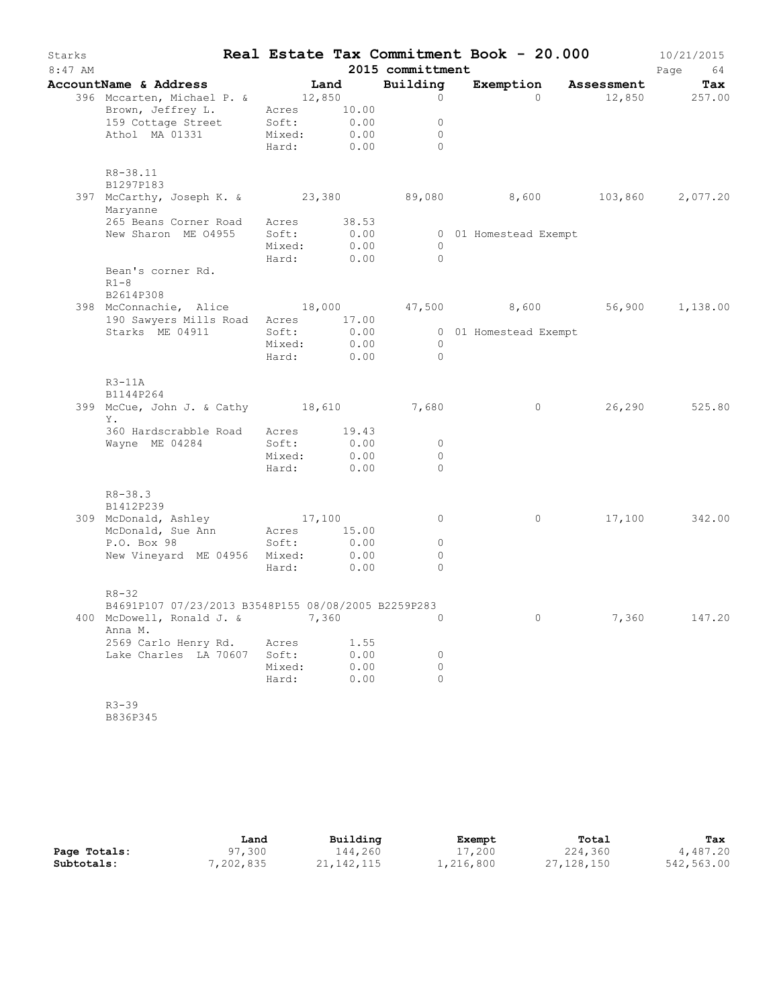| Starks<br>$8:47$ AM |                                                                  |             |       | 2015 committment | Real Estate Tax Commitment Book - 20.000 |         | 10/21/2015<br>Page<br>64 |
|---------------------|------------------------------------------------------------------|-------------|-------|------------------|------------------------------------------|---------|--------------------------|
|                     | AccountName & Address                                            | Land        |       | Building         | Exemption Assessment                     |         | Tax                      |
|                     | 396 Mccarten, Michael P. & 12,850                                |             |       | $\circ$          | $\Omega$                                 |         | 12,850 257.00            |
|                     | Brown, Jeffrey L.                                                | Acres 10.00 |       |                  |                                          |         |                          |
|                     | 159 Cottage Street Soft:                                         |             | 0.00  | $\circ$          |                                          |         |                          |
|                     | Athol MA 01331                                                   | Mixed:      | 0.00  | $\circ$          |                                          |         |                          |
|                     |                                                                  | Hard: 0.00  |       | $\Omega$         |                                          |         |                          |
|                     | R8-38.11<br>B1297P183                                            |             |       |                  |                                          |         |                          |
|                     | 397 McCarthy, Joseph K. & 23,380 89,080 8,600<br>Maryanne        |             |       |                  |                                          | 103,860 | 2,077.20                 |
|                     | 265 Beans Corner Road                                            | Acres       | 38.53 |                  |                                          |         |                          |
|                     | New Sharon ME 04955                                              | Soft:       | 0.00  |                  | 0 01 Homestead Exempt                    |         |                          |
|                     |                                                                  | Mixed:      | 0.00  | $\circ$          |                                          |         |                          |
|                     |                                                                  | Hard:       | 0.00  | $\circ$          |                                          |         |                          |
|                     | Bean's corner Rd.<br>$R1-8$                                      |             |       |                  |                                          |         |                          |
|                     | B2614P308                                                        |             |       |                  |                                          |         |                          |
|                     | 398 McConnachie, Alice 18,000                                    |             |       |                  | 47,500 8,600                             | 56,900  | 1,138.00                 |
|                     | 190 Sawyers Mills Road Acres 17.00                               |             |       |                  |                                          |         |                          |
|                     | Starks ME 04911                                                  | Soft:       | 0.00  |                  | 0 01 Homestead Exempt                    |         |                          |
|                     |                                                                  | Mixed:      | 0.00  | $\overline{0}$   |                                          |         |                          |
|                     |                                                                  | Hard:       | 0.00  | $\Omega$         |                                          |         |                          |
|                     | $R3-11A$                                                         |             |       |                  |                                          |         |                          |
|                     | B1144P264                                                        |             |       |                  |                                          |         |                          |
|                     | 399 McCue, John J. & Cathy 18,610                                |             |       | 7,680            | $\circ$                                  | 26,290  | 525.80                   |
|                     | Υ.                                                               |             |       |                  |                                          |         |                          |
|                     | 360 Hardscrabble Road                                            | Acres 19.43 |       |                  |                                          |         |                          |
|                     | Wayne ME 04284                                                   | Soft:       | 0.00  | $\circ$          |                                          |         |                          |
|                     |                                                                  | Mixed:      | 0.00  | $\circ$          |                                          |         |                          |
|                     |                                                                  | Hard:       | 0.00  | $\Omega$         |                                          |         |                          |
|                     | $R8 - 38.3$<br>B1412P239                                         |             |       |                  |                                          |         |                          |
|                     |                                                                  | 17,100      |       | $\circ$          | $\circ$                                  | 17,100  | 342.00                   |
|                     | 309 McDonald, Ashley<br>McDonald, Sue Ann                        | Acres 15.00 |       |                  |                                          |         |                          |
|                     | P.O. Box 98                                                      | Soft:       | 0.00  | $\circ$          |                                          |         |                          |
|                     | New Vineyard ME 04956 Mixed:                                     |             | 0.00  | $\circ$          |                                          |         |                          |
|                     |                                                                  | Hard:       | 0.00  | $\Omega$         |                                          |         |                          |
|                     |                                                                  |             |       |                  |                                          |         |                          |
|                     | $R8 - 32$<br>B4691P107 07/23/2013 B3548P155 08/08/2005 B2259P283 |             |       |                  |                                          |         |                          |
|                     | 400 McDowell, Ronald J. &<br>Anna M.                             | 7,360       |       | 0                | $\circ$                                  | 7,360   | 147.20                   |
|                     | 2569 Carlo Henry Rd.                                             | Acres       | 1.55  |                  |                                          |         |                          |
|                     | Lake Charles LA 70607                                            | Soft:       | 0.00  | $\circ$          |                                          |         |                          |
|                     |                                                                  | Mixed:      | 0.00  | $\circ$          |                                          |         |                          |
|                     |                                                                  | Hard:       | 0.00  | $\circ$          |                                          |         |                          |
|                     |                                                                  |             |       |                  |                                          |         |                          |
|                     | $R3 - 39$                                                        |             |       |                  |                                          |         |                          |
|                     | B836P345                                                         |             |       |                  |                                          |         |                          |

|              | Land     | Building     | Exempt    | Total      | Tax        |
|--------------|----------|--------------|-----------|------------|------------|
| Page Totals: | 97,300   | 144,260      | 17,200    | 224,360    | 4,487.20   |
| Subtotals:   | ,202,835 | 21, 142, 115 | 1,216,800 | 27,128,150 | 542,563.00 |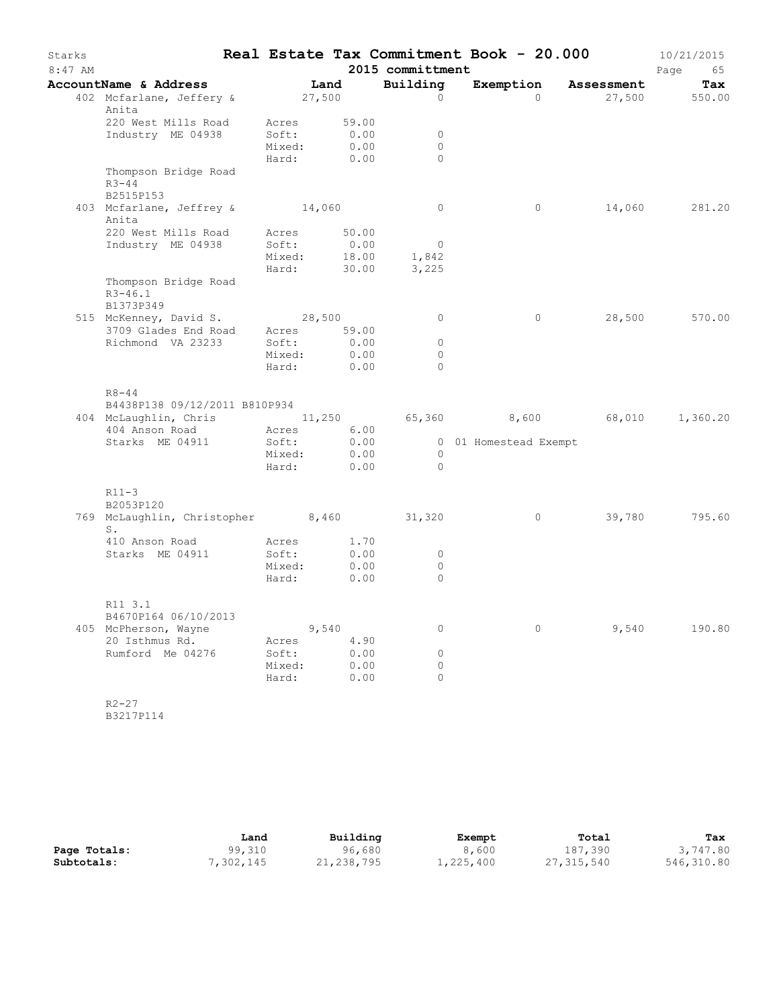| Starks    |                                                                                                                 |                 |              |                                  | Real Estate Tax Commitment Book - 20.000     |                      | 10/21/2015    |
|-----------|-----------------------------------------------------------------------------------------------------------------|-----------------|--------------|----------------------------------|----------------------------------------------|----------------------|---------------|
| $8:47$ AM |                                                                                                                 |                 |              | 2015 committment                 |                                              |                      | Page<br>65    |
|           | AccountName & Address                                                                                           | Land            |              | Building                         |                                              | Exemption Assessment | Tax           |
|           | 402 Mcfarlane, Jeffery & 27,500                                                                                 |                 |              | $\circ$                          | $\Omega$                                     |                      | 27,500 550.00 |
|           | Anita<br>220 West Mills Road                                                                                    | Acres           | 59.00        |                                  |                                              |                      |               |
|           | Industry ME 04938                                                                                               | Soft:           | 0.00         | $\mathbf{0}$                     |                                              |                      |               |
|           |                                                                                                                 | Mixed:          | 0.00         | $\circ$                          |                                              |                      |               |
|           |                                                                                                                 | Hard:           | 0.00         | $\Omega$                         |                                              |                      |               |
|           | Thompson Bridge Road                                                                                            |                 |              |                                  |                                              |                      |               |
|           | $R3 - 44$                                                                                                       |                 |              |                                  |                                              |                      |               |
|           | B2515P153                                                                                                       |                 |              |                                  |                                              |                      |               |
|           | 403 Mcfarlane, Jeffrey & 14,060<br>Anita                                                                        |                 |              | $\overline{0}$                   | $\circ$                                      | 14,060               | 281.20        |
|           | 220 West Mills Road                                                                                             | Acres 50.00     |              |                                  |                                              |                      |               |
|           | Industry ME 04938                                                                                               | Soft:           | 0.00         | $\overline{0}$                   |                                              |                      |               |
|           |                                                                                                                 | Mixed:          | 18.00        | 1,842                            |                                              |                      |               |
|           |                                                                                                                 | Hard: 30.00     |              | 3,225                            |                                              |                      |               |
|           | Thompson Bridge Road<br>$R3 - 46.1$                                                                             |                 |              |                                  |                                              |                      |               |
|           | B1373P349                                                                                                       |                 |              |                                  |                                              |                      |               |
|           | 515 McKenney, David S.<br>3709 Glades End Road Acres 59.00                                                      | 28,500          |              | $\circ$                          | $\circ$                                      | 28,500               | 570.00        |
|           | Richmond VA 23233                                                                                               | Soft:           | 0.00         | $\circ$                          |                                              |                      |               |
|           |                                                                                                                 | Mixed:          | 0.00         | $\circ$                          |                                              |                      |               |
|           |                                                                                                                 | Hard: 0.00      |              | $\Omega$                         |                                              |                      |               |
|           | $R8 - 44$<br>B4438P138 09/12/2011 B810P934<br>404 McLaughlin, Chris 11,250<br>404 Anson Road<br>Starks ME 04911 | Acres<br>Soft:  | 6.00<br>0.00 |                                  | 65,360 8,600 68,010<br>0 01 Homestead Exempt |                      | 1,360.20      |
|           |                                                                                                                 | Mixed:          | 0.00         | $\overline{0}$<br>$\overline{0}$ |                                              |                      |               |
|           |                                                                                                                 | Hard:           | 0.00         |                                  |                                              |                      |               |
|           | $R11-3$                                                                                                         |                 |              |                                  |                                              |                      |               |
|           | B2053P120<br>769 McLaughlin, Christopher 8,460 31,320                                                           |                 |              |                                  | $\overline{0}$                               | 39,780               | 795.60        |
|           | $S$ .                                                                                                           | Acres           | 1.70         |                                  |                                              |                      |               |
|           | 410 Anson Road<br>Starks ME 04911                                                                               | Soft:           | 0.00         | $\circ$                          |                                              |                      |               |
|           |                                                                                                                 | Mixed:          | 0.00         | $\circ$                          |                                              |                      |               |
|           |                                                                                                                 | Hard:           | 0.00         | $\circ$                          |                                              |                      |               |
|           | R11 3.1                                                                                                         |                 |              |                                  |                                              |                      |               |
|           | B4670P164 06/10/2013                                                                                            |                 |              |                                  |                                              |                      |               |
|           | 405 McPherson, Wayne                                                                                            | 9,540           |              | $\circ$                          | $\circ$                                      | 9,540                | 190.80        |
|           | 20 Isthmus Rd.<br>Rumford Me 04276                                                                              | Acres           | 4.90         |                                  |                                              |                      |               |
|           |                                                                                                                 | Soft:<br>Mixed: | 0.00<br>0.00 | $\circ$<br>0                     |                                              |                      |               |
|           |                                                                                                                 | Hard:           | 0.00         | $\circ$                          |                                              |                      |               |
|           |                                                                                                                 |                 |              |                                  |                                              |                      |               |
|           | $R2 - 27$                                                                                                       |                 |              |                                  |                                              |                      |               |
|           | B3217P114                                                                                                       |                 |              |                                  |                                              |                      |               |

|              | Land      | Building   | Exempt    | Total      | Tax        |
|--------------|-----------|------------|-----------|------------|------------|
| Page Totals: | 99,310    | 96,680     | 8,600     | 187,390    | 3,747.80   |
| Subtotals:   | 7,302,145 | 21,238,795 | 1,225,400 | 27,315,540 | 546,310.80 |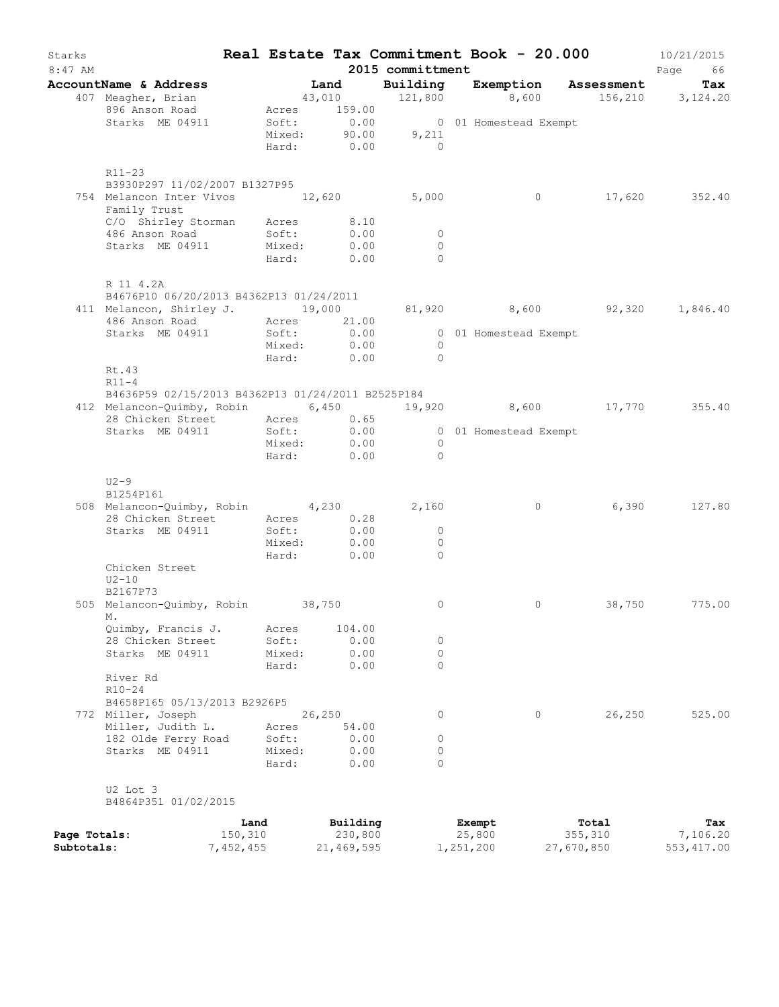| Starks<br>$8:47$ AM |                                                             |           |        |        |              | 2015 committment | Real Estate Tax Commitment Book - 20.000              |            | 10/21/2015<br>Page<br>66 |
|---------------------|-------------------------------------------------------------|-----------|--------|--------|--------------|------------------|-------------------------------------------------------|------------|--------------------------|
|                     | AccountName & Address                                       |           | Land   |        |              | Building         | Exemption Assessment                                  |            | Tax                      |
|                     | 407 Meagher, Brian                                          |           |        |        |              |                  | 43,010 $121,800$ $8,600$ $156,210$ $3,124.20$         |            |                          |
|                     | 896 Anson Road                                              |           |        |        | Acres 159.00 |                  |                                                       |            |                          |
|                     | Starks ME 04911                                             |           |        |        |              |                  |                                                       |            |                          |
|                     |                                                             |           |        |        |              |                  | Soft: 0.00 001 Homestead Exempt<br>Mixed: 90.00 9,211 |            |                          |
|                     |                                                             |           |        |        |              | Hard: $0.00$ 0   |                                                       |            |                          |
|                     |                                                             |           |        |        |              |                  |                                                       |            |                          |
|                     | $R11-23$<br>B3930P297 11/02/2007 B1327P95                   |           |        |        |              |                  |                                                       |            |                          |
|                     | 754 Melancon Inter Vivos 12,620 5,000                       |           |        |        |              |                  | $\overline{0}$                                        |            | 17,620 352.40            |
|                     | Family Trust                                                |           |        |        |              |                  |                                                       |            |                          |
|                     |                                                             |           |        |        | 8.10         |                  |                                                       |            |                          |
|                     | C/O Shirley Storman Acres<br>486 Anson Road Soft:           |           |        |        | 0.00         | $\overline{0}$   |                                                       |            |                          |
|                     | Starks ME 04911 Mixed: 0.00                                 |           |        |        |              | $\Omega$         |                                                       |            |                          |
|                     |                                                             |           |        |        | Hard: 0.00   | $\Omega$         |                                                       |            |                          |
|                     | R 11 4.2A                                                   |           |        |        |              |                  |                                                       |            |                          |
|                     | B4676P10 06/20/2013 B4362P13 01/24/2011                     |           |        |        |              |                  |                                                       |            |                          |
|                     | 411 Melancon, Shirley J. 19,000                             |           |        |        |              |                  | 81,920 8,600 92,320 1,846.40                          |            |                          |
|                     | 486 Anson Road Acres 21.00                                  |           |        |        |              |                  |                                                       |            |                          |
|                     | Starks ME 04911                                             |           | Soft:  |        | 0.00         |                  | 0 01 Homestead Exempt                                 |            |                          |
|                     |                                                             |           |        |        | Mixed: 0.00  | $\bigcirc$       |                                                       |            |                          |
|                     |                                                             |           |        |        | Hard: 0.00   | $\overline{0}$   |                                                       |            |                          |
|                     | Rt.43                                                       |           |        |        |              |                  |                                                       |            |                          |
|                     | $R11-4$                                                     |           |        |        |              |                  |                                                       |            |                          |
|                     | B4636P59 02/15/2013 B4362P13 01/24/2011 B2525P184           |           |        |        |              |                  |                                                       |            |                          |
|                     | 412 Melancon-Quimby, Robin 6,450 19,920 8,600 17,770 355.40 |           |        |        |              |                  |                                                       |            |                          |
|                     | 28 Chicken Street Acres 0.65<br>Starks ME 04911 Soft: 0.00  |           |        |        |              |                  |                                                       |            |                          |
|                     |                                                             |           |        |        |              |                  | 0 01 Homestead Exempt                                 |            |                          |
|                     |                                                             |           |        |        | Mixed: 0.00  | $\overline{0}$   |                                                       |            |                          |
|                     |                                                             |           |        |        | Hard: 0.00   | $\bigcirc$       |                                                       |            |                          |
|                     | $U2-9$                                                      |           |        |        |              |                  |                                                       |            |                          |
|                     | B1254P161                                                   |           |        |        |              |                  |                                                       |            |                          |
|                     | 508 Melancon-Quimby, Robin 4,230                            |           |        |        |              | 2,160            | $\overline{0}$                                        |            | 6,390 127.80             |
|                     | 28 Chicken Street Acres                                     |           |        |        | 0.28         |                  |                                                       |            |                          |
|                     | Starks ME 04911                                             |           | Soft:  |        | 0.00         | $\overline{0}$   |                                                       |            |                          |
|                     |                                                             |           | Mixed: |        | 0.00         | $\overline{0}$   |                                                       |            |                          |
|                     |                                                             |           | Hard:  |        | 0.00         | $\Omega$         |                                                       |            |                          |
|                     | Chicken Street                                              |           |        |        |              |                  |                                                       |            |                          |
|                     | $U2-10$                                                     |           |        |        |              |                  |                                                       |            |                          |
|                     | B2167P73                                                    |           |        |        |              |                  |                                                       |            |                          |
|                     | 505 Melancon-Quimby, Robin 38,750<br>М.                     |           |        |        |              | $\circ$          | $\circ$                                               | 38,750     | 775.00                   |
|                     | Quimby, Francis J.                                          |           | Acres  |        | 104.00       |                  |                                                       |            |                          |
|                     | 28 Chicken Street                                           |           | Soft:  |        | 0.00         | 0                |                                                       |            |                          |
|                     | Starks ME 04911                                             |           | Mixed: |        | 0.00         | 0                |                                                       |            |                          |
|                     |                                                             |           | Hard:  |        | 0.00         | $\Omega$         |                                                       |            |                          |
|                     | River Rd                                                    |           |        |        |              |                  |                                                       |            |                          |
|                     | $R10 - 24$                                                  |           |        |        |              |                  |                                                       |            |                          |
|                     | B4658P165 05/13/2013 B2926P5                                |           |        |        |              |                  |                                                       |            |                          |
|                     | 772 Miller, Joseph                                          |           |        | 26,250 |              | 0                | $\circ$                                               | 26,250     | 525.00                   |
|                     | Miller, Judith L.                                           |           | Acres  |        | 54.00        |                  |                                                       |            |                          |
|                     | 182 Olde Ferry Road                                         |           | Soft:  |        | 0.00         | 0                |                                                       |            |                          |
|                     | Starks ME 04911                                             |           | Mixed: |        | 0.00         | 0                |                                                       |            |                          |
|                     |                                                             |           | Hard:  |        | 0.00         | $\Omega$         |                                                       |            |                          |
|                     | U2 Lot 3                                                    |           |        |        |              |                  |                                                       |            |                          |
|                     | B4864P351 01/02/2015                                        |           |        |        |              |                  |                                                       |            |                          |
|                     |                                                             | Land      |        |        | Building     |                  | Exempt                                                | Total      | Tax                      |
| Page Totals:        |                                                             | 150,310   |        |        | 230,800      |                  | 25,800                                                | 355,310    | 7,106.20                 |
| Subtotals:          |                                                             | 7,452,455 |        |        | 21,469,595   |                  | 1,251,200                                             | 27,670,850 | 553, 417.00              |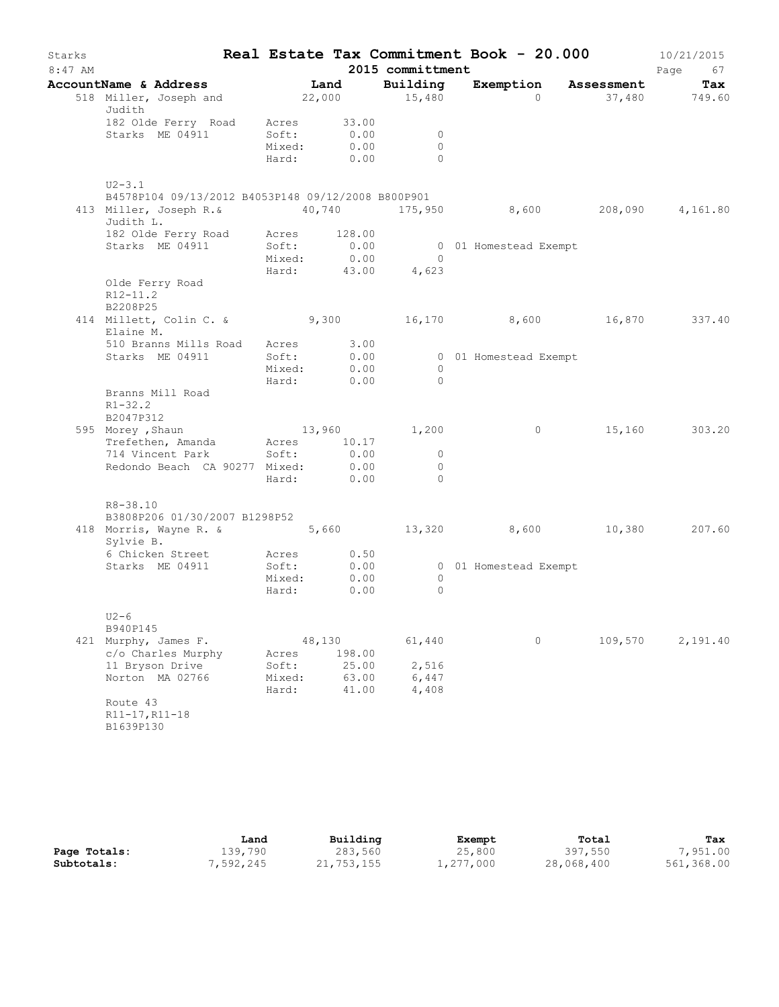| Starks<br>$8:47$ AM |                                                                                                             |                          |                                    | 2015 committment                               | Real Estate Tax Commitment Book - 20.000 |         | 10/21/2015<br>Page<br>67 |
|---------------------|-------------------------------------------------------------------------------------------------------------|--------------------------|------------------------------------|------------------------------------------------|------------------------------------------|---------|--------------------------|
|                     | AccountName & Address Tand                                                                                  |                          |                                    | Building                                       | Exemption Assessment                     |         | Tax                      |
|                     | 518 Miller, Joseph and 22,000 15,480<br>Judith                                                              |                          |                                    |                                                | $\Omega$                                 |         | 37,480 749.60            |
|                     | 182 Olde Ferry Road Acres 33.00<br>Starks ME 04911 Soft: 0.00                                               |                          | 0.00<br>Mixed: 0.00<br>Hard: 0.00  | $\overline{0}$<br>$\bigcirc$<br>$\overline{0}$ |                                          |         |                          |
|                     | $U2 - 3.1$                                                                                                  |                          |                                    |                                                |                                          |         |                          |
|                     | B4578P104 09/13/2012 B4053P148 09/12/2008 B800P901                                                          |                          |                                    |                                                |                                          |         |                          |
|                     | 413 Miller, Joseph R.& 40,740 175,950 8,600 208,090 4,161.80<br>Judith L.                                   |                          |                                    |                                                |                                          |         |                          |
|                     | 182 Olde Ferry Road Acres 128.00<br>Starks ME 04911 Soft: 0.00                                              |                          | Mixed: 0.00 0<br>Hard: 43.00 4,623 | $\bigcirc$                                     | 0 01 Homestead Exempt                    |         |                          |
|                     | Olde Ferry Road<br>$R12 - 11.2$<br>B2208P25                                                                 |                          |                                    |                                                |                                          |         |                          |
|                     | 414 Millett, Colin C. & 9,300 16,170 8,600 16,870 337.40<br>Elaine M.                                       |                          |                                    |                                                |                                          |         |                          |
|                     | 510 Branns Mills Road Acres 3.00                                                                            |                          |                                    |                                                |                                          |         |                          |
|                     | Starks ME 04911                                                                                             | Soft:                    | 0.00<br>Mixed: 0.00                | $\bigcirc$<br>$\bigcirc$                       | 0 01 Homestead Exempt                    |         |                          |
|                     | Branns Mill Road<br>$R1 - 32.2$<br>B2047P312                                                                |                          | Hard: 0.00                         |                                                |                                          |         |                          |
|                     | 595 Morey, Shaun 13,960 1,200                                                                               |                          |                                    |                                                | $\overline{0}$                           |         | 15,160 303.20            |
|                     | Trefethen, Amanda Acres 10.17<br>714 Vincent Park Soft: 0.00<br>Redondo Beach CA 90277 Mixed: 0.00          |                          | 0.00<br>Hard: 0.00                 | $\overline{0}$<br>$\overline{0}$<br>$\bigcirc$ |                                          |         |                          |
|                     | R8-38.10                                                                                                    |                          |                                    |                                                |                                          |         |                          |
|                     | B3808P206 01/30/2007 B1298P52<br>418 Morris, Wayne R. & 5,660 5,660 13,320 8,600 10,380 207.60<br>Sylvie B. |                          |                                    |                                                |                                          |         |                          |
|                     | 6 Chicken Street Acres 0.50<br>Starks ME 04911                                                              |                          | Soft: 0.00                         |                                                | 0 01 Homestead Exempt                    |         |                          |
|                     |                                                                                                             |                          | Mixed: 0.00<br>Hard: 0.00          | $\overline{0}$<br>$\circ$                      |                                          |         |                          |
|                     | $U2-6$                                                                                                      |                          |                                    |                                                |                                          |         |                          |
|                     | B940P145<br>421 Murphy, James F.<br>c/o Charles Murphy                                                      | Acres                    | 48,130<br>198.00                   | 61,440                                         | 0                                        | 109,570 | 2,191.40                 |
|                     | 11 Bryson Drive<br>Norton MA 02766                                                                          | Soft:<br>Mixed:<br>Hard: | 25.00<br>63.00<br>41.00            | 2,516<br>6,447<br>4,408                        |                                          |         |                          |
|                     | Route 43<br>R11-17, R11-18<br>B1639P130                                                                     |                          |                                    |                                                |                                          |         |                          |

|              | Land      | Building   | Exempt    | Total      | Tax        |
|--------------|-----------|------------|-----------|------------|------------|
| Page Totals: | 139,790   | 283,560    | 25,800    | 397,550    | 7,951.00   |
| Subtotals:   | 7,592,245 | 21,753,155 | 1,277,000 | 28,068,400 | 561,368.00 |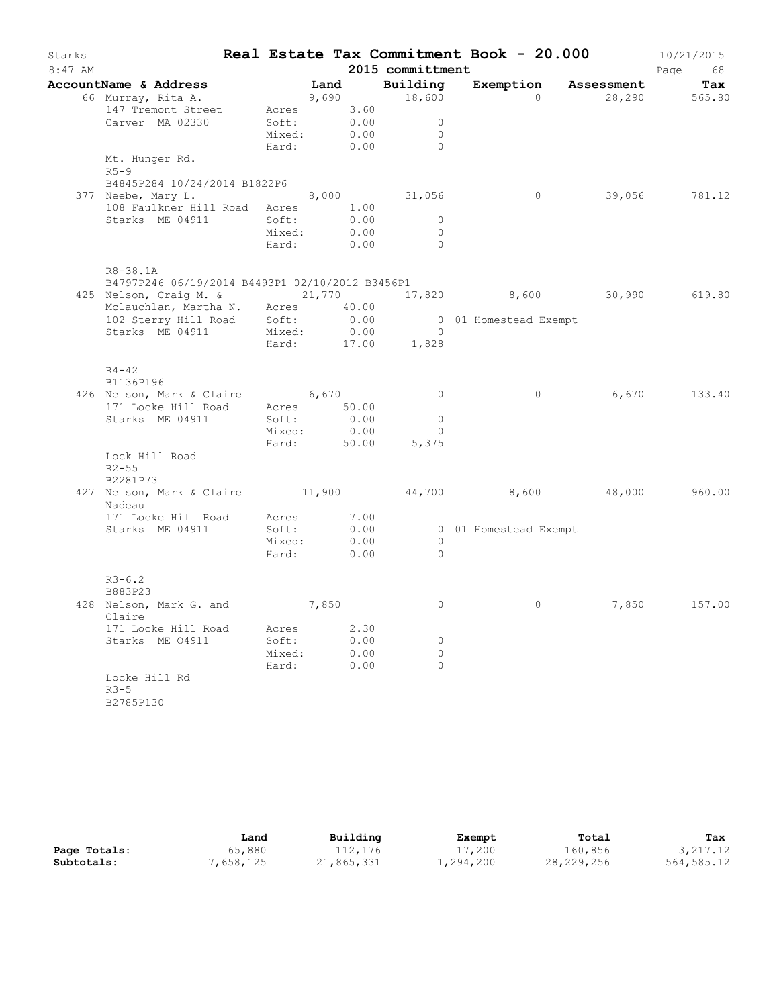| Starks<br>$8:47$ AM |                                                      |                       |      |       | 2015 committment    |                       | Real Estate Tax Commitment Book - 20.000 | 10/21/2015<br>Page<br>68 |
|---------------------|------------------------------------------------------|-----------------------|------|-------|---------------------|-----------------------|------------------------------------------|--------------------------|
|                     | AccountName & Address                                | <b>Example 1</b> Land |      |       | Building            | Exemption             | Assessment                               | Tax                      |
|                     | 66 Murray, Rita A.                                   | 9,690                 |      |       | 18,600              | $\Omega$              |                                          | 28,290 565.80            |
|                     | 147 Tremont Street                                   | Acres 3.60            |      |       |                     |                       |                                          |                          |
|                     | Carver MA 02330                                      | Soft:                 |      | 0.00  | $\circ$             |                       |                                          |                          |
|                     |                                                      | Mixed:                |      | 0.00  | $\mathbf{0}$        |                       |                                          |                          |
|                     |                                                      | Hard:                 | 0.00 |       | $\Omega$            |                       |                                          |                          |
|                     | Mt. Hunger Rd.<br>$R5-9$                             |                       |      |       |                     |                       |                                          |                          |
|                     | B4845P284 10/24/2014 B1822P6                         |                       |      |       |                     |                       |                                          |                          |
|                     | 377 Neebe, Mary L.                                   |                       |      |       | 8,000 31,056        | $\circ$               |                                          | 39,056 781.12            |
|                     | 108 Faulkner Hill Road Acres 1.00                    |                       |      |       |                     |                       |                                          |                          |
|                     | Starks ME 04911                                      | Soft:                 |      | 0.00  | $\circ$             |                       |                                          |                          |
|                     |                                                      | Mixed:                |      | 0.00  | $\circ$             |                       |                                          |                          |
|                     |                                                      | Hard:                 | 0.00 |       | $\Omega$            |                       |                                          |                          |
|                     | R8-38.1A                                             |                       |      |       |                     |                       |                                          |                          |
|                     | B4797P246 06/19/2014 B4493P1 02/10/2012 B3456P1      |                       |      |       |                     |                       |                                          |                          |
|                     | 425 Nelson, Craig M. &                               | 21,770                |      |       |                     |                       | 17,820 8,600 30,990 619.80               |                          |
|                     | Mclauchlan, Martha N. Acres 40.00                    |                       |      |       |                     |                       |                                          |                          |
|                     | 102 Sterry Hill Road Soft:<br>Starks ME 04911 Mixed: |                       |      | 0.00  | $\overline{0}$      | 0 01 Homestead Exempt |                                          |                          |
|                     | Starks ME 04911                                      | Mixed:                |      | 0.00  |                     |                       |                                          |                          |
|                     |                                                      | Hard:                 |      | 17.00 | 1,828               |                       |                                          |                          |
|                     | $R4 - 42$                                            |                       |      |       |                     |                       |                                          |                          |
|                     | B1136P196                                            |                       |      |       |                     |                       |                                          |                          |
|                     | 426 Nelson, Mark & Claire 6,670                      |                       |      |       | $\circ$             | $\circ$               | 6,670                                    | 133.40                   |
|                     | 171 Locke Hill Road                                  | Acres 50.00           |      |       |                     |                       |                                          |                          |
|                     | Starks ME 04911                                      | Soft:                 |      | 0.00  | $\circ$             |                       |                                          |                          |
|                     |                                                      | Mixed:                |      | 0.00  | $\mathbf{0}$        |                       |                                          |                          |
|                     |                                                      | Hard:                 |      | 50.00 | 5,375               |                       |                                          |                          |
|                     | Lock Hill Road                                       |                       |      |       |                     |                       |                                          |                          |
|                     | $R2 - 55$<br>B2281P73                                |                       |      |       |                     |                       |                                          |                          |
|                     | 427 Nelson, Mark & Claire 11,900 44,700              |                       |      |       |                     |                       | 8,600 48,000                             | 960.00                   |
|                     | Nadeau                                               |                       |      |       |                     |                       |                                          |                          |
|                     | 171 Locke Hill Road                                  | Acres                 |      | 7.00  |                     |                       |                                          |                          |
|                     | Starks ME 04911                                      | Soft:                 |      | 0.00  |                     | 0 01 Homestead Exempt |                                          |                          |
|                     |                                                      | Mixed:                |      | 0.00  | $\circ$             |                       |                                          |                          |
|                     |                                                      | Hard:                 |      | 0.00  | $\Omega$            |                       |                                          |                          |
|                     |                                                      |                       |      |       |                     |                       |                                          |                          |
|                     | $R3 - 6.2$                                           |                       |      |       |                     |                       |                                          |                          |
|                     | B883P23                                              |                       |      |       |                     |                       |                                          |                          |
|                     | 428 Nelson, Mark G. and 7,850                        |                       |      |       | $\circ$             | 0                     | 7,850                                    | 157.00                   |
|                     | Claire                                               |                       |      |       |                     |                       |                                          |                          |
|                     | 171 Locke Hill Road                                  | Acres                 |      | 2.30  |                     |                       |                                          |                          |
|                     | Starks ME 04911                                      | Soft:                 |      | 0.00  | 0                   |                       |                                          |                          |
|                     |                                                      | Mixed:                |      | 0.00  | $\circ$<br>$\Omega$ |                       |                                          |                          |
|                     |                                                      | Hard:                 |      | 0.00  |                     |                       |                                          |                          |
|                     | Locke Hill Rd<br>$R3-5$                              |                       |      |       |                     |                       |                                          |                          |
|                     | B2785P130                                            |                       |      |       |                     |                       |                                          |                          |
|                     |                                                      |                       |      |       |                     |                       |                                          |                          |

|              | Land     | Building   | Exempt    | Total      | Tax        |
|--------------|----------|------------|-----------|------------|------------|
| Page Totals: | 65,880   | 112,176    | 17,200    | 160,856    | 3, 217.12  |
| Subtotals:   | ,658,125 | 21,865,331 | 1,294,200 | 28,229,256 | 564,585.12 |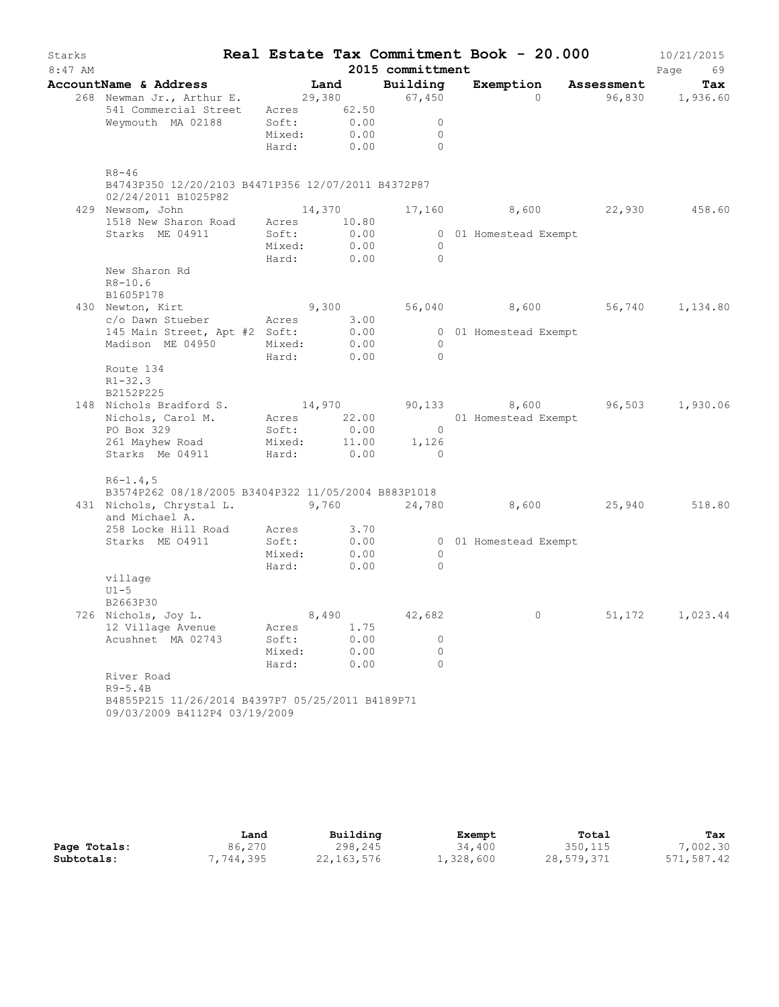| Starks<br>$8:47$ AM |                                                                                                                                                 |                 |                                   | 2015 committment                                 | Real Estate Tax Commitment Book - 20.000 |        | 10/21/2015<br>Page<br>69 |
|---------------------|-------------------------------------------------------------------------------------------------------------------------------------------------|-----------------|-----------------------------------|--------------------------------------------------|------------------------------------------|--------|--------------------------|
|                     |                                                                                                                                                 |                 |                                   |                                                  | Exemption Assessment                     |        | Tax                      |
|                     | AccountName & Address Land Building Exempt<br>268 Newman Jr., Arthur E. 29,380 67,450<br>541 Commercial Street Acres 62.50<br>Weymouth MA 02188 | Mixed:          | Soft: 0.00<br>0.00                | $\overline{0}$<br>$\overline{0}$<br>Hard: 0.00 0 | $\overline{0}$                           |        | 96,830 1,936.60          |
|                     | $R8 - 46$<br>B4743P350 12/20/2103 B4471P356 12/07/2011 B4372P87<br>02/24/2011 B1025P82                                                          |                 |                                   |                                                  |                                          |        |                          |
|                     | 429 Newsom, John                                                                                                                                |                 | 14,370                            |                                                  | 17,160 8,600 22,930 458.60               |        |                          |
|                     | 1518 New Sharon Road Acres 10.80<br>Starks ME 04911                                                                                             | Soft:           | 0.00<br>Mixed: 0.00<br>Hard: 0.00 | $\overline{0}$<br>$\overline{0}$                 | 0 01 Homestead Exempt                    |        |                          |
|                     | New Sharon Rd<br>$R8 - 10.6$<br>B1605P178                                                                                                       |                 |                                   |                                                  |                                          |        |                          |
|                     | 430 Newton, Kirt 6 9,300 9,300 56,040 8,600 56,740 1,134.80                                                                                     |                 |                                   |                                                  |                                          |        |                          |
|                     | c/o Dawn Stueber Acres 3.00<br>145 Main Street, Apt #2 Soft: 0.00                                                                               |                 |                                   |                                                  |                                          |        |                          |
|                     | Madison ME 04950 Mixed: 0.00                                                                                                                    |                 | Hard: 0.00                        | $\overline{0}$<br>$\bigcirc$                     | 0 01 Homestead Exempt                    |        |                          |
|                     | Route 134<br>$R1 - 32.3$<br>B2152P225                                                                                                           |                 |                                   |                                                  |                                          |        |                          |
|                     |                                                                                                                                                 |                 |                                   |                                                  |                                          |        |                          |
|                     | 148 Nichols Bradford S. 14,970 90,133 8,600 96,503 1,930.06<br>Nichols, Carol M. Acres 22.00 01 Homestead Exempt<br>PO Box 329 Soft: 0.00 0     |                 |                                   |                                                  |                                          |        |                          |
|                     |                                                                                                                                                 |                 |                                   |                                                  |                                          |        |                          |
|                     | 261 Mayhew Road<br>Starks Me 04911                                                                                                              |                 |                                   | Mixed: 11.00 1,126<br>Hard: 0.00 0               |                                          |        |                          |
|                     | $R6 - 1.4, 5$<br>B3574P262 08/18/2005 B3404P322 11/05/2004 B883P1018                                                                            |                 |                                   |                                                  |                                          |        |                          |
|                     | 431 Nichols, Chrystal L. 3,760 24,780 8,600 25,940 518.80<br>and Michael A.<br>258 Locke Hill Road Acres 3.70                                   |                 |                                   |                                                  |                                          |        |                          |
|                     | Starks ME 04911                                                                                                                                 |                 | Soft: 0.00                        |                                                  | 0 01 Homestead Exempt                    |        |                          |
|                     |                                                                                                                                                 | Mixed:          | 0.00                              | $\overline{0}$                                   |                                          |        |                          |
|                     |                                                                                                                                                 |                 | Hard: 0.00                        | $\bigcirc$                                       |                                          |        |                          |
|                     | village<br>$U1-5$<br>B2663P30                                                                                                                   |                 |                                   |                                                  |                                          |        |                          |
|                     | 726 Nichols, Joy L.                                                                                                                             |                 | 8,490                             | 42,682                                           | $0 \qquad \qquad$                        | 51,172 | 1,023.44                 |
|                     | 12 Village Avenue                                                                                                                               | Acres           | 1.75                              |                                                  |                                          |        |                          |
|                     | Acushnet MA 02743                                                                                                                               | Soft:           | 0.00                              | $\circ$                                          |                                          |        |                          |
|                     |                                                                                                                                                 | Mixed:<br>Hard: | 0.00<br>0.00                      | $\circ$<br>$\Omega$                              |                                          |        |                          |
|                     | River Road<br>$R9-5.4B$                                                                                                                         |                 |                                   |                                                  |                                          |        |                          |
|                     | B4855P215 11/26/2014 B4397P7 05/25/2011 B4189P71<br>09/03/2009 B4112P4 03/19/2009                                                               |                 |                                   |                                                  |                                          |        |                          |

|              | Land      | Building     | Exempt    | Total      | Tax        |
|--------------|-----------|--------------|-----------|------------|------------|
| Page Totals: | 86,270    | 298,245      | 34,400    | 350, 115   | 7,002.30   |
| Subtotals:   | 7,744,395 | 22, 163, 576 | 1,328,600 | 28,579,371 | 571,587.42 |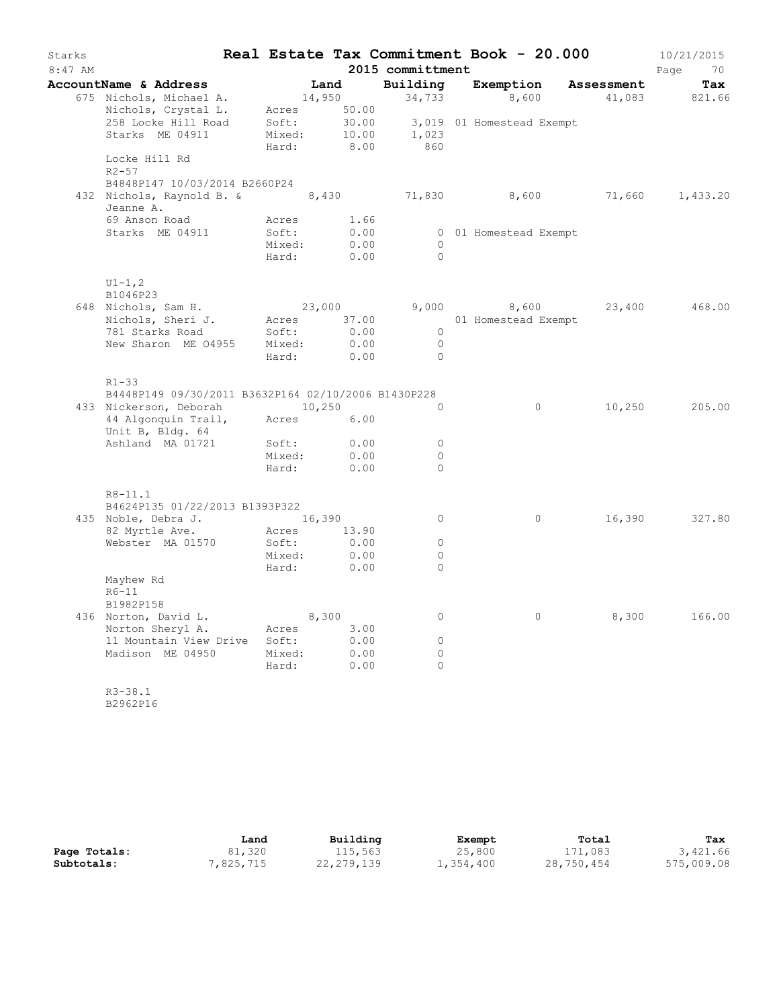| Starks<br>8:47 AM |                                                     |                 |              | 2015 committment | Real Estate Tax Commitment Book - 20.000 |            | 10/21/2015<br>70<br>Page |
|-------------------|-----------------------------------------------------|-----------------|--------------|------------------|------------------------------------------|------------|--------------------------|
|                   | AccountName & Address                               | Land            |              | Building         | Exemption                                | Assessment | Tax                      |
|                   | 675 Nichols, Michael A.                             | 14,950          |              | 34,733           | 8,600                                    | 41,083     | 821.66                   |
|                   | Nichols, Crystal L.                                 | Acres           | 50.00        |                  |                                          |            |                          |
|                   | 258 Locke Hill Road                                 | Soft:           | 30.00        |                  | 3,019 01 Homestead Exempt                |            |                          |
|                   | Starks ME 04911                                     | Mixed:          | 10.00        | 1,023            |                                          |            |                          |
|                   |                                                     | Hard:           | 8.00         | 860              |                                          |            |                          |
|                   | Locke Hill Rd                                       |                 |              |                  |                                          |            |                          |
|                   | $R2 - 57$                                           |                 |              |                  |                                          |            |                          |
|                   | B4848P147 10/03/2014 B2660P24                       |                 |              |                  |                                          |            |                          |
|                   | 432 Nichols, Raynold B. &<br>Jeanne A.              |                 |              |                  | 8,430 71,830 8,600                       | 71,660     | 1,433.20                 |
|                   | 69 Anson Road                                       | Acres           | 1.66         |                  |                                          |            |                          |
|                   | Starks ME 04911                                     | Soft:           | 0.00         |                  | 0 01 Homestead Exempt                    |            |                          |
|                   |                                                     | Mixed:          | 0.00         | $\circ$          |                                          |            |                          |
|                   |                                                     | Hard:           | 0.00         | $\Omega$         |                                          |            |                          |
|                   |                                                     |                 |              |                  |                                          |            |                          |
|                   | $UI - 1, 2$<br>B1046P23                             |                 |              |                  |                                          |            |                          |
|                   | 648 Nichols, Sam H.                                 | 23,000          |              | 9,000            | 8,600                                    | 23,400     | 468.00                   |
|                   | Nichols, Sheri J.                                   | Acres           | 37.00        |                  | 01 Homestead Exempt                      |            |                          |
|                   | 781 Starks Road                                     | Soft:           | 0.00         | $\circ$          |                                          |            |                          |
|                   | New Sharon ME 04955                                 | Mixed:          | 0.00         | $\Omega$         |                                          |            |                          |
|                   |                                                     | Hard:           | 0.00         | $\overline{0}$   |                                          |            |                          |
|                   |                                                     |                 |              |                  |                                          |            |                          |
|                   | $R1 - 33$                                           |                 |              |                  |                                          |            |                          |
|                   | B4448P149 09/30/2011 B3632P164 02/10/2006 B1430P228 |                 |              | $\circ$          | $\circ$                                  |            | 205.00                   |
|                   | 433 Nickerson, Deborah<br>44 Algonquin Trail,       | 10,250<br>Acres | 6.00         |                  |                                          | 10,250     |                          |
|                   | Unit B, Bldg. 64                                    |                 |              |                  |                                          |            |                          |
|                   | Ashland MA 01721                                    | Soft:           | 0.00         | $\circ$          |                                          |            |                          |
|                   |                                                     | Mixed:          | 0.00         | $\Omega$         |                                          |            |                          |
|                   |                                                     | Hard:           | 0.00         | $\Omega$         |                                          |            |                          |
|                   |                                                     |                 |              |                  |                                          |            |                          |
|                   | $R8 - 11.1$                                         |                 |              |                  |                                          |            |                          |
|                   | B4624P135 01/22/2013 B1393P322                      |                 |              |                  |                                          |            |                          |
|                   | 435 Noble, Debra J.                                 | 16,390          |              | $\circ$          | 0                                        | 16,390     | 327.80                   |
|                   | 82 Myrtle Ave.                                      | Acres           | 13.90        | $\circ$          |                                          |            |                          |
|                   | Webster MA 01570                                    | Soft:<br>Mixed: | 0.00<br>0.00 | $\circ$          |                                          |            |                          |
|                   |                                                     | Hard:           | 0.00         | $\Omega$         |                                          |            |                          |
|                   | Mayhew Rd                                           |                 |              |                  |                                          |            |                          |
|                   | $R6-11$                                             |                 |              |                  |                                          |            |                          |
|                   | B1982P158                                           |                 |              |                  |                                          |            |                          |
|                   | 436 Norton, David L.                                | 8,300           |              | $\circ$          | $\circ$                                  | 8,300      | 166.00                   |
|                   | Norton Sheryl A.                                    | Acres           | 3.00         |                  |                                          |            |                          |
|                   | 11 Mountain View Drive                              | Soft:           | 0.00         | $\circ$          |                                          |            |                          |
|                   | Madison ME 04950                                    | Mixed:          | 0.00         | $\circ$          |                                          |            |                          |
|                   |                                                     | Hard:           | 0.00         | $\Omega$         |                                          |            |                          |
|                   | $R3 - 38.1$                                         |                 |              |                  |                                          |            |                          |

B2962P16

|              | Land     | Building   | Exempt    | Total      | Tax        |
|--------------|----------|------------|-----------|------------|------------|
| Page Totals: | 81,320   | 115,563    | 25,800    | 171,083    | 3,421.66   |
| Subtotals:   | ,825,715 | 22,279,139 | 1,354,400 | 28,750,454 | 575,009.08 |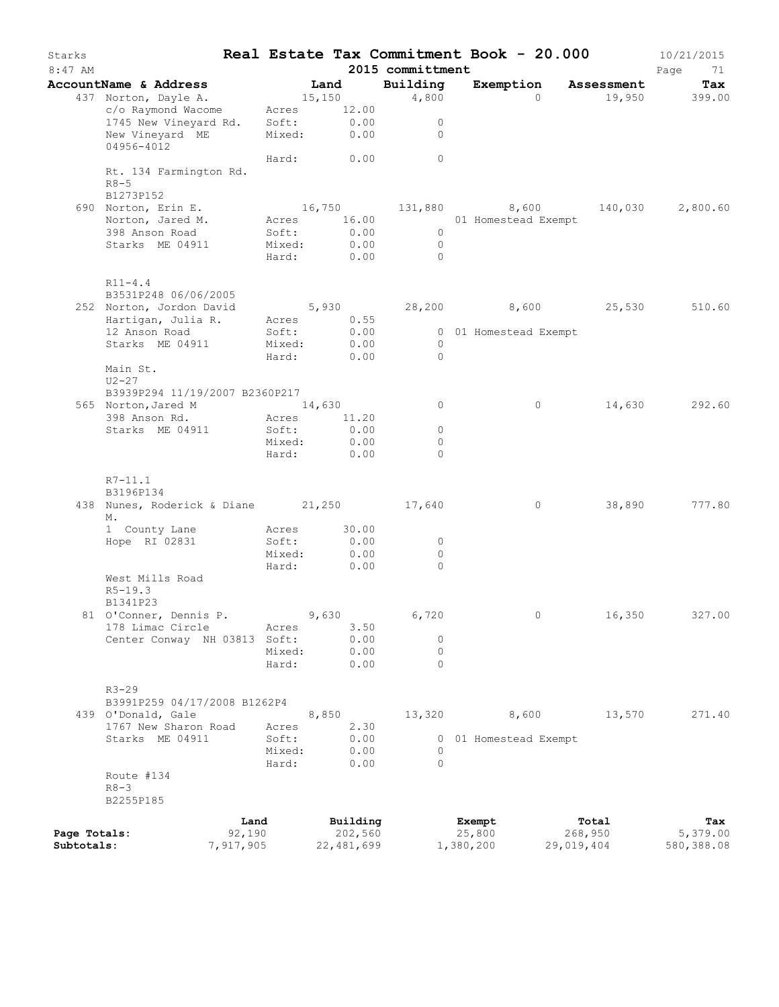| Starks<br>$8:47$ AM |                                           |           |                 |         |               | 2015 committment    |  | Real Estate Tax Commitment Book - 20.000 |            | 10/21/2015<br>Page<br>71 |
|---------------------|-------------------------------------------|-----------|-----------------|---------|---------------|---------------------|--|------------------------------------------|------------|--------------------------|
|                     | AccountName & Address                     |           |                 | Land    |               | Building            |  | Exemption Assessment                     |            | Tax                      |
|                     | 437 Norton, Dayle A.                      |           |                 | 15, 150 |               | 4,800               |  | $\Omega$                                 |            | 19,950 399.00            |
|                     | c/o Raymond Wacome                        |           | Acres 12.00     |         |               |                     |  |                                          |            |                          |
|                     | 1745 New Vineyard Rd. Soft:               |           |                 |         | 0.00          | $\circ$             |  |                                          |            |                          |
|                     | New Vineyard ME                           |           | Mixed:          |         | 0.00          | $\circ$             |  |                                          |            |                          |
|                     | 04956-4012                                |           |                 |         |               |                     |  |                                          |            |                          |
|                     |                                           |           |                 |         | Hard: 0.00    | $\circ$             |  |                                          |            |                          |
|                     | Rt. 134 Farmington Rd.                    |           |                 |         |               |                     |  |                                          |            |                          |
|                     | $R8 - 5$                                  |           |                 |         |               |                     |  |                                          |            |                          |
|                     | B1273P152                                 |           |                 |         |               |                     |  |                                          |            |                          |
|                     | 690 Norton, Erin E.                       |           |                 |         |               |                     |  | 16,750 131,880 8,600                     |            | 140,030 2,800.60         |
|                     | Norton, Jared M.                          |           |                 |         | Acres 16.00   |                     |  | 01 Homestead Exempt                      |            |                          |
|                     | 398 Anson Road                            |           | Soft:           |         | 0.00          | $\overline{0}$      |  |                                          |            |                          |
|                     | Starks ME 04911                           |           | Mixed:          |         | 0.00          | $\overline{0}$      |  |                                          |            |                          |
|                     |                                           |           | Hard:           |         | 0.00          | $\bigcirc$          |  |                                          |            |                          |
|                     | $R11 - 4.4$                               |           |                 |         |               |                     |  |                                          |            |                          |
|                     | B3531P248 06/06/2005                      |           |                 |         |               |                     |  |                                          |            |                          |
|                     | 252 Norton, Jordon David                  |           |                 |         |               |                     |  | $5,930$ $28,200$ $8,600$ $25,530$        |            | 510.60                   |
|                     | Hartigan, Julia R.                        |           | Acres           |         | 0.55          |                     |  |                                          |            |                          |
|                     | 12 Anson Road                             |           | Soft:           |         | 0.00          |                     |  | 0 01 Homestead Exempt                    |            |                          |
|                     | Starks ME 04911                           |           | Mixed:          |         | 0.00          | $\bigcirc$          |  |                                          |            |                          |
|                     |                                           |           | Hard:           |         | 0.00          | $\overline{0}$      |  |                                          |            |                          |
|                     | Main St.                                  |           |                 |         |               |                     |  |                                          |            |                          |
|                     | U2-27                                     |           |                 |         |               |                     |  |                                          |            |                          |
|                     | B3939P294 11/19/2007 B2360P217            |           |                 |         |               |                     |  |                                          |            |                          |
|                     | 565 Norton, Jared M                       |           | 14,630          |         |               | $\circ$             |  | $\circ$                                  |            | 14,630 292.60            |
|                     | 398 Anson Rd.                             |           | Acres<br>Soft:  |         | 11.20<br>0.00 | $\circ$             |  |                                          |            |                          |
|                     | Starks ME 04911                           |           | Mixed:          |         | 0.00          | $\circ$             |  |                                          |            |                          |
|                     |                                           |           | Hard:           |         | 0.00          | $\Omega$            |  |                                          |            |                          |
|                     |                                           |           |                 |         |               |                     |  |                                          |            |                          |
|                     | $R7 - 11.1$                               |           |                 |         |               |                     |  |                                          |            |                          |
|                     | B3196P134                                 |           |                 |         |               |                     |  |                                          |            |                          |
|                     | 438 Nunes, Roderick & Diane 21,250 17,640 |           |                 |         |               |                     |  | $\circ$                                  | 38,890     | 777.80                   |
|                     | М.                                        |           |                 |         |               |                     |  |                                          |            |                          |
|                     | 1 County Lane                             |           | Acres           |         | 30.00         |                     |  |                                          |            |                          |
|                     | Hope RI 02831                             |           | Soft:           |         | 0.00          | 0                   |  |                                          |            |                          |
|                     |                                           |           | Mixed:<br>Hard: |         | 0.00          | $\circ$<br>$\Omega$ |  |                                          |            |                          |
|                     | West Mills Road                           |           |                 |         | 0.00          |                     |  |                                          |            |                          |
|                     | $R5 - 19.3$                               |           |                 |         |               |                     |  |                                          |            |                          |
|                     | B1341P23                                  |           |                 |         |               |                     |  |                                          |            |                          |
|                     | 81 O'Conner, Dennis P.                    |           |                 | 9,630   |               | 6,720               |  | $\overline{0}$                           | 16,350     | 327.00                   |
|                     | 178 Limac Circle                          |           | Acres           |         | 3.50          |                     |  |                                          |            |                          |
|                     | Center Conway NH 03813 Soft:              |           |                 |         | 0.00          | $\circ$             |  |                                          |            |                          |
|                     |                                           |           | Mixed:          |         | 0.00          | $\circ$             |  |                                          |            |                          |
|                     |                                           |           | Hard:           |         | 0.00          | $\Omega$            |  |                                          |            |                          |
|                     |                                           |           |                 |         |               |                     |  |                                          |            |                          |
|                     | $R3 - 29$                                 |           |                 |         |               |                     |  |                                          |            |                          |
|                     | B3991P259 04/17/2008 B1262P4              |           |                 |         |               |                     |  |                                          |            |                          |
|                     | 439 O'Donald, Gale                        |           |                 | 8,850   |               | 13,320              |  | 8,600                                    | 13,570     | 271.40                   |
|                     | 1767 New Sharon Road                      |           | Acres           |         | 2.30          |                     |  |                                          |            |                          |
|                     | Starks ME 04911                           |           | Soft:           |         | 0.00          |                     |  | 0 01 Homestead Exempt                    |            |                          |
|                     |                                           |           | Mixed:          |         | 0.00          | $\Omega$            |  |                                          |            |                          |
|                     |                                           |           | Hard:           |         | 0.00          | $\Omega$            |  |                                          |            |                          |
|                     | Route #134                                |           |                 |         |               |                     |  |                                          |            |                          |
|                     | $R8 - 3$<br>B2255P185                     |           |                 |         |               |                     |  |                                          |            |                          |
|                     |                                           |           |                 |         |               |                     |  |                                          |            |                          |
|                     |                                           | Land      |                 |         | Building      |                     |  | Exempt                                   | Total      | Tax                      |
| Page Totals:        |                                           | 92,190    |                 |         | 202,560       |                     |  | 25,800                                   | 268,950    | 5,379.00                 |
| Subtotals:          |                                           | 7,917,905 |                 |         | 22,481,699    |                     |  | 1,380,200                                | 29,019,404 | 580,388.08               |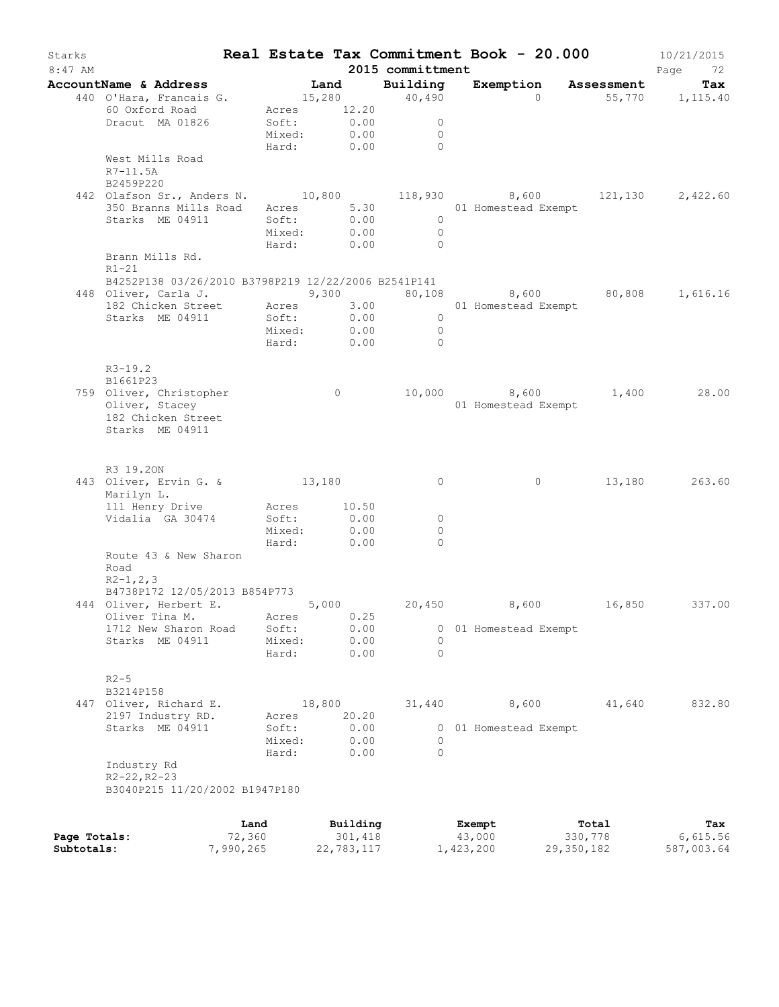| Starks<br>$8:47$ AM |                                                                                          |        |                           |                |          | 2015 committment               |  | Real Estate Tax Commitment Book - 20.000 |         | 10/21/2015<br>Page<br>72 |
|---------------------|------------------------------------------------------------------------------------------|--------|---------------------------|----------------|----------|--------------------------------|--|------------------------------------------|---------|--------------------------|
|                     | AccountName & Address                                                                    |        |                           |                |          | Land Building                  |  | Exemption Assessment                     |         | Tax                      |
|                     | 440 O'Hara, Francais G.                                                                  |        |                           |                |          |                                |  | 15,280 40,490 0 55,770 1,115.40          |         |                          |
|                     | 60 Oxford Road                                                                           |        | Acres 12.20               |                |          |                                |  |                                          |         |                          |
|                     | Dracut MA 01826                                                                          |        | Soft: 0.00<br>Mixed: 0.00 |                |          | $\overline{0}$                 |  |                                          |         |                          |
|                     |                                                                                          |        |                           |                |          | $\overline{0}$<br>Hard: 0.00 0 |  |                                          |         |                          |
|                     | West Mills Road                                                                          |        |                           |                |          |                                |  |                                          |         |                          |
|                     | R7-11.5A                                                                                 |        |                           |                |          |                                |  |                                          |         |                          |
|                     | B2459P220                                                                                |        |                           |                |          |                                |  |                                          |         |                          |
|                     | 442 Olafson Sr., Anders N. 10,800 118,930 8,600 121,130 2,422.60                         |        |                           |                |          |                                |  |                                          |         |                          |
|                     | 350 Branns Mills Road Acres 5.30 01 Homestead Exempt                                     |        |                           |                |          |                                |  |                                          |         |                          |
|                     | Starks ME 04911                                                                          | Soft:  |                           |                |          | Soft: 0.00 0<br>Mixed: 0.00 0  |  |                                          |         |                          |
|                     |                                                                                          |        |                           |                |          |                                |  |                                          |         |                          |
|                     |                                                                                          |        |                           |                |          | Hard: 0.00 0                   |  |                                          |         |                          |
|                     | Brann Mills Rd.                                                                          |        |                           |                |          |                                |  |                                          |         |                          |
|                     | $R1-21$<br>B4252P138 03/26/2010 B3798P219 12/22/2006 B2541P141                           |        |                           |                |          |                                |  |                                          |         |                          |
|                     | 448 Oliver, Carla J. (3,300) 30,108 (3,600) 80,808 1,616.16                              |        |                           |                |          |                                |  |                                          |         |                          |
|                     |                                                                                          |        |                           |                |          |                                |  |                                          |         |                          |
|                     | 182 Chicken Street Acres 3.00 01 Homestead Exempt<br>Starks ME 04911 Soft: 0.00 0        |        |                           |                |          |                                |  |                                          |         |                          |
|                     |                                                                                          |        |                           |                |          | Mixed: 0.00 0                  |  |                                          |         |                          |
|                     |                                                                                          |        |                           |                |          | Hard: 0.00 0                   |  |                                          |         |                          |
|                     |                                                                                          |        |                           |                |          |                                |  |                                          |         |                          |
|                     | $R3 - 19.2$                                                                              |        |                           |                |          |                                |  |                                          |         |                          |
|                     | B1661P23                                                                                 |        |                           |                |          |                                |  |                                          |         |                          |
|                     | 759 Oliver, Christopher                                                                  |        |                           | $\overline{0}$ |          |                                |  | 10,000 8,600 1,400 28.00                 |         |                          |
|                     | Oliver, Stacey                                                                           |        |                           |                |          |                                |  | 01 Homestead Exempt                      |         |                          |
|                     | 182 Chicken Street                                                                       |        |                           |                |          |                                |  |                                          |         |                          |
|                     | Starks ME 04911                                                                          |        |                           |                |          |                                |  |                                          |         |                          |
|                     |                                                                                          |        |                           |                |          |                                |  |                                          |         |                          |
|                     | R3 19.20N                                                                                |        |                           |                |          |                                |  |                                          |         |                          |
|                     | 443 Oliver, Ervin G. & 13,180                                                            |        |                           |                |          | $\overline{0}$                 |  | $\overline{0}$                           |         | 13,180 263.60            |
|                     | Marilyn L.                                                                               |        |                           |                |          |                                |  |                                          |         |                          |
|                     | 111 Henry Drive Acres 10.50                                                              |        |                           |                |          |                                |  |                                          |         |                          |
|                     | Vidalia GA 30474                                                                         |        | Soft: 0.00<br>Mixed: 0.00 |                |          | $\overline{0}$                 |  |                                          |         |                          |
|                     |                                                                                          |        |                           |                |          | $\circ$                        |  |                                          |         |                          |
|                     |                                                                                          |        | Hard: 0.00                |                |          | $\Omega$                       |  |                                          |         |                          |
|                     | Route 43 & New Sharon                                                                    |        |                           |                |          |                                |  |                                          |         |                          |
|                     | Road                                                                                     |        |                           |                |          |                                |  |                                          |         |                          |
|                     | $R2 - 1, 2, 3$                                                                           |        |                           |                |          |                                |  |                                          |         |                          |
|                     | B4738P172 12/05/2013 B854P773<br>444 Oliver, Herbert E. 5,000 20,450 8,600 16,850 337.00 |        |                           |                |          |                                |  |                                          |         |                          |
|                     | Oliver Tina M.                                                                           |        | Acres 0.25                |                |          |                                |  |                                          |         |                          |
|                     | 1712 New Sharon Road                                                                     |        | Soft:                     |                | 0.00     | 0                              |  | 01 Homestead Exempt                      |         |                          |
|                     | Starks ME 04911                                                                          |        | Mixed:                    |                | 0.00     | $\Omega$                       |  |                                          |         |                          |
|                     |                                                                                          |        | Hard:                     |                | 0.00     | $\Omega$                       |  |                                          |         |                          |
|                     |                                                                                          |        |                           |                |          |                                |  |                                          |         |                          |
|                     | $R2 - 5$                                                                                 |        |                           |                |          |                                |  |                                          |         |                          |
|                     | B3214P158                                                                                |        |                           |                |          |                                |  |                                          |         |                          |
|                     | 447 Oliver, Richard E.                                                                   |        |                           | 18,800         |          | 31,440                         |  | 8,600                                    | 41,640  | 832.80                   |
|                     | 2197 Industry RD.                                                                        |        | Acres                     |                | 20.20    |                                |  |                                          |         |                          |
|                     | Starks ME 04911                                                                          |        | Soft:                     |                | 0.00     |                                |  | 0 01 Homestead Exempt                    |         |                          |
|                     |                                                                                          |        | Mixed:                    |                | 0.00     | $\circ$                        |  |                                          |         |                          |
|                     |                                                                                          |        | Hard:                     |                | 0.00     | $\Omega$                       |  |                                          |         |                          |
|                     | Industry Rd                                                                              |        |                           |                |          |                                |  |                                          |         |                          |
|                     | $R2 - 22, R2 - 23$                                                                       |        |                           |                |          |                                |  |                                          |         |                          |
|                     | B3040P215 11/20/2002 B1947P180                                                           |        |                           |                |          |                                |  |                                          |         |                          |
|                     |                                                                                          | Land   |                           |                | Building |                                |  |                                          | Total   |                          |
| Page Totals:        |                                                                                          | 72,360 |                           |                | 301,418  |                                |  | Exempt<br>43,000                         | 330,778 | Tax<br>6,615.56          |

**Subtotals:** 7,990,265 22,783,117 1,423,200 29,350,182 587,003.64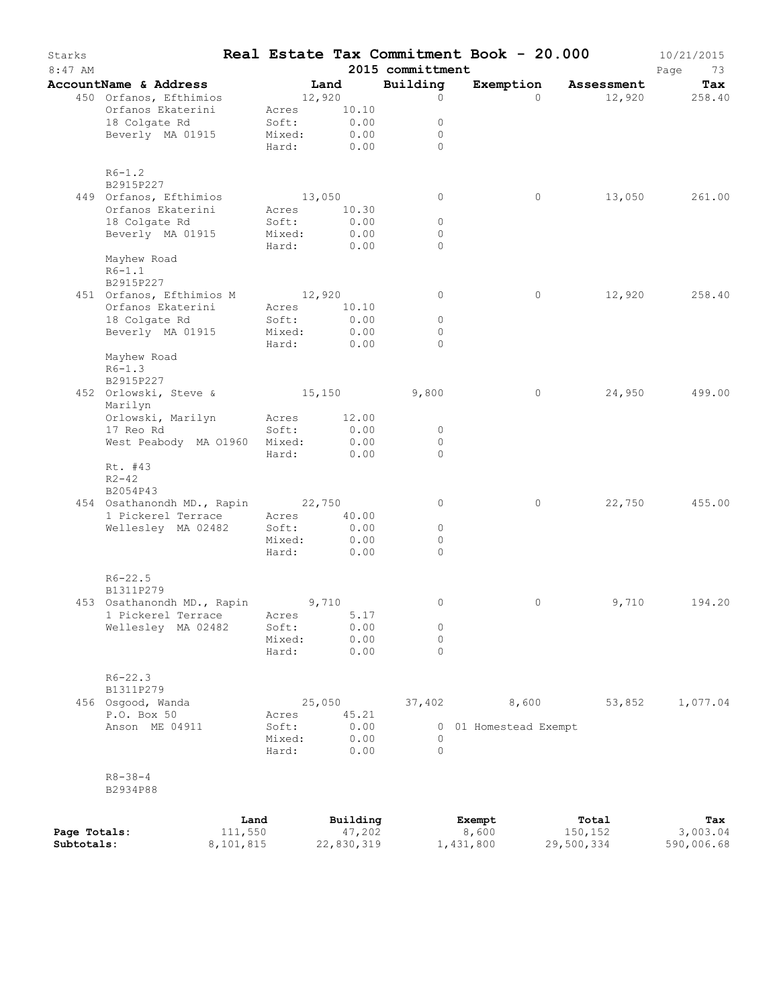| Starks<br>8:47 AM |                                                         |           |                 |              | 2015 committment    | Real Estate Tax Commitment Book - 20.000 |            | 10/21/2015<br>Page<br>73 |
|-------------------|---------------------------------------------------------|-----------|-----------------|--------------|---------------------|------------------------------------------|------------|--------------------------|
|                   | AccountName & Address                                   |           |                 | Land         | Building            | Exemption                                | Assessment | Tax                      |
|                   | 450 Orfanos, Efthimios                                  |           | 12,920          |              | $\circ$             | $\Omega$                                 | 12,920     | 258.40                   |
|                   | Orfanos Ekaterini                                       |           | Acres           | 10.10        |                     |                                          |            |                          |
|                   | 18 Colgate Rd                                           |           | Soft:           | 0.00         | $\circ$             |                                          |            |                          |
|                   | Beverly MA 01915                                        |           | Mixed:          | 0.00         | $\circ$             |                                          |            |                          |
|                   |                                                         |           | Hard:           | 0.00         | $\Omega$            |                                          |            |                          |
|                   | $R6 - 1.2$                                              |           |                 |              |                     |                                          |            |                          |
|                   | B2915P227                                               |           |                 |              |                     |                                          |            |                          |
|                   | 449 Orfanos, Efthimios                                  |           | 13,050          |              | $\circ$             | 0                                        | 13,050     | 261.00                   |
|                   | Orfanos Ekaterini                                       |           | Acres           | 10.30        |                     |                                          |            |                          |
|                   | 18 Colgate Rd                                           |           | Soft:           | 0.00         | $\circ$             |                                          |            |                          |
|                   | Beverly MA 01915                                        |           | Mixed:<br>Hard: | 0.00<br>0.00 | $\circ$<br>$\Omega$ |                                          |            |                          |
|                   | Mayhew Road                                             |           |                 |              |                     |                                          |            |                          |
|                   | $R6-1.1$                                                |           |                 |              |                     |                                          |            |                          |
|                   | B2915P227                                               |           |                 |              |                     |                                          |            |                          |
|                   | 451 Orfanos, Efthimios M                                |           | 12,920          |              | $\circ$             | 0                                        | 12,920     | 258.40                   |
|                   | Orfanos Ekaterini                                       |           | Acres           | 10.10        |                     |                                          |            |                          |
|                   | 18 Colgate Rd                                           |           | Soft:           | 0.00         | $\circ$             |                                          |            |                          |
|                   | Beverly MA 01915                                        |           | Mixed:          | 0.00         | $\circ$             |                                          |            |                          |
|                   |                                                         |           | Hard:           | 0.00         | $\Omega$            |                                          |            |                          |
|                   | Mayhew Road                                             |           |                 |              |                     |                                          |            |                          |
|                   | $R6 - 1.3$                                              |           |                 |              |                     |                                          |            |                          |
|                   | B2915P227                                               |           |                 |              |                     |                                          |            |                          |
|                   | 452 Orlowski, Steve &                                   |           | 15,150          |              | 9,800               | $\circ$                                  | 24,950     | 499.00                   |
|                   | Marilyn                                                 |           |                 |              |                     |                                          |            |                          |
|                   | Orlowski, Marilyn                                       |           | Acres           | 12.00        |                     |                                          |            |                          |
|                   | 17 Reo Rd                                               |           | Soft:           | 0.00         | $\circ$             |                                          |            |                          |
|                   | West Peabody MA 01960 Mixed:                            |           |                 | 0.00         | $\circ$             |                                          |            |                          |
|                   |                                                         |           | Hard:           | 0.00         | $\Omega$            |                                          |            |                          |
|                   | Rt. #43                                                 |           |                 |              |                     |                                          |            |                          |
|                   | $R2 - 42$                                               |           |                 |              |                     |                                          |            |                          |
|                   | B2054P43                                                |           |                 |              |                     |                                          |            |                          |
|                   | 454 Osathanondh MD., Rapin 22,750<br>1 Pickerel Terrace |           | Acres 40.00     |              | 0                   | 0                                        | 22,750     | 455.00                   |
|                   | Wellesley MA 02482                                      |           | Soft:           | 0.00         | $\circ$             |                                          |            |                          |
|                   |                                                         |           | Mixed:          | 0.00         | 0                   |                                          |            |                          |
|                   |                                                         |           | Hard:           | 0.00         | $\Omega$            |                                          |            |                          |
|                   |                                                         |           |                 |              |                     |                                          |            |                          |
|                   | $R6 - 22.5$                                             |           |                 |              |                     |                                          |            |                          |
|                   | B1311P279                                               |           |                 |              |                     |                                          |            |                          |
|                   | 453 Osathanondh MD., Rapin 9,710                        |           |                 |              | 0                   | 0                                        | 9,710      | 194.20                   |
|                   | 1 Pickerel Terrace Acres                                |           |                 | 5.17<br>0.00 | 0                   |                                          |            |                          |
|                   | Wellesley MA 02482                                      |           | Soft:<br>Mixed: | 0.00         | 0                   |                                          |            |                          |
|                   |                                                         |           | Hard:           | 0.00         | 0                   |                                          |            |                          |
|                   |                                                         |           |                 |              |                     |                                          |            |                          |
|                   | $R6 - 22.3$                                             |           |                 |              |                     |                                          |            |                          |
|                   | B1311P279                                               |           |                 |              |                     |                                          |            |                          |
|                   | 456 Osgood, Wanda                                       |           | 25,050          |              | 37,402              | 8,600                                    | 53,852     | 1,077.04                 |
|                   | P.O. Box 50                                             |           | Acres           | 45.21        |                     |                                          |            |                          |
|                   | Anson ME 04911                                          |           | Soft:           | 0.00         |                     | 0 01 Homestead Exempt                    |            |                          |
|                   |                                                         |           | Mixed:          | 0.00         | $\circ$             |                                          |            |                          |
|                   |                                                         |           | Hard:           | 0.00         | 0                   |                                          |            |                          |
|                   |                                                         |           |                 |              |                     |                                          |            |                          |
|                   | $R8 - 38 - 4$                                           |           |                 |              |                     |                                          |            |                          |
|                   | B2934P88                                                |           |                 |              |                     |                                          |            |                          |
|                   |                                                         |           |                 |              |                     |                                          |            |                          |
|                   |                                                         | Land      |                 | Building     |                     | Exempt                                   | Total      | Tax                      |
| Page Totals:      |                                                         | 111,550   |                 | 47,202       |                     | 8,600                                    | 150,152    | 3,003.04                 |
| Subtotals:        |                                                         | 8,101,815 |                 | 22,830,319   |                     | 1,431,800                                | 29,500,334 | 590,006.68               |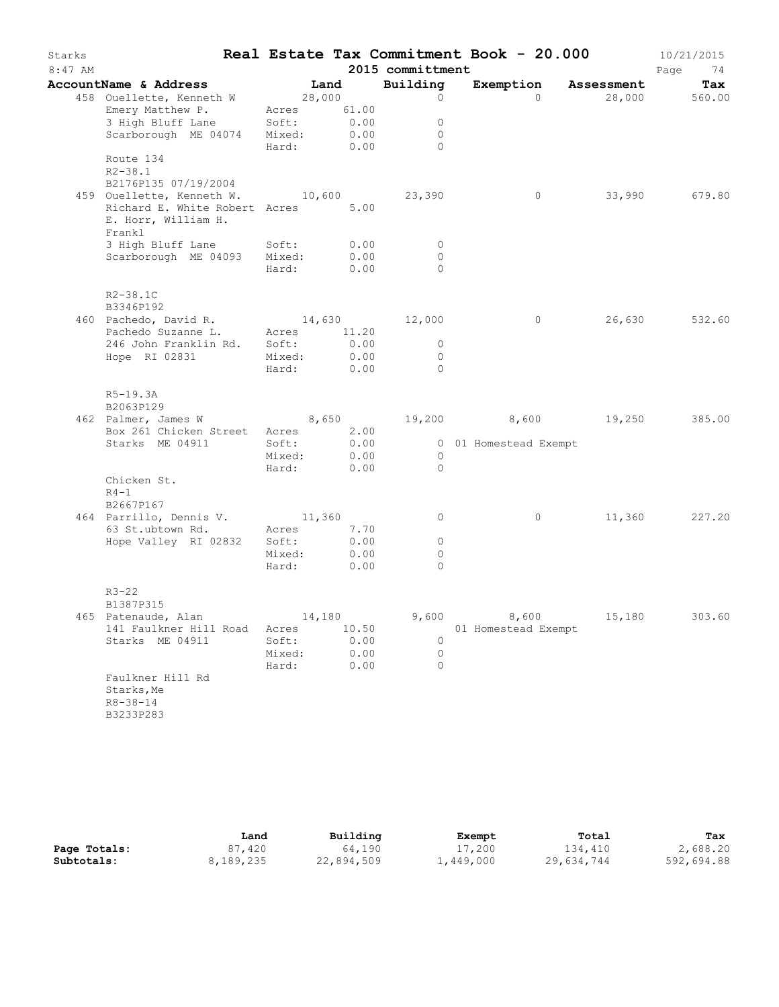| Starks    |                                                               |            |                  |                     | Real Estate Tax Commitment Book - 20.000 |                      | 10/21/2015           |
|-----------|---------------------------------------------------------------|------------|------------------|---------------------|------------------------------------------|----------------------|----------------------|
| $8:47$ AM |                                                               |            |                  | 2015 committment    |                                          |                      | Page<br>74           |
|           | AccountName & Address<br>458 Ouellette, Kenneth W             | 28,000     | Land             | Building<br>$\circ$ | $\bigcap$                                | Exemption Assessment | Tax<br>28,000 560.00 |
|           | Emery Matthew P. Acres 61.00                                  |            |                  |                     |                                          |                      |                      |
|           |                                                               |            |                  | 0                   |                                          |                      |                      |
|           | 3 High Bluff Lane Soft:<br>Scarborough ME 04074 Mixed:        |            | $0.00$<br>$0.00$ | $\circ$             |                                          |                      |                      |
|           |                                                               | Hard: 0.00 |                  | $\Omega$            |                                          |                      |                      |
|           | Route 134<br>$R2 - 38.1$                                      |            |                  |                     |                                          |                      |                      |
|           | B2176P135 07/19/2004                                          |            |                  |                     |                                          |                      |                      |
|           | 459 Ouellette, Kenneth W. 10,600                              |            |                  | 23,390              | $\overline{0}$                           |                      | 33,990 679.80        |
|           | Richard E. White Robert Acres 5.00                            |            |                  |                     |                                          |                      |                      |
|           | E. Horr, William H.                                           |            |                  |                     |                                          |                      |                      |
|           | Frankl                                                        |            |                  |                     |                                          |                      |                      |
|           | 3 High Bluff Lane Soft:<br>Scarborough ME 04093 Mixed:        |            | 0.00<br>0.00     | $\circ$<br>$\circ$  |                                          |                      |                      |
|           |                                                               | Hard:      | 0.00             | $\bigcap$           |                                          |                      |                      |
|           |                                                               |            |                  |                     |                                          |                      |                      |
|           | $R2 - 38.1C$                                                  |            |                  |                     |                                          |                      |                      |
|           | B3346P192                                                     |            |                  |                     |                                          |                      |                      |
|           | 460 Pachedo, David R.                                         | 14,630     |                  | 12,000              | $\circ$                                  |                      | 26,630 532.60        |
|           | Pachedo Suzanne L. Acres 11.20<br>246 John Franklin Rd. Soft: |            | 0.00             | $\circ$             |                                          |                      |                      |
|           | Mixed:<br>Hope RI 02831                                       |            | 0.00             | $\circ$             |                                          |                      |                      |
|           |                                                               | Hard:      | 0.00             | $\Omega$            |                                          |                      |                      |
|           |                                                               |            |                  |                     |                                          |                      |                      |
|           | R5-19.3A                                                      |            |                  |                     |                                          |                      |                      |
|           | B2063P129<br>462 Palmer, James W                              |            |                  |                     | 8,650 19,200 8,600 19,250 385.00         |                      |                      |
|           | Box 261 Chicken Street Acres                                  |            | 2.00             |                     |                                          |                      |                      |
|           | Starks ME 04911                                               | Soft:      | 0.00             |                     | 0 01 Homestead Exempt                    |                      |                      |
|           |                                                               | Mixed:     | 0.00             | $\circ$             |                                          |                      |                      |
|           |                                                               | Hard:      | 0.00             | $\bigcirc$          |                                          |                      |                      |
|           | Chicken St.                                                   |            |                  |                     |                                          |                      |                      |
|           | $R4-1$<br>B2667P167                                           |            |                  |                     |                                          |                      |                      |
|           | 464 Parrillo, Dennis V. 11,360                                |            |                  | $\circ$             | $\overline{0}$                           |                      | 11,360 227.20        |
|           | 63 St.ubtown Rd. Acres                                        |            | 7.70             |                     |                                          |                      |                      |
|           | Hope Valley RI 02832 Soft:                                    |            | 0.00             | $\circ$             |                                          |                      |                      |
|           |                                                               | Mixed:     | 0.00             | $\circ$             |                                          |                      |                      |
|           |                                                               | Hard:      | 0.00             | $\Omega$            |                                          |                      |                      |
|           |                                                               |            |                  |                     |                                          |                      |                      |
|           | $R3 - 22$<br>B1387P315                                        |            |                  |                     |                                          |                      |                      |
|           | 465 Patenaude, Alan                                           | 14,180     |                  | 9,600               | 8,600                                    | 15,180               | 303.60               |
|           | 141 Faulkner Hill Road                                        | Acres      | 10.50            |                     | 01 Homestead Exempt                      |                      |                      |
|           | Starks ME 04911                                               | Soft:      | 0.00             | 0                   |                                          |                      |                      |
|           |                                                               | Mixed:     | 0.00             | $\circ$             |                                          |                      |                      |
|           | Faulkner Hill Rd                                              | Hard:      | 0.00             | $\circ$             |                                          |                      |                      |
|           | Starks, Me                                                    |            |                  |                     |                                          |                      |                      |
|           | $R8 - 38 - 14$                                                |            |                  |                     |                                          |                      |                      |
|           | B3233P283                                                     |            |                  |                     |                                          |                      |                      |
|           |                                                               |            |                  |                     |                                          |                      |                      |

|              | Land      | Building   | Exempt    | Total      | Tax        |
|--------------|-----------|------------|-----------|------------|------------|
| Page Totals: | 87,420    | 64,190     | 17,200    | 134,410    | 2,688.20   |
| Subtotals:   | 8,189,235 | 22,894,509 | 1,449,000 | 29,634,744 | 592,694.88 |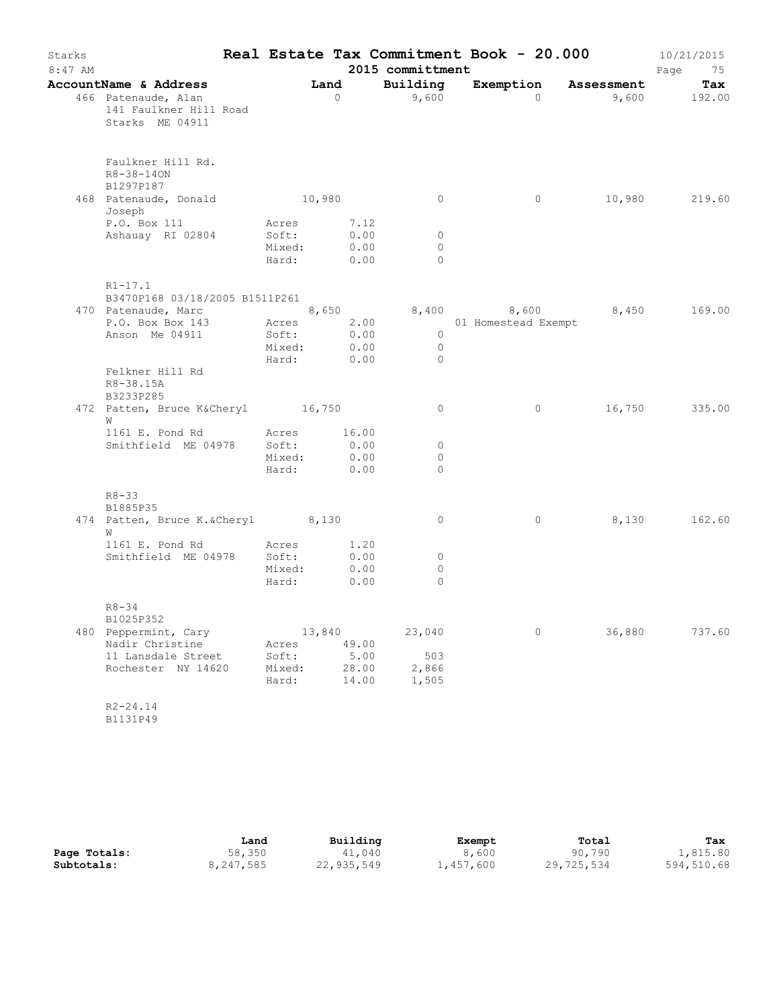| Starks<br>$8:47$ AM |                                                                                                      |                                   |                        |                              | 2015 committment                      | Real Estate Tax Commitment Book - 20.000 |        | 10/21/2015<br>Page<br>75 |
|---------------------|------------------------------------------------------------------------------------------------------|-----------------------------------|------------------------|------------------------------|---------------------------------------|------------------------------------------|--------|--------------------------|
|                     | <b>AccountName &amp; Address</b><br>466 Patenaude, Alan<br>141 Faulkner Hill Road<br>Starks ME 04911 |                                   | Land<br>$\overline{0}$ |                              | Building<br>9,600                     | Exemption Assessment<br>$\Omega$         |        | Tax<br>$9,600$ 192.00    |
|                     | Faulkner Hill Rd.<br>R8-38-140N<br>B1297P187<br>468 Patenaude, Donald                                | 10,980                            |                        |                              | $\circ$                               | $\circ$                                  |        | 10,980 219.60            |
|                     | Joseph                                                                                               |                                   |                        |                              |                                       |                                          |        |                          |
|                     | P.O. Box 111<br>Ashauay RI 02804                                                                     | Acres<br>Soft:<br>Mixed:<br>Hard: |                        | 7.12<br>0.00<br>0.00<br>0.00 | $\overline{0}$<br>$\circ$<br>$\Omega$ |                                          |        |                          |
|                     | $R1 - 17.1$<br>B3470P168 03/18/2005 B1511P261                                                        |                                   |                        |                              |                                       |                                          |        |                          |
|                     | 470 Patenaude, Marc 8,650                                                                            |                                   |                        |                              |                                       | 8,400 8,600 8,450 169.00                 |        |                          |
|                     | P.O. Box Box 143 Acres 2.00<br>Anson Me 04911                                                        | Soft:                             |                        | 0.00                         | $\overline{0}$                        | 01 Homestead Exempt                      |        |                          |
|                     |                                                                                                      | Mixed: 0.00<br>Hard: 0.00         |                        |                              | $\overline{0}$<br>$\circ$             |                                          |        |                          |
|                     | Felkner Hill Rd<br>R8-38.15A<br>B3233P285                                                            |                                   |                        |                              |                                       |                                          |        |                          |
|                     | 472 Patten, Bruce K&Cheryl 16,750<br>W                                                               |                                   |                        |                              | $\circ$                               | $\circ$                                  |        | 16,750 335.00            |
|                     | 1161 E. Pond Rd Acres 16.00                                                                          |                                   |                        |                              |                                       |                                          |        |                          |
|                     | Smithfield ME 04978                                                                                  | Soft:                             |                        | 0.00<br>0.00                 | $\circ$<br>0                          |                                          |        |                          |
|                     |                                                                                                      | Mixed:<br>Hard: 0.00              |                        |                              | $\Omega$                              |                                          |        |                          |
|                     | $R8 - 33$<br>B1885P35                                                                                |                                   |                        |                              |                                       |                                          |        |                          |
|                     | 474 Patten, Bruce K. & Cheryl 8,130<br>W                                                             |                                   |                        |                              | $\circ$                               | $\circ$                                  | 8,130  | 162.60                   |
|                     | 1161 E. Pond Rd                                                                                      | Acres                             |                        | 1.20                         |                                       |                                          |        |                          |
|                     | Smithfield ME 04978                                                                                  | Soft:                             |                        | 0.00                         | $\circ$                               |                                          |        |                          |
|                     |                                                                                                      | Mixed:<br>Hard:                   |                        | 0.00<br>0.00                 | $\circ$<br>$\circ$                    |                                          |        |                          |
|                     | R8-34<br>B1025P352                                                                                   |                                   |                        |                              |                                       |                                          |        |                          |
|                     | 480 Peppermint, Cary                                                                                 |                                   | 13,840                 |                              | 23,040                                | $\circ$                                  | 36,880 | 737.60                   |
|                     | Nadir Christine                                                                                      | Acres                             |                        | 49.00                        |                                       |                                          |        |                          |
|                     | 11 Lansdale Street                                                                                   | Soft:                             |                        | 5.00                         | 503                                   |                                          |        |                          |
|                     | Rochester NY 14620                                                                                   | Mixed:<br>Hard:                   |                        | 28.00<br>14.00               | 2,866<br>1,505                        |                                          |        |                          |
|                     | $R2 - 24.14$<br>B1131P49                                                                             |                                   |                        |                              |                                       |                                          |        |                          |

|              | Land      | Building   | Exempt    | Total      | Tax        |
|--------------|-----------|------------|-----------|------------|------------|
| Page Totals: | 58,350    | 41,040     | 8,600     | 90,790     | 1,815.80   |
| Subtotals:   | 8,247,585 | 22,935,549 | 1,457,600 | 29,725,534 | 594,510.68 |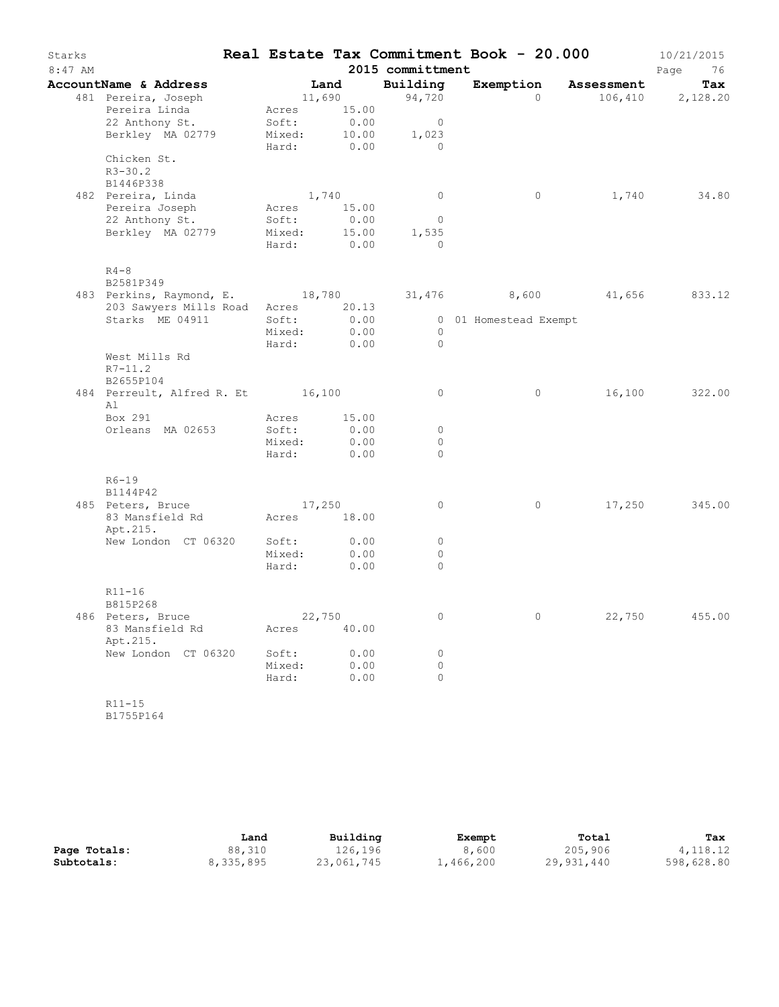| Starks<br>8:47 AM |                                   |                 |              | Real Estate Tax Commitment Book - 20.000<br>2015 committment |                       |          |                     | 10/21/2015<br>76<br>Page |
|-------------------|-----------------------------------|-----------------|--------------|--------------------------------------------------------------|-----------------------|----------|---------------------|--------------------------|
|                   | AccountName & Address             |                 | Land         | Building                                                     | Exemption             |          | Assessment          | Tax                      |
|                   | 481 Pereira, Joseph               | 11,690          |              | 94,720                                                       |                       | $\Omega$ | 106,410             | 2,128.20                 |
|                   | Pereira Linda                     | Acres           | 15.00        |                                                              |                       |          |                     |                          |
|                   | 22 Anthony St.                    | Soft:           | 0.00         | $\overline{0}$                                               |                       |          |                     |                          |
|                   | Berkley MA 02779                  | Mixed:          | 10.00        | 1,023                                                        |                       |          |                     |                          |
|                   |                                   | Hard:           | 0.00         | $\Omega$                                                     |                       |          |                     |                          |
|                   | Chicken St.                       |                 |              |                                                              |                       |          |                     |                          |
|                   | $R3 - 30.2$                       |                 |              |                                                              |                       |          |                     |                          |
|                   | B1446P338                         |                 |              |                                                              |                       |          |                     |                          |
|                   | 482 Pereira, Linda                | 1,740           |              | $\circ$                                                      |                       | $\circ$  | 1,740               | 34.80                    |
|                   | Pereira Joseph                    | Acres           | 15.00        |                                                              |                       |          |                     |                          |
|                   | 22 Anthony St.                    | Soft:           | 0.00         | $\overline{0}$                                               |                       |          |                     |                          |
|                   | Berkley MA 02779                  | Mixed:          | 15.00        | 1,535<br>$\Omega$                                            |                       |          |                     |                          |
|                   |                                   | Hard:           | 0.00         |                                                              |                       |          |                     |                          |
|                   | $R4-8$                            |                 |              |                                                              |                       |          |                     |                          |
|                   | B2581P349                         |                 |              |                                                              |                       |          |                     |                          |
|                   | 483 Perkins, Raymond, E. 18,780   |                 |              |                                                              |                       |          | 31,476 8,600 41,656 | 833.12                   |
|                   | 203 Sawyers Mills Road            | Acres 20.13     |              |                                                              |                       |          |                     |                          |
|                   | Starks ME 04911                   | Soft:           | 0.00         |                                                              | 0 01 Homestead Exempt |          |                     |                          |
|                   |                                   | Mixed:          | 0.00         | $\overline{0}$                                               |                       |          |                     |                          |
|                   |                                   | Hard:           | 0.00         | $\overline{0}$                                               |                       |          |                     |                          |
|                   | West Mills Rd<br>$R7 - 11.2$      |                 |              |                                                              |                       |          |                     |                          |
|                   | B2655P104                         |                 |              |                                                              |                       |          |                     |                          |
|                   | 484 Perreult, Alfred R. Et 16,100 |                 |              | $\circ$                                                      |                       | $\circ$  | 16,100              | 322.00                   |
|                   | Al                                |                 |              |                                                              |                       |          |                     |                          |
|                   | Box 291                           | Acres           | 15.00        |                                                              |                       |          |                     |                          |
|                   | Orleans MA 02653                  | Soft:           | 0.00         | $\circ$                                                      |                       |          |                     |                          |
|                   |                                   | Mixed:          | 0.00         | $\circ$                                                      |                       |          |                     |                          |
|                   |                                   | Hard:           | 0.00         | $\Omega$                                                     |                       |          |                     |                          |
|                   |                                   |                 |              |                                                              |                       |          |                     |                          |
|                   | $R6-19$                           |                 |              |                                                              |                       |          |                     |                          |
|                   | B1144P42                          |                 |              |                                                              |                       |          |                     |                          |
|                   | 485 Peters, Bruce                 | 17,250          |              | $\circ$                                                      |                       | $\circ$  | 17,250              | 345.00                   |
|                   | 83 Mansfield Rd                   | Acres 18.00     |              |                                                              |                       |          |                     |                          |
|                   | Apt.215.                          |                 |              |                                                              |                       |          |                     |                          |
|                   | New London CT 06320               | Soft:           | 0.00         | $\circ$                                                      |                       |          |                     |                          |
|                   |                                   | Mixed:<br>Hard: | 0.00<br>0.00 | $\circ$<br>$\Omega$                                          |                       |          |                     |                          |
|                   |                                   |                 |              |                                                              |                       |          |                     |                          |
|                   | R11-16                            |                 |              |                                                              |                       |          |                     |                          |
|                   | B815P268                          |                 |              |                                                              |                       |          |                     |                          |
|                   | 486 Peters, Bruce                 | 22,750          |              | $\circ$                                                      |                       | $\circ$  | 22,750              | 455.00                   |
|                   | 83 Mansfield Rd                   | Acres 40.00     |              |                                                              |                       |          |                     |                          |
|                   | Apt.215.                          |                 |              |                                                              |                       |          |                     |                          |
|                   | New London CT 06320               | Soft:           | 0.00         | $\circ$                                                      |                       |          |                     |                          |
|                   |                                   | Mixed:          | 0.00         | $\Omega$                                                     |                       |          |                     |                          |
|                   |                                   | Hard:           | 0.00         | $\circ$                                                      |                       |          |                     |                          |
|                   |                                   |                 |              |                                                              |                       |          |                     |                          |
|                   | $R11 - 15$                        |                 |              |                                                              |                       |          |                     |                          |

B1755P164

|              | Land      | Building   | Exempt    | Total      | Tax        |
|--------------|-----------|------------|-----------|------------|------------|
| Page Totals: | 88,310    | 126,196    | 8,600     | 205,906    | 4, 118.12  |
| Subtotals:   | 8,335,895 | 23,061,745 | 1,466,200 | 29,931,440 | 598,628.80 |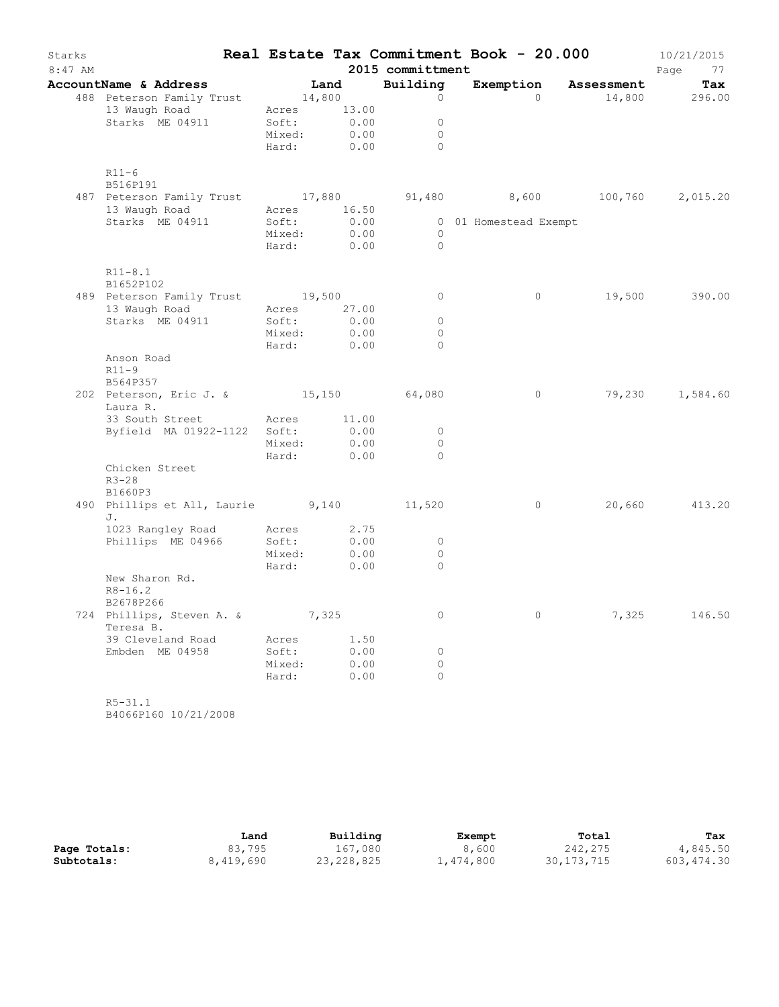| Starks<br>$8:47$ AM |                                                                        |                      |                  | 2015 committment    | Real Estate Tax Commitment Book - 20.000 |                               | 10/21/2015<br>Page<br>77 |
|---------------------|------------------------------------------------------------------------|----------------------|------------------|---------------------|------------------------------------------|-------------------------------|--------------------------|
|                     | AccountName & Address                                                  |                      |                  | Building            |                                          | Exemption Assessment          | Tax                      |
|                     | <b>DuntName &amp; Address</b> Land<br>488 Peterson Family Trust 14,800 |                      |                  | $\circ$             | $\bigcirc$                               | 14,800 296.00                 |                          |
|                     | 13 Waugh Road Acres 13.00                                              |                      |                  |                     |                                          |                               |                          |
|                     | Starks ME 04911                                                        | Soft:                | $0.00$<br>$0.00$ | $\circ$             |                                          |                               |                          |
|                     |                                                                        | Mixed:<br>Hard: 0.00 |                  | $\circ$<br>$\Omega$ |                                          |                               |                          |
|                     | $R11-6$                                                                |                      |                  |                     |                                          |                               |                          |
|                     | B516P191<br>487 Peterson Family Trust 17,880                           |                      |                  |                     |                                          | 91,480 8,600 100,760 2,015.20 |                          |
|                     | 13 Waugh Road                                                          | Acres 16.50          |                  |                     |                                          |                               |                          |
|                     | Starks ME 04911                                                        | Soft:                | 0.00             |                     | 0 01 Homestead Exempt                    |                               |                          |
|                     |                                                                        | Mixed:               | 0.00             | $\overline{0}$      |                                          |                               |                          |
|                     |                                                                        | Hard: 0.00           |                  | $\bigcirc$          |                                          |                               |                          |
|                     | $R11 - 8.1$<br>B1652P102                                               |                      |                  |                     |                                          |                               |                          |
|                     | 489 Peterson Family Trust 19,500                                       |                      |                  | $\circ$             | $\circ$                                  |                               | 19,500 390.00            |
|                     | 13 Waugh Road Macres 27.00                                             |                      |                  |                     |                                          |                               |                          |
|                     |                                                                        |                      |                  | 0                   |                                          |                               |                          |
|                     | Starks ME 04911 Soft: 0.00<br>Mixed: 0.00                              |                      |                  | $\circ$             |                                          |                               |                          |
|                     |                                                                        | Hard:                | 0.00             | $\Omega$            |                                          |                               |                          |
|                     | Anson Road                                                             |                      |                  |                     |                                          |                               |                          |
|                     | $R11-9$                                                                |                      |                  |                     |                                          |                               |                          |
|                     | B564P357<br>202 Peterson, Eric J. & 15,150 64,080                      |                      |                  |                     | $\circ$                                  |                               | 79,230 1,584.60          |
|                     | Laura R.                                                               |                      |                  |                     |                                          |                               |                          |
|                     | 33 South Street Acres 11.00                                            |                      |                  |                     |                                          |                               |                          |
|                     | Byfield MA 01922-1122 Soft:                                            |                      | 0.00             | $\circ$             |                                          |                               |                          |
|                     |                                                                        | Mixed:               | 0.00             | 0                   |                                          |                               |                          |
|                     |                                                                        | Hard:                | 0.00             | $\circ$             |                                          |                               |                          |
|                     | Chicken Street<br>$R3 - 28$                                            |                      |                  |                     |                                          |                               |                          |
|                     | B1660P3                                                                |                      |                  |                     |                                          |                               |                          |
|                     | 490 Phillips et All, Laurie 9,140                                      |                      |                  | 11,520              | $\overline{0}$                           |                               | 20,660 413.20            |
|                     | J.                                                                     |                      | 2.75             |                     |                                          |                               |                          |
|                     | 1023 Rangley Road Acres<br>Phillips ME 04966 Soft:                     |                      | 0.00             | $\circ$             |                                          |                               |                          |
|                     |                                                                        | Mixed:               | 0.00             | 0                   |                                          |                               |                          |
|                     |                                                                        | Hard:                | 0.00             | $\Omega$            |                                          |                               |                          |
|                     | New Sharon Rd.                                                         |                      |                  |                     |                                          |                               |                          |
|                     | $R8 - 16.2$                                                            |                      |                  |                     |                                          |                               |                          |
|                     | B2678P266                                                              |                      |                  |                     |                                          |                               |                          |
|                     | 724 Phillips, Steven A. & 7,325<br>Teresa B.                           |                      |                  |                     | $\circ$                                  | 7,325                         | 146.50                   |
|                     | 39 Cleveland Road                                                      | Acres                | 1.50             |                     |                                          |                               |                          |
|                     | Embden ME 04958                                                        | Soft:                | 0.00             | $\circ$             |                                          |                               |                          |
|                     |                                                                        | Mixed:               | 0.00             | $\circ$<br>$\circ$  |                                          |                               |                          |
|                     |                                                                        | Hard:                | 0.00             |                     |                                          |                               |                          |
|                     | $R5 - 31.1$                                                            |                      |                  |                     |                                          |                               |                          |
|                     | B4066P160 10/21/2008                                                   |                      |                  |                     |                                          |                               |                          |

|              | Land      | Building     | Exempt    | Total        | Tax         |
|--------------|-----------|--------------|-----------|--------------|-------------|
| Page Totals: | 83,795    | 167,080      | 8,600     | 242,275      | 4,845.50    |
| Subtotals:   | 8,419,690 | 23, 228, 825 | 1,474,800 | 30, 173, 715 | 603, 474.30 |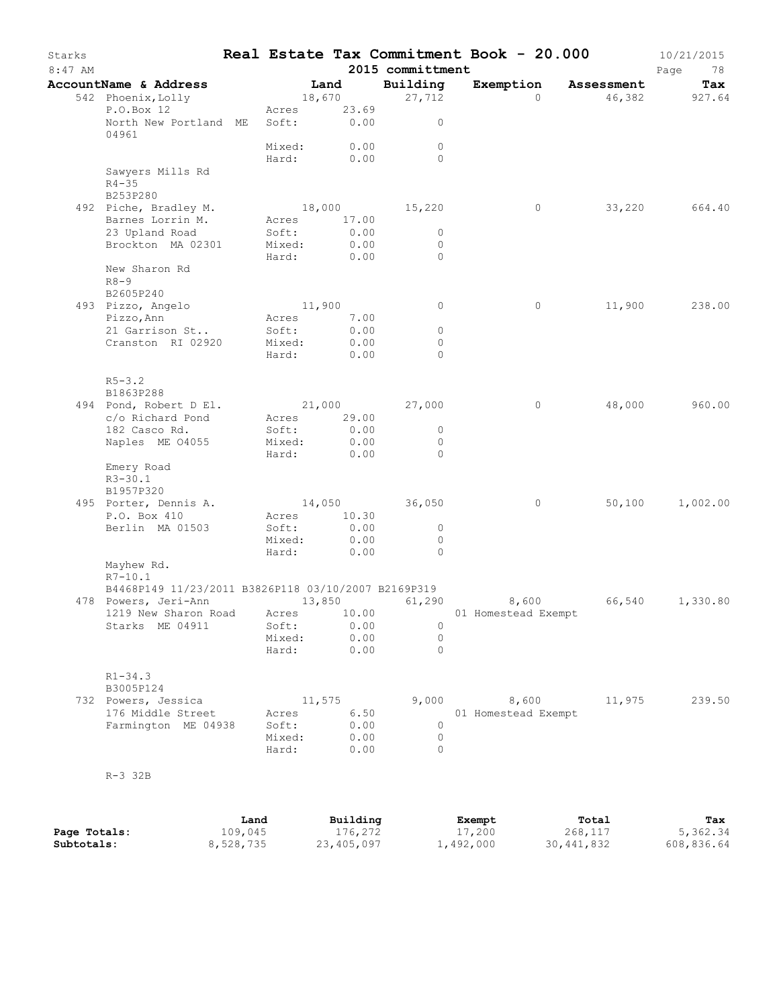| Starks<br>$8:47$ AM |                                                                              |                 |                           |        |                     | Real Estate Tax Commitment Book - 20.000<br>2015 committment |                     |              |                      | 10/21/2015<br>Page<br>78 |
|---------------------|------------------------------------------------------------------------------|-----------------|---------------------------|--------|---------------------|--------------------------------------------------------------|---------------------|--------------|----------------------|--------------------------|
|                     | AccountName & Address<br>542 Phoenix, Lolly                                  |                 |                           | Land   | 18,670              | Building<br>27,712                                           |                     | $\Omega$     | Exemption Assessment | Tax<br>46,382 927.64     |
|                     | P.O.Box 12<br>North New Portland ME                                          |                 | Acres 23.69<br>Soft: 0.00 |        |                     | $\circ$                                                      |                     |              |                      |                          |
|                     | 04961                                                                        |                 | Mixed:                    |        | 0.00                | $\Omega$                                                     |                     |              |                      |                          |
|                     |                                                                              |                 | Hard: 0.00                |        |                     | $\Omega$                                                     |                     |              |                      |                          |
|                     | Sawyers Mills Rd<br>$R4 - 35$<br>B253P280                                    |                 |                           |        |                     |                                                              |                     |              |                      |                          |
|                     | 492 Piche, Bradley M.                                                        |                 |                           |        |                     | 18,000 15,220                                                |                     | $\circ$      |                      | 33,220 664.40            |
|                     | Barnes Lorrin M.<br>23 Upland Road                                           |                 | Acres                     |        | 17.00<br>0.00       | $\circ$                                                      |                     |              |                      |                          |
|                     | Brockton MA 02301                                                            |                 | Soft:<br>Mixed:           |        | 0.00                | $\circ$                                                      |                     |              |                      |                          |
|                     |                                                                              |                 | Hard:                     |        | 0.00                | $\circ$                                                      |                     |              |                      |                          |
|                     | New Sharon Rd<br>$R8 - 9$<br>B2605P240                                       |                 |                           |        |                     |                                                              |                     |              |                      |                          |
|                     | 493 Pizzo, Angelo                                                            |                 | 11,900                    |        |                     | $\circ$                                                      |                     | 0            | 11,900               | 238.00                   |
|                     | Pizzo, Ann                                                                   |                 | Acres 7.00                |        |                     |                                                              |                     |              |                      |                          |
|                     | 21 Garrison St                                                               |                 | Soft:                     |        | 0.00                | $\circ$                                                      |                     |              |                      |                          |
|                     | Cranston RI 02920                                                            |                 | Mixed:<br>Hard:           |        | 0.00<br>0.00        | $\circ$<br>$\Omega$                                          |                     |              |                      |                          |
|                     | $R5 - 3.2$                                                                   |                 |                           |        |                     |                                                              |                     |              |                      |                          |
|                     | B1863P288                                                                    |                 |                           |        |                     |                                                              |                     |              |                      |                          |
|                     | 494 Pond, Robert D El.                                                       |                 | Acres 29.00               |        |                     | 21,000 27,000                                                |                     | $\circ$      | 48,000               | 960.00                   |
|                     | c/o Richard Pond<br>182 Casco Rd.                                            |                 | Soft:                     |        | 0.00                | $\circ$                                                      |                     |              |                      |                          |
|                     | Naples ME 04055                                                              |                 | Mixed:                    |        | 0.00                | $\circ$                                                      |                     |              |                      |                          |
|                     |                                                                              |                 | Hard:                     |        | 0.00                | $\Omega$                                                     |                     |              |                      |                          |
|                     | Emery Road<br>$R3 - 30.1$<br>B1957P320                                       |                 |                           |        |                     |                                                              |                     |              |                      |                          |
|                     | 495 Porter, Dennis A.                                                        |                 |                           |        |                     | 14,050 36,050                                                |                     | $\circ$      | 50,100               | 1,002.00                 |
|                     | P.O. Box 410                                                                 |                 | Acres 10.30               |        |                     |                                                              |                     |              |                      |                          |
|                     | Berlin MA 01503                                                              |                 | Soft:                     |        | 0.00<br>0.00        | $\circ$<br>$\circ$                                           |                     |              |                      |                          |
|                     |                                                                              |                 | Mixed:<br>Hard:           |        | 0.00                | $\Omega$                                                     |                     |              |                      |                          |
|                     | Mayhew Rd.<br>$R7 - 10.1$                                                    |                 |                           |        |                     |                                                              |                     |              |                      |                          |
|                     | B4468P149 11/23/2011 B3826P118 03/10/2007 B2169P319                          |                 |                           |        |                     |                                                              |                     |              |                      |                          |
|                     | 478 Powers, Jeri-Ann<br>1219 New Sharon Road Acres 10.00 01 Homestead Exempt |                 |                           | 13,850 |                     | 61,290                                                       | 8,600               |              |                      | 66,540 1,330.80          |
|                     | Starks ME 04911                                                              |                 | Soft:                     |        | 0.00                | 0                                                            |                     |              |                      |                          |
|                     |                                                                              |                 | Mixed:                    |        | 0.00                | 0                                                            |                     |              |                      |                          |
|                     |                                                                              |                 | Hard:                     |        | 0.00                | $\Omega$                                                     |                     |              |                      |                          |
|                     | $R1 - 34.3$<br>B3005P124                                                     |                 |                           |        |                     |                                                              |                     |              |                      |                          |
|                     | 732 Powers, Jessica                                                          |                 |                           | 11,575 |                     | 9,000                                                        | 8,600               |              | 11,975               | 239.50                   |
|                     | 176 Middle Street                                                            |                 | Acres                     |        | 6.50                |                                                              | 01 Homestead Exempt |              |                      |                          |
|                     | Farmington ME 04938                                                          |                 | Soft:<br>Mixed:           |        | 0.00<br>0.00        | 0<br>0                                                       |                     |              |                      |                          |
|                     |                                                                              |                 | Hard:                     |        | 0.00                | $\Omega$                                                     |                     |              |                      |                          |
|                     | $R-3$ 32B                                                                    |                 |                           |        |                     |                                                              |                     |              |                      |                          |
|                     |                                                                              |                 |                           |        |                     |                                                              |                     |              |                      |                          |
| Page Totals:        |                                                                              | Land<br>109,045 |                           |        | Building<br>176,272 |                                                              | Exempt<br>17,200    |              | Total<br>268,117     | Tax<br>5,362.34          |
| Subtotals:          |                                                                              | 8,528,735       |                           |        | 23,405,097          |                                                              | 1,492,000           | 30, 441, 832 |                      | 608,836.64               |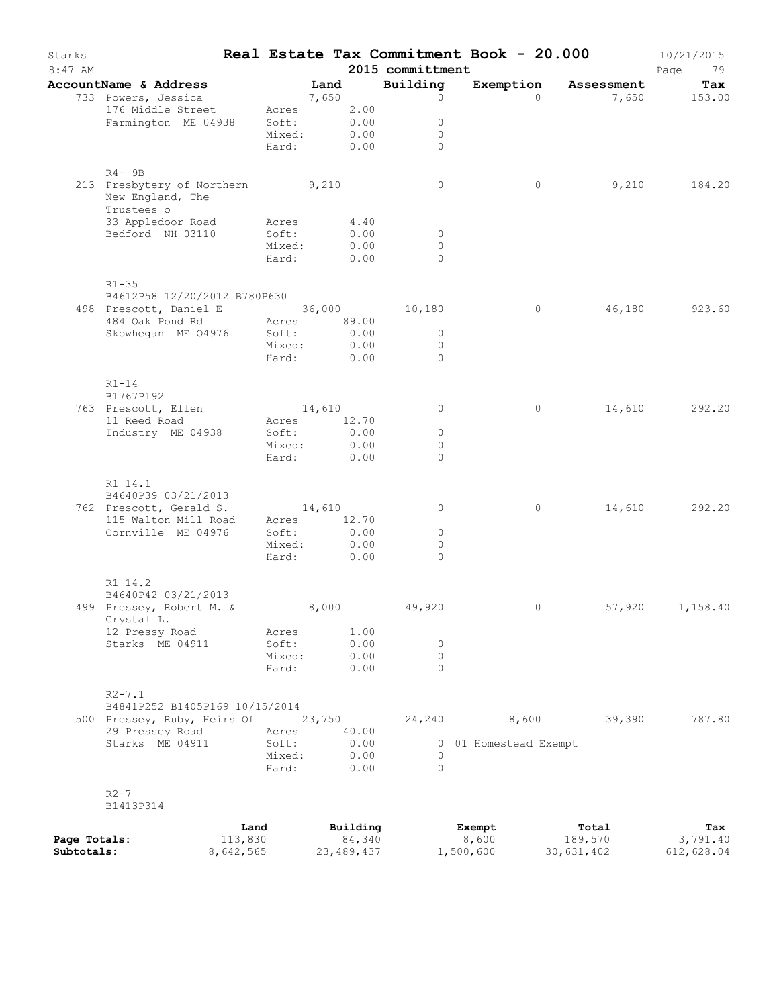| Starks<br>$8:47$ AM |                                                                    |                 |                 |        |                    | 2015 committment         | Real Estate Tax Commitment Book - 20.000 |                  | 10/21/2015<br>Page<br>79 |
|---------------------|--------------------------------------------------------------------|-----------------|-----------------|--------|--------------------|--------------------------|------------------------------------------|------------------|--------------------------|
|                     | AccountName & Address                                              |                 |                 | Land   |                    | Building                 | Exemption Assessment                     |                  | Tax                      |
|                     | 733 Powers, Jessica                                                |                 |                 | 7,650  |                    | $\circ$                  | $\Omega$                                 |                  | 7,650 153.00             |
|                     | 176 Middle Street                                                  |                 | Acres           |        | 2.00               |                          |                                          |                  |                          |
|                     | Farmington ME 04938                                                |                 | Soft:           |        | 0.00               | $\circ$                  |                                          |                  |                          |
|                     |                                                                    |                 | Mixed:          |        | 0.00               | $\circ$                  |                                          |                  |                          |
|                     |                                                                    |                 | Hard: 0.00      |        |                    | $\Omega$                 |                                          |                  |                          |
|                     | $R4 - 9B$                                                          |                 |                 |        |                    |                          |                                          |                  |                          |
|                     | 213 Presbytery of Northern 9,210<br>New England, The<br>Trustees o |                 |                 |        |                    | $\circ$                  | 0                                        | 9,210            | 184.20                   |
|                     | 33 Appledoor Road                                                  |                 | Acres           |        | 4.40               |                          |                                          |                  |                          |
|                     | Bedford NH 03110                                                   |                 | Soft:           |        | 0.00               | $\overline{0}$           |                                          |                  |                          |
|                     |                                                                    |                 | Mixed:<br>Hard: |        | 0.00<br>0.00       | $\circ$<br>$\Omega$      |                                          |                  |                          |
|                     | $R1 - 35$                                                          |                 |                 |        |                    |                          |                                          |                  |                          |
|                     | B4612P58 12/20/2012 B780P630                                       |                 |                 |        |                    |                          |                                          |                  |                          |
|                     | 498 Prescott, Daniel E 36,000 10,180                               |                 |                 |        |                    |                          | $\circ$                                  | 46,180           | 923.60                   |
|                     | 484 Oak Pond Rd                                                    |                 | Acres           |        | 89.00              |                          |                                          |                  |                          |
|                     | Skowhegan ME 04976                                                 |                 | Soft:           |        | 0.00               | $\overline{0}$           |                                          |                  |                          |
|                     |                                                                    |                 | Mixed:<br>Hard: |        | 0.00<br>0.00       | $\mathbf{0}$<br>$\Omega$ |                                          |                  |                          |
|                     |                                                                    |                 |                 |        |                    |                          |                                          |                  |                          |
|                     | $R1-14$                                                            |                 |                 |        |                    |                          |                                          |                  |                          |
|                     | B1767P192                                                          |                 |                 |        |                    |                          |                                          |                  |                          |
|                     | 763 Prescott, Ellen                                                |                 | 14,610          |        |                    | $\circ$                  | $\circ$                                  |                  | 14,610 292.20            |
|                     | 11 Reed Road                                                       |                 | Acres           |        | 12.70              |                          |                                          |                  |                          |
|                     | Industry ME 04938                                                  |                 | Soft:<br>Mixed: |        | 0.00<br>0.00       | $\circ$<br>0             |                                          |                  |                          |
|                     |                                                                    |                 | Hard:           |        | 0.00               | $\Omega$                 |                                          |                  |                          |
|                     |                                                                    |                 |                 |        |                    |                          |                                          |                  |                          |
|                     | R1 14.1                                                            |                 |                 |        |                    |                          |                                          |                  |                          |
|                     | B4640P39 03/21/2013                                                |                 |                 |        |                    |                          |                                          |                  |                          |
|                     | 762 Prescott, Gerald S.                                            |                 | 14,610          |        |                    | 0                        | 0                                        | 14,610           | 292.20                   |
|                     | 115 Walton Mill Road                                               |                 | Acres           |        | 12.70              |                          |                                          |                  |                          |
|                     | Cornville ME 04976                                                 |                 | Soft:           |        | 0.00               | $\circ$                  |                                          |                  |                          |
|                     |                                                                    |                 | Mixed:          |        | 0.00               | $\Omega$                 |                                          |                  |                          |
|                     |                                                                    |                 | Hard:           |        | 0.00               | $\Omega$                 |                                          |                  |                          |
|                     | R1 14.2                                                            |                 |                 |        |                    |                          |                                          |                  |                          |
|                     | B4640P42 03/21/2013                                                |                 |                 |        |                    |                          |                                          |                  |                          |
|                     | 499 Pressey, Robert M. &<br>Crystal L.                             |                 | 8,000           |        |                    | 49,920                   | 0                                        | 57,920           | 1,158.40                 |
|                     | 12 Pressy Road                                                     |                 | Acres           |        | 1.00               |                          |                                          |                  |                          |
|                     | Starks ME 04911                                                    |                 | Soft:           |        | 0.00               | 0                        |                                          |                  |                          |
|                     |                                                                    |                 | Mixed:          |        | 0.00               | $\circ$                  |                                          |                  |                          |
|                     |                                                                    |                 | Hard:           |        | 0.00               | $\Omega$                 |                                          |                  |                          |
|                     | $R2 - 7.1$                                                         |                 |                 |        |                    |                          |                                          |                  |                          |
|                     | B4841P252 B1405P169 10/15/2014                                     |                 |                 |        |                    |                          |                                          |                  |                          |
|                     | 500 Pressey, Ruby, Heirs Of                                        |                 |                 | 23,750 |                    | 24,240                   | 8,600                                    | 39,390           | 787.80                   |
|                     | 29 Pressey Road<br>Starks ME 04911                                 |                 | Acres<br>Soft:  |        | 40.00<br>0.00      |                          | 0 01 Homestead Exempt                    |                  |                          |
|                     |                                                                    |                 | Mixed:          |        | 0.00               | $\circ$                  |                                          |                  |                          |
|                     |                                                                    |                 | Hard:           |        | 0.00               | $\Omega$                 |                                          |                  |                          |
|                     | $R2 - 7$                                                           |                 |                 |        |                    |                          |                                          |                  |                          |
|                     | B1413P314                                                          |                 |                 |        |                    |                          |                                          |                  |                          |
| Page Totals:        |                                                                    | Land<br>113,830 |                 |        | Building<br>84,340 |                          | Exempt<br>8,600                          | Total<br>189,570 | Tax<br>3,791.40          |
| Subtotals:          |                                                                    | 8,642,565       |                 |        | 23, 489, 437       |                          | 1,500,600                                | 30,631,402       | 612,628.04               |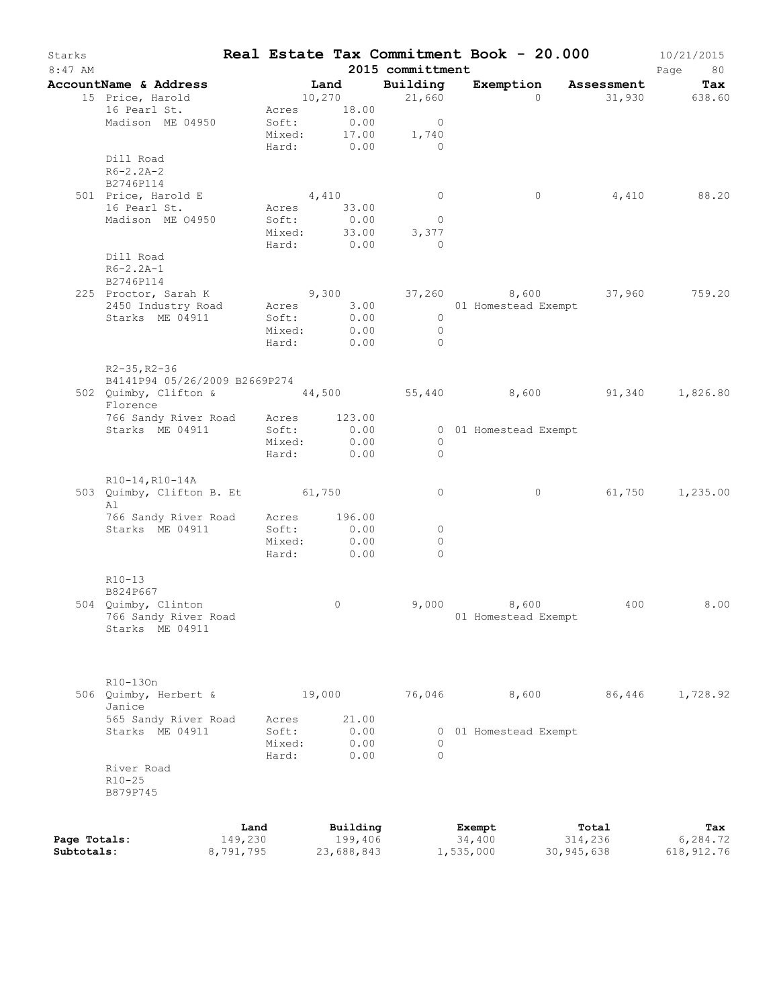| Starks<br>8:47 AM |                                                                       |           |                 |        |                                            | 2015 committment                          | Real Estate Tax Commitment Book - 20.000 |            | 10/21/2015<br>Page<br>80 |
|-------------------|-----------------------------------------------------------------------|-----------|-----------------|--------|--------------------------------------------|-------------------------------------------|------------------------------------------|------------|--------------------------|
|                   | AccountName & Address                                                 |           | <b>Land</b>     |        |                                            | Building                                  | Exemption Assessment                     |            | Tax                      |
|                   | 15 Price, Harold                                                      |           |                 |        | 10,270                                     | 21,660                                    | $\Omega$                                 |            | 31,930 638.60            |
|                   | 16 Pearl St.<br>Madison ME 04950                                      |           | Soft:<br>Mixed: |        | Acres 18.00<br>0.00<br>17.00<br>Hard: 0.00 | $\overline{0}$<br>1,740                   |                                          |            |                          |
|                   | Dill Road<br>$R6 - 2.2A - 2$                                          |           |                 |        |                                            | $\sim$ 0                                  |                                          |            |                          |
|                   | B2746P114<br>501 Price, Harold E                                      |           |                 |        | 4,410                                      | $\overline{0}$                            | $\circ$                                  | 4,410      | 88.20                    |
|                   | 16 Pearl St.                                                          |           |                 |        | Acres 33.00                                |                                           |                                          |            |                          |
|                   | Madison ME 04950                                                      |           | Soft:<br>Mixed: |        | 0.00<br>33.00<br>Hard: 0.00                | $\overline{0}$<br>3,377<br>$\overline{0}$ |                                          |            |                          |
|                   | Dill Road<br>$R6 - 2.2A - 1$<br>B2746P114                             |           |                 |        |                                            |                                           |                                          |            |                          |
|                   | 225 Proctor, Sarah K                                                  |           |                 |        |                                            |                                           | $9,300$ $37,260$ $8,600$ $37,960$        |            | 759.20                   |
|                   | 2450 Industry Road Acres 3.00 01 Homestead Exempt                     |           |                 |        |                                            |                                           |                                          |            |                          |
|                   | Starks ME 04911                                                       |           | Soft:           |        | 0.00                                       | $\overline{0}$                            |                                          |            |                          |
|                   |                                                                       |           |                 |        | Mixed: 0.00                                | $\overline{0}$                            |                                          |            |                          |
|                   |                                                                       |           |                 |        | Hard: 0.00                                 | $\overline{0}$                            |                                          |            |                          |
|                   | $R2 - 35$ , $R2 - 36$<br>B4141P94 05/26/2009 B2669P274                |           |                 |        |                                            |                                           |                                          |            |                          |
|                   | 502 Quimby, Clifton & 44,500 55,440 8,600 91,340 1,826.80<br>Florence |           |                 |        |                                            |                                           |                                          |            |                          |
|                   | 766 Sandy River Road Acres 123.00                                     |           |                 |        |                                            |                                           |                                          |            |                          |
|                   | Starks ME 04911                                                       |           | Soft:           |        | 0.00                                       |                                           | 0 01 Homestead Exempt                    |            |                          |
|                   |                                                                       |           | Mixed:<br>Hard: |        | 0.00<br>0.00                               | $\overline{0}$<br>$\circ$                 |                                          |            |                          |
|                   |                                                                       |           |                 |        |                                            |                                           |                                          |            |                          |
|                   | R10-14, R10-14A<br>503 Quimby, Clifton B. Et 61,750<br>Al             |           |                 |        |                                            | $\circ$                                   | $\circ$                                  |            | 61,750 1,235.00          |
|                   | 766 Sandy River Road Acres                                            |           |                 |        | 196.00                                     |                                           |                                          |            |                          |
|                   | Starks ME 04911                                                       |           | Soft:           |        | 0.00                                       | $\overline{0}$                            |                                          |            |                          |
|                   |                                                                       |           | Mixed:          |        | 0.00                                       | $\circ$                                   |                                          |            |                          |
|                   |                                                                       |           |                 |        | Hard: 0.00                                 | $\Omega$                                  |                                          |            |                          |
|                   | $R10-13$<br>B824P667                                                  |           |                 |        |                                            |                                           |                                          |            |                          |
|                   | 504 Quimby, Clinton                                                   |           |                 |        | 0                                          |                                           | 9,000 8,600                              | 400        | 8.00                     |
|                   | 766 Sandy River Road<br>Starks ME 04911                               |           |                 |        |                                            |                                           | 01 Homestead Exempt                      |            |                          |
|                   | R10-130n                                                              |           |                 |        |                                            |                                           |                                          |            |                          |
|                   | 506 Quimby, Herbert &<br>Janice                                       |           |                 | 19,000 |                                            | 76,046                                    | 8,600                                    | 86,446     | 1,728.92                 |
|                   | 565 Sandy River Road                                                  |           | Acres           |        | 21.00                                      |                                           |                                          |            |                          |
|                   | Starks ME 04911                                                       |           | Soft:           |        | 0.00                                       | 0                                         | 01 Homestead Exempt                      |            |                          |
|                   |                                                                       |           | Mixed:<br>Hard: |        | 0.00<br>0.00                               | $\Omega$<br>$\Omega$                      |                                          |            |                          |
|                   | River Road                                                            |           |                 |        |                                            |                                           |                                          |            |                          |
|                   | $R10 - 25$<br>B879P745                                                |           |                 |        |                                            |                                           |                                          |            |                          |
|                   |                                                                       | Land      |                 |        | Building                                   |                                           | Exempt                                   | Total      | Tax                      |
| Page Totals:      |                                                                       | 149,230   |                 |        | 199,406                                    |                                           | 34,400                                   | 314,236    | 6,284.72                 |
| Subtotals:        |                                                                       | 8,791,795 |                 |        | 23,688,843                                 |                                           | 1,535,000                                | 30,945,638 | 618, 912.76              |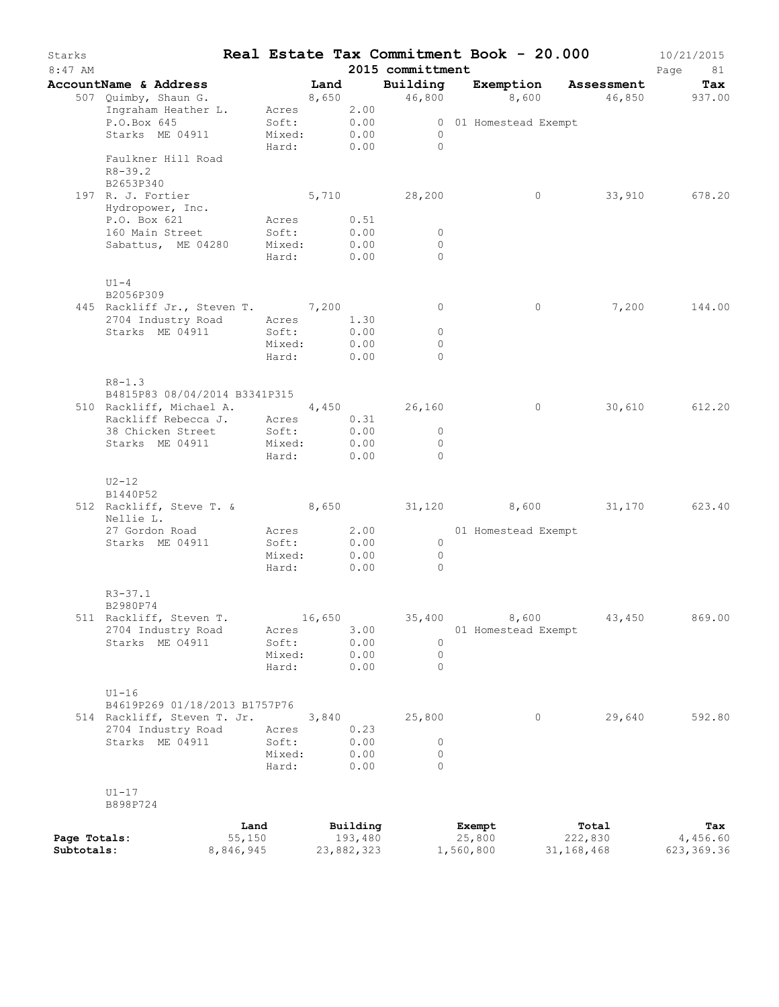| Starks<br>$8:47$ AM        |                                                                        |                           |        |                       | 2015 committment               |                       |                | Real Estate Tax Commitment Book - 20.000 | 10/21/2015<br>Page<br>81 |
|----------------------------|------------------------------------------------------------------------|---------------------------|--------|-----------------------|--------------------------------|-----------------------|----------------|------------------------------------------|--------------------------|
|                            | AccountName & Address                                                  | Land                      |        |                       |                                |                       |                | Building Exemption Assessment            | Tax                      |
|                            | 507 Quimby, Shaun G.                                                   |                           |        |                       |                                |                       |                | 8,650 46,800 8,600 46,850 937.00         |                          |
|                            | Ingraham Heather L. Acres 2.00                                         |                           |        |                       |                                |                       |                |                                          |                          |
|                            | P.O.Box 645                                                            | Soft: 0.00<br>Mixed: 0.00 |        |                       |                                | 0 01 Homestead Exempt |                |                                          |                          |
|                            | Starks ME 04911                                                        |                           |        |                       | $\overline{0}$<br>Hard: 0.00 0 |                       |                |                                          |                          |
|                            | Faulkner Hill Road<br>$R8 - 39.2$                                      |                           |        |                       |                                |                       |                |                                          |                          |
|                            | B2653P340                                                              |                           |        |                       |                                |                       |                |                                          |                          |
|                            | 197 R. J. Fortier                                                      |                           |        |                       | 5,710 28,200                   |                       | $\overline{0}$ |                                          | 33,910 678.20            |
|                            | Hydropower, Inc.<br>P.O. Box 621                                       | Acres 0.51                |        |                       |                                |                       |                |                                          |                          |
|                            | 160 Main Street                                                        | Soft:                     |        | 0.00                  | $\overline{0}$                 |                       |                |                                          |                          |
|                            | Sabattus, ME 04280 Mixed:                                              |                           |        | 0.00                  | $\circ$                        |                       |                |                                          |                          |
|                            |                                                                        | Hard:                     |        | 0.00                  | $\Omega$                       |                       |                |                                          |                          |
|                            | $U1-4$<br>B2056P309                                                    |                           |        |                       |                                |                       |                |                                          |                          |
|                            | 445 Rackliff Jr., Steven T. 7,200                                      |                           |        |                       | $\overline{0}$                 |                       | $\circ$        | 7,200                                    | 144.00                   |
|                            | 2704 Industry Road Acres<br>Starks ME 04911                            | Soft:                     |        | 1.30<br>0.00          | $\overline{0}$                 |                       |                |                                          |                          |
|                            |                                                                        | Mixed:                    |        | 0.00                  | $\Omega$                       |                       |                |                                          |                          |
|                            |                                                                        | Hard:                     |        | 0.00                  | $\Omega$                       |                       |                |                                          |                          |
|                            | $R8 - 1.3$<br>B4815P83 08/04/2014 B3341P315                            |                           |        |                       |                                |                       |                |                                          |                          |
|                            | 510 Rackliff, Michael A. 4,450 26,160                                  |                           |        |                       |                                |                       | $\circ$        |                                          | 30,610 612.20            |
|                            | Rackliff Rebecca J. Acres                                              |                           |        | 0.31                  |                                |                       |                |                                          |                          |
|                            | 38 Chicken Street                                                      | Soft:                     |        | 0.00                  | $\overline{0}$                 |                       |                |                                          |                          |
|                            | Starks ME 04911 Mixed:                                                 |                           |        | 0.00                  | $\overline{0}$                 |                       |                |                                          |                          |
|                            |                                                                        | Hard:                     |        | 0.00                  | $\bigcirc$                     |                       |                |                                          |                          |
|                            | $U2-12$<br>B1440P52                                                    |                           |        |                       |                                |                       |                |                                          |                          |
|                            | 512 Rackliff, Steve T. & 8,650 31,120 8,600 31,170 623.40<br>Nellie L. |                           |        |                       |                                |                       |                |                                          |                          |
|                            | 27 Gordon Road                                                         | Acres 2.00                |        |                       |                                | 01 Homestead Exempt   |                |                                          |                          |
|                            | Starks ME 04911                                                        | Soft:                     |        | 0.00                  | $\overline{0}$                 |                       |                |                                          |                          |
|                            |                                                                        | Mixed:                    |        | 0.00                  | $\overline{0}$                 |                       |                |                                          |                          |
|                            |                                                                        | Hard:                     | 0.00   |                       | $\Omega$                       |                       |                |                                          |                          |
|                            | $R3 - 37.1$<br>B2980P74                                                |                           |        |                       |                                |                       |                |                                          |                          |
|                            | 511 Rackliff, Steven T.                                                |                           | 16,650 |                       | 35,400                         |                       | 8,600          | 43,450                                   | 869.00                   |
|                            | 2704 Industry Road                                                     | Acres                     |        | 3.00                  |                                | 01 Homestead Exempt   |                |                                          |                          |
|                            | Starks ME 04911                                                        | Soft:                     |        | 0.00                  | $\Omega$                       |                       |                |                                          |                          |
|                            |                                                                        | Mixed:                    |        | 0.00                  | $\circ$                        |                       |                |                                          |                          |
|                            |                                                                        | Hard:                     |        | 0.00                  | $\Omega$                       |                       |                |                                          |                          |
|                            | $U1-16$                                                                |                           |        |                       |                                |                       |                |                                          |                          |
|                            | B4619P269 01/18/2013 B1757P76                                          |                           |        |                       |                                |                       |                |                                          |                          |
|                            | 514 Rackliff, Steven T. Jr.                                            |                           | 3,840  |                       | 25,800                         |                       | $\circ$        | 29,640                                   | 592.80                   |
|                            | 2704 Industry Road                                                     | Acres                     |        | 0.23                  |                                |                       |                |                                          |                          |
|                            | Starks ME 04911                                                        | Soft:                     |        | 0.00                  | $\circ$                        |                       |                |                                          |                          |
|                            |                                                                        | Mixed:<br>Hard:           |        | 0.00<br>0.00          | $\circ$<br>$\Omega$            |                       |                |                                          |                          |
|                            |                                                                        |                           |        |                       |                                |                       |                |                                          |                          |
|                            | $U1-17$<br>B898P724                                                    |                           |        |                       |                                |                       |                |                                          |                          |
|                            |                                                                        | Land                      |        | Building              |                                | Exempt                |                | Total                                    | Tax                      |
| Page Totals:<br>Subtotals: | 55,150<br>8,846,945                                                    |                           |        | 193,480<br>23,882,323 |                                | 25,800<br>1,560,800   |                | 222,830<br>31, 168, 468                  | 4,456.60<br>623, 369.36  |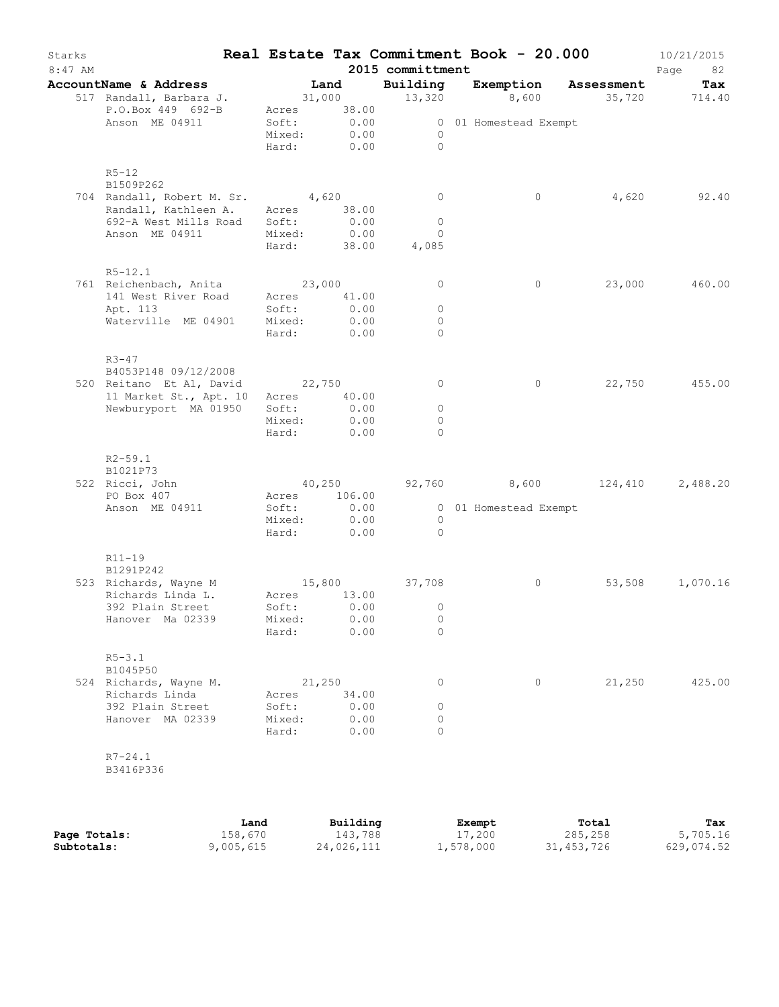| Starks<br>$8:47$ AM |                                                                                                                        |                                         |                                             | 2015 committment                           | Real Estate Tax Commitment Book - 20.000                     |        | 10/21/2015<br>Page<br>82 |
|---------------------|------------------------------------------------------------------------------------------------------------------------|-----------------------------------------|---------------------------------------------|--------------------------------------------|--------------------------------------------------------------|--------|--------------------------|
|                     | <b>AccountName &amp; Address</b>                                                                                       | Land                                    |                                             | Building                                   | Exemption Assessment                                         |        | Tax                      |
|                     | 517 Randall, Barbara J.<br>P.O.Box 449 692-B<br>Anson ME 04911                                                         | Mixed:<br>Hard:                         | Acres 38.00<br>Soft: 0.00<br>0.00<br>0.00   | $\overline{0}$<br>$\bigcirc$               | 31,000 13,320 8,600 35,720 714.40<br>0 01 Homestead Exempt   |        |                          |
|                     | $R5 - 12$<br>B1509P262                                                                                                 |                                         |                                             |                                            |                                                              |        |                          |
|                     | 704 Randall, Robert M. Sr. 4,620<br>Randall, Kathleen A.<br>692-A West Mills Road<br>Anson ME 04911                    | Acres 38.00<br>Soft:<br>Mixed:<br>Hard: | 0.00<br>0.00<br>38.00                       | $\circ$<br>$\circ$<br>$\circ$<br>4,085     | $\circ$                                                      | 4,620  | 92.40                    |
|                     | $R5 - 12.1$                                                                                                            |                                         |                                             |                                            |                                                              |        |                          |
|                     | 761 Reichenbach, Anita 23,000<br>141 West River Road<br>Apt. 113<br>Waterville ME 04901                                | Soft:<br>Mixed:<br>Hard:                | Acres 41.00<br>0.00<br>0.00<br>0.00         | $\circ$<br>$\circ$<br>$\circ$<br>$\Omega$  | $\circ$                                                      |        | 23,000 460.00            |
|                     | $R3 - 47$<br>B4053P148 09/12/2008<br>520 Reitano Et Al, David 22,750<br>11 Market St., Apt. 10<br>Newburyport MA 01950 | Acres<br>Soft:<br>Mixed:<br>Hard:       | 40.00<br>0.00<br>0.00<br>0.00               | $\circ$<br>$\circ$<br>$\circ$<br>$\Omega$  | $\circ$                                                      |        | 22,750 455.00            |
|                     | $R2 - 59.1$<br>B1021P73<br>522 Ricci, John<br>PO Box 407<br>Anson ME 04911                                             | Soft:<br>Hard:                          | Acres 106.00<br>0.00<br>Mixed: 0.00<br>0.00 | $\overline{0}$<br>$\Omega$                 | $40,250$ $92,760$ $8,600$ $124,410$<br>0 01 Homestead Exempt |        | 2,488.20                 |
|                     | $R11 - 19$<br>B1291P242<br>523 Richards, Wayne M<br>Richards Linda L.<br>392 Plain Street<br>Hanover Ma 02339          | Acres<br>Soft:<br>Mixed:<br>Hard:       | 13.00<br>0.00<br>0.00<br>0.00               | 15,800 37,708<br>$\circ$<br>0<br>$\Omega$  | $\circ$                                                      | 53,508 | 1,070.16                 |
|                     | $R5 - 3.1$<br>B1045P50<br>524 Richards, Wayne M.<br>Richards Linda<br>392 Plain Street<br>Hanover MA 02339             | Acres<br>Soft:<br>Mixed:<br>Hard:       | 21,250<br>34.00<br>0.00<br>0.00<br>0.00     | $\circ$<br>$\circ$<br>$\Omega$<br>$\Omega$ | 0                                                            | 21,250 | 425.00                   |
|                     | $R7 - 24.1$<br>B3416P336                                                                                               |                                         |                                             |                                            |                                                              |        |                          |
|                     |                                                                                                                        |                                         |                                             |                                            |                                                              |        |                          |

|              | Land      | Building   | Exempt             | Total      | Tax        |
|--------------|-----------|------------|--------------------|------------|------------|
| Page Totals: | 158,670   | 143,788    | 17,200             | 285,258    | 5,705.16   |
| Subtotals:   | 9,005,615 | 24,026,111 | $\perp$ , 578, 000 | 31,453,726 | 629,074.52 |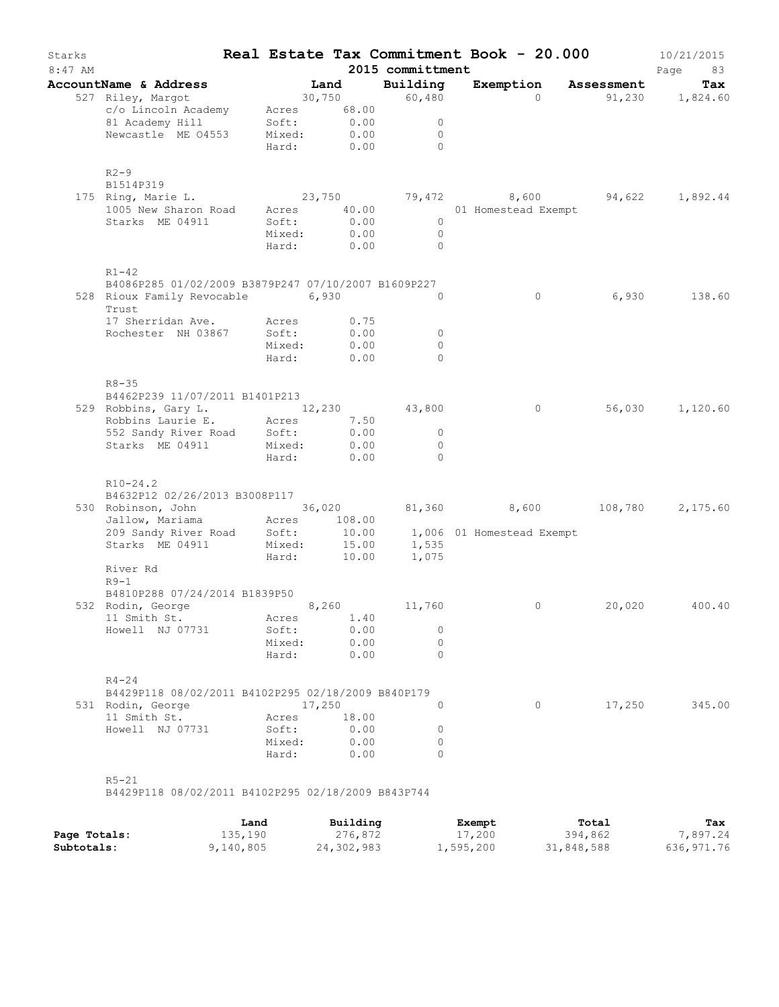| Starks<br>$8:47$ AM |                                                                                     |                 |                           | 2015 committment                 | Real Estate Tax Commitment Book - 20.000 |                                                                            | 10/21/2015<br>Page<br>83 |
|---------------------|-------------------------------------------------------------------------------------|-----------------|---------------------------|----------------------------------|------------------------------------------|----------------------------------------------------------------------------|--------------------------|
|                     | AccountName & Address                                                               |                 | Land                      | Building                         |                                          | Exemption Assessment                                                       | Tax                      |
|                     | 527 Riley, Margot                                                                   |                 | $30,750$ 60,480           |                                  | $\Omega$                                 |                                                                            | $91,230$ $1,824.60$      |
|                     | c/o Lincoln Academy                                                                 |                 | Acres 68.00               |                                  |                                          |                                                                            |                          |
|                     | 81 Academy Hill                                                                     |                 | Soft: 0.00<br>Mixed: 0.00 | $\circ$                          |                                          |                                                                            |                          |
|                     | Newcastle ME 04553                                                                  |                 |                           | $\overline{0}$                   |                                          |                                                                            |                          |
|                     |                                                                                     |                 | Hard: 0.00                | $\bigcirc$                       |                                          |                                                                            |                          |
|                     | $R2-9$                                                                              |                 |                           |                                  |                                          |                                                                            |                          |
|                     | B1514P319                                                                           |                 |                           |                                  |                                          |                                                                            |                          |
|                     | 175 Ring, Marie L.                                                                  |                 |                           |                                  |                                          | 23,750 $79,472$ 8,600 $94,622$ 1,892.44<br>Acres 40.00 01 Homestead Exempt |                          |
|                     | 1005 New Sharon Road                                                                |                 |                           |                                  |                                          |                                                                            |                          |
|                     | Starks ME 04911                                                                     | Soft:           | 0.00                      | $\overline{0}$                   |                                          |                                                                            |                          |
|                     |                                                                                     | Mixed:          | 0.00                      | $\overline{0}$                   |                                          |                                                                            |                          |
|                     |                                                                                     | Hard:           | 0.00                      | $\bigcirc$                       |                                          |                                                                            |                          |
|                     | $R1 - 42$                                                                           |                 |                           |                                  |                                          |                                                                            |                          |
|                     | B4086P285 01/02/2009 B3879P247 07/10/2007 B1609P227                                 |                 |                           |                                  |                                          |                                                                            |                          |
|                     | 528 Rioux Family Revocable 6,930<br>Trust                                           |                 |                           | $\circ$                          | $\circ$                                  | 6,930                                                                      | 138.60                   |
|                     | 17 Sherridan Ave.                                                                   |                 |                           |                                  |                                          |                                                                            |                          |
|                     | Rochester NH 03867                                                                  | Acres<br>Soft:  | 0.75<br>0.00              | $\overline{0}$                   |                                          |                                                                            |                          |
|                     |                                                                                     | Mixed:          | 0.00                      | $\circ$                          |                                          |                                                                            |                          |
|                     |                                                                                     | Hard:           | 0.00                      | $\Omega$                         |                                          |                                                                            |                          |
|                     |                                                                                     |                 |                           |                                  |                                          |                                                                            |                          |
|                     | $R8 - 35$                                                                           |                 |                           |                                  |                                          |                                                                            |                          |
|                     | B4462P239 11/07/2011 B1401P213                                                      |                 |                           |                                  |                                          |                                                                            |                          |
|                     | 529 Robbins, Gary L. 12, 230 43, 800                                                |                 |                           |                                  | $\circ$                                  |                                                                            | 56,030 1,120.60          |
|                     | Robbins Laurie E. Acres                                                             |                 | 7.50                      |                                  |                                          |                                                                            |                          |
|                     | 552 Sandy River Road Soft:<br>Starks ME 04911                                       |                 | 0.00<br>0.00              | $\overline{0}$<br>$\overline{0}$ |                                          |                                                                            |                          |
|                     |                                                                                     | Mixed:<br>Hard: | 0.00                      | $\Omega$                         |                                          |                                                                            |                          |
|                     | $R10-24.2$                                                                          |                 |                           |                                  |                                          |                                                                            |                          |
|                     | B4632P12 02/26/2013 B3008P117                                                       |                 |                           |                                  |                                          |                                                                            |                          |
|                     | 530 Robinson, John                                                                  |                 |                           |                                  | 36,020 81,360 8,600                      | 108,780                                                                    | 2,175.60                 |
|                     | Jallow, Mariama<br>209 Sandy River Road Soft: 10.00<br>Starks ME 04911 Mixed: 15.00 |                 |                           |                                  |                                          |                                                                            |                          |
|                     |                                                                                     |                 | 10.00                     |                                  | 1,006 01 Homestead Exempt                |                                                                            |                          |
|                     |                                                                                     |                 |                           | 15.00 1,535                      |                                          |                                                                            |                          |
|                     |                                                                                     | Hard:           | 10.00                     | 1,075                            |                                          |                                                                            |                          |
|                     | River Rd                                                                            |                 |                           |                                  |                                          |                                                                            |                          |
|                     | $R9-1$                                                                              |                 |                           |                                  |                                          |                                                                            |                          |
|                     | B4810P288 07/24/2014 B1839P50                                                       |                 |                           |                                  |                                          |                                                                            |                          |
|                     | 532 Rodin, George                                                                   |                 | 8,260 11,760              |                                  | $\circ$                                  | 20,020                                                                     | 400.40                   |
|                     | 11 Smith St.                                                                        | Acres           | 1.40                      |                                  |                                          |                                                                            |                          |
|                     | Howell NJ 07731                                                                     | Soft:           | 0.00                      | 0                                |                                          |                                                                            |                          |
|                     |                                                                                     | Mixed:          | 0.00                      | $\Omega$                         |                                          |                                                                            |                          |
|                     |                                                                                     | Hard:           | 0.00                      | $\Omega$                         |                                          |                                                                            |                          |
|                     | $R4 - 24$                                                                           |                 |                           |                                  |                                          |                                                                            |                          |
|                     | B4429P118 08/02/2011 B4102P295 02/18/2009 B840P179                                  |                 |                           |                                  |                                          |                                                                            |                          |
|                     | 531 Rodin, George                                                                   |                 | 17,250                    | $\Omega$                         | $\Omega$                                 | 17,250                                                                     | 345.00                   |
|                     | 11 Smith St.                                                                        | Acres           | 18.00                     |                                  |                                          |                                                                            |                          |
|                     | Howell NJ 07731                                                                     | Soft:           | 0.00                      | 0                                |                                          |                                                                            |                          |
|                     |                                                                                     | Mixed:          | 0.00                      | $\Omega$                         |                                          |                                                                            |                          |
|                     |                                                                                     | Hard:           | 0.00                      | $\Omega$                         |                                          |                                                                            |                          |
|                     | $R5 - 21$                                                                           |                 |                           |                                  |                                          |                                                                            |                          |
|                     | B4429P118 08/02/2011 B4102P295 02/18/2009 B843P744                                  |                 |                           |                                  |                                          |                                                                            |                          |
|                     |                                                                                     |                 |                           |                                  |                                          |                                                                            |                          |

|              | Land      | Building   | Exempt    | Total      | Tax        |
|--------------|-----------|------------|-----------|------------|------------|
| Page Totals: | 135,190   | 276,872    | 17,200    | 394,862    | .897.24    |
| Subtotals:   | 9,140,805 | 24,302,983 | l,595,200 | 31,848,588 | 636,971.76 |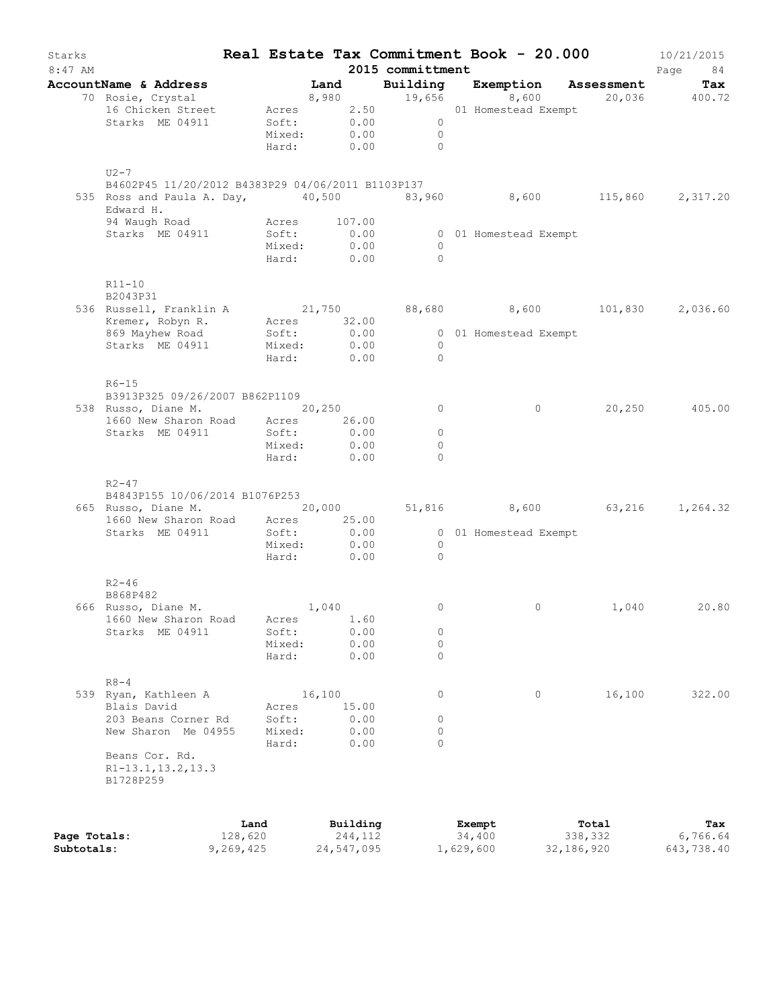| Starks<br>$8:47$ AM |                                                                |         |                           |        |               | 2015 committment | Real Estate Tax Commitment Book - 20.000                                          |         | 10/21/2015<br>Page<br>84 |
|---------------------|----------------------------------------------------------------|---------|---------------------------|--------|---------------|------------------|-----------------------------------------------------------------------------------|---------|--------------------------|
|                     | AccountName & Address                                          |         |                           |        |               |                  | <b>Land Building Exemption Assessment Tax</b><br>8,980 19,656 8,600 20,036 400.72 |         |                          |
|                     | 70 Rosie, Crystal                                              |         |                           |        |               |                  |                                                                                   |         |                          |
|                     | 16 Chicken Street Acres 2.50 01 Homestead Exempt               |         |                           |        |               |                  |                                                                                   |         |                          |
|                     | Starks ME 04911                                                |         | Soft: 0.00<br>Mixed: 0.00 |        |               | $\overline{0}$   |                                                                                   |         |                          |
|                     |                                                                |         |                           |        |               | $\overline{0}$   |                                                                                   |         |                          |
|                     |                                                                |         |                           |        |               | Hard: 0.00 0     |                                                                                   |         |                          |
|                     | $U2-7$                                                         |         |                           |        |               |                  |                                                                                   |         |                          |
|                     | B4602P45 11/20/2012 B4383P29 04/06/2011 B1103P137              |         |                           |        |               |                  |                                                                                   |         |                          |
|                     | 535 Ross and Paula A. Day, $40,500$ 83,960 8,600 115,860       |         |                           |        |               |                  |                                                                                   |         | 2,317.20                 |
|                     | Edward H.                                                      |         |                           |        |               |                  |                                                                                   |         |                          |
|                     | 94 Waugh Road                                                  |         | Acres                     |        | 107.00        |                  |                                                                                   |         |                          |
|                     | Starks ME 04911                                                |         | Soft:                     |        | 0.00          |                  | 0 01 Homestead Exempt                                                             |         |                          |
|                     |                                                                |         | Mixed:                    |        | 0.00          | $\overline{0}$   |                                                                                   |         |                          |
|                     |                                                                |         |                           |        | Hard: 0.00    | $\Omega$         |                                                                                   |         |                          |
|                     |                                                                |         |                           |        |               |                  |                                                                                   |         |                          |
|                     | $R11 - 10$                                                     |         |                           |        |               |                  |                                                                                   |         |                          |
|                     | B2043P31                                                       |         |                           |        |               |                  |                                                                                   |         |                          |
|                     | 536 Russell, Franklin A $21,750$ 88,680 8,600 101,830 2,036.60 |         |                           |        |               |                  |                                                                                   |         |                          |
|                     | Kremer, Robyn R. Acres                                         |         |                           |        | 32.00<br>0.00 |                  | 0 01 Homestead Exempt                                                             |         |                          |
|                     | 869 Mayhew Road<br>Starks ME 04911                             |         | Soft:<br>Mixed: 0.00      |        |               | $\overline{0}$   |                                                                                   |         |                          |
|                     |                                                                |         | Hard:                     |        | 0.00          | $\bigcirc$       |                                                                                   |         |                          |
|                     |                                                                |         |                           |        |               |                  |                                                                                   |         |                          |
|                     | $R6 - 15$                                                      |         |                           |        |               |                  |                                                                                   |         |                          |
|                     | B3913P325 09/26/2007 B862P1109                                 |         |                           |        |               |                  |                                                                                   |         |                          |
|                     | 538 Russo, Diane M. 20,250                                     |         |                           |        |               | $\circ$          | $\circ$                                                                           |         | 20,250 405.00            |
|                     | 1660 New Sharon Road Acres                                     |         |                           |        | 26.00         |                  |                                                                                   |         |                          |
|                     | Starks ME 04911                                                |         | Soft:                     |        | 0.00          | $\circ$          |                                                                                   |         |                          |
|                     |                                                                |         | Mixed:                    |        | 0.00          | $\circ$          |                                                                                   |         |                          |
|                     |                                                                |         | Hard:                     |        | 0.00          | $\Omega$         |                                                                                   |         |                          |
|                     |                                                                |         |                           |        |               |                  |                                                                                   |         |                          |
|                     | $R2 - 47$                                                      |         |                           |        |               |                  |                                                                                   |         |                          |
|                     | B4843P155 10/06/2014 B1076P253<br>665 Russo, Diane M. 20,000   |         |                           |        |               |                  | 51,816 8,600 63,216 1,264.32                                                      |         |                          |
|                     | 1660 New Sharon Road Acres 25.00                               |         |                           |        |               |                  |                                                                                   |         |                          |
|                     | Starks ME 04911                                                |         | Soft:                     |        | 0.00          |                  | 0 01 Homestead Exempt                                                             |         |                          |
|                     |                                                                |         | Mixed: 0.00               |        |               | $\bigcirc$       |                                                                                   |         |                          |
|                     |                                                                |         |                           |        | Hard: 0.00    | $\bigcirc$       |                                                                                   |         |                          |
|                     |                                                                |         |                           |        |               |                  |                                                                                   |         |                          |
|                     | $R2 - 46$                                                      |         |                           |        |               |                  |                                                                                   |         |                          |
|                     | B868P482                                                       |         |                           |        |               |                  |                                                                                   |         |                          |
|                     | 666 Russo, Diane M.                                            |         |                           | 1,040  |               | 0                | 0                                                                                 | 1,040   | 20.80                    |
|                     | 1660 New Sharon Road                                           |         | Acres                     |        | 1.60          |                  |                                                                                   |         |                          |
|                     | Starks ME 04911                                                |         | Soft:                     |        | 0.00          | 0                |                                                                                   |         |                          |
|                     |                                                                |         | Mixed:                    |        | 0.00          | 0                |                                                                                   |         |                          |
|                     |                                                                |         | Hard:                     |        | 0.00          | $\circ$          |                                                                                   |         |                          |
|                     |                                                                |         |                           |        |               |                  |                                                                                   |         |                          |
|                     | $R8 - 4$<br>539 Ryan, Kathleen A                               |         |                           | 16,100 |               | 0                | $\circ$                                                                           | 16,100  | 322.00                   |
|                     | Blais David                                                    |         | Acres                     |        | 15.00         |                  |                                                                                   |         |                          |
|                     | 203 Beans Corner Rd                                            |         | Soft:                     |        | 0.00          | 0                |                                                                                   |         |                          |
|                     | New Sharon Me 04955                                            |         | Mixed:                    |        | 0.00          | 0                |                                                                                   |         |                          |
|                     |                                                                |         | Hard:                     |        | 0.00          | $\Omega$         |                                                                                   |         |                          |
|                     | Beans Cor. Rd.                                                 |         |                           |        |               |                  |                                                                                   |         |                          |
|                     | R1-13.1, 13.2, 13.3                                            |         |                           |        |               |                  |                                                                                   |         |                          |
|                     | B1728P259                                                      |         |                           |        |               |                  |                                                                                   |         |                          |
|                     |                                                                |         |                           |        |               |                  |                                                                                   |         |                          |
|                     |                                                                |         |                           |        |               |                  |                                                                                   |         |                          |
|                     |                                                                | Land    |                           |        | Building      |                  | Exempt                                                                            | Total   | Tax                      |
| Page Totals:        |                                                                | 128,620 |                           |        | 244,112       |                  | 34,400                                                                            | 338,332 | 6,766.64                 |

**Subtotals:** 9,269,425 24,547,095 1,629,600 32,186,920 643,738.40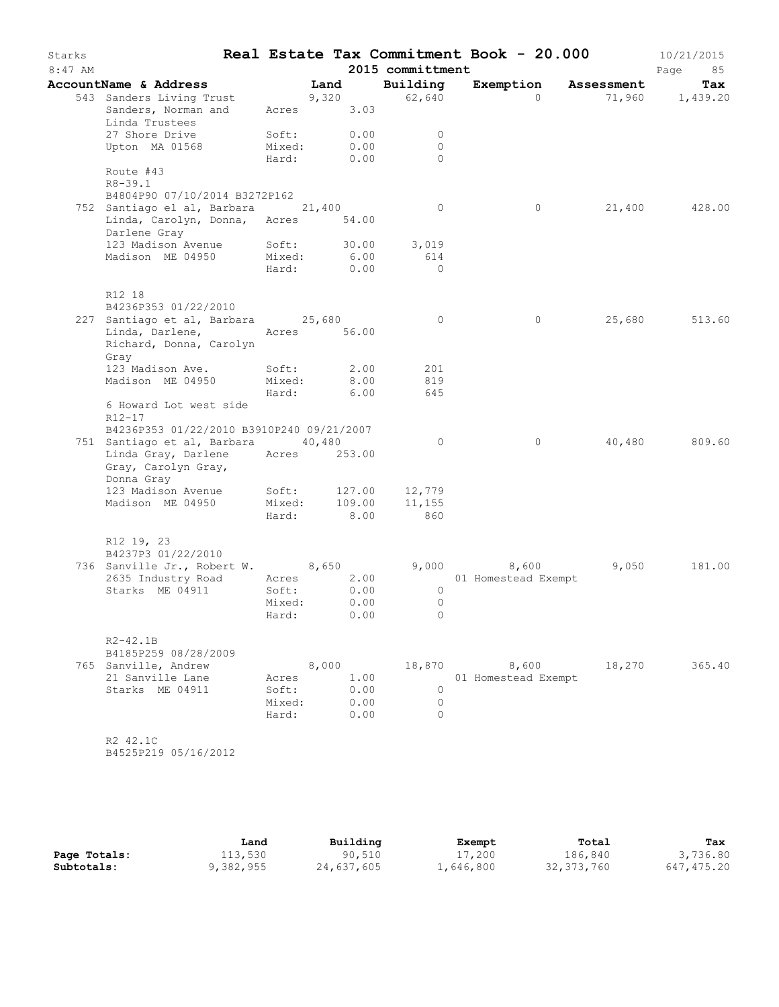| Starks  |                                                                                                             |                                     |              |                                        | Real Estate Tax Commitment Book - 20.000 |        | 10/21/2015      |
|---------|-------------------------------------------------------------------------------------------------------------|-------------------------------------|--------------|----------------------------------------|------------------------------------------|--------|-----------------|
| 8:47 AM |                                                                                                             |                                     |              | 2015 committment                       |                                          |        | Page<br>85      |
|         | AccountName & Address                                                                                       |                                     | Land         | Building                               | Exemption Assessment                     |        | Tax             |
|         | 543 Sanders Living Trust<br>Sanders Living Trust<br>Sanders, Norman and<br>Linda Trustees                   |                                     | Acres 3.03   | $9,320$ 62,640                         | $\Omega$                                 |        | 71,960 1,439.20 |
|         | 27 Shore Drive                                                                                              | Soft: 0.00                          |              | $\overline{0}$                         |                                          |        |                 |
|         | Upton MA 01568 Mixed:                                                                                       |                                     | 0.00         | $\overline{0}$                         |                                          |        |                 |
|         |                                                                                                             | Hard:                               | 0.00         | $\Omega$                               |                                          |        |                 |
|         | Route #43<br>$R8 - 39.1$                                                                                    |                                     |              |                                        |                                          |        |                 |
|         | B4804P90 07/10/2014 B3272P162                                                                               |                                     |              |                                        |                                          |        |                 |
|         | 752 Santiago el al, Barbara (21,400)                                                                        |                                     |              | $\overline{0}$                         | 0                                        |        | 21,400 428.00   |
|         | Linda, Carolyn, Donna, Acres 54.00<br>Darlene Gray                                                          |                                     |              |                                        |                                          |        |                 |
|         |                                                                                                             |                                     | 30.00        | 3,019                                  |                                          |        |                 |
|         | Darlene Gray<br>123 Madison Avenue Soft: 30.00<br>Mixed: 6.00                                               |                                     |              | 614                                    |                                          |        |                 |
|         |                                                                                                             |                                     | Hard: 0.00   | $\bigcirc$                             |                                          |        |                 |
|         | R12 18                                                                                                      |                                     |              |                                        |                                          |        |                 |
|         | B4236P353 01/22/2010<br>227 Santiago et al, Barbara 25,680                                                  |                                     |              | $\circ$                                | $\circ$                                  |        | 25,680 513.60   |
|         | Linda, Darlene, Acres 56.00<br>Richard, Donna, Carolyn<br>Gray                                              |                                     |              |                                        |                                          |        |                 |
|         | 123 Madison Ave.                                                                                            |                                     | Soft: 2.00   | 201                                    |                                          |        |                 |
|         | Madison ME 04950                                                                                            | Mixed: 8.00<br>Hard: 6.00<br>Mixed: |              | 819                                    |                                          |        |                 |
|         |                                                                                                             |                                     |              | 645                                    |                                          |        |                 |
|         | 6 Howard Lot west side<br>$R12 - 17$                                                                        |                                     |              |                                        |                                          |        |                 |
|         | B4236P353 01/22/2010 B3910P240 09/21/2007                                                                   |                                     |              |                                        |                                          |        |                 |
|         | 751 Santiago et al, Barbara 40,480<br>Linda Gray, Darlene Acres 253.00<br>Gray, Carolyn Gray,<br>Donna Gray |                                     |              | $\circ$                                | $\overline{0}$                           |        | 40,480 809.60   |
|         | 123 Madison Avenue Soft: 127.00 12,779                                                                      |                                     |              |                                        |                                          |        |                 |
|         | Madison ME 04950                                                                                            |                                     |              |                                        |                                          |        |                 |
|         |                                                                                                             |                                     |              | Mixed: 109.00 11,155<br>Hard: 8.00 860 |                                          |        |                 |
|         | R12 19, 23<br>B4237P3 01/22/2010                                                                            |                                     |              |                                        |                                          |        |                 |
|         | 736 Sanville Jr., Robert W. 8,650                                                                           |                                     |              |                                        | 9,000 8,600                              | 9,050  | 181.00          |
|         | 2635 Industry Road                                                                                          |                                     | Acres 2.00   |                                        | 01 Homestead Exempt                      |        |                 |
|         | Starks ME 04911                                                                                             | Soft:                               | 0.00         | $\circ$                                |                                          |        |                 |
|         |                                                                                                             | Mixed:                              | 0.00         | $\overline{0}$                         |                                          |        |                 |
|         |                                                                                                             |                                     | Hard: 0.00   | $\bigcirc$                             |                                          |        |                 |
|         | $R2 - 42.1B$<br>B4185P259 08/28/2009                                                                        |                                     |              |                                        |                                          |        |                 |
|         | 765 Sanville, Andrew                                                                                        |                                     | 8,000        |                                        | 8,600<br>18,870                          | 18,270 | 365.40          |
|         | 21 Sanville Lane                                                                                            | Acres                               | 1.00         |                                        | 01 Homestead Exempt                      |        |                 |
|         | Starks ME 04911                                                                                             | Soft:                               | 0.00         | $\circ$                                |                                          |        |                 |
|         |                                                                                                             | Mixed:<br>Hard:                     | 0.00<br>0.00 | $\circ$<br>$\Omega$                    |                                          |        |                 |
|         | R2 42.1C<br>B4525P219 05/16/2012                                                                            |                                     |              |                                        |                                          |        |                 |

|              | Land      | Building   | Exempt    | Total      | Tax        |
|--------------|-----------|------------|-----------|------------|------------|
| Page Totals: | 113,530   | 90,510     | 17,200    | 186,840    | 3,736.80   |
| Subtotals:   | 9,382,955 | 24,637,605 | 1,646,800 | 32,373,760 | 647,475.20 |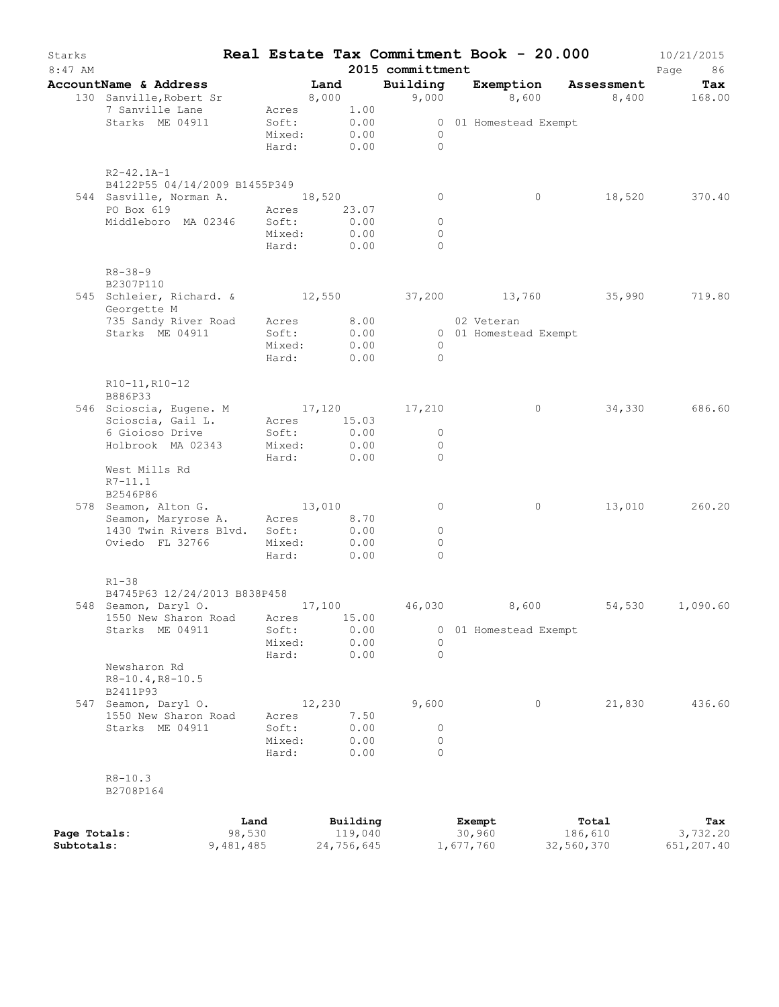| Starks<br>$8:47$ AM |                                                      |        |                       |       |              | 2015 committment    | Real Estate Tax Commitment Book - 20.000 |                      | 10/21/2015<br>Page<br>86 |
|---------------------|------------------------------------------------------|--------|-----------------------|-------|--------------|---------------------|------------------------------------------|----------------------|--------------------------|
|                     | AccountName & Address                                |        | Land                  |       |              | Building            |                                          | Exemption Assessment | Tax                      |
|                     | 130 Sanville, Robert Sr                              |        |                       | 8,000 |              | 9,000               | 8,600                                    | 8,400                | 168.00                   |
|                     | 7 Sanville Lane                                      |        | Acres 1.00            |       |              |                     |                                          |                      |                          |
|                     | Starks ME 04911                                      |        | Soft:<br>Mixed:       |       | 0.00<br>0.00 | $\circ$             | 0 01 Homestead Exempt                    |                      |                          |
|                     |                                                      |        | Hard:                 |       | 0.00         | $\Omega$            |                                          |                      |                          |
|                     |                                                      |        |                       |       |              |                     |                                          |                      |                          |
|                     | $R2 - 42.1A - 1$                                     |        |                       |       |              |                     |                                          |                      |                          |
|                     | B4122P55 04/14/2009 B1455P349                        |        |                       |       |              |                     |                                          |                      |                          |
|                     | 544 Sasville, Norman A.<br>PO Box 619                |        | 18,520<br>Acres 23.07 |       |              | 0                   | $\circ$                                  | 18,520               | 370.40                   |
|                     | Middleboro MA 02346                                  |        | Soft:                 |       | 0.00         | 0                   |                                          |                      |                          |
|                     |                                                      |        | Mixed:                |       | 0.00         | $\circ$             |                                          |                      |                          |
|                     |                                                      |        | Hard:                 |       | 0.00         | $\Omega$            |                                          |                      |                          |
|                     |                                                      |        |                       |       |              |                     |                                          |                      |                          |
|                     | $R8 - 38 - 9$<br>B2307P110                           |        |                       |       |              |                     |                                          |                      |                          |
|                     | 545 Schleier, Richard. & 12,550 37,200 13,760 35,990 |        |                       |       |              |                     |                                          |                      | 719.80                   |
|                     | Georgette M                                          |        |                       |       |              |                     |                                          |                      |                          |
|                     | 735 Sandy River Road                                 |        | Acres                 |       | 8.00         |                     | 02 Veteran                               |                      |                          |
|                     | Starks ME 04911                                      |        | Soft:                 |       | 0.00         |                     | 0 01 Homestead Exempt                    |                      |                          |
|                     |                                                      |        | Mixed:                |       | 0.00         | $\Omega$            |                                          |                      |                          |
|                     |                                                      |        | Hard:                 |       | 0.00         | $\bigcirc$          |                                          |                      |                          |
|                     | R10-11, R10-12                                       |        |                       |       |              |                     |                                          |                      |                          |
|                     | B886P33                                              |        |                       |       |              |                     |                                          |                      |                          |
|                     | 546 Scioscia, Eugene. M                              |        |                       |       |              | 17,120 17,210       | $\circ$                                  | 34,330               | 686.60                   |
|                     | Scioscia, Gail L.                                    |        | Acres 15.03           |       |              |                     |                                          |                      |                          |
|                     | 6 Gioioso Drive<br>Holbrook MA 02343                 |        | Soft:<br>Mixed:       |       | 0.00<br>0.00 | $\circ$<br>$\circ$  |                                          |                      |                          |
|                     |                                                      |        | Hard:                 |       | 0.00         | $\Omega$            |                                          |                      |                          |
|                     | West Mills Rd                                        |        |                       |       |              |                     |                                          |                      |                          |
|                     | $R7 - 11.1$                                          |        |                       |       |              |                     |                                          |                      |                          |
|                     | B2546P86                                             |        | 13,010                |       |              |                     |                                          |                      |                          |
|                     | 578 Seamon, Alton G.<br>Seamon, Maryrose A. Acres    |        |                       |       | 8.70         | 0                   | 0                                        | 13,010               | 260.20                   |
|                     | 1430 Twin Rivers Blvd. Soft:                         |        |                       |       | 0.00         | $\circ$             |                                          |                      |                          |
|                     | Oviedo FL 32766                                      |        | Mixed:                |       | 0.00         | $\Omega$            |                                          |                      |                          |
|                     |                                                      |        | Hard:                 |       | 0.00         | $\Omega$            |                                          |                      |                          |
|                     | $R1 - 38$                                            |        |                       |       |              |                     |                                          |                      |                          |
|                     | B4745P63 12/24/2013 B838P458                         |        |                       |       |              |                     |                                          |                      |                          |
|                     | 548 Seamon, Daryl O.                                 |        | 17,100                |       |              | 46,030              | 8,600                                    | 54,530               | 1,090.60                 |
|                     | 1550 New Sharon Road                                 |        | Acres                 |       | 15.00        |                     |                                          |                      |                          |
|                     | Starks ME 04911                                      |        | Soft:                 |       | 0.00         | 0                   | 01 Homestead Exempt                      |                      |                          |
|                     |                                                      |        | Mixed:<br>Hard:       |       | 0.00<br>0.00 | $\Omega$<br>$\circ$ |                                          |                      |                          |
|                     | Newsharon Rd                                         |        |                       |       |              |                     |                                          |                      |                          |
|                     | R8-10.4, R8-10.5                                     |        |                       |       |              |                     |                                          |                      |                          |
|                     | B2411P93                                             |        |                       |       |              |                     |                                          |                      |                          |
|                     | 547 Seamon, Daryl O.                                 |        | 12,230                |       |              | 9,600               | $\circ$                                  | 21,830               | 436.60                   |
|                     | 1550 New Sharon Road<br>Starks ME 04911              |        | Acres<br>Soft:        |       | 7.50<br>0.00 | 0                   |                                          |                      |                          |
|                     |                                                      |        | Mixed:                |       | 0.00         | 0                   |                                          |                      |                          |
|                     |                                                      |        | Hard:                 |       | 0.00         | 0                   |                                          |                      |                          |
|                     |                                                      |        |                       |       |              |                     |                                          |                      |                          |
|                     | $R8 - 10.3$                                          |        |                       |       |              |                     |                                          |                      |                          |
|                     | B2708P164                                            |        |                       |       |              |                     |                                          |                      |                          |
|                     |                                                      | Land   |                       |       | Building     |                     | Exempt                                   | Total                | Tax                      |
| Page Totals:        |                                                      | 98,530 |                       |       | 119,040      |                     | 30,960                                   | 186,610              | 3,732.20                 |
| Subtotals:          | 9,481,485                                            |        |                       |       | 24,756,645   |                     | 1,677,760                                | 32,560,370           | 651,207.40               |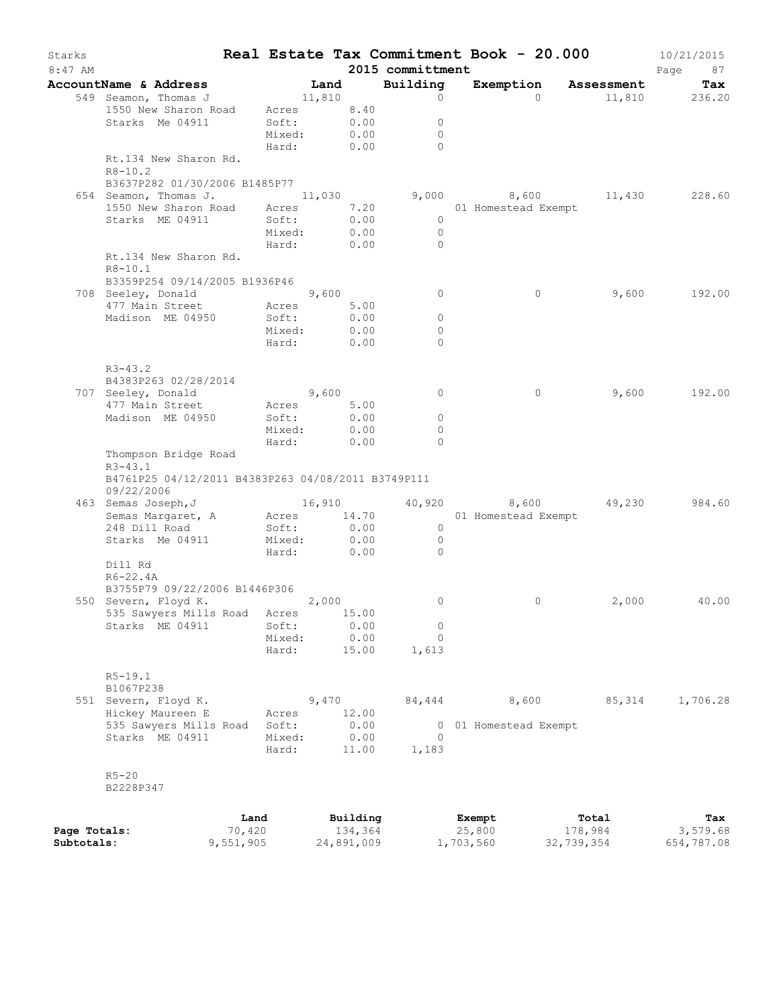| Starks       |                                                    |           |                 |       |              |                     | Real Estate Tax Commitment Book - 20.000 |            | 10/21/2015    |
|--------------|----------------------------------------------------|-----------|-----------------|-------|--------------|---------------------|------------------------------------------|------------|---------------|
| $8:47$ AM    |                                                    |           |                 |       |              | 2015 committment    |                                          |            | Page<br>87    |
|              | AccountName & Address                              |           |                 | Land  |              | Building            | Exemption Assessment                     |            | Tax           |
|              | 549 Seamon, Thomas J                               |           | 11,810          |       |              | $\circ$             | $\Omega$                                 |            | 11,810 236.20 |
|              | 1550 New Sharon Road                               |           | Acres 8.40      |       |              |                     |                                          |            |               |
|              | Starks Me 04911                                    |           | Soft:<br>Mixed: |       | 0.00         | $\circ$             |                                          |            |               |
|              |                                                    |           |                 |       | 0.00         | $\circ$<br>$\Omega$ |                                          |            |               |
|              |                                                    |           | Hard:           |       | 0.00         |                     |                                          |            |               |
|              | Rt.134 New Sharon Rd.<br>$R8 - 10.2$               |           |                 |       |              |                     |                                          |            |               |
|              | B3637P282 01/30/2006 B1485P77                      |           |                 |       |              |                     |                                          |            |               |
|              | 654 Seamon, Thomas J.                              |           | 11,030          |       |              |                     | 9,000 $8,600$ 11,430 228.60              |            |               |
|              | 1550 New Sharon Road                               |           | Acres           |       | 7.20         |                     | 01 Homestead Exempt                      |            |               |
|              | Starks ME 04911                                    |           | Soft:           |       | 0.00         | $\circ$             |                                          |            |               |
|              |                                                    |           | Mixed:          |       | 0.00         | $\overline{0}$      |                                          |            |               |
|              |                                                    |           | Hard:           |       | 0.00         | $\Omega$            |                                          |            |               |
|              | Rt.134 New Sharon Rd.                              |           |                 |       |              |                     |                                          |            |               |
|              | $R8 - 10.1$                                        |           |                 |       |              |                     |                                          |            |               |
|              | B3359P254 09/14/2005 B1936P46                      |           |                 |       |              |                     |                                          |            |               |
|              | 708 Seeley, Donald 9,600                           |           |                 |       |              | $\circ$             | $\circ$                                  | 9,600      | 192.00        |
|              | 477 Main Street                                    |           | Acres           |       | 5.00         |                     |                                          |            |               |
|              | Madison ME 04950                                   |           | Soft:           |       | 0.00         | 0                   |                                          |            |               |
|              |                                                    |           | Mixed:          |       | 0.00         | $\Omega$            |                                          |            |               |
|              |                                                    |           | Hard:           |       | 0.00         | $\Omega$            |                                          |            |               |
|              |                                                    |           |                 |       |              |                     |                                          |            |               |
|              | $R3 - 43.2$                                        |           |                 |       |              |                     |                                          |            |               |
|              | B4383P263 02/28/2014                               |           |                 |       |              |                     |                                          |            |               |
|              | 707 Seeley, Donald                                 |           | 9,600           |       |              | $\circ$             | $\circ$                                  | 9,600      | 192.00        |
|              | 477 Main Street                                    |           | Acres           |       | 5.00         |                     |                                          |            |               |
|              | Madison ME 04950                                   |           | Soft:           |       | 0.00         | $\circ$             |                                          |            |               |
|              |                                                    |           | Mixed:          |       | 0.00         | $\Omega$            |                                          |            |               |
|              |                                                    |           | Hard:           |       | 0.00         | $\Omega$            |                                          |            |               |
|              | Thompson Bridge Road                               |           |                 |       |              |                     |                                          |            |               |
|              | $R3 - 43.1$                                        |           |                 |       |              |                     |                                          |            |               |
|              | B4761P25 04/12/2011 B4383P263 04/08/2011 B3749P111 |           |                 |       |              |                     |                                          |            |               |
|              | 09/22/2006                                         |           |                 |       |              |                     |                                          |            |               |
|              | 463 Semas Joseph, J                                |           |                 |       |              |                     | 16,910 40,920 8,600                      | 49,230     | 984.60        |
|              | Semas Margaret, A                                  |           | Acres 14.70     |       |              |                     | 01 Homestead Exempt                      |            |               |
|              | 248 Dill Road                                      |           | Soft:<br>Mixed: |       | 0.00<br>0.00 | $\overline{0}$      |                                          |            |               |
|              | Starks Me 04911                                    |           | Hard:           |       | 0.00         | $\circ$<br>$\Omega$ |                                          |            |               |
|              | Dill Rd                                            |           |                 |       |              |                     |                                          |            |               |
|              | $R6 - 22.4A$                                       |           |                 |       |              |                     |                                          |            |               |
|              | B3755P79 09/22/2006 B1446P306                      |           |                 |       |              |                     |                                          |            |               |
|              | 550 Severn, Floyd K.                               |           | 2,000           |       |              | 0                   | $\circ$                                  | 2,000      | 40.00         |
|              | 535 Sawyers Mills Road Acres 15.00                 |           |                 |       |              |                     |                                          |            |               |
|              | Starks ME 04911                                    |           | Soft:           |       | 0.00         | $\circ$             |                                          |            |               |
|              |                                                    |           | Mixed:          |       | 0.00         | 0                   |                                          |            |               |
|              |                                                    |           | Hard:           |       | 15.00        | 1,613               |                                          |            |               |
|              |                                                    |           |                 |       |              |                     |                                          |            |               |
|              | $R5 - 19.1$                                        |           |                 |       |              |                     |                                          |            |               |
|              | B1067P238                                          |           |                 |       |              |                     |                                          |            |               |
|              | 551 Severn, Floyd K.                               |           |                 | 9,470 |              | 84,444              | 8,600                                    | 85,314     | 1,706.28      |
|              | Hickey Maureen E                                   |           | Acres           |       | 12.00        |                     |                                          |            |               |
|              | 535 Sawyers Mills Road                             |           | Soft:           |       | 0.00         |                     | 0 01 Homestead Exempt                    |            |               |
|              | Starks ME 04911                                    |           | Mixed:          |       | 0.00         | $\Omega$            |                                          |            |               |
|              |                                                    |           | Hard:           |       | 11.00        | 1,183               |                                          |            |               |
|              |                                                    |           |                 |       |              |                     |                                          |            |               |
|              | $R5 - 20$                                          |           |                 |       |              |                     |                                          |            |               |
|              | B2228P347                                          |           |                 |       |              |                     |                                          |            |               |
|              |                                                    |           |                 |       |              |                     |                                          |            |               |
|              |                                                    | Land      |                 |       | Building     |                     | Exempt                                   | Total      | Tax           |
| Page Totals: |                                                    | 70,420    |                 |       | 134,364      |                     | 25,800                                   | 178,984    | 3,579.68      |
| Subtotals:   |                                                    | 9,551,905 |                 |       | 24,891,009   |                     | 1,703,560                                | 32,739,354 | 654,787.08    |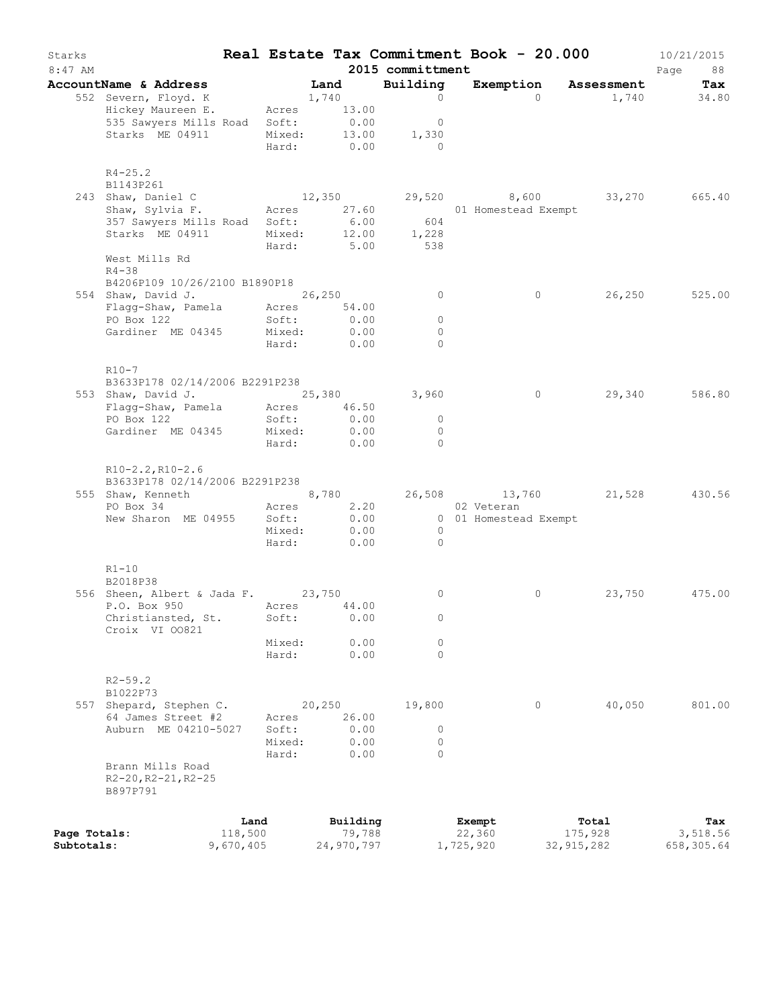| Starks<br>$8:47$ AM |                                                      |                 |                 |        |                       | 2015 committment          | Real Estate Tax Commitment Book - 20.000 |                  | 10/21/2015<br>Page<br>88 |
|---------------------|------------------------------------------------------|-----------------|-----------------|--------|-----------------------|---------------------------|------------------------------------------|------------------|--------------------------|
|                     | AccountName & Address                                |                 |                 | Land   |                       | Building                  | Exemption Assessment                     |                  | Tax                      |
|                     | 552 Severn, Floyd. K                                 |                 |                 | 1,740  |                       | $\circ$                   | $\Omega$                                 | 1,740            | 34.80                    |
|                     | Hickey Maureen E.                                    |                 | Acres           |        | 13.00                 |                           |                                          |                  |                          |
|                     | 535 Sawyers Mills Road Soft:<br>Starks ME 04911      |                 | Mixed:          |        | 0.00<br>13.00         | 0<br>1,330                |                                          |                  |                          |
|                     |                                                      |                 | Hard:           |        | 0.00                  | $\overline{0}$            |                                          |                  |                          |
|                     | $R4 - 25.2$                                          |                 |                 |        |                       |                           |                                          |                  |                          |
|                     | B1143P261                                            |                 |                 |        |                       |                           |                                          |                  |                          |
|                     | 243 Shaw, Daniel C<br>Shaw, Sylvia F.                |                 |                 |        | 12,350<br>Acres 27.60 |                           | 29,520 8,600<br>01 Homestead Exempt      | 33,270           | 665.40                   |
|                     | 357 Sawyers Mills Road                               |                 | Soft:           |        | 6.00                  | 604                       |                                          |                  |                          |
|                     | Starks ME 04911                                      |                 | Mixed:          |        | 12.00                 | 1,228                     |                                          |                  |                          |
|                     |                                                      |                 | Hard:           |        | 5.00                  | 538                       |                                          |                  |                          |
|                     | West Mills Rd                                        |                 |                 |        |                       |                           |                                          |                  |                          |
|                     | $R4 - 38$<br>B4206P109 10/26/2100 B1890P18           |                 |                 |        |                       |                           |                                          |                  |                          |
|                     | 554 Shaw, David J.                                   |                 | 26, 250         |        |                       | $\circ$                   | $\circ$                                  | 26, 250          | 525.00                   |
|                     | Flagg-Shaw, Pamela Acres 54.00                       |                 |                 |        |                       |                           |                                          |                  |                          |
|                     | PO Box 122                                           |                 | Soft:           |        | 0.00                  | $\circ$                   |                                          |                  |                          |
|                     | Gardiner ME 04345                                    |                 | Mixed:          |        | 0.00                  | $\circ$                   |                                          |                  |                          |
|                     |                                                      |                 | Hard:           |        | 0.00                  | $\Omega$                  |                                          |                  |                          |
|                     | R10-7                                                |                 |                 |        |                       |                           |                                          |                  |                          |
|                     | B3633P178 02/14/2006 B2291P238                       |                 |                 |        |                       |                           |                                          |                  |                          |
|                     | 553 Shaw, David J. 25,380                            |                 |                 |        |                       | 3,960                     | $\circ$                                  | 29,340           | 586.80                   |
|                     | Flagg-Shaw, Pamela                                   |                 |                 |        | Acres 46.50           |                           |                                          |                  |                          |
|                     | PO Box 122                                           |                 | Soft:           |        | 0.00                  | 0                         |                                          |                  |                          |
|                     | Gardiner ME 04345                                    |                 | Mixed:<br>Hard: |        | 0.00<br>0.00          | $\circ$<br>$\Omega$       |                                          |                  |                          |
|                     | $R10-2.2, R10-2.6$<br>B3633P178 02/14/2006 B2291P238 |                 |                 |        |                       |                           |                                          |                  |                          |
|                     | 555 Shaw, Kenneth                                    |                 |                 |        | 8,780                 |                           | 26,508 13,760 21,528 430.56              |                  |                          |
|                     | PO Box 34                                            |                 |                 |        | Acres 2.20            |                           | 02 Veteran                               |                  |                          |
|                     | New Sharon ME 04955                                  |                 | Soft:           |        | 0.00                  |                           | 0 01 Homestead Exempt                    |                  |                          |
|                     |                                                      |                 | Mixed:<br>Hard: |        | 0.00<br>0.00          | $\overline{0}$<br>$\circ$ |                                          |                  |                          |
|                     | $R1 - 10$                                            |                 |                 |        |                       |                           |                                          |                  |                          |
|                     | B2018P38                                             |                 |                 |        |                       | 0                         | 0                                        |                  | 475.00                   |
|                     | 556 Sheen, Albert & Jada F. 23,750<br>P.O. Box 950   |                 |                 |        | Acres 44.00           |                           |                                          | 23,750           |                          |
|                     | Christiansted, St.<br>Croix VI 00821                 |                 | Soft:           |        | 0.00                  | 0                         |                                          |                  |                          |
|                     |                                                      |                 | Mixed:          |        | 0.00                  | 0                         |                                          |                  |                          |
|                     |                                                      |                 | Hard:           |        | 0.00                  | $\Omega$                  |                                          |                  |                          |
|                     | $R2 - 59.2$                                          |                 |                 |        |                       |                           |                                          |                  |                          |
|                     | B1022P73                                             |                 |                 |        |                       |                           |                                          |                  |                          |
|                     | 557 Shepard, Stephen C.<br>64 James Street #2        |                 |                 | 20,250 |                       | 19,800                    | $\circ$                                  | 40,050           | 801.00                   |
|                     | Auburn ME 04210-5027                                 |                 | Acres<br>Soft:  |        | 26.00<br>0.00         | 0                         |                                          |                  |                          |
|                     |                                                      |                 | Mixed:          |        | 0.00                  | 0                         |                                          |                  |                          |
|                     |                                                      |                 | Hard:           |        | 0.00                  | $\Omega$                  |                                          |                  |                          |
|                     | Brann Mills Road<br>R2-20, R2-21, R2-25<br>B897P791  |                 |                 |        |                       |                           |                                          |                  |                          |
|                     |                                                      |                 |                 |        |                       |                           |                                          |                  |                          |
| Page Totals:        |                                                      | Land<br>118,500 |                 |        | Building<br>79,788    |                           | Exempt<br>22,360                         | Total<br>175,928 | Tax<br>3,518.56          |
| Subtotals:          |                                                      | 9,670,405       |                 |        | 24,970,797            |                           | 1,725,920                                | 32, 915, 282     | 658,305.64               |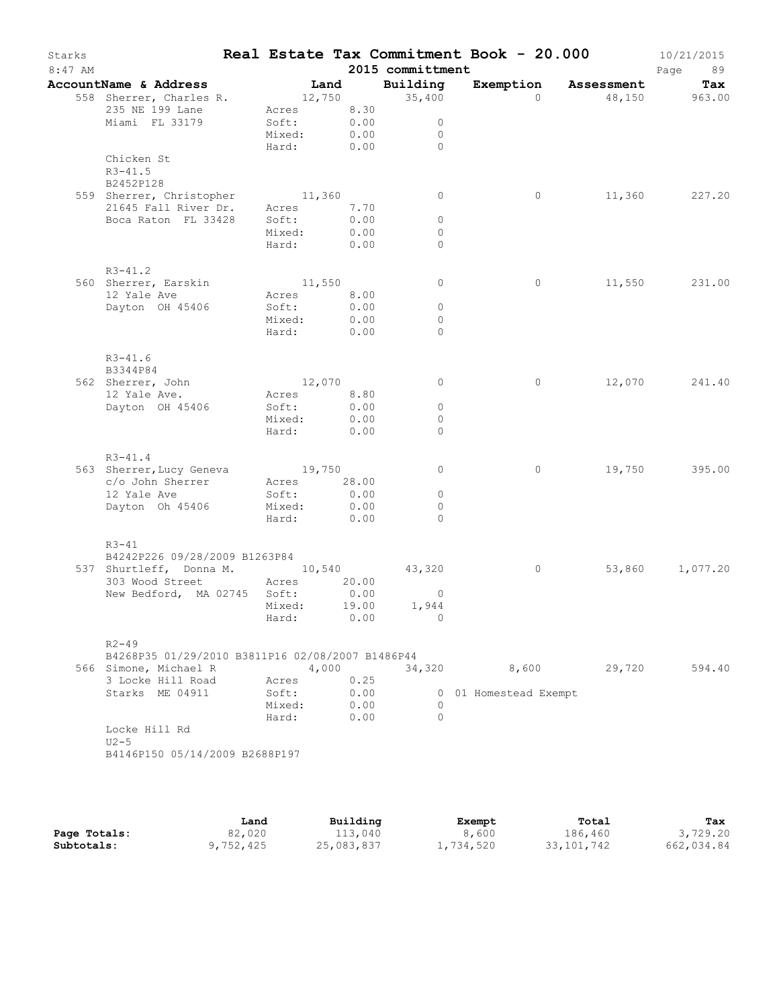| Starks<br>$8:47$ AM |                                                     |             |      |       | 2015 committment         | Real Estate Tax Commitment Book - 20.000 |          |                      | 10/21/2015<br>Page<br>89 |
|---------------------|-----------------------------------------------------|-------------|------|-------|--------------------------|------------------------------------------|----------|----------------------|--------------------------|
|                     | AccountName & Address                               |             | Land |       | Building                 |                                          |          | Exemption Assessment | Tax                      |
|                     | 558 Sherrer, Charles R.                             |             |      |       | 12,750 35,400            |                                          | $\Omega$ |                      | 48,150 963.00            |
|                     | 235 NE 199 Lane                                     | Acres 8.30  |      |       |                          |                                          |          |                      |                          |
|                     | Miami FL 33179                                      | Soft:       |      | 0.00  | $\circ$                  |                                          |          |                      |                          |
|                     |                                                     | Mixed:      |      | 0.00  | $\mathbf{0}$<br>$\Omega$ |                                          |          |                      |                          |
|                     | Chicken St                                          | Hard:       |      | 0.00  |                          |                                          |          |                      |                          |
|                     | $R3 - 41.5$                                         |             |      |       |                          |                                          |          |                      |                          |
|                     | B2452P128                                           |             |      |       |                          |                                          |          |                      |                          |
|                     | 559 Sherrer, Christopher                            | 11,360      |      |       | $\circ$                  |                                          | 0        | 11,360               | 227.20                   |
|                     | 21645 Fall River Dr.                                | Acres       |      | 7.70  |                          |                                          |          |                      |                          |
|                     | Boca Raton FL 33428                                 | Soft:       |      | 0.00  | $\circ$                  |                                          |          |                      |                          |
|                     |                                                     | Mixed:      |      | 0.00  | $\circ$                  |                                          |          |                      |                          |
|                     |                                                     | Hard:       |      | 0.00  | $\Omega$                 |                                          |          |                      |                          |
|                     |                                                     |             |      |       |                          |                                          |          |                      |                          |
|                     | $R3 - 41.2$                                         |             |      |       |                          |                                          |          |                      |                          |
|                     | 560 Sherrer, Earskin                                | 11,550      |      |       | $\circ$                  |                                          | 0        |                      | 11,550 231.00            |
|                     | 12 Yale Ave                                         | Acres 8.00  |      |       |                          |                                          |          |                      |                          |
|                     | Dayton OH 45406                                     | Soft:       |      | 0.00  | $\circ$                  |                                          |          |                      |                          |
|                     |                                                     | Mixed:      |      | 0.00  | $\circ$                  |                                          |          |                      |                          |
|                     |                                                     | Hard:       |      | 0.00  | $\Omega$                 |                                          |          |                      |                          |
|                     |                                                     |             |      |       |                          |                                          |          |                      |                          |
|                     | $R3 - 41.6$                                         |             |      |       |                          |                                          |          |                      |                          |
|                     | B3344P84                                            |             |      |       |                          |                                          |          |                      |                          |
|                     | 562 Sherrer, John                                   | 12,070      |      |       | $\mathbf{0}$             |                                          | $\circ$  | 12,070               | 241.40                   |
|                     | 12 Yale Ave.                                        | Acres 8.80  |      |       |                          |                                          |          |                      |                          |
|                     | Dayton OH 45406                                     | Soft:       |      | 0.00  | $\circ$                  |                                          |          |                      |                          |
|                     |                                                     | Mixed:      |      | 0.00  | $\circ$                  |                                          |          |                      |                          |
|                     |                                                     | Hard:       |      | 0.00  | $\Omega$                 |                                          |          |                      |                          |
|                     |                                                     |             |      |       |                          |                                          |          |                      |                          |
|                     | $R3 - 41.4$                                         |             |      |       |                          |                                          | $\circ$  | 19,750               | 395.00                   |
|                     | 563 Sherrer, Lucy Geneva 19,750<br>c/o John Sherrer | Acres 28.00 |      |       | $\circ$                  |                                          |          |                      |                          |
|                     | 12 Yale Ave                                         | Soft:       |      | 0.00  | $\circ$                  |                                          |          |                      |                          |
|                     | Dayton Oh 45406                                     | Mixed:      |      | 0.00  | $\Omega$                 |                                          |          |                      |                          |
|                     |                                                     | Hard:       |      | 0.00  | $\Omega$                 |                                          |          |                      |                          |
|                     |                                                     |             |      |       |                          |                                          |          |                      |                          |
|                     | $R3 - 41$                                           |             |      |       |                          |                                          |          |                      |                          |
|                     | B4242P226 09/28/2009 B1263P84                       |             |      |       |                          |                                          |          |                      |                          |
|                     | 537 Shurtleff, Donna M. 10,540                      |             |      |       | 43,320                   |                                          | $\circ$  | 53,860               | 1,077.20                 |
|                     | 303 Wood Street Acres 20.00                         |             |      |       |                          |                                          |          |                      |                          |
|                     | New Bedford, MA 02745 Soft:                         |             |      | 0.00  | $\overline{0}$           |                                          |          |                      |                          |
|                     |                                                     | Mixed:      |      | 19.00 | 1,944                    |                                          |          |                      |                          |
|                     |                                                     | Hard:       |      | 0.00  | - 0                      |                                          |          |                      |                          |
|                     |                                                     |             |      |       |                          |                                          |          |                      |                          |
|                     | $R2 - 49$                                           |             |      |       |                          |                                          |          |                      |                          |
|                     | B4268P35 01/29/2010 B3811P16 02/08/2007 B1486P44    |             |      |       |                          |                                          |          |                      |                          |
|                     | 566 Simone, Michael R                               |             |      | 4,000 |                          | 34,320 8,600 29,720                      |          |                      | 594.40                   |
|                     | 3 Locke Hill Road                                   | Acres       |      | 0.25  |                          |                                          |          |                      |                          |
|                     | Starks ME 04911                                     | Soft:       |      | 0.00  |                          | 0 01 Homestead Exempt                    |          |                      |                          |
|                     |                                                     | Mixed: 0.00 |      |       | $\Omega$                 |                                          |          |                      |                          |
|                     |                                                     | Hard: 0.00  |      |       | $\bigcirc$               |                                          |          |                      |                          |
|                     | Locke Hill Rd                                       |             |      |       |                          |                                          |          |                      |                          |
|                     | $U2-5$                                              |             |      |       |                          |                                          |          |                      |                          |
|                     | B4146P150 05/14/2009 B2688P197                      |             |      |       |                          |                                          |          |                      |                          |
|                     |                                                     |             |      |       |                          |                                          |          |                      |                          |
|                     |                                                     |             |      |       |                          |                                          |          |                      |                          |

|              | Land      | Building   | Exempt    | Total        | Tax        |
|--------------|-----------|------------|-----------|--------------|------------|
| Page Totals: | 82,020    | 113,040    | 8,600     | 186,460      | 3,729.20   |
| Subtotals:   | 9,752,425 | 25,083,837 | 1,734,520 | 33, 101, 742 | 662,034.84 |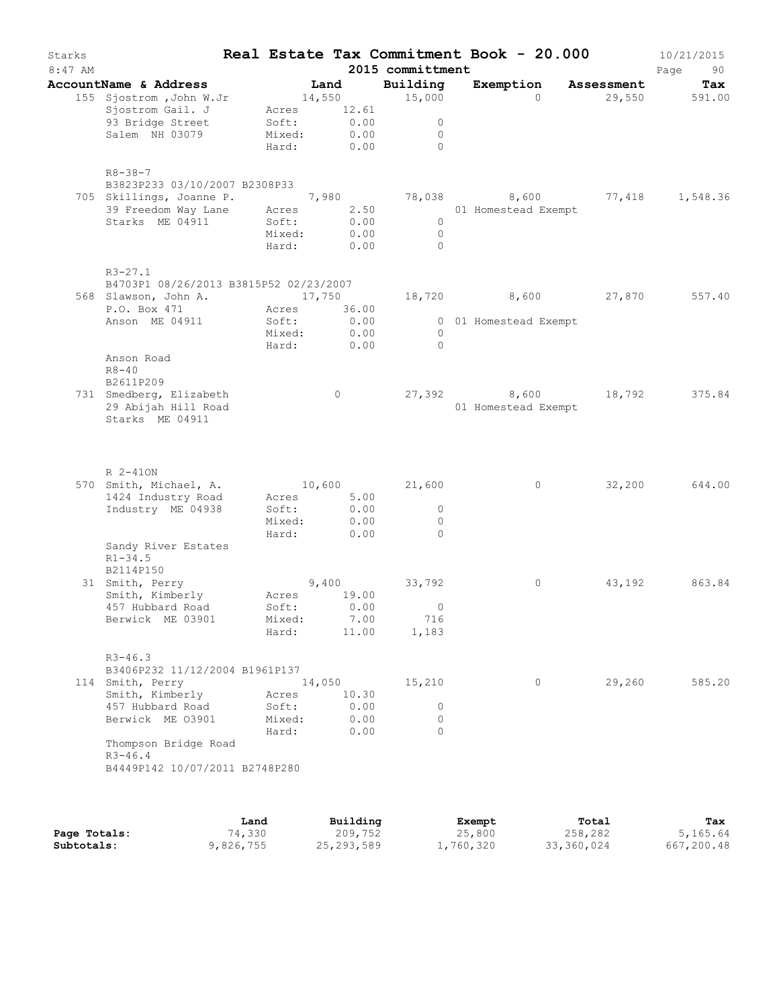| Starks<br>$8:47$ AM |                                                                                                                 |                          |                 |               |                               | 2015 committment                         | Real Estate Tax Commitment Book - 20.000     |            | 10/21/2015<br>Page<br>90 |
|---------------------|-----------------------------------------------------------------------------------------------------------------|--------------------------|-----------------|---------------|-------------------------------|------------------------------------------|----------------------------------------------|------------|--------------------------|
|                     | AccountName & Address                                                                                           |                          | Land            |               |                               | Building                                 | Exemption                                    | Assessment | Tax                      |
|                     | 155 Sjostrom , John W.Jr<br>Sjostrom Gail. J<br>93 Bridge Street<br>Salem NH 03079                              | Soft:<br>Mixed:<br>Hard: | 14,550<br>Acres |               | 12.61<br>0.00<br>0.00<br>0.00 | 15,000<br>$\circ$<br>$\circ$<br>$\Omega$ | $\Omega$                                     | 29,550     | 591.00                   |
|                     | $R8 - 38 - 7$<br>B3823P233 03/10/2007 B2308P33<br>705 Skillings, Joanne P.<br>Starks ME 04911                   | Soft:<br>Mixed:<br>Hard: |                 |               | 0.00<br>0.00<br>0.00          | $\circ$<br>$\circ$<br>$\Omega$           |                                              |            | 77,418 1,548.36          |
|                     | $R3 - 27.1$<br>B4703P1 08/26/2013 B3815P52 02/23/2007<br>568 Slawson, John A.<br>P.O. Box 471<br>Anson ME 04911 | Soft:<br>Mixed:<br>Hard: | 17,750<br>Acres |               | 36.00<br>0.00<br>0.00<br>0.00 | $\overline{0}$<br>$\bigcirc$             | 18,720 8,600 27,870<br>0 01 Homestead Exempt |            | 557.40                   |
|                     | Anson Road<br>$R8 - 40$<br>B2611P209<br>731 Smedberg, Elizabeth<br>29 Abijah Hill Road<br>Starks ME 04911       |                          |                 | $\circ$       |                               |                                          | 27,392 8,600 18,792<br>01 Homestead Exempt   |            | 375.84                   |
|                     | R 2-410N<br>570 Smith, Michael, A.<br>1424 Industry Road<br>Industry ME 04938                                   | Soft:<br>Mixed:          | 10,600<br>Acres |               | 5.00<br>0.00<br>0.00          | 21,600<br>$\circ$<br>$\circ$             | $\circ$                                      | 32,200     | 644.00                   |
|                     | Sandy River Estates<br>$R1 - 34.5$<br>B2114P150<br>31 Smith, Perry<br>Smith, Kimberly<br>457 Hubbard Road       | Hard:<br>Acres<br>Soft:  |                 | 0.00<br>9,400 | 19.00<br>0.00                 | $\Omega$<br>33,792<br>$\circ$            | 0                                            | 43,192     | 863.84                   |
|                     | Berwick ME 03901<br>$R3 - 46.3$<br>B3406P232 11/12/2004 B1961P137<br>114 Smith, Perry<br>Smith, Kimberly        | Mixed:<br>Hard:<br>Acres | 14,050          |               | 7.00<br>11.00<br>10.30        | 716<br>1,183<br>15,210                   | $\circ$                                      | 29,260     | 585.20                   |
|                     | 457 Hubbard Road<br>Berwick ME 03901<br>Thompson Bridge Road<br>$R3 - 46.4$<br>B4449P142 10/07/2011 B2748P280   | Soft:<br>Mixed:<br>Hard: |                 |               | 0.00<br>0.00<br>0.00          | $\circ$<br>$\circ$<br>$\Omega$           |                                              |            |                          |
|                     |                                                                                                                 |                          |                 |               |                               |                                          |                                              |            |                          |

|              | Land      | Building     | Exempt    | Total      | Tax        |
|--------------|-----------|--------------|-----------|------------|------------|
| Page Totals: | 74,330    | 209,752      | 25,800    | 258,282    | 5,165.64   |
| Subtotals:   | 9,826,755 | 25, 293, 589 | 1,760,320 | 33,360,024 | 667,200.48 |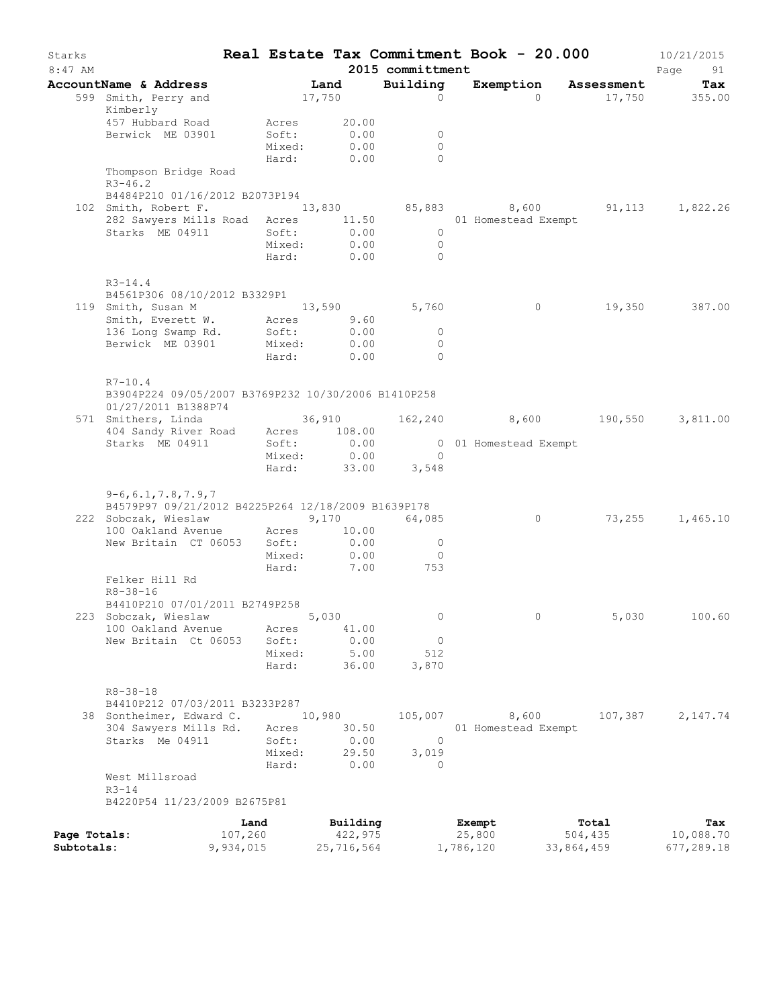| Starks<br>$8:47$ AM        |                                                                                           |                      |                 |                       | Real Estate Tax Commitment Book - 20.000<br>2015 committment |                     |                       |                                               | 10/21/2015<br>Page<br>91 |
|----------------------------|-------------------------------------------------------------------------------------------|----------------------|-----------------|-----------------------|--------------------------------------------------------------|---------------------|-----------------------|-----------------------------------------------|--------------------------|
|                            | AccountName & Address                                                                     |                      | Land            |                       | Building                                                     |                     |                       | Exemption Assessment                          | Tax                      |
|                            | 599 Smith, Perry and<br>Kimberly                                                          |                      | 17,750          |                       | $\Omega$                                                     |                     | $\Omega$              |                                               | 17,750 355.00            |
|                            | 457 Hubbard Road                                                                          |                      | Acres           | 20.00                 |                                                              |                     |                       |                                               |                          |
|                            | Berwick ME 03901                                                                          |                      | Soft:           | 0.00                  | $\circ$<br>$\Omega$                                          |                     |                       |                                               |                          |
|                            |                                                                                           |                      | Mixed:<br>Hard: | 0.00<br>0.00          | $\Omega$                                                     |                     |                       |                                               |                          |
|                            | Thompson Bridge Road<br>$R3 - 46.2$                                                       |                      |                 |                       |                                                              |                     |                       |                                               |                          |
|                            | B4484P210 01/16/2012 B2073P194                                                            |                      |                 |                       |                                                              |                     |                       |                                               |                          |
|                            | 102 Smith, Robert F.                                                                      |                      |                 |                       |                                                              |                     |                       | $13,830$ $85,883$ $8,600$ $91,113$ $1,822.26$ |                          |
|                            | 282 Sawyers Mills Road Acres 11.50                                                        |                      |                 |                       |                                                              |                     | 01 Homestead Exempt   |                                               |                          |
|                            | Starks ME 04911                                                                           |                      | Soft:<br>Mixed: | 0.00<br>0.00          | $\overline{0}$<br>$\overline{0}$                             |                     |                       |                                               |                          |
|                            |                                                                                           |                      | Hard:           | 0.00                  | $\bigcirc$                                                   |                     |                       |                                               |                          |
|                            | $R3 - 14.4$<br>B4561P306 08/10/2012 B3329P1                                               |                      |                 |                       |                                                              |                     |                       |                                               |                          |
|                            | 119 Smith, Susan M                                                                        |                      |                 | 13,590                | 5,760                                                        |                     | $\overline{0}$        | 19,350                                        | 387.00                   |
|                            |                                                                                           |                      |                 | 9.60                  |                                                              |                     |                       |                                               |                          |
|                            | Smith, Everett W. Acres<br>136 Long Swamp Rd. Soft:                                       |                      |                 | 0.00                  | $\overline{0}$                                               |                     |                       |                                               |                          |
|                            | Berwick ME 03901 Mixed:                                                                   |                      |                 | 0.00                  | $\overline{0}$                                               |                     |                       |                                               |                          |
|                            |                                                                                           |                      | Hard:           | 0.00                  | $\Omega$                                                     |                     |                       |                                               |                          |
|                            | $R7 - 10.4$<br>B3904P224 09/05/2007 B3769P232 10/30/2006 B1410P258<br>01/27/2011 B1388P74 |                      |                 |                       |                                                              |                     |                       |                                               |                          |
|                            | 571 Smithers, Linda<br>Smithers, Linda 36,910<br>404 Sandy River Road Acres 108.00        |                      |                 |                       |                                                              |                     |                       | 36,910 162,240 8,600 190,550                  | 3,811.00                 |
|                            |                                                                                           |                      |                 |                       |                                                              |                     |                       |                                               |                          |
|                            | Starks ME 04911                                                                           |                      | Soft:<br>Mixed: | 0.00<br>0.00          | $\overline{0}$                                               |                     | 0 01 Homestead Exempt |                                               |                          |
|                            |                                                                                           |                      | Hard:           |                       | 33.00 3,548                                                  |                     |                       |                                               |                          |
|                            | $9-6, 6.1, 7.8, 7.9, 7$                                                                   |                      |                 |                       |                                                              |                     |                       |                                               |                          |
|                            | B4579P97 09/21/2012 B4225P264 12/18/2009 B1639P178                                        |                      |                 |                       |                                                              |                     |                       |                                               |                          |
|                            | 222 Sobczak, Wieslaw                                                                      |                      |                 | 9,170<br>10.00        | 64,085                                                       |                     | $\circ$               |                                               | 73,255 1,465.10          |
|                            | 100 Oakland Avenue Acres<br>New Britain CT 06053 Soft:                                    |                      |                 | 0.00                  | $\circ$                                                      |                     |                       |                                               |                          |
|                            |                                                                                           |                      | Mixed:          | 0.00                  | $\circ$                                                      |                     |                       |                                               |                          |
|                            |                                                                                           |                      | Hard:           | 7.00                  | 753                                                          |                     |                       |                                               |                          |
|                            | Felker Hill Rd                                                                            |                      |                 |                       |                                                              |                     |                       |                                               |                          |
|                            | $R8 - 38 - 16$                                                                            |                      |                 |                       |                                                              |                     |                       |                                               |                          |
|                            | B4410P210 07/01/2011 B2749P258                                                            |                      |                 |                       |                                                              |                     |                       |                                               |                          |
|                            | 223 Sobczak, Wieslaw<br>100 Oakland Avenue                                                |                      | 5,030<br>Acres  | 41.00                 | 0                                                            |                     |                       | 5,030                                         | 100.60                   |
|                            | New Britain Ct 06053                                                                      |                      | Soft:           | 0.00                  | $\circ$                                                      |                     |                       |                                               |                          |
|                            |                                                                                           |                      | Mixed:          | 5.00                  | 512                                                          |                     |                       |                                               |                          |
|                            |                                                                                           |                      | Hard:           | 36.00                 | 3,870                                                        |                     |                       |                                               |                          |
|                            | $R8 - 38 - 18$                                                                            |                      |                 |                       |                                                              |                     |                       |                                               |                          |
|                            | B4410P212 07/03/2011 B3233P287<br>38 Sontheimer, Edward C.                                |                      | 10,980          |                       | 105,007                                                      |                     | 8,600                 | 107,387                                       | 2,147.74                 |
|                            | 304 Sawyers Mills Rd.                                                                     |                      | Acres           | 30.50                 |                                                              |                     | 01 Homestead Exempt   |                                               |                          |
|                            | Starks Me 04911                                                                           |                      | Soft:           | 0.00                  | $\mathbf 0$                                                  |                     |                       |                                               |                          |
|                            |                                                                                           |                      | Mixed:          | 29.50                 | 3,019                                                        |                     |                       |                                               |                          |
|                            |                                                                                           |                      | Hard:           | 0.00                  | $\Omega$                                                     |                     |                       |                                               |                          |
|                            | West Millsroad                                                                            |                      |                 |                       |                                                              |                     |                       |                                               |                          |
|                            | $R3 - 14$<br>B4220P54 11/23/2009 B2675P81                                                 |                      |                 |                       |                                                              |                     |                       |                                               |                          |
|                            |                                                                                           | Land                 |                 | Building              |                                                              | Exempt              |                       | Total                                         | Tax                      |
| Page Totals:<br>Subtotals: |                                                                                           | 107,260<br>9,934,015 |                 | 422,975<br>25,716,564 |                                                              | 25,800<br>1,786,120 |                       | 504, 435<br>33,864,459                        | 10,088.70<br>677,289.18  |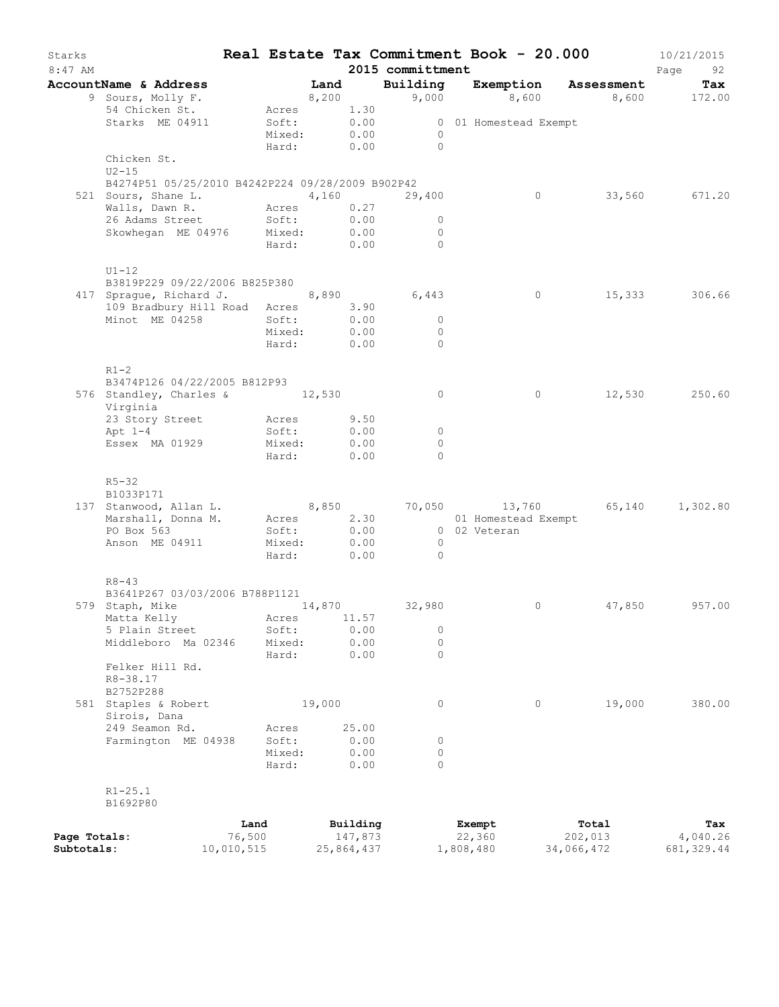| Starks<br>8:47 AM          |                                                                                                                                                     |                      |                           |        |                       | 2015 committment |                       | Real Estate Tax Commitment Book - 20.000 | 10/21/2015<br>Page<br>92 |
|----------------------------|-----------------------------------------------------------------------------------------------------------------------------------------------------|----------------------|---------------------------|--------|-----------------------|------------------|-----------------------|------------------------------------------|--------------------------|
|                            | AccountName & Address                                                                                                                               |                      |                           | Land   |                       |                  |                       | Building Exemption Assessment            | Tax                      |
|                            | 9 Sours, Molly F.                                                                                                                                   |                      | 8,200                     |        |                       |                  |                       | 9,000 8,600 8,600 172.00                 |                          |
|                            | 54 Chicken St.                                                                                                                                      |                      | Acres 1.30                |        |                       |                  |                       |                                          |                          |
|                            | Starks ME 04911                                                                                                                                     |                      | Soft: 0.00<br>Mixed: 0.00 |        |                       |                  | 0 01 Homestead Exempt |                                          |                          |
|                            |                                                                                                                                                     |                      |                           |        |                       | $\overline{0}$   |                       |                                          |                          |
|                            |                                                                                                                                                     |                      |                           |        |                       | Hard: 0.00 0     |                       |                                          |                          |
|                            | Chicken St.                                                                                                                                         |                      |                           |        |                       |                  |                       |                                          |                          |
|                            | $U2-15$<br>B4274P51 05/25/2010 B4242P224 09/28/2009 B902P42                                                                                         |                      |                           |        |                       |                  |                       |                                          |                          |
|                            | 521 Sours, Shane L. 4,160 29,400                                                                                                                    |                      |                           |        |                       |                  | $\overline{0}$        |                                          | 33,560 671.20            |
|                            | Walls, Dawn R. Acres 0.27                                                                                                                           |                      |                           |        |                       |                  |                       |                                          |                          |
|                            | 26 Adams Street                                                                                                                                     |                      | Soft:                     |        | 0.00                  | $\circ$          |                       |                                          |                          |
|                            | Skowhegan ME 04976 Mixed: 0.00                                                                                                                      |                      |                           |        |                       | $\circ$          |                       |                                          |                          |
|                            |                                                                                                                                                     |                      | Hard: 0.00                |        |                       | $\Omega$         |                       |                                          |                          |
|                            | $U1-12$                                                                                                                                             |                      |                           |        |                       |                  |                       |                                          |                          |
|                            | B3819P229 09/22/2006 B825P380                                                                                                                       |                      |                           |        |                       |                  |                       |                                          |                          |
|                            | 417 Sprague, Richard J. 8,890 6,443                                                                                                                 |                      |                           |        |                       |                  | $\overline{0}$        |                                          | 15,333 306.66            |
|                            | 109 Bradbury Hill Road Acres 3.90                                                                                                                   |                      |                           |        |                       |                  |                       |                                          |                          |
|                            | Minot ME 04258                                                                                                                                      |                      | Soft:                     |        | 0.00                  | $\circ$          |                       |                                          |                          |
|                            |                                                                                                                                                     |                      | Mixed: 0.00               |        |                       | $\overline{0}$   |                       |                                          |                          |
|                            |                                                                                                                                                     |                      | Hard: 0.00                |        |                       | $\overline{0}$   |                       |                                          |                          |
|                            | $R1 - 2$                                                                                                                                            |                      |                           |        |                       |                  |                       |                                          |                          |
|                            | B3474P126 04/22/2005 B812P93                                                                                                                        |                      |                           |        |                       |                  |                       |                                          |                          |
|                            | 576 Standley, Charles & 12,530<br>Virginia                                                                                                          |                      |                           |        |                       | $\circ$          | $\circ$               |                                          | 12,530 250.60            |
|                            | 23 Story Street                                                                                                                                     |                      |                           |        | 9.50                  |                  |                       |                                          |                          |
|                            | $Apt 1-4$                                                                                                                                           |                      | Acres<br>Soft:            |        | 0.00                  | $\overline{0}$   |                       |                                          |                          |
|                            | Essex MA 01929                                                                                                                                      |                      | Mixed:                    |        | 0.00                  | $\circ$          |                       |                                          |                          |
|                            |                                                                                                                                                     |                      | Hard:                     |        | 0.00                  | $\circ$          |                       |                                          |                          |
|                            | $R5 - 32$                                                                                                                                           |                      |                           |        |                       |                  |                       |                                          |                          |
|                            | B1033P171                                                                                                                                           |                      |                           |        |                       |                  |                       |                                          |                          |
|                            |                                                                                                                                                     |                      |                           |        |                       |                  |                       |                                          |                          |
|                            | 137 Stanwood, Allan L. 8,850 70,050 13,760 65,140 1,302.80<br>Marshall, Donna M. Acres 2.30 01 Homestead Exempt<br>PO Box 563 Soft: 0.00 02 Veteran |                      |                           |        |                       |                  |                       |                                          |                          |
|                            |                                                                                                                                                     |                      |                           |        |                       |                  |                       |                                          |                          |
|                            | Anson ME 04911                                                                                                                                      |                      | Mixed: 0.00               |        |                       | $\overline{0}$   |                       |                                          |                          |
|                            |                                                                                                                                                     |                      | Hard: 0.00                |        |                       | $\overline{0}$   |                       |                                          |                          |
|                            | $R8 - 43$                                                                                                                                           |                      |                           |        |                       |                  |                       |                                          |                          |
|                            | B3641P267 03/03/2006 B788P1121                                                                                                                      |                      |                           |        |                       |                  |                       |                                          |                          |
|                            | 579 Staph, Mike                                                                                                                                     |                      |                           |        |                       | 14,870 32,980    | 0                     |                                          | 47,850 957.00            |
|                            | Matta Kelly                                                                                                                                         |                      | Acres                     |        | 11.57                 |                  |                       |                                          |                          |
|                            | 5 Plain Street                                                                                                                                      |                      | Soft:                     |        | 0.00                  | 0                |                       |                                          |                          |
|                            | Middleboro Ma 02346                                                                                                                                 |                      | Mixed:                    |        | 0.00                  | $\circ$          |                       |                                          |                          |
|                            |                                                                                                                                                     |                      | Hard:                     |        | 0.00                  | $\circ$          |                       |                                          |                          |
|                            | Felker Hill Rd.                                                                                                                                     |                      |                           |        |                       |                  |                       |                                          |                          |
|                            | R8-38.17                                                                                                                                            |                      |                           |        |                       |                  |                       |                                          |                          |
|                            | B2752P288<br>581 Staples & Robert                                                                                                                   |                      |                           | 19,000 |                       | $\circ$          | $\circ$               | 19,000                                   | 380.00                   |
|                            | Sirois, Dana                                                                                                                                        |                      |                           |        |                       |                  |                       |                                          |                          |
|                            | 249 Seamon Rd.                                                                                                                                      |                      | Acres                     |        | 25.00                 |                  |                       |                                          |                          |
|                            | Farmington ME 04938                                                                                                                                 |                      | Soft:                     |        | 0.00                  | 0                |                       |                                          |                          |
|                            |                                                                                                                                                     |                      | Mixed:                    |        | 0.00                  | $\circ$          |                       |                                          |                          |
|                            |                                                                                                                                                     |                      | Hard:                     |        | 0.00                  | $\Omega$         |                       |                                          |                          |
|                            | $R1 - 25.1$                                                                                                                                         |                      |                           |        |                       |                  |                       |                                          |                          |
|                            | B1692P80                                                                                                                                            |                      |                           |        |                       |                  |                       |                                          |                          |
|                            |                                                                                                                                                     | Land                 |                           |        | Building              |                  | Exempt                | Total                                    | Tax                      |
| Page Totals:<br>Subtotals: |                                                                                                                                                     | 76,500<br>10,010,515 |                           |        | 147,873<br>25,864,437 |                  | 22,360<br>1,808,480   | 202,013<br>34,066,472                    | 4,040.26<br>681, 329.44  |
|                            |                                                                                                                                                     |                      |                           |        |                       |                  |                       |                                          |                          |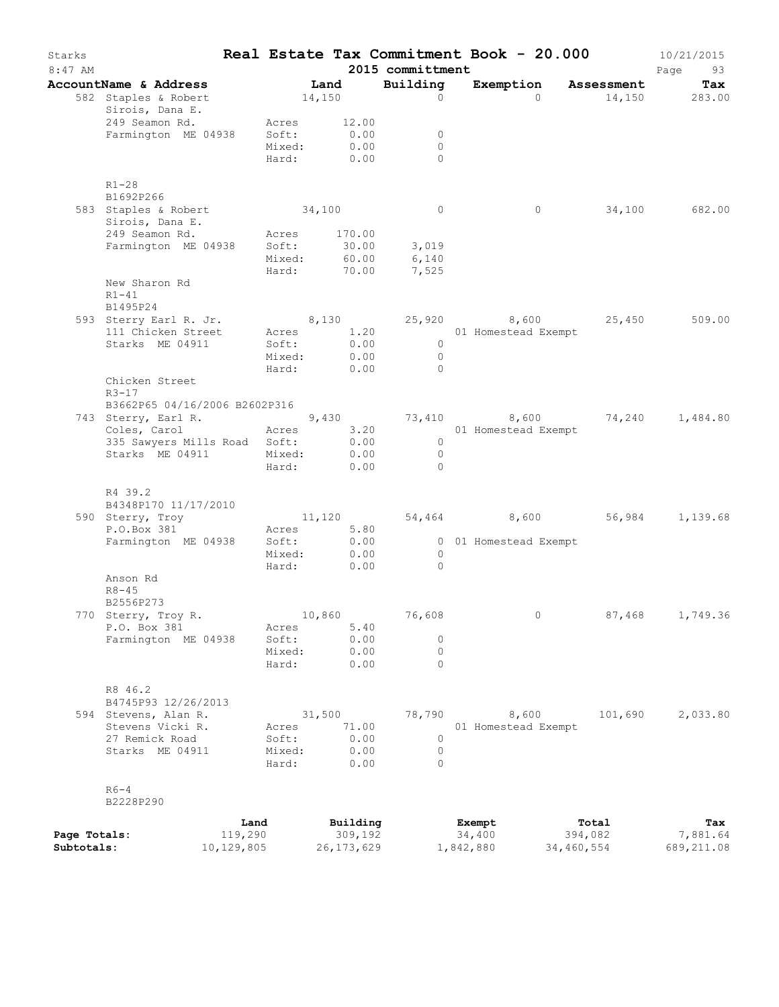| Starks<br>$8:47$ AM |                                              |                 |                     | 2015 committment     | Real Estate Tax Commitment Book - 20.000 |            | 10/21/2015<br>Page<br>93 |
|---------------------|----------------------------------------------|-----------------|---------------------|----------------------|------------------------------------------|------------|--------------------------|
|                     | AccountName & Address                        |                 | Land                | Building             | Exemption Assessment                     |            | Tax                      |
|                     | 582 Staples & Robert<br>Sirois, Dana E.      |                 | 14,150              | $\Omega$             | $\Omega$                                 |            | 14,150 283.00            |
|                     | 249 Seamon Rd.                               | Acres           | 12.00               |                      |                                          |            |                          |
|                     | Farmington ME 04938                          | Soft:           | 0.00                | 0                    |                                          |            |                          |
|                     |                                              | Mixed:<br>Hard: | 0.00<br>0.00        | $\Omega$<br>$\Omega$ |                                          |            |                          |
|                     | $R1 - 28$                                    |                 |                     |                      |                                          |            |                          |
|                     | B1692P266<br>583 Staples & Robert            | 34,100          |                     | $\overline{0}$       | $\circ$                                  | 34,100     | 682.00                   |
|                     | Sirois, Dana E.                              |                 |                     |                      |                                          |            |                          |
|                     | 249 Seamon Rd.                               | Acres           | 170.00              |                      |                                          |            |                          |
|                     | Farmington ME 04938                          | Soft:<br>Mixed: | 30.00<br>60.00      | 3,019<br>6,140       |                                          |            |                          |
|                     |                                              | Hard:           | 70.00               | 7,525                |                                          |            |                          |
|                     | New Sharon Rd<br>$R1 - 41$                   |                 |                     |                      |                                          |            |                          |
|                     | B1495P24                                     |                 |                     |                      |                                          |            |                          |
|                     | 593 Sterry Earl R. Jr.<br>111 Chicken Street |                 | 8,130<br>Acres 1.20 |                      | 25,920 8,600<br>01 Homestead Exempt      | 25,450     | 509.00                   |
|                     | Starks ME 04911                              | Soft:           | 0.00                | $\overline{0}$       |                                          |            |                          |
|                     |                                              | Mixed:          | 0.00                | $\overline{0}$       |                                          |            |                          |
|                     |                                              | Hard:           | 0.00                | $\Omega$             |                                          |            |                          |
|                     | Chicken Street                               |                 |                     |                      |                                          |            |                          |
|                     | $R3 - 17$<br>B3662P65 04/16/2006 B2602P316   |                 |                     |                      |                                          |            |                          |
|                     | 743 Sterry, Earl R.                          |                 | 9,430               |                      | 73,410 8,600                             | 74,240     | 1,484.80                 |
|                     | Coles, Carol                                 | Acres           | 3.20                |                      | 01 Homestead Exempt                      |            |                          |
|                     | 335 Sawyers Mills Road Soft:                 |                 | 0.00                | $\circ$              |                                          |            |                          |
|                     | Starks ME 04911                              | Mixed:          | 0.00                | $\overline{0}$       |                                          |            |                          |
|                     |                                              | Hard:           | 0.00                | $\cap$               |                                          |            |                          |
|                     | R4 39.2                                      |                 |                     |                      |                                          |            |                          |
|                     | B4348P170 11/17/2010                         |                 |                     |                      |                                          |            |                          |
|                     | 590 Sterry, Troy                             |                 | 11,120              |                      | 54,464 8,600                             | 56,984     | 1,139.68                 |
|                     | P.O.Box 381                                  | Acres           | 5.80                |                      |                                          |            |                          |
|                     | Farmington ME 04938                          | Soft:<br>Mixed: | 0.00<br>0.00        | $\overline{0}$       | 0 01 Homestead Exempt                    |            |                          |
|                     |                                              | Hard:           | 0.00                | $\Omega$             |                                          |            |                          |
|                     | Anson Rd                                     |                 |                     |                      |                                          |            |                          |
|                     | $R8 - 45$                                    |                 |                     |                      |                                          |            |                          |
|                     | B2556P273                                    |                 |                     |                      |                                          |            |                          |
|                     | 770 Sterry, Troy R.<br>P.O. Box 381          | Acres           | 10,860<br>5.40      | 76,608               | $\circ$                                  | 87,468     | 1,749.36                 |
|                     | Farmington ME 04938                          | Soft:           | 0.00                | $\circ$              |                                          |            |                          |
|                     |                                              | Mixed:          | 0.00                | $\circ$              |                                          |            |                          |
|                     |                                              | Hard:           | 0.00                | $\Omega$             |                                          |            |                          |
|                     | R8 46.2                                      |                 |                     |                      |                                          |            |                          |
|                     | B4745P93 12/26/2013                          |                 |                     |                      |                                          |            |                          |
|                     | 594 Stevens, Alan R.                         |                 | 31,500              | 78,790               | 8,600                                    | 101,690    | 2,033.80                 |
|                     | Stevens Vicki R.                             | Acres           | 71.00               |                      | 01 Homestead Exempt                      |            |                          |
|                     | 27 Remick Road<br>Starks ME 04911            | Soft:<br>Mixed: | 0.00<br>0.00        | 0<br>$\circ$         |                                          |            |                          |
|                     |                                              | Hard:           | 0.00                | $\Omega$             |                                          |            |                          |
|                     |                                              |                 |                     |                      |                                          |            |                          |
|                     | $R6-4$<br>B2228P290                          |                 |                     |                      |                                          |            |                          |
|                     |                                              | Land            | Building            |                      | Exempt                                   | Total      | Tax                      |
| Page Totals:        | 119,290                                      |                 | 309,192             |                      | 34,400                                   | 394,082    | 7,881.64                 |
| Subtotals:          | 10,129,805                                   |                 | 26, 173, 629        |                      | 1,842,880                                | 34,460,554 | 689,211.08               |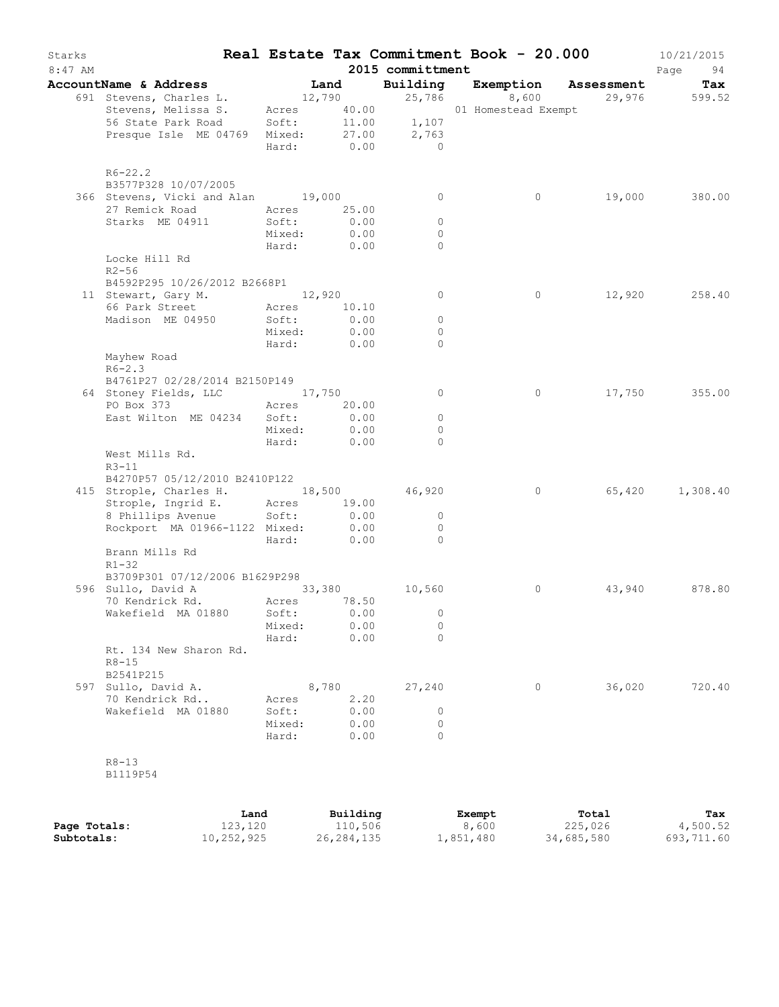| Starks    |                                                            |                 |                     |                                      | Real Estate Tax Commitment Book - 20.000 |        | 10/21/2015 |
|-----------|------------------------------------------------------------|-----------------|---------------------|--------------------------------------|------------------------------------------|--------|------------|
| $8:47$ AM |                                                            |                 |                     | 2015 committment                     |                                          |        | Page<br>94 |
|           | AccountName & Address                                      |                 | Land                |                                      | Building Exemption Assessment            |        | Tax        |
|           | 691 Stevens, Charles L.<br>Stevens, Melissa S.             | Acres           | 12,790              | 25,786<br>$40.00$<br>$11.00$ $1,107$ | 8,600<br>01 Homestead Exempt             | 29,976 | 599.52     |
|           | 56 State Park Road<br>Presque Isle ME 04769                | Soft:<br>Mixed: | 27.00<br>Hard: 0.00 | 2,763<br>$\overline{0}$              |                                          |        |            |
|           | $R6 - 22.2$                                                |                 |                     |                                      |                                          |        |            |
|           | B3577P328 10/07/2005<br>366 Stevens, Vicki and Alan 19,000 |                 |                     | $\circ$                              | $\circ$                                  | 19,000 | 380.00     |
|           | 27 Remick Road                                             | Acres           | 25.00               |                                      |                                          |        |            |
|           | Starks ME 04911                                            | Soft:           | 0.00                | $\circ$                              |                                          |        |            |
|           |                                                            | Mixed:          | 0.00                | $\circ$                              |                                          |        |            |
|           |                                                            | Hard:           | 0.00                | $\Omega$                             |                                          |        |            |
|           | Locke Hill Rd<br>$R2 - 56$                                 |                 |                     |                                      |                                          |        |            |
|           | B4592P295 10/26/2012 B2668P1                               |                 |                     |                                      |                                          |        |            |
|           | 11 Stewart, Gary M. 12,920                                 |                 |                     | $\circ$                              | 0                                        | 12,920 | 258.40     |
|           | 66 Park Street                                             | Acres           | 10.10               |                                      |                                          |        |            |
|           | Madison ME 04950                                           | Soft:<br>Mixed: | 0.00<br>0.00        | $\circ$<br>$\Omega$                  |                                          |        |            |
|           |                                                            | Hard:           | 0.00                | $\Omega$                             |                                          |        |            |
|           | Mayhew Road<br>$R6 - 2.3$                                  |                 |                     |                                      |                                          |        |            |
|           | B4761P27 02/28/2014 B2150P149                              |                 |                     |                                      |                                          |        |            |
|           | 64 Stoney Fields, LLC                                      | 17,750          |                     | $\circ$                              | $\circ$                                  | 17,750 | 355.00     |
|           | PO Box 373                                                 | Acres           | 20.00               |                                      |                                          |        |            |
|           | East Wilton ME 04234                                       | Soft:           | 0.00                | $\circ$                              |                                          |        |            |
|           |                                                            | Mixed:          | 0.00                | $\mathbf{0}$                         |                                          |        |            |
|           |                                                            | Hard:           | 0.00                | $\Omega$                             |                                          |        |            |
|           | West Mills Rd.<br>$R3 - 11$                                |                 |                     |                                      |                                          |        |            |
|           | B4270P57 05/12/2010 B2410P122                              |                 |                     |                                      |                                          |        |            |
|           | 415 Strople, Charles H. 18,500 46,920                      |                 |                     |                                      | $\circ$                                  | 65,420 | 1,308.40   |
|           | Strople, Ingrid E.                                         | Acres           | 19.00               |                                      |                                          |        |            |
|           | 8 Phillips Avenue                                          | Soft:           | 0.00                | $\circ$                              |                                          |        |            |
|           | Rockport MA 01966-1122 Mixed:                              |                 | 0.00                | $\circ$                              |                                          |        |            |
|           |                                                            | Hard:           | 0.00                | $\Omega$                             |                                          |        |            |
|           | Brann Mills Rd<br>$R1 - 32$                                |                 |                     |                                      |                                          |        |            |
|           | B3709P301 07/12/2006 B1629P298                             |                 |                     |                                      |                                          |        |            |
|           | 596 Sullo, David A<br>70 Kendrick Rd.                      | 33,380          | Acres 78.50         | 10,560                               | 0                                        | 43,940 | 878.80     |
|           | Wakefield MA 01880                                         | Soft:           | 0.00                | $\circ$                              |                                          |        |            |
|           |                                                            | Mixed:          | 0.00                | $\circ$                              |                                          |        |            |
|           |                                                            | Hard:           | 0.00                | $\Omega$                             |                                          |        |            |
|           | Rt. 134 New Sharon Rd.<br>$R8 - 15$                        |                 |                     |                                      |                                          |        |            |
|           | B2541P215                                                  |                 |                     |                                      |                                          |        |            |
|           | 597 Sullo, David A.                                        |                 | 8,780               | 27,240                               | 0                                        | 36,020 | 720.40     |
|           | 70 Kendrick Rd                                             | Acres           | 2.20                |                                      |                                          |        |            |
|           | Wakefield MA 01880                                         | Soft:           | 0.00                | 0                                    |                                          |        |            |
|           |                                                            | Mixed:          | 0.00                | $\circ$                              |                                          |        |            |
|           |                                                            | Hard:           | 0.00                | $\bigcap$                            |                                          |        |            |
|           | $R8 - 13$                                                  |                 |                     |                                      |                                          |        |            |
|           | B1119P54                                                   |                 |                     |                                      |                                          |        |            |

|              | Land       | Building   | Exempt           | Total      | Tax        |
|--------------|------------|------------|------------------|------------|------------|
| Page Totals: | 123,120    | 110,506    | 8,600            | 225,026    | 4,500.52   |
| Subtotals:   | 10,252,925 | 26,284,135 | $\pm$ , 851, 480 | 34,685,580 | 693,711.60 |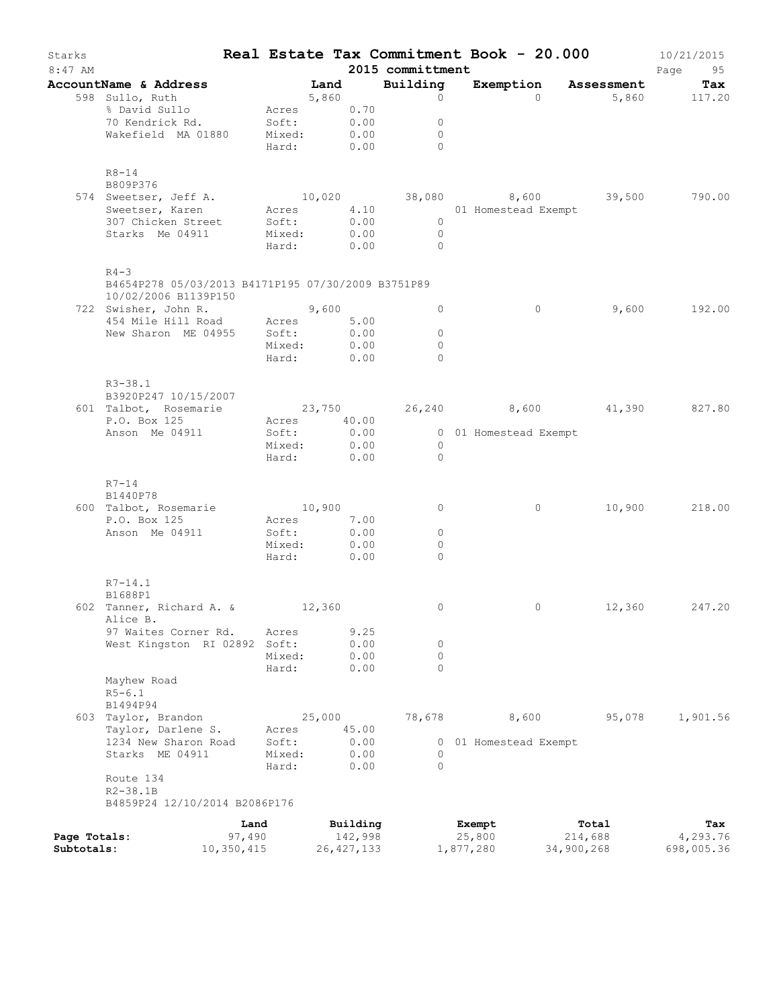| Starks<br>$8:47$ AM |                                                                                                                         |                                                       |        |              | 2015 committment                           | Real Estate Tax Commitment Book - 20.000 |                                   | 10/21/2015<br>Page<br>95 |
|---------------------|-------------------------------------------------------------------------------------------------------------------------|-------------------------------------------------------|--------|--------------|--------------------------------------------|------------------------------------------|-----------------------------------|--------------------------|
|                     | AccountName & Address                                                                                                   |                                                       | Land   |              | Building                                   |                                          | Exemption Assessment              | Tax                      |
|                     | 598 Sullo, Ruth                                                                                                         | 5,860                                                 |        |              | $\circ$                                    | $\Omega$                                 |                                   | 5,860 117.20             |
|                     | % David Sullo                                                                                                           | Acres 0.70                                            |        |              |                                            |                                          |                                   |                          |
|                     | 70 Kendrick Rd. Soft: 0.00<br>Wakefield MA 01880 Mixed: 0.00                                                            |                                                       |        |              | $\circ$                                    |                                          |                                   |                          |
|                     |                                                                                                                         |                                                       |        |              | $\mathbf{0}$                               |                                          |                                   |                          |
|                     |                                                                                                                         | Hard: 0.00                                            |        |              | $\Omega$                                   |                                          |                                   |                          |
|                     | $R8 - 14$                                                                                                               |                                                       |        |              |                                            |                                          |                                   |                          |
|                     | B809P376                                                                                                                |                                                       |        |              |                                            |                                          |                                   |                          |
|                     | Sweetser, Jeff A. 10,020 38,080 8,600 39,500<br>Sweetser, Karen Acres 4.10 01 Homestead Exempt<br>574 Sweetser, Jeff A. |                                                       |        |              |                                            |                                          |                                   | 790.00                   |
|                     |                                                                                                                         |                                                       |        |              |                                            |                                          |                                   |                          |
|                     | 307 Chicken Street                                                                                                      | Soft:<br>Mixed:                                       |        | 0.00         | $\overline{0}$                             |                                          |                                   |                          |
|                     | Starks Me 04911                                                                                                         | Hard: 0.00                                            |        | 0.00         | $\overline{0}$<br>$\overline{0}$           |                                          |                                   |                          |
|                     | $R4 - 3$                                                                                                                |                                                       |        |              |                                            |                                          |                                   |                          |
|                     | B4654P278 05/03/2013 B4171P195 07/30/2009 B3751P89<br>10/02/2006 B1139P150                                              |                                                       |        |              |                                            |                                          |                                   |                          |
|                     | 722 Swisher, John R. 9,600                                                                                              |                                                       |        |              | $\circ$                                    | $\overline{0}$                           | 9,600                             | 192.00                   |
|                     | 454 Mile Hill Road Acres 5.00<br>New Sharon ME 04955 Soft: 0.00                                                         |                                                       |        |              |                                            |                                          |                                   |                          |
|                     |                                                                                                                         |                                                       |        | 0.00         | $\circ$                                    |                                          |                                   |                          |
|                     |                                                                                                                         | Mixed: 0.00                                           |        |              | $\circ$                                    |                                          |                                   |                          |
|                     |                                                                                                                         | Hard:                                                 |        | 0.00         | $\Omega$                                   |                                          |                                   |                          |
|                     | $R3 - 38.1$<br>B3920P247 10/15/2007<br>601 Talbot, Rosemarie                                                            |                                                       |        |              |                                            |                                          | 23,750 26,240 8,600 41,390 827.80 |                          |
|                     | P.O. Box 125                                                                                                            | Acres 40.00                                           |        |              |                                            |                                          |                                   |                          |
|                     | Anson Me 04911                                                                                                          | Soft:                                                 |        | 0.00         |                                            | 0 01 Homestead Exempt                    |                                   |                          |
|                     |                                                                                                                         | Mixed: 0.00<br>Hard:                                  |        | 0.00         | $\overline{0}$<br>$\overline{0}$           |                                          |                                   |                          |
|                     | $R7 - 14$<br>B1440P78<br>600 Talbot, Rosemarie<br>P.O. Box 125<br>Anson Me 04911                                        | 10,900<br>Acres 7.00<br>Soft:<br>Mixed:<br>Hard: 0.00 |        | 0.00<br>0.00 | $\circ$<br>$\circ$<br>$\Omega$<br>$\Omega$ | $\circ$                                  | 10,900                            | 218.00                   |
|                     | $R7 - 14.1$                                                                                                             |                                                       |        |              |                                            |                                          |                                   |                          |
|                     | B1688P1                                                                                                                 |                                                       |        |              |                                            |                                          |                                   |                          |
|                     | 602 Tanner, Richard A. & 12,360<br>Alice B.                                                                             |                                                       |        |              | $\circ$                                    | 0                                        | 12,360                            | 247.20                   |
|                     | 97 Waites Corner Rd.                                                                                                    | Acres                                                 |        | 9.25         |                                            |                                          |                                   |                          |
|                     | West Kingston RI 02892                                                                                                  | Soft:                                                 |        | 0.00         | 0                                          |                                          |                                   |                          |
|                     |                                                                                                                         | Mixed:                                                |        | 0.00         | $\circ$                                    |                                          |                                   |                          |
|                     |                                                                                                                         | Hard:                                                 |        | 0.00         | $\Omega$                                   |                                          |                                   |                          |
|                     | Mayhew Road<br>$R5 - 6.1$                                                                                               |                                                       |        |              |                                            |                                          |                                   |                          |
|                     | B1494P94<br>603 Taylor, Brandon                                                                                         |                                                       | 25,000 |              | 78,678                                     | 8,600                                    | 95,078                            | 1,901.56                 |
|                     | Taylor, Darlene S.                                                                                                      | Acres                                                 |        | 45.00        |                                            |                                          |                                   |                          |
|                     | 1234 New Sharon Road                                                                                                    | Soft:                                                 |        | 0.00         | $\circ$                                    | 01 Homestead Exempt                      |                                   |                          |
|                     | Starks ME 04911                                                                                                         | Mixed:                                                |        | 0.00         | 0                                          |                                          |                                   |                          |
|                     |                                                                                                                         | Hard:                                                 |        | 0.00         | $\Omega$                                   |                                          |                                   |                          |
|                     | Route 134<br>$R2 - 38.1B$                                                                                               |                                                       |        |              |                                            |                                          |                                   |                          |
|                     | B4859P24 12/10/2014 B2086P176                                                                                           |                                                       |        |              |                                            |                                          |                                   |                          |
|                     |                                                                                                                         | Land                                                  |        | Building     |                                            | Exempt                                   | Total                             | Tax                      |
| Page Totals:        |                                                                                                                         | 97,490                                                |        | 142,998      |                                            | 25,800                                   | 214,688                           | 4,293.76                 |
| Subtotals:          | 10,350,415                                                                                                              |                                                       |        | 26, 427, 133 |                                            | 1,877,280                                | 34,900,268                        | 698,005.36               |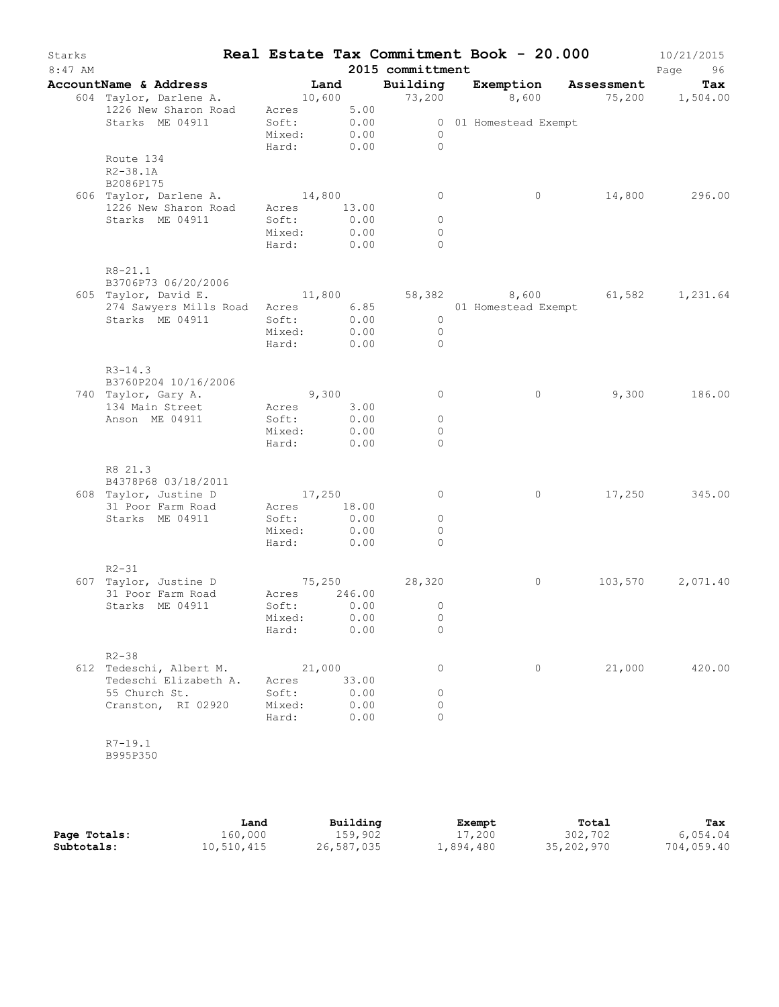| Starks<br>$8:47$ AM |                                                |                                    |        | Real Estate Tax Commitment Book - 20.000<br>2015 committment |                       |                                               | 10/21/2015<br>Page<br>96 |
|---------------------|------------------------------------------------|------------------------------------|--------|--------------------------------------------------------------|-----------------------|-----------------------------------------------|--------------------------|
|                     | AccountName & Address                          | Land                               |        | Building                                                     |                       | Exemption Assessment                          | Tax                      |
|                     | 604 Taylor, Darlene A.<br>1226 New Sharon Road | Acres 5.00                         |        |                                                              |                       | $10,600$ $73,200$ $8,600$ $75,200$ $1,504.00$ |                          |
|                     | Starks ME 04911                                | Soft: 0.00<br>Mixed:<br>Hard: 0.00 | 0.00   | $\overline{0}$<br>$\bigcirc$                                 | 0 01 Homestead Exempt |                                               |                          |
|                     | Route 134<br>R2-38.1A<br>B2086P175             |                                    |        |                                                              |                       |                                               |                          |
|                     | 606 Taylor, Darlene A.<br>1226 New Sharon Road | 14,800<br>Acres 13.00              |        | $\circ$                                                      | $\circ$               |                                               | 14,800 296.00            |
|                     | Starks ME 04911                                | Soft:                              | 0.00   | $\circ$                                                      |                       |                                               |                          |
|                     |                                                | Mixed:                             | 0.00   | $\circ$                                                      |                       |                                               |                          |
|                     |                                                | Hard: 0.00                         |        | $\Omega$                                                     |                       |                                               |                          |
|                     | $R8 - 21.1$<br>B3706P73 06/20/2006             |                                    |        |                                                              |                       |                                               |                          |
|                     | 605 Taylor, David E.                           |                                    |        |                                                              |                       | $11,800$ 58,382 8,600 61,582 1,231.64         |                          |
|                     | 274 Sawyers Mills Road                         |                                    |        | Acres 6.85 01 Homestead Exempt                               |                       |                                               |                          |
|                     | Starks ME 04911                                | Soft:                              | 0.00   | $\overline{0}$                                               |                       |                                               |                          |
|                     |                                                | Mixed:                             | 0.00   | $\overline{0}$<br>$\Omega$                                   |                       |                                               |                          |
|                     |                                                | Hard: 0.00                         |        |                                                              |                       |                                               |                          |
|                     | $R3 - 14.3$<br>B3760P204 10/16/2006            |                                    |        |                                                              |                       |                                               |                          |
|                     | 740 Taylor, Gary A.                            | 9,300                              |        | $\circ$                                                      | $\circ$               | 9,300                                         | 186.00                   |
|                     | 134 Main Street                                | Acres 3.00                         |        |                                                              |                       |                                               |                          |
|                     | Anson ME 04911                                 | Soft:                              | 0.00   | $\circ$                                                      |                       |                                               |                          |
|                     |                                                | Mixed:                             | 0.00   | $\circ$                                                      |                       |                                               |                          |
|                     |                                                | Hard: 0.00                         |        | $\Omega$                                                     |                       |                                               |                          |
|                     | R8 21.3                                        |                                    |        |                                                              |                       |                                               |                          |
|                     | B4378P68 03/18/2011                            |                                    |        |                                                              |                       |                                               |                          |
|                     | 608 Taylor, Justine D<br>31 Poor Farm Road     | 17,250<br>Acres 18.00              |        | $\circ$                                                      | $\circ$               |                                               | 17,250 345.00            |
|                     | Starks ME 04911                                | Soft:                              | 0.00   | $\circ$                                                      |                       |                                               |                          |
|                     |                                                | Mixed:                             | 0.00   | 0                                                            |                       |                                               |                          |
|                     |                                                | Hard: 0.00                         |        | $\Omega$                                                     |                       |                                               |                          |
|                     | $R2 - 31$                                      |                                    |        |                                                              |                       |                                               |                          |
|                     | 607 Taylor, Justine D                          |                                    |        | $75,250$ 28,320                                              | $\circ$               | 103,570                                       | 2,071.40                 |
|                     | 31 Poor Farm Road                              | Acres                              | 246.00 |                                                              |                       |                                               |                          |
|                     | Starks ME 04911                                | Soft:                              | 0.00   | $\circ$                                                      |                       |                                               |                          |
|                     |                                                | Mixed:                             | 0.00   | $\circ$                                                      |                       |                                               |                          |
|                     |                                                | Hard:                              | 0.00   | 0                                                            |                       |                                               |                          |
|                     | $R2 - 38$<br>612 Tedeschi, Albert M.           | 21,000                             |        | 0                                                            | $\circ$               | 21,000                                        | 420.00                   |
|                     | Tedeschi Elizabeth A.                          | Acres                              | 33.00  |                                                              |                       |                                               |                          |
|                     | 55 Church St.                                  | Soft:                              | 0.00   | 0                                                            |                       |                                               |                          |
|                     | Cranston, RI 02920                             | Mixed:                             | 0.00   | 0                                                            |                       |                                               |                          |
|                     |                                                | Hard:                              | 0.00   | $\Omega$                                                     |                       |                                               |                          |
|                     | $R7 - 19.1$<br>B995P350                        |                                    |        |                                                              |                       |                                               |                          |
|                     |                                                |                                    |        |                                                              |                       |                                               |                          |

|              | Land       | Building   | Exempt    | Total      | Tax        |
|--------------|------------|------------|-----------|------------|------------|
| Page Totals: | 160,000    | 159,902    | 17,200    | 302,702    | 6,054.04   |
| Subtotals:   | 10,510,415 | 26,587,035 | 1,894,480 | 35,202,970 | 704,059.40 |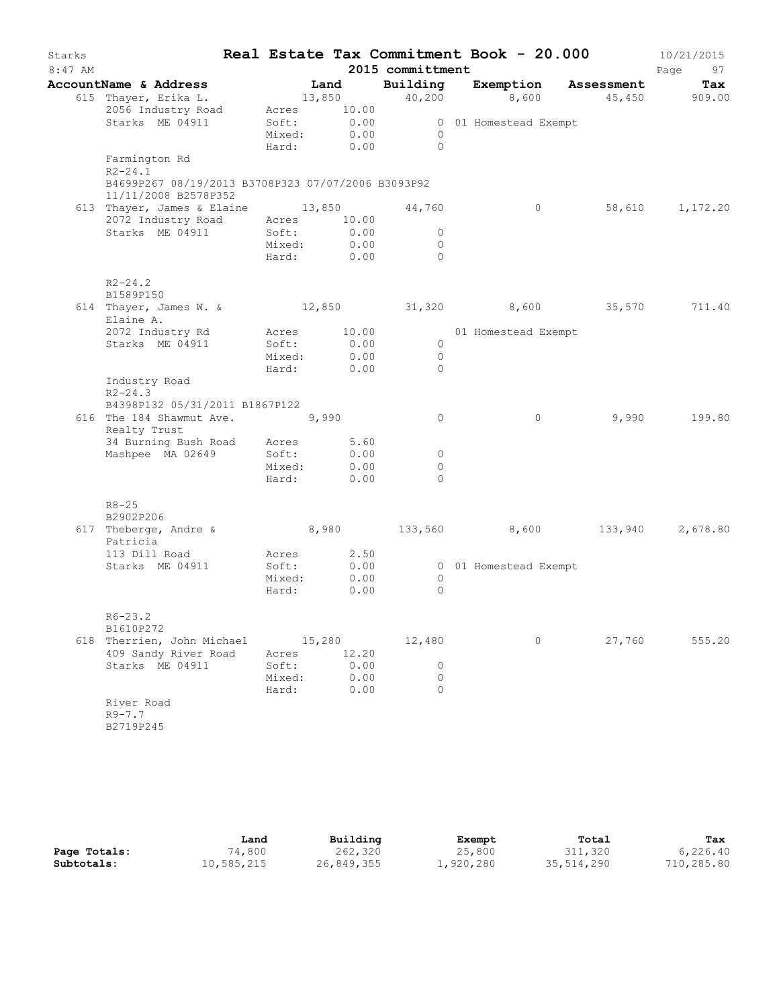| Starks    |                                                                            |                 |                     |                     | Real Estate Tax Commitment Book - 20.000 |         | 10/21/2015          |
|-----------|----------------------------------------------------------------------------|-----------------|---------------------|---------------------|------------------------------------------|---------|---------------------|
| $8:47$ AM |                                                                            |                 |                     | 2015 committment    |                                          |         | Page<br>97          |
|           | AccountName & Address                                                      |                 | Land                | Building            | Exemption Assessment                     |         | Tax                 |
|           | 615 Thayer, Erika L.                                                       |                 | 13,850              | 40,200              |                                          |         | 8,600 45,450 909.00 |
|           | 2056 Industry Road<br>Starks ME 04911                                      | Soft:           | Acres 10.00<br>0.00 |                     |                                          |         |                     |
|           |                                                                            | Mixed:          | 0.00                | $\overline{0}$      | 0 01 Homestead Exempt                    |         |                     |
|           |                                                                            | Hard:           | 0.00                | $\overline{0}$      |                                          |         |                     |
|           | Farmington Rd<br>$R2 - 24.1$                                               |                 |                     |                     |                                          |         |                     |
|           | B4699P267 08/19/2013 B3708P323 07/07/2006 B3093P92<br>11/11/2008 B2578P352 |                 |                     |                     |                                          |         |                     |
|           | 613 Thayer, James & Elaine 13,850                                          |                 |                     | 44,760              | $\circ$                                  |         | 58,610 1,172.20     |
|           | 2072 Industry Road                                                         | Acres           | 10.00               |                     |                                          |         |                     |
|           | Starks ME 04911                                                            | Soft:           | 0.00                | $\circ$             |                                          |         |                     |
|           |                                                                            | Mixed:          | 0.00                | $\circ$             |                                          |         |                     |
|           |                                                                            | Hard:           | 0.00                | $\Omega$            |                                          |         |                     |
|           | $R2 - 24.2$<br>B1589P150                                                   |                 |                     |                     |                                          |         |                     |
|           | 614 Thayer, James W. & 12,850 31,320 8,600 35,570                          |                 |                     |                     |                                          |         | 711.40              |
|           | Elaine A.                                                                  |                 |                     |                     |                                          |         |                     |
|           | 2072 Industry Rd                                                           |                 | Acres 10.00         |                     | 01 Homestead Exempt                      |         |                     |
|           | Starks ME 04911                                                            | Soft:           | 0.00                | $\overline{0}$      |                                          |         |                     |
|           |                                                                            | Mixed:<br>Hard: | 0.00<br>0.00        | $\circ$<br>$\Omega$ |                                          |         |                     |
|           | Industry Road                                                              |                 |                     |                     |                                          |         |                     |
|           | $R2 - 24.3$                                                                |                 |                     |                     |                                          |         |                     |
|           | B4398P132 05/31/2011 B1867P122                                             |                 |                     |                     |                                          |         |                     |
|           | 616 The 184 Shawmut Ave. 9,990                                             |                 |                     | $\circ$             | $\circ$                                  | 9,990   | 199.80              |
|           | Realty Trust<br>34 Burning Bush Road Acres                                 |                 | 5.60                |                     |                                          |         |                     |
|           | Mashpee MA 02649                                                           | Soft:           | 0.00                | 0                   |                                          |         |                     |
|           |                                                                            | Mixed:          | 0.00                | $\circ$             |                                          |         |                     |
|           |                                                                            | Hard:           | 0.00                | $\Omega$            |                                          |         |                     |
|           |                                                                            |                 |                     |                     |                                          |         |                     |
|           | $R8 - 25$<br>B2902P206                                                     |                 |                     |                     |                                          |         |                     |
|           | 617 Theberge, Andre &                                                      |                 | 8,980               | 133,560             | 8,600                                    | 133,940 | 2,678.80            |
|           | Patricia                                                                   |                 |                     |                     |                                          |         |                     |
|           | 113 Dill Road                                                              |                 | Acres 2.50          |                     |                                          |         |                     |
|           | Starks ME 04911                                                            | Soft:           | 0.00                |                     | 0 01 Homestead Exempt                    |         |                     |
|           |                                                                            | Mixed:          | 0.00                | $\circ$             |                                          |         |                     |
|           |                                                                            | Hard:           | 0.00                | $\Omega$            |                                          |         |                     |
|           | $R6 - 23.2$                                                                |                 |                     |                     |                                          |         |                     |
|           | B1610P272                                                                  |                 |                     |                     |                                          |         |                     |
|           | 618 Therrien, John Michael                                                 |                 | 15,280              | 12,480              | 0                                        | 27,760  | 555.20              |
|           | 409 Sandy River Road                                                       | Acres           | 12.20               |                     |                                          |         |                     |
|           | Starks ME 04911                                                            | Soft:           | 0.00                | 0                   |                                          |         |                     |
|           |                                                                            | Mixed:          | 0.00                | $\circ$             |                                          |         |                     |
|           |                                                                            | Hard:           | 0.00                | $\Omega$            |                                          |         |                     |
|           | River Road                                                                 |                 |                     |                     |                                          |         |                     |
|           | $R9 - 7.7$                                                                 |                 |                     |                     |                                          |         |                     |
|           | B2719P245                                                                  |                 |                     |                     |                                          |         |                     |
|           |                                                                            |                 |                     |                     |                                          |         |                     |

|              | Land       | Building   | Exempt    | Total      | Tax        |
|--------------|------------|------------|-----------|------------|------------|
| Page Totals: | 74,800     | 262,320    | 25,800    | 311,320    | 6,226.40   |
| Subtotals:   | 10,585,215 | 26,849,355 | 1,920,280 | 35,514,290 | 710,285.80 |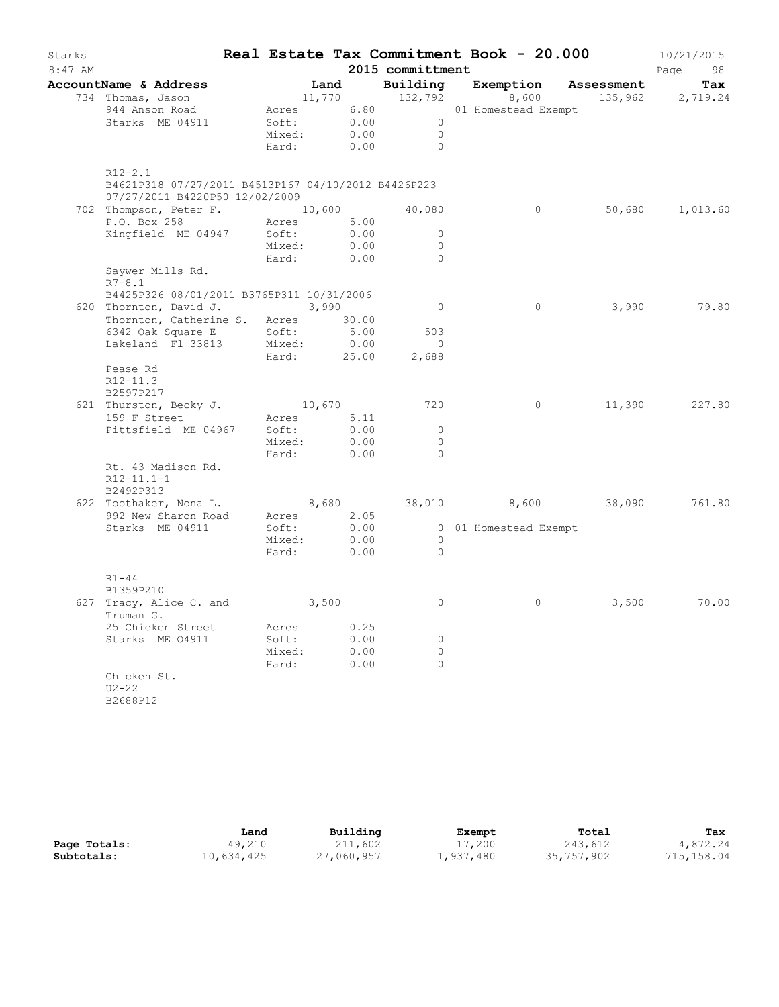| Starks    |                                                     |        |               |                      | Real Estate Tax Commitment Book - 20.000 |            | 10/21/2015       |
|-----------|-----------------------------------------------------|--------|---------------|----------------------|------------------------------------------|------------|------------------|
| $8:47$ AM |                                                     |        |               | 2015 committment     |                                          |            | Page<br>98       |
|           | AccountName & Address                               |        | Land          | Building             | Exemption                                | Assessment | Tax              |
|           | 734 Thomas, Jason                                   |        |               | 11,770 132,792       | 8,600                                    |            | 135,962 2,719.24 |
|           | 944 Anson Road                                      |        |               |                      | Acres 6.80 01 Homestead Exempt           |            |                  |
|           | Starks ME 04911                                     | Soft:  | 0.00          | $\overline{0}$       |                                          |            |                  |
|           |                                                     | Mixed: | 0.00          | $\overline{0}$       |                                          |            |                  |
|           |                                                     | Hard:  | 0.00          | $\bigcirc$           |                                          |            |                  |
|           | $R12 - 2.1$                                         |        |               |                      |                                          |            |                  |
|           | B4621P318 07/27/2011 B4513P167 04/10/2012 B4426P223 |        |               |                      |                                          |            |                  |
|           | 07/27/2011 B4220P50 12/02/2009                      |        |               |                      |                                          |            |                  |
|           | 702 Thompson, Peter F. 10,600 40,080                |        |               |                      | $\circ$                                  | 50,680     | 1,013.60         |
|           | P.O. Box 258                                        | Acres  | 5.00          |                      |                                          |            |                  |
|           | Kingfield ME 04947                                  | Soft:  | 0.00          | $\circ$              |                                          |            |                  |
|           |                                                     | Mixed: | 0.00          | $\circ$              |                                          |            |                  |
|           |                                                     | Hard:  | 0.00          | $\circ$              |                                          |            |                  |
|           | Saywer Mills Rd.                                    |        |               |                      |                                          |            |                  |
|           | $R7 - 8.1$                                          |        |               |                      |                                          |            |                  |
|           | B4425P326 08/01/2011 B3765P311 10/31/2006           |        |               |                      |                                          |            |                  |
|           | 620 Thornton, David J. 3,990                        |        |               | $\overline{0}$       | $\circ$                                  | 3,990      | 79.80            |
|           | Thornton, Catherine S. Acres 30.00                  |        |               |                      |                                          |            |                  |
|           | 6342 Oak Square E                                   | Soft:  | 5.00          | 503                  |                                          |            |                  |
|           | Lakeland Fl 33813                                   | Mixed: | 0.00          | $\overline{0}$       |                                          |            |                  |
|           |                                                     |        | Hard: 25.00   | 2,688                |                                          |            |                  |
|           | Pease Rd                                            |        |               |                      |                                          |            |                  |
|           | $R12 - 11.3$                                        |        |               |                      |                                          |            |                  |
|           | B2597P217                                           |        |               |                      |                                          |            |                  |
|           | 621 Thurston, Becky J.                              |        | 10,670        | 720                  | $\circ$                                  | 11,390     | 227.80           |
|           | 159 F Street                                        |        | Acres 5.11    |                      |                                          |            |                  |
|           | Pittsfield ME 04967                                 | Soft:  | 0.00          | $\Omega$             |                                          |            |                  |
|           |                                                     | Mixed: | 0.00          | $\circ$<br>$\bigcap$ |                                          |            |                  |
|           |                                                     | Hard:  | 0.00          |                      |                                          |            |                  |
|           | Rt. 43 Madison Rd.                                  |        |               |                      |                                          |            |                  |
|           | $R12-11.1-1$                                        |        |               |                      |                                          |            |                  |
|           | B2492P313<br>622 Toothaker, Nona L.                 |        |               |                      | 8,600 38,090                             |            | 761.80           |
|           | 992 New Sharon Road                                 | Acres  | 8,680<br>2.05 | 38,010               |                                          |            |                  |
|           | Starks ME 04911                                     | Soft:  | 0.00          |                      | 0 01 Homestead Exempt                    |            |                  |
|           |                                                     | Mixed: | 0.00          | $\overline{0}$       |                                          |            |                  |
|           |                                                     | Hard:  | 0.00          | $\overline{0}$       |                                          |            |                  |
|           |                                                     |        |               |                      |                                          |            |                  |
|           | $R1 - 44$                                           |        |               |                      |                                          |            |                  |
|           | B1359P210                                           |        |               |                      |                                          |            |                  |
|           | 627 Tracy, Alice C. and 3,500                       |        |               | $\circ$              | $\circ$                                  | 3,500      | 70.00            |
|           | Truman G.                                           |        |               |                      |                                          |            |                  |
|           | 25 Chicken Street                                   | Acres  | 0.25          |                      |                                          |            |                  |
|           | Starks ME 04911                                     | Soft:  | 0.00          | $\circ$              |                                          |            |                  |
|           |                                                     | Mixed: | 0.00          | $\circ$              |                                          |            |                  |
|           | Chicken St.                                         | Hard:  | 0.00          | $\Omega$             |                                          |            |                  |
|           | $U2 - 22$                                           |        |               |                      |                                          |            |                  |
|           | B2688P12                                            |        |               |                      |                                          |            |                  |
|           |                                                     |        |               |                      |                                          |            |                  |

|              | Land       | Building   | Exempt    | Total      | Tax         |
|--------------|------------|------------|-----------|------------|-------------|
| Page Totals: | 49,210     | 211,602    | 17,200    | 243,612    | 4,872.24    |
| Subtotals:   | 10,634,425 | 27,060,957 | 1,937,480 | 35,757,902 | 715, 158.04 |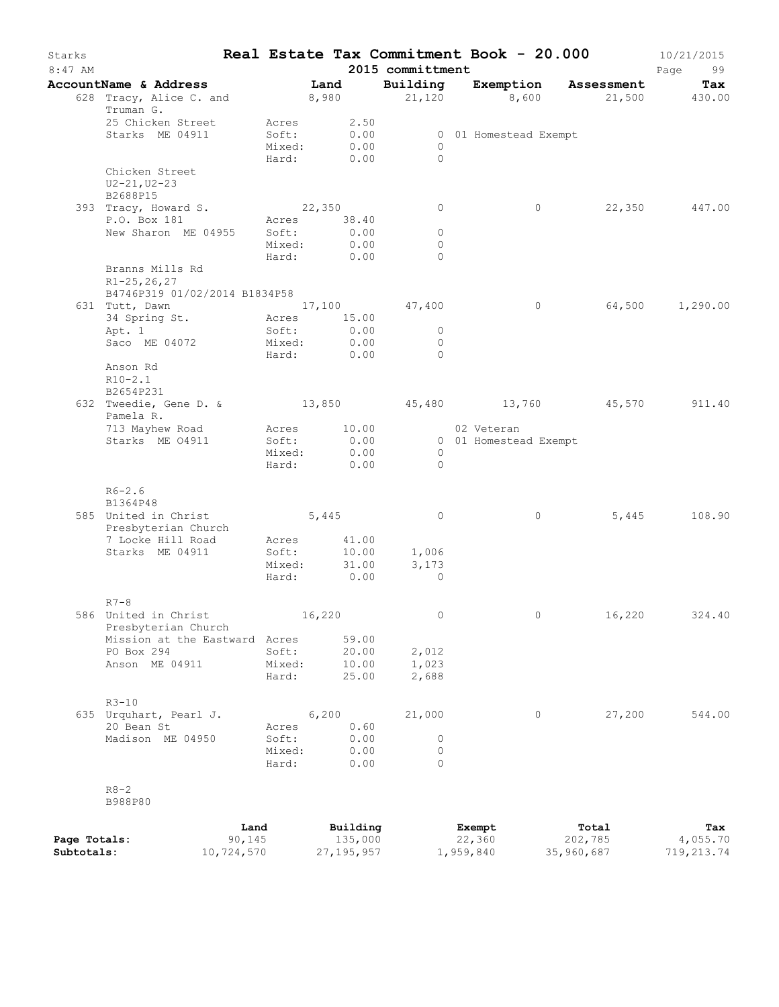| Starks<br>$8:47$ AM |                                      |                 |                     | 2015 committment    |                       | Real Estate Tax Commitment Book - 20.000 | 10/21/2015<br>Page<br>99 |
|---------------------|--------------------------------------|-----------------|---------------------|---------------------|-----------------------|------------------------------------------|--------------------------|
|                     | AccountName & Address                |                 | Land                | Building            |                       | Exemption Assessment                     | Tax                      |
|                     | 628 Tracy, Alice C. and<br>Truman G. |                 | 8,980               |                     | 21,120                | 8,600 21,500 430.00                      |                          |
|                     | 25 Chicken Street                    | Acres           | 2.50                |                     |                       |                                          |                          |
|                     | Starks ME 04911                      | Soft:           | 0.00                |                     | 0 01 Homestead Exempt |                                          |                          |
|                     |                                      | Mixed:          | 0.00                | $\circ$<br>$\Omega$ |                       |                                          |                          |
|                     | Chicken Street                       | Hard:           | 0.00                |                     |                       |                                          |                          |
|                     | $U2 - 21, U2 - 23$<br>B2688P15       |                 |                     |                     |                       |                                          |                          |
|                     | 393 Tracy, Howard S.                 |                 | 22,350              | $\circ$             | $\circ$               | 22,350                                   | 447.00                   |
|                     | P.O. Box 181                         | Acres           | 38.40               |                     |                       |                                          |                          |
|                     | New Sharon ME 04955                  | Soft:           | 0.00                | $\circ$             |                       |                                          |                          |
|                     |                                      | Mixed:          | 0.00                | $\circ$             |                       |                                          |                          |
|                     |                                      | Hard:           | 0.00                | $\Omega$            |                       |                                          |                          |
|                     | Branns Mills Rd<br>$R1 - 25, 26, 27$ |                 |                     |                     |                       |                                          |                          |
|                     | B4746P319 01/02/2014 B1834P58        |                 |                     |                     |                       |                                          |                          |
|                     | 631 Tutt, Dawn                       |                 |                     | 17,100 47,400       | $\circ$               | 64,500                                   | 1,290.00                 |
|                     | 34 Spring St.                        | Acres           | 15.00               |                     |                       |                                          |                          |
|                     | Apt. 1                               | Soft:           | 0.00                | $\overline{0}$      |                       |                                          |                          |
|                     | Saco ME 04072                        | Mixed:<br>Hard: | 0.00<br>0.00        | $\circ$<br>$\Omega$ |                       |                                          |                          |
|                     | Anson Rd                             |                 |                     |                     |                       |                                          |                          |
|                     | $R10-2.1$<br>B2654P231               |                 |                     |                     |                       |                                          |                          |
|                     | 632 Tweedie, Gene D. &<br>Pamela R.  |                 |                     |                     |                       | $13,850$ $45,480$ $13,760$ $45,570$      | 911.40                   |
|                     | 713 Mayhew Road                      |                 | Acres 10.00         |                     | 02 Veteran            |                                          |                          |
|                     | Starks ME 04911                      | Soft:           | 0.00                |                     | 0 01 Homestead Exempt |                                          |                          |
|                     |                                      | Mixed:          | 0.00                | $\circ$             |                       |                                          |                          |
|                     |                                      | Hard:           | 0.00                | $\Omega$            |                       |                                          |                          |
|                     | $R6 - 2.6$<br>B1364P48               |                 |                     |                     |                       |                                          |                          |
|                     | 585 United in Christ                 |                 | 5,445               | $\circ$             | $\circ$               | 5,445                                    | 108.90                   |
|                     | Presbyterian Church                  |                 |                     |                     |                       |                                          |                          |
|                     | 7 Locke Hill Road                    | Acres           | 41.00               |                     |                       |                                          |                          |
|                     | Starks ME 04911                      | Soft:           | 10.00               | 1,006               |                       |                                          |                          |
|                     |                                      | Mixed:          | 31.00               | 3,173               |                       |                                          |                          |
|                     |                                      | Hard:           | 0.00                | $\Omega$            |                       |                                          |                          |
|                     |                                      |                 |                     |                     |                       |                                          |                          |
|                     | $R7-8$<br>586 United in Christ       |                 | 16,220              | $\circ$             | $\circ$               | 16,220                                   | 324.40                   |
|                     | Presbyterian Church                  |                 |                     |                     |                       |                                          |                          |
|                     | Mission at the Eastward Acres        |                 | 59.00               |                     |                       |                                          |                          |
|                     | PO Box 294                           | Soft:           | 20.00               | 2,012               |                       |                                          |                          |
|                     | Anson ME 04911                       | Mixed:          | 10.00               | 1,023               |                       |                                          |                          |
|                     |                                      | Hard:           | 25.00               | 2,688               |                       |                                          |                          |
|                     | $R3 - 10$                            |                 |                     |                     |                       |                                          |                          |
|                     | 635 Urquhart, Pearl J.               |                 | 6,200               | 21,000              | $\circ$               | 27,200                                   | 544.00                   |
|                     | 20 Bean St                           | Acres           | 0.60                |                     |                       |                                          |                          |
|                     | Madison ME 04950                     | Soft:           | 0.00                | 0                   |                       |                                          |                          |
|                     |                                      | Mixed:          | 0.00                | 0                   |                       |                                          |                          |
|                     |                                      | Hard:           | 0.00                | $\Omega$            |                       |                                          |                          |
|                     | $R8 - 2$<br>B988P80                  |                 |                     |                     |                       |                                          |                          |
|                     |                                      |                 |                     |                     |                       |                                          |                          |
| Page Totals:        |                                      | Land<br>90, 145 | Building<br>135,000 |                     | Exempt<br>22,360      | Total<br>202,785                         | Tax<br>4,055.70          |

**Subtotals:** 10,724,570 27,195,957 1,959,840 35,960,687 719,213.74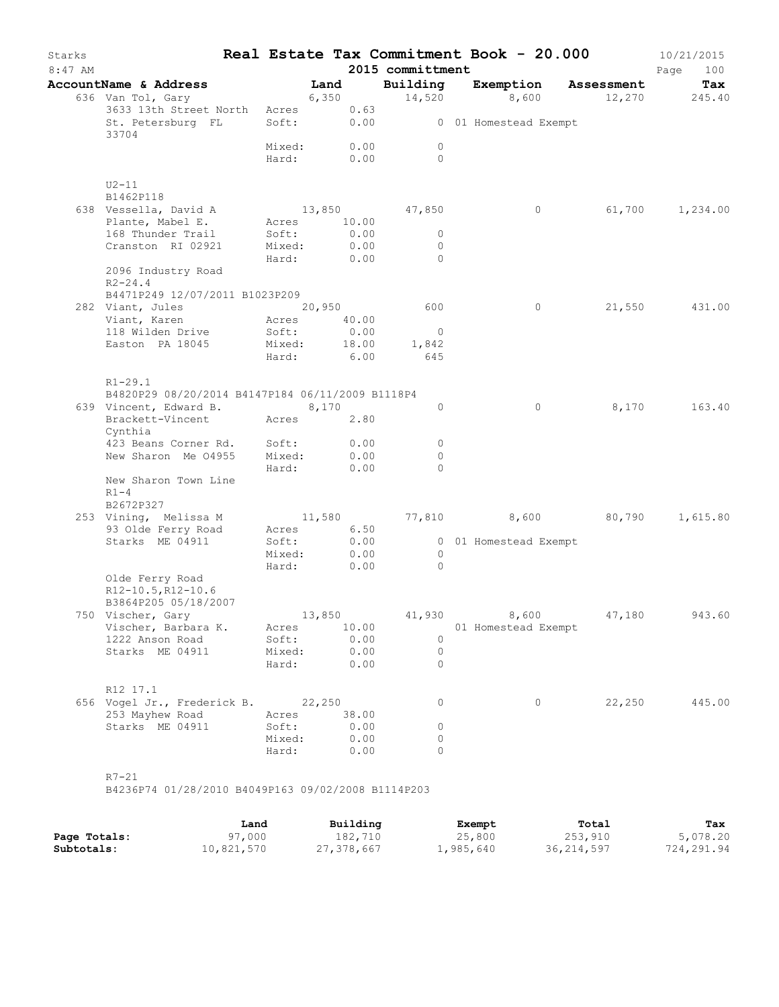| Starks<br>$8:47$ AM |                                                        |                 |                    | 2015 committment             | Real Estate Tax Commitment Book - 20.000 |        | 10/21/2015<br>Page<br>100 |
|---------------------|--------------------------------------------------------|-----------------|--------------------|------------------------------|------------------------------------------|--------|---------------------------|
|                     | AccountName & Address                                  |                 | Land               | Building                     | Exemption Assessment                     |        | Tax                       |
|                     | 636 Van Tol, Gary<br>3633 13th Street North Acres 0.63 |                 | 6,350              |                              | $14,520$ 8,600 $12,270$ 245.40           |        |                           |
|                     | St. Petersburg FL<br>33704                             |                 |                    |                              | Soft: 0.00 001 Homestead Exempt          |        |                           |
|                     |                                                        | Mixed:          | 0.00<br>Hard: 0.00 | $\circ$<br>$\Omega$          |                                          |        |                           |
|                     | $U2-11$                                                |                 |                    |                              |                                          |        |                           |
|                     | B1462P118<br>638 Vessella, David A                     |                 | 13,850 47,850      |                              | $\circ$                                  |        | 61,700 1,234.00           |
|                     | Plante, Mabel E.                                       |                 | Acres 10.00        |                              |                                          |        |                           |
|                     | 168 Thunder Trail                                      | Soft:           | 0.00               | $\circ$                      |                                          |        |                           |
|                     | Cranston RI 02921                                      | Mixed:          | 0.00               | $\Omega$                     |                                          |        |                           |
|                     |                                                        | Hard:           | 0.00               | $\Omega$                     |                                          |        |                           |
|                     | 2096 Industry Road<br>$R2 - 24.4$                      |                 |                    |                              |                                          |        |                           |
|                     | B4471P249 12/07/2011 B1023P209                         |                 |                    |                              |                                          |        |                           |
|                     | 282 Viant, Jules                                       |                 | 20,950             | 600                          | $\circ$                                  | 21,550 | 431.00                    |
|                     | Viant, Karen                                           | Acres           | 40.00              |                              |                                          |        |                           |
|                     | 118 Wilden Drive                                       | Soft:           | 0.00               | $\overline{0}$               |                                          |        |                           |
|                     | Easton PA 18045                                        | Mixed:          | 18.00              | 1,842                        |                                          |        |                           |
|                     |                                                        | Hard:           | 6.00               | 645                          |                                          |        |                           |
|                     | $R1 - 29.1$                                            |                 |                    |                              |                                          |        |                           |
|                     | B4820P29 08/20/2014 B4147P184 06/11/2009 B1118P4       |                 |                    |                              |                                          |        |                           |
|                     | 639 Vincent, Edward B.                                 |                 | 8,170              | $\circ$                      | $\circ$                                  | 8,170  | 163.40                    |
|                     | Brackett-Vincent Acres 2.80                            |                 |                    |                              |                                          |        |                           |
|                     | Cynthia                                                |                 |                    |                              |                                          |        |                           |
|                     | 423 Beans Corner Rd.                                   | Soft:           | 0.00               | $\circ$                      |                                          |        |                           |
|                     | New Sharon Me 04955                                    | Mixed:          | 0.00               | 0                            |                                          |        |                           |
|                     |                                                        | Hard:           | 0.00               | $\Omega$                     |                                          |        |                           |
|                     | New Sharon Town Line                                   |                 |                    |                              |                                          |        |                           |
|                     | $R1-4$                                                 |                 |                    |                              |                                          |        |                           |
|                     | B2672P327                                              |                 |                    |                              |                                          |        |                           |
|                     | 253 Vining, Melissa M                                  |                 | 11,580             |                              | 77,810 8,600 80,790                      |        | 1,615.80                  |
|                     | 93 Olde Ferry Road                                     |                 | Acres 6.50         |                              |                                          |        |                           |
|                     | Starks ME 04911                                        | Soft:<br>Mixed: | 0.00<br>0.00       |                              | 0 01 Homestead Exempt                    |        |                           |
|                     |                                                        | Hard:           | 0.00               | $\overline{0}$<br>$\bigcirc$ |                                          |        |                           |
|                     | Olde Ferry Road                                        |                 |                    |                              |                                          |        |                           |
|                     | R12-10.5, R12-10.6                                     |                 |                    |                              |                                          |        |                           |
|                     | B3864P205 05/18/2007                                   |                 |                    |                              |                                          |        |                           |
|                     | 750 Vischer, Gary                                      |                 | 13,850             | 41,930                       | 8,600                                    | 47,180 | 943.60                    |
|                     | Vischer, Barbara K.                                    | Acres           | 10.00              |                              | 01 Homestead Exempt                      |        |                           |
|                     | 1222 Anson Road                                        | Soft:           | 0.00               | $\circ$                      |                                          |        |                           |
|                     | Starks ME 04911                                        | Mixed:          | 0.00               | 0                            |                                          |        |                           |
|                     |                                                        | Hard:           | 0.00               | $\circ$                      |                                          |        |                           |
|                     |                                                        |                 |                    |                              |                                          |        |                           |
|                     | R12 17.1                                               |                 |                    |                              |                                          |        |                           |
|                     | 656 Vogel Jr., Frederick B. 22,250                     |                 |                    | 0                            | 0                                        | 22,250 | 445.00                    |
|                     | 253 Mayhew Road                                        | Acres           | 38.00              |                              |                                          |        |                           |
|                     | Starks ME 04911                                        | Soft:           | 0.00               | 0                            |                                          |        |                           |
|                     |                                                        | Mixed:<br>Hard: | 0.00<br>0.00       | 0<br>$\circ$                 |                                          |        |                           |
|                     |                                                        |                 |                    |                              |                                          |        |                           |
|                     | $R7 - 21$                                              |                 |                    |                              |                                          |        |                           |
|                     |                                                        |                 |                    |                              |                                          |        |                           |

B4236P74 01/28/2010 B4049P163 09/02/2008 B1114P203

|              | Land       | Building   | Exempt    | Total        | Tax        |
|--------------|------------|------------|-----------|--------------|------------|
| Page Totals: | 97,000     | 182,710    | 25,800    | 253,910      | 5,078.20   |
| Subtotals:   | 10,821,570 | 27,378,667 | 1,985,640 | 36, 214, 597 | 724,291.94 |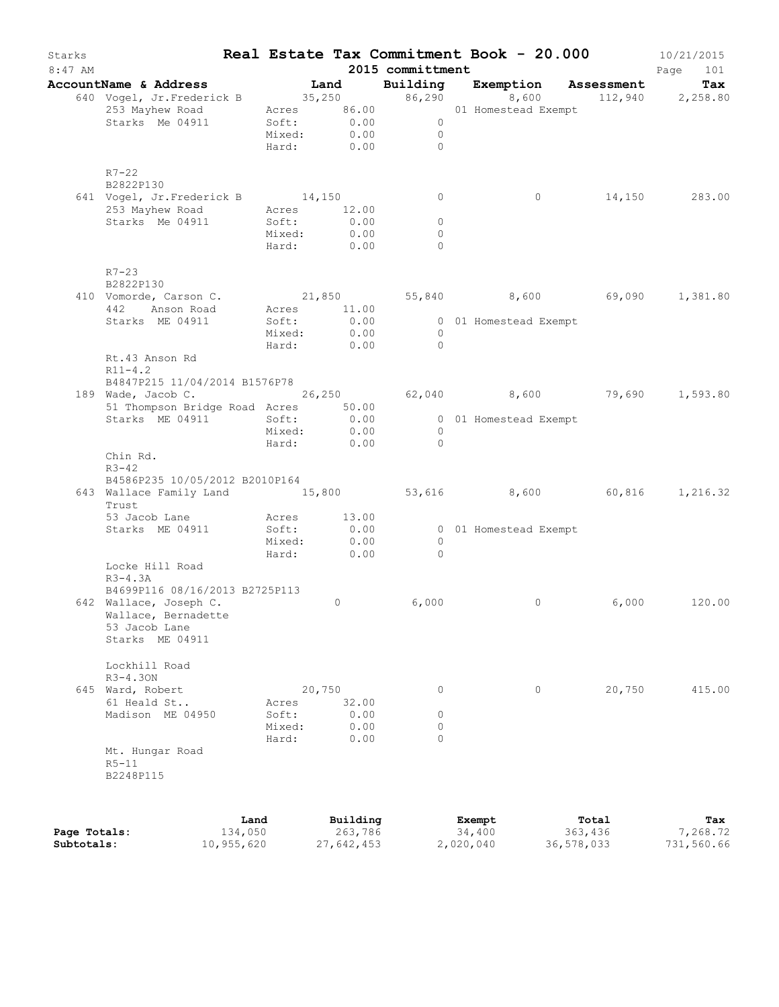| Starks<br>$8:47$ AM |                                                             |             |        |                               | 2015 committment    | Real Estate Tax Commitment Book - 20.000                                  |         | 10/21/2015<br>Page<br>101 |
|---------------------|-------------------------------------------------------------|-------------|--------|-------------------------------|---------------------|---------------------------------------------------------------------------|---------|---------------------------|
|                     | AccountName & Address                                       |             | Land   |                               |                     | <b>Building Exemption Assessment Tax</b><br>86,290 8,600 112,940 2,258.80 |         |                           |
|                     | 640 Vogel, Jr.Frederick B 35,250 86,290 8,600               |             |        |                               |                     |                                                                           |         |                           |
|                     | 253 Mayhew Road                                             |             |        |                               |                     | Acres 86.00 01 Homestead Exempt                                           |         |                           |
|                     | Starks Me 04911                                             |             |        | Soft: 0.00<br>Mixed: 0.00     | $\overline{0}$      |                                                                           |         |                           |
|                     |                                                             |             |        |                               | $\overline{0}$      |                                                                           |         |                           |
|                     |                                                             |             |        | Hard: 0.00                    | $\bigcirc$          |                                                                           |         |                           |
|                     | $R7 - 22$                                                   |             |        |                               |                     |                                                                           |         |                           |
|                     | B2822P130                                                   |             |        |                               |                     |                                                                           |         |                           |
|                     | 641 Vogel, Jr. Frederick B 14,150                           |             |        |                               | $\circ$             | $\circ$                                                                   |         | 14,150 283.00             |
|                     | 253 Mayhew Road                                             | Acres 12.00 |        |                               |                     |                                                                           |         |                           |
|                     | Starks Me 04911                                             | Soft:       |        | 0.00                          | $\circ$             |                                                                           |         |                           |
|                     |                                                             | Mixed:      |        | 0.00<br>Hard: 0.00            | $\circ$<br>$\Omega$ |                                                                           |         |                           |
|                     | $R7 - 23$                                                   |             |        |                               |                     |                                                                           |         |                           |
|                     | B2822P130                                                   |             |        |                               |                     |                                                                           |         |                           |
|                     | 410 Vomorde, Carson C.                                      |             |        |                               |                     | $21,850$ $55,840$ $8,600$ $69,090$ $1,381.80$                             |         |                           |
|                     | 442<br>Anson Road                                           |             |        | Acres 11.00                   |                     |                                                                           |         |                           |
|                     | Starks ME 04911                                             |             |        | $Soft: 0.00$<br>$Mixed: 0.00$ |                     | 0 01 Homestead Exempt                                                     |         |                           |
|                     |                                                             | Mixed:      |        | 0.00                          | $\overline{0}$      |                                                                           |         |                           |
|                     |                                                             |             |        | Hard: 0.00                    | $\overline{0}$      |                                                                           |         |                           |
|                     | Rt.43 Anson Rd<br>$R11 - 4.2$                               |             |        |                               |                     |                                                                           |         |                           |
|                     | B4847P215 11/04/2014 B1576P78                               |             |        |                               |                     |                                                                           |         |                           |
|                     | 189 Wade, Jacob C. 26,250 62,040 8,600 79,690 1,593.80      |             |        |                               |                     |                                                                           |         |                           |
|                     | 51 Thompson Bridge Road Acres 50.00                         |             |        |                               |                     |                                                                           |         |                           |
|                     | Starks ME 04911                                             | Soft:       |        | 0.00                          |                     | 0 01 Homestead Exempt                                                     |         |                           |
|                     |                                                             | Mixed:      |        | 0.00                          | $\overline{0}$      |                                                                           |         |                           |
|                     |                                                             | Hard:       |        | 0.00                          | $\bigcirc$          |                                                                           |         |                           |
|                     | Chin Rd.<br>$R3 - 42$                                       |             |        |                               |                     |                                                                           |         |                           |
|                     | B4586P235 10/05/2012 B2010P164                              |             |        |                               |                     |                                                                           |         |                           |
|                     | 643 Wallace Family Land 15,800 53,616 8,600 60,816<br>Trust |             |        |                               |                     |                                                                           |         | 1,216.32                  |
|                     | 53 Jacob Lane                                               |             |        | Acres 13.00                   |                     |                                                                           |         |                           |
|                     | Starks ME 04911                                             | Soft:       |        | 0.00                          |                     | 0 01 Homestead Exempt                                                     |         |                           |
|                     |                                                             | Mixed:      |        | 0.00                          | $\overline{0}$      |                                                                           |         |                           |
|                     |                                                             | Hard:       |        | 0.00                          | $\bigcirc$          |                                                                           |         |                           |
|                     | Locke Hill Road                                             |             |        |                               |                     |                                                                           |         |                           |
|                     | $R3-4.3A$                                                   |             |        |                               |                     |                                                                           |         |                           |
|                     | B4699P116 08/16/2013 B2725P113                              |             |        |                               |                     |                                                                           |         |                           |
|                     | 642 Wallace, Joseph C.                                      |             |        | $\circ$                       | 6,000               | $\circ$                                                                   | 6,000   | 120.00                    |
|                     | Wallace, Bernadette                                         |             |        |                               |                     |                                                                           |         |                           |
|                     | 53 Jacob Lane                                               |             |        |                               |                     |                                                                           |         |                           |
|                     | Starks ME 04911                                             |             |        |                               |                     |                                                                           |         |                           |
|                     | Lockhill Road                                               |             |        |                               |                     |                                                                           |         |                           |
|                     | $R3 - 4.30N$                                                |             |        |                               |                     |                                                                           |         |                           |
|                     | 645 Ward, Robert                                            |             | 20,750 |                               | 0                   | 0                                                                         | 20,750  | 415.00                    |
|                     | 61 Heald St                                                 | Acres       |        | 32.00                         |                     |                                                                           |         |                           |
|                     | Madison ME 04950                                            | Soft:       |        | 0.00                          | 0                   |                                                                           |         |                           |
|                     |                                                             | Mixed:      |        | 0.00                          | $\circ$             |                                                                           |         |                           |
|                     |                                                             | Hard:       |        | 0.00                          | $\Omega$            |                                                                           |         |                           |
|                     | Mt. Hungar Road                                             |             |        |                               |                     |                                                                           |         |                           |
|                     | $R5-11$                                                     |             |        |                               |                     |                                                                           |         |                           |
|                     | B2248P115                                                   |             |        |                               |                     |                                                                           |         |                           |
|                     |                                                             |             |        |                               |                     |                                                                           |         |                           |
|                     |                                                             | Land        |        | Building                      |                     | Exempt                                                                    | Total   | Tax                       |
| Page Totals:        |                                                             | 134,050     |        | 263,786                       |                     | 34,400                                                                    | 363,436 | 7,268.72                  |

**Subtotals:** 10,955,620 27,642,453 2,020,040 36,578,033 731,560.66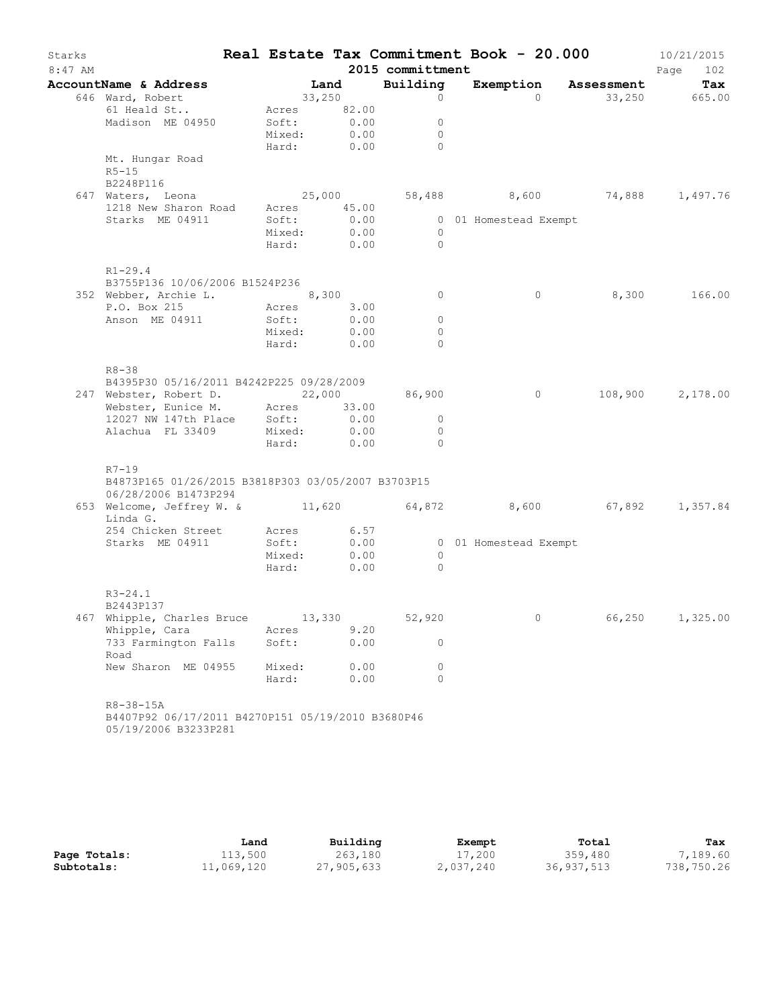| Starks<br>$8:47$ AM |                                                                            |             |                  | 2015 committment | Real Estate Tax Commitment Book - 20.000 |                 | 10/21/2015<br>Page<br>102 |
|---------------------|----------------------------------------------------------------------------|-------------|------------------|------------------|------------------------------------------|-----------------|---------------------------|
|                     | AccountName & Address                                                      | Land        |                  | Building         | Exemption Assessment                     |                 | Tax                       |
|                     |                                                                            | 33,250      |                  | $\circ$          |                                          | 0 33,250 665.00 |                           |
|                     | 646 Ward, Robert<br>61 Heald St                                            | Acres 82.00 |                  |                  |                                          |                 |                           |
|                     | Madison ME 04950 Soft: 0.00<br>Mixed: 0.00                                 |             |                  | $\circ$          |                                          |                 |                           |
|                     |                                                                            |             |                  | $\circ$          |                                          |                 |                           |
|                     |                                                                            | Hard: 0.00  |                  | $\bigcap$        |                                          |                 |                           |
|                     | Mt. Hungar Road                                                            |             |                  |                  |                                          |                 |                           |
|                     | $R5 - 15$<br>B2248P116                                                     |             |                  |                  |                                          |                 |                           |
|                     | 647 Waters, Leona                                                          | 25,000      |                  |                  | 58,488  8,600  74,888  1,497.76          |                 |                           |
|                     | 1218 New Sharon Road Acres 45.00                                           |             |                  |                  |                                          |                 |                           |
|                     | Starks ME 04911                                                            | Soft:       |                  |                  | 0 01 Homestead Exempt                    |                 |                           |
|                     |                                                                            | Mixed:      | $0.00$<br>$0.00$ | $\overline{0}$   |                                          |                 |                           |
|                     |                                                                            | Hard: 0.00  |                  | $\overline{0}$   |                                          |                 |                           |
|                     | $R1 - 29.4$                                                                |             |                  |                  |                                          |                 |                           |
|                     | B3755P136 10/06/2006 B1524P236                                             |             |                  |                  |                                          |                 |                           |
|                     | 352 Webber, Archie L. 8,300                                                |             |                  | $\Omega$         | $\circ$                                  |                 | 8,300 166.00              |
|                     | P.O. Box 215 Acres 3.00                                                    |             |                  |                  |                                          |                 |                           |
|                     | Anson ME 04911                                                             | Soft:       | 0.00             | $\circ$          |                                          |                 |                           |
|                     |                                                                            | Mixed:      | 0.00             | $\circ$          |                                          |                 |                           |
|                     |                                                                            | Hard: 0.00  |                  | $\Omega$         |                                          |                 |                           |
|                     | $R8 - 38$                                                                  |             |                  |                  |                                          |                 |                           |
|                     | B4395P30 05/16/2011 B4242P225 09/28/2009                                   |             |                  |                  |                                          |                 |                           |
|                     | 247 Webster, Robert D. 22,000                                              |             |                  | 86,900           | $\circ$                                  |                 | 108,900 2,178.00          |
|                     | Webster, Eunice M. Acres 33.00                                             |             |                  |                  |                                          |                 |                           |
|                     | 12027 NW 147th Place Soft:<br>Alachua FL 33409 Mixed:                      |             | $0.00$<br>$0.00$ | $\circ$          |                                          |                 |                           |
|                     |                                                                            |             |                  | $\circ$          |                                          |                 |                           |
|                     |                                                                            | Hard: 0.00  |                  | $\bigcap$        |                                          |                 |                           |
|                     | R7-19                                                                      |             |                  |                  |                                          |                 |                           |
|                     | B4873P165 01/26/2015 B3818P303 03/05/2007 B3703P15<br>06/28/2006 B1473P294 |             |                  |                  |                                          |                 |                           |
|                     | 653 Welcome, Jeffrey W. & 11,620 64,872 8,600 67,892 1,357.84              |             |                  |                  |                                          |                 |                           |
|                     | Linda G.                                                                   |             |                  |                  |                                          |                 |                           |
|                     | 254 Chicken Street Acres 6.57                                              |             |                  |                  |                                          |                 |                           |
|                     | Starks ME 04911 Soft: 0.00 00 01 Homestead Exempt                          |             |                  |                  |                                          |                 |                           |
|                     |                                                                            | Mixed:      | $0.00$<br>0.00   | $\circ$          |                                          |                 |                           |
|                     |                                                                            | Hard:       |                  | $\bigcirc$       |                                          |                 |                           |
|                     | $R3 - 24.1$                                                                |             |                  |                  |                                          |                 |                           |
|                     | B2443P137                                                                  |             |                  |                  |                                          |                 |                           |
|                     | 467 Whipple, Charles Bruce                                                 | 13,330      |                  | 52,920           | 0                                        | 66,250          | 1,325.00                  |
|                     | Whipple, Cara                                                              | Acres       | 9.20             |                  |                                          |                 |                           |
|                     | 733 Farmington Falls<br>Road                                               | Soft:       | 0.00             | $\Omega$         |                                          |                 |                           |
|                     | New Sharon ME 04955                                                        | Mixed:      | 0.00             | $\circ$          |                                          |                 |                           |
|                     |                                                                            | Hard:       | 0.00             | $\Omega$         |                                          |                 |                           |
|                     | $R8 - 38 - 15A$                                                            |             |                  |                  |                                          |                 |                           |
|                     | B4407P92 06/17/2011 B4270P151 05/19/2010 B3680P46                          |             |                  |                  |                                          |                 |                           |
|                     | 05/19/2006 B3233P281                                                       |             |                  |                  |                                          |                 |                           |

|              | Land       | Building   | Exempt    | Total      | Tax        |
|--------------|------------|------------|-----------|------------|------------|
| Page Totals: | 113,500    | 263,180    | 17,200    | 359,480    | 7,189.60   |
| Subtotals:   | 11,069,120 | 27,905,633 | 2,037,240 | 36,937,513 | 738,750.26 |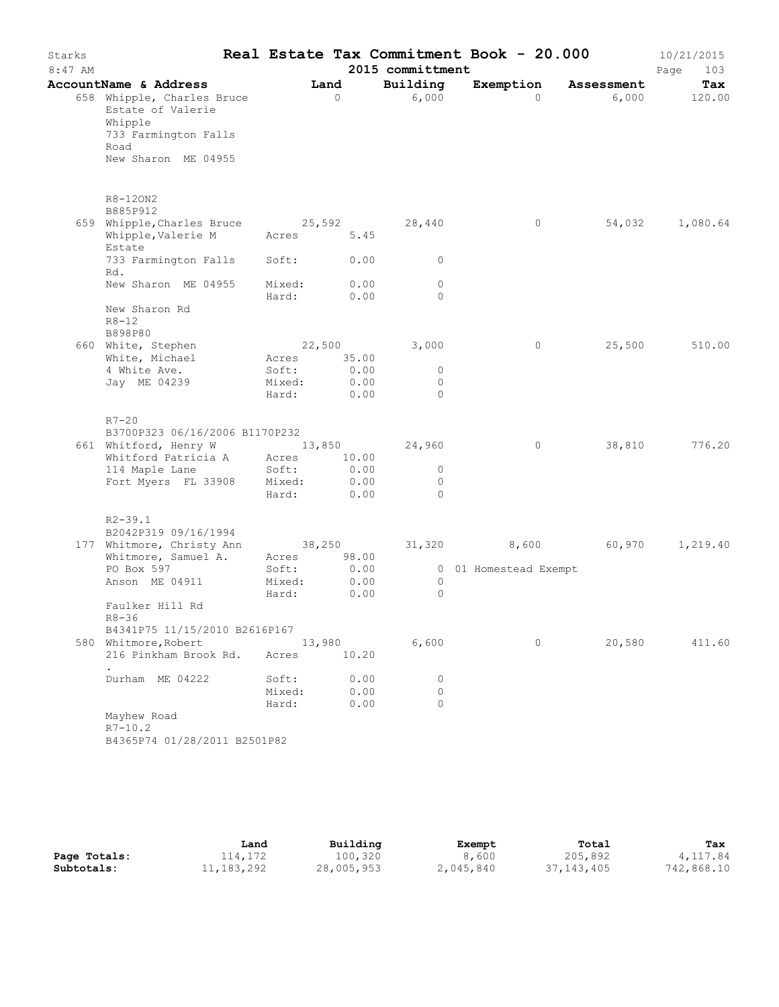| Starks<br>$8:47$ AM |                                                                                                                   |                 |                 | 2015 committment   | Real Estate Tax Commitment Book - 20.000 |            | 10/21/2015<br>Page<br>103 |
|---------------------|-------------------------------------------------------------------------------------------------------------------|-----------------|-----------------|--------------------|------------------------------------------|------------|---------------------------|
|                     | AccountName & Address                                                                                             |                 | Land            | Building           | Exemption                                | Assessment | Tax                       |
|                     | 658 Whipple, Charles Bruce<br>Estate of Valerie<br>Whipple<br>733 Farmington Falls<br>Road<br>New Sharon ME 04955 |                 | $\Omega$        | 6,000              | $\Omega$                                 | 6,000      | 120.00                    |
|                     | R8-120N2                                                                                                          |                 |                 |                    |                                          |            |                           |
|                     | B885P912                                                                                                          |                 |                 |                    |                                          |            |                           |
|                     | 659 Whipple, Charles Bruce                                                                                        |                 |                 | 25,592 28,440      | $\circ$                                  | 54,032     | 1,080.64                  |
|                     | Whipple, Valerie M<br>Estate                                                                                      | Acres 5.45      |                 |                    |                                          |            |                           |
|                     | 733 Farmington Falls<br>Rd.                                                                                       | Soft:           | 0.00            | $\circ$            |                                          |            |                           |
|                     | New Sharon ME 04955                                                                                               | Mixed:          | 0.00            | $\circ$            |                                          |            |                           |
|                     | New Sharon Rd<br>$R8 - 12$<br>B898P80                                                                             | Hard:           | 0.00            | $\circ$            |                                          |            |                           |
|                     | 660 White, Stephen                                                                                                |                 | 22,500          | 3,000              | 0                                        | 25,500     | 510.00                    |
|                     | White, Michael                                                                                                    | Acres           | 35.00           |                    |                                          |            |                           |
|                     | 4 White Ave.                                                                                                      | Soft:           | 0.00            | $\circ$            |                                          |            |                           |
|                     | Jay ME 04239                                                                                                      | Mixed:<br>Hard: | 0.00<br>0.00    | $\circ$<br>$\circ$ |                                          |            |                           |
|                     | $R7-20$                                                                                                           |                 |                 |                    |                                          |            |                           |
|                     | B3700P323 06/16/2006 B1170P232                                                                                    |                 |                 |                    |                                          |            |                           |
|                     | 661 Whitford, Henry W<br>Whitford Patricia A                                                                      | Acres           | 13,850<br>10.00 | 24,960             | $\circ$                                  | 38,810     | 776.20                    |
|                     | 114 Maple Lane                                                                                                    | Soft:           | 0.00            | $\circ$            |                                          |            |                           |
|                     | Fort Myers FL 33908                                                                                               | Mixed:          | 0.00            | $\circ$            |                                          |            |                           |
|                     |                                                                                                                   | Hard:           | 0.00            | $\Omega$           |                                          |            |                           |
|                     | $R2 - 39.1$                                                                                                       |                 |                 |                    |                                          |            |                           |
|                     | B2042P319 09/16/1994<br>177 Whitmore, Christy Ann                                                                 |                 | 38,250          |                    | 31,320 8,600 60,970                      |            | 1,219.40                  |
|                     | Whitmore, Samuel A.                                                                                               | Acres           | 98.00           |                    |                                          |            |                           |
|                     | PO Box 597                                                                                                        | Soft:           | 0.00            |                    | 0 01 Homestead Exempt                    |            |                           |
|                     | Anson ME 04911                                                                                                    | Mixed:          | 0.00            | $\circ$            |                                          |            |                           |
|                     | Faulker Hill Rd                                                                                                   | Hard:           | 0.00            | $\circ$            |                                          |            |                           |
|                     | $R8 - 36$                                                                                                         |                 |                 |                    |                                          |            |                           |
|                     | B4341P75 11/15/2010 B2616P167                                                                                     |                 |                 |                    | $\circ$                                  | 20,580     |                           |
|                     | 580 Whitmore, Robert<br>216 Pinkham Brook Rd.                                                                     | 13,980<br>Acres | 10.20           | 6,600              |                                          |            | 411.60                    |
|                     | Durham ME 04222                                                                                                   | Soft:           | 0.00            | 0                  |                                          |            |                           |
|                     |                                                                                                                   | Mixed:          | 0.00            | $\circ$            |                                          |            |                           |
|                     |                                                                                                                   | Hard:           | 0.00            | $\bigcap$          |                                          |            |                           |
|                     | Mayhew Road                                                                                                       |                 |                 |                    |                                          |            |                           |
|                     | $R7 - 10.2$                                                                                                       |                 |                 |                    |                                          |            |                           |
|                     | B4365P74 01/28/2011 B2501P82                                                                                      |                 |                 |                    |                                          |            |                           |

|              | Land         | Building   | Exempt    | Total        | Tax        |
|--------------|--------------|------------|-----------|--------------|------------|
| Page Totals: | 114,172      | 100,320    | 8,600     | 205,892      | 4,117.84   |
| Subtotals:   | 11, 183, 292 | 28,005,953 | 2,045,840 | 37, 143, 405 | 742,868.10 |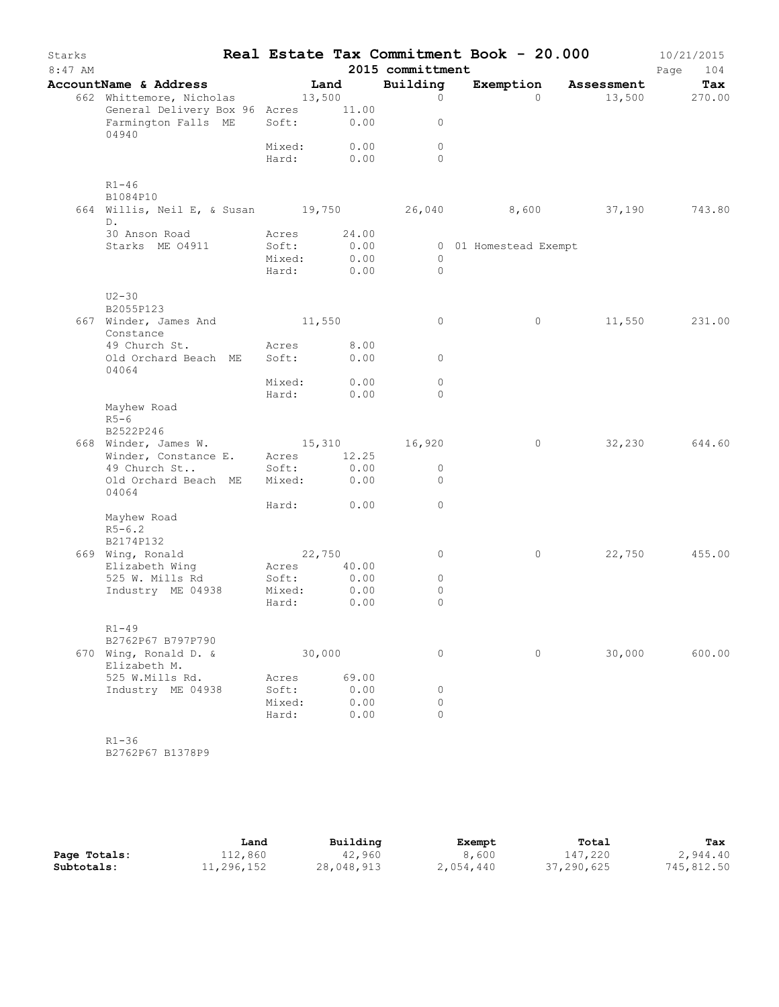| Starks<br>$8:47$ AM |                                           |        |            | 2015 committment | Real Estate Tax Commitment Book - 20.000 |            | 10/21/2015<br>Page<br>104 |
|---------------------|-------------------------------------------|--------|------------|------------------|------------------------------------------|------------|---------------------------|
|                     | AccountName & Address                     |        | Land       | Building         | Exemption                                | Assessment | Tax                       |
|                     | 662 Whittemore, Nicholas                  | 13,500 |            | $\circ$          | $\Omega$                                 |            | 13,500 270.00             |
|                     | General Delivery Box 96 Acres 11.00       |        |            |                  |                                          |            |                           |
|                     | Farmington Falls ME<br>04940              |        | Soft: 0.00 | $\circ$          |                                          |            |                           |
|                     |                                           | Mixed: | 0.00       | $\circ$          |                                          |            |                           |
|                     |                                           |        | Hard: 0.00 | $\Omega$         |                                          |            |                           |
|                     | $R1 - 46$<br>B1084P10                     |        |            |                  |                                          |            |                           |
|                     | 664 Willis, Neil E, & Susan 19,750 26,040 |        |            |                  | 8,600 37,190                             |            | 743.80                    |
|                     | D.                                        |        |            |                  |                                          |            |                           |
|                     | 30 Anson Road                             | Acres  | 24.00      |                  |                                          |            |                           |
|                     | Starks ME 04911                           | Soft:  | 0.00       |                  | 0 01 Homestead Exempt                    |            |                           |
|                     |                                           | Mixed: | 0.00       | $\circ$          |                                          |            |                           |
|                     |                                           | Hard:  | 0.00       | $\circ$          |                                          |            |                           |
|                     | $U2 - 30$<br>B2055P123                    |        |            |                  |                                          |            |                           |
|                     | 667 Winder, James And 11,550              |        |            | 0                | 0                                        | 11,550     | 231.00                    |
|                     | Constance                                 |        |            |                  |                                          |            |                           |
|                     | 49 Church St.                             | Acres  | 8.00       |                  |                                          |            |                           |
|                     | Old Orchard Beach ME<br>04064             | Soft:  | 0.00       | $\circ$          |                                          |            |                           |
|                     |                                           | Mixed: | 0.00       | $\circ$          |                                          |            |                           |
|                     |                                           | Hard:  | 0.00       | $\Omega$         |                                          |            |                           |
|                     | Mayhew Road<br>$R5-6$                     |        |            |                  |                                          |            |                           |
|                     | B2522P246                                 |        |            |                  |                                          |            |                           |
|                     | 668 Winder, James W. 15,310 16,920        |        |            |                  | $\circ$                                  | 32,230     | 644.60                    |
|                     | Winder, Constance E.                      | Acres  | 12.25      |                  |                                          |            |                           |
|                     | 49 Church St                              | Soft:  | 0.00       | 0                |                                          |            |                           |
|                     | Old Orchard Beach ME<br>04064             | Mixed: | 0.00       | $\circ$          |                                          |            |                           |
|                     |                                           |        | Hard: 0.00 | $\circ$          |                                          |            |                           |
|                     | Mayhew Road                               |        |            |                  |                                          |            |                           |
|                     | $R5 - 6.2$                                |        |            |                  |                                          |            |                           |
|                     | B2174P132                                 |        |            |                  |                                          |            |                           |
|                     | 669 Wing, Ronald                          |        | 22,750     | 0                | 0                                        | 22,750     | 455.00                    |
|                     | Elizabeth Wing                            | Acres  | 40.00      |                  |                                          |            |                           |
|                     | 525 W. Mills Rd                           | Soft:  | 0.00       | $\circ$          |                                          |            |                           |
|                     | Industry ME 04938                         | Mixed: | 0.00       | $\circ$          |                                          |            |                           |
|                     |                                           | Hard:  | 0.00       | $\circ$          |                                          |            |                           |
|                     | $R1 - 49$                                 |        |            |                  |                                          |            |                           |
|                     | B2762P67 B797P790                         |        |            |                  |                                          |            |                           |
|                     | 670 Wing, Ronald D. &<br>Elizabeth M.     |        | 30,000     | 0                | 0                                        | 30,000     | 600.00                    |
|                     | 525 W.Mills Rd.                           | Acres  | 69.00      |                  |                                          |            |                           |
|                     | Industry ME 04938                         | Soft:  | 0.00       | 0                |                                          |            |                           |
|                     |                                           | Mixed: | 0.00       | $\circ$          |                                          |            |                           |
|                     |                                           | Hard:  | 0.00       | $\circ$          |                                          |            |                           |
|                     | $R1 - 36$                                 |        |            |                  |                                          |            |                           |
|                     |                                           |        |            |                  |                                          |            |                           |

B2762P67 B1378P9

|              | Land       | Building   | Exempt    | Total      | Tax        |
|--------------|------------|------------|-----------|------------|------------|
| Page Totals: | 112,860    | 42,960     | 8,600     | 147,220    | 2,944.40   |
| Subtotals:   | 11,296,152 | 28,048,913 | 2,054,440 | 37,290,625 | 745,812.50 |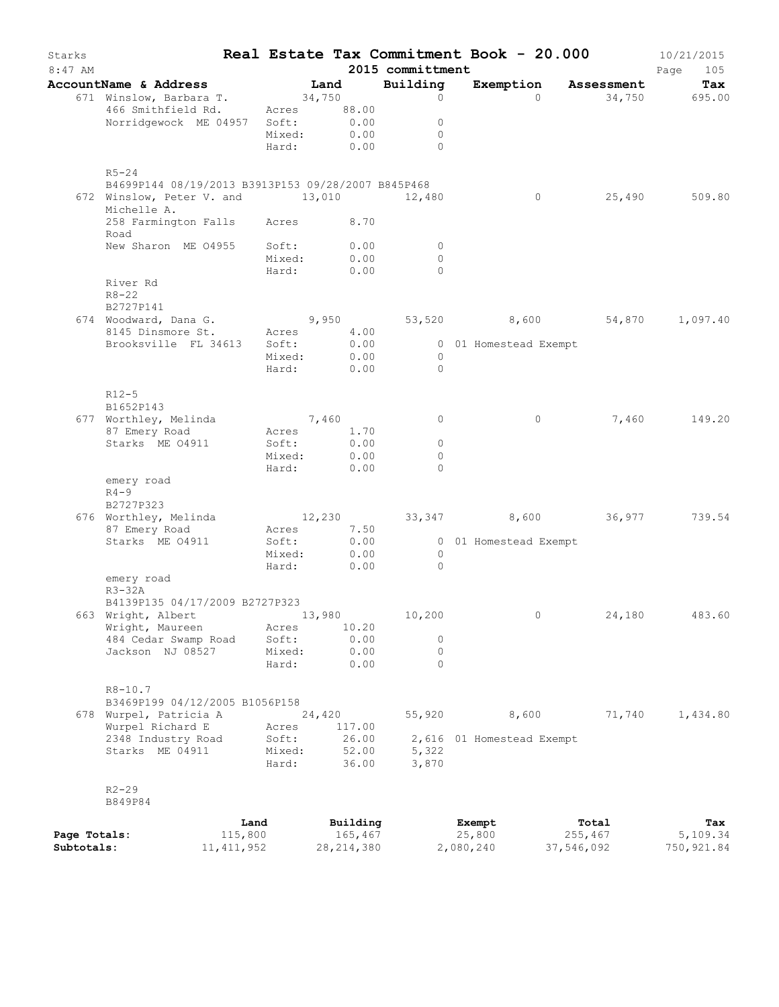| Starks<br>$8:47$ AM |                                                                                                              |                 |                 |        |                     | 2015 committment | Real Estate Tax Commitment Book - 20.000     |                  | 10/21/2015<br>Page<br>105 |
|---------------------|--------------------------------------------------------------------------------------------------------------|-----------------|-----------------|--------|---------------------|------------------|----------------------------------------------|------------------|---------------------------|
|                     | AccountName & Address                                                                                        |                 |                 |        | Land                | Building         | Exemption                                    | Assessment       | Tax                       |
|                     | 671 Winslow, Barbara T.                                                                                      |                 | 34,750          |        |                     | $\circ$          | $\Omega$                                     | 34,750           | 695.00                    |
|                     | 466 Smithfield Rd.                                                                                           |                 | Acres 88.00     |        |                     |                  |                                              |                  |                           |
|                     | Norridgewock ME 04957 Soft:                                                                                  |                 |                 |        | 0.00                | $\circ$          |                                              |                  |                           |
|                     |                                                                                                              |                 | Mixed:          |        | 0.00                | $\Omega$         |                                              |                  |                           |
|                     |                                                                                                              |                 | Hard:           |        | 0.00                | $\Omega$         |                                              |                  |                           |
|                     | $R5 - 24$                                                                                                    |                 |                 |        |                     |                  |                                              |                  |                           |
|                     | B4699P144 08/19/2013 B3913P153 09/28/2007 B845P468<br>672 Winslow, Peter V. and 13,010 12,480<br>Michelle A. |                 |                 |        |                     |                  | $\circ$                                      | 25,490           | 509.80                    |
|                     | 258 Farmington Falls Acres 8.70<br>Road                                                                      |                 |                 |        |                     |                  |                                              |                  |                           |
|                     | New Sharon ME 04955                                                                                          |                 | Soft:           |        | 0.00                | $\circ$          |                                              |                  |                           |
|                     |                                                                                                              |                 | Mixed:          |        | 0.00                | $\circ$          |                                              |                  |                           |
|                     |                                                                                                              |                 | Hard:           |        | 0.00                | $\Omega$         |                                              |                  |                           |
|                     | River Rd<br>$R8 - 22$                                                                                        |                 |                 |        |                     |                  |                                              |                  |                           |
|                     | B2727P141                                                                                                    |                 |                 |        |                     |                  |                                              |                  |                           |
|                     | 674 Woodward, Dana G.                                                                                        |                 |                 |        |                     |                  | $9,950$ $53,520$ $8,600$ $54,870$ $1,097.40$ |                  |                           |
|                     | 8145 Dinsmore St. Acres                                                                                      |                 |                 |        | 4.00                |                  |                                              |                  |                           |
|                     | Brooksville FL 34613                                                                                         |                 | Soft:           |        | 0.00                |                  | 0 01 Homestead Exempt                        |                  |                           |
|                     |                                                                                                              |                 | Mixed:          |        | 0.00                | $\circ$          |                                              |                  |                           |
|                     |                                                                                                              |                 | Hard:           |        | 0.00                | $\Omega$         |                                              |                  |                           |
|                     | $R12-5$                                                                                                      |                 |                 |        |                     |                  |                                              |                  |                           |
|                     | B1652P143                                                                                                    |                 |                 |        |                     |                  |                                              |                  |                           |
|                     | 677 Worthley, Melinda                                                                                        |                 | 7,460           |        |                     | $\circ$          | $\circ$                                      | 7,460            | 149.20                    |
|                     | 87 Emery Road                                                                                                |                 | Acres 1.70      |        |                     |                  |                                              |                  |                           |
|                     | Starks ME 04911                                                                                              |                 | Soft:           |        | 0.00                | $\circ$          |                                              |                  |                           |
|                     |                                                                                                              |                 | Mixed:          |        | 0.00                | $\circ$          |                                              |                  |                           |
|                     |                                                                                                              |                 | Hard:           |        | 0.00                | $\bigcap$        |                                              |                  |                           |
|                     | emery road<br>$R4-9$<br>B2727P323                                                                            |                 |                 |        |                     |                  |                                              |                  |                           |
|                     |                                                                                                              |                 |                 |        |                     |                  |                                              |                  | 739.54                    |
|                     | 676 Worthley, Melinda<br>87 Emery Road                                                                       |                 | Acres           |        | 7.50                |                  | $12,230$ $33,347$ $8,600$ $36,977$           |                  |                           |
|                     | Starks ME 04911                                                                                              |                 | Soft:           |        | 0.00                |                  |                                              |                  |                           |
|                     |                                                                                                              |                 | Mixed:          |        | 0.00                | $\circ$          | 0 01 Homestead Exempt                        |                  |                           |
|                     |                                                                                                              |                 | Hard:           |        | 0.00                | $\Omega$         |                                              |                  |                           |
|                     | emery road                                                                                                   |                 |                 |        |                     |                  |                                              |                  |                           |
|                     | R3-32A                                                                                                       |                 |                 |        |                     |                  |                                              |                  |                           |
|                     | B4139P135 04/17/2009 B2727P323                                                                               |                 |                 |        |                     |                  |                                              |                  |                           |
|                     | 663 Wright, Albert                                                                                           |                 | 13,980          |        |                     | 10,200           | $\overline{0}$                               | 24,180           | 483.60                    |
|                     | Wright, Maureen                                                                                              |                 | Acres           |        | 10.20               |                  |                                              |                  |                           |
|                     | 484 Cedar Swamp Road                                                                                         |                 | Soft:           |        | 0.00                | 0                |                                              |                  |                           |
|                     | Jackson NJ 08527                                                                                             |                 | Mixed:          |        | 0.00                | $\circ$          |                                              |                  |                           |
|                     |                                                                                                              |                 | Hard:           |        | 0.00                | $\Omega$         |                                              |                  |                           |
|                     | $R8 - 10.7$                                                                                                  |                 |                 |        |                     |                  |                                              |                  |                           |
|                     | B3469P199 04/12/2005 B1056P158                                                                               |                 |                 |        |                     |                  |                                              |                  |                           |
|                     | 678 Wurpel, Patricia A                                                                                       |                 |                 | 24,420 |                     | 55,920           | 8,600                                        | 71,740           | 1,434.80                  |
|                     | Wurpel Richard E                                                                                             |                 | Acres           |        | 117.00              |                  |                                              |                  |                           |
|                     | 2348 Industry Road                                                                                           |                 | Soft:           |        | 26.00               |                  | 2,616 01 Homestead Exempt                    |                  |                           |
|                     | Starks ME 04911                                                                                              |                 | Mixed:<br>Hard: |        | 52.00<br>36.00      | 5,322<br>3,870   |                                              |                  |                           |
|                     | $R2 - 29$                                                                                                    |                 |                 |        |                     |                  |                                              |                  |                           |
|                     | B849P84                                                                                                      |                 |                 |        |                     |                  |                                              |                  |                           |
| Page Totals:        |                                                                                                              | Land<br>115,800 |                 |        | Building<br>165,467 |                  | Exempt<br>25,800                             | Total<br>255,467 | Tax<br>5,109.34           |
| Subtotals:          | 11, 411, 952                                                                                                 |                 |                 |        | 28, 214, 380        |                  | 2,080,240                                    | 37,546,092       | 750, 921.84               |